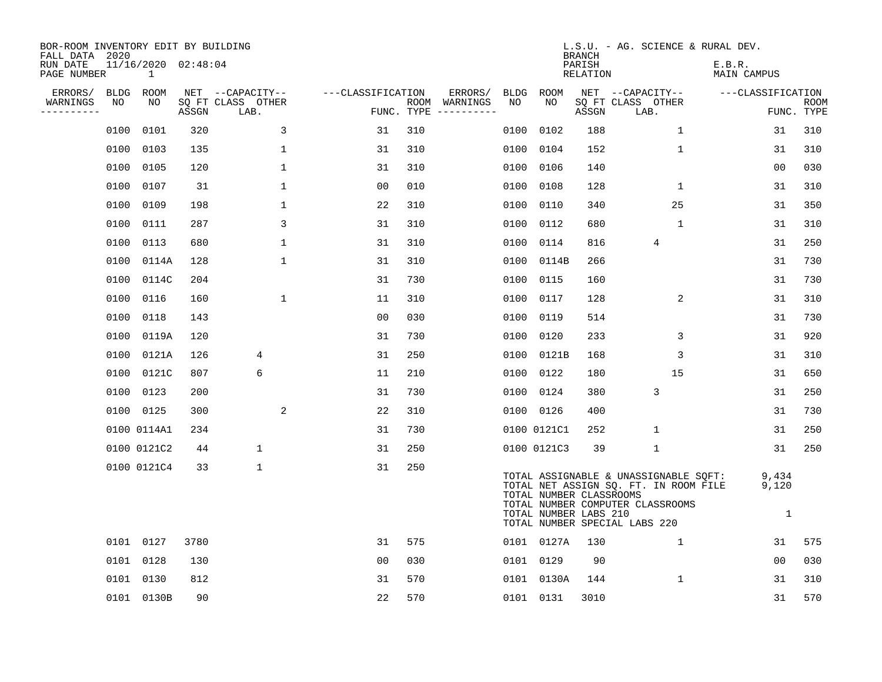| BOR-ROOM INVENTORY EDIT BY BUILDING<br>FALL DATA 2020 |      |                          |       |                           |                   |                                      |      |                                                  | <b>BRANCH</b>             | L.S.U. - AG. SCIENCE & RURAL DEV.                                                                                                                   |                               |                           |
|-------------------------------------------------------|------|--------------------------|-------|---------------------------|-------------------|--------------------------------------|------|--------------------------------------------------|---------------------------|-----------------------------------------------------------------------------------------------------------------------------------------------------|-------------------------------|---------------------------|
| RUN DATE<br>PAGE NUMBER                               |      | 11/16/2020 02:48:04<br>1 |       |                           |                   |                                      |      |                                                  | PARISH<br><b>RELATION</b> |                                                                                                                                                     | E.B.R.<br>MAIN CAMPUS         |                           |
| ERRORS/                                               |      | BLDG ROOM                |       | NET --CAPACITY--          | ---CLASSIFICATION | ERRORS/                              |      | BLDG ROOM                                        |                           | NET --CAPACITY--                                                                                                                                    | ---CLASSIFICATION             |                           |
| WARNINGS<br>--------                                  | NO   | NO                       | ASSGN | SQ FT CLASS OTHER<br>LAB. |                   | ROOM WARNINGS<br>FUNC. TYPE $------$ | NO   | NO.                                              | ASSGN                     | SQ FT CLASS OTHER<br>LAB.                                                                                                                           |                               | <b>ROOM</b><br>FUNC. TYPE |
|                                                       | 0100 | 0101                     | 320   | 3                         | 31                | 310                                  | 0100 | 0102                                             | 188                       | $\mathbf{1}$                                                                                                                                        | 31                            | 310                       |
|                                                       | 0100 | 0103                     | 135   | $\mathbf{1}$              | 31                | 310                                  | 0100 | 0104                                             | 152                       | $\mathbf{1}$                                                                                                                                        | 31                            | 310                       |
|                                                       | 0100 | 0105                     | 120   | $\mathbf 1$               | 31                | 310                                  | 0100 | 0106                                             | 140                       |                                                                                                                                                     | 0 <sub>0</sub>                | 030                       |
|                                                       |      | 0100 0107                | 31    | $\mathbf 1$               | 0 <sub>0</sub>    | 010                                  | 0100 | 0108                                             | 128                       | $\mathbf{1}$                                                                                                                                        | 31                            | 310                       |
|                                                       |      | 0100 0109                | 198   | $\mathbf{1}$              | 22                | 310                                  | 0100 | 0110                                             | 340                       | 25                                                                                                                                                  | 31                            | 350                       |
|                                                       |      | 0100 0111                | 287   | 3                         | 31                | 310                                  | 0100 | 0112                                             | 680                       | $\mathbf 1$                                                                                                                                         | 31                            | 310                       |
|                                                       |      | 0100 0113                | 680   | $\mathbf{1}$              | 31                | 310                                  | 0100 | 0114                                             | 816                       | 4                                                                                                                                                   | 31                            | 250                       |
|                                                       |      | 0100 0114A               | 128   | $\mathbf 1$               | 31                | 310                                  | 0100 | 0114B                                            | 266                       |                                                                                                                                                     | 31                            | 730                       |
|                                                       |      | 0100 0114C               | 204   |                           | 31                | 730                                  | 0100 | 0115                                             | 160                       |                                                                                                                                                     | 31                            | 730                       |
|                                                       |      | 0100 0116                | 160   | $\mathbf 1$               | 11                | 310                                  | 0100 | 0117                                             | 128                       | 2                                                                                                                                                   | 31                            | 310                       |
|                                                       |      | 0100 0118                | 143   |                           | 0 <sub>0</sub>    | 030                                  | 0100 | 0119                                             | 514                       |                                                                                                                                                     | 31                            | 730                       |
|                                                       |      | 0100 0119A               | 120   |                           | 31                | 730                                  | 0100 | 0120                                             | 233                       | 3                                                                                                                                                   | 31                            | 920                       |
|                                                       | 0100 | 0121A                    | 126   | 4                         | 31                | 250                                  | 0100 | 0121B                                            | 168                       | 3                                                                                                                                                   | 31                            | 310                       |
|                                                       | 0100 | 0121C                    | 807   | 6                         | 11                | 210                                  |      | 0100 0122                                        | 180                       | 15                                                                                                                                                  | 31                            | 650                       |
|                                                       |      | 0100 0123                | 200   |                           | 31                | 730                                  |      | 0100 0124                                        | 380                       | 3                                                                                                                                                   | 31                            | 250                       |
|                                                       |      | 0100 0125                | 300   | 2                         | 22                | 310                                  |      | 0100 0126                                        | 400                       |                                                                                                                                                     | 31                            | 730                       |
|                                                       |      | 0100 0114A1              | 234   |                           | 31                | 730                                  |      | 0100 0121C1                                      | 252                       | $\mathbf 1$                                                                                                                                         | 31                            | 250                       |
|                                                       |      | 0100 0121C2              | 44    | $\mathbf 1$               | 31                | 250                                  |      | 0100 0121C3                                      | 39                        | $\mathbf{1}$                                                                                                                                        | 31                            | 250                       |
|                                                       |      | 0100 0121C4              | 33    | $\mathbf{1}$              | 31                | 250                                  |      | TOTAL NUMBER CLASSROOMS<br>TOTAL NUMBER LABS 210 |                           | TOTAL ASSIGNABLE & UNASSIGNABLE SQFT:<br>TOTAL NET ASSIGN SQ. FT. IN ROOM FILE<br>TOTAL NUMBER COMPUTER CLASSROOMS<br>TOTAL NUMBER SPECIAL LABS 220 | 9,434<br>9,120<br>$\mathbf 1$ |                           |
|                                                       |      | 0101 0127                | 3780  |                           | 31                | 575                                  |      | 0101 0127A                                       | 130                       | $\mathbf 1$                                                                                                                                         | 31                            | 575                       |
|                                                       |      | 0101 0128                | 130   |                           | 0 <sub>0</sub>    | 030                                  |      | 0101 0129                                        | 90                        |                                                                                                                                                     | 0 <sub>0</sub>                | 030                       |
|                                                       |      | 0101 0130                | 812   |                           | 31                | 570                                  |      | 0101 0130A                                       | 144                       | $\mathbf 1$                                                                                                                                         | 31                            | 310                       |
|                                                       |      | 0101 0130B               | 90    |                           | 22                | 570                                  |      | 0101 0131                                        | 3010                      |                                                                                                                                                     | 31                            | 570                       |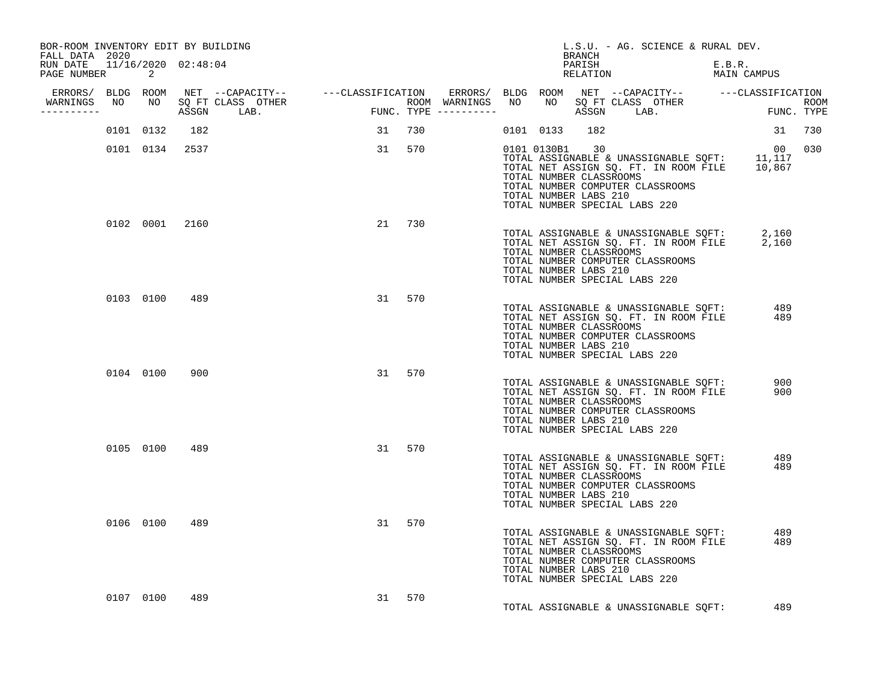| BOR-ROOM INVENTORY EDIT BY BUILDING<br>FALL DATA 2020 |           |                |                                  |    |        |  | BRANCH                                                             | L.S.U. - AG. SCIENCE & RURAL DEV.                                                                                                                                          |                   |            |  |
|-------------------------------------------------------|-----------|----------------|----------------------------------|----|--------|--|--------------------------------------------------------------------|----------------------------------------------------------------------------------------------------------------------------------------------------------------------------|-------------------|------------|--|
| RUN DATE 11/16/2020 02:48:04<br>PAGE NUMBER 2         |           |                |                                  |    |        |  | PARISH<br><b>RELATION</b>                                          | E.B.R.<br>MAIN CAMPUS                                                                                                                                                      | E.B.R.            |            |  |
|                                                       |           |                |                                  |    |        |  |                                                                    |                                                                                                                                                                            |                   |            |  |
| -----------                                           |           |                | WARNINGS NO NO SQ FT CLASS OTHER |    |        |  |                                                                    |                                                                                                                                                                            |                   |            |  |
|                                                       | 0101 0132 | 182            |                                  |    | 31 730 |  | 0101 0133 182                                                      |                                                                                                                                                                            |                   | 31 730     |  |
|                                                       |           | 0101 0134 2537 |                                  |    | 31 570 |  | 0101 0130B1 30<br>TOTAL NUMBER CLASSROOMS<br>TOTAL NUMBER LABS 210 | 00 00<br>TOTAL ASSIGNABLE & UNASSIGNABLE SQFT: 11,117<br>TOTAL NET ASSIGN SQ. FT. IN ROOM FILE 10,867<br>TOTAL NUMBER COMPUTER CLASSROOMS<br>TOTAL NUMBER SPECIAL LABS 220 |                   | 00 030     |  |
|                                                       |           |                | 0102 0001 2160                   |    | 21 730 |  | TOTAL NUMBER CLASSROOMS<br>TOTAL NUMBER LABS 210                   | TOTAL ASSIGNABLE & UNASSIGNABLE SQFT: 2,160<br>TOTAL NET ASSIGN SQ. FT. IN ROOM FILE 2,160<br>TOTAL NUMBER COMPUTER CLASSROOMS<br>TOTAL NUMBER SPECIAL LABS 220            |                   |            |  |
|                                                       |           | 0103 0100 489  |                                  |    | 31 570 |  | TOTAL NUMBER CLASSROOMS<br>TOTAL NUMBER LABS 210                   | TOTAL ASSIGNABLE & UNASSIGNABLE SQFT:<br>TOTAL NET ASSIGN SQ. FT. IN ROOM FILE<br>TOTAL NUMBER COMPUTER CLASSROOMS<br>TOTAL NUMBER SPECIAL LABS 220                        | $\frac{489}{489}$ |            |  |
|                                                       | 0104 0100 | 900            |                                  | 31 | 570    |  | TOTAL NUMBER CLASSROOMS<br>TOTAL NUMBER LABS 210                   | TOTAL ASSIGNABLE & UNASSIGNABLE SQFT:<br>TOTAL NET ASSIGN SQ. FT. IN ROOM FILE<br>TOTAL NUMBER COMPUTER CLASSROOMS<br>TOTAL NUMBER SPECIAL LABS 220                        |                   | 900<br>900 |  |
|                                                       |           | 0105 0100 489  |                                  |    | 31 570 |  | TOTAL NUMBER CLASSROOMS<br>TOTAL NUMBER LABS 210                   | TOTAL NET ASSIGN SQ. FT. IN ROOM FILE 489<br>TOTAL NET ASSIGN SQ. FT. IN ROOM FILE 489<br>TOTAL NUMBER COMPUTER CLASSROOMS<br>TOTAL NUMBER SPECIAL LABS 220                |                   |            |  |
|                                                       | 0106 0100 | 489            |                                  | 31 | 570    |  | TOTAL NUMBER CLASSROOMS<br>TOTAL NUMBER LABS 210                   | TOTAL ASSIGNABLE & UNASSIGNABLE SQFT: 489<br>TOTAL NET ASSIGN SQ. FT. IN ROOM FILE<br>TOTAL NUMBER COMPUTER CLASSROOMS<br>TOTAL NUMBER SPECIAL LABS 220                    |                   | 489        |  |
|                                                       | 0107 0100 | 489            |                                  |    | 31 570 |  |                                                                    | TOTAL ASSIGNABLE & UNASSIGNABLE SQFT:                                                                                                                                      |                   | 489        |  |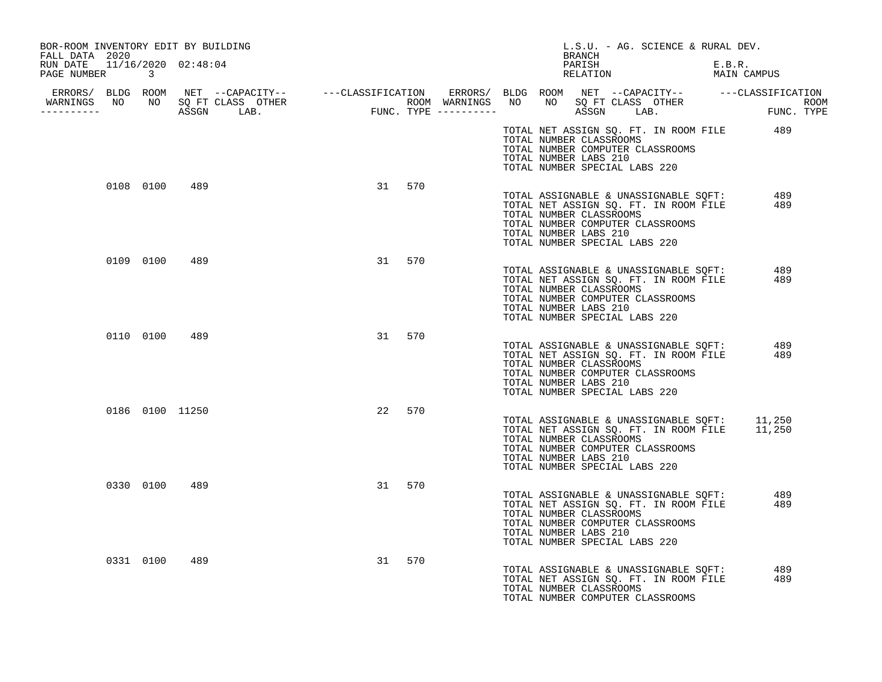| BOR-ROOM INVENTORY EDIT BY BUILDING<br>FALL DATA 2020 |           |                 |           | L.S.U. - AG. SCIENCE & RURAL DEV.<br>BRANCH                                                                                                                                                                           |
|-------------------------------------------------------|-----------|-----------------|-----------|-----------------------------------------------------------------------------------------------------------------------------------------------------------------------------------------------------------------------|
| RUN DATE 11/16/2020 02:48:04<br>PAGE NUMBER 3         |           |                 |           | PARISH<br>E.B.R.<br>MAIN CAMPUS<br>RELATION                                                                                                                                                                           |
|                                                       |           |                 |           |                                                                                                                                                                                                                       |
|                                                       |           |                 |           | TOTAL NET ASSIGN SQ. FT. IN ROOM FILE 489<br>TOTAL NUMBER CLASSROOMS<br>TOTAL NUMBER COMPUTER CLASSROOMS<br>TOTAL NUMBER LABS 210<br>TOTAL NUMBER SPECIAL LABS 220                                                    |
|                                                       | 0108 0100 | 489             | 31 570    | TOTAL ASSIGNABLE & UNASSIGNABLE SQFT:<br>489<br>TOTAL NET ASSIGN SQ. FT. IN ROOM FILE<br>489<br>TOTAL NUMBER CLASSROOMS<br>TOTAL NUMBER COMPUTER CLASSROOMS<br>TOTAL NUMBER LABS 210<br>TOTAL NUMBER SPECIAL LABS 220 |
|                                                       | 0109 0100 | 489             | 31<br>570 | TOTAL ASSIGNABLE & UNASSIGNABLE SQFT: 489<br>TOTAL NET ASSIGN SQ. FT. IN ROOM FILE<br>489<br>TOTAL NUMBER CLASSROOMS<br>TOTAL NUMBER COMPUTER CLASSROOMS<br>TOTAL NUMBER LABS 210<br>TOTAL NUMBER SPECIAL LABS 220    |
|                                                       |           | 0110 0100 489   | 570<br>31 | TOTAL ASSIGNABLE & UNASSIGNABLE SQFT: 489<br>TOTAL NET ASSIGN SQ. FT. IN ROOM FILE<br>489<br>TOTAL NUMBER CLASSROOMS<br>TOTAL NUMBER COMPUTER CLASSROOMS<br>TOTAL NUMBER LABS 210<br>TOTAL NUMBER SPECIAL LABS 220    |
|                                                       |           | 0186 0100 11250 | 22<br>570 | TOTAL ASSIGNABLE & UNASSIGNABLE SQFT: 11,250<br>TOTAL NET ASSIGN SQ. FT. IN ROOM FILE 11,250<br>TOTAL NUMBER CLASSROOMS<br>TOTAL NUMBER COMPUTER CLASSROOMS<br>TOTAL NUMBER LABS 210<br>TOTAL NUMBER SPECIAL LABS 220 |
|                                                       | 0330 0100 | 489             | 570<br>31 | TOTAL ASSIGNABLE & UNASSIGNABLE SQFT:<br>489<br>TOTAL NET ASSIGN SQ. FT. IN ROOM FILE<br>489<br>TOTAL NUMBER CLASSROOMS<br>TOTAL NUMBER COMPUTER CLASSROOMS<br>TOTAL NUMBER LABS 210<br>TOTAL NUMBER SPECIAL LABS 220 |
|                                                       | 0331 0100 | 489             | 570<br>31 | 489<br>TOTAL ASSIGNABLE & UNASSIGNABLE SQFT:<br>TOTAL NET ASSIGN SQ. FT. IN ROOM FILE<br>489<br>TOTAL NUMBER CLASSROOMS<br>TOTAL NUMBER COMPUTER CLASSROOMS                                                           |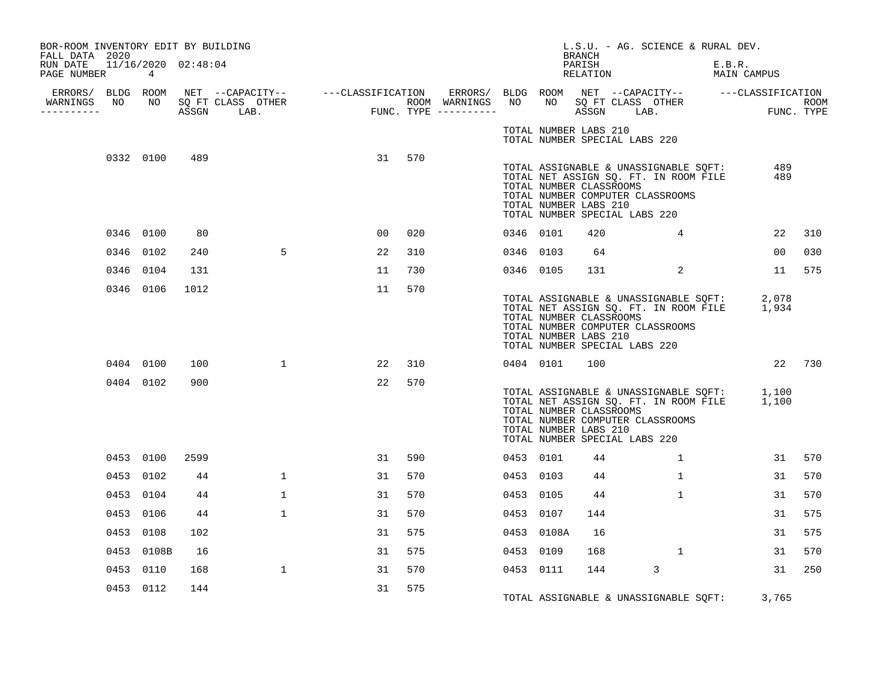| BOR-ROOM INVENTORY EDIT BY BUILDING<br>FALL DATA 2020 |           |                |                     |                                  |    |     |           |            | <b>BRANCH</b>                                    | L.S.U. - AG. SCIENCE & RURAL DEV.                                                                                                                                             |                       |        |
|-------------------------------------------------------|-----------|----------------|---------------------|----------------------------------|----|-----|-----------|------------|--------------------------------------------------|-------------------------------------------------------------------------------------------------------------------------------------------------------------------------------|-----------------------|--------|
| RUN DATE<br>PAGE NUMBER                               |           | $\overline{4}$ | 11/16/2020 02:48:04 |                                  |    |     |           |            | PARISH<br>RELATION                               |                                                                                                                                                                               | E.B.R.<br>MAIN CAMPUS |        |
| -----------                                           |           |                |                     | WARNINGS NO NO SQ FT CLASS OTHER |    |     |           |            |                                                  |                                                                                                                                                                               |                       |        |
|                                                       |           |                |                     |                                  |    |     |           |            | TOTAL NUMBER LABS 210                            | TOTAL NUMBER SPECIAL LABS 220                                                                                                                                                 |                       |        |
|                                                       |           | 0332 0100      | 489                 |                                  | 31 | 570 |           |            | TOTAL NUMBER CLASSROOMS<br>TOTAL NUMBER LABS 210 | TOTAL ASSIGNABLE & UNASSIGNABLE SQFT:<br>TOTAL NET ASSIGN SQ. FT. IN ROOM FILE<br>TOTAL NUMBER CLASSOOMS<br>TOTAL NUMBER COMPUTER CLASSROOMS<br>TOTAL NUMBER SPECIAL LABS 220 | 489<br>489            |        |
|                                                       |           | 0346 0100      | 80                  |                                  | 00 | 020 | 0346 0101 |            | 420                                              | $4\overline{ }$                                                                                                                                                               | 22                    | 310    |
|                                                       |           | 0346 0102      | 240                 | 5                                | 22 | 310 | 0346 0103 |            | 64                                               |                                                                                                                                                                               | 00                    | 030    |
|                                                       | 0346 0104 |                | 131                 |                                  | 11 | 730 | 0346 0105 |            | 131                                              | 2                                                                                                                                                                             |                       | 11 575 |
|                                                       |           | 0346 0106      | 1012                |                                  | 11 | 570 |           |            | TOTAL NUMBER CLASSROOMS<br>TOTAL NUMBER LABS 210 | TOTAL ASSIGNABLE & UNASSIGNABLE SQFT: 2,078<br>TOTAL NET ASSIGN SQ. FT. IN ROOM FILE 1,934<br>TOTAL NUMBER COMPUTER CLASSROOMS<br>TOTAL NUMBER SPECIAL LABS 220               |                       |        |
|                                                       |           | 0404 0100      | 100                 | $\mathbf{1}$                     | 22 | 310 | 0404 0101 |            | 100                                              |                                                                                                                                                                               |                       | 22 730 |
|                                                       |           | 0404 0102      | 900                 |                                  | 22 | 570 |           |            | TOTAL NUMBER CLASSROOMS<br>TOTAL NUMBER LABS 210 | TOTAL ASSIGNABLE & UNASSIGNABLE SQFT: 1,100<br>TOTAL NET ASSIGN SQ. FT. IN ROOM FILE 1,100<br>TOTAL NUMBER COMPUTER CLASSROOMS<br>TOTAL NUMBER SPECIAL LABS 220               |                       |        |
|                                                       |           | 0453 0100      | 2599                |                                  | 31 | 590 | 0453 0101 |            | 44                                               | 1                                                                                                                                                                             |                       | 31 570 |
|                                                       |           | 0453 0102      | 44                  | $\mathbf{1}$                     | 31 | 570 | 0453 0103 |            | 44                                               | $\mathbf{1}$                                                                                                                                                                  | 31                    | 570    |
|                                                       |           | 0453 0104      | 44                  | $\mathbf{1}$                     | 31 | 570 | 0453 0105 |            | 44                                               | $\mathbf{1}$                                                                                                                                                                  | 31                    | 570    |
|                                                       |           | 0453 0106      | 44                  | $\mathbf{1}$                     | 31 | 570 | 0453 0107 |            | 144                                              |                                                                                                                                                                               | 31                    | 575    |
|                                                       |           | 0453 0108      | 102                 |                                  | 31 | 575 |           | 0453 0108A | 16                                               |                                                                                                                                                                               | 31                    | 575    |
|                                                       |           | 0453 0108B     | 16                  |                                  | 31 | 575 | 0453 0109 |            | 168                                              | 1                                                                                                                                                                             | 31                    | 570    |
|                                                       | 0453 0110 |                | 168                 | $\mathbf{1}$                     | 31 | 570 | 0453 0111 |            | 144                                              | 3                                                                                                                                                                             | 31                    | 250    |
|                                                       |           | 0453 0112      | 144                 |                                  | 31 | 575 |           |            |                                                  | TOTAL ASSIGNABLE & UNASSIGNABLE SQFT: 3,765                                                                                                                                   |                       |        |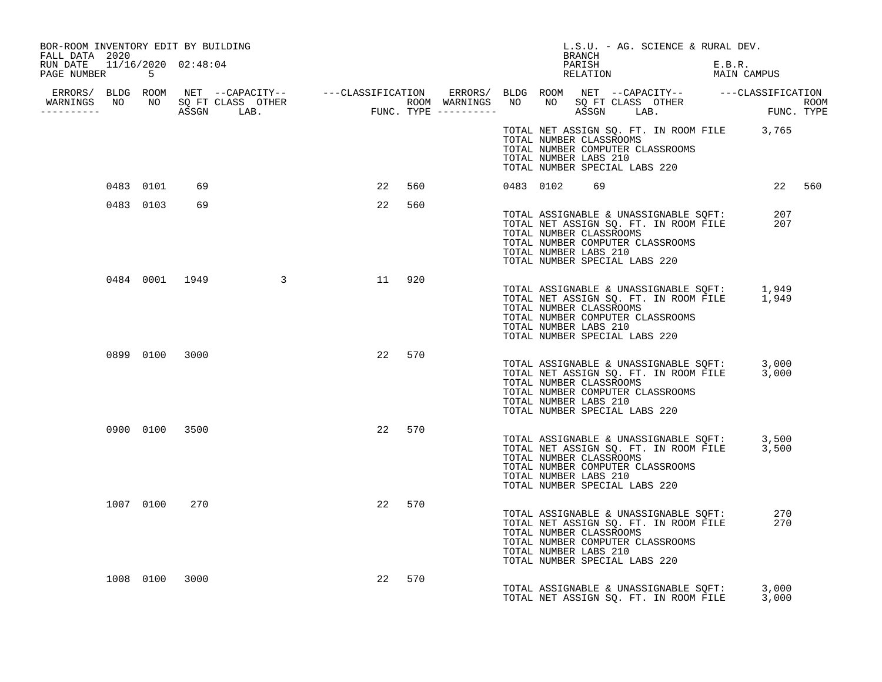| BOR-ROOM INVENTORY EDIT BY BUILDING<br>FALL DATA 2020 |           |                |                  |                                                                                                                                                                                                                                      |        |  |           | L.S.U. - AG. SCIENCE & RURAL DEV.<br>BRANCH                                                                                                                                                                         |                       |        |                |        |
|-------------------------------------------------------|-----------|----------------|------------------|--------------------------------------------------------------------------------------------------------------------------------------------------------------------------------------------------------------------------------------|--------|--|-----------|---------------------------------------------------------------------------------------------------------------------------------------------------------------------------------------------------------------------|-----------------------|--------|----------------|--------|
| RUN DATE 11/16/2020 02:48:04<br>PAGE NUMBER 5         |           |                |                  |                                                                                                                                                                                                                                      |        |  |           | PARISH<br>PARISH<br>RELATION                                                                                                                                                                                        | E.B.R.<br>MAIN CAMPUS | E.B.R. |                |        |
|                                                       |           |                |                  |                                                                                                                                                                                                                                      |        |  |           |                                                                                                                                                                                                                     |                       |        |                |        |
|                                                       |           |                |                  | ERRORS/ BLDG ROOM NET --CAPACITY-- ----CLASSIFICATION ERRORS/ BLDG ROOM NET --CAPACITY-- -----CLASSIFICATION<br>WARNINGS NO NO SQFTCLASS OTHER ROOM WARNINGS NO NO SQFTCLASS OTHER ROOM<br>----------- ASSGN LAB. FUNC.TYPE -------- |        |  |           |                                                                                                                                                                                                                     |                       |        |                |        |
|                                                       |           |                |                  |                                                                                                                                                                                                                                      |        |  |           | TOTAL NET ASSIGN SQ. FT. IN ROOM FILE 3,765<br>TOTAL NUMBER CLASSROOMS<br>TOTAL NUMBER COMPUTER CLASSROOMS<br>TOTAL NUMBER LABS 210<br>TOTAL NUMBER SPECIAL LABS 220                                                |                       |        |                |        |
|                                                       | 0483 0101 | 69             |                  | 22                                                                                                                                                                                                                                   | 560    |  | 0483 0102 | 69                                                                                                                                                                                                                  |                       |        |                | 22 560 |
|                                                       | 0483 0103 | 69             |                  | 22                                                                                                                                                                                                                                   | 560    |  |           | TOTAL ASSIGNABLE & UNASSIGNABLE SQFT: 207<br>TOTAL NET ASSIGN SQ. FT. IN ROOM FILE 207<br>TOTAL NUMBER CLASSROOMS<br>TOTAL NUMBER COMPUTER CLASSROOMS<br>TOTAL NUMBER LABS 210<br>TOTAL NUMBER SPECIAL LABS 220     |                       |        |                |        |
|                                                       |           |                | 0484 0001 1949 3 |                                                                                                                                                                                                                                      | 11 920 |  |           | TOTAL ASSIGNABLE & UNASSIGNABLE SQFT: 1,949<br>TOTAL NET ASSIGN SQ. FT. IN ROOM FILE 1,949<br>TOTAL NUMBER CLASSROOMS<br>TOTAL NUMBER COMPUTER CLASSROOMS<br>TOTAL NUMBER LABS 210<br>TOTAL NUMBER SPECIAL LABS 220 |                       |        |                |        |
|                                                       |           | 0899 0100 3000 |                  |                                                                                                                                                                                                                                      | 22 570 |  |           |                                                                                                                                                                                                                     |                       |        |                |        |
|                                                       |           |                |                  |                                                                                                                                                                                                                                      |        |  |           | TOTAL ASSIGNABLE & UNASSIGNABLE SQFT: 3,000<br>TOTAL NET ASSIGN SQ. FT. IN ROOM FILE 3,000<br>TOTAL NUMBER CLASSROOMS<br>TOTAL NUMBER COMPUTER CLASSROOMS<br>TOTAL NUMBER LABS 210<br>TOTAL NUMBER SPECIAL LABS 220 |                       |        |                |        |
|                                                       |           |                | 0900 0100 3500   |                                                                                                                                                                                                                                      | 22 570 |  |           | TOTAL ASSIGNABLE & UNASSIGNABLE SQFT: 3,500<br>TOTAL NET ASSIGN SQ. FT. IN ROOM FILE 3,500<br>TOTAL NUMBER CLASSROOMS<br>TOTAL NUMBER COMPUTER CLASSROOMS<br>TOTAL NUMBER LABS 210<br>TOTAL NUMBER SPECIAL LABS 220 |                       |        |                |        |
|                                                       | 1007 0100 | 270            |                  |                                                                                                                                                                                                                                      | 22 570 |  |           | TOTAL ASSIGNABLE & UNASSIGNABLE SQFT:<br>TOTAL NET ASSIGN SQ. FT. IN ROOM FILE<br>TOTAL NUMBER CLASSROOMS<br>TOTAL NUMBER COMPUTER CLASSROOMS<br>TOTAL NUMBER LABS 210<br>TOTAL NUMBER SPECIAL LABS 220             |                       |        | 270<br>270     |        |
|                                                       |           | 1008 0100 3000 |                  | 22                                                                                                                                                                                                                                   | 570    |  |           | TOTAL ASSIGNABLE & UNASSIGNABLE SOFT:                                                                                                                                                                               |                       |        |                |        |
|                                                       |           |                |                  |                                                                                                                                                                                                                                      |        |  |           | TOTAL NET ASSIGN SO. FT. IN ROOM FILE                                                                                                                                                                               |                       |        | 3,000<br>3,000 |        |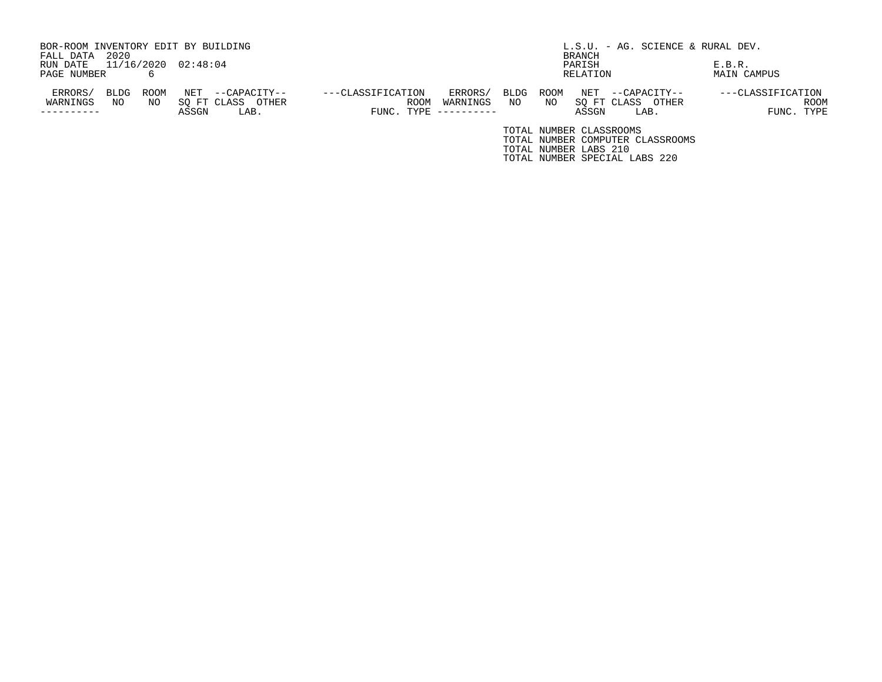| BOR-ROOM INVENTORY EDIT BY BUILDING |      |      |                     |                   |                   |      |                     |      |      |                         | L.S.U. - AG. SCIENCE & RURAL DEV. |        |                   |
|-------------------------------------|------|------|---------------------|-------------------|-------------------|------|---------------------|------|------|-------------------------|-----------------------------------|--------|-------------------|
| FALL DATA                           | 2020 |      |                     |                   |                   |      |                     |      |      | BRANCH                  |                                   |        |                   |
| RUN DATE                            |      |      | 11/16/2020 02:48:04 |                   |                   |      |                     |      |      | PARISH                  |                                   | E.B.R. |                   |
| PAGE NUMBER                         |      | 6    |                     |                   |                   |      |                     |      |      | RELATION                |                                   |        | MAIN CAMPUS       |
| ERRORS/                             | BLDG | ROOM | NET                 | --CAPACITY--      | ---CLASSIFICATION |      | ERRORS/             | BLDG | ROOM | NET                     | --CAPACITY--                      |        | ---CLASSIFICATION |
| WARNINGS                            | NO   | NO   |                     | SO FT CLASS OTHER |                   | ROOM | WARNINGS            | NO   | NO   | SO FT CLASS             | OTHER                             |        | <b>ROOM</b>       |
|                                     |      |      | ASSGN               | LAB.              |                   |      | FUNC. TYPE $------$ |      |      | ASSGN                   | LAB.                              |        | FUNC. TYPE        |
|                                     |      |      |                     |                   |                   |      |                     |      |      | TOTAL NUMBER CLASSROOMS |                                   |        |                   |
|                                     |      |      |                     |                   |                   |      |                     |      |      |                         | TOTAL NUMBER COMPUTER CLASSROOMS  |        |                   |

TOTAL NUMBER LABS 210

TOTAL NUMBER SPECIAL LABS 220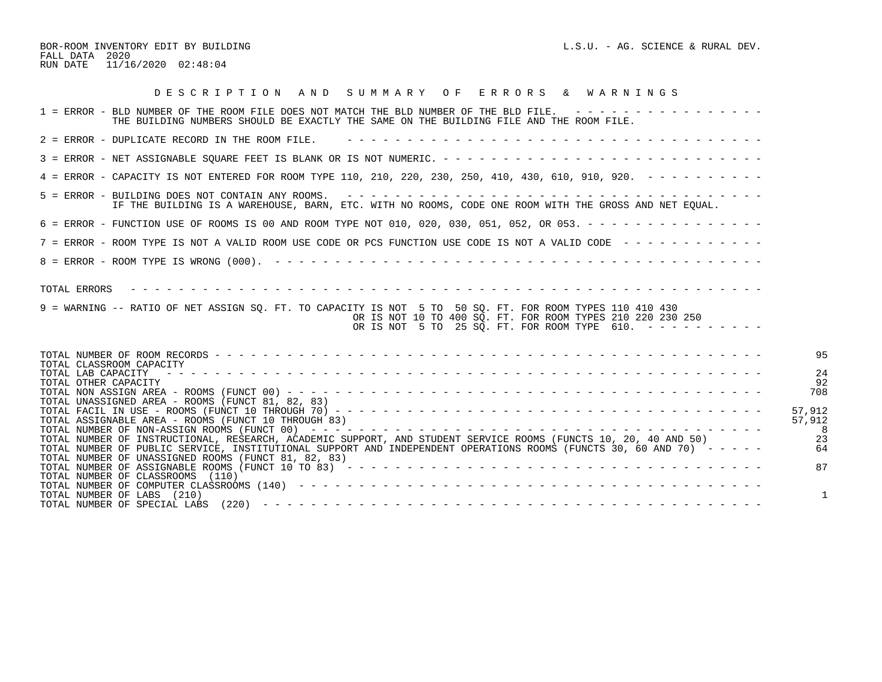BOR-ROOM INVENTORY EDIT BY BUILDING  $L.S.U. - AG.$  SCIENCE & RURAL DEV. FALL DATA 2020 RUN DATE 11/16/2020 02:48:04

| DESCRIPTION AND SUMMARY OF ERRORS & WARNINGS                                                                                                                                                                                                 |
|----------------------------------------------------------------------------------------------------------------------------------------------------------------------------------------------------------------------------------------------|
| 1 = ERROR - BLD NUMBER OF THE ROOM FILE DOES NOT MATCH THE BLD NUMBER OF THE BLD FILE. ----------------<br>THE BUILDING NUMBERS SHOULD BE EXACTLY THE SAME ON THE BUILDING FILE AND THE ROOM FILE.                                           |
| 2 = ERROR - DUPLICATE RECORD IN THE ROOM FILE.                                                                                                                                                                                               |
|                                                                                                                                                                                                                                              |
| 4 = ERROR - CAPACITY IS NOT ENTERED FOR ROOM TYPE 110, 210, 220, 230, 250, 410, 430, 610, 910, 920. - - - - - - - - -                                                                                                                        |
| IF THE BUILDING IS A WAREHOUSE, BARN, ETC. WITH NO ROOMS, CODE ONE ROOM WITH THE GROSS AND NET EOUAL.                                                                                                                                        |
| 6 = ERROR - FUNCTION USE OF ROOMS IS 00 AND ROOM TYPE NOT 010, 020, 030, 051, 052, OR 053. - - - - - - - - - - - - - - -                                                                                                                     |
| 7 = ERROR - ROOM TYPE IS NOT A VALID ROOM USE CODE OR PCS FUNCTION USE CODE IS NOT A VALID CODE ------------                                                                                                                                 |
|                                                                                                                                                                                                                                              |
| 9 = WARNING -- RATIO OF NET ASSIGN SO. FT. TO CAPACITY IS NOT 5 TO 50 SO. FT. FOR ROOM TYPES 110 410 430<br>OR IS NOT 10 TO 400 SQ. FT. FOR ROOM TYPES 210 220 230 250<br>OR IS NOT 5 TO 25 SQ. FT. FOR ROOM TYPE 610. $-$ - - - - - - - - - |
| 9 <sub>5</sub>                                                                                                                                                                                                                               |
| TOTAL CLASSROOM CAPACITY<br>24<br>TOTAL LAB CAPACITY<br>92<br>TOTAL OTHER CAPACITY                                                                                                                                                           |
| 708<br>TOTAL UNASSIGNED AREA - ROOMS (FUNCT 81, 82, 83)                                                                                                                                                                                      |
| 57,912<br>TOTAL ASSIGNABLE AREA - ROOMS (FUNCT 10 THROUGH 83)<br>57,912                                                                                                                                                                      |
| -23<br>TOTAL NUMBER OF INSTRUCTIONAL, RESEARCH, ACADEMIC SUPPORT, AND STUDENT SERVICE ROOMS (FUNCTS 10, 20, 40 AND 50)                                                                                                                       |
| TOTAL NUMBER OF PUBLIC SERVICE, INSTITUTIONAL SUPPORT AND INDEPENDENT OPERATIONS ROOMS (FUNCTS 30, 60 AND 70) -----<br>64<br>TOTAL NUMBER OF UNASSIGNED ROOMS (FUNCT 81, 82, 83)                                                             |
| 87<br>TOTAL NUMBER OF CLASSROOMS (110)                                                                                                                                                                                                       |
| TOTAL NUMBER OF LABS (210)                                                                                                                                                                                                                   |
|                                                                                                                                                                                                                                              |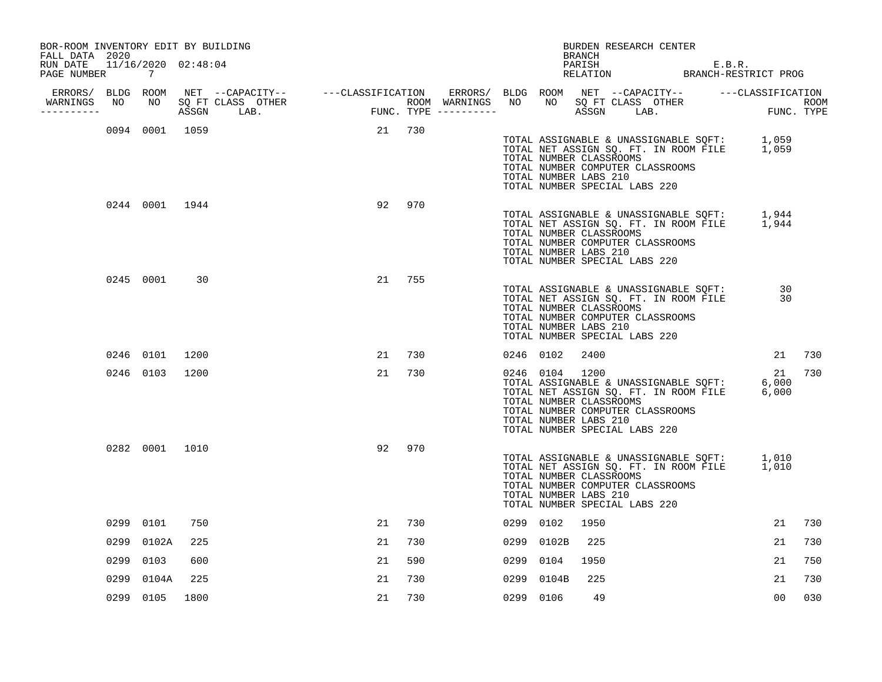| BOR-ROOM INVENTORY EDIT BY BUILDING<br>FALL DATA 2020 |           |                |      |                                                                                                                                                                                                                                 |    |        |      |                                                                    | BRANCH | BURDEN RESEARCH CENTER                                                                                     |  |                                                                                            |    |                    |
|-------------------------------------------------------|-----------|----------------|------|---------------------------------------------------------------------------------------------------------------------------------------------------------------------------------------------------------------------------------|----|--------|------|--------------------------------------------------------------------|--------|------------------------------------------------------------------------------------------------------------|--|--------------------------------------------------------------------------------------------|----|--------------------|
| RUN DATE 11/16/2020 02:48:04<br>PAGE NUMBER 7         |           |                |      |                                                                                                                                                                                                                                 |    |        |      |                                                                    |        |                                                                                                            |  | PARISH E.B.R.<br>RELATION BRANCH-RESTRICT PROG                                             |    |                    |
| ERRORS/ BLDG ROOM                                     |           |                |      |                                                                                                                                                                                                                                 |    |        |      |                                                                    |        |                                                                                                            |  |                                                                                            |    |                    |
| WARNINGS<br>----------                                | NO        | NO             |      | NET --CAPACITY-- ----CLASSIFICATION ERRORS/ BLDG ROOM NET --CAPACITY-- ----CLASSIFICATION<br>SQ FT CLASS OTHER ROOM WARNINGS NO NO SQ FT CLASS OTHER ROOM ROOM<br>ASSGN LAB.    FUNC. TYPE ----------- ASSGN LAB.    FUNC. TYPE |    |        |      |                                                                    |        |                                                                                                            |  |                                                                                            |    | ROOM<br>FUNC. TYPE |
|                                                       |           | 0094 0001 1059 |      |                                                                                                                                                                                                                                 |    | 21 730 |      | TOTAL NUMBER CLASSROOMS<br>TOTAL NUMBER LABS 210                   |        | TOTAL NUMBER COMPUTER CLASSROOMS<br>TOTAL NUMBER SPECIAL LABS 220                                          |  | TOTAL ASSIGNABLE & UNASSIGNABLE SQFT: 1,059<br>TOTAL NET ASSIGN SQ. FT. IN ROOM FILE 1,059 |    |                    |
|                                                       |           | 0244 0001 1944 |      |                                                                                                                                                                                                                                 |    | 92 970 |      | TOTAL NUMBER CLASSROOMS<br>TOTAL NUMBER LABS 210                   |        | TOTAL NUMBER COMPUTER CLASSROOMS<br>TOTAL NUMBER SPECIAL LABS 220                                          |  | TOTAL ASSIGNABLE & UNASSIGNABLE SQFT: 1,944<br>TOTAL NET ASSIGN SQ. FT. IN ROOM FILE 1,944 |    |                    |
|                                                       |           | 0245 0001      | 30   |                                                                                                                                                                                                                                 | 21 | 755    |      | TOTAL NUMBER CLASSROOMS<br>TOTAL NUMBER LABS 210                   |        | TOTAL ASSIGNABLE & UNASSIGNABLE SQFT:<br>TOTAL NUMBER COMPUTER CLASSROOMS<br>TOTAL NUMBER SPECIAL LABS 220 |  | TOTAL NET ASSIGN SQ. FT. IN ROOM FILE 30                                                   | 30 |                    |
|                                                       | 0246 0101 |                | 1200 |                                                                                                                                                                                                                                 | 21 | 730    |      | 0246 0102                                                          | 2400   |                                                                                                            |  |                                                                                            | 21 | 730                |
|                                                       | 0246 0103 |                | 1200 |                                                                                                                                                                                                                                 | 21 | 730    |      | 0246 0104 1200<br>TOTAL NUMBER CLASSROOMS<br>TOTAL NUMBER LABS 210 |        | TOTAL NUMBER COMPUTER CLASSROOMS<br>TOTAL NUMBER SPECIAL LABS 220                                          |  | TOTAL ASSIGNABLE & UNASSIGNABLE SQFT: 6,000<br>TOTAL NET ASSIGN SQ. FT. IN ROOM FILE 6,000 | 21 | 730                |
|                                                       |           | 0282 0001 1010 |      |                                                                                                                                                                                                                                 | 92 | 970    |      | TOTAL NUMBER CLASSROOMS<br>TOTAL NUMBER LABS 210                   |        | TOTAL NUMBER COMPUTER CLASSROOMS<br>TOTAL NUMBER SPECIAL LABS 220                                          |  | TOTAL ASSIGNABLE & UNASSIGNABLE SQFT: 1,010<br>TOTAL NET ASSIGN SQ. FT. IN ROOM FILE 1,010 |    |                    |
|                                                       | 0299 0101 |                | 750  |                                                                                                                                                                                                                                 | 21 | 730    |      | 0299 0102                                                          | 1950   |                                                                                                            |  |                                                                                            | 21 | 730                |
|                                                       | 0299      | 0102A          | 225  |                                                                                                                                                                                                                                 | 21 | 730    |      | 0299 0102B                                                         | 225    |                                                                                                            |  |                                                                                            | 21 | 730                |
|                                                       | 0299      | 0103           | 600  |                                                                                                                                                                                                                                 | 21 | 590    |      | 0299 0104                                                          | 1950   |                                                                                                            |  |                                                                                            | 21 | 750                |
|                                                       | 0299      | 0104A          | 225  |                                                                                                                                                                                                                                 | 21 | 730    | 0299 | 0104B                                                              | 225    |                                                                                                            |  |                                                                                            | 21 | 730                |
|                                                       | 0299 0105 |                | 1800 |                                                                                                                                                                                                                                 | 21 | 730    |      | 0299 0106                                                          | 49     |                                                                                                            |  |                                                                                            | 00 | 030                |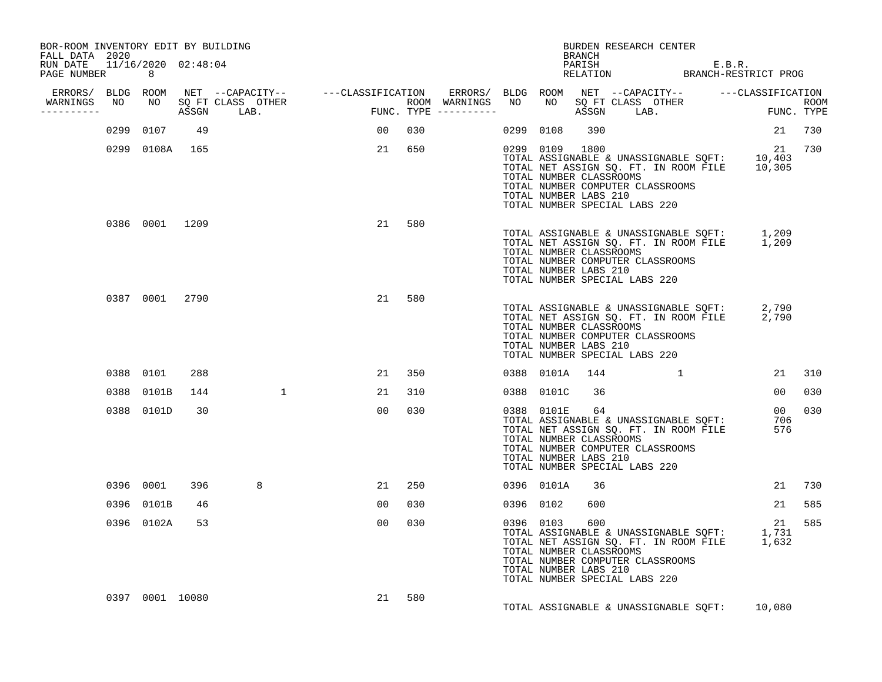| BOR-ROOM INVENTORY EDIT BY BUILDING<br>FALL DATA 2020<br>RUN DATE 11/16/2020 02:48:04 |                 |     |                                  |                 |        | BRANCH                                                             | BURDEN RESEARCH CENTER                                                                                                                                                                           |        |     |
|---------------------------------------------------------------------------------------|-----------------|-----|----------------------------------|-----------------|--------|--------------------------------------------------------------------|--------------------------------------------------------------------------------------------------------------------------------------------------------------------------------------------------|--------|-----|
| PAGE NUMBER 8                                                                         |                 |     |                                  |                 |        |                                                                    | PARISH E.B.R.<br>RELATION BRANCH-RESTRICT PROG                                                                                                                                                   |        |     |
|                                                                                       |                 |     | WARNINGS NO NO SQ FT CLASS OTHER |                 |        |                                                                    |                                                                                                                                                                                                  |        |     |
| -----------                                                                           |                 |     |                                  |                 |        |                                                                    |                                                                                                                                                                                                  |        |     |
|                                                                                       | 0299 0107 49    |     |                                  | 00 030          |        | 0299 0108 390                                                      |                                                                                                                                                                                                  | 21 730 |     |
|                                                                                       | 0299 0108A 165  |     |                                  |                 | 21 650 | 0299 0109 1800<br>TOTAL NUMBER CLASSROOMS<br>TOTAL NUMBER LABS 210 | 0299 0109 1800 29<br>TOTAL ASSIGNABLE & UNASSIGNABLE SQFT: 10,403<br>TOTAL NET ASSIGN SQ. FT. IN ROOM FILE 10,305<br>TOTAL NUMBER COMPUTER CLASSROOMS<br>TOTAL NUMBER SPECIAL LABS 220           | 21 730 |     |
|                                                                                       |                 |     | 0386 0001 1209                   | 21              | 580    | TOTAL NUMBER CLASSROOMS<br>TOTAL NUMBER LABS 210                   | TOTAL ASSIGNABLE & UNASSIGNABLE SQFT: 1,209<br>TOTAL NET ASSIGN SQ. FT. IN ROOM FILE 1,209<br>TOTAL NUMBER COMPUTER CLASSROOMS<br>TOTAL NUMBER SPECIAL LABS 220                                  |        |     |
|                                                                                       | 0387 0001 2790  |     |                                  | 21              | 580    | TOTAL NUMBER CLASSROOMS<br>TOTAL NUMBER LABS 210                   | TOTAL ASSIGNABLE & UNASSIGNABLE SQFT: 2,790<br>TOTAL NET ASSIGN SQ. FT. IN ROOM FILE 2,790<br>TOTAL NUMBER COMPUTER CLASSROOMS<br>TOTAL NUMBER SPECIAL LABS 220                                  |        |     |
|                                                                                       | 0388 0101       | 288 |                                  | 21              | 350    |                                                                    | 0388 0101A 144 1                                                                                                                                                                                 | 21 310 |     |
|                                                                                       | 0388 0101B      | 144 |                                  | 21              | 310    | 0388 0101C<br>36                                                   |                                                                                                                                                                                                  | 00 030 |     |
|                                                                                       | 0388 0101D      | 30  |                                  | 00 <sub>o</sub> | 030    | TOTAL NUMBER LABS 210                                              | 00 030<br>TOTAL ASSIGNABLE & UNASSIGNABLE SQFT: 706<br>TOTAL NET ASSIGN SQ. FT. IN ROOM FILE 576<br>TOTAL NUMBER CLASSROOMS<br>TOTAL NUMBER COMPUTER CLASSROOMS<br>TOTAL NUMBER SPECIAL LABS 220 |        |     |
|                                                                                       | 0396 0001       | 396 | 8                                | 21              | 250    | 0396 0101A<br>36                                                   |                                                                                                                                                                                                  | 21 730 |     |
|                                                                                       | 0396 0101B      | 46  |                                  | 0 <sub>0</sub>  | 030    | 0396 0102<br>600                                                   |                                                                                                                                                                                                  | 21 585 |     |
|                                                                                       | 0396 0102A      | 53  |                                  | 00              | 030    | 0396 0103 600<br>TOTAL NUMBER CLASSROOMS<br>TOTAL NUMBER LABS 210  | 121 1796 0103 000<br>TOTAL ASSIGNABLE & UNASSIGNABLE SQFT: 1,731<br>TOTAL NET ASSIGN SQ. FT. IN ROOM FILE 1,632<br>TOTAL NUMBER COMPUTER CLASSROOMS<br>TOTAL NUMBER SPECIAL LABS 220             | 21     | 585 |
|                                                                                       | 0397 0001 10080 |     |                                  |                 | 21 580 |                                                                    | TOTAL ASSIGNABLE & UNASSIGNABLE SQFT: 10,080                                                                                                                                                     |        |     |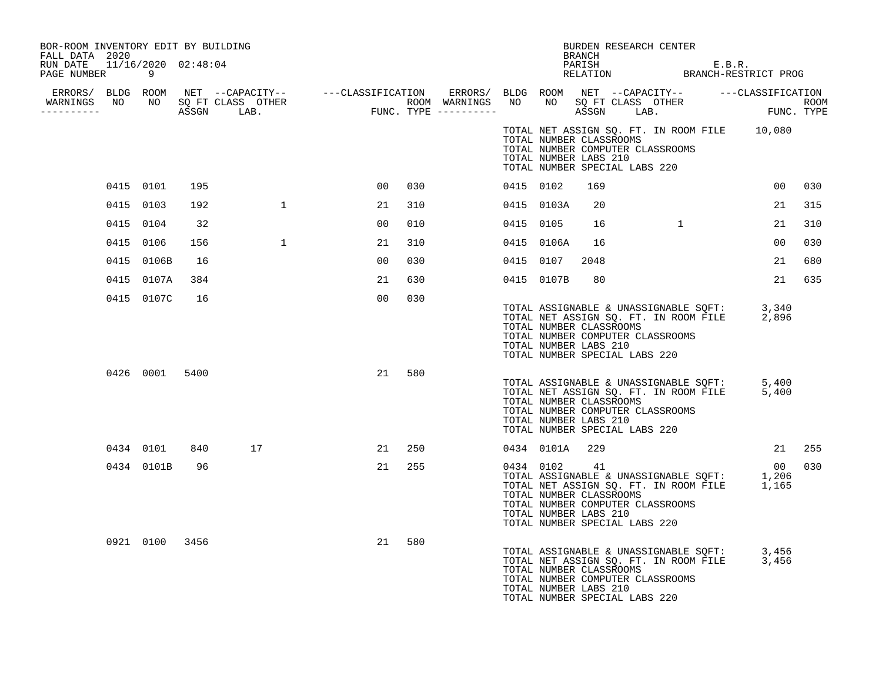| BOR-ROOM INVENTORY EDIT BY BUILDING<br>FALL DATA 2020<br>RUN DATE 11/16/2020 02:48:04 |                |      |              |                |     |           |                                                                  | <b>BRANCH</b><br>PARISH | BURDEN RESEARCH CENTER                                            |              | E.B.R. |                                                                                                     |        |
|---------------------------------------------------------------------------------------|----------------|------|--------------|----------------|-----|-----------|------------------------------------------------------------------|-------------------------|-------------------------------------------------------------------|--------------|--------|-----------------------------------------------------------------------------------------------------|--------|
| PAGE NUMBER                                                                           | 9              |      |              |                |     |           |                                                                  |                         |                                                                   |              |        | FARISH E.B.R.<br>RELATION BRANCH-RESTRICT PROG                                                      |        |
| WARNINGS NO<br>---------                                                              |                |      |              |                |     |           |                                                                  |                         |                                                                   |              |        |                                                                                                     |        |
|                                                                                       |                |      |              |                |     |           | TOTAL NUMBER CLASSROOMS<br>TOTAL NUMBER LABS 210                 |                         | TOTAL NUMBER COMPUTER CLASSROOMS<br>TOTAL NUMBER SPECIAL LABS 220 |              |        | TOTAL NET ASSIGN SQ. FT. IN ROOM FILE 10,080                                                        |        |
|                                                                                       | 0415 0101      | 195  |              | 00             | 030 | 0415 0102 |                                                                  | 169                     |                                                                   |              |        | 00                                                                                                  | 030    |
|                                                                                       | 0415 0103      | 192  | $\mathbf{1}$ | 21             | 310 |           | 0415 0103A                                                       | 20                      |                                                                   |              |        | 21                                                                                                  | 315    |
|                                                                                       | 0415 0104      | 32   |              | 00             | 010 | 0415 0105 |                                                                  | 16                      |                                                                   | $\mathbf{1}$ |        | 21                                                                                                  | 310    |
|                                                                                       | 0415 0106      | 156  | $\mathbf{1}$ | 21             | 310 |           | 0415 0106A                                                       | 16                      |                                                                   |              |        | 00                                                                                                  | 030    |
|                                                                                       | 0415 0106B     | 16   |              | 00             | 030 | 0415 0107 |                                                                  | 2048                    |                                                                   |              |        | 21                                                                                                  | 680    |
|                                                                                       | 0415 0107A     | 384  |              | 21             | 630 |           | 0415 0107B                                                       | 80                      |                                                                   |              |        | 21                                                                                                  | 635    |
|                                                                                       | 0415 0107C     | 16   |              | 0 <sub>0</sub> | 030 |           | TOTAL NUMBER CLASSROOMS<br>TOTAL NUMBER LABS 210                 |                         | TOTAL NUMBER COMPUTER CLASSROOMS<br>TOTAL NUMBER SPECIAL LABS 220 |              |        | TOTAL ASSIGNABLE & UNASSIGNABLE SQFT: 3,340<br>TOTAL NET ASSIGN SQ. FT. IN ROOM FILE 2,896<br>2,896 |        |
|                                                                                       | 0426 0001      | 5400 |              | 21             | 580 |           | TOTAL NUMBER CLASSROOMS<br>TOTAL NUMBER LABS 210                 |                         | TOTAL NUMBER COMPUTER CLASSROOMS<br>TOTAL NUMBER SPECIAL LABS 220 |              |        | TOTAL ASSIGNABLE & UNASSIGNABLE SQFT: 5,400<br>TOTAL NET ASSIGN SQ. FT. IN ROOM FILE 5,400          |        |
|                                                                                       | 0434 0101      | 840  | 17           | 21             | 250 |           | 0434 0101A 229                                                   |                         |                                                                   |              |        |                                                                                                     | 21 255 |
|                                                                                       | 0434 0101B     | 96   |              | 21             | 255 |           | 0434 0102 41<br>TOTAL NUMBER CLASSROOMS<br>TOTAL NUMBER LABS 210 |                         | TOTAL NUMBER COMPUTER CLASSROOMS<br>TOTAL NUMBER SPECIAL LABS 220 |              |        | 00<br>TOTAL ASSIGNABLE & UNASSIGNABLE SQFT: 1,206<br>TOTAL NET ASSIGN SQ. FT. IN ROOM FILE 1,165    | 030    |
|                                                                                       | 0921 0100 3456 |      |              | 21             | 580 |           | TOTAL NUMBER CLASSROOMS<br>TOTAL NUMBER LABS 210                 |                         | TOTAL NUMBER COMPUTER CLASSROOMS<br>TOTAL NUMBER SPECIAL LABS 220 |              |        | TOTAL ASSIGNABLE & UNASSIGNABLE SQFT: 3,456<br>TOTAL NET ASSIGN SQ. FT. IN ROOM FILE 3,456          |        |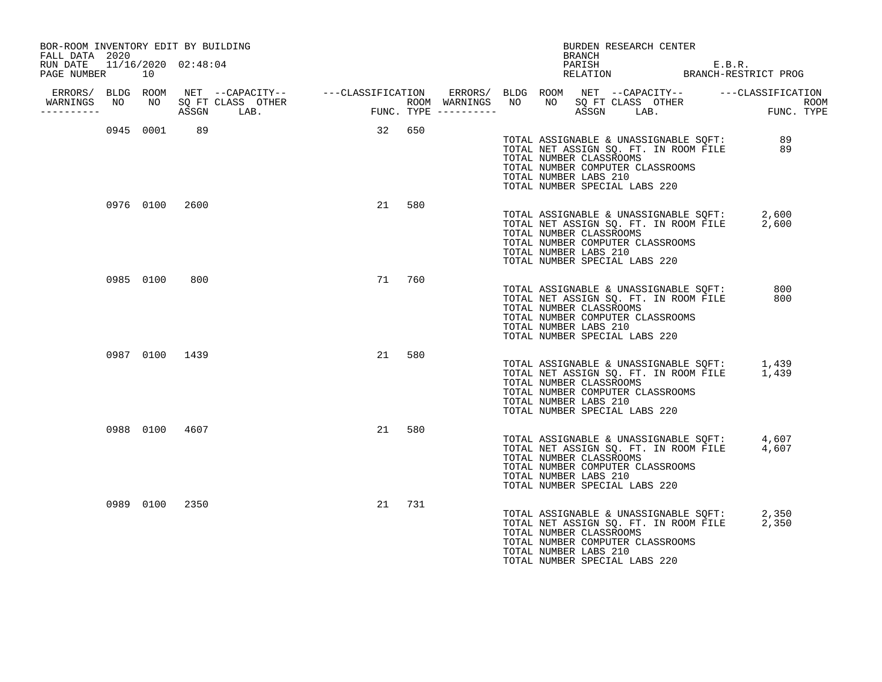| BOR-ROOM INVENTORY EDIT BY BUILDING<br>FALL DATA 2020 |           |                |                      |        |     |  | BURDEN RESEARCH CENTER<br>BRANCH                                                                                                                                                                                        |                |  |
|-------------------------------------------------------|-----------|----------------|----------------------|--------|-----|--|-------------------------------------------------------------------------------------------------------------------------------------------------------------------------------------------------------------------------|----------------|--|
| RUN DATE 11/16/2020 02:48:04<br>PAGE NUMBER           | 10        |                |                      |        |     |  | PARISH E.B.R.<br>RELATION BRANCH-RESTRICT PROG                                                                                                                                                                          |                |  |
| ERRORS/ BLDG ROOM<br>WARNINGS NO<br>----------        |           |                | NO SQ FT CLASS OTHER |        |     |  |                                                                                                                                                                                                                         |                |  |
|                                                       | 0945 0001 | 89             |                      | 32 650 |     |  | TOTAL ASSIGNABLE & UNASSIGNABLE SQFT: 89<br>TOTAL NET ASSIGN SQ. FT. IN ROOM FILE<br>TOTAL NUMBER CLASSROOMS<br>TOTAL NUMBER COMPUTER CLASSROOMS<br>TOTAL NUMBER LABS 210<br>TOTAL NUMBER SPECIAL LABS 220              | 89             |  |
|                                                       |           | 0976 0100 2600 |                      | 21     | 580 |  | TOTAL ASSIGNABLE & UNASSIGNABLE SOFT:<br>TOTAL NET ASSIGN SQ. FT. IN ROOM FILE<br>TOTAL NUMBER CLASSROOMS<br>TOTAL NUMBER COMPUTER CLASSROOMS<br>TOTAL NUMBER LABS 210<br>TOTAL NUMBER SPECIAL LABS 220                 | 2,600<br>2,600 |  |
|                                                       | 0985 0100 | 800            |                      | 71     | 760 |  | TOTAL ASSIGNABLE & UNASSIGNABLE SQFT:<br>TOTAL NET ASSIGN SQ. FT. IN ROOM FILE<br>TOTAL NUMBER CLASSROOMS<br>TOTAL NUMBER COMPUTER CLASSROOMS<br>TOTAL NUMBER LABS 210<br>TOTAL NUMBER SPECIAL LABS 220                 | 800<br>800     |  |
|                                                       |           | 0987 0100 1439 |                      | 21     | 580 |  | TOTAL ASSIGNABLE & UNASSIGNABLE SQFT: $1,439$<br>TOTAL NET ASSIGN SQ. FT. IN ROOM FILE $1,439$<br>TOTAL NUMBER CLASSROOMS<br>TOTAL NUMBER COMPUTER CLASSROOMS<br>TOTAL NUMBER LABS 210<br>TOTAL NUMBER SPECIAL LABS 220 |                |  |
|                                                       |           | 0988 0100 4607 |                      | 21     | 580 |  | TOTAL ASSIGNABLE & UNASSIGNABLE SQFT: 4,607<br>TOTAL NET ASSIGN SQ. FT. IN ROOM FILE 4,607<br>TOTAL NUMBER CLASSROOMS<br>TOTAL NUMBER COMPUTER CLASSROOMS<br>TOTAL NUMBER LABS 210<br>TOTAL NUMBER SPECIAL LABS 220     |                |  |
|                                                       |           | 0989 0100 2350 |                      | 21     | 731 |  | TOTAL ASSIGNABLE & UNASSIGNABLE SQFT:<br>TOTAL NET ASSIGN SQ. FT. IN ROOM FILE<br>TOTAL NUMBER CLASSROOMS<br>TOTAL NUMBER COMPUTER CLASSROOMS<br>TOTAL NUMBER LABS 210<br>TOTAL NUMBER SPECIAL LABS 220                 | 2,350<br>2,350 |  |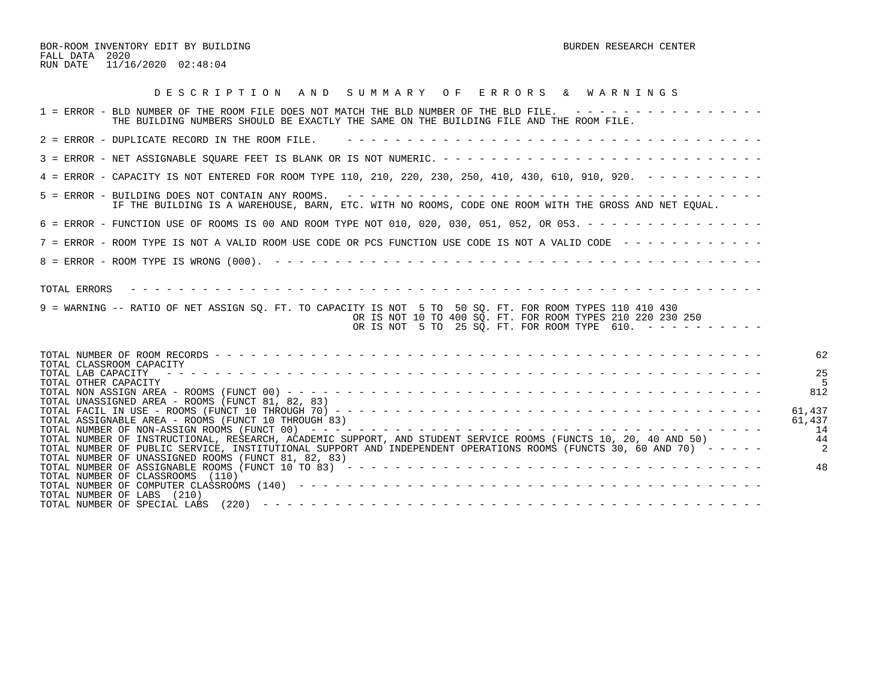BOR-ROOM INVENTORY EDIT BY BUILDING BURDEN RESEARCH CENTER FALL DATA 2020 RUN DATE 11/16/2020 02:48:04

| DESCRIPTION AND SUMMARY OF ERRORS & WARNINGS                                                                                                                                                                                                                                                  |                         |
|-----------------------------------------------------------------------------------------------------------------------------------------------------------------------------------------------------------------------------------------------------------------------------------------------|-------------------------|
| 1 = ERROR - BLD NUMBER OF THE ROOM FILE DOES NOT MATCH THE BLD NUMBER OF THE BLD FILE. ----------------<br>THE BUILDING NUMBERS SHOULD BE EXACTLY THE SAME ON THE BUILDING FILE AND THE ROOM FILE.                                                                                            |                         |
| $2$ = ERROR - DUPLICATE RECORD IN THE ROOM FILE.                                                                                                                                                                                                                                              |                         |
|                                                                                                                                                                                                                                                                                               |                         |
| 4 = ERROR - CAPACITY IS NOT ENTERED FOR ROOM TYPE 110, 210, 220, 230, 250, 410, 430, 610, 910, 920. - - - - - - - - -                                                                                                                                                                         |                         |
| IF THE BUILDING IS A WAREHOUSE, BARN, ETC. WITH NO ROOMS, CODE ONE ROOM WITH THE GROSS AND NET EQUAL.                                                                                                                                                                                         |                         |
| 6 = ERROR - FUNCTION USE OF ROOMS IS 00 AND ROOM TYPE NOT 010, 020, 030, 051, 052, OR 053. - - - - - - - - - - - - - - -                                                                                                                                                                      |                         |
| 7 = ERROR - ROOM TYPE IS NOT A VALID ROOM USE CODE OR PCS FUNCTION USE CODE IS NOT A VALID CODE ------------                                                                                                                                                                                  |                         |
|                                                                                                                                                                                                                                                                                               |                         |
| 9 = WARNING -- RATIO OF NET ASSIGN SQ. FT. TO CAPACITY IS NOT 5 TO 50 SQ. FT. FOR ROOM TYPES 110 410 430<br>OR IS NOT 10 TO 400 SQ. FT. FOR ROOM TYPES 210 220 230 250<br>OR IS NOT 5 TO 25 SQ. FT. FOR ROOM TYPE 610. $- - - - - - - - - - -$                                                |                         |
| TOTAL CLASSROOM CAPACITY                                                                                                                                                                                                                                                                      | 62                      |
| TOTAL LAB CAPACITY<br>TOTAL OTHER CAPACITY<br>TOTAL UNASSIGNED AREA - ROOMS (FUNCT 81, 82, 83)                                                                                                                                                                                                | 25<br>812               |
| TOTAL ASSIGNABLE AREA - ROOMS (FUNCT 10 THROUGH 83)                                                                                                                                                                                                                                           | 61,437<br>61,437<br>-14 |
| TOTAL NUMBER OF INSTRUCTIONAL, RESEARCH, ACADEMIC SUPPORT, AND STUDENT SERVICE ROOMS (FUNCTS 10, 20, 40 AND 50)<br>TOTAL NUMBER OF PUBLIC SERVICE, INSTITUTIONAL SUPPORT AND INDEPENDENT OPERATIONS ROOMS (FUNCTS 30, 60 AND 70) -----<br>TOTAL NUMBER OF UNASSIGNED ROOMS (FUNCT 81, 82, 83) | -44                     |
| TOTAL NUMBER OF CLASSROOMS (110)<br>TOTAL NUMBER OF LABS (210)                                                                                                                                                                                                                                | 48                      |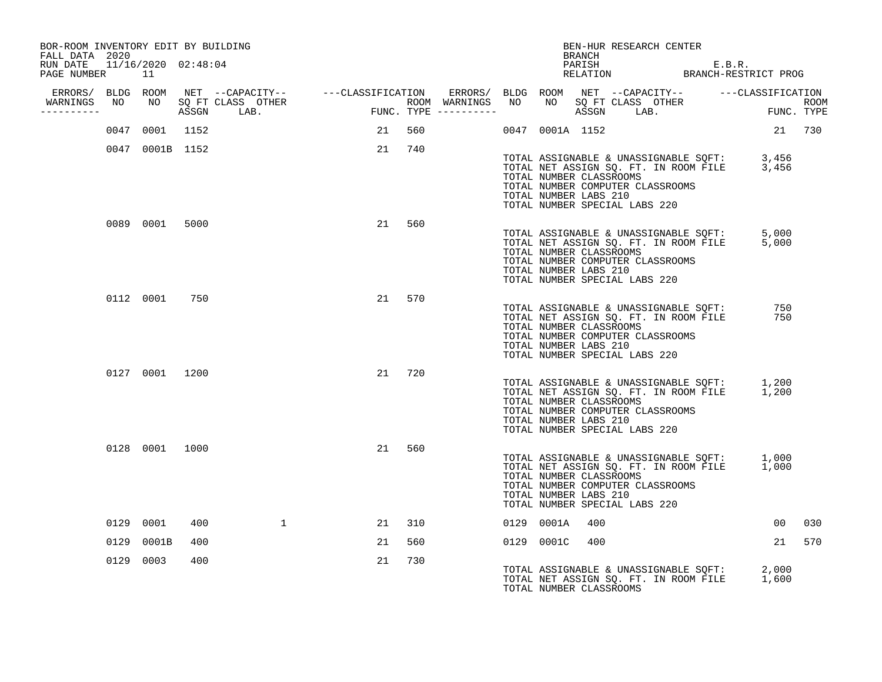| BOR-ROOM INVENTORY EDIT BY BUILDING<br>FALL DATA 2020 |           |                 |     |                                                                                                                                                   |                                                                                                            |        |  |            | BRANCH                                           | BEN-HUR RESEARCH CENTER                                                                                                                             |                                                                                            |        |
|-------------------------------------------------------|-----------|-----------------|-----|---------------------------------------------------------------------------------------------------------------------------------------------------|------------------------------------------------------------------------------------------------------------|--------|--|------------|--------------------------------------------------|-----------------------------------------------------------------------------------------------------------------------------------------------------|--------------------------------------------------------------------------------------------|--------|
| RUN DATE 11/16/2020 02:48:04<br>PAGE NUMBER 11        |           |                 |     |                                                                                                                                                   |                                                                                                            |        |  |            |                                                  |                                                                                                                                                     | PARISH E.B.R.<br>RELATION BRANCH-RESTRICT PROG                                             |        |
|                                                       |           |                 |     | ERRORS/ BLDG ROOM NET --CAPACITY-- - ---CLASSIFICATION ERRORS/ BLDG ROOM NET --CAPACITY-- - ---CLASSIFICATION<br>WARNINGS NO NO SQ FT CLASS OTHER |                                                                                                            |        |  |            |                                                  |                                                                                                                                                     |                                                                                            |        |
| -----------                                           |           |                 |     | ASSGN LAB.                                                                                                                                        | FUNC TYPE ----------- NO NO SQ FT CLASS OTHER ROOM FUNC TYPE ----------<br>FUNC TYPE ---------- ASSGN LAB. |        |  |            |                                                  |                                                                                                                                                     |                                                                                            |        |
|                                                       |           | 0047 0001 1152  |     |                                                                                                                                                   |                                                                                                            | 21 560 |  |            |                                                  | 0047 0001A 1152                                                                                                                                     | 21 730                                                                                     |        |
|                                                       |           | 0047 0001B 1152 |     |                                                                                                                                                   |                                                                                                            | 21 740 |  |            | TOTAL NUMBER CLASSROOMS<br>TOTAL NUMBER LABS 210 | TOTAL NUMBER COMPUTER CLASSROOMS<br>TOTAL NUMBER SPECIAL LABS 220                                                                                   | TOTAL ASSIGNABLE & UNASSIGNABLE SQFT: 3,456<br>TOTAL NET ASSIGN SQ. FT. IN ROOM FILE 3,456 |        |
|                                                       |           | 0089 0001 5000  |     |                                                                                                                                                   | 21                                                                                                         | 560    |  |            | TOTAL NUMBER CLASSROOMS<br>TOTAL NUMBER LABS 210 | TOTAL NUMBER COMPUTER CLASSROOMS<br>TOTAL NUMBER SPECIAL LABS 220                                                                                   | TOTAL ASSIGNABLE & UNASSIGNABLE SQFT: 5,000<br>TOTAL NET ASSIGN SQ. FT. IN ROOM FILE 5,000 |        |
|                                                       |           | 0112 0001 750   |     |                                                                                                                                                   |                                                                                                            | 21 570 |  |            | TOTAL NUMBER CLASSROOMS<br>TOTAL NUMBER LABS 210 | TOTAL ASSIGNABLE & UNASSIGNABLE SQFT:<br>TOTAL NET ASSIGN SQ. FT. IN ROOM FILE<br>TOTAL NUMBER COMPUTER CLASSROOMS<br>TOTAL NUMBER SPECIAL LABS 220 | 750<br>750                                                                                 |        |
|                                                       |           | 0127 0001 1200  |     |                                                                                                                                                   |                                                                                                            | 21 720 |  |            | TOTAL NUMBER CLASSROOMS<br>TOTAL NUMBER LABS 210 | TOTAL NUMBER COMPUTER CLASSROOMS<br>TOTAL NUMBER SPECIAL LABS 220                                                                                   | TOTAL ASSIGNABLE & UNASSIGNABLE SQFT: 1,200<br>TOTAL NET ASSIGN SQ. FT. IN ROOM FILE 1,200 |        |
|                                                       |           | 0128 0001 1000  |     |                                                                                                                                                   | 21                                                                                                         | 560    |  |            | TOTAL NUMBER CLASSROOMS<br>TOTAL NUMBER LABS 210 | TOTAL NUMBER COMPUTER CLASSROOMS<br>TOTAL NUMBER SPECIAL LABS 220                                                                                   | TOTAL ASSIGNABLE & UNASSIGNABLE SQFT: 1,000<br>TOTAL NET ASSIGN SQ. FT. IN ROOM FILE 1,000 |        |
|                                                       | 0129 0001 |                 | 400 |                                                                                                                                                   |                                                                                                            | 21 310 |  | 0129 0001A | 400                                              |                                                                                                                                                     |                                                                                            | 00 030 |
|                                                       |           | 0129 0001B      | 400 |                                                                                                                                                   | 21                                                                                                         | 560    |  |            | 0129 0001C 400                                   |                                                                                                                                                     |                                                                                            | 21 570 |
|                                                       | 0129 0003 |                 | 400 |                                                                                                                                                   | 21                                                                                                         | 730    |  |            | TOTAL NUMBER CLASSROOMS                          |                                                                                                                                                     | TOTAL ASSIGNABLE & UNASSIGNABLE SQFT: 2,000<br>TOTAL NET ASSIGN SQ. FT. IN ROOM FILE 1,600 |        |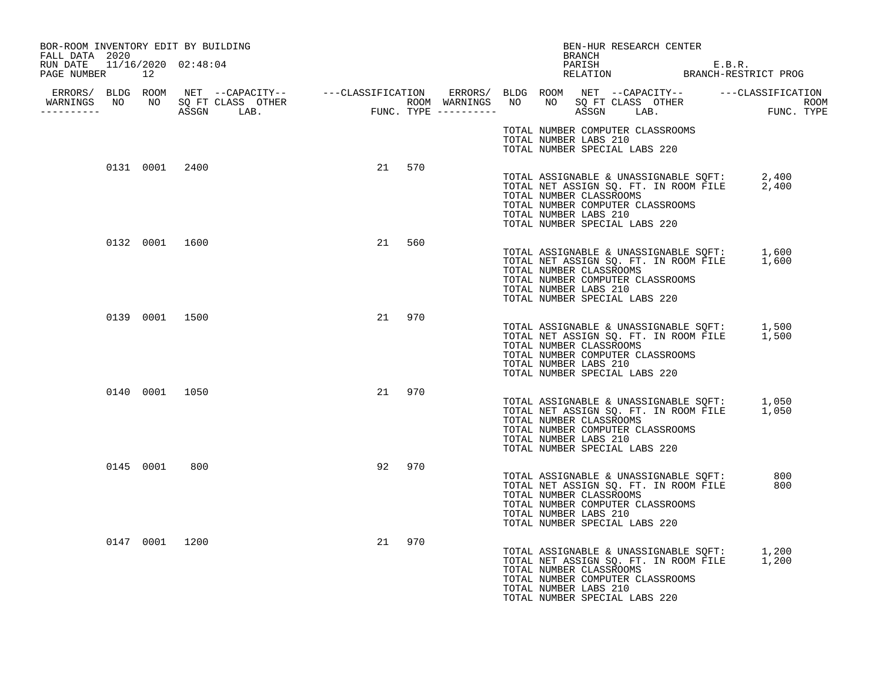| BOR-ROOM INVENTORY EDIT BY BUILDING<br>FALL DATA 2020 |                |        |     |  |                                                  | BRANCH | BEN-HUR RESEARCH CENTER                                                                                                                                                                                  |  |            |
|-------------------------------------------------------|----------------|--------|-----|--|--------------------------------------------------|--------|----------------------------------------------------------------------------------------------------------------------------------------------------------------------------------------------------------|--|------------|
| RUN DATE 11/16/2020 02:48:04<br>PAGE NUMBER 12        |                |        |     |  |                                                  |        | PARISH E.B.R.<br>RELATION BRANCH-RESTRICT PROG                                                                                                                                                           |  |            |
| WARNINGS NO NO SQ FT CLASS OTHER<br>----------        |                |        |     |  |                                                  |        |                                                                                                                                                                                                          |  |            |
|                                                       |                |        |     |  | TOTAL NUMBER LABS 210                            |        | TOTAL NUMBER COMPUTER CLASSROOMS<br>TOTAL NUMBER SPECIAL LABS 220                                                                                                                                        |  |            |
|                                                       | 0131 0001 2400 | 21 570 |     |  | TOTAL NUMBER CLASSROOMS<br>TOTAL NUMBER LABS 210 |        | TOTAL ASSIGNABLE & UNASSIGNABLE SQFT: 2,400<br>TOTAL NET ASSIGN SQ. FT. IN ROOM FILE 2,400<br>TOTAL NUMBER COMPUTER CLASSROOMS<br>TOTAL NUMBER SPECIAL LABS 220                                          |  |            |
|                                                       | 0132 0001 1600 | 21     | 560 |  | TOTAL NUMBER CLASSROOMS<br>TOTAL NUMBER LABS 210 |        | TOTAL ASSIGNABLE & UNASSIGNABLE SQFT: 1,600<br>TOTAL NET ASSIGN SQ. FT. IN ROOM FILE 1,600<br>TOTAL NUMBER COMPUTER CLASSROOMS<br>TOTAL NUMBER SPECIAL LABS 220                                          |  |            |
|                                                       | 0139 0001 1500 | 21 970 |     |  | TOTAL NUMBER CLASSROOMS<br>TOTAL NUMBER LABS 210 |        | TOTAL ASSIGNABLE & UNASSIGNABLE SQFT: 1,500<br>TOTAL NET ASSIGN SQ. FT. IN ROOM FILE 1,500<br>TOTAL NUMBER COMPUTER CLASSROOMS<br>TOTAL NUMBER SPECIAL LABS 220                                          |  |            |
|                                                       | 0140 0001 1050 | 21 970 |     |  | TOTAL NUMBER CLASSROOMS<br>TOTAL NUMBER LABS 210 |        | TOTAL ASSIGNABLE & UNASSIGNABLE SQFT: 1,050<br>TOTAL NET ASSIGN SQ. FT. IN ROOM FILE 1,050<br>TOTAL NUMBER COMPUTER CLASSROOMS<br>TOTAL NUMBER SPECIAL LABS 220                                          |  |            |
| 0145 0001                                             | 800            | 92     | 970 |  | TOTAL NUMBER CLASSROOMS<br>TOTAL NUMBER LABS 210 |        | TOTAL ASSIGNABLE & UNASSIGNABLE SQFT:<br>TOTAL NET ASSIGN SQ. FT. IN ROOM FILE<br>TOTAL NUMBER COMPUTER CLASSROOMS<br>TOTAL NUMBER SPECIAL LABS 220                                                      |  | 800<br>800 |
|                                                       | 0147 0001 1200 | 21     | 970 |  | TOTAL NUMBER CLASSROOMS<br>TOTAL NUMBER LABS 210 |        | TOTAL ASSIGNABLE & UNASSIGNABLE SQFT: 1,200<br>TOTAL NET ASSIGN SQ. FT. IN ROOM FILE 1,200<br>TOTAL NET ASSIGN SQ. FT. IN ROOM FILE<br>TOTAL NUMBER COMPUTER CLASSROOMS<br>TOTAL NUMBER SPECIAL LABS 220 |  | 1,200      |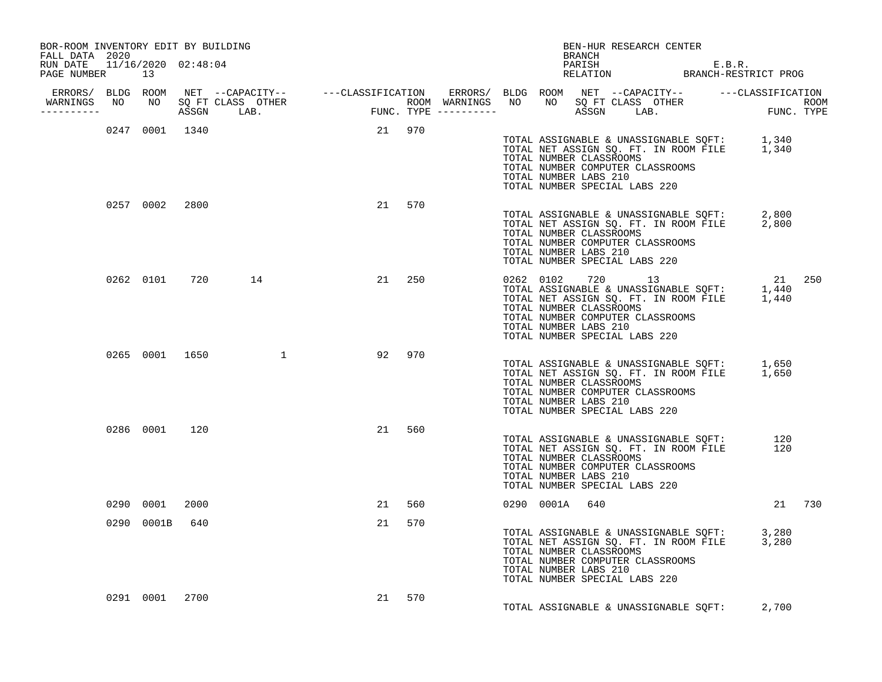| BOR-ROOM INVENTORY EDIT BY BUILDING<br>FALL DATA 2020 |                |                |                  |        |        |     |  | BRANCH                | BEN-HUR RESEARCH CENTER                                                                                                                                                        |                                                                                                                                          |        |
|-------------------------------------------------------|----------------|----------------|------------------|--------|--------|-----|--|-----------------------|--------------------------------------------------------------------------------------------------------------------------------------------------------------------------------|------------------------------------------------------------------------------------------------------------------------------------------|--------|
| RUN DATE  11/16/2020  02:48:04<br>PAGE NUMBER 13      |                |                |                  |        |        |     |  |                       |                                                                                                                                                                                | PARISH E.B.R.<br>RELATION BRANCH-RESTRICT PROG                                                                                           |        |
|                                                       |                |                |                  |        |        |     |  |                       |                                                                                                                                                                                |                                                                                                                                          |        |
| -----------                                           |                |                |                  |        |        |     |  |                       |                                                                                                                                                                                |                                                                                                                                          |        |
|                                                       |                |                | 0247 0001 1340   | 21 970 |        |     |  | TOTAL NUMBER LABS 210 | TOTAL NUMBER CLASSROOMS<br>TOTAL NUMBER COMPUTER CLASSROOMS<br>TOTAL NUMBER SPECIAL LABS 220                                                                                   | TOTAL ASSIGNABLE & UNASSIGNABLE SQFT: 1,340<br>TOTAL NET ASSIGN SQ. FT. IN ROOM FILE 1,340                                               |        |
|                                                       |                | 0257 0002 2800 |                  |        | 21 570 |     |  | TOTAL NUMBER LABS 210 | TOTAL NUMBER CLASSROOMS<br>TOTAL NUMBER COMPUTER CLASSROOMS<br>TOTAL NUMBER SPECIAL LABS 220                                                                                   | TOTAL ASSIGNABLE & UNASSIGNABLE SQFT: 2,800<br>TOTAL NET ASSIGN SQ. FT. IN ROOM FILE 2,800                                               |        |
|                                                       |                |                | 0262 0101 720 14 |        | 21     | 250 |  | TOTAL NUMBER LABS 210 | TOTAL NUMBER COMPUTER CLASSROOMS<br>TOTAL NUMBER SPECIAL LABS 220                                                                                                              | UNIVE 13 21 250<br>TOTAL ASSIGNABLE & UNASSIGNABLE SQFT: 1,440<br>TOTAL NET ASSIGN SQ. FT. IN ROOM FILE 1,440<br>TOTAL NUMBER CLASSEOOMS |        |
|                                                       |                |                | 0265 0001 1650 1 |        | 92 970 |     |  | TOTAL NUMBER LABS 210 | TOTAL NUMBER CLASSROOMS<br>TOTAL NUMBER COMPUTER CLASSROOMS<br>TOTAL NUMBER SPECIAL LABS 220                                                                                   | TOTAL ASSIGNABLE & UNASSIGNABLE SQFT: 1,650<br>TOTAL NET ASSIGN SQ. FT. IN ROOM FILE 1,650                                               |        |
|                                                       |                | 0286 0001 120  |                  |        | 21 560 |     |  | TOTAL NUMBER LABS 210 | TOTAL ASSIGNABLE & UNASSIGNABLE SQFT:<br>TOTAL NET ASSIGN SQ. FT. IN ROOM FILE<br>TOTAL NUMBER CLASSROOMS<br>TOTAL NUMBER COMPUTER CLASSROOMS<br>TOTAL NUMBER SPECIAL LABS 220 | 120<br>120                                                                                                                               |        |
|                                                       | 0290 0001      | 2000           |                  |        | 21 560 |     |  | 0290 0001A 640        |                                                                                                                                                                                |                                                                                                                                          | 21 730 |
|                                                       | 0290 0001B 640 |                |                  |        | 21     | 570 |  | TOTAL NUMBER LABS 210 | TOTAL NUMBER CLASSROOMS<br>TOTAL NUMBER COMPUTER CLASSROOMS<br>TOTAL NUMBER SPECIAL LABS 220                                                                                   | TOTAL ASSIGNABLE & UNASSIGNABLE SQFT: 3,280<br>TOTAL NET ASSIGN SQ. FT. IN ROOM FILE 3,280                                               |        |
|                                                       | 0291 0001      | 2700           |                  |        | 21     | 570 |  |                       |                                                                                                                                                                                | TOTAL ASSIGNABLE & UNASSIGNABLE SQFT: 2,700                                                                                              |        |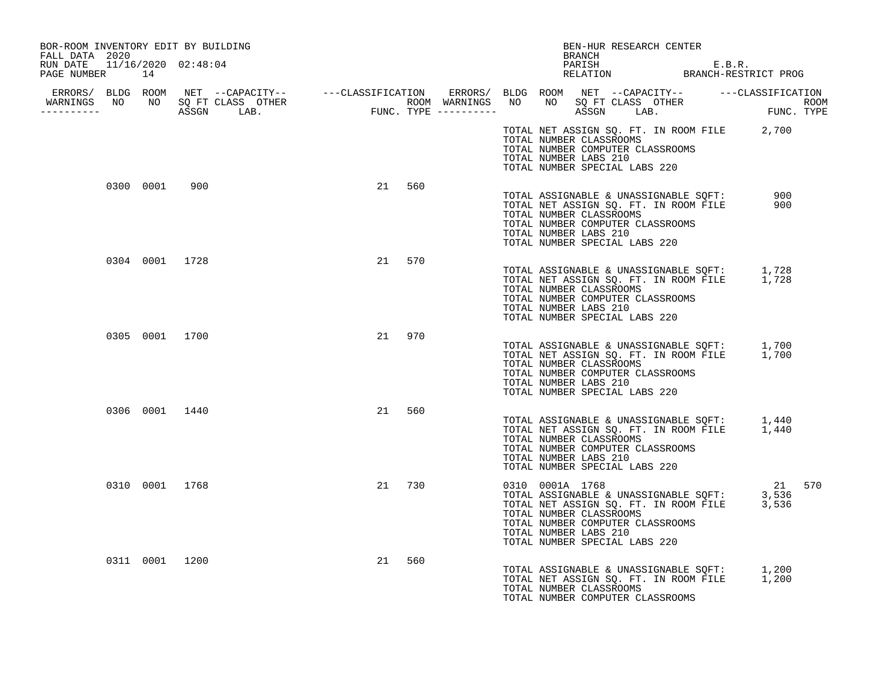| BOR-ROOM INVENTORY EDIT BY BUILDING<br>FALL DATA 2020 |        |     | BEN-HUR RESEARCH CENTER<br>BRANCH                                                                                                                                                                                                                                       |  |
|-------------------------------------------------------|--------|-----|-------------------------------------------------------------------------------------------------------------------------------------------------------------------------------------------------------------------------------------------------------------------------|--|
| RUN DATE  11/16/2020  02:48:04<br>PAGE NUMBER 14      |        |     | PARISH E.B.R.<br>RELATION BRANCH-RESTRICT PROG                                                                                                                                                                                                                          |  |
| WARNINGS NO NO SQ FT CLASS OTHER<br>-----------       |        |     |                                                                                                                                                                                                                                                                         |  |
|                                                       |        |     | TOTAL NET ASSIGN SQ. FT. IN ROOM FILE 2,700<br>TOTAL NUMBER CLASSROOMS<br>TOTAL NUMBER COMPUTER CLASSROOMS<br>TOTAL NUMBER LABS 210<br>TOTAL NUMBER SPECIAL LABS 220                                                                                                    |  |
| 0300 0001 900                                         | 21 560 |     | TOTAL ASSIGNABLE & UNASSIGNABLE SQFT: 900<br>TOTAL NET ASSIGN SQ. FT. IN ROOM FILE 900<br>TOTAL NET ASSIGN SQ. FT. IN ROOM FILE<br>TOTAL NUMBER CLASSROOMS<br>TOTAL NUMBER COMPUTER CLASSROOMS<br>TOTAL NUMBER LABS 210<br>TOTAL NUMBER SPECIAL LABS 220                |  |
| 0304 0001 1728                                        | 21     | 570 | TOTAL ASSIGNABLE & UNASSIGNABLE SQFT: 1,728<br>TOTAL NET ASSIGN SQ. FT. IN ROOM FILE 1,728<br>TOTAL NUMBER CLASSROOMS<br>TOTAL NUMBER COMPUTER CLASSROOMS<br>TOTAL NUMBER LABS 210<br>TOTAL NUMBER SPECIAL LABS 220                                                     |  |
| 0305 0001 1700                                        | 21 970 |     | TOTAL ASSIGNABLE & UNASSIGNABLE SQFT: 1,700<br>TOTAL NET ASSIGN SQ. FT. IN ROOM FILE 1,700<br>TOTAL NUMBER CLASSROOMS<br>TOTAL NUMBER COMPUTER CLASSROOMS<br>TOTAL NUMBER LABS 210<br>TOTAL NUMBER SPECIAL LABS 220                                                     |  |
| 0306 0001 1440                                        | 21     | 560 | TOTAL ASSIGNABLE & UNASSIGNABLE SQFT: 1,440<br>TOTAL NET ASSIGN SQ. FT. IN ROOM FILE 1,440<br>TOTAL NUMBER CLASSROOMS<br>TOTAL NUMBER COMPUTER CLASSROOMS<br>TOTAL NUMBER LABS 210<br>TOTAL NUMBER SPECIAL LABS 220                                                     |  |
| 0310 0001 1768                                        | 21 730 |     | 0310 0001A 1768 21 570<br>TOTAL ASSIGNABLE & UNASSIGNABLE SQFT: 3,536<br>TOTAL NET ASSIGN SQ. FT. IN ROOM FILE 3,536<br>TOTAL NUMBER CLASSOOMS<br>TOTAL NUMBER CLASSROOMS<br>TOTAL NUMBER COMPUTER CLASSROOMS<br>TOTAL NUMBER LABS 210<br>TOTAL NUMBER SPECIAL LABS 220 |  |
| 0311 0001 1200                                        | 21     | 560 | TOTAL ASSIGNABLE & UNASSIGNABLE SQFT: 1,200<br>TOTAL NET ASSIGN SQ. FT. IN ROOM FILE 1,200<br>TOTAL NUMBER CLASSROOMS<br>TOTAL NUMBER COMPUTER CLASSROOMS                                                                                                               |  |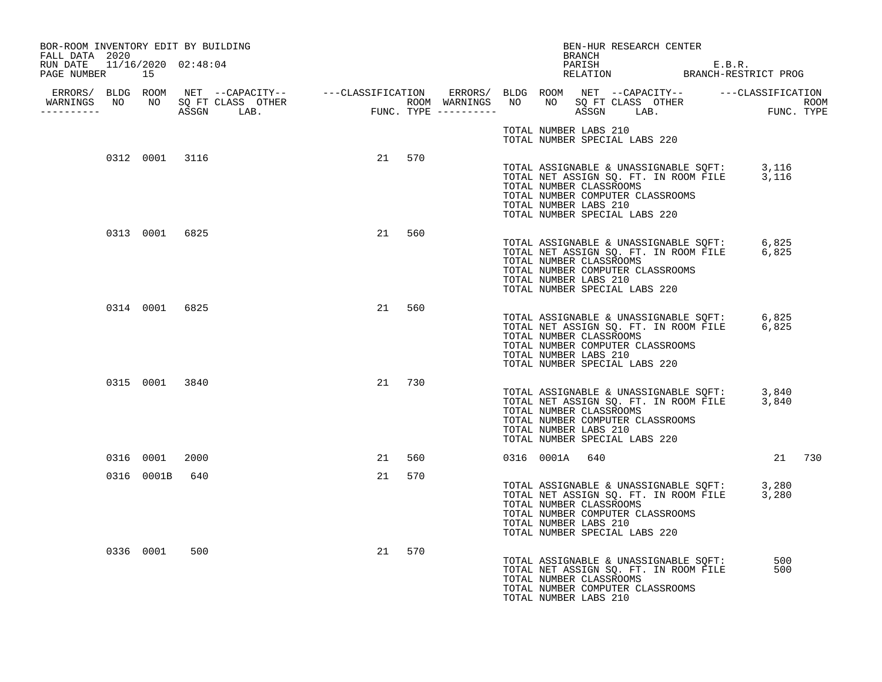| BOR-ROOM INVENTORY EDIT BY BUILDING<br>FALL DATA 2020 |                |                                                                                                                                                                                                                                                                          |    |        |  | BRANCH                                                                            | BEN-HUR RESEARCH CENTER                                                                                                        |            |  |
|-------------------------------------------------------|----------------|--------------------------------------------------------------------------------------------------------------------------------------------------------------------------------------------------------------------------------------------------------------------------|----|--------|--|-----------------------------------------------------------------------------------|--------------------------------------------------------------------------------------------------------------------------------|------------|--|
| RUN DATE 11/16/2020 02:48:04<br>PAGE NUMBER 15        |                |                                                                                                                                                                                                                                                                          |    |        |  |                                                                                   | PARISH E.B.R.<br>RELATION BRANCH-RESTRICT PROG                                                                                 |            |  |
| -----------                                           |                | ERRORS/ BLDG ROOM NET --CAPACITY-- ----CLASSIFICATION ERRORS/ BLDG ROOM NET --CAPACITY-- -----CLASSIFICATION<br>NARNINGS NO NO SQFTCLASS OTHER ROOM WARNINGS NO NO SQFTCLASS OTHER ROOM<br>---------- ASSGN LAB. FUNC.TYPE ---------<br>WARNINGS NO NO SQ FT CLASS OTHER |    |        |  |                                                                                   |                                                                                                                                |            |  |
|                                                       |                |                                                                                                                                                                                                                                                                          |    |        |  | TOTAL NUMBER LABS 210<br>TOTAL NUMBER SPECIAL LABS 220                            |                                                                                                                                |            |  |
|                                                       | 0312 0001 3116 |                                                                                                                                                                                                                                                                          |    | 21 570 |  | TOTAL NUMBER CLASSROOMS<br>TOTAL NUMBER LABS 210<br>TOTAL NUMBER SPECIAL LABS 220 | TOTAL ASSIGNABLE & UNASSIGNABLE SQFT: 3,116<br>TOTAL NET ASSIGN SQ. FT. IN ROOM FILE 3,116<br>TOTAL NUMBER COMPUTER CLASSROOMS |            |  |
|                                                       | 0313 0001 6825 |                                                                                                                                                                                                                                                                          | 21 | 560    |  | TOTAL NUMBER CLASSROOMS<br>TOTAL NUMBER LABS 210<br>TOTAL NUMBER SPECIAL LABS 220 | TOTAL ASSIGNABLE & UNASSIGNABLE SQFT: 6,825<br>TOTAL NET ASSIGN SQ. FT. IN ROOM FILE 6,825<br>TOTAL NUMBER COMPUTER CLASSROOMS |            |  |
|                                                       | 0314 0001 6825 |                                                                                                                                                                                                                                                                          | 21 | 560    |  | TOTAL NUMBER CLASSROOMS<br>TOTAL NUMBER LABS 210<br>TOTAL NUMBER SPECIAL LABS 220 | TOTAL ASSIGNABLE & UNASSIGNABLE SQFT: 6,825<br>TOTAL NET ASSIGN SQ. FT. IN ROOM FILE 6,825<br>TOTAL NUMBER COMPUTER CLASSROOMS |            |  |
|                                                       | 0315 0001 3840 |                                                                                                                                                                                                                                                                          |    | 21 730 |  | TOTAL NUMBER CLASSROOMS<br>TOTAL NUMBER LABS 210<br>TOTAL NUMBER SPECIAL LABS 220 | TOTAL ASSIGNABLE & UNASSIGNABLE SQFT: 3,840<br>TOTAL NET ASSIGN SQ. FT. IN ROOM FILE 3,840<br>TOTAL NUMBER COMPUTER CLASSROOMS |            |  |
|                                                       | 0316 0001      | 2000                                                                                                                                                                                                                                                                     | 21 | 560    |  | 0316 0001A 640                                                                    |                                                                                                                                | 21 730     |  |
|                                                       | 0316 0001B 640 |                                                                                                                                                                                                                                                                          | 21 | 570    |  | TOTAL NUMBER CLASSROOMS<br>TOTAL NUMBER LABS 210<br>TOTAL NUMBER SPECIAL LABS 220 | TOTAL ASSIGNABLE & UNASSIGNABLE SQFT: 3,280<br>TOTAL NET ASSIGN SQ. FT. IN ROOM FILE 3,280<br>TOTAL NUMBER COMPUTER CLASSROOMS |            |  |
|                                                       | 0336 0001      | 500                                                                                                                                                                                                                                                                      | 21 | 570    |  | TOTAL NUMBER CLASSROOMS<br>TOTAL NUMBER LABS 210                                  | TOTAL ASSIGNABLE & UNASSIGNABLE SQFT:<br>TOTAL NET ASSIGN SQ. FT. IN ROOM FILE<br>TOTAL NUMBER COMPUTER CLASSROOMS             | 500<br>500 |  |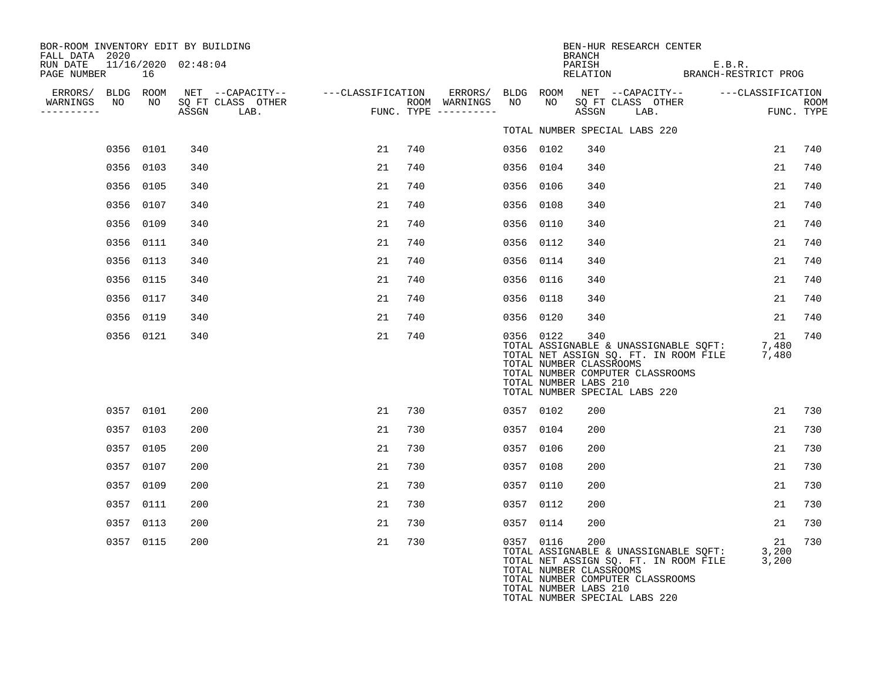| BOR-ROOM INVENTORY EDIT BY BUILDING<br>FALL DATA 2020 |           |                     |                                                         |            |     |                                      |           |                                                  | BRANCH | BEN-HUR RESEARCH CENTER                                                                                                                                         |        |    |                    |
|-------------------------------------------------------|-----------|---------------------|---------------------------------------------------------|------------|-----|--------------------------------------|-----------|--------------------------------------------------|--------|-----------------------------------------------------------------------------------------------------------------------------------------------------------------|--------|----|--------------------|
| RUN DATE<br>PAGE NUMBER                               | 16        | 11/16/2020 02:48:04 |                                                         |            |     |                                      |           |                                                  | PARISH | PARISH E.B.R.<br>RELATION BRANCH-RESTRICT PROG                                                                                                                  | E.B.R. |    |                    |
| ERRORS/ BLDG ROOM                                     |           |                     | NET --CAPACITY--    ---CLASSIFICATION ERRORS/ BLDG ROOM |            |     |                                      |           |                                                  |        | NET --CAPACITY-- ---CLASSIFICATION                                                                                                                              |        |    |                    |
| NO<br>WARNINGS<br>----------                          | NO        |                     | SO FT CLASS OTHER<br>ASSGN LAB.                         | <b>FUN</b> |     | ROOM WARNINGS<br>FUNC. TYPE $------$ | NO        | NO                                               |        | SQ FT CLASS OTHER<br>ASSGN LAB.                                                                                                                                 |        |    | ROOM<br>FUNC. TYPE |
|                                                       |           |                     |                                                         |            |     |                                      |           |                                                  |        | TOTAL NUMBER SPECIAL LABS 220                                                                                                                                   |        |    |                    |
|                                                       | 0356 0101 | 340                 |                                                         | 21         | 740 |                                      | 0356 0102 |                                                  | 340    |                                                                                                                                                                 |        | 21 | 740                |
|                                                       | 0356 0103 | 340                 |                                                         | 21         | 740 |                                      | 0356 0104 |                                                  | 340    |                                                                                                                                                                 |        | 21 | 740                |
|                                                       | 0356 0105 | 340                 |                                                         | 21         | 740 |                                      | 0356 0106 |                                                  | 340    |                                                                                                                                                                 |        | 21 | 740                |
|                                                       | 0356 0107 | 340                 |                                                         | 21         | 740 |                                      | 0356 0108 |                                                  | 340    |                                                                                                                                                                 |        | 21 | 740                |
|                                                       | 0356 0109 | 340                 |                                                         | 21         | 740 |                                      | 0356 0110 |                                                  | 340    |                                                                                                                                                                 |        | 21 | 740                |
|                                                       | 0356 0111 | 340                 |                                                         | 21         | 740 |                                      | 0356 0112 |                                                  | 340    |                                                                                                                                                                 |        | 21 | 740                |
|                                                       | 0356 0113 | 340                 |                                                         | 21         | 740 |                                      | 0356 0114 |                                                  | 340    |                                                                                                                                                                 |        | 21 | 740                |
|                                                       | 0356 0115 | 340                 |                                                         | 21         | 740 |                                      | 0356 0116 |                                                  | 340    |                                                                                                                                                                 |        | 21 | 740                |
|                                                       | 0356 0117 | 340                 |                                                         | 21         | 740 |                                      | 0356 0118 |                                                  | 340    |                                                                                                                                                                 |        | 21 | 740                |
|                                                       | 0356 0119 | 340                 |                                                         | 21         | 740 |                                      | 0356 0120 |                                                  | 340    |                                                                                                                                                                 |        | 21 | 740                |
|                                                       | 0356 0121 | 340                 |                                                         | 21         | 740 |                                      | 0356 0122 | TOTAL NUMBER CLASSROOMS<br>TOTAL NUMBER LABS 210 | 340    | TOTAL ASSIGNABLE & UNASSIGNABLE SQFT: 7,480<br>TOTAL NET ASSIGN SQ. FT. IN ROOM FILE 7,480<br>TOTAL NUMBER COMPUTER CLASSROOMS<br>TOTAL NUMBER SPECIAL LABS 220 |        | 21 | 740                |
|                                                       | 0357 0101 | 200                 |                                                         | 21         | 730 |                                      | 0357 0102 |                                                  | 200    |                                                                                                                                                                 |        | 21 | 730                |
|                                                       | 0357 0103 | 200                 |                                                         | 21         | 730 |                                      | 0357 0104 |                                                  | 200    |                                                                                                                                                                 |        | 21 | 730                |
|                                                       | 0357 0105 | 200                 |                                                         | 21         | 730 |                                      | 0357 0106 |                                                  | 200    |                                                                                                                                                                 |        | 21 | 730                |
|                                                       | 0357 0107 | 200                 |                                                         | 21         | 730 |                                      | 0357 0108 |                                                  | 200    |                                                                                                                                                                 |        | 21 | 730                |
|                                                       | 0357 0109 | 200                 |                                                         | 21         | 730 |                                      | 0357 0110 |                                                  | 200    |                                                                                                                                                                 |        | 21 | 730                |
|                                                       | 0357 0111 | 200                 |                                                         | 21         | 730 |                                      | 0357 0112 |                                                  | 200    |                                                                                                                                                                 |        | 21 | 730                |
|                                                       | 0357 0113 | 200                 |                                                         | 21         | 730 |                                      | 0357 0114 |                                                  | 200    |                                                                                                                                                                 |        | 21 | 730                |
|                                                       | 0357 0115 | 200                 |                                                         | 21         | 730 |                                      | 0357 0116 | TOTAL NUMBER CLASSROOMS<br>TOTAL NUMBER LABS 210 | 200    | TOTAL ASSIGNABLE & UNASSIGNABLE SQFT: 3,200<br>TOTAL NET ASSIGN SQ. FT. IN ROOM FILE 3,200<br>TOTAL NUMBER COMPUTER CLASSROOMS<br>TOTAL NUMBER SPECIAL LABS 220 |        | 21 | 730                |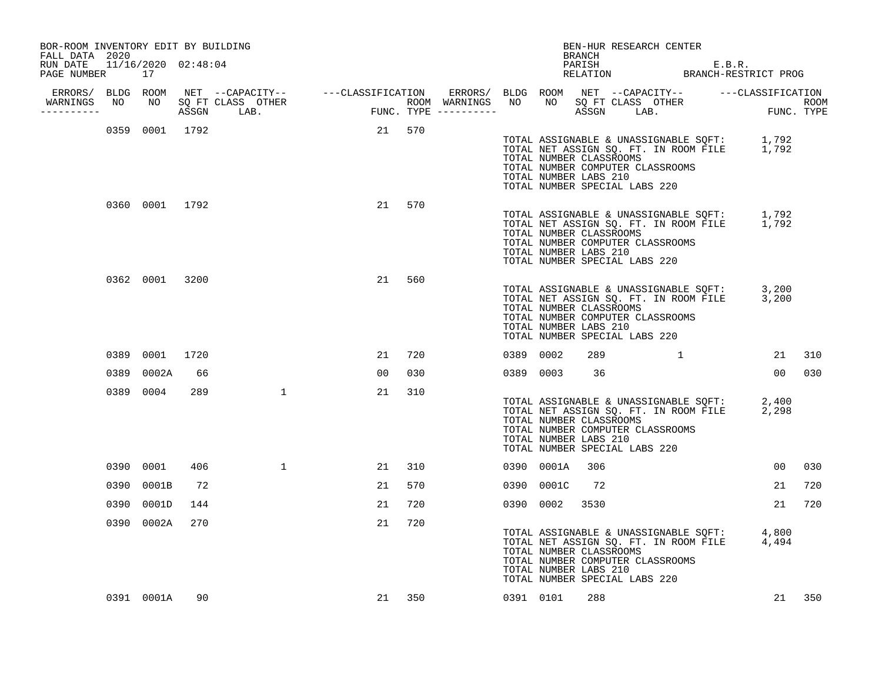| BOR-ROOM INVENTORY EDIT BY BUILDING<br>FALL DATA 2020 |      |                |                     |              |                                                                                                                                                                                                                                      |        |     |           |                                                                                                                       | BRANCH | BEN-HUR RESEARCH CENTER |  |                                                                                            |                 |     |
|-------------------------------------------------------|------|----------------|---------------------|--------------|--------------------------------------------------------------------------------------------------------------------------------------------------------------------------------------------------------------------------------------|--------|-----|-----------|-----------------------------------------------------------------------------------------------------------------------|--------|-------------------------|--|--------------------------------------------------------------------------------------------|-----------------|-----|
| RUN DATE<br>PAGE NUMBER 17                            |      |                | 11/16/2020 02:48:04 |              |                                                                                                                                                                                                                                      |        |     |           |                                                                                                                       |        |                         |  | PARISH E.B.R.<br>RELATION BRANCH-RESTRICT PROG                                             |                 |     |
|                                                       |      |                |                     |              |                                                                                                                                                                                                                                      |        |     |           |                                                                                                                       |        |                         |  |                                                                                            |                 |     |
| WARNINGS<br>----------                                |      |                |                     |              | ERRORS/ BLDG ROOM NET --CAPACITY-- ----CLASSIFICATION ERRORS/ BLDG ROOM NET --CAPACITY-- -----CLASSIFICATION<br>NARNINGS NO NO SQFTCLASS OTHER ROOM WARNINGS NO NO SQFTCLASS OTHER ROOM<br>---------- ASSGN LAB. FUNC.TYPE --------- |        |     |           |                                                                                                                       |        |                         |  |                                                                                            |                 |     |
|                                                       |      |                | 0359 0001 1792      |              | 21 570                                                                                                                                                                                                                               |        |     |           | TOTAL NUMBER CLASSROOMS<br>TOTAL NUMBER COMPUTER CLASSROOMS<br>TOTAL NUMBER LABS 210<br>TOTAL NUMBER SPECIAL LABS 220 |        |                         |  | TOTAL ASSIGNABLE & UNASSIGNABLE SQFT: 1,792<br>TOTAL NET ASSIGN SQ. FT. IN ROOM FILE 1,792 |                 |     |
|                                                       |      |                | 0360 0001 1792      |              |                                                                                                                                                                                                                                      | 21     | 570 |           | TOTAL NUMBER CLASSROOMS<br>TOTAL NUMBER COMPUTER CLASSROOMS<br>TOTAL NUMBER LABS 210<br>TOTAL NUMBER SPECIAL LABS 220 |        |                         |  | TOTAL ASSIGNABLE & UNASSIGNABLE SQFT: 1,792<br>TOTAL NET ASSIGN SQ. FT. IN ROOM FILE 1,792 |                 |     |
|                                                       |      |                | 0362 0001 3200      |              |                                                                                                                                                                                                                                      | 21     | 560 |           | TOTAL NUMBER CLASSROOMS<br>TOTAL NUMBER COMPUTER CLASSROOMS<br>TOTAL NUMBER LABS 210<br>TOTAL NUMBER SPECIAL LABS 220 |        |                         |  | TOTAL ASSIGNABLE & UNASSIGNABLE SQFT: 3,200<br>TOTAL NET ASSIGN SQ. FT. IN ROOM FILE 3,200 |                 |     |
|                                                       |      | 0389 0001 1720 |                     |              |                                                                                                                                                                                                                                      | 21     | 720 | 0389 0002 |                                                                                                                       | 289    |                         |  | $\mathbf 1$                                                                                | 21 310          |     |
|                                                       | 0389 | 0002A          | 66                  |              |                                                                                                                                                                                                                                      | 00     | 030 |           | 0389 0003                                                                                                             | 36     |                         |  |                                                                                            | 00 030          |     |
|                                                       |      | 0389 0004      | 289                 | $\mathbf{1}$ |                                                                                                                                                                                                                                      | 21     | 310 |           | TOTAL NUMBER CLASSROOMS<br>TOTAL NUMBER COMPUTER CLASSROOMS<br>TOTAL NUMBER LABS 210<br>TOTAL NUMBER SPECIAL LABS 220 |        |                         |  | TOTAL ASSIGNABLE & UNASSIGNABLE SQFT: 2,400<br>TOTAL NET ASSIGN SQ. FT. IN ROOM FILE 2,298 |                 |     |
|                                                       |      | 0390 0001      | 406                 | $\mathbf{1}$ |                                                                                                                                                                                                                                      | 21     | 310 |           | 0390 0001A                                                                                                            | 306    |                         |  |                                                                                            | 00 <sup>o</sup> | 030 |
|                                                       | 0390 | 0001B          | 72                  |              |                                                                                                                                                                                                                                      | 21     | 570 |           | 0390 0001C                                                                                                            | 72     |                         |  |                                                                                            | 21              | 720 |
|                                                       | 0390 | 0001D          | 144                 |              |                                                                                                                                                                                                                                      | 21     | 720 |           | 0390 0002                                                                                                             | 3530   |                         |  |                                                                                            | 21              | 720 |
|                                                       |      | 0390 0002A     | 270                 |              |                                                                                                                                                                                                                                      | 21     | 720 |           | TOTAL NUMBER CLASSROOMS<br>TOTAL NUMBER COMPUTER CLASSROOMS<br>TOTAL NUMBER LABS 210<br>TOTAL NUMBER SPECIAL LABS 220 |        |                         |  | TOTAL ASSIGNABLE & UNASSIGNABLE SQFT: 4,800<br>TOTAL NET ASSIGN SQ. FT. IN ROOM FILE 4,494 |                 |     |
|                                                       |      | 0391 0001A     | 90                  |              |                                                                                                                                                                                                                                      | 21 350 |     |           | 0391 0101                                                                                                             | 288    |                         |  |                                                                                            | 21 350          |     |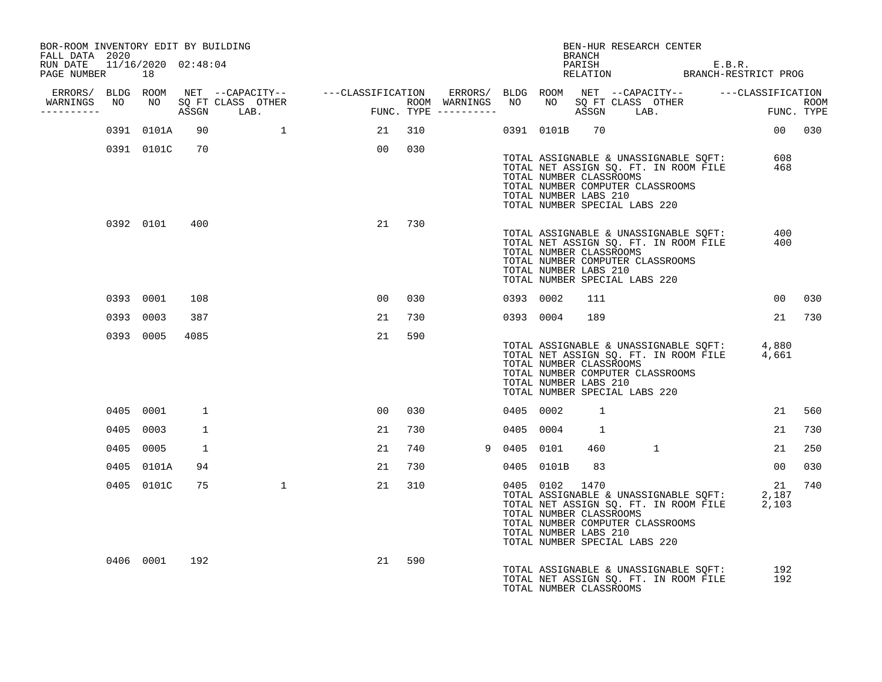| BOR-ROOM INVENTORY EDIT BY BUILDING<br>FALL DATA 2020 |            |              |                                  |                 |        |             |            | BEN-HUR RESEARCH CENTER<br>BRANCH                                                                                                                                                                       |   |                                                                                                                    |        |
|-------------------------------------------------------|------------|--------------|----------------------------------|-----------------|--------|-------------|------------|---------------------------------------------------------------------------------------------------------------------------------------------------------------------------------------------------------|---|--------------------------------------------------------------------------------------------------------------------|--------|
| RUN DATE 11/16/2020 02:48:04<br>PAGE NUMBER 18        |            |              |                                  |                 |        |             |            |                                                                                                                                                                                                         |   | PARISH E.B.R.<br>RELATION BRANCH-RESTRICT PROG                                                                     |        |
| -----------                                           |            |              | WARNINGS NO NO SQ FT CLASS OTHER |                 |        |             |            |                                                                                                                                                                                                         |   |                                                                                                                    |        |
|                                                       | 0391 0101A | 90           | $\mathbf{1}$                     | 21 310          |        |             |            | 0391 0101B 70                                                                                                                                                                                           |   | 00 030                                                                                                             |        |
|                                                       | 0391 0101C | 70           |                                  |                 | 00 030 |             |            |                                                                                                                                                                                                         |   |                                                                                                                    |        |
|                                                       |            |              |                                  |                 |        |             |            | TOTAL NUMBER CLASSROOMS<br>TOTAL NUMBER COMPUTER CLASSROOMS<br>TOTAL NUMBER LABS 210<br>TOTAL NUMBER SPECIAL LABS 220                                                                                   |   | TOTAL ASSIGNABLE & UNASSIGNABLE SQFT: 608<br>TOTAL NET ASSIGN SQ. FT. IN ROOM FILE 468                             |        |
|                                                       | 0392 0101  | 400          |                                  |                 | 21 730 |             |            | TOTAL ASSIGNABLE & UNASSIGNABLE SQFT:<br>TOTAL NET ASSIGN SO. FT. IN ROOM FILE<br>TOTAL NUMBER CLASSROOMS<br>TOTAL NUMBER COMPUTER CLASSROOMS<br>TOTAL NUMBER LABS 210<br>TOTAL NUMBER SPECIAL LABS 220 |   | 400<br>400                                                                                                         |        |
|                                                       | 0393 0001  | 108          |                                  | 00 <sup>o</sup> | 030    |             | 0393 0002  | 111                                                                                                                                                                                                     |   | 00                                                                                                                 | 030    |
|                                                       | 0393 0003  | 387          |                                  | 21              | 730    |             | 0393 0004  | 189                                                                                                                                                                                                     |   |                                                                                                                    | 21 730 |
|                                                       | 0393 0005  | 4085         |                                  | 21              | 590    |             |            | TOTAL NUMBER CLASSROOMS<br>TOTAL NUMBER COMPUTER CLASSROOMS<br>TOTAL NUMBER LABS 210<br>TOTAL NUMBER SPECIAL LABS 220                                                                                   |   | TOTAL ASSIGNABLE & UNASSIGNABLE SQFT: 4,880<br>TOTAL NET ASSIGN SQ. FT. IN ROOM FILE 4,661                         |        |
|                                                       | 0405 0001  | 1            |                                  | 00              | 030    |             | 0405 0002  | $\mathbf{1}$                                                                                                                                                                                            |   | 21                                                                                                                 | 560    |
|                                                       | 0405 0003  | $\mathbf{1}$ |                                  | 21              | 730    |             | 0405 0004  | $\overline{\phantom{a}}$                                                                                                                                                                                |   | 21                                                                                                                 | 730    |
|                                                       | 0405 0005  | 1            |                                  | 21              | 740    | 9 0405 0101 |            | 460                                                                                                                                                                                                     | 1 | 21                                                                                                                 | 250    |
|                                                       | 0405 0101A | 94           |                                  | 21              | 730    |             | 0405 0101B | 83                                                                                                                                                                                                      |   | 00 <sub>o</sub>                                                                                                    | 030    |
|                                                       | 0405 0101C | 75           | $\mathbf{1}$                     | 21              | 310    |             |            | 0405 0102 1470<br>TOTAL NUMBER CLASSROOMS<br>TOTAL NUMBER COMPUTER CLASSROOMS<br>TOTAL NUMBER LABS 210<br>TOTAL NUMBER SPECIAL LABS 220                                                                 |   | 21<br>1405 0102 1470<br>TOTAL ASSIGNABLE & UNASSIGNABLE SQFT: 2,187<br>TOTAL NET ASSIGN SQ. FT. IN ROOM FILE 2,103 | 740    |
|                                                       | 0406 0001  | 192          |                                  | 21              | 590    |             |            | TOTAL ASSIGNABLE & UNASSIGNABLE SQFT:<br>TOTAL NET ASSIGN SQ. FT. IN ROOM FILE<br>TOTAL NUMBER CLASSROOMS                                                                                               |   | 192<br>192                                                                                                         |        |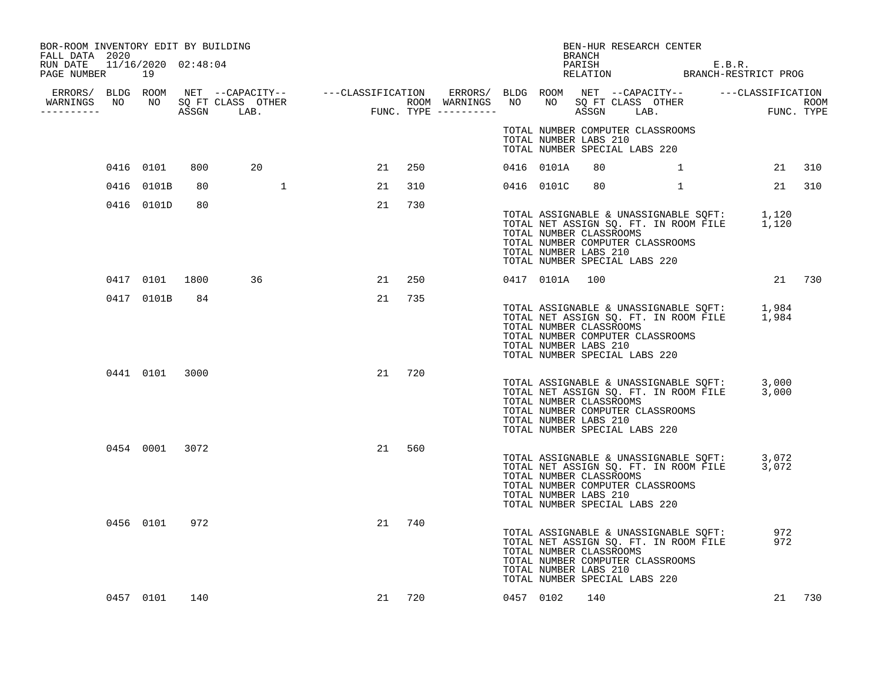| BOR-ROOM INVENTORY EDIT BY BUILDING<br>FALL DATA 2020 |                |    |                                  |    |        |  |                                                  | BRANCH | BEN-HUR RESEARCH CENTER                                                                                                                                         |            |
|-------------------------------------------------------|----------------|----|----------------------------------|----|--------|--|--------------------------------------------------|--------|-----------------------------------------------------------------------------------------------------------------------------------------------------------------|------------|
| RUN DATE 11/16/2020 02:48:04<br>PAGE NUMBER 19        |                |    |                                  |    |        |  |                                                  |        | PARISH E.B.R.<br>RELATION BRANCH-RESTRICT PROG                                                                                                                  |            |
| -----------                                           |                |    | WARNINGS NO NO SQ FT CLASS OTHER |    |        |  |                                                  |        |                                                                                                                                                                 |            |
|                                                       |                |    |                                  |    |        |  | TOTAL NUMBER LABS 210                            |        | TOTAL NUMBER COMPUTER CLASSROOMS<br>TOTAL NUMBER SPECIAL LABS 220                                                                                               |            |
|                                                       | 0416 0101      |    | 20<br>800 — 100                  |    | 21 250 |  | 0416 0101A                                       | 80     | $\mathbf 1$                                                                                                                                                     | 21 310     |
|                                                       | 0416 0101B     | 80 |                                  | 21 | 310    |  | 0416 0101C                                       | 80     | $\mathbf{1}$                                                                                                                                                    | 21 310     |
|                                                       | 0416 0101D     | 80 |                                  | 21 | 730    |  | TOTAL NUMBER CLASSROOMS<br>TOTAL NUMBER LABS 210 |        | TOTAL ASSIGNABLE & UNASSIGNABLE SQFT: 1,120<br>TOTAL NET ASSIGN SQ. FT. IN ROOM FILE 1,120<br>TOTAL NUMBER COMPUTER CLASSROOMS<br>TOTAL NUMBER SPECIAL LABS 220 |            |
|                                                       | 0417 0101 1800 |    | 36                               | 21 | 250    |  | 0417 0101A 100                                   |        |                                                                                                                                                                 | 21 730     |
|                                                       | 0417 0101B 84  |    |                                  |    | 21 735 |  | TOTAL NUMBER CLASSROOMS<br>TOTAL NUMBER LABS 210 |        | TOTAL ASSIGNABLE & UNASSIGNABLE SQFT: 1,984<br>TOTAL NET ASSIGN SQ. FT. IN ROOM FILE 1,984<br>TOTAL NUMBER COMPUTER CLASSROOMS<br>TOTAL NUMBER SPECIAL LABS 220 |            |
|                                                       | 0441 0101 3000 |    |                                  | 21 | 720    |  | TOTAL NUMBER CLASSROOMS<br>TOTAL NUMBER LABS 210 |        | TOTAL ASSIGNABLE & UNASSIGNABLE SQFT: 3,000<br>TOTAL NET ASSIGN SQ. FT. IN ROOM FILE 3,000<br>TOTAL NUMBER COMPUTER CLASSROOMS<br>TOTAL NUMBER SPECIAL LABS 220 |            |
|                                                       | 0454 0001 3072 |    |                                  | 21 | 560    |  | TOTAL NUMBER CLASSROOMS<br>TOTAL NUMBER LABS 210 |        | TOTAL ASSIGNABLE & UNASSIGNABLE SQFT: 3,072<br>TOTAL NET ASSIGN SQ. FT. IN ROOM FILE 3,072<br>TOTAL NUMBER COMPUTER CLASSROOMS<br>TOTAL NUMBER SPECIAL LABS 220 |            |
|                                                       | 0456 0101 972  |    |                                  | 21 | 740    |  | TOTAL NUMBER CLASSROOMS<br>TOTAL NUMBER LABS 210 |        | TOTAL ASSIGNABLE & UNASSIGNABLE SQFT:<br>TOTAL NET ASSIGN SQ. FT. IN ROOM FILE<br>TOTAL NUMBER COMPUTER CLASSROOMS<br>TOTAL NUMBER SPECIAL LABS 220             | 972<br>972 |
|                                                       | 0457 0101 140  |    |                                  |    | 21 720 |  | 0457 0102 140                                    |        |                                                                                                                                                                 | 21 730     |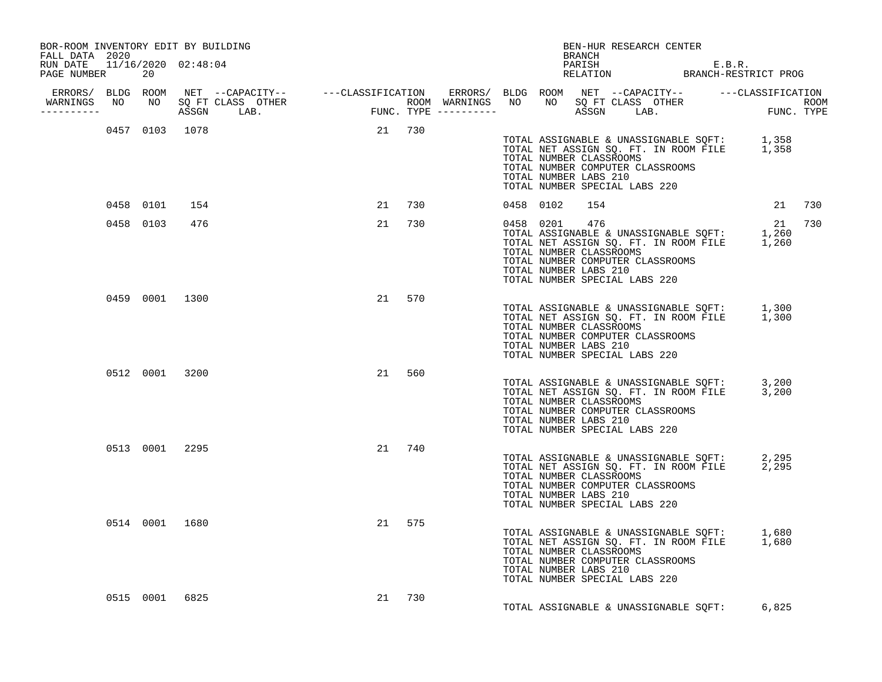| BOR-ROOM INVENTORY EDIT BY BUILDING<br>FALL DATA 2020 |                |                |                |        |        |  |           |                                                  | BEN-HUR RESEARCH CENTER<br><b>BRANCH</b>                                                                                                                                                   |        |        |
|-------------------------------------------------------|----------------|----------------|----------------|--------|--------|--|-----------|--------------------------------------------------|--------------------------------------------------------------------------------------------------------------------------------------------------------------------------------------------|--------|--------|
| RUN DATE 11/16/2020 02:48:04<br>PAGE NUMBER           | 20             |                |                |        |        |  |           |                                                  | PARISH E.B.R.<br>RELATION BRANCH-RESTRICT PROG                                                                                                                                             |        |        |
|                                                       |                |                |                |        |        |  |           |                                                  |                                                                                                                                                                                            |        |        |
|                                                       |                |                | 0457 0103 1078 | 21 730 |        |  |           | TOTAL NUMBER LABS 210                            | TOTAL ASSIGNABLE & UNASSIGNABLE SQFT: 1,358<br>TOTAL NET ASSIGN SQ. FT. IN ROOM FILE 1,358<br>TOTAL NUMBER CLASSROOMS<br>TOTAL NUMBER COMPUTER CLASSROOMS<br>TOTAL NUMBER SPECIAL LABS 220 |        |        |
|                                                       | 0458 0101 154  |                |                |        | 21 730 |  | 0458 0102 | 154                                              |                                                                                                                                                                                            |        | 21 730 |
|                                                       |                | 0458 0103 476  |                |        | 21 730 |  |           | 0458 0201 476<br>TOTAL NUMBER LABS 210           | TOTAL ASSIGNABLE & UNASSIGNABLE SQFT: 1,260<br>TOTAL NET ASSIGN SQ. FT. IN ROOM FILE 1,260<br>TOTAL NUMBER CLASSROOMS<br>TOTAL NUMBER COMPUTER CLASSROOMS<br>TOTAL NUMBER SPECIAL LABS 220 | 21 730 |        |
|                                                       |                |                | 0459 0001 1300 |        | 21 570 |  |           | TOTAL NUMBER LABS 210                            | TOTAL ASSIGNABLE & UNASSIGNABLE SQFT: 1,300<br>TOTAL NET ASSIGN SQ. FT. IN ROOM FILE 1,300<br>TOTAL NUMBER CLASSROOMS<br>TOTAL NUMBER COMPUTER CLASSROOMS<br>TOTAL NUMBER SPECIAL LABS 220 |        |        |
|                                                       |                | 0512 0001 3200 |                |        | 21 560 |  |           | TOTAL NUMBER LABS 210                            | TOTAL ASSIGNABLE & UNASSIGNABLE SQFT: 3,200<br>TOTAL NET ASSIGN SQ. FT. IN ROOM FILE 3,200<br>TOTAL NUMBER CLASSROOMS<br>TOTAL NUMBER COMPUTER CLASSROOMS<br>TOTAL NUMBER SPECIAL LABS 220 |        |        |
|                                                       |                | 0513 0001 2295 |                |        | 21 740 |  |           | TOTAL NUMBER LABS 210                            | TOTAL ASSIGNABLE & UNASSIGNABLE SQFT: 2,295<br>TOTAL NET ASSIGN SQ. FT. IN ROOM FILE 2,295<br>TOTAL NUMBER CLASSROOMS<br>TOTAL NUMBER COMPUTER CLASSROOMS<br>TOTAL NUMBER SPECIAL LABS 220 |        |        |
|                                                       |                | 0514 0001 1680 |                |        | 21 575 |  |           | TOTAL NUMBER CLASSROOMS<br>TOTAL NUMBER LABS 210 | TOTAL ASSIGNABLE & UNASSIGNABLE SQFT: 1,680<br>TOTAL NET ASSIGN SQ. FT. IN ROOM FILE 1,680<br>TOTAL NUMBER COMPUTER CLASSROOMS<br>TOTAL NUMBER SPECIAL LABS 220                            |        |        |
|                                                       | 0515 0001 6825 |                |                |        | 21 730 |  |           |                                                  | TOTAL ASSIGNABLE & UNASSIGNABLE SQFT:                                                                                                                                                      | 6,825  |        |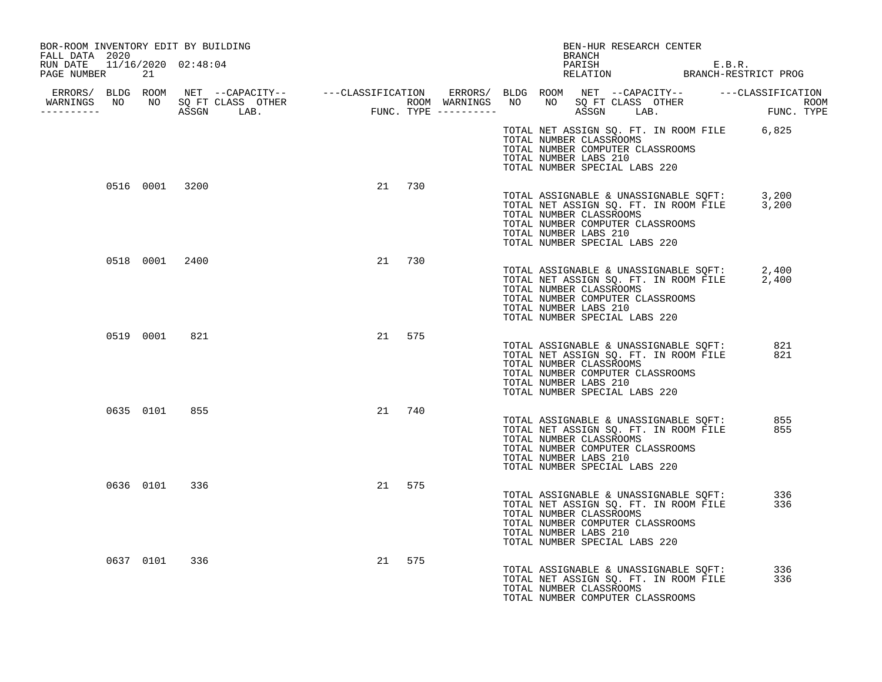| BOR-ROOM INVENTORY EDIT BY BUILDING<br>FALL DATA 2020 |                                  |        | BEN-HUR RESEARCH CENTER<br>BRANCH                                                                                                                                                                                   |            |
|-------------------------------------------------------|----------------------------------|--------|---------------------------------------------------------------------------------------------------------------------------------------------------------------------------------------------------------------------|------------|
| RUN DATE 11/16/2020 02:48:04<br>PAGE NUMBER<br>21     |                                  |        | PARISH E.B.R.<br>RELATION BRANCH-RESTRICT PROG                                                                                                                                                                      |            |
| -----------                                           | WARNINGS NO NO SQ FT CLASS OTHER |        |                                                                                                                                                                                                                     |            |
|                                                       |                                  |        | TOTAL NET ASSIGN SQ. FT. IN ROOM FILE 6,825<br>TOTAL NUMBER CLASSROOMS<br>TOTAL NUMBER COMPUTER CLASSROOMS<br>TOTAL NUMBER LABS 210<br>TOTAL NUMBER SPECIAL LABS 220                                                |            |
| 0516 0001 3200                                        |                                  | 21 730 | TOTAL ASSIGNABLE & UNASSIGNABLE SQFT: 3,200<br>TOTAL NET ASSIGN SQ. FT. IN ROOM FILE 3,200<br>TOTAL NUMBER CLASSROOMS<br>TOTAL NUMBER COMPUTER CLASSROOMS<br>TOTAL NUMBER LABS 210<br>TOTAL NUMBER SPECIAL LABS 220 |            |
| 0518 0001 2400                                        |                                  | 21 730 | TOTAL ASSIGNABLE & UNASSIGNABLE SQFT: 2,400<br>TOTAL NET ASSIGN SQ. FT. IN ROOM FILE 2,400<br>TOTAL NUMBER CLASSROOMS<br>TOTAL NUMBER COMPUTER CLASSROOMS<br>TOTAL NUMBER LABS 210<br>TOTAL NUMBER SPECIAL LABS 220 |            |
| 0519 0001 821                                         |                                  | 21 575 | TOTAL ASSIGNABLE & UNASSIGNABLE SQFT:<br>TOTAL NET ASSIGN SQ. FT. IN ROOM FILE<br>TOTAL NUMBER CLASSROOMS<br>TOTAL NUMBER COMPUTER CLASSROOMS<br>TOTAL NUMBER LABS 210<br>TOTAL NUMBER SPECIAL LABS 220             | 821<br>821 |
| 0635 0101                                             | 855                              | 21 740 | TOTAL ASSIGNABLE & UNASSIGNABLE SQFT:<br>TOTAL NET ASSIGN SQ. FT. IN ROOM FILE<br>TOTAL NUMBER CLASSROOMS<br>TOTAL NUMBER COMPUTER CLASSROOMS<br>TOTAL NUMBER LABS 210<br>TOTAL NUMBER SPECIAL LABS 220             | 855<br>855 |
| 0636 0101 336                                         |                                  | 21 575 | TOTAL ASSIGNABLE & UNASSIGNABLE SOFT:<br>TOTAL NET ASSIGN SQ. FT. IN ROOM FILE<br>TOTAL NUMBER CLASSROOMS<br>TOTAL NUMBER COMPUTER CLASSROOMS<br>TOTAL NUMBER LABS 210<br>TOTAL NUMBER SPECIAL LABS 220             | 336<br>336 |
| 0637 0101                                             | 336                              | 21 575 | TOTAL ASSIGNABLE & UNASSIGNABLE SQFT:<br>TOTAL NET ASSIGN SQ. FT. IN ROOM FILE<br>TOTAL NUMBER CLASSROOMS<br>TOTAL NUMBER COMPUTER CLASSROOMS                                                                       | 336<br>336 |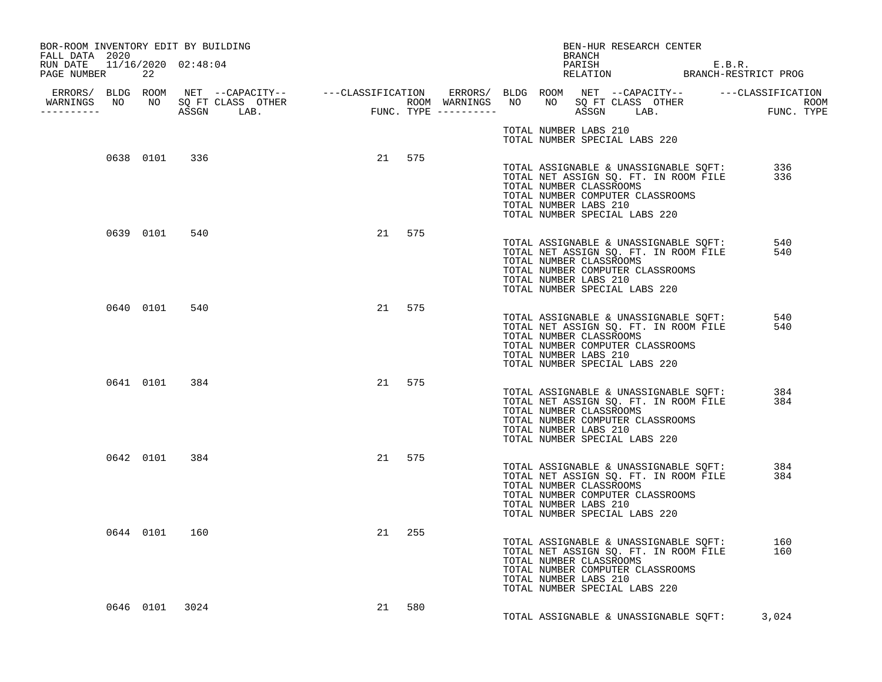| BOR-ROOM INVENTORY EDIT BY BUILDING<br>FALL DATA 2020<br>RUN DATE 11/16/2020 02:48:04<br>PAGE NUMBER 22 |                |  |        |  |                       | BRANCH | BEN-HUR RESEARCH CENTER<br>PARISH<br>PARISH E.B.R.<br>RELATION BRANCH-RESTRICT PROG                                                                                                    |            |
|---------------------------------------------------------------------------------------------------------|----------------|--|--------|--|-----------------------|--------|----------------------------------------------------------------------------------------------------------------------------------------------------------------------------------------|------------|
|                                                                                                         |                |  |        |  |                       |        |                                                                                                                                                                                        |            |
| <u> - - - - - - - - - - -</u>                                                                           |                |  |        |  |                       |        |                                                                                                                                                                                        |            |
|                                                                                                         |                |  |        |  |                       |        | TOTAL NUMBER LABS 210<br>TOTAL NUMBER SPECIAL LABS 220                                                                                                                                 |            |
|                                                                                                         | 0638 0101 336  |  | 21 575 |  | TOTAL NUMBER LABS 210 |        | TOTAL ASSIGNABLE & UNASSIGNABLE SQFT: 336<br>TOTAL NET ASSIGN SQ. FT. IN ROOM FILE 336<br>TOTAL NUMBER CLASSROOMS<br>TOTAL NUMBER COMPUTER CLASSROOMS<br>TOTAL NUMBER SPECIAL LABS 220 |            |
|                                                                                                         | 0639 0101 540  |  | 21 575 |  | TOTAL NUMBER LABS 210 |        | TOTAL ASSIGNABLE & UNASSIGNABLE SQFT:<br>TOTAL NET ASSIGN SQ. FT. IN ROOM FILE<br>TOTAL NUMBER CLASSROOMS<br>TOTAL NUMBER COMPUTER CLASSROOMS<br>TOTAL NUMBER SPECIAL LABS 220         | 540<br>540 |
|                                                                                                         | 0640 0101 540  |  | 21 575 |  | TOTAL NUMBER LABS 210 |        | TOTAL ASSIGNABLE & UNASSIGNABLE SQFT:<br>TOTAL NET ASSIGN SQ. FT. IN ROOM FILE<br>TOTAL NUMBER CLASSROOMS<br>TOTAL NUMBER COMPUTER CLASSROOMS<br>TOTAL NUMBER SPECIAL LABS 220         | 540<br>540 |
|                                                                                                         | 0641 0101 384  |  | 21 575 |  | TOTAL NUMBER LABS 210 |        | TOTAL ASSIGNABLE & UNASSIGNABLE SOFT:<br>TOTAL NET ASSIGN SQ. FT. IN ROOM FILE<br>TOTAL NUMBER CLASSROOMS<br>TOTAL NUMBER COMPUTER CLASSROOMS<br>TOTAL NUMBER SPECIAL LABS 220         | 384<br>384 |
|                                                                                                         | 0642 0101 384  |  | 21 575 |  | TOTAL NUMBER LABS 210 |        | TOTAL ASSIGNABLE & UNASSIGNABLE SQFT:<br>TOTAL NET ASSIGN SQ. FT. IN ROOM FILE<br>TOTAL NUMBER CLASSROOMS<br>TOTAL NUMBER COMPUTER CLASSROOMS<br>TOTAL NUMBER SPECIAL LABS 220         | 384<br>384 |
|                                                                                                         | 0644 0101 160  |  | 21 255 |  | TOTAL NUMBER LABS 210 |        | TOTAL ASSIGNABLE & UNASSIGNABLE SQFT: 160<br>TOTAL NET ASSIGN SQ. FT. IN ROOM FILE 160<br>TOTAL NUMBER CLASSROOMS<br>TOTAL NUMBER COMPUTER CLASSROOMS<br>TOTAL NUMBER SPECIAL LABS 220 |            |
|                                                                                                         | 0646 0101 3024 |  | 21 580 |  |                       |        | TOTAL ASSIGNABLE & UNASSIGNABLE SOFT: 3,024                                                                                                                                            |            |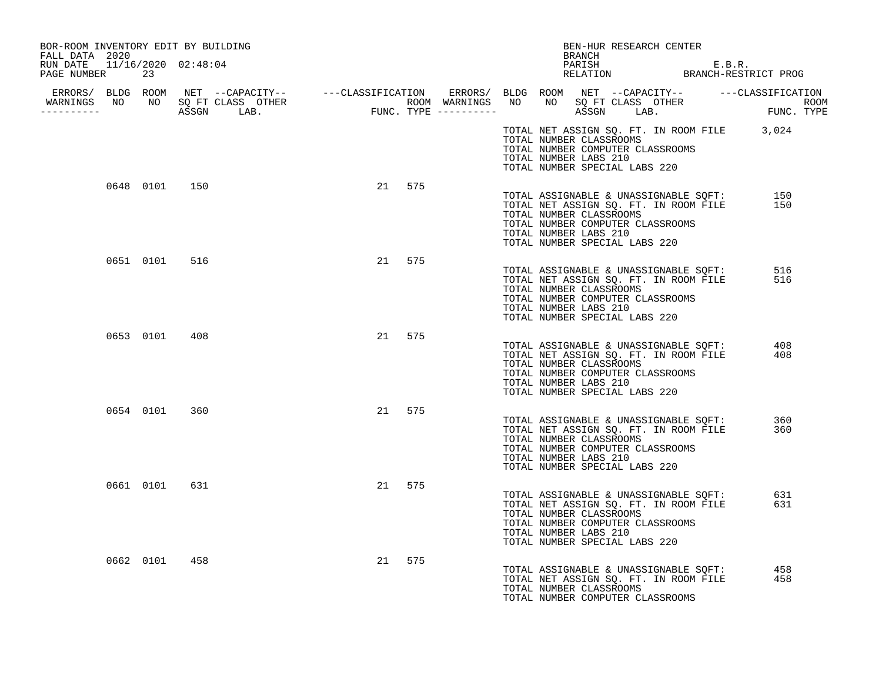| BOR-ROOM INVENTORY EDIT BY BUILDING<br>FALL DATA 2020 |               |           | BEN-HUR RESEARCH CENTER<br><b>BRANCH</b>                                                                                                                                                                        |            |
|-------------------------------------------------------|---------------|-----------|-----------------------------------------------------------------------------------------------------------------------------------------------------------------------------------------------------------------|------------|
| RUN DATE  11/16/2020  02:48:04<br>PAGE NUMBER<br>23   |               |           | PARISH E.B.R.<br>RELATION BRANCH-RESTRICT PROG                                                                                                                                                                  |            |
| -----------                                           |               |           |                                                                                                                                                                                                                 |            |
|                                                       |               |           | TOTAL NET ASSIGN SQ. FT. IN ROOM FILE 3,024<br>TOTAL NUMBER CLASSROOMS<br>TOTAL NUMBER COMPUTER CLASSROOMS<br>TOTAL NUMBER LABS 210<br>TOTAL NUMBER SPECIAL LABS 220                                            |            |
|                                                       | 0648 0101 150 | 21 575    | TOTAL ASSIGNABLE & UNASSIGNABLE SQFT: 150<br>TOTAL NET ASSIGN SQ. FT. IN ROOM FILE 150<br>TOTAL NUMBER CLASSROOMS<br>TOTAL NUMBER COMPUTER CLASSROOMS<br>TOTAL NUMBER LABS 210<br>TOTAL NUMBER SPECIAL LABS 220 |            |
| 0651 0101                                             | 516           | 21 575    | TOTAL ASSIGNABLE & UNASSIGNABLE SQFT:<br>TOTAL NET ASSIGN SQ. FT. IN ROOM FILE<br>TOTAL NUMBER CLASSROOMS<br>TOTAL NUMBER COMPUTER CLASSROOMS<br>TOTAL NUMBER LABS 210<br>TOTAL NUMBER SPECIAL LABS 220         | 516<br>516 |
|                                                       | 0653 0101 408 | 21 575    | TOTAL ASSIGNABLE & UNASSIGNABLE SOFT:<br>TOTAL NET ASSIGN SQ. FT. IN ROOM FILE<br>TOTAL NUMBER CLASSROOMS<br>TOTAL NUMBER COMPUTER CLASSROOMS<br>TOTAL NUMBER LABS 210<br>TOTAL NUMBER SPECIAL LABS 220         | 408<br>408 |
| 0654 0101                                             | 360           | 21 575    | TOTAL ASSIGNABLE & UNASSIGNABLE SQFT:<br>TOTAL NET ASSIGN SQ. FT. IN ROOM FILE<br>TOTAL NUMBER CLASSROOMS<br>TOTAL NUMBER COMPUTER CLASSROOMS<br>TOTAL NUMBER LABS 210<br>TOTAL NUMBER SPECIAL LABS 220         | 360<br>360 |
| 0661 0101                                             | 631           | 21<br>575 | TOTAL ASSIGNABLE & UNASSIGNABLE SOFT:<br>TOTAL NET ASSIGN SQ. FT. IN ROOM FILE<br>TOTAL NUMBER CLASSROOMS<br>TOTAL NUMBER COMPUTER CLASSROOMS<br>TOTAL NUMBER LABS 210<br>TOTAL NUMBER SPECIAL LABS 220         | 631<br>631 |
| 0662 0101                                             | 458           | 575<br>21 | TOTAL ASSIGNABLE & UNASSIGNABLE SQFT:<br>TOTAL NET ASSIGN SQ. FT. IN ROOM FILE<br>TOTAL NUMBER CLASSROOMS<br>TOTAL NUMBER COMPUTER CLASSROOMS                                                                   | 458<br>458 |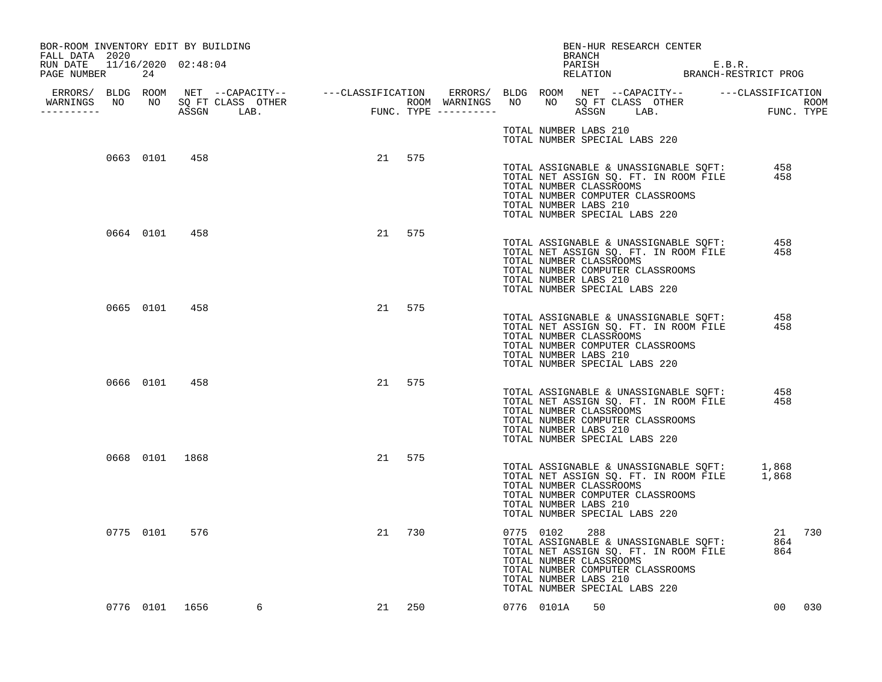| BOR-ROOM INVENTORY EDIT BY BUILDING<br>FALL DATA 2020 |    |                |                                  |    |        |  |                                    | BRANCH | BEN-HUR RESEARCH CENTER                                                                                                                                                                    |            |        |
|-------------------------------------------------------|----|----------------|----------------------------------|----|--------|--|------------------------------------|--------|--------------------------------------------------------------------------------------------------------------------------------------------------------------------------------------------|------------|--------|
| RUN DATE  11/16/2020  02:48:04<br>PAGE NUMBER         | 24 |                |                                  |    |        |  |                                    |        | PARISH E.B.R.<br>RELATION BRANCH-RESTRICT PROG                                                                                                                                             |            |        |
| -----------                                           |    |                | WARNINGS NO NO SQ FT CLASS OTHER |    |        |  |                                    |        |                                                                                                                                                                                            |            |        |
|                                                       |    |                |                                  |    |        |  | TOTAL NUMBER LABS 210              |        | TOTAL NUMBER SPECIAL LABS 220                                                                                                                                                              |            |        |
|                                                       |    | 0663 0101 458  |                                  |    | 21 575 |  | TOTAL NUMBER LABS 210              |        | TOTAL ASSIGNABLE & UNASSIGNABLE SQFT: 458<br>TOTAL NET ASSIGN SQ. FT. IN ROOM FILE 458<br>TOTAL NUMBER CLASSROOMS<br>TOTAL NUMBER COMPUTER CLASSROOMS<br>TOTAL NUMBER SPECIAL LABS 220     |            |        |
|                                                       |    | 0664 0101 458  |                                  | 21 | 575    |  | TOTAL NUMBER LABS 210              |        | TOTAL ASSIGNABLE & UNASSIGNABLE SQFT: 458<br>TOTAL NET ASSIGN SQ. FT. IN ROOM FILE<br>TOTAL NUMBER CLASSROOMS<br>TOTAL NUMBER COMPUTER CLASSROOMS<br>TOTAL NUMBER SPECIAL LABS 220         | 458        |        |
|                                                       |    | 0665 0101 458  |                                  |    | 21 575 |  | TOTAL NUMBER LABS 210              |        | TOTAL ASSIGNABLE & UNASSIGNABLE SQFT:<br>TOTAL NET ASSIGN SQ. FT. IN ROOM FILE<br>TOTAL NUMBER CLASSROOMS<br>TOTAL NUMBER COMPUTER CLASSROOMS<br>TOTAL NUMBER SPECIAL LABS 220             | 458<br>458 |        |
|                                                       |    | 0666 0101 458  |                                  |    | 21 575 |  | TOTAL NUMBER LABS 210              |        | TOTAL ASSIGNABLE & UNASSIGNABLE SQFT:<br>TOTAL NET ASSIGN SQ. FT. IN ROOM FILE<br>TOTAL NUMBER CLASSROOMS<br>TOTAL NUMBER COMPUTER CLASSROOMS<br>TOTAL NUMBER SPECIAL LABS 220             | 458<br>458 |        |
|                                                       |    | 0668 0101 1868 |                                  |    | 21 575 |  | TOTAL NUMBER LABS 210              |        | TOTAL ASSIGNABLE & UNASSIGNABLE SQFT: 1,868<br>TOTAL NET ASSIGN SQ. FT. IN ROOM FILE 1,868<br>TOTAL NUMBER CLASSROOMS<br>TOTAL NUMBER COMPUTER CLASSROOMS<br>TOTAL NUMBER SPECIAL LABS 220 |            |        |
|                                                       |    | 0775 0101 576  |                                  |    | 21 730 |  | 0775 0102<br>TOTAL NUMBER LABS 210 | 288    | TOTAL ASSIGNABLE & UNASSIGNABLE SQFT:<br>TOTAL NET ASSIGN SQ. FT. IN ROOM FILE<br>TOTAL NUMBER CLASSROOMS<br>TOTAL NUMBER COMPUTER CLASSROOMS<br>TOTAL NUMBER SPECIAL LABS 220             | 864<br>864 | 21 730 |
|                                                       |    |                | 0776 0101 1656<br>6              |    | 21 250 |  | 0776 0101A                         | 50     |                                                                                                                                                                                            |            | 00 030 |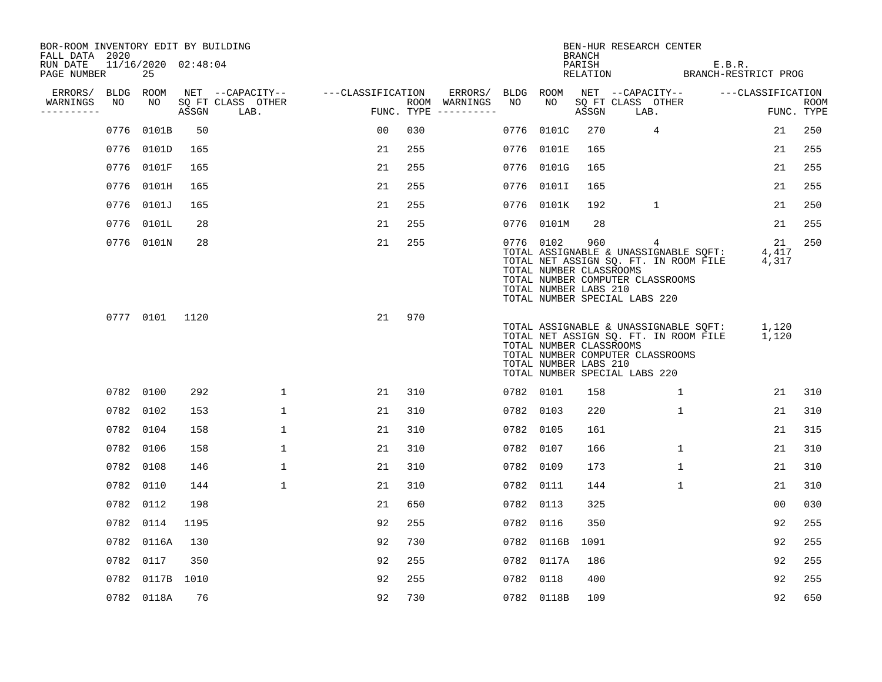| BOR-ROOM INVENTORY EDIT BY BUILDING<br>FALL DATA 2020 |      |                           |       |                           |                   |     |                                      |           |                                                  | <b>BRANCH</b>      | BEN-HUR RESEARCH CENTER                                                                                                                                  |                                |                    |
|-------------------------------------------------------|------|---------------------------|-------|---------------------------|-------------------|-----|--------------------------------------|-----------|--------------------------------------------------|--------------------|----------------------------------------------------------------------------------------------------------------------------------------------------------|--------------------------------|--------------------|
| RUN DATE<br>PAGE NUMBER                               |      | 11/16/2020 02:48:04<br>25 |       |                           |                   |     |                                      |           |                                                  | PARISH<br>RELATION |                                                                                                                                                          | E.B.R.<br>BRANCH-RESTRICT PROG |                    |
| ERRORS/                                               |      | BLDG ROOM                 |       | NET --CAPACITY--          | ---CLASSIFICATION |     | ERRORS/                              | BLDG ROOM |                                                  |                    | NET --CAPACITY--                                                                                                                                         | ---CLASSIFICATION              |                    |
| WARNINGS<br>----------                                | NO   | NO                        | ASSGN | SQ FT CLASS OTHER<br>LAB. |                   |     | ROOM WARNINGS<br>FUNC. TYPE $------$ | NO.       | NO                                               | ASSGN              | SQ FT CLASS OTHER<br>LAB.                                                                                                                                |                                | ROOM<br>FUNC. TYPE |
|                                                       | 0776 | 0101B                     | 50    |                           | 0 <sub>0</sub>    | 030 |                                      | 0776      | 0101C                                            | 270                | $\overline{4}$                                                                                                                                           | 21                             | 250                |
|                                                       |      | 0776 0101D                | 165   |                           | 21                | 255 |                                      |           | 0776 0101E                                       | 165                |                                                                                                                                                          | 21                             | 255                |
|                                                       |      | 0776 0101F                | 165   |                           | 21                | 255 |                                      |           | 0776 0101G                                       | 165                |                                                                                                                                                          | 21                             | 255                |
|                                                       |      | 0776 0101H                | 165   |                           | 21                | 255 |                                      |           | 0776 0101I                                       | 165                |                                                                                                                                                          | 21                             | 255                |
|                                                       |      | 0776 0101J                | 165   |                           | 21                | 255 |                                      |           | 0776 0101K                                       | 192                | $\mathbf{1}$                                                                                                                                             | 21                             | 250                |
|                                                       |      | 0776 0101L                | 28    |                           | 21                | 255 |                                      |           | 0776 0101M                                       | 28                 |                                                                                                                                                          | 21                             | 255                |
|                                                       |      | 0776 0101N                | 28    |                           | 21                | 255 |                                      | 0776 0102 | TOTAL NUMBER CLASSROOMS<br>TOTAL NUMBER LABS 210 | 960                | 4<br>TOTAL ASSIGNABLE & UNASSIGNABLE SQFT:<br>TOTAL NET ASSIGN SQ. FT. IN ROOM FILE<br>TOTAL NUMBER COMPUTER CLASSROOMS<br>TOTAL NUMBER SPECIAL LABS 220 | 21<br>4,417<br>4,317           | 250                |
|                                                       |      | 0777 0101                 | 1120  |                           | 21                | 970 |                                      |           | TOTAL NUMBER CLASSROOMS<br>TOTAL NUMBER LABS 210 |                    | TOTAL ASSIGNABLE & UNASSIGNABLE SQFT:<br>TOTAL NET ASSIGN SQ. FT. IN ROOM FILE<br>TOTAL NUMBER COMPUTER CLASSROOMS<br>TOTAL NUMBER SPECIAL LABS 220      | 1,120<br>1,120                 |                    |
|                                                       |      | 0782 0100                 | 292   | $\mathbf 1$               | 21                | 310 |                                      | 0782 0101 |                                                  | 158                | 1                                                                                                                                                        | 21                             | 310                |
|                                                       |      | 0782 0102                 | 153   | $\mathbf{1}$              | 21                | 310 |                                      | 0782 0103 |                                                  | 220                | 1                                                                                                                                                        | 21                             | 310                |
|                                                       |      | 0782 0104                 | 158   | $\mathbf{1}$              | 21                | 310 |                                      | 0782 0105 |                                                  | 161                |                                                                                                                                                          | 21                             | 315                |
|                                                       |      | 0782 0106                 | 158   | $\mathbf{1}$              | 21                | 310 |                                      | 0782 0107 |                                                  | 166                | $\mathbf{1}$                                                                                                                                             | 21                             | 310                |
|                                                       |      | 0782 0108                 | 146   | 1                         | 21                | 310 |                                      | 0782 0109 |                                                  | 173                | 1                                                                                                                                                        | 21                             | 310                |
|                                                       |      | 0782 0110                 | 144   | $\mathbf{1}$              | 21                | 310 |                                      | 0782 0111 |                                                  | 144                | $\mathbf{1}$                                                                                                                                             | 21                             | 310                |
|                                                       |      | 0782 0112                 | 198   |                           | 21                | 650 |                                      | 0782 0113 |                                                  | 325                |                                                                                                                                                          | 0 <sub>0</sub>                 | 030                |
|                                                       |      | 0782 0114                 | 1195  |                           | 92                | 255 |                                      | 0782 0116 |                                                  | 350                |                                                                                                                                                          | 92                             | 255                |
|                                                       |      | 0782 0116A                | 130   |                           | 92                | 730 |                                      |           | 0782 0116B                                       | 1091               |                                                                                                                                                          | 92                             | 255                |
|                                                       |      | 0782 0117                 | 350   |                           | 92                | 255 |                                      |           | 0782 0117A                                       | 186                |                                                                                                                                                          | 92                             | 255                |
|                                                       |      | 0782 0117B 1010           |       |                           | 92                | 255 |                                      | 0782 0118 |                                                  | 400                |                                                                                                                                                          | 92                             | 255                |
|                                                       |      | 0782 0118A                | 76    |                           | 92                | 730 |                                      |           | 0782 0118B                                       | 109                |                                                                                                                                                          | 92                             | 650                |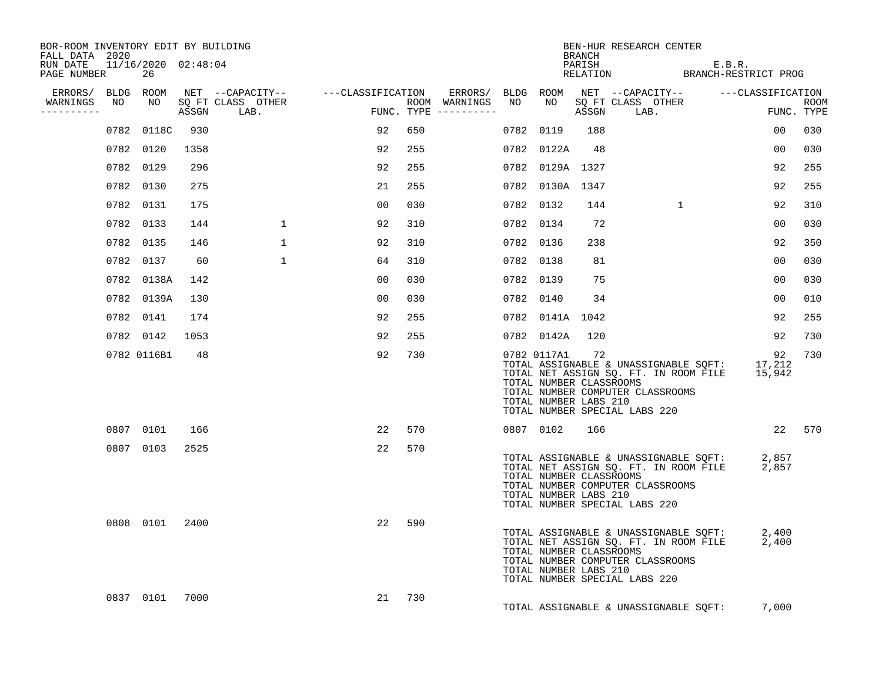| BOR-ROOM INVENTORY EDIT BY BUILDING<br>FALL DATA 2020 |             |      |                                    |    |     |                                      |           |                                                                 | BRANCH | BEN-HUR RESEARCH CENTER                                                                                                                                           |                |             |
|-------------------------------------------------------|-------------|------|------------------------------------|----|-----|--------------------------------------|-----------|-----------------------------------------------------------------|--------|-------------------------------------------------------------------------------------------------------------------------------------------------------------------|----------------|-------------|
| RUN DATE  11/16/2020  02:48:04<br>PAGE NUMBER         | 26          |      |                                    |    |     |                                      |           |                                                                 |        | PARISH E.B.R.<br>RELATION BRANCH-RESTRICT PROG                                                                                                                    |                |             |
| ERRORS/ BLDG ROOM                                     |             |      | NET --CAPACITY-- ---CLASSIFICATION |    |     |                                      |           |                                                                 |        | ERRORS/ BLDG ROOM NET --CAPACITY-- -----CLASSIFICATION                                                                                                            |                |             |
| WARNINGS<br>NO<br>----------                          | NO          |      | SO FT CLASS OTHER<br>ASSGN LAB.    |    |     | ROOM WARNINGS<br>FUNC. TYPE $------$ | NO        |                                                                 | ASSGN  | NO SQ FT CLASS OTHER<br>LAB.                                                                                                                                      | FUNC. TYPE     | <b>ROOM</b> |
|                                                       | 0782 0118C  | 930  |                                    | 92 | 650 |                                      | 0782 0119 |                                                                 | 188    |                                                                                                                                                                   | 0 <sub>0</sub> | 030         |
|                                                       | 0782 0120   | 1358 |                                    | 92 | 255 |                                      |           | 0782 0122A                                                      | 48     |                                                                                                                                                                   | 00             | 030         |
|                                                       | 0782 0129   | 296  |                                    | 92 | 255 |                                      |           | 0782 0129A 1327                                                 |        |                                                                                                                                                                   | 92             | 255         |
|                                                       | 0782 0130   | 275  |                                    | 21 | 255 |                                      |           | 0782 0130A 1347                                                 |        |                                                                                                                                                                   | 92             | 255         |
|                                                       | 0782 0131   | 175  |                                    | 00 | 030 |                                      | 0782 0132 |                                                                 | 144    | <sup>1</sup>                                                                                                                                                      | 92             | 310         |
|                                                       | 0782 0133   | 144  | $\mathbf{1}$                       | 92 | 310 |                                      | 0782 0134 |                                                                 | 72     |                                                                                                                                                                   | 00             | 030         |
|                                                       | 0782 0135   | 146  | 1                                  | 92 | 310 |                                      | 0782 0136 |                                                                 | 238    |                                                                                                                                                                   | 92             | 350         |
|                                                       | 0782 0137   | 60   | $\mathbf{1}$                       | 64 | 310 |                                      | 0782 0138 |                                                                 | 81     |                                                                                                                                                                   | 0 <sub>0</sub> | 030         |
|                                                       | 0782 0138A  | 142  |                                    | 00 | 030 |                                      | 0782 0139 |                                                                 | 75     |                                                                                                                                                                   | 00             | 030         |
|                                                       | 0782 0139A  | 130  |                                    | 00 | 030 |                                      | 0782 0140 |                                                                 | 34     |                                                                                                                                                                   | 0 <sub>0</sub> | 010         |
|                                                       | 0782 0141   | 174  |                                    | 92 | 255 |                                      |           | 0782 0141A 1042                                                 |        |                                                                                                                                                                   | 92             | 255         |
|                                                       | 0782 0142   | 1053 |                                    | 92 | 255 |                                      |           | 0782 0142A 120                                                  |        |                                                                                                                                                                   | 92             | 730         |
|                                                       | 0782 0116B1 | 48   |                                    | 92 | 730 |                                      |           | 0782 0117A1<br>TOTAL NUMBER CLASSROOMS<br>TOTAL NUMBER LABS 210 | 72     | TOTAL ASSIGNABLE & UNASSIGNABLE SQFT: 17,212<br>TOTAL NET ASSIGN SQ. FT. IN ROOM FILE 15,942<br>TOTAL NUMBER COMPUTER CLASSROOMS<br>TOTAL NUMBER SPECIAL LABS 220 | 92             | 730         |
|                                                       | 0807 0101   | 166  |                                    | 22 | 570 |                                      | 0807 0102 |                                                                 | 166    |                                                                                                                                                                   |                | 22 570      |
|                                                       | 0807 0103   | 2525 |                                    | 22 | 570 |                                      |           | TOTAL NUMBER CLASSROOMS<br>TOTAL NUMBER LABS 210                |        | TOTAL ASSIGNABLE & UNASSIGNABLE SQFT: 2,857<br>TOTAL NET ASSIGN SQ. FT. IN ROOM FILE 2,857<br>TOTAL NUMBER COMPUTER CLASSROOMS<br>TOTAL NUMBER SPECIAL LABS 220   |                |             |
|                                                       | 0808 0101   | 2400 |                                    | 22 | 590 |                                      |           | TOTAL NUMBER CLASSROOMS<br>TOTAL NUMBER LABS 210                |        | TOTAL ASSIGNABLE & UNASSIGNABLE SQFT: 2,400<br>TOTAL NET ASSIGN SQ. FT. IN ROOM FILE 2,400<br>TOTAL NUMBER COMPUTER CLASSROOMS<br>TOTAL NUMBER SPECIAL LABS 220   |                |             |
|                                                       | 0837 0101   | 7000 |                                    | 21 | 730 |                                      |           |                                                                 |        | TOTAL ASSIGNABLE & UNASSIGNABLE SQFT:                                                                                                                             | 7,000          |             |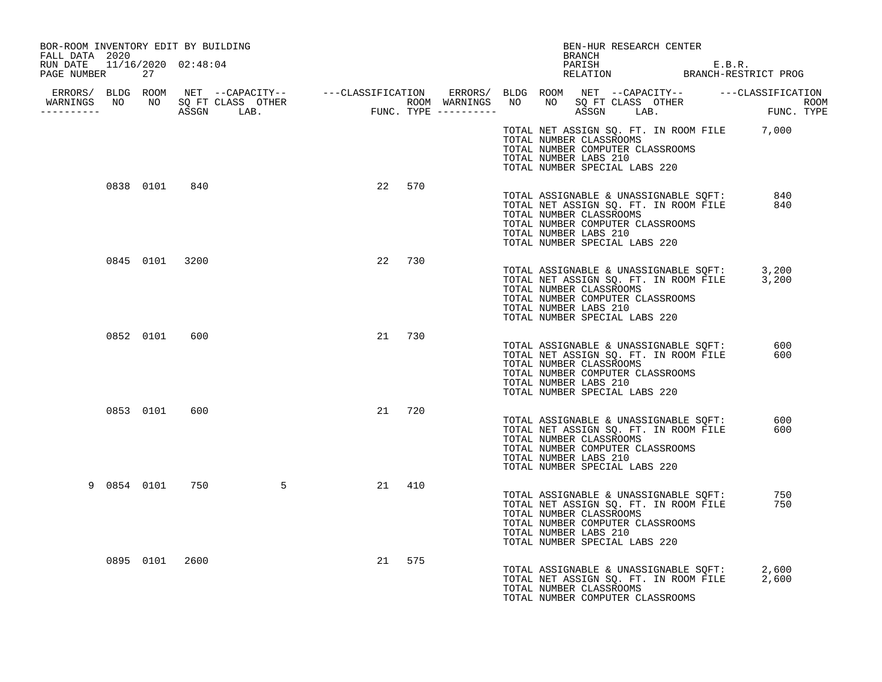| BOR-ROOM INVENTORY EDIT BY BUILDING                              |           |                |                                  |           |  |                                                  | BRANCH | BEN-HUR RESEARCH CENTER                                                                                                                             |  |                                                                                              |  |
|------------------------------------------------------------------|-----------|----------------|----------------------------------|-----------|--|--------------------------------------------------|--------|-----------------------------------------------------------------------------------------------------------------------------------------------------|--|----------------------------------------------------------------------------------------------|--|
| FALL DATA 2020<br>RUN DATE 11/16/2020 02:48:04<br>PAGE NUMBER 27 |           |                |                                  |           |  |                                                  |        |                                                                                                                                                     |  | PARISH E.B.R.<br>RELATION BRANCH-RESTRICT PROG                                               |  |
|                                                                  |           |                | WARNINGS NO NO SQ FT CLASS OTHER |           |  |                                                  |        |                                                                                                                                                     |  |                                                                                              |  |
|                                                                  |           |                |                                  |           |  | TOTAL NUMBER LABS 210                            |        | TOTAL NUMBER CLASSROOMS<br>TOTAL NUMBER COMPUTER CLASSROOMS<br>TOTAL NUMBER SPECIAL LABS 220                                                        |  | TOTAL NET ASSIGN SQ. FT. IN ROOM FILE 7,000                                                  |  |
|                                                                  |           | 0838 0101 840  |                                  | 22<br>570 |  | TOTAL NUMBER CLASSROOMS<br>TOTAL NUMBER LABS 210 |        | TOTAL NUMBER COMPUTER CLASSROOMS<br>TOTAL NUMBER SPECIAL LABS 220                                                                                   |  | TOTAL ASSIGNABLE & UNASSIGNABLE SQFT: 840<br>TOTAL NET ASSIGN SQ. FT. IN ROOM FILE 840       |  |
|                                                                  |           | 0845 0101 3200 |                                  | 22<br>730 |  | TOTAL NUMBER CLASSROOMS<br>TOTAL NUMBER LABS 210 |        | TOTAL NUMBER COMPUTER CLASSROOMS<br>TOTAL NUMBER SPECIAL LABS 220                                                                                   |  | TOTAL ASSIGNABLE & UNASSIGNABLE SQFT: 3,200<br>TOTAL NET ASSIGN SQ. FT. IN ROOM FILE 3,200   |  |
|                                                                  | 0852 0101 | 600            |                                  | 21 730    |  | TOTAL NUMBER CLASSROOMS<br>TOTAL NUMBER LABS 210 |        | TOTAL NUMBER COMPUTER CLASSROOMS<br>TOTAL NUMBER SPECIAL LABS 220                                                                                   |  | TOTAL ASSIGNABLE & UNASSIGNABLE SQFT:<br>TOTAL NET ASSIGN SQ. FT. IN ROOM FILE<br>600<br>600 |  |
|                                                                  | 0853 0101 | 600            |                                  | 21 720    |  | TOTAL NUMBER CLASSROOMS<br>TOTAL NUMBER LABS 210 |        | TOTAL NUMBER COMPUTER CLASSROOMS<br>TOTAL NUMBER SPECIAL LABS 220                                                                                   |  | TOTAL ASSIGNABLE & UNASSIGNABLE SQFT:<br>TOTAL NET ASSIGN SQ. FT. IN ROOM FILE<br>600<br>600 |  |
|                                                                  |           |                | 9 0854 0101 750 5                | 21 410    |  | TOTAL NUMBER CLASSROOMS<br>TOTAL NUMBER LABS 210 |        | TOTAL ASSIGNABLE & UNASSIGNABLE SQFT:<br>TOTAL NET ASSIGN SQ. FT. IN ROOM FILE<br>TOTAL NUMBER COMPUTER CLASSROOMS<br>TOTAL NUMBER SPECIAL LABS 220 |  | 750<br>750                                                                                   |  |
|                                                                  |           | 0895 0101 2600 |                                  | 21 575    |  | TOTAL NUMBER CLASSROOMS                          |        | TOTAL ASSIGNABLE & UNASSIGNABLE SQFT:<br>TOTAL NUMBER COMPUTER CLASSROOMS                                                                           |  | 2,600<br>TOTAL NET ASSIGN SQ. FT. IN ROOM FILE 2,600                                         |  |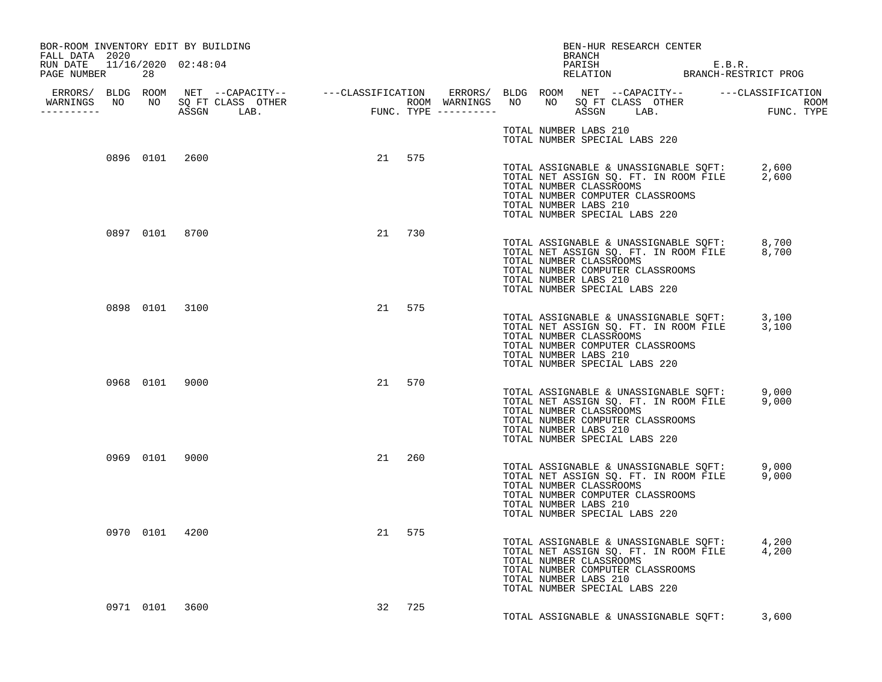| BOR-ROOM INVENTORY EDIT BY BUILDING<br>FALL DATA 2020<br>RUN DATE 11/16/2020 02:48:04 |                |  |        |  |                       | BRANCH | BEN-HUR RESEARCH CENTER<br>PARISH<br>PARISH E.B.R.<br>RELATION BRANCH-RESTRICT PROG                                                                                                        |  |  |
|---------------------------------------------------------------------------------------|----------------|--|--------|--|-----------------------|--------|--------------------------------------------------------------------------------------------------------------------------------------------------------------------------------------------|--|--|
| PAGE NUMBER                                                                           | 28             |  |        |  |                       |        |                                                                                                                                                                                            |  |  |
| ___________                                                                           |                |  |        |  |                       |        |                                                                                                                                                                                            |  |  |
|                                                                                       |                |  |        |  | TOTAL NUMBER LABS 210 |        | TOTAL NUMBER SPECIAL LABS 220                                                                                                                                                              |  |  |
|                                                                                       | 0896 0101 2600 |  | 21 575 |  | TOTAL NUMBER LABS 210 |        | TOTAL ASSIGNABLE & UNASSIGNABLE SQFT: 2,600<br>TOTAL NET ASSIGN SQ. FT. IN ROOM FILE 2,600<br>TOTAL NUMBER CLASSROOMS<br>TOTAL NUMBER COMPUTER CLASSROOMS<br>TOTAL NUMBER SPECIAL LABS 220 |  |  |
|                                                                                       | 0897 0101 8700 |  | 21 730 |  | TOTAL NUMBER LABS 210 |        | TOTAL ASSIGNABLE & UNASSIGNABLE SQFT: 8,700<br>TOTAL NET ASSIGN SQ. FT. IN ROOM FILE 8,700<br>TOTAL NUMBER CLASSROOMS<br>TOTAL NUMBER COMPUTER CLASSROOMS<br>TOTAL NUMBER SPECIAL LABS 220 |  |  |
|                                                                                       | 0898 0101 3100 |  | 21 575 |  | TOTAL NUMBER LABS 210 |        | TOTAL ASSIGNABLE & UNASSIGNABLE SQFT: 3,100<br>TOTAL NET ASSIGN SQ. FT. IN ROOM FILE 3,100<br>TOTAL NUMBER CLASSROOMS<br>TOTAL NUMBER COMPUTER CLASSROOMS<br>TOTAL NUMBER SPECIAL LABS 220 |  |  |
|                                                                                       | 0968 0101 9000 |  | 21 570 |  | TOTAL NUMBER LABS 210 |        | TOTAL ASSIGNABLE & UNASSIGNABLE SQFT: 9,000<br>TOTAL NET ASSIGN SQ. FT. IN ROOM FILE 9,000<br>TOTAL NUMBER CLASSROOMS<br>TOTAL NUMBER COMPUTER CLASSROOMS<br>TOTAL NUMBER SPECIAL LABS 220 |  |  |
|                                                                                       | 0969 0101 9000 |  | 21 260 |  | TOTAL NUMBER LABS 210 |        | TOTAL ASSIGNABLE & UNASSIGNABLE SQFT: 9,000<br>TOTAL NET ASSIGN SQ. FT. IN ROOM FILE 9,000<br>TOTAL NUMBER CLASSROOMS<br>TOTAL NUMBER COMPUTER CLASSROOMS<br>TOTAL NUMBER SPECIAL LABS 220 |  |  |
|                                                                                       | 0970 0101 4200 |  | 21 575 |  | TOTAL NUMBER LABS 210 |        | TOTAL ASSIGNABLE & UNASSIGNABLE SQFT: 4,200<br>TOTAL NET ASSIGN SQ. FT. IN ROOM FILE 4,200<br>TOTAL NUMBER CLASSROOMS<br>TOTAL NUMBER COMPUTER CLASSROOMS<br>TOTAL NUMBER SPECIAL LABS 220 |  |  |
|                                                                                       | 0971 0101 3600 |  | 32 725 |  |                       |        | TOTAL ASSIGNABLE & UNASSIGNABLE SOFT: 3,600                                                                                                                                                |  |  |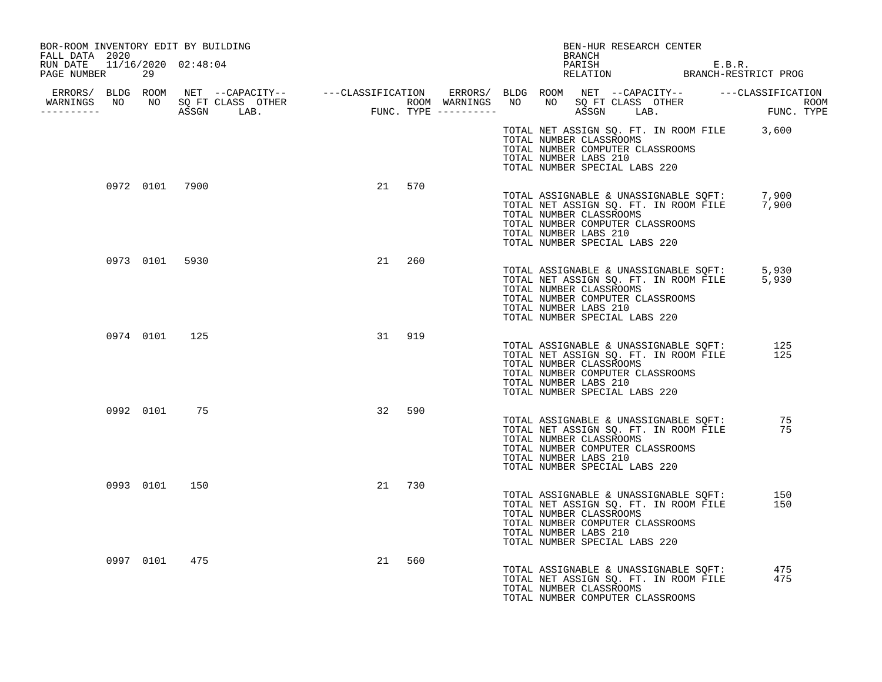| BOR-ROOM INVENTORY EDIT BY BUILDING<br>FALL DATA 2020 |    |                                  |    |        |  |                                                  | BEN-HUR RESEARCH CENTER<br><b>BRANCH</b>                          |                                                                                            |                                                |
|-------------------------------------------------------|----|----------------------------------|----|--------|--|--------------------------------------------------|-------------------------------------------------------------------|--------------------------------------------------------------------------------------------|------------------------------------------------|
| RUN DATE 11/16/2020 02:48:04<br>PAGE NUMBER           | 29 |                                  |    |        |  |                                                  |                                                                   |                                                                                            | PARISH E.B.R.<br>RELATION BRANCH-RESTRICT PROG |
| ----------                                            |    | WARNINGS NO NO SQ FT CLASS OTHER |    |        |  |                                                  |                                                                   |                                                                                            |                                                |
|                                                       |    |                                  |    |        |  | TOTAL NUMBER CLASSROOMS<br>TOTAL NUMBER LABS 210 | TOTAL NUMBER COMPUTER CLASSROOMS<br>TOTAL NUMBER SPECIAL LABS 220 | TOTAL NET ASSIGN SQ. FT. IN ROOM FILE 3,600                                                |                                                |
| 0972 0101 7900                                        |    |                                  |    | 21 570 |  | TOTAL NUMBER CLASSROOMS<br>TOTAL NUMBER LABS 210 | TOTAL NUMBER COMPUTER CLASSROOMS<br>TOTAL NUMBER SPECIAL LABS 220 | TOTAL ASSIGNABLE & UNASSIGNABLE SQFT: 7,900<br>TOTAL NET ASSIGN SQ. FT. IN ROOM FILE 7,900 |                                                |
| 0973 0101 5930                                        |    |                                  | 21 | 260    |  | TOTAL NUMBER CLASSROOMS<br>TOTAL NUMBER LABS 210 | TOTAL NUMBER COMPUTER CLASSROOMS<br>TOTAL NUMBER SPECIAL LABS 220 | TOTAL ASSIGNABLE & UNASSIGNABLE SQFT: 5,930<br>TOTAL NET ASSIGN SQ. FT. IN ROOM FILE 5,930 |                                                |
| 0974 0101 125                                         |    |                                  |    | 31 919 |  | TOTAL NUMBER CLASSROOMS<br>TOTAL NUMBER LABS 210 | TOTAL NUMBER COMPUTER CLASSROOMS<br>TOTAL NUMBER SPECIAL LABS 220 | TOTAL ASSIGNABLE & UNASSIGNABLE SOFT:<br>TOTAL NET ASSIGN SQ. FT. IN ROOM FILE             | 125<br>125                                     |
| 0992 0101 75                                          |    |                                  | 32 | 590    |  | TOTAL NUMBER CLASSROOMS<br>TOTAL NUMBER LABS 210 | TOTAL NUMBER COMPUTER CLASSROOMS<br>TOTAL NUMBER SPECIAL LABS 220 | TOTAL ASSIGNABLE & UNASSIGNABLE SQFT:<br>TOTAL NET ASSIGN SQ. FT. IN ROOM FILE             | 75<br>75                                       |
| 0993 0101                                             |    | 150                              |    | 21 730 |  | TOTAL NUMBER CLASSROOMS<br>TOTAL NUMBER LABS 210 | TOTAL NUMBER COMPUTER CLASSROOMS<br>TOTAL NUMBER SPECIAL LABS 220 | TOTAL ASSIGNABLE & UNASSIGNABLE SOFT:<br>TOTAL NET ASSIGN SQ. FT. IN ROOM FILE             | 150<br>150                                     |
| 0997 0101                                             |    | 475                              | 21 | 560    |  | TOTAL NUMBER CLASSROOMS                          | TOTAL NUMBER COMPUTER CLASSROOMS                                  | TOTAL ASSIGNABLE & UNASSIGNABLE SQFT:<br>TOTAL NET ASSIGN SQ. FT. IN ROOM FILE             | 475<br>475                                     |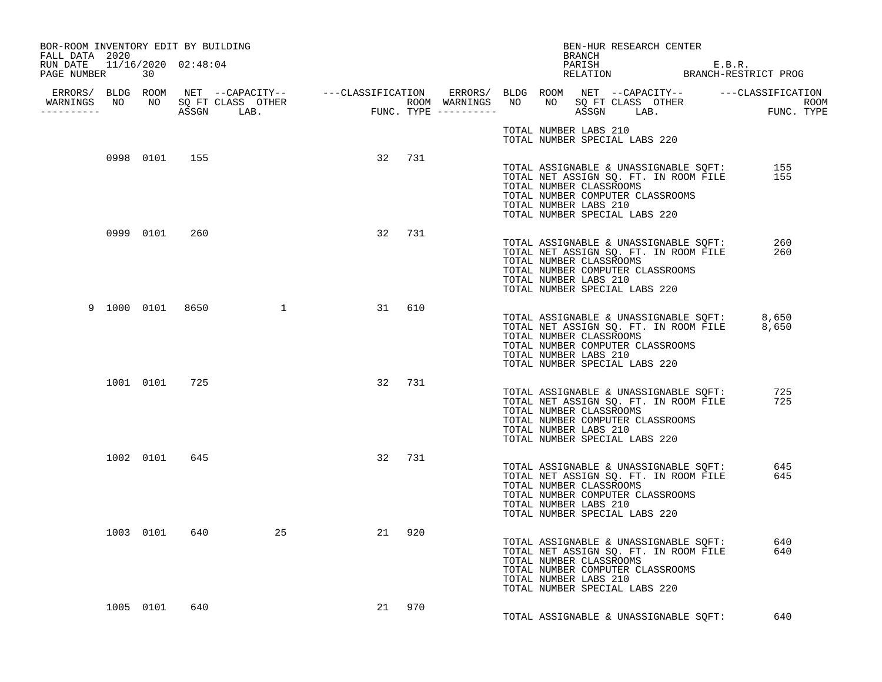| BOR-ROOM INVENTORY EDIT BY BUILDING<br>FALL DATA 2020 |               |               |                    |          |        |  |                       | BRANCH | BEN-HUR RESEARCH CENTER                                                                                                                                                                                                         |            |
|-------------------------------------------------------|---------------|---------------|--------------------|----------|--------|--|-----------------------|--------|---------------------------------------------------------------------------------------------------------------------------------------------------------------------------------------------------------------------------------|------------|
| RUN DATE 11/16/2020 02:48:04<br>PAGE NUMBER           | 30            |               |                    |          |        |  |                       |        | PARISH E.B.R.<br>RELATION BRANCH-RESTRICT PROG                                                                                                                                                                                  |            |
| -----------                                           |               |               |                    |          |        |  |                       |        |                                                                                                                                                                                                                                 |            |
|                                                       |               |               |                    |          |        |  | TOTAL NUMBER LABS 210 |        | TOTAL NUMBER SPECIAL LABS 220                                                                                                                                                                                                   |            |
|                                                       | 0998 0101 155 |               |                    |          | 32 731 |  | TOTAL NUMBER LABS 210 |        | TOTAL ASSIGNABLE & UNASSIGNABLE SQFT: 155<br>TOTAL NET ASSIGN SQ. FT. IN ROOM FILE 155<br>TOTAL NET ASSIGN SQ. FT. IN ROOM FILE<br>TOTAL NUMBER CLASSROOMS<br>TOTAL NUMBER COMPUTER CLASSROOMS<br>TOTAL NUMBER SPECIAL LABS 220 |            |
|                                                       |               | 0999 0101 260 |                    |          | 32 731 |  | TOTAL NUMBER LABS 210 |        | TOTAL ASSIGNABLE & UNASSIGNABLE SQFT:<br>TOTAL NET ASSIGN SQ. FT. IN ROOM FILE<br>TOTAL NUMBER CLASSROOMS<br>TOTAL NUMBER COMPUTER CLASSROOMS<br>TOTAL NUMBER SPECIAL LABS 220                                                  | 260<br>260 |
|                                                       |               |               | 9 1000 0101 8650 1 |          | 31 610 |  | TOTAL NUMBER LABS 210 |        | TOTAL ASSIGNABLE & UNASSIGNABLE SQFT: 8,650<br>TOTAL NET ASSIGN SQ. FT. IN ROOM FILE 8,650<br>TOTAL NUMBER CLASSROOMS<br>TOTAL NUMBER COMPUTER CLASSROOMS<br>TOTAL NUMBER SPECIAL LABS 220                                      |            |
|                                                       |               | 1001 0101 725 |                    |          | 32 731 |  | TOTAL NUMBER LABS 210 |        | TOTAL ASSIGNABLE & UNASSIGNABLE SQFT:<br>TOTAL NET ASSIGN SQ. FT. IN ROOM FILE<br>TOTAL NUMBER CLASSROOMS<br>TOTAL NUMBER COMPUTER CLASSROOMS<br>TOTAL NUMBER SPECIAL LABS 220                                                  | 725<br>725 |
|                                                       |               | 1002 0101 645 |                    |          | 32 731 |  | TOTAL NUMBER LABS 210 |        | TOTAL ASSIGNABLE & UNASSIGNABLE SQFT:<br>TOTAL NET ASSIGN SQ. FT. IN ROOM FILE<br>TOTAL NUMBER CLASSROOMS<br>TOTAL NUMBER COMPUTER CLASSROOMS<br>TOTAL NUMBER SPECIAL LABS 220                                                  | 645<br>645 |
|                                                       |               |               | 1003 0101 640      | 25<br>21 | 920    |  | TOTAL NUMBER LABS 210 |        | TOTAL ASSIGNABLE & UNASSIGNABLE SQFT:<br>TOTAL NET ASSIGN SQ. FT. IN ROOM FILE<br>TOTAL NUMBER CLASSROOMS<br>TOTAL NUMBER COMPUTER CLASSROOMS<br>TOTAL NUMBER SPECIAL LABS 220                                                  | 640<br>640 |
|                                                       | 1005 0101     | 640           |                    |          | 21 970 |  |                       |        | TOTAL ASSIGNABLE & UNASSIGNABLE SOFT:                                                                                                                                                                                           | 640        |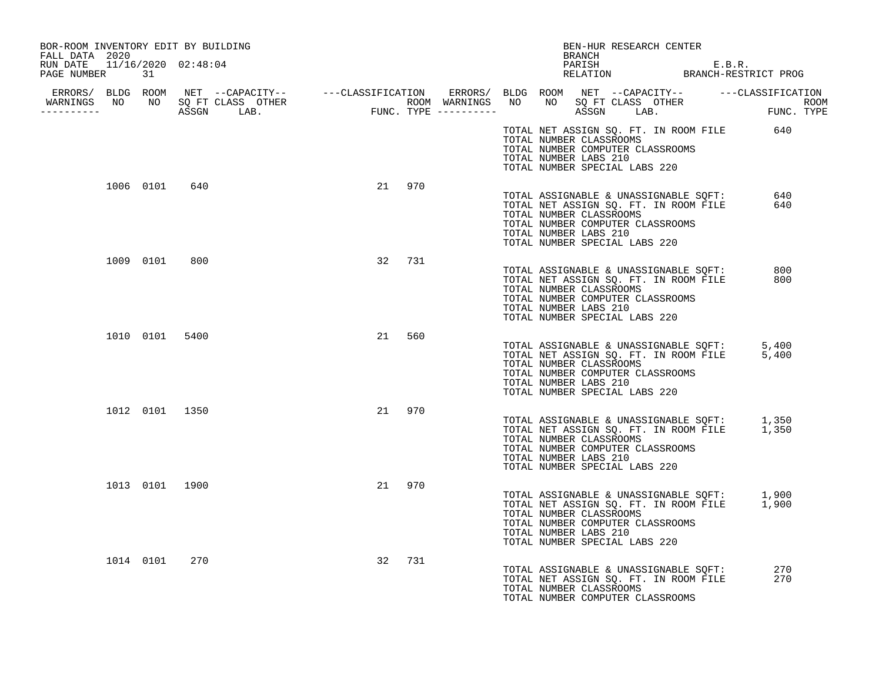| BOR-ROOM INVENTORY EDIT BY BUILDING<br>FALL DATA 2020 |                                  |           | BEN-HUR RESEARCH CENTER<br>BRANCH                                                                                                                                                                                   |            |
|-------------------------------------------------------|----------------------------------|-----------|---------------------------------------------------------------------------------------------------------------------------------------------------------------------------------------------------------------------|------------|
| RUN DATE 11/16/2020 02:48:04<br>PAGE NUMBER 31        |                                  |           | PARISH E.B.R.<br>RELATION BRANCH-RESTRICT PROG                                                                                                                                                                      |            |
| -----------                                           | WARNINGS NO NO SQ FT CLASS OTHER |           |                                                                                                                                                                                                                     |            |
|                                                       |                                  |           | TOTAL NET ASSIGN SQ. FT. IN ROOM FILE 640<br>TOTAL NUMBER CLASSROOMS<br>TOTAL NUMBER COMPUTER CLASSROOMS<br>TOTAL NUMBER LABS 210<br>TOTAL NUMBER SPECIAL LABS 220                                                  |            |
| 1006 0101                                             | 640                              | 21 970    | TOTAL ASSIGNABLE & UNASSIGNABLE SQFT: 640<br>TOTAL NET ASSIGN SQ. FT. IN ROOM FILE<br>TOTAL NUMBER CLASSROOMS<br>TOTAL NUMBER COMPUTER CLASSROOMS<br>TOTAL NUMBER LABS 210<br>TOTAL NUMBER SPECIAL LABS 220         | 640        |
| 1009 0101                                             | 800                              | 32 731    | TOTAL ASSIGNABLE & UNASSIGNABLE SQFT: 800<br>TOTAL NET ASSIGN SQ. FT. IN ROOM FILE<br>TOTAL NUMBER CLASSROOMS<br>TOTAL NUMBER COMPUTER CLASSROOMS<br>TOTAL NUMBER LABS 210<br>TOTAL NUMBER SPECIAL LABS 220         | 800        |
| 1010 0101 5400                                        |                                  | 560<br>21 | TOTAL ASSIGNABLE & UNASSIGNABLE SQFT: 5,400<br>TOTAL NET ASSIGN SQ. FT. IN ROOM FILE 5,400<br>TOTAL NUMBER CLASSROOMS<br>TOTAL NUMBER COMPUTER CLASSROOMS<br>TOTAL NUMBER LABS 210<br>TOTAL NUMBER SPECIAL LABS 220 |            |
| 1012 0101 1350                                        |                                  | 21 970    | TOTAL ASSIGNABLE & UNASSIGNABLE SQFT: 1,350<br>TOTAL NET ASSIGN SQ. FT. IN ROOM FILE 1,350<br>TOTAL NUMBER CLASSROOMS<br>TOTAL NUMBER COMPUTER CLASSROOMS<br>TOTAL NUMBER LABS 210<br>TOTAL NUMBER SPECIAL LABS 220 |            |
| 1013 0101 1900                                        |                                  | 21 970    | TOTAL ASSIGNABLE & UNASSIGNABLE SQFT: 1,900<br>TOTAL NET ASSIGN SQ. FT. IN ROOM FILE 1,900<br>TOTAL NUMBER CLASSROOMS<br>TOTAL NUMBER COMPUTER CLASSROOMS<br>TOTAL NUMBER LABS 210<br>TOTAL NUMBER SPECIAL LABS 220 |            |
| 1014 0101                                             | 270                              | 32 731    | TOTAL ASSIGNABLE & UNASSIGNABLE SQFT:<br>TOTAL NET ASSIGN SQ. FT. IN ROOM FILE<br>TOTAL NUMBER CLASSROOMS<br>TOTAL NUMBER COMPUTER CLASSROOMS                                                                       | 270<br>270 |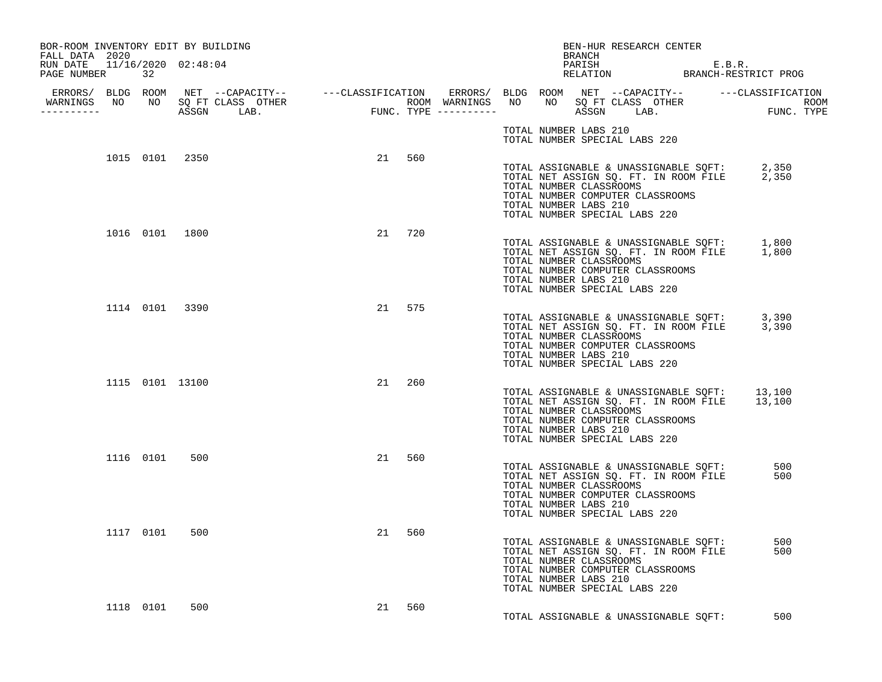| BOR-ROOM INVENTORY EDIT BY BUILDING<br>FALL DATA 2020<br>RUN DATE 11/16/2020 02:48:04 |           |                 |  |        |     |  |                       | BRANCH | BEN-HUR RESEARCH CENTER                                                                                                                                                                      | PARISH<br>PARISH E.B.R.<br>RELATION BRANCH-RESTRICT PROG |
|---------------------------------------------------------------------------------------|-----------|-----------------|--|--------|-----|--|-----------------------|--------|----------------------------------------------------------------------------------------------------------------------------------------------------------------------------------------------|----------------------------------------------------------|
| PAGE NUMBER 32                                                                        |           |                 |  |        |     |  |                       |        |                                                                                                                                                                                              |                                                          |
| <u> - - - - - - - - - - - -</u>                                                       |           |                 |  |        |     |  |                       |        |                                                                                                                                                                                              |                                                          |
|                                                                                       |           |                 |  |        |     |  | TOTAL NUMBER LABS 210 |        | TOTAL NUMBER SPECIAL LABS 220                                                                                                                                                                |                                                          |
|                                                                                       |           | 1015 0101 2350  |  | 21 560 |     |  | TOTAL NUMBER LABS 210 |        | TOTAL ASSIGNABLE & UNASSIGNABLE SQFT: 2,350<br>TOTAL NET ASSIGN SQ. FT. IN ROOM FILE 2,350<br>TOTAL NUMBER CLASSROOMS<br>TOTAL NUMBER COMPUTER CLASSROOMS<br>TOTAL NUMBER SPECIAL LABS 220   |                                                          |
|                                                                                       |           | 1016 0101 1800  |  | 21 720 |     |  | TOTAL NUMBER LABS 210 |        | TOTAL ASSIGNABLE & UNASSIGNABLE SQFT: 1,800<br>TOTAL NET ASSIGN SQ. FT. IN ROOM FILE 1,800<br>TOTAL NUMBER CLASSROOMS<br>TOTAL NUMBER COMPUTER CLASSROOMS<br>TOTAL NUMBER SPECIAL LABS 220   |                                                          |
|                                                                                       |           | 1114 0101 3390  |  | 21 575 |     |  | TOTAL NUMBER LABS 210 |        | TOTAL ASSIGNABLE & UNASSIGNABLE SQFT: 3,390<br>TOTAL NET ASSIGN SQ. FT. IN ROOM FILE 3,390<br>TOTAL NUMBER CLASSROOMS<br>TOTAL NUMBER COMPUTER CLASSROOMS<br>TOTAL NUMBER SPECIAL LABS 220   |                                                          |
|                                                                                       |           | 1115 0101 13100 |  | 21 260 |     |  | TOTAL NUMBER LABS 210 |        | TOTAL ASSIGNABLE & UNASSIGNABLE SQFT: 13,100<br>TOTAL NET ASSIGN SQ. FT. IN ROOM FILE 13,100<br>TOTAL NUMBER CLASSROOMS<br>TOTAL NUMBER COMPUTER CLASSROOMS<br>TOTAL NUMBER SPECIAL LABS 220 |                                                          |
|                                                                                       |           | 1116 0101 500   |  | 21 560 |     |  | TOTAL NUMBER LABS 210 |        | TOTAL ASSIGNABLE & UNASSIGNABLE SQFT:<br>TOTAL NET ASSIGN SQ. FT. IN ROOM FILE<br>TOTAL NUMBER CLASSROOMS<br>TOTAL NUMBER COMPUTER CLASSROOMS<br>TOTAL NUMBER SPECIAL LABS 220               | 500<br>500                                               |
|                                                                                       |           | 1117 0101 500   |  | 21     | 560 |  | TOTAL NUMBER LABS 210 |        | TOTAL ASSIGNABLE & UNASSIGNABLE SQFT:<br>TOTAL NET ASSIGN SQ. FT. IN ROOM FILE<br>TOTAL NUMBER CLASSROOMS<br>TOTAL NUMBER COMPUTER CLASSROOMS<br>TOTAL NUMBER SPECIAL LABS 220               | 500<br>500                                               |
|                                                                                       | 1118 0101 | 500             |  | 21     | 560 |  |                       |        | TOTAL ASSIGNABLE & UNASSIGNABLE SOFT:                                                                                                                                                        | 500                                                      |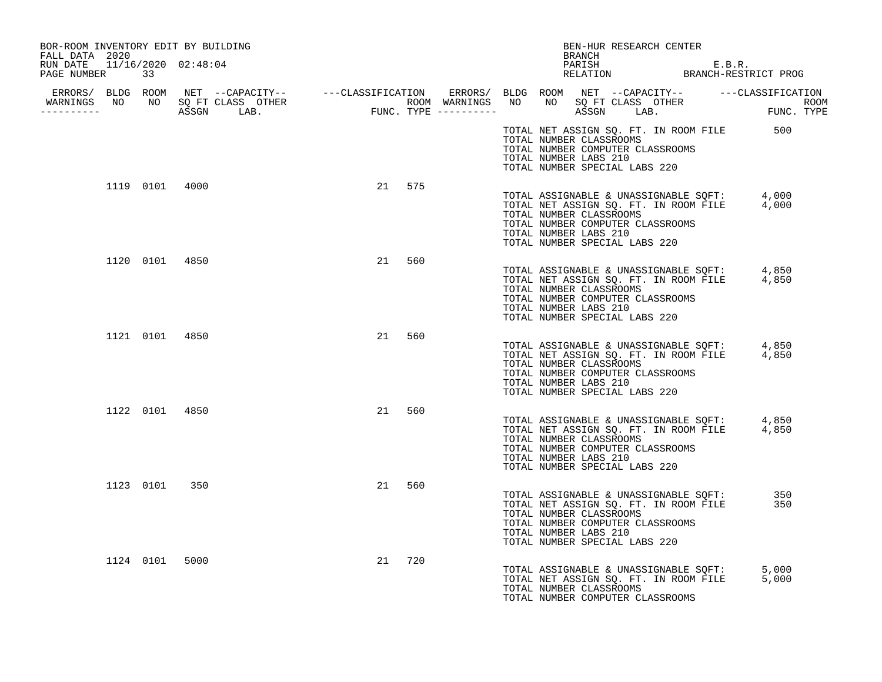| BOR-ROOM INVENTORY EDIT BY BUILDING<br>FALL DATA 2020 |                |    |        |  |                       | BEN-HUR RESEARCH CENTER<br><b>BRANCH</b>                                                     |                                                                                |                                                                                              |  |
|-------------------------------------------------------|----------------|----|--------|--|-----------------------|----------------------------------------------------------------------------------------------|--------------------------------------------------------------------------------|----------------------------------------------------------------------------------------------|--|
| RUN DATE  11/16/2020  02:48:04<br>PAGE NUMBER         | 33             |    |        |  |                       |                                                                                              |                                                                                | PARISH E.B.R.<br>RELATION BRANCH-RESTRICT PROG                                               |  |
| WARNINGS NO NO SQ FT CLASS OTHER<br>----------        |                |    |        |  |                       |                                                                                              |                                                                                |                                                                                              |  |
|                                                       |                |    |        |  | TOTAL NUMBER LABS 210 | TOTAL NUMBER CLASSROOMS<br>TOTAL NUMBER COMPUTER CLASSROOMS<br>TOTAL NUMBER SPECIAL LABS 220 |                                                                                | TOTAL NET ASSIGN SQ. FT. IN ROOM FILE 500                                                    |  |
|                                                       | 1119 0101 4000 |    | 21 575 |  | TOTAL NUMBER LABS 210 | TOTAL NUMBER CLASSROOMS<br>TOTAL NUMBER COMPUTER CLASSROOMS<br>TOTAL NUMBER SPECIAL LABS 220 |                                                                                | TOTAL ASSIGNABLE & UNASSIGNABLE SQFT: 4,000<br>TOTAL NET ASSIGN SQ. FT. IN ROOM FILE 4,000   |  |
|                                                       | 1120 0101 4850 | 21 | 560    |  | TOTAL NUMBER LABS 210 | TOTAL NUMBER CLASSROOMS<br>TOTAL NUMBER COMPUTER CLASSROOMS<br>TOTAL NUMBER SPECIAL LABS 220 |                                                                                | TOTAL ASSIGNABLE & UNASSIGNABLE SQFT: 4,850<br>TOTAL NET ASSIGN SQ. FT. IN ROOM FILE 4,850   |  |
|                                                       | 1121 0101 4850 | 21 | 560    |  | TOTAL NUMBER LABS 210 | TOTAL NUMBER CLASSROOMS<br>TOTAL NUMBER COMPUTER CLASSROOMS<br>TOTAL NUMBER SPECIAL LABS 220 |                                                                                | TOTAL ASSIGNABLE & UNASSIGNABLE SQFT: 4,850<br>TOTAL NET ASSIGN SQ. FT. IN ROOM FILE 4,850   |  |
|                                                       | 1122 0101 4850 | 21 | 560    |  | TOTAL NUMBER LABS 210 | TOTAL NUMBER CLASSROOMS<br>TOTAL NUMBER COMPUTER CLASSROOMS<br>TOTAL NUMBER SPECIAL LABS 220 |                                                                                | TOTAL ASSIGNABLE & UNASSIGNABLE SQFT: 4,850<br>TOTAL NET ASSIGN SQ. FT. IN ROOM FILE 4,850   |  |
|                                                       | 1123 0101 350  | 21 | 560    |  | TOTAL NUMBER LABS 210 | TOTAL NUMBER CLASSROOMS<br>TOTAL NUMBER COMPUTER CLASSROOMS<br>TOTAL NUMBER SPECIAL LABS 220 |                                                                                | TOTAL ASSIGNABLE & UNASSIGNABLE SOFT:<br>350<br>TOTAL NET ASSIGN SQ. FT. IN ROOM FILE<br>350 |  |
| 1124 0101                                             | 5000           |    | 21 720 |  |                       | TOTAL NUMBER CLASSROOMS<br>TOTAL NUMBER COMPUTER CLASSROOMS                                  | TOTAL ASSIGNABLE & UNASSIGNABLE SQFT:<br>TOTAL NET ASSIGN SQ. FT. IN ROOM FILE | 5,000<br>5,000                                                                               |  |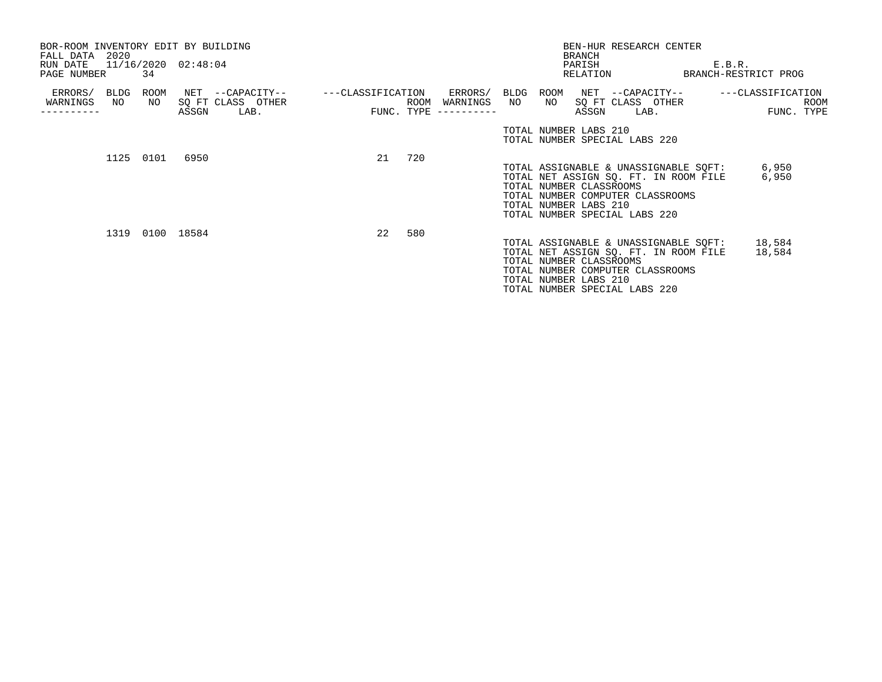| BOR-ROOM INVENTORY EDIT BY BUILDING<br>FALL DATA 2020<br>RUN DATE 11/16/2020 02:48:04<br>PAGE NUMBER | 34              |                                                    |                                |     |                                         |    | <b>BRANCH</b> | BEN-HUR RESEARCH CENTER<br>PARISH<br>RELATION                                                                                                                                                           |      | E.B.R.<br>BRANCH-RESTRICT PROG |                           |
|------------------------------------------------------------------------------------------------------|-----------------|----------------------------------------------------|--------------------------------|-----|-----------------------------------------|----|---------------|---------------------------------------------------------------------------------------------------------------------------------------------------------------------------------------------------------|------|--------------------------------|---------------------------|
| ERRORS/<br>BLDG<br>WARNINGS<br>NO                                                                    | NO<br>ASSGN     | ROOM NET --CAPACITY--<br>SO FT CLASS OTHER<br>LAB. | ---CLASSIFICATION ERRORS/ BLDG |     | ROOM WARNINGS<br>$FUNC. TYPE$ --------- | NO | NO            | ROOM NET --CAPACITY--<br>SO FT CLASS OTHER<br>ASSGN                                                                                                                                                     | LAB. | ---CLASSIFICATION              | <b>ROOM</b><br>FUNC. TYPE |
|                                                                                                      |                 |                                                    |                                |     |                                         |    |               | TOTAL NUMBER LABS 210<br>TOTAL NUMBER SPECIAL LABS 220                                                                                                                                                  |      |                                |                           |
| 1125 0101                                                                                            | 6950            |                                                    | 21                             | 720 |                                         |    |               | TOTAL ASSIGNABLE & UNASSIGNABLE SQFT:<br>TOTAL NET ASSIGN SQ. FT. IN ROOM FILE<br>TOTAL NUMBER CLASSROOMS<br>TOTAL NUMBER COMPUTER CLASSROOMS<br>TOTAL NUMBER LABS 210<br>TOTAL NUMBER SPECIAL LABS 220 |      | 6,950<br>6,950                 |                           |
|                                                                                                      | 1319 0100 18584 |                                                    | 22                             | 580 |                                         |    |               | TOTAL ASSIGNABLE & UNASSIGNABLE SQFT:<br>TOTAL NET ASSIGN SQ. FT. IN ROOM FILE<br>TOTAL NUMBER CLASSROOMS<br>TOTAL NUMBER COMPUTER CLASSROOMS<br>TOTAL NUMBER LABS 210<br>TOTAL NUMBER SPECIAL LABS 220 |      | 18,584<br>18,584               |                           |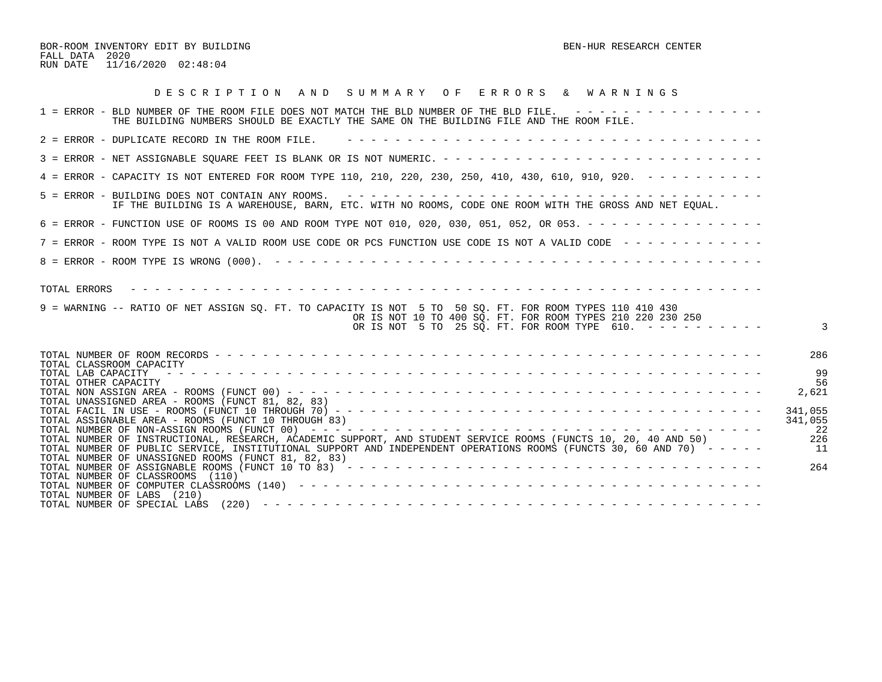BOR-ROOM INVENTORY EDIT BY BUILDING BEN-HUR RESEARCH CENTER FALL DATA 2020 RUN DATE 11/16/2020 02:48:04

| DESCRIPTION AND SUMMARY OF ERRORS & WARNINGS                                                                                                                                                                                                               |                           |
|------------------------------------------------------------------------------------------------------------------------------------------------------------------------------------------------------------------------------------------------------------|---------------------------|
| 1 = ERROR - BLD NUMBER OF THE ROOM FILE DOES NOT MATCH THE BLD NUMBER OF THE BLD FILE. ----------------<br>THE BUILDING NUMBERS SHOULD BE EXACTLY THE SAME ON THE BUILDING FILE AND THE ROOM FILE.                                                         |                           |
| 2 = ERROR - DUPLICATE RECORD IN THE ROOM FILE.                                                                                                                                                                                                             |                           |
|                                                                                                                                                                                                                                                            |                           |
| 4 = ERROR - CAPACITY IS NOT ENTERED FOR ROOM TYPE 110, 210, 220, 230, 250, 410, 430, 610, 910, 920. - - - - - - - - -                                                                                                                                      |                           |
| IF THE BUILDING IS A WAREHOUSE, BARN, ETC. WITH NO ROOMS, CODE ONE ROOM WITH THE GROSS AND NET EQUAL.                                                                                                                                                      |                           |
| 6 = ERROR - FUNCTION USE OF ROOMS IS 00 AND ROOM TYPE NOT 010, 020, 030, 051, 052, OR 053. - - - - - - - - - - - - - - -                                                                                                                                   |                           |
| 7 = ERROR - ROOM TYPE IS NOT A VALID ROOM USE CODE OR PCS FUNCTION USE CODE IS NOT A VALID CODE ------------                                                                                                                                               |                           |
|                                                                                                                                                                                                                                                            |                           |
| TOTAL ERRORS<br>9 = WARNING -- RATIO OF NET ASSIGN SO. FT. TO CAPACITY IS NOT 5 TO 50 SO. FT. FOR ROOM TYPES 110 410 430<br>OR IS NOT 10 TO 400 SQ. FT. FOR ROOM TYPES 210 220 230 250<br>OR IS NOT 5 TO 25 SQ. FT. FOR ROOM TYPE 610. $- - - - - - - - -$ |                           |
| TOTAL CLASSROOM CAPACITY                                                                                                                                                                                                                                   | 286                       |
| TOTAL LAB CAPACITY<br>TOTAL OTHER CAPACITY                                                                                                                                                                                                                 | 9 S<br>56                 |
| TOTAL UNASSIGNED AREA - ROOMS (FUNCT 81, 82, 83)                                                                                                                                                                                                           | 2,621                     |
| TOTAL ASSIGNABLE AREA - ROOMS (FUNCT 10 THROUGH 83)                                                                                                                                                                                                        | 341,055<br>341,055<br>-22 |
| TOTAL NUMBER OF INSTRUCTIONAL, RESEARCH, ACADEMIC SUPPORT, AND STUDENT SERVICE ROOMS (FUNCTS 10, 20, 40 AND 50)                                                                                                                                            | 226                       |
| TOTAL NUMBER OF PUBLIC SERVICE, INSTITUTIONAL SUPPORT AND INDEPENDENT OPERATIONS ROOMS (FUNCTS 30, 60 AND 70) -----<br>TOTAL NUMBER OF UNASSIGNED ROOMS (FUNCT 81, 82, 83)                                                                                 | 11                        |
| TOTAL NUMBER OF ASSIGNABLE ROOMS (FUNCT 10 TO 83) $- - - - - - - - - - - - - - - - - - - - - - - - - - - - - - - - - - - -$<br>TOTAL NUMBER OF CLASSROOMS (110)                                                                                            | 264                       |
| TOTAL NUMBER OF LABS (210)                                                                                                                                                                                                                                 |                           |
|                                                                                                                                                                                                                                                            |                           |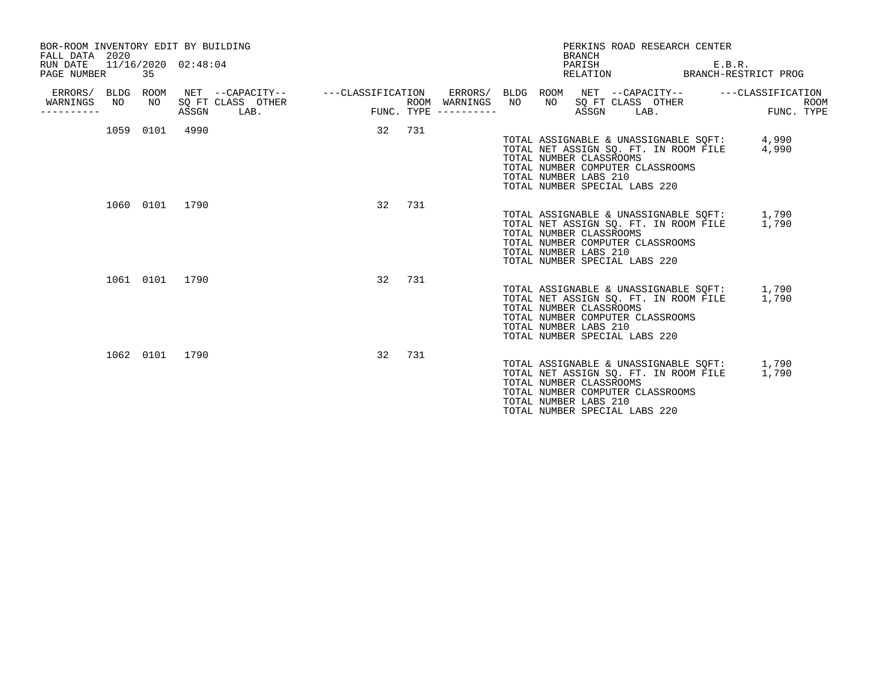| FALL DATA 2020<br>RUN DATE<br>PAGE NUMBER         | 35             | BOR-ROOM INVENTORY EDIT BY BUILDING<br>11/16/2020 02:48:04 |                                                    | PERKINS ROAD RESEARCH CENTER<br><b>BRANCH</b><br>PARISH                                                                                                                                                             | E.B.R.<br>BRANCH-RESTRICT PROG |
|---------------------------------------------------|----------------|------------------------------------------------------------|----------------------------------------------------|---------------------------------------------------------------------------------------------------------------------------------------------------------------------------------------------------------------------|--------------------------------|
| ERRORS/ BLDG ROOM<br>WARNINGS<br>N()<br>--------- | NO             | SQ FT CLASS OTHER<br>ASSGN<br>LAB.                         | FUNC<br>ROOM WARNINGS NO<br>$FUNC. TYPE$ --------- | ERRORS/ BLDG ROOM NET --CAPACITY-- ----CLASSIFICATION<br>NO 11                                                                                                                                                      | ROOM<br>FUNC. TYPE             |
|                                                   | 1059 0101      | 4990                                                       | 32 731                                             | TOTAL ASSIGNABLE & UNASSIGNABLE SQFT: 4,990<br>TOTAL NET ASSIGN SQ. FT. IN ROOM FILE 4,990<br>TOTAL NUMBER CLASSROOMS<br>TOTAL NUMBER COMPUTER CLASSROOMS<br>TOTAL NUMBER LABS 210<br>TOTAL NUMBER SPECIAL LABS 220 |                                |
|                                                   | 1060 0101 1790 |                                                            | 32<br>731                                          | TOTAL ASSIGNABLE & UNASSIGNABLE SQFT: 1,790<br>TOTAL NET ASSIGN SQ. FT. IN ROOM FILE 1,790<br>TOTAL NUMBER CLASSROOMS<br>TOTAL NUMBER COMPUTER CLASSROOMS<br>TOTAL NUMBER LABS 210<br>TOTAL NUMBER SPECIAL LABS 220 |                                |
|                                                   | 1061 0101 1790 |                                                            | 32<br>731                                          | TOTAL ASSIGNABLE & UNASSIGNABLE SOFT: 1,790<br>TOTAL NET ASSIGN SQ. FT. IN ROOM FILE<br>TOTAL NUMBER CLASSROOMS<br>TOTAL NUMBER COMPUTER CLASSROOMS<br>TOTAL NUMBER LABS 210<br>TOTAL NUMBER SPECIAL LABS 220       | 1,790                          |
|                                                   | 1062 0101 1790 |                                                            | 32<br>731                                          | TOTAL ASSIGNABLE & UNASSIGNABLE SOFT: 1,790<br>TOTAL NET ASSIGN SQ. FT. IN ROOM FILE<br>TOTAL NUMBER CLASSROOMS<br>TOTAL NUMBER COMPUTER CLASSROOMS<br>TOTAL NUMBER LABS 210<br>TOTAL NUMBER SPECIAL LABS 220       | 1,790                          |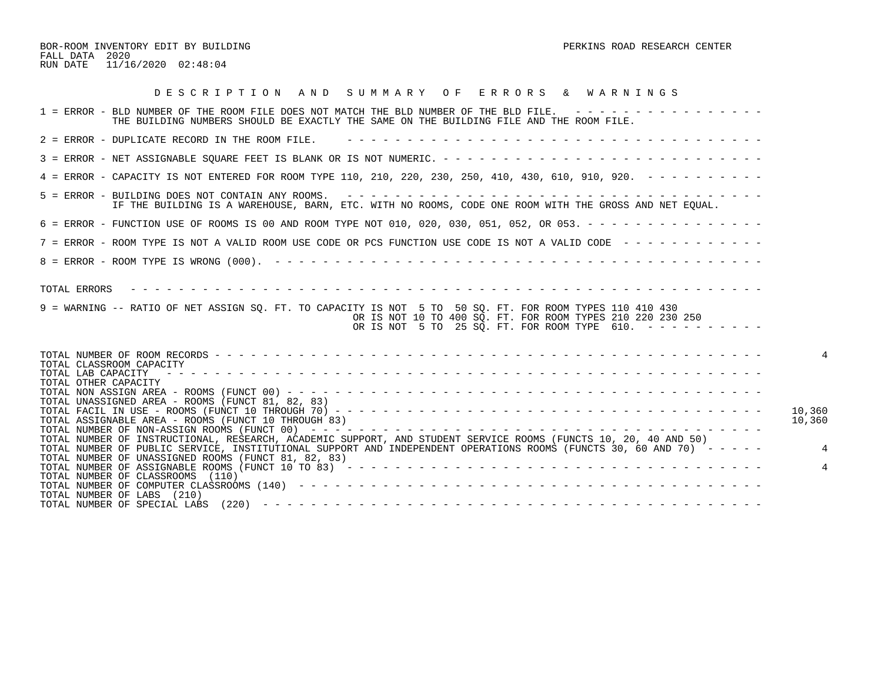BOR-ROOM INVENTORY EDIT BY BUILDING PERKINS ROAD RESEARCH CENTER FALL DATA 2020 RUN DATE 11/16/2020 02:48:04

| DESCRIPTION AND SUMMARY OF ERRORS & WARNINGS                                                                                                                                                                                                                                                              |        |
|-----------------------------------------------------------------------------------------------------------------------------------------------------------------------------------------------------------------------------------------------------------------------------------------------------------|--------|
| 1 = ERROR - BLD NUMBER OF THE ROOM FILE DOES NOT MATCH THE BLD NUMBER OF THE BLD FILE. ----------------<br>THE BUILDING NUMBERS SHOULD BE EXACTLY THE SAME ON THE BUILDING FILE AND THE ROOM FILE.                                                                                                        |        |
| 2 = ERROR - DUPLICATE RECORD IN THE ROOM FILE.                                                                                                                                                                                                                                                            |        |
|                                                                                                                                                                                                                                                                                                           |        |
| 4 = ERROR - CAPACITY IS NOT ENTERED FOR ROOM TYPE 110, 210, 220, 230, 250, 410, 430, 610, 910, 920. - - - - - - - - -                                                                                                                                                                                     |        |
| IF THE BUILDING IS A WAREHOUSE, BARN, ETC. WITH NO ROOMS, CODE ONE ROOM WITH THE GROSS AND NET EQUAL.                                                                                                                                                                                                     |        |
| 6 = ERROR - FUNCTION USE OF ROOMS IS 00 AND ROOM TYPE NOT 010, 020, 030, 051, 052, OR 053. - - - - - - - - - - - - - - -                                                                                                                                                                                  |        |
| 7 = ERROR - ROOM TYPE IS NOT A VALID ROOM USE CODE OR PCS FUNCTION USE CODE IS NOT A VALID CODE - - - - - - - - - - - -                                                                                                                                                                                   |        |
|                                                                                                                                                                                                                                                                                                           |        |
| 9 = WARNING -- RATIO OF NET ASSIGN SQ. FT. TO CAPACITY IS NOT 5 TO 50 SQ. FT. FOR ROOM TYPES 110 410 430<br>OR IS NOT 10 TO 400 SQ. FT. FOR ROOM TYPES 210 220 230 250<br>OR IS NOT 5 TO 25 SQ. FT. FOR ROOM TYPE 610. $- - - - - - - - - - -$                                                            |        |
| TOTAL CLASSROOM CAPACITY<br>TOTAL LAB CAPACITY<br>TOTAL OTHER CAPACITY<br>TOTAL UNASSIGNED AREA - ROOMS (FUNCT 81, 82, 83)                                                                                                                                                                                | 10,360 |
| TOTAL ASSIGNABLE AREA - ROOMS (FUNCT 10 THROUGH 83)<br>TOTAL NUMBER OF INSTRUCTIONAL, RESEARCH, ACADEMIC SUPPORT, AND STUDENT SERVICE ROOMS (FUNCTS 10, 20, 40 AND 50)                                                                                                                                    | 10,360 |
| TOTAL NUMBER OF PUBLIC SERVICE, INSTITUTIONAL SUPPORT AND INDEPENDENT OPERATIONS ROOMS (FUNCTS 30, 60 AND 70) -----<br>TOTAL NUMBER OF UNASSIGNED ROOMS (FUNCT 81, 82, 83)<br>TOTAL NUMBER OF ASSIGNABLE ROOMS (FUNCT 10 TO 83) $- - - - - - - - - - - - - - - - - - - - - - - - - - - - - - - - - - - -$ |        |
| TOTAL NUMBER OF CLASSROOMS (110)<br>TOTAL NUMBER OF LABS (210)<br>TOTAL NUMBER OF SPECIAL LABS                                                                                                                                                                                                            |        |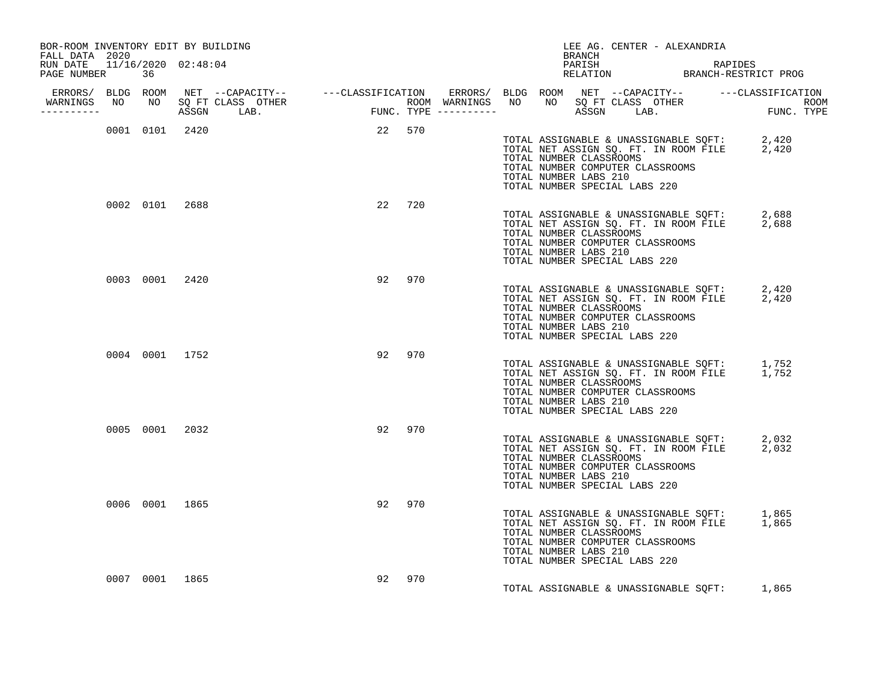| BOR-ROOM INVENTORY EDIT BY BUILDING<br>FALL DATA 2020 |  |                |                |        |        |     | BRANCH                                                                                                                | LEE AG. CENTER - ALEXANDRIA |                                                                                            |  |
|-------------------------------------------------------|--|----------------|----------------|--------|--------|-----|-----------------------------------------------------------------------------------------------------------------------|-----------------------------|--------------------------------------------------------------------------------------------|--|
| RUN DATE 11/16/2020 02:48:04<br>PAGE NUMBER 36        |  |                |                |        |        |     |                                                                                                                       |                             | PARISH RAPIDES<br>RELATION BRANCH-RESTRICT PROG                                            |  |
| -----------                                           |  |                |                |        |        |     |                                                                                                                       |                             |                                                                                            |  |
|                                                       |  |                | 0001 0101 2420 | 22 570 |        |     | TOTAL NUMBER CLASSROOMS<br>TOTAL NUMBER COMPUTER CLASSROOMS<br>TOTAL NUMBER LABS 210<br>TOTAL NUMBER SPECIAL LABS 220 |                             | TOTAL ASSIGNABLE & UNASSIGNABLE SQFT: 2,420<br>TOTAL NET ASSIGN SQ. FT. IN ROOM FILE 2,420 |  |
|                                                       |  | 0002 0101 2688 |                |        | 22 720 |     | TOTAL NUMBER CLASSROOMS<br>TOTAL NUMBER COMPUTER CLASSROOMS<br>TOTAL NUMBER LABS 210<br>TOTAL NUMBER SPECIAL LABS 220 |                             | TOTAL ASSIGNABLE & UNASSIGNABLE SQFT: 2,688<br>TOTAL NET ASSIGN SQ. FT. IN ROOM FILE 2,688 |  |
|                                                       |  | 0003 0001 2420 |                |        | 92 970 |     | TOTAL NUMBER CLASSROOMS<br>TOTAL NUMBER COMPUTER CLASSROOMS<br>TOTAL NUMBER LABS 210<br>TOTAL NUMBER SPECIAL LABS 220 |                             | TOTAL ASSIGNABLE & UNASSIGNABLE SQFT: 2,420<br>TOTAL NET ASSIGN SQ. FT. IN ROOM FILE 2,420 |  |
|                                                       |  | 0004 0001 1752 |                |        | 92 970 |     | TOTAL NUMBER CLASSROOMS<br>TOTAL NUMBER COMPUTER CLASSROOMS<br>TOTAL NUMBER LABS 210<br>TOTAL NUMBER SPECIAL LABS 220 |                             | TOTAL ASSIGNABLE & UNASSIGNABLE SQFT: 1,752<br>TOTAL NET ASSIGN SQ. FT. IN ROOM FILE 1,752 |  |
|                                                       |  | 0005 0001 2032 |                |        | 92 970 |     | TOTAL NUMBER CLASSROOMS<br>TOTAL NUMBER COMPUTER CLASSROOMS<br>TOTAL NUMBER LABS 210<br>TOTAL NUMBER SPECIAL LABS 220 |                             | TOTAL ASSIGNABLE & UNASSIGNABLE SQFT: 2,032<br>TOTAL NET ASSIGN SQ. FT. IN ROOM FILE 2,032 |  |
|                                                       |  | 0006 0001 1865 |                |        | 92 970 |     | TOTAL NUMBER CLASSROOMS<br>TOTAL NUMBER COMPUTER CLASSROOMS<br>TOTAL NUMBER LABS 210<br>TOTAL NUMBER SPECIAL LABS 220 |                             | TOTAL ASSIGNABLE & UNASSIGNABLE SQFT: 1,865<br>TOTAL NET ASSIGN SQ. FT. IN ROOM FILE 1,865 |  |
|                                                       |  | 0007 0001 1865 |                | 92     |        | 970 |                                                                                                                       |                             | TOTAL ASSIGNABLE & UNASSIGNABLE SQFT: 1,865                                                |  |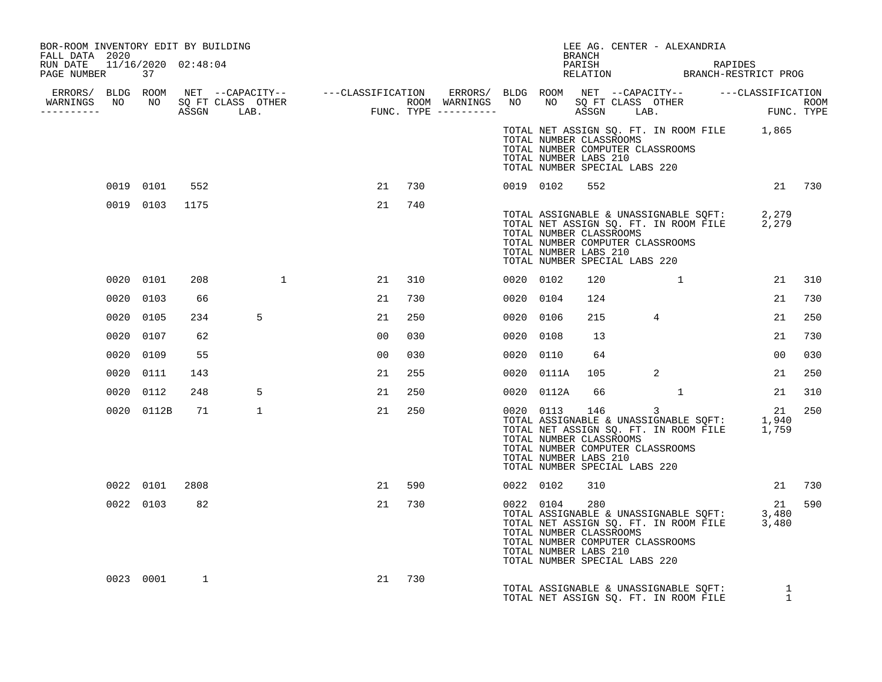| BOR-ROOM INVENTORY EDIT BY BUILDING<br>FALL DATA 2020 |           |                |              |              |                |     |  |                                                                                                                                    | BRANCH |                            |              | LEE AG. CENTER - ALEXANDRIA |                                                                                                   |                |     |
|-------------------------------------------------------|-----------|----------------|--------------|--------------|----------------|-----|--|------------------------------------------------------------------------------------------------------------------------------------|--------|----------------------------|--------------|-----------------------------|---------------------------------------------------------------------------------------------------|----------------|-----|
| RUN DATE 11/16/2020 02:48:04<br>PAGE NUMBER 37        |           |                |              |              |                |     |  |                                                                                                                                    |        |                            |              |                             | PARISH RAPIDES<br>RELATION BRANCH-RESTRICT PROG                                                   |                |     |
|                                                       |           |                |              |              |                |     |  |                                                                                                                                    |        |                            |              |                             |                                                                                                   |                |     |
|                                                       |           |                |              |              |                |     |  |                                                                                                                                    |        |                            |              |                             |                                                                                                   |                |     |
|                                                       |           |                |              |              |                |     |  | TOTAL NUMBER CLASSROOMS<br>TOTAL NUMBER COMPUTER CLASSROOMS<br>TOTAL NUMBER LABS 210<br>TOTAL NUMBER SPECIAL LABS 220              |        |                            |              |                             | TOTAL NET ASSIGN SQ. FT. IN ROOM FILE 1,865                                                       |                |     |
|                                                       |           | 0019 0101      | 552          |              | 21             | 730 |  | 0019 0102                                                                                                                          | 552    |                            |              |                             |                                                                                                   | 21 730         |     |
|                                                       |           | 0019 0103 1175 |              |              | 21             | 740 |  | TOTAL NUMBER CLASSROOMS<br>TOTAL NUMBER COMPUTER CLASSROOMS<br>TOTAL NUMBER LABS 210<br>TOTAL NUMBER SPECIAL LABS 220              |        |                            |              |                             | TOTAL ASSIGNABLE & UNASSIGNABLE SQFT: 2,279<br>TOTAL NET ASSIGN SQ. FT. IN ROOM FILE 2,279        |                |     |
|                                                       |           | 0020 0101      | 208          | $\sim$ 1     | 21             | 310 |  | 0020 0102                                                                                                                          | 120    |                            | $1 \quad 1$  |                             |                                                                                                   | 21             | 310 |
|                                                       | 0020 0103 |                | 66           |              | 21             | 730 |  | 0020 0104                                                                                                                          | 124    |                            |              |                             |                                                                                                   | 21             | 730 |
|                                                       | 0020 0105 |                | 234          | 5            | 21             | 250 |  | 0020 0106                                                                                                                          | 215    | $\overline{4}$             |              |                             |                                                                                                   | 21             | 250 |
|                                                       | 0020 0107 |                | 62           |              | 00             | 030 |  | 0020 0108                                                                                                                          | 13     |                            |              |                             |                                                                                                   | 21             | 730 |
|                                                       | 0020 0109 |                | 55           |              | 0 <sub>0</sub> | 030 |  | 0020 0110                                                                                                                          | 64     |                            |              |                             |                                                                                                   | 0 <sub>0</sub> | 030 |
|                                                       | 0020 0111 |                | 143          |              | 21             | 255 |  | 0020 0111A                                                                                                                         | 105    |                            | 2            |                             |                                                                                                   | 21             | 250 |
|                                                       |           | 0020 0112      | 248          | 5            | 21             | 250 |  | 0020 0112A                                                                                                                         | 66     |                            | $\mathbf{1}$ |                             |                                                                                                   | 21             | 310 |
|                                                       |           | 0020 0112B     | 71           | $\mathbf{1}$ | 21             | 250 |  | 0020 0113<br>TOTAL NUMBER CLASSROOMS<br>TOTAL NUMBER COMPUTER CLASSROOMS<br>TOTAL NUMBER LABS 210<br>TOTAL NUMBER SPECIAL LABS 220 | 146    | $\overline{\phantom{a}}$ 3 |              |                             | 140<br>TOTAL ASSIGNABLE & UNASSIGNABLE SQFT: 1,940<br>TOTAL NET ASSIGN SQ. FT. IN ROOM FILE 1,759 | 21             | 250 |
|                                                       |           | 0022 0101      | 2808         |              | 21             | 590 |  | 0022 0102                                                                                                                          | 310    |                            |              |                             |                                                                                                   | 21 730         |     |
|                                                       |           | 0022 0103      | 82           |              | 21             | 730 |  | 0022 0104<br>TOTAL NUMBER CLASSROOMS<br>TOTAL NUMBER COMPUTER CLASSROOMS<br>TOTAL NUMBER LABS 210<br>TOTAL NUMBER SPECIAL LABS 220 | 280    |                            |              |                             | TOTAL ASSIGNABLE & UNASSIGNABLE SQFT: 3,480<br>TOTAL NET ASSIGN SQ. FT. IN ROOM FILE 3,480        | 21             | 590 |
|                                                       |           | 0023 0001      | $\mathbf{1}$ |              | 21             | 730 |  |                                                                                                                                    |        |                            |              |                             | TOTAL ASSIGNABLE & UNASSIGNABLE SQFT: 1<br>TOTAL NET ASSIGN SQ. FT. IN ROOM FILE 1                |                |     |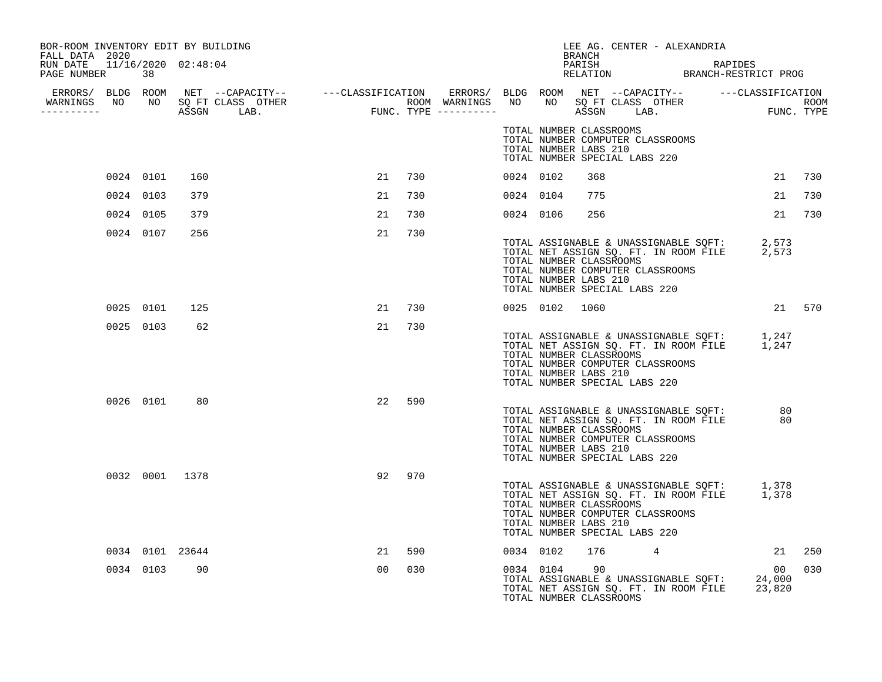| BOR-ROOM INVENTORY EDIT BY BUILDING<br>FALL DATA 2020 |           |                 |                |        |           |                                                  | BRANCH | LEE AG. CENTER - ALEXANDRIA                                                                                                                                                                |        |                |      |
|-------------------------------------------------------|-----------|-----------------|----------------|--------|-----------|--------------------------------------------------|--------|--------------------------------------------------------------------------------------------------------------------------------------------------------------------------------------------|--------|----------------|------|
| RUN DATE 11/16/2020 02:48:04<br>PAGE NUMBER 38        |           |                 |                |        |           |                                                  |        | PARISH RAPIDES<br>RELATION BRANCH-RESTRICT PROG                                                                                                                                            |        |                |      |
| WARNINGS NO NO SQ FT CLASS OTHER<br>----------        |           |                 |                |        |           |                                                  |        |                                                                                                                                                                                            |        |                |      |
|                                                       |           |                 |                |        |           | TOTAL NUMBER LABS 210                            |        | TOTAL NUMBER CLASSROOMS<br>TOTAL NUMBER COMPUTER CLASSROOMS<br>TOTAL NUMBER SPECIAL LABS 220                                                                                               |        |                |      |
|                                                       | 0024 0101 | 160             | 21             | 730    | 0024 0102 |                                                  | 368    |                                                                                                                                                                                            |        | 21 730         |      |
|                                                       | 0024 0103 | 379             | 21             | 730    | 0024 0104 |                                                  | 775    |                                                                                                                                                                                            |        | 21             | 730  |
|                                                       | 0024 0105 | 379             | 21             | 730    | 0024 0106 |                                                  | 256    |                                                                                                                                                                                            |        | 21 730         |      |
|                                                       | 0024 0107 | 256             | 21             | 730    |           | TOTAL NUMBER LABS 210                            |        | TOTAL ASSIGNABLE & UNASSIGNABLE SQFT: 2,573<br>TOTAL NET ASSIGN SQ. FT. IN ROOM FILE 2,573<br>TOTAL NUMBER CLASSROOMS<br>TOTAL NUMBER COMPUTER CLASSROOMS<br>TOTAL NUMBER SPECIAL LABS 220 |        |                |      |
|                                                       | 0025 0101 | 125             | 21             | 730    |           | 0025 0102 1060                                   |        |                                                                                                                                                                                            | 21 570 |                |      |
|                                                       | 0025 0103 | 62              |                | 21 730 |           | TOTAL NUMBER LABS 210                            |        | TOTAL ASSIGNABLE & UNASSIGNABLE SQFT: 1,247<br>TOTAL NET ASSIGN SQ. FT. IN ROOM FILE 1,247<br>TOTAL NUMBER CLASSROOMS<br>TOTAL NUMBER COMPUTER CLASSROOMS<br>TOTAL NUMBER SPECIAL LABS 220 |        |                |      |
|                                                       |           | 0026 0101 80    | 22             | 590    |           | TOTAL NUMBER LABS 210                            |        | TOTAL ASSIGNABLE & UNASSIGNABLE SQFT: 30<br>TOTAL NET ASSIGN SQ. FT. IN ROOM FILE 80<br>TOTAL NUMBER CLASSROOMS<br>TOTAL NUMBER COMPUTER CLASSROOMS<br>TOTAL NUMBER SPECIAL LABS 220       |        |                |      |
|                                                       |           | 0032 0001 1378  |                | 92 970 |           | TOTAL NUMBER CLASSROOMS<br>TOTAL NUMBER LABS 210 |        | TOTAL ASSIGNABLE & UNASSIGNABLE SQFT: 1,378<br>TOTAL NET ASSIGN SQ. FT. IN ROOM FILE 1,378<br>TOTAL NUMBER COMPUTER CLASSROOMS<br>TOTAL NUMBER SPECIAL LABS 220                            |        |                |      |
|                                                       |           | 0034 0101 23644 | 21             | 590    |           | 0034 0102                                        |        | 176 — 176<br>4                                                                                                                                                                             |        | 21 250         |      |
|                                                       | 0034 0103 | 90              | 0 <sub>0</sub> | 030    |           | 0034 0104 90<br>TOTAL NUMBER CLASSROOMS          |        | TOTAL ASSIGNABLE & UNASSIGNABLE SOFT: 24,000<br>TOTAL NET ASSIGN SQ. FT. IN ROOM FILE 23,820                                                                                               |        | 0 <sub>0</sub> | 0.30 |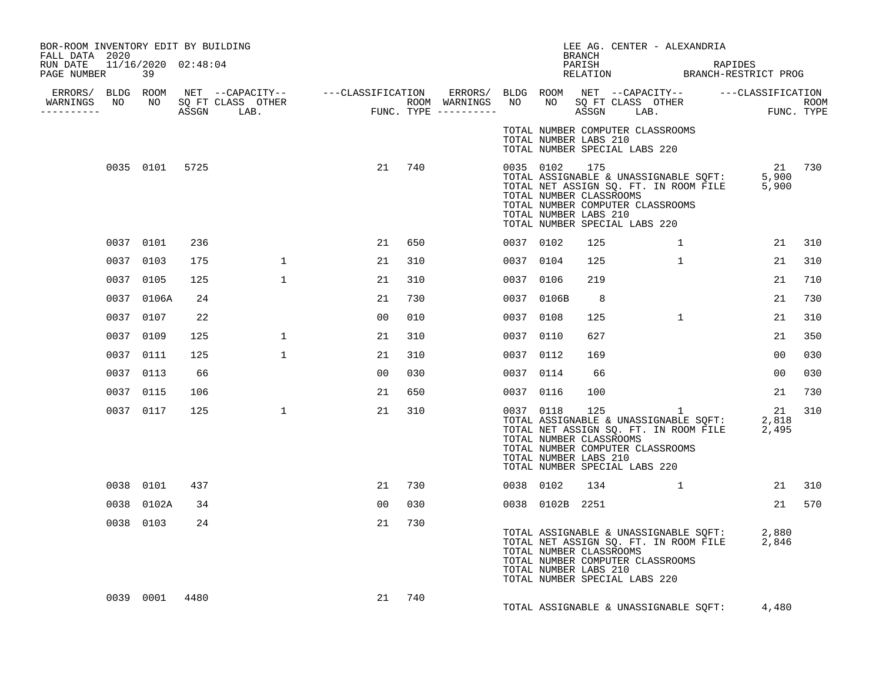| BOR-ROOM INVENTORY EDIT BY BUILDING<br>FALL DATA 2020 |            |                |              |                |        |           |                 | BRANCH                                           | LEE AG. CENTER - ALEXANDRIA                                                                                                                                                                                                                               |        |        |
|-------------------------------------------------------|------------|----------------|--------------|----------------|--------|-----------|-----------------|--------------------------------------------------|-----------------------------------------------------------------------------------------------------------------------------------------------------------------------------------------------------------------------------------------------------------|--------|--------|
| RUN DATE  11/16/2020  02:48:04<br>PAGE NUMBER         | 39         |                |              |                |        |           |                 |                                                  | PARISH RAPIDES<br>RELATION BRANCH-RESTRICT PROG                                                                                                                                                                                                           |        |        |
| -----------                                           |            |                |              |                |        |           |                 |                                                  |                                                                                                                                                                                                                                                           |        |        |
|                                                       |            |                |              |                |        |           |                 | TOTAL NUMBER LABS 210                            | TOTAL NUMBER COMPUTER CLASSROOMS<br>TOTAL NUMBER SPECIAL LABS 220                                                                                                                                                                                         |        |        |
|                                                       |            | 0035 0101 5725 |              |                | 21 740 |           | 0035 0102 175   | TOTAL NUMBER CLASSROOMS<br>TOTAL NUMBER LABS 210 | 21 0035 0102 175<br>TOTAL ASSIGNABLE & UNASSIGNABLE SQFT: 5,900<br>TOTAL NET ASSIGN SQ. FT. IN ROOM FILE 5,900<br>TOTAL NUMBER COMPUTER CLASSROOMS<br>TOTAL NUMBER SPECIAL LABS 220                                                                       | 21 730 |        |
|                                                       | 0037 0101  | 236            |              | 21             | 650    | 0037 0102 |                 | 125                                              | 1                                                                                                                                                                                                                                                         | 21     | 310    |
|                                                       | 0037 0103  | 175            | $\mathbf{1}$ | 21             | 310    | 0037 0104 |                 | 125                                              | $\mathbf{1}$                                                                                                                                                                                                                                              | 21     | 310    |
|                                                       | 0037 0105  | 125            | $\mathbf{1}$ | 21             | 310    | 0037 0106 |                 | 219                                              |                                                                                                                                                                                                                                                           | 21     | 710    |
|                                                       | 0037 0106A | 24             |              | 21             | 730    |           | 0037 0106B      | 8 <sup>8</sup>                                   |                                                                                                                                                                                                                                                           | 21     | 730    |
|                                                       | 0037 0107  | 22             |              | 00             | 010    | 0037 0108 |                 | 125                                              | $\mathbf{1}$                                                                                                                                                                                                                                              | 21     | 310    |
|                                                       | 0037 0109  | 125            | $\mathbf{1}$ | 21             | 310    | 0037 0110 |                 | 627                                              |                                                                                                                                                                                                                                                           | 21     | 350    |
|                                                       | 0037 0111  | 125            | $\mathbf{1}$ | 21             | 310    | 0037 0112 |                 | 169                                              |                                                                                                                                                                                                                                                           | 00     | 030    |
|                                                       | 0037 0113  | 66             |              | 0 <sub>0</sub> | 030    | 0037 0114 |                 | 66                                               |                                                                                                                                                                                                                                                           | 00     | 030    |
|                                                       | 0037 0115  | 106            |              | 21             | 650    | 0037 0116 |                 | 100                                              |                                                                                                                                                                                                                                                           | 21     | 730    |
|                                                       | 0037 0117  | 125            | $\mathbf{1}$ | 21             | 310    |           |                 | TOTAL NUMBER CLASSROOMS<br>TOTAL NUMBER LABS 210 | $\begin{array}{cccc} 0037 & 0118 & 125 & 1 & 21 \\ \text{TOTAL ASSIGNABLE & UNASSIGNABLE} & \text{SQFT:} & 2,818 \\ \text{TOTAL NET ASSIGN SG. FT. IN ROM FILE} & 2,495 \end{array}$<br>TOTAL NUMBER COMPUTER CLASSROOMS<br>TOTAL NUMBER SPECIAL LABS 220 | 21     | 310    |
|                                                       | 0038 0101  | 437            |              | 21             | 730    | 0038 0102 |                 |                                                  | 134 1                                                                                                                                                                                                                                                     |        | 21 310 |
|                                                       | 0038 0102A | 34             |              | 00             | 030    |           | 0038 0102B 2251 |                                                  |                                                                                                                                                                                                                                                           |        | 21 570 |
|                                                       | 0038 0103  | 24             |              | 21             | 730    |           |                 | TOTAL NUMBER CLASSROOMS<br>TOTAL NUMBER LABS 210 | TOTAL ASSIGNABLE & UNASSIGNABLE SQFT: 2,880<br>TOTAL NET ASSIGN SQ. FT. IN ROOM FILE 2,846<br>TOTAL NUMBER COMPUTER CLASSROOMS<br>TOTAL NUMBER SPECIAL LABS 220                                                                                           |        |        |
|                                                       | 0039 0001  | 4480           |              | 21             | 740    |           |                 |                                                  | TOTAL ASSIGNABLE & UNASSIGNABLE SQFT: 4,480                                                                                                                                                                                                               |        |        |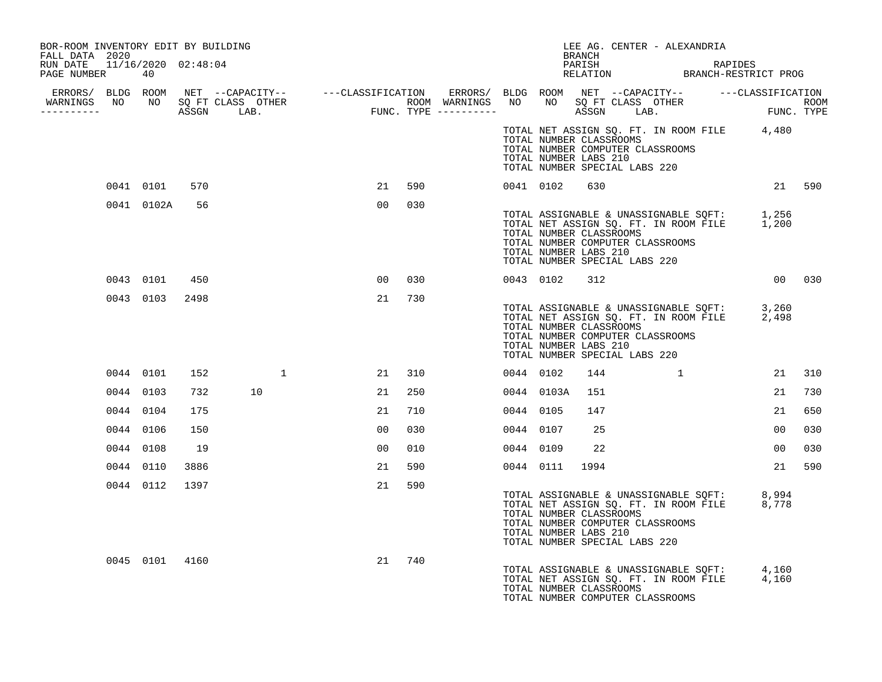| BOR-ROOM INVENTORY EDIT BY BUILDING<br>FALL DATA 2020 |           |                |      |    |   |                 |     |           |                                                                                                                                                                                                                     | BRANCH |  | LEE AG. CENTER - ALEXANDRIA |             |                                                 |     |
|-------------------------------------------------------|-----------|----------------|------|----|---|-----------------|-----|-----------|---------------------------------------------------------------------------------------------------------------------------------------------------------------------------------------------------------------------|--------|--|-----------------------------|-------------|-------------------------------------------------|-----|
| RUN DATE 11/16/2020 02:48:04<br>PAGE NUMBER 40        |           |                |      |    |   |                 |     |           |                                                                                                                                                                                                                     |        |  |                             |             | PARISH RAPIDES<br>RELATION BRANCH-RESTRICT PROG |     |
|                                                       |           |                |      |    |   |                 |     |           |                                                                                                                                                                                                                     |        |  |                             |             |                                                 |     |
|                                                       |           |                |      |    |   |                 |     |           |                                                                                                                                                                                                                     |        |  |                             |             |                                                 |     |
|                                                       |           |                |      |    |   |                 |     |           | TOTAL NET ASSIGN SQ. FT. IN ROOM FILE 4,480<br>TOTAL NUMBER CLASSROOMS<br>TOTAL NUMBER COMPUTER CLASSROOMS<br>TOTAL NUMBER LABS 210<br>TOTAL NUMBER SPECIAL LABS 220                                                |        |  |                             |             |                                                 |     |
|                                                       |           | 0041 0101      | 570  |    |   | 21              | 590 |           | 0041 0102                                                                                                                                                                                                           | 630    |  |                             |             | 21 590                                          |     |
|                                                       |           | 0041 0102A     | 56   |    |   | 00 <sub>o</sub> | 030 |           | TOTAL ASSIGNABLE & UNASSIGNABLE SQFT: 1,256<br>TOTAL NET ASSIGN SQ. FT. IN ROOM FILE 1,200<br>TOTAL NUMBER CLASSROOMS<br>TOTAL NUMBER COMPUTER CLASSROOMS<br>TOTAL NUMBER LABS 210<br>TOTAL NUMBER SPECIAL LABS 220 |        |  |                             |             |                                                 |     |
|                                                       |           | 0043 0101      | 450  |    |   | 00 <sub>o</sub> | 030 |           | 0043 0102 312                                                                                                                                                                                                       |        |  |                             |             | 00 030                                          |     |
|                                                       |           | 0043 0103      | 2498 |    |   | 21              | 730 |           | TOTAL ASSIGNABLE & UNASSIGNABLE SQFT: 3,260<br>TOTAL NET ASSIGN SQ. FT. IN ROOM FILE 2,498<br>TOTAL NUMBER CLASSROOMS<br>TOTAL NUMBER COMPUTER CLASSROOMS<br>TOTAL NUMBER LABS 210<br>TOTAL NUMBER SPECIAL LABS 220 |        |  |                             |             |                                                 |     |
|                                                       | 0044 0101 |                | 152  |    | 1 | 21              | 310 | 0044 0102 |                                                                                                                                                                                                                     | 144    |  |                             | $\mathbf 1$ | 21                                              | 310 |
|                                                       | 0044 0103 |                | 732  | 10 |   | 21              | 250 |           | 0044 0103A                                                                                                                                                                                                          | 151    |  |                             |             | 21                                              | 730 |
|                                                       | 0044 0104 |                | 175  |    |   | 21              | 710 | 0044 0105 |                                                                                                                                                                                                                     | 147    |  |                             |             | 21                                              | 650 |
|                                                       | 0044 0106 |                | 150  |    |   | 0 <sub>0</sub>  | 030 | 0044 0107 |                                                                                                                                                                                                                     | 25     |  |                             |             | 0 <sub>0</sub>                                  | 030 |
|                                                       | 0044 0108 |                | 19   |    |   | 0 <sub>0</sub>  | 010 | 0044 0109 |                                                                                                                                                                                                                     | 22     |  |                             |             | 00                                              | 030 |
|                                                       | 0044 0110 |                | 3886 |    |   | 21              | 590 |           | 0044 0111 1994                                                                                                                                                                                                      |        |  |                             |             | 21 590                                          |     |
|                                                       | 0044 0112 |                | 1397 |    |   | 21              | 590 |           | TOTAL ASSIGNABLE & UNASSIGNABLE SQFT: 8,994<br>TOTAL NET ASSIGN SQ. FT. IN ROOM FILE 8,778<br>TOTAL NUMBER CLASSROOMS<br>TOTAL NUMBER COMPUTER CLASSROOMS<br>TOTAL NUMBER LABS 210<br>TOTAL NUMBER SPECIAL LABS 220 |        |  |                             |             |                                                 |     |
|                                                       |           | 0045 0101 4160 |      |    |   | 21              | 740 |           | TOTAL ASSIGNABLE & UNASSIGNABLE SQFT: 4,160<br>TOTAL NET ASSIGN SQ. FT. IN ROOM FILE 4,160<br>TOTAL NUMBER CLASSROOMS<br>TOTAL NUMBER COMPUTER CLASSROOMS                                                           |        |  |                             |             |                                                 |     |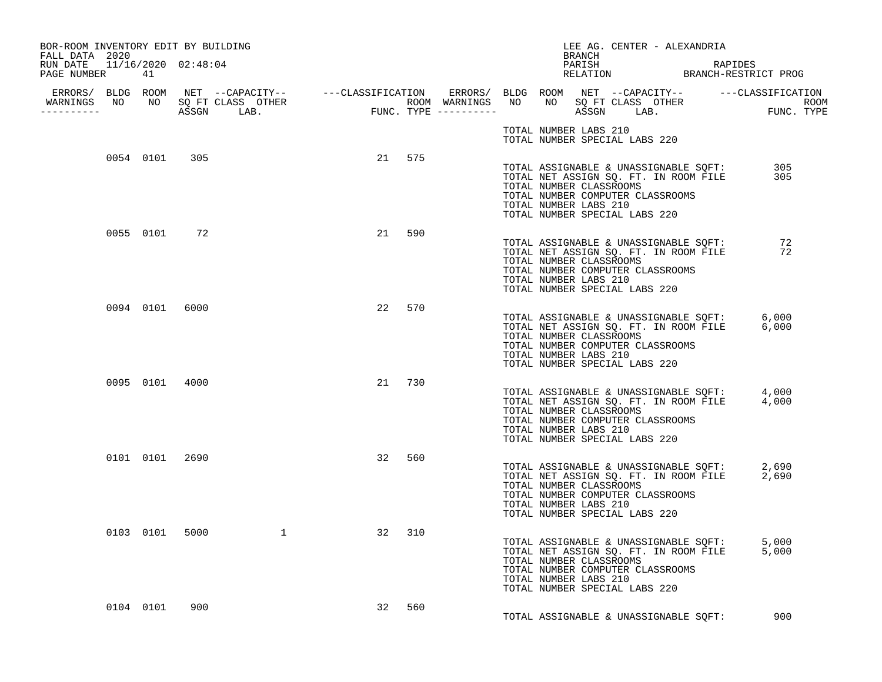| BOR-ROOM INVENTORY EDIT BY BUILDING                                |                |     |        |    |        |  |                       |        | LEE AG. CENTER - ALEXANDRIA                                                                                                                                                                                                     |  |     |
|--------------------------------------------------------------------|----------------|-----|--------|----|--------|--|-----------------------|--------|---------------------------------------------------------------------------------------------------------------------------------------------------------------------------------------------------------------------------------|--|-----|
| FALL DATA 2020<br>RUN DATE  11/16/2020  02:48:04<br>PAGE NUMBER 41 |                |     |        |    |        |  |                       | BRANCH | PARISH RAPIDES<br>RELATION BRANCH-RESTRICT PROG                                                                                                                                                                                 |  |     |
|                                                                    |                |     |        |    |        |  |                       |        |                                                                                                                                                                                                                                 |  |     |
|                                                                    |                |     |        |    |        |  | TOTAL NUMBER LABS 210 |        | TOTAL NUMBER SPECIAL LABS 220                                                                                                                                                                                                   |  |     |
|                                                                    | 0054 0101 305  |     |        |    | 21 575 |  | TOTAL NUMBER LABS 210 |        | TOTAL ASSIGNABLE & UNASSIGNABLE SQFT: 305<br>TOTAL NET ASSIGN SQ. FT. IN ROOM FILE 305<br>TOTAL NET ASSIGN SQ. FT. IN ROOM FILE<br>TOTAL NUMBER CLASSROOMS<br>TOTAL NUMBER COMPUTER CLASSROOMS<br>TOTAL NUMBER SPECIAL LABS 220 |  |     |
|                                                                    | 0055 0101 72   |     |        |    | 21 590 |  | TOTAL NUMBER LABS 210 |        | TOTAL ASSIGNABLE & UNASSIGNABLE SQFT: 72<br>TOTAL NET ASSIGN SQ. FT. IN ROOM FILE 72<br>TOTAL NUMBER CLASSROOMS<br>TOTAL NUMBER COMPUTER CLASSROOMS<br>TOTAL NUMBER SPECIAL LABS 220                                            |  |     |
|                                                                    | 0094 0101 6000 |     |        |    | 22 570 |  | TOTAL NUMBER LABS 210 |        | TOTAL ASSIGNABLE & UNASSIGNABLE SQFT: 6,000<br>TOTAL NET ASSIGN SQ. FT. IN ROOM FILE 6,000<br>TOTAL NUMBER CLASSROOMS<br>TOTAL NUMBER COMPUTER CLASSROOMS<br>TOTAL NUMBER SPECIAL LABS 220                                      |  |     |
|                                                                    | 0095 0101 4000 |     |        |    | 21 730 |  | TOTAL NUMBER LABS 210 |        | TOTAL ASSIGNABLE & UNASSIGNABLE SQFT: 4,000<br>TOTAL NET ASSIGN SQ. FT. IN ROOM FILE 4,000<br>TOTAL NUMBER CLASSROOMS<br>TOTAL NUMBER COMPUTER CLASSROOMS<br>TOTAL NUMBER SPECIAL LABS 220                                      |  |     |
|                                                                    | 0101 0101 2690 |     |        |    | 32 560 |  | TOTAL NUMBER LABS 210 |        | TOTAL ASSIGNABLE & UNASSIGNABLE SQFT: 2,690<br>TOTAL NET ASSIGN SQ. FT. IN ROOM FILE 2,690<br>TOTAL NUMBER CLASSROOMS<br>TOTAL NUMBER COMPUTER CLASSROOMS<br>TOTAL NUMBER SPECIAL LABS 220                                      |  |     |
|                                                                    | 0103 0101      |     | 5000 1 | 32 | 310    |  | TOTAL NUMBER LABS 210 |        | TOTAL ASSIGNABLE & UNASSIGNABLE SQFT: 5,000<br>TOTAL NET ASSIGN SQ. FT. IN ROOM FILE 5,000<br>TOTAL NUMBER CLASSROOMS<br>TOTAL NUMBER COMPUTER CLASSROOMS<br>TOTAL NUMBER SPECIAL LABS 220                                      |  |     |
|                                                                    | 0104 0101      | 900 |        |    | 32 560 |  |                       |        | TOTAL ASSIGNABLE & UNASSIGNABLE SOFT:                                                                                                                                                                                           |  | 900 |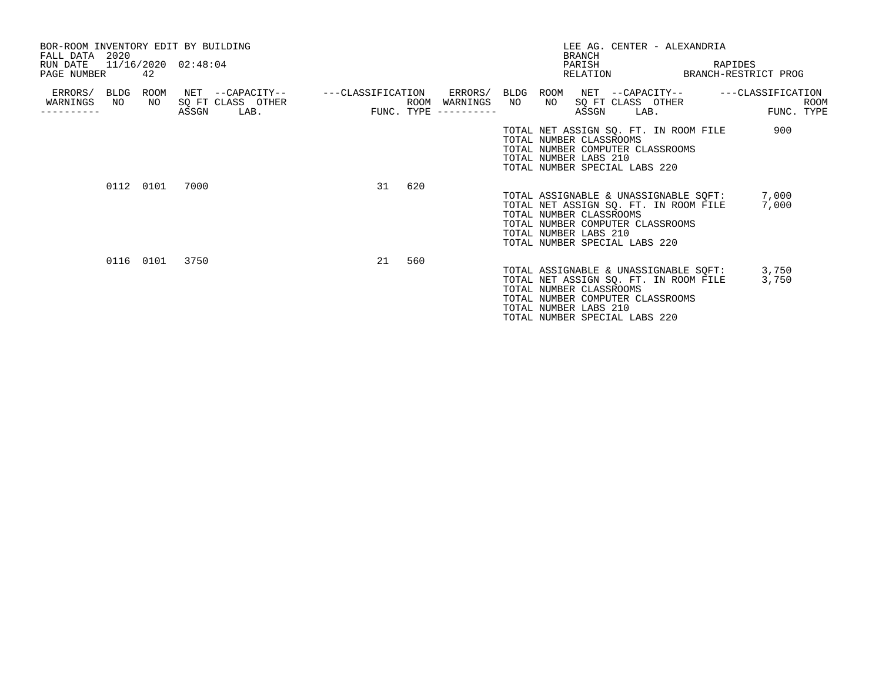| BOR-ROOM INVENTORY EDIT BY BUILDING<br>FALL DATA 2020<br>RUN DATE<br>PAGE NUMBER |    | 42        | 11/16/2020 02:48:04 |                                                                    |    |     |                                           |    | <b>BRANCH</b><br>PARISH                          |                               | LEE AG. CENTER - ALEXANDRIA                                               | RAPIDES<br>RELATION BRANCH-RESTRICT PROG              |                    |
|----------------------------------------------------------------------------------|----|-----------|---------------------|--------------------------------------------------------------------|----|-----|-------------------------------------------|----|--------------------------------------------------|-------------------------------|---------------------------------------------------------------------------|-------------------------------------------------------|--------------------|
| ERRORS/ BLDG<br>WARNINGS<br>---------                                            | NO | ROOM      | ASSGN               | NET --CAPACITY-- ---CLASSIFICATION<br>NO SQ FT CLASS OTHER<br>LAB. |    |     | ROOM WARNINGS NO<br>FUNC. TYPE ---------- | NO | ASSGN                                            | LAB.                          | SQ FT CLASS OTHER                                                         | ERRORS/ BLDG ROOM NET --CAPACITY-- ----CLASSIFICATION | ROOM<br>FUNC. TYPE |
|                                                                                  |    |           |                     |                                                                    |    |     |                                           |    | TOTAL NUMBER CLASSROOMS<br>TOTAL NUMBER LABS 210 | TOTAL NUMBER SPECIAL LABS 220 | TOTAL NET ASSIGN SQ. FT. IN ROOM FILE<br>TOTAL NUMBER COMPUTER CLASSROOMS | 900                                                   |                    |
|                                                                                  |    | 0112 0101 | 7000                |                                                                    | 31 | 620 |                                           |    | TOTAL NUMBER CLASSROOMS<br>TOTAL NUMBER LABS 210 | TOTAL NUMBER SPECIAL LABS 220 | TOTAL NET ASSIGN SQ. FT. IN ROOM FILE<br>TOTAL NUMBER COMPUTER CLASSROOMS | TOTAL ASSIGNABLE & UNASSIGNABLE SQFT: 7,000<br>7,000  |                    |
|                                                                                  |    | 0116 0101 | 3750                |                                                                    | 21 | 560 |                                           |    | TOTAL NUMBER CLASSROOMS<br>TOTAL NUMBER LABS 210 | TOTAL NUMBER SPECIAL LABS 220 | TOTAL NET ASSIGN SQ. FT. IN ROOM FILE<br>TOTAL NUMBER COMPUTER CLASSROOMS | TOTAL ASSIGNABLE & UNASSIGNABLE SOFT: 3,750<br>3,750  |                    |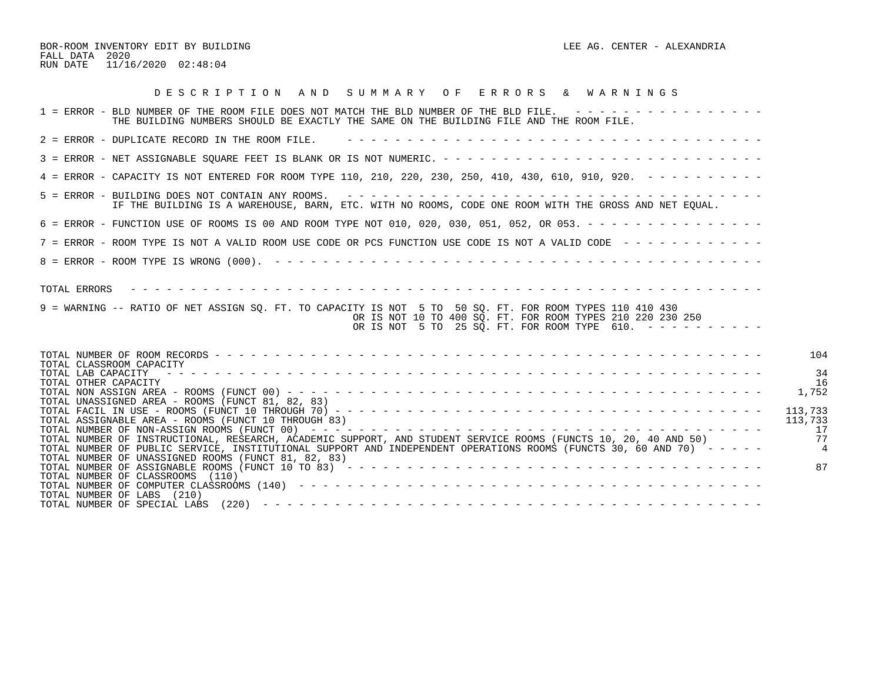BOR-ROOM INVENTORY EDIT BY BUILDING LEE AG. CENTER - ALEXANDRIA FALL DATA 2020 RUN DATE 11/16/2020 02:48:04

| DESCRIPTION AND SUMMARY OF ERRORS & WARNINGS                                                                                                                                                                                                       |
|----------------------------------------------------------------------------------------------------------------------------------------------------------------------------------------------------------------------------------------------------|
| 1 = ERROR - BLD NUMBER OF THE ROOM FILE DOES NOT MATCH THE BLD NUMBER OF THE BLD FILE. ----------------<br>THE BUILDING NUMBERS SHOULD BE EXACTLY THE SAME ON THE BUILDING FILE AND THE ROOM FILE.                                                 |
| $2$ = ERROR - DUPLICATE RECORD IN THE ROOM FILE.                                                                                                                                                                                                   |
|                                                                                                                                                                                                                                                    |
| 4 = ERROR - CAPACITY IS NOT ENTERED FOR ROOM TYPE 110, 210, 220, 230, 250, 410, 430, 610, 910, 920. - - - - - - - - -                                                                                                                              |
| IF THE BUILDING IS A WAREHOUSE, BARN, ETC. WITH NO ROOMS, CODE ONE ROOM WITH THE GROSS AND NET EQUAL.                                                                                                                                              |
| 6 = ERROR - FUNCTION USE OF ROOMS IS 00 AND ROOM TYPE NOT 010, 020, 030, 051, 052, OR 053. - - - - - - - - - - - - - - -                                                                                                                           |
| 7 = ERROR - ROOM TYPE IS NOT A VALID ROOM USE CODE OR PCS FUNCTION USE CODE IS NOT A VALID CODE ------------                                                                                                                                       |
|                                                                                                                                                                                                                                                    |
| TOTAL ERRORS<br>9 = WARNING -- RATIO OF NET ASSIGN SO. FT. TO CAPACITY IS NOT 5 TO 50 SO. FT. FOR ROOM TYPES 110 410 430<br>OR IS NOT 10 TO 400 SO. FT. FOR ROOM TYPES 210 220 230 250<br>OR IS NOT 5 TO 25 SQ. FT. FOR ROOM TYPE 610. ----------- |
| 104<br>TOTAL CLASSROOM CAPACITY<br>34<br>TOTAL LAB CAPACITY<br>16<br>TOTAL OTHER CAPACITY<br>1,752<br>TOTAL UNASSIGNED AREA - ROOMS (FUNCT 81, 82, 83)                                                                                             |
| 113,733<br>TOTAL ASSIGNABLE AREA - ROOMS (FUNCT 10 THROUGH 83)<br>113,733<br>17<br>77<br>TOTAL NUMBER OF INSTRUCTIONAL, RESEARCH, ACADEMIC SUPPORT, AND STUDENT SERVICE ROOMS (FUNCTS 10, 20, 40 AND 50)                                           |
| TOTAL NUMBER OF PUBLIC SERVICE, INSTITUTIONAL SUPPORT AND INDEPENDENT OPERATIONS ROOMS (FUNCTS 30, 60 AND 70) -----<br>TOTAL NUMBER OF UNASSIGNED ROOMS (FUNCT 81, 82, 83)<br>87<br>TOTAL NUMBER OF CLASSROOMS (110)<br>TOTAL NUMBER OF LABS (210) |
|                                                                                                                                                                                                                                                    |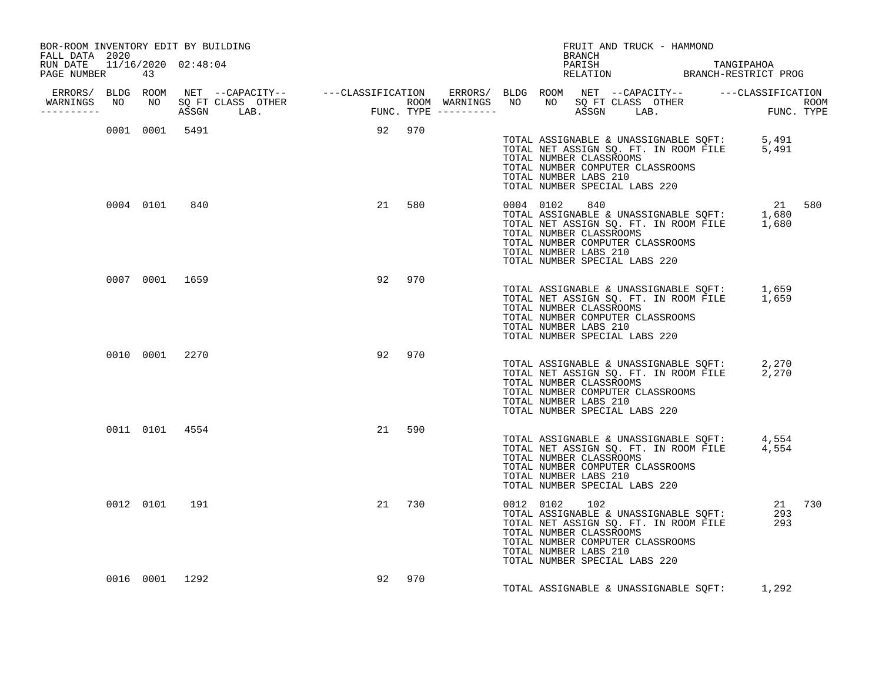| BOR-ROOM INVENTORY EDIT BY BUILDING<br>FALL DATA 2020 |                |                |        |        |               | FRUIT AND TRUCK - HAMMOND<br>BRANCH                                                                                                                                                                                                         |        |
|-------------------------------------------------------|----------------|----------------|--------|--------|---------------|---------------------------------------------------------------------------------------------------------------------------------------------------------------------------------------------------------------------------------------------|--------|
| RUN DATE 11/16/2020 02:48:04<br>PAGE NUMBER           | 43             |                |        |        |               | PARISH TANGIPAHOA<br>RELATION BRANCH-RESTRICT PROG                                                                                                                                                                                          |        |
| -----------                                           |                |                |        |        |               |                                                                                                                                                                                                                                             |        |
|                                                       |                | 0001 0001 5491 | 92 970 |        |               | TOTAL ASSIGNABLE & UNASSIGNABLE SQFT: 5,491<br>TOTAL NET ASSIGN SQ. FT. IN ROOM FILE 5,491<br>TOTAL NUMBER CLASSROOMS<br>TOTAL NUMBER COMPUTER CLASSROOMS<br>TOTAL NUMBER LABS 210<br>TOTAL NUMBER SPECIAL LABS 220                         |        |
|                                                       | 0004 0101      | 840            |        | 21 580 | 0004 0102 840 | 0004 0102 840<br>TOTAL ASSIGNABLE & UNASSIGNABLE SQFT: 1,680<br>TOTAL NET ASSIGN SQ. FT. IN ROOM FILE 1,680<br>TOTAL NUMBER CLASSROOMS<br>TOTAL NUMBER COMPUTER CLASSROOMS<br>TOTAL NUMBER LABS 210<br>TOTAL NUMBER SPECIAL LABS 220        | 21 580 |
|                                                       |                | 0007 0001 1659 |        | 92 970 |               | TOTAL ASSIGNABLE & UNASSIGNABLE SQFT: 1,659<br>TOTAL NET ASSIGN SQ. FT. IN ROOM FILE 1,659<br>TOTAL NUMBER CLASSROOMS<br>TOTAL NUMBER COMPUTER CLASSROOMS<br>TOTAL NUMBER LABS 210<br>TOTAL NUMBER SPECIAL LABS 220                         |        |
|                                                       | 0010 0001 2270 |                |        | 92 970 |               | TOTAL ASSIGNABLE & UNASSIGNABLE SQFT: 2,270<br>TOTAL NET ASSIGN SQ. FT. IN ROOM FILE 2,270<br>TOTAL NUMBER CLASSROOMS<br>TOTAL NUMBER COMPUTER CLASSROOMS<br>TOTAL NUMBER LABS 210<br>TOTAL NUMBER SPECIAL LABS 220                         |        |
|                                                       | 0011 0101 4554 |                |        | 21 590 |               | TOTAL ASSIGNABLE & UNASSIGNABLE SQFT: 4,554<br>TOTAL NET ASSIGN SQ. FT. IN ROOM FILE 4,554<br>TOTAL NUMBER CLASSROOMS<br>TOTAL NUMBER COMPUTER CLASSROOMS<br>TOTAL NUMBER LABS 210<br>TOTAL NUMBER SPECIAL LABS 220                         |        |
|                                                       | 0012 0101 191  |                |        | 21 730 | 0012 0102 102 | TOTAL ASSIGNABLE & UNASSIGNABLE SQFT:<br>TOTAL NET ASSIGN SQ. FT. IN ROOM FILE 293<br>TOTAL NUMBER CLASSOCALLE 293<br>TOTAL NUMBER CLASSROOMS<br>TOTAL NUMBER COMPUTER CLASSROOMS<br>TOTAL NUMBER LABS 210<br>TOTAL NUMBER SPECIAL LABS 220 | 21 730 |
|                                                       | 0016 0001 1292 |                | 92     | 970    |               | TOTAL ASSIGNABLE & UNASSIGNABLE SQFT: 1,292                                                                                                                                                                                                 |        |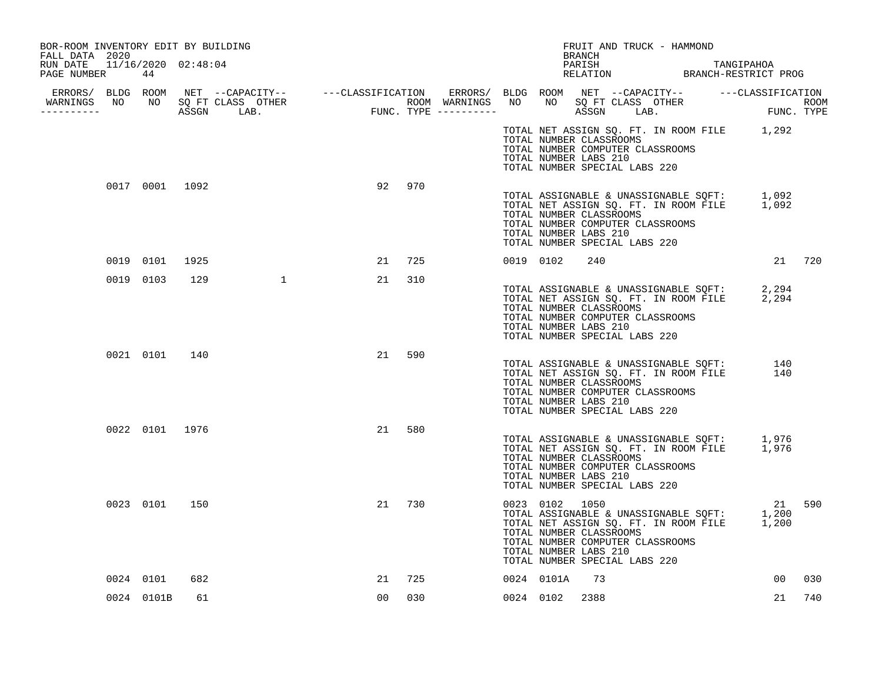| BOR-ROOM INVENTORY EDIT BY BUILDING                           |                |               |                |    |     |           |                | FRUIT AND TRUCK - HAMMOND                                                                                                                                                                                                    |  |                 |     |
|---------------------------------------------------------------|----------------|---------------|----------------|----|-----|-----------|----------------|------------------------------------------------------------------------------------------------------------------------------------------------------------------------------------------------------------------------------|--|-----------------|-----|
| FALL DATA 2020<br>RUN DATE 11/16/2020 02:48:04<br>PAGE NUMBER | 44             |               |                |    |     |           |                | BRANCH<br>PARISH TANGIPAHOA RELATION BRANCH-RESTRICT PROG                                                                                                                                                                    |  |                 |     |
| WARNINGS NO NO SQ FT CLASS OTHER<br>.                         |                |               |                |    |     |           |                |                                                                                                                                                                                                                              |  |                 |     |
|                                                               |                |               |                |    |     |           |                | TOTAL NET ASSIGN SQ. FT. IN ROOM FILE 1,292<br>TOTAL NUMBER CLASSROOMS<br>TOTAL NUMBER COMPUTER CLASSROOMS<br>TOTAL NUMBER LABS 210<br>TOTAL NUMBER SPECIAL LABS 220                                                         |  |                 |     |
|                                                               | 0017 0001 1092 |               |                | 92 | 970 |           |                | TOTAL ASSIGNABLE & UNASSIGNABLE SQFT: 1,092<br>TOTAL NET ASSIGN SQ. FT. IN ROOM FILE 1,092<br>TOTAL NUMBER CLASSROOMS<br>TOTAL NUMBER COMPUTER CLASSROOMS<br>TOTAL NUMBER LABS 210<br>TOTAL NUMBER SPECIAL LABS 220          |  |                 |     |
|                                                               | 0019 0101      | 1925          |                | 21 | 725 | 0019 0102 |                | 240                                                                                                                                                                                                                          |  | 21 720          |     |
| 0019 0103                                                     |                | 129           | $\overline{1}$ | 21 | 310 |           |                | TOTAL ASSIGNABLE & UNASSIGNABLE SQFT: 2,294<br>TOTAL NET ASSIGN SQ. FT. IN ROOM FILE 2,294<br>TOTAL NUMBER CLASSROOMS<br>TOTAL NUMBER COMPUTER CLASSROOMS<br>TOTAL NUMBER LABS 210<br>TOTAL NUMBER SPECIAL LABS 220          |  |                 |     |
|                                                               |                | 0021 0101 140 |                | 21 | 590 |           |                | TOTAL ASSIGNABLE & UNASSIGNABLE SQFT: 140<br>TOTAL NET ASSIGN SQ. FT. IN ROOM FILE 140<br>TOTAL NUMBER CLASSROOMS<br>TOTAL NUMBER COMPUTER CLASSROOMS<br>TOTAL NUMBER LABS 210<br>TOTAL NUMBER SPECIAL LABS 220              |  |                 |     |
|                                                               | 0022 0101 1976 |               |                | 21 | 580 |           |                | TOTAL ASSIGNABLE & UNASSIGNABLE SQFT: 1,976<br>TOTAL NET ASSIGN SQ. FT. IN ROOM FILE 1,976<br>TOTAL NUMBER CLASSROOMS<br>TOTAL NUMBER COMPUTER CLASSROOMS<br>TOTAL NUMBER LABS 210<br>TOTAL NUMBER SPECIAL LABS 220          |  |                 |     |
|                                                               | 0023 0101 150  |               |                | 21 | 730 |           | 0023 0102 1050 | 11 21<br>TOTAL ASSIGNABLE & UNASSIGNABLE SQFT: 1,200<br>TOTAL NET ASSIGN SQ. FT. IN ROOM FILE 1,200<br>TOTAL NUMBER CLASSROOMS<br>TOTAL NUMBER COMPUTER CLASSROOMS<br>TOTAL NUMBER LABS 210<br>TOTAL NUMBER SPECIAL LABS 220 |  | 21 590          |     |
| 0024 0101                                                     |                | 682           |                | 21 | 725 |           | 0024 0101A     | 73                                                                                                                                                                                                                           |  | 00 <sub>o</sub> | 030 |
|                                                               | 0024 0101B     | 61            |                | 00 | 030 |           | 0024 0102 2388 |                                                                                                                                                                                                                              |  | 21              | 740 |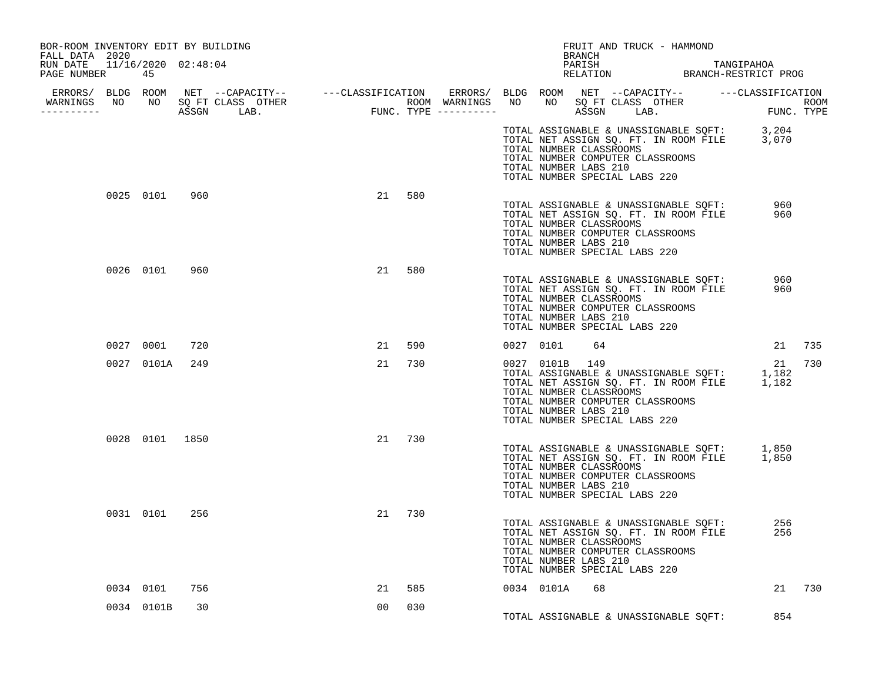| BOR-ROOM INVENTORY EDIT BY BUILDING<br>FALL DATA 2020 |                |     |                                                                                                                                                                                                                                      |                |     |  |           | BRANCH                                                             | FRUIT AND TRUCK - HAMMOND                                                                                                                                                                                      |            |            |        |
|-------------------------------------------------------|----------------|-----|--------------------------------------------------------------------------------------------------------------------------------------------------------------------------------------------------------------------------------------|----------------|-----|--|-----------|--------------------------------------------------------------------|----------------------------------------------------------------------------------------------------------------------------------------------------------------------------------------------------------------|------------|------------|--------|
| RUN DATE 11/16/2020 02:48:04<br>PAGE NUMBER           | 45             |     |                                                                                                                                                                                                                                      |                |     |  |           |                                                                    | PARISH TANGIPAHOA RELATION BRANCH-RESTRICT PROG                                                                                                                                                                |            |            |        |
| -----------                                           |                |     | ERRORS/ BLDG ROOM NET --CAPACITY-- ----CLASSIFICATION ERRORS/ BLDG ROOM NET --CAPACITY-- -----CLASSIFICATION<br>WARNINGS NO NO SQ FT CLASS OTHER ROOM WARNINGS NO NO SQ FT CLASS OTHER ROOM<br>---------- ASSGN LAB. FUNC. TYPE ---- |                |     |  |           |                                                                    |                                                                                                                                                                                                                | FUNC. TYPE |            | ROOM   |
|                                                       |                |     |                                                                                                                                                                                                                                      |                |     |  |           | TOTAL NUMBER CLASSROOMS<br>TOTAL NUMBER LABS 210                   | TOTAL ASSIGNABLE & UNASSIGNABLE SQFT: 3,204<br>TOTAL NET ASSIGN SQ. FT. IN ROOM FILE 3,070<br>TOTAL NUMBER COMPUTER CLASSROOMS<br>TOTAL NUMBER SPECIAL LABS 220                                                |            |            |        |
|                                                       | 0025 0101 960  |     |                                                                                                                                                                                                                                      | 21             | 580 |  |           | TOTAL NUMBER LABS 210                                              | TOTAL ASSIGNABLE & UNASSIGNABLE SQFT: 960<br>TOTAL NET ASSIGN SQ. FT. IN ROOM FILE 960<br>TOTAL NUMBER CLASSROOMS<br>TOTAL NUMBER COMPUTER CLASSROOMS<br>TOTAL NUMBER SPECIAL LABS 220                         |            |            |        |
|                                                       | 0026 0101 960  |     |                                                                                                                                                                                                                                      | 21             | 580 |  |           | TOTAL NUMBER LABS 210                                              | TOTAL ASSIGNABLE & UNASSIGNABLE SQFT:<br>TOTAL NET ASSIGN SQ. FT. IN ROOM FILE<br>TOTAL NUMBER CLASSROOMS<br>TOTAL NUMBER COMPUTER CLASSROOMS<br>TOTAL NUMBER SPECIAL LABS 220                                 |            | 960<br>960 |        |
|                                                       | 0027 0001      | 720 |                                                                                                                                                                                                                                      | 21             | 590 |  | 0027 0101 | 64                                                                 |                                                                                                                                                                                                                |            | 21 735     |        |
|                                                       | 0027 0101A 249 |     |                                                                                                                                                                                                                                      | 21 730         |     |  |           | 0027 0101B 149<br>TOTAL NUMBER CLASSROOMS<br>TOTAL NUMBER LABS 210 | VOZAL ASSIGNABLE & UNASSIGNABLE SOFT: 1,182<br>TOTAL ASSIGNABLE & UNASSIGNABLE SOFT: 1,182<br>TOTAL NET ASSIGN SQ. FT. IN ROOM FILE 1,182<br>TOTAL NUMBER COMPUTER CLASSROOMS<br>TOTAL NUMBER SPECIAL LABS 220 |            | 21         | 730    |
|                                                       | 0028 0101 1850 |     |                                                                                                                                                                                                                                      | 21 730         |     |  |           | TOTAL NUMBER CLASSROOMS<br>TOTAL NUMBER LABS 210                   | TOTAL ASSIGNABLE & UNASSIGNABLE SQFT: 1,850<br>TOTAL NET ASSIGN SQ. FT. IN ROOM FILE 1,850<br>TOTAL NUMBER COMPUTER CLASSROOMS<br>TOTAL NUMBER SPECIAL LABS 220                                                |            |            |        |
|                                                       | 0031 0101 256  |     |                                                                                                                                                                                                                                      | 21 730         |     |  |           | TOTAL NUMBER CLASSROOMS<br>TOTAL NUMBER LABS 210                   | TOTAL ASSIGNABLE & UNASSIGNABLE SQFT:<br>TOTAL NET ASSIGN SQ. FT. IN ROOM FILE<br>TOTAL NUMBER COMPUTER CLASSROOMS<br>TOTAL NUMBER SPECIAL LABS 220                                                            |            | 256<br>256 |        |
|                                                       | 0034 0101      | 756 |                                                                                                                                                                                                                                      | 21             | 585 |  |           | 0034 0101A 68                                                      |                                                                                                                                                                                                                |            |            | 21 730 |
|                                                       | 0034 0101B     | 30  |                                                                                                                                                                                                                                      | 0 <sub>0</sub> | 030 |  |           |                                                                    | TOTAL ASSIGNABLE & UNASSIGNABLE SQFT:                                                                                                                                                                          |            | 854        |        |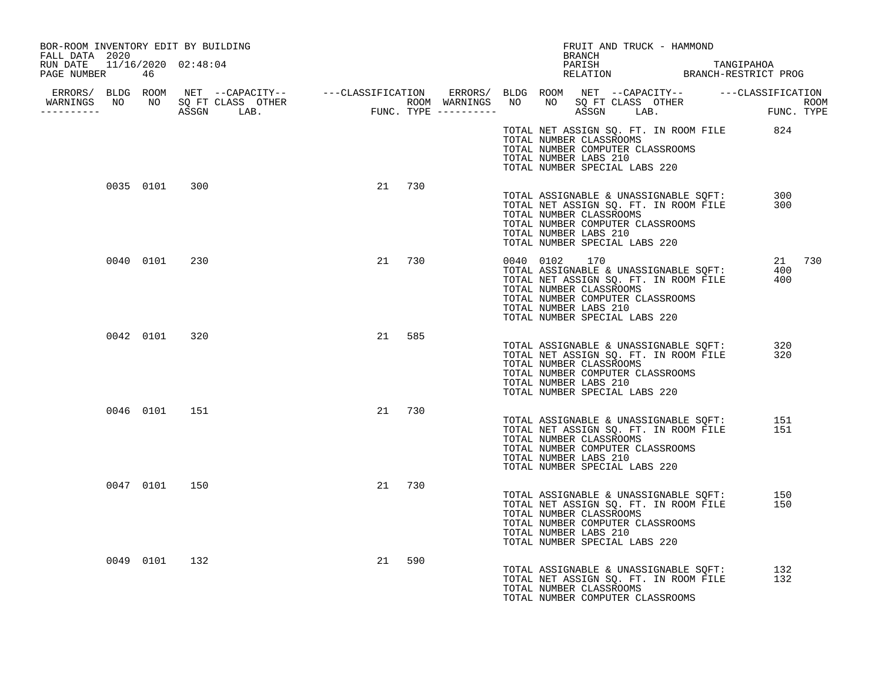| BOR-ROOM INVENTORY EDIT BY BUILDING<br>FALL DATA 2020 |               |        |        |                                    | BRANCH | FRUIT AND TRUCK - HAMMOND                                                                    |                                                                                                           |                                                 |               |  |
|-------------------------------------------------------|---------------|--------|--------|------------------------------------|--------|----------------------------------------------------------------------------------------------|-----------------------------------------------------------------------------------------------------------|-------------------------------------------------|---------------|--|
| RUN DATE 11/16/2020 02:48:04<br>PAGE NUMBER 46        |               |        |        |                                    |        |                                                                                              |                                                                                                           | PARISH TANGIPAHOA RELATION BRANCH-RESTRICT PROG |               |  |
| WARNINGS NO NO SQ FT CLASS OTHER<br>__________        |               |        |        |                                    |        |                                                                                              |                                                                                                           |                                                 |               |  |
|                                                       |               |        |        | TOTAL NUMBER LABS 210              |        | TOTAL NUMBER CLASSROOMS<br>TOTAL NUMBER COMPUTER CLASSROOMS<br>TOTAL NUMBER SPECIAL LABS 220 |                                                                                                           | TOTAL NET ASSIGN SQ. FT. IN ROOM FILE 824       |               |  |
| 0035 0101                                             | 300           | 21 730 |        | TOTAL NUMBER LABS 210              |        | TOTAL NUMBER COMPUTER CLASSROOMS<br>TOTAL NUMBER SPECIAL LABS 220                            | TOTAL NET ASSIGN SQ. FT. IN ROOM FILE<br>TOTAL NET ASSIGN SQ. FT. IN ROOM FILE<br>TOTAL NUMBER CLASSROOMS |                                                 | 300<br>300    |  |
| 0040 0101                                             | 230           |        | 21 730 | 0040 0102<br>TOTAL NUMBER LABS 210 | 170    | TOTAL NUMBER CLASSROOMS<br>TOTAL NUMBER COMPUTER CLASSROOMS<br>TOTAL NUMBER SPECIAL LABS 220 | TOTAL NET ASSIGN SQ. FT. IN ROOM FILE                                                                     | TOTAL ASSIGNABLE & UNASSIGNABLE SQFT: 400       | 21 730<br>400 |  |
|                                                       | 0042 0101 320 | 21     | 585    | TOTAL NUMBER LABS 210              |        | TOTAL NUMBER CLASSROOMS<br>TOTAL NUMBER COMPUTER CLASSROOMS<br>TOTAL NUMBER SPECIAL LABS 220 | TOTAL ASSIGNABLE & UNASSIGNABLE SQFT:<br>TOTAL NET ASSIGN SQ. FT. IN ROOM FILE                            |                                                 | 320<br>320    |  |
|                                                       | 0046 0101 151 | 21 730 |        | TOTAL NUMBER LABS 210              |        | TOTAL NUMBER CLASSROOMS<br>TOTAL NUMBER COMPUTER CLASSROOMS<br>TOTAL NUMBER SPECIAL LABS 220 | TOTAL ASSIGNABLE & UNASSIGNABLE SOFT:<br>TOTAL NET ASSIGN SQ. FT. IN ROOM FILE                            |                                                 | 151<br>151    |  |
|                                                       | 0047 0101 150 | 21 730 |        | TOTAL NUMBER LABS 210              |        | TOTAL NUMBER CLASSROOMS<br>TOTAL NUMBER COMPUTER CLASSROOMS<br>TOTAL NUMBER SPECIAL LABS 220 | TOTAL ASSIGNABLE & UNASSIGNABLE SQFT:<br>TOTAL NET ASSIGN SQ. FT. IN ROOM FILE                            |                                                 | 150<br>150    |  |
| 0049 0101                                             | 132           | 21     | 590    | TOTAL NUMBER CLASSROOMS            |        | TOTAL NUMBER COMPUTER CLASSROOMS                                                             | TOTAL ASSIGNABLE & UNASSIGNABLE SOFT:<br>TOTAL NET ASSIGN SQ. FT. IN ROOM FILE                            |                                                 | 132<br>132    |  |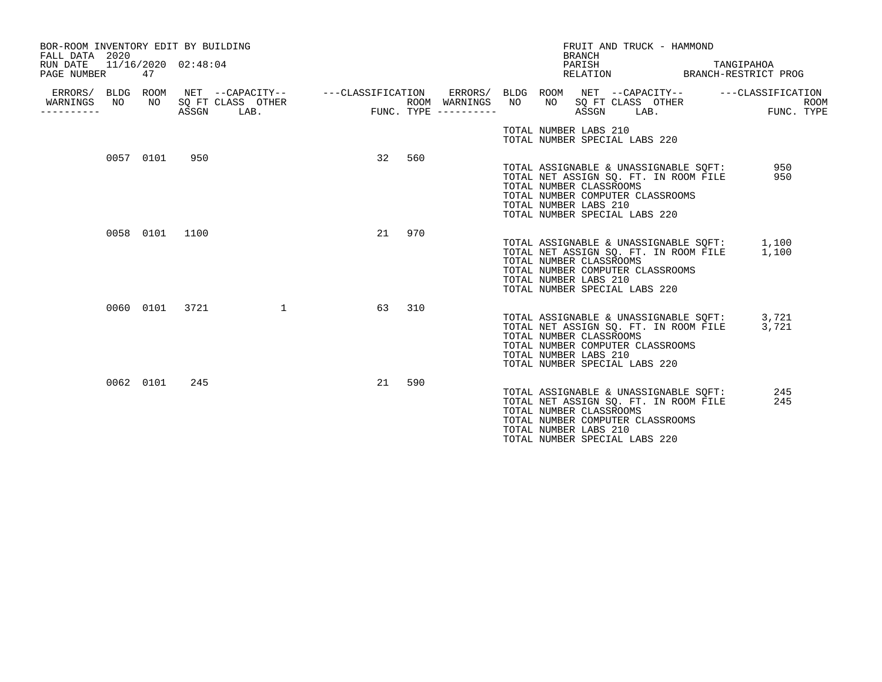| BOR-ROOM INVENTORY EDIT BY BUILDING<br>FALL DATA 2020<br>RUN DATE<br>PAGE NUMBER |    | 47        | 11/16/2020 02:48:04 |                                                                                                                             |       |     |                                      |                                                  | <b>BRANCH</b><br>PARISH | FRUIT AND TRUCK - HAMMOND<br>RELATION                                                                                                                     | TANGIPAHOA<br>BRANCH-RESTRICT PROG |                           |
|----------------------------------------------------------------------------------|----|-----------|---------------------|-----------------------------------------------------------------------------------------------------------------------------|-------|-----|--------------------------------------|--------------------------------------------------|-------------------------|-----------------------------------------------------------------------------------------------------------------------------------------------------------|------------------------------------|---------------------------|
| ERRORS/ BLDG ROOM<br>WARNINGS<br>_________                                       | NO |           | ASSGN               | NET --CAPACITY--   ---CLASSIFICATION ERRORS/ BLDG ROOM NET --CAPACITY--   ---CLASSIFICATION<br>NO SQ FT CLASS OTHER<br>LAB. | FUNC. |     | ROOM WARNINGS<br>FUNC. TYPE $------$ | NO                                               | ASSGN                   | NO SQ FT CLASS OTHER<br>LAB.                                                                                                                              |                                    | <b>ROOM</b><br>FUNC. TYPE |
|                                                                                  |    |           |                     |                                                                                                                             |       |     |                                      | TOTAL NUMBER LABS 210                            |                         | TOTAL NUMBER SPECIAL LABS 220                                                                                                                             |                                    |                           |
|                                                                                  |    | 0057 0101 | 950                 |                                                                                                                             | 32    | 560 |                                      | TOTAL NUMBER CLASSROOMS<br>TOTAL NUMBER LABS 210 |                         | TOTAL ASSIGNABLE & UNASSIGNABLE SQFT:<br>TOTAL NET ASSIGN SQ. FT. IN ROOM FILE<br>TOTAL NUMBER COMPUTER CLASSROOMS<br>TOTAL NUMBER SPECIAL LABS 220       | 950<br>950                         |                           |
|                                                                                  |    | 0058 0101 | 1100                |                                                                                                                             | 21    | 970 |                                      | TOTAL NUMBER CLASSROOMS<br>TOTAL NUMBER LABS 210 |                         | TOTAL ASSIGNABLE & UNASSIGNABLE SQFT: 1,100<br>TOTAL NET ASSIGN SQ. FT. IN ROOM FILE<br>TOTAL NUMBER COMPUTER CLASSROOMS<br>TOTAL NUMBER SPECIAL LABS 220 | 1,100                              |                           |
|                                                                                  |    | 0060 0101 | 3721                | $\mathbf{1}$                                                                                                                | 63    | 310 |                                      | TOTAL NUMBER CLASSROOMS<br>TOTAL NUMBER LABS 210 |                         | TOTAL ASSIGNABLE & UNASSIGNABLE SQFT:<br>TOTAL NET ASSIGN SQ. FT. IN ROOM FILE<br>TOTAL NUMBER COMPUTER CLASSROOMS<br>TOTAL NUMBER SPECIAL LABS 220       | 3,721<br>3,721                     |                           |
|                                                                                  |    | 0062 0101 | 245                 |                                                                                                                             | 21    | 590 |                                      | TOTAL NUMBER CLASSROOMS<br>TOTAL NUMBER LABS 210 |                         | TOTAL ASSIGNABLE & UNASSIGNABLE SQFT:<br>TOTAL NET ASSIGN SQ. FT. IN ROOM FILE<br>TOTAL NUMBER COMPUTER CLASSROOMS<br>TOTAL NUMBER SPECIAL LABS 220       | 245<br>245                         |                           |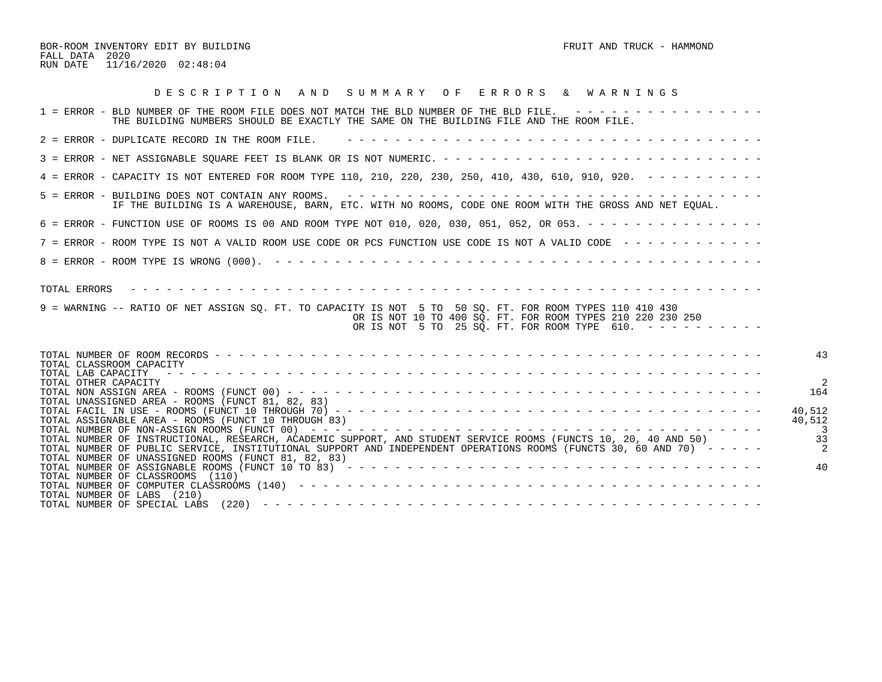BOR-ROOM INVENTORY EDIT BY BUILDING FRUIT AND TRUCK - HAMMOND FALL DATA 2020 RUN DATE 11/16/2020 02:48:04

| DESCRIPTION AND SUMMARY OF ERRORS & WARNINGS                                                                                                                                                                                                                                                  |               |
|-----------------------------------------------------------------------------------------------------------------------------------------------------------------------------------------------------------------------------------------------------------------------------------------------|---------------|
| 1 = ERROR - BLD NUMBER OF THE ROOM FILE DOES NOT MATCH THE BLD NUMBER OF THE BLD FILE. ----------------<br>THE BUILDING NUMBERS SHOULD BE EXACTLY THE SAME ON THE BUILDING FILE AND THE ROOM FILE.                                                                                            |               |
| $2$ = ERROR - DUPLICATE RECORD IN THE ROOM FILE.                                                                                                                                                                                                                                              |               |
|                                                                                                                                                                                                                                                                                               |               |
| 4 = ERROR - CAPACITY IS NOT ENTERED FOR ROOM TYPE 110, 210, 220, 230, 250, 410, 430, 610, 910, 920. - - - - - - - - -                                                                                                                                                                         |               |
| IF THE BUILDING IS A WAREHOUSE, BARN, ETC. WITH NO ROOMS, CODE ONE ROOM WITH THE GROSS AND NET EQUAL.                                                                                                                                                                                         |               |
| 6 = ERROR - FUNCTION USE OF ROOMS IS 00 AND ROOM TYPE NOT 010, 020, 030, 051, 052, OR 053. - - - - - - - - - - - - - - -                                                                                                                                                                      |               |
| 7 = ERROR - ROOM TYPE IS NOT A VALID ROOM USE CODE OR PCS FUNCTION USE CODE IS NOT A VALID CODE ------------                                                                                                                                                                                  |               |
|                                                                                                                                                                                                                                                                                               |               |
| 9 = WARNING -- RATIO OF NET ASSIGN SO. FT. TO CAPACITY IS NOT 5 TO 50 SO. FT. FOR ROOM TYPES 110 410 430<br>OR IS NOT 10 TO 400 SO. FT. FOR ROOM TYPES 210 220 230 250<br>OR IS NOT 5 TO 25 SQ. FT. FOR ROOM TYPE 610. $- - - - - - - - - - -$                                                |               |
| TOTAL CLASSROOM CAPACITY<br>TOTAL LAB CAPACITY<br>TOTAL OTHER CAPACITY                                                                                                                                                                                                                        | 43            |
| TOTAL UNASSIGNED AREA - ROOMS (FUNCT 81, 82, 83)                                                                                                                                                                                                                                              | 164<br>40,512 |
| TOTAL ASSIGNABLE AREA - ROOMS (FUNCT 10 THROUGH 83)<br>TOTAL NUMBER OF INSTRUCTIONAL, RESEARCH, ACADEMIC SUPPORT, AND STUDENT SERVICE ROOMS (FUNCTS 10, 20, 40 AND 50)<br>TOTAL NUMBER OF PUBLIC SERVICE, INSTITUTIONAL SUPPORT AND INDEPENDENT OPERATIONS ROOMS (FUNCTS 30, 60 AND 70) ----- | 40,512<br>33  |
| TOTAL NUMBER OF UNASSIGNED ROOMS (FUNCT 81, 82, 83)<br>TOTAL NUMBER OF CLASSROOMS (110)                                                                                                                                                                                                       | 4C            |
| TOTAL NUMBER OF LABS (210)                                                                                                                                                                                                                                                                    |               |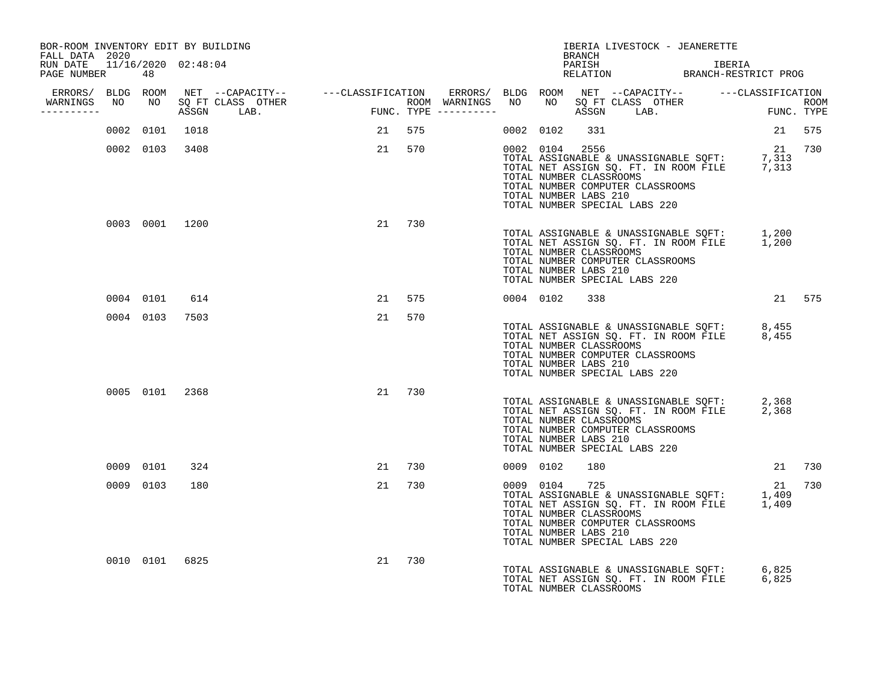| BOR-ROOM INVENTORY EDIT BY BUILDING<br>FALL DATA 2020 |           |                |        |        |        |           | <b>BRANCH</b>                                                      | IBERIA LIVESTOCK - JEANERETTE                                                                                                                                                 |        |        |
|-------------------------------------------------------|-----------|----------------|--------|--------|--------|-----------|--------------------------------------------------------------------|-------------------------------------------------------------------------------------------------------------------------------------------------------------------------------|--------|--------|
| RUN DATE 11/16/2020 02:48:04<br>PAGE NUMBER 48        |           |                |        |        |        |           |                                                                    | PARISH THE IBERIA<br>RELATION BRANCH-RESTRICT PROG                                                                                                                            | IBERIA |        |
| __________                                            |           |                |        |        |        |           |                                                                    |                                                                                                                                                                               |        |        |
|                                                       |           | 0002 0101 1018 | 21 575 |        |        |           | 0002 0102 331                                                      |                                                                                                                                                                               |        | 21 575 |
|                                                       |           | 0002 0103 3408 |        |        | 21 570 |           | 0002 0104 2556<br>TOTAL NUMBER CLASSROOMS<br>TOTAL NUMBER LABS 210 | 11 12 1586<br>TOTAL ASSIGNABLE & UNASSIGNABLE SQFT: 7,313<br>TOTAL NET ASSIGN SQ. FT. IN ROOM FILE 7,313<br>TOTAL NUMBER COMPUTER CLASSROOMS<br>TOTAL NUMBER SPECIAL LABS 220 |        | 21 730 |
|                                                       |           | 0003 0001 1200 |        | 21 730 |        |           | TOTAL NUMBER CLASSROOMS<br>TOTAL NUMBER LABS 210                   | TOTAL ASSIGNABLE & UNASSIGNABLE SQFT: 1,200<br>TOTAL NET ASSIGN SQ. FT. IN ROOM FILE 1,200<br>TOTAL NUMBER COMPUTER CLASSROOMS<br>TOTAL NUMBER SPECIAL LABS 220               |        |        |
|                                                       |           | 0004 0101 614  |        | 21 575 |        |           | 0004 0102 338                                                      |                                                                                                                                                                               |        | 21 575 |
|                                                       |           | 0004 0103 7503 |        | 21     | 570    |           | TOTAL NUMBER CLASSROOMS<br>TOTAL NUMBER LABS 210                   | TOTAL ASSIGNABLE & UNASSIGNABLE SQFT: 8,455<br>TOTAL NET ASSIGN SQ. FT. IN ROOM FILE 8,455<br>TOTAL NUMBER COMPUTER CLASSROOMS<br>TOTAL NUMBER SPECIAL LABS 220               |        |        |
|                                                       |           | 0005 0101 2368 |        | 21 730 |        |           | TOTAL NUMBER CLASSROOMS<br>TOTAL NUMBER LABS 210                   | TOTAL ASSIGNABLE & UNASSIGNABLE SQFT: 2,368<br>TOTAL NET ASSIGN SQ. FT. IN ROOM FILE 2,368<br>TOTAL NUMBER COMPUTER CLASSROOMS<br>TOTAL NUMBER SPECIAL LABS 220               |        |        |
|                                                       | 0009 0101 | 324            |        | 21 730 |        | 0009 0102 | 180                                                                |                                                                                                                                                                               |        | 21 730 |
|                                                       | 0009 0103 | 180            |        | 21 730 |        |           | 0009 0104 725<br>TOTAL NUMBER CLASSROOMS<br>TOTAL NUMBER LABS 210  | TOTAL ASSIGNABLE & UNASSIGNABLE SQFT: 1,409<br>TOTAL NET ASSIGN SQ. FT. IN ROOM FILE 1,409<br>TOTAL NUMBER COMPUTER CLASSROOMS<br>TOTAL NUMBER SPECIAL LABS 220               |        | 21 730 |
|                                                       |           | 0010 0101 6825 |        | 21 730 |        |           | TOTAL NUMBER CLASSROOMS                                            | TOTAL ASSIGNABLE & UNASSIGNABLE SQFT: 6,825<br>TOTAL NET ASSIGN SQ. FT. IN ROOM FILE 6,825                                                                                    |        |        |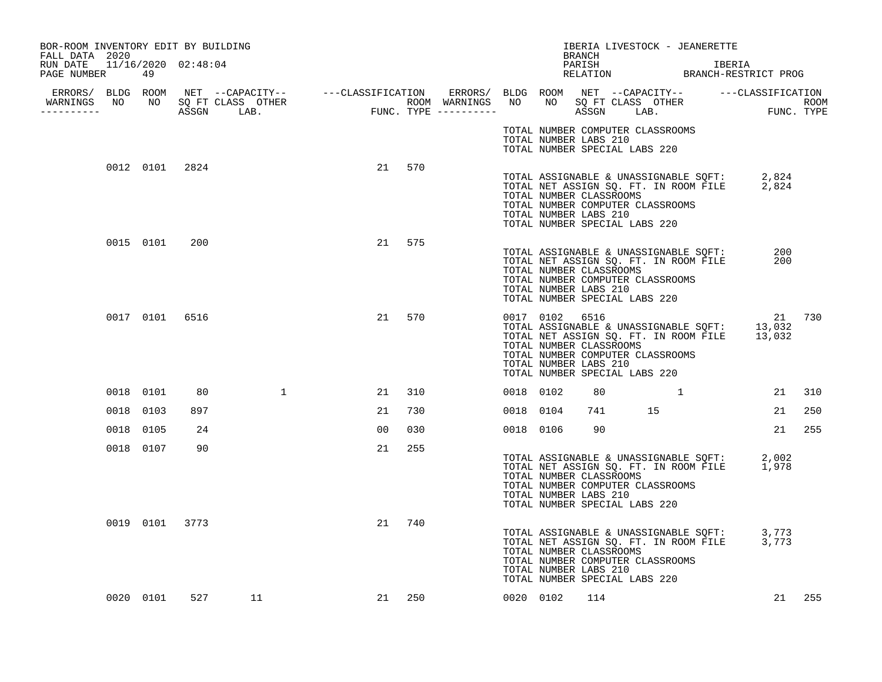| BOR-ROOM INVENTORY EDIT BY BUILDING                              |                |     |                |    |        |           |                                                                                                     | BRANCH |                                  | IBERIA LIVESTOCK - JEANERETTE                                                  |                                                                                                        |        |
|------------------------------------------------------------------|----------------|-----|----------------|----|--------|-----------|-----------------------------------------------------------------------------------------------------|--------|----------------------------------|--------------------------------------------------------------------------------|--------------------------------------------------------------------------------------------------------|--------|
| FALL DATA 2020<br>RUN DATE 11/16/2020 02:48:04<br>PAGE NUMBER 49 |                |     |                |    |        |           |                                                                                                     | PARISH |                                  |                                                                                | IBERIA<br>PARISH IBERIA<br>RELATION BRANCH-RESTRICT PROG                                               |        |
| WARNINGS NO NO SQ FT CLASS OTHER                                 |                |     |                |    |        |           |                                                                                                     |        |                                  |                                                                                |                                                                                                        |        |
|                                                                  |                |     |                |    |        |           | TOTAL NUMBER LABS 210<br>TOTAL NUMBER SPECIAL LABS 220                                              |        | TOTAL NUMBER COMPUTER CLASSROOMS |                                                                                |                                                                                                        |        |
|                                                                  | 0012 0101 2824 |     |                |    | 21 570 |           | TOTAL NUMBER CLASSROOMS<br>TOTAL NUMBER LABS 210<br>TOTAL NUMBER SPECIAL LABS 220                   |        | TOTAL NUMBER COMPUTER CLASSROOMS |                                                                                | TOTAL ASSIGNABLE & UNASSIGNABLE SQFT: 2,824<br>TOTAL NET ASSIGN SQ. FT. IN ROOM FILE 2,824             |        |
|                                                                  | 0015 0101      | 200 |                |    | 21 575 |           | TOTAL NUMBER CLASSROOMS<br>TOTAL NUMBER LABS 210<br>TOTAL NUMBER SPECIAL LABS 220                   |        | TOTAL NUMBER COMPUTER CLASSROOMS | TOTAL ASSIGNABLE & UNASSIGNABLE SQFT:<br>TOTAL NET ASSIGN SQ. FT. IN ROOM FILE | 200<br>200                                                                                             |        |
|                                                                  | 0017 0101 6516 |     |                |    | 21 570 |           | 0017 0102 6516<br>TOTAL NUMBER CLASSROOMS<br>TOTAL NUMBER LABS 210<br>TOTAL NUMBER SPECIAL LABS 220 |        | TOTAL NUMBER COMPUTER CLASSROOMS |                                                                                | 21 730<br>TOTAL ASSIGNABLE & UNASSIGNABLE SQFT: 13,032<br>TOTAL NET ASSIGN SQ. FT. IN ROOM FILE 13,032 |        |
|                                                                  | 0018 0101      | 80  | $\mathbf{1}$   | 21 | 310    | 0018 0102 |                                                                                                     | 80     |                                  |                                                                                |                                                                                                        | 21 310 |
|                                                                  | 0018 0103      | 897 |                | 21 | 730    | 0018 0104 |                                                                                                     | 741    | 15                               |                                                                                | 21                                                                                                     | 250    |
|                                                                  | 0018 0105      | 24  |                | 00 | 030    | 0018 0106 |                                                                                                     | 90     |                                  |                                                                                | 21                                                                                                     | 255    |
|                                                                  | 0018 0107      | 90  |                | 21 | 255    |           | TOTAL NUMBER CLASSROOMS<br>TOTAL NUMBER LABS 210<br>TOTAL NUMBER SPECIAL LABS 220                   |        | TOTAL NUMBER COMPUTER CLASSROOMS |                                                                                | TOTAL ASSIGNABLE & UNASSIGNABLE SQFT: 2,002<br>TOTAL NET ASSIGN SQ. FT. IN ROOM FILE 1,978             |        |
|                                                                  | 0019 0101 3773 |     |                | 21 | 740    |           | TOTAL NUMBER CLASSROOMS<br>TOTAL NUMBER LABS 210<br>TOTAL NUMBER SPECIAL LABS 220                   |        | TOTAL NUMBER COMPUTER CLASSROOMS |                                                                                | TOTAL ASSIGNABLE & UNASSIGNABLE SQFT: 3,773<br>TOTAL NET ASSIGN SQ. FT. IN ROOM FILE 3,773             |        |
|                                                                  | 0020 0101      |     | 527 — 10<br>11 |    | 21 250 | 0020 0102 |                                                                                                     | 114    |                                  |                                                                                |                                                                                                        | 21 255 |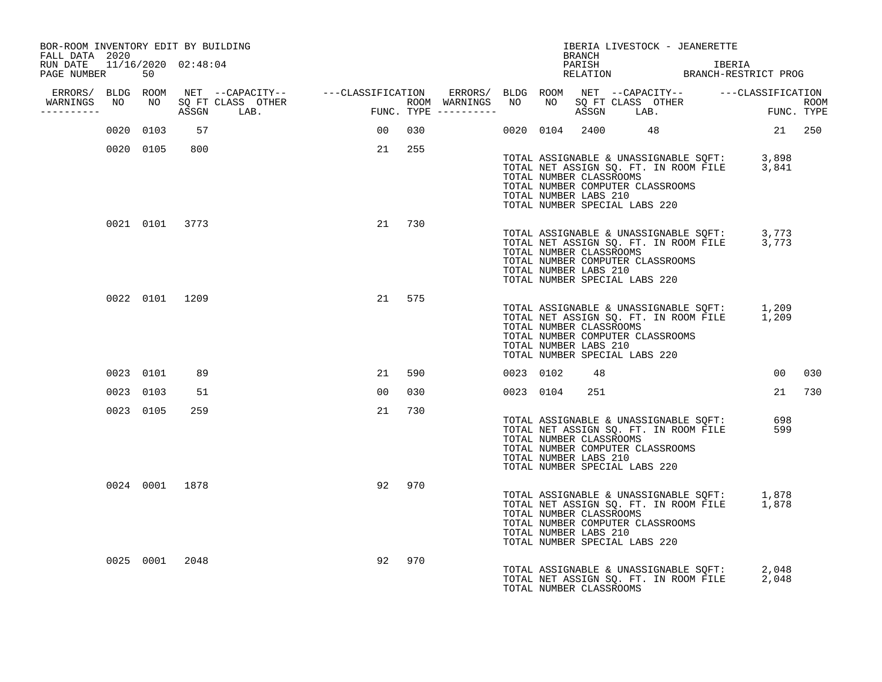| BOR-ROOM INVENTORY EDIT BY BUILDING<br>FALL DATA 2020 |           |           |                |                                  |                |           |  |           | BRANCH                                                                                                                |  | IBERIA LIVESTOCK - JEANERETTE                                                                                                   |                                                    |        |
|-------------------------------------------------------|-----------|-----------|----------------|----------------------------------|----------------|-----------|--|-----------|-----------------------------------------------------------------------------------------------------------------------|--|---------------------------------------------------------------------------------------------------------------------------------|----------------------------------------------------|--------|
| RUN DATE 11/16/2020 02:48:04<br>PAGE NUMBER 50        |           |           |                |                                  |                |           |  |           |                                                                                                                       |  |                                                                                                                                 | PARISH IBERIA IBERIA RELATION BRANCH-RESTRICT PROG |        |
| -----------                                           |           |           |                | WARNINGS NO NO SQ FT CLASS OTHER |                |           |  |           |                                                                                                                       |  |                                                                                                                                 |                                                    |        |
|                                                       |           | 0020 0103 | 57             |                                  |                | 00 030    |  |           |                                                                                                                       |  | 0020 0104 2400 48                                                                                                               | 21 250                                             |        |
|                                                       |           | 0020 0105 | 800            |                                  |                | 21 255    |  |           | TOTAL NUMBER CLASSROOMS<br>TOTAL NUMBER COMPUTER CLASSROOMS<br>TOTAL NUMBER LABS 210<br>TOTAL NUMBER SPECIAL LABS 220 |  | TOTAL ASSIGNABLE & UNASSIGNABLE SQFT: 3,898<br>TOTAL NET ASSIGN SQ. FT. IN ROOM FILE 3,841                                      |                                                    |        |
|                                                       |           |           | 0021 0101 3773 |                                  |                | 21 730    |  |           | TOTAL NUMBER CLASSROOMS<br>TOTAL NUMBER COMPUTER CLASSROOMS<br>TOTAL NUMBER LABS 210<br>TOTAL NUMBER SPECIAL LABS 220 |  | TOTAL ASSIGNABLE & UNASSIGNABLE SQFT: 3,773<br>TOTAL NET ASSIGN SQ. FT. IN ROOM FILE 3,773                                      |                                                    |        |
|                                                       |           |           | 0022 0101 1209 |                                  |                | 21 575    |  |           | TOTAL NUMBER CLASSROOMS<br>TOTAL NUMBER COMPUTER CLASSROOMS<br>TOTAL NUMBER LABS 210<br>TOTAL NUMBER SPECIAL LABS 220 |  | TOTAL ASSIGNABLE & UNASSIGNABLE SQFT: 1,209<br>TOTAL NET ASSIGN SQ. FT. IN ROOM FILE 1,209                                      |                                                    |        |
|                                                       |           | 0023 0101 | 89             |                                  |                | 21 590    |  | 0023 0102 | 48                                                                                                                    |  |                                                                                                                                 |                                                    | 00 030 |
|                                                       | 0023 0103 |           | 51             |                                  | 0 <sub>0</sub> | 030       |  | 0023 0104 | 251                                                                                                                   |  |                                                                                                                                 | 21 730                                             |        |
|                                                       | 0023 0105 |           | 259            |                                  | 21             | 730       |  |           | TOTAL NUMBER CLASSROOMS<br>TOTAL NUMBER COMPUTER CLASSROOMS<br>TOTAL NUMBER LABS 210<br>TOTAL NUMBER SPECIAL LABS 220 |  | TOTAL ASSIGNABLE & UNASSIGNABLE SQFT: 698<br>TOTAL NET ASSIGN SO. FT. IN ROOM FILE 599<br>TOTAL NET ASSIGN SO. FT. IN ROOM FILE |                                                    |        |
|                                                       |           |           | 0024 0001 1878 |                                  |                | 92<br>970 |  |           | TOTAL NUMBER CLASSROOMS<br>TOTAL NUMBER COMPUTER CLASSROOMS<br>TOTAL NUMBER LABS 210<br>TOTAL NUMBER SPECIAL LABS 220 |  | TOTAL ASSIGNABLE & UNASSIGNABLE SQFT: 1,878<br>TOTAL NET ASSIGN SQ. FT. IN ROOM FILE 1,878                                      |                                                    |        |
|                                                       |           | 0025 0001 | 2048           |                                  |                | 92<br>970 |  |           | TOTAL NUMBER CLASSROOMS                                                                                               |  | TOTAL ASSIGNABLE & UNASSIGNABLE SQFT: 2,048<br>TOTAL NET ASSIGN SQ. FT. IN ROOM FILE 2,048                                      |                                                    |        |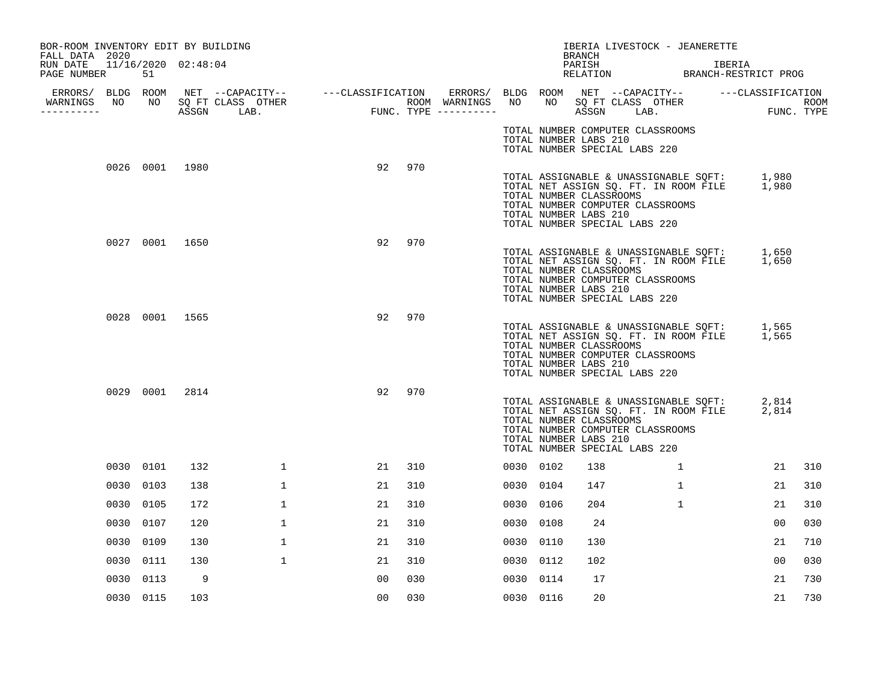| BOR-ROOM INVENTORY EDIT BY BUILDING<br>FALL DATA 2020 |      |                |      |                                  |                |        |           |                                                  | BRANCH | IBERIA LIVESTOCK - JEANERETTE                                                                                                                                   |              |        |     |
|-------------------------------------------------------|------|----------------|------|----------------------------------|----------------|--------|-----------|--------------------------------------------------|--------|-----------------------------------------------------------------------------------------------------------------------------------------------------------------|--------------|--------|-----|
| RUN DATE 11/16/2020 02:48:04<br>PAGE NUMBER           |      | 51             |      |                                  |                |        |           |                                                  | PARISH | PARISH<br>RELATION BRANCH-RESTRICT PROG                                                                                                                         |              | IBERIA |     |
| ----------                                            |      |                |      | WARNINGS NO NO SQ FT CLASS OTHER |                |        |           |                                                  |        |                                                                                                                                                                 |              |        |     |
|                                                       |      |                |      |                                  |                |        |           | TOTAL NUMBER LABS 210                            |        | TOTAL NUMBER COMPUTER CLASSROOMS<br>TOTAL NUMBER SPECIAL LABS 220                                                                                               |              |        |     |
|                                                       |      | 0026 0001 1980 |      |                                  |                | 92 970 |           | TOTAL NUMBER CLASSROOMS<br>TOTAL NUMBER LABS 210 |        | TOTAL ASSIGNABLE & UNASSIGNABLE SQFT: 1,980<br>TOTAL NET ASSIGN SQ. FT. IN ROOM FILE 1,980<br>TOTAL NUMBER COMPUTER CLASSROOMS<br>TOTAL NUMBER SPECIAL LABS 220 |              |        |     |
|                                                       |      | 0027 0001 1650 |      |                                  | 92             | 970    |           | TOTAL NUMBER CLASSROOMS<br>TOTAL NUMBER LABS 210 |        | TOTAL ASSIGNABLE & UNASSIGNABLE SQFT: 1,650<br>TOTAL NET ASSIGN SQ. FT. IN ROOM FILE 1,650<br>TOTAL NUMBER COMPUTER CLASSROOMS<br>TOTAL NUMBER SPECIAL LABS 220 |              |        |     |
|                                                       |      | 0028 0001 1565 |      |                                  | 92             | 970    |           | TOTAL NUMBER CLASSROOMS<br>TOTAL NUMBER LABS 210 |        | TOTAL ASSIGNABLE & UNASSIGNABLE SQFT: 1,565<br>TOTAL NET ASSIGN SQ. FT. IN ROOM FILE 1,565<br>TOTAL NUMBER COMPUTER CLASSROOMS<br>TOTAL NUMBER SPECIAL LABS 220 |              |        |     |
|                                                       |      | 0029 0001      | 2814 |                                  | 92             | 970    |           | TOTAL NUMBER CLASSROOMS<br>TOTAL NUMBER LABS 210 |        | TOTAL ASSIGNABLE & UNASSIGNABLE SQFT: $2,814$<br>TOTAL NET ASSIGN SQ. FT. IN ROOM FILE<br>TOTAL NUMBER COMPUTER CLASSROOMS<br>TOTAL NUMBER SPECIAL LABS 220     |              | 2,814  |     |
|                                                       |      | 0030 0101      | 132  | 1                                | 21             | 310    | 0030 0102 |                                                  | 138    |                                                                                                                                                                 | $\mathbf{1}$ | 21     | 310 |
|                                                       |      | 0030 0103      | 138  | $\mathbf{1}$                     | 21             | 310    | 0030 0104 |                                                  | 147    |                                                                                                                                                                 | $\mathbf{1}$ | 21     | 310 |
|                                                       |      | 0030 0105      | 172  | $\mathbf{1}$                     | 21             | 310    | 0030 0106 |                                                  | 204    |                                                                                                                                                                 | $\mathbf{1}$ | 21     | 310 |
|                                                       | 0030 | 0107           | 120  | $\mathbf{1}$                     | 21             | 310    | 0030 0108 |                                                  | 24     |                                                                                                                                                                 |              | 00     | 030 |
|                                                       |      | 0030 0109      | 130  | $\mathbf{1}$                     | 21             | 310    | 0030 0110 |                                                  | 130    |                                                                                                                                                                 |              | 21     | 710 |
|                                                       |      | 0030 0111      | 130  | $\mathbf{1}$                     | 21             | 310    | 0030 0112 |                                                  | 102    |                                                                                                                                                                 |              | 00     | 030 |
|                                                       |      | 0030 0113      | - 9  |                                  | 0 <sub>0</sub> | 030    | 0030 0114 |                                                  | 17     |                                                                                                                                                                 |              | 21     | 730 |
|                                                       |      | 0030 0115      | 103  |                                  | 00             | 030    | 0030 0116 |                                                  | 20     |                                                                                                                                                                 |              | 21     | 730 |
|                                                       |      |                |      |                                  |                |        |           |                                                  |        |                                                                                                                                                                 |              |        |     |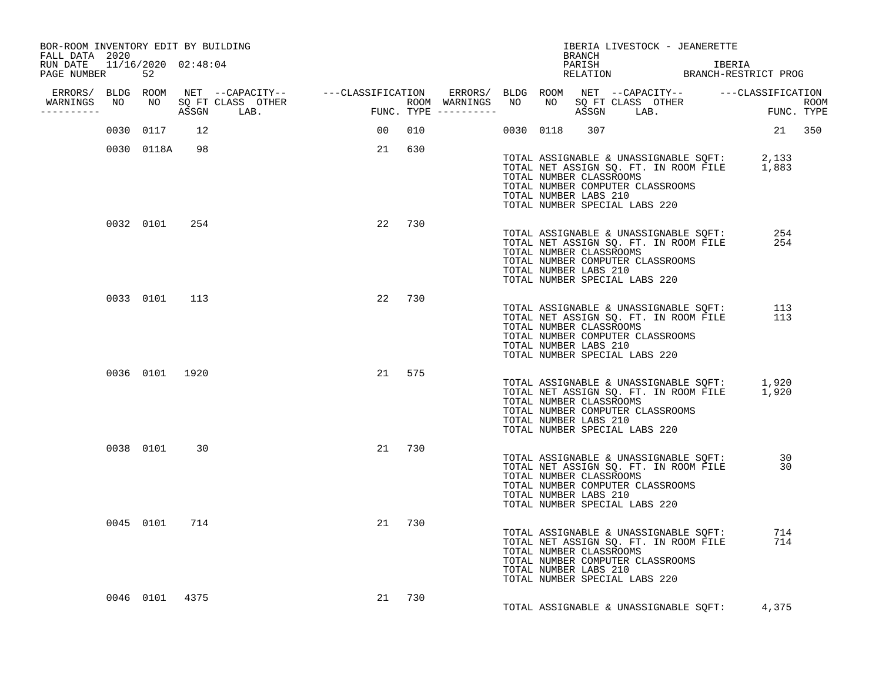| BOR-ROOM INVENTORY EDIT BY BUILDING<br>FALL DATA 2020 |                |                                  |    |        |  | BRANCH                                           | IBERIA LIVESTOCK - JEANERETTE                                                                                                                                   |            |  |
|-------------------------------------------------------|----------------|----------------------------------|----|--------|--|--------------------------------------------------|-----------------------------------------------------------------------------------------------------------------------------------------------------------------|------------|--|
| RUN DATE 11/16/2020 02:48:04<br>PAGE NUMBER 52        |                |                                  |    |        |  |                                                  | PARISH IBERIA IBERIA RELATION BRANCH-RESTRICT PROG                                                                                                              |            |  |
|                                                       |                |                                  |    |        |  |                                                  |                                                                                                                                                                 |            |  |
| -----------                                           |                | WARNINGS NO NO SQ FT CLASS OTHER |    |        |  |                                                  |                                                                                                                                                                 |            |  |
|                                                       | 0030 0117 12   |                                  |    | 00 010 |  | 0030 0118 307                                    |                                                                                                                                                                 | 21 350     |  |
|                                                       | 0030 0118A 98  |                                  |    | 21 630 |  | TOTAL NUMBER CLASSROOMS<br>TOTAL NUMBER LABS 210 | TOTAL ASSIGNABLE & UNASSIGNABLE SQFT: 2,133<br>TOTAL NET ASSIGN SQ. FT. IN ROOM FILE 1,883<br>TOTAL NUMBER COMPUTER CLASSROOMS<br>TOTAL NUMBER SPECIAL LABS 220 |            |  |
|                                                       | 0032 0101 254  |                                  | 22 | 730    |  | TOTAL NUMBER CLASSROOMS<br>TOTAL NUMBER LABS 210 | TOTAL ASSIGNABLE & UNASSIGNABLE SOFT:<br>TOTAL NET ASSIGN SQ. FT. IN ROOM FILE<br>TOTAL NUMBER COMPUTER CLASSROOMS<br>TOTAL NUMBER SPECIAL LABS 220             | 254<br>254 |  |
|                                                       | 0033 0101 113  |                                  |    | 22 730 |  | TOTAL NUMBER CLASSROOMS<br>TOTAL NUMBER LABS 210 | TOTAL NET ASSIGN SQ. FT. IN ROOM FILE 113<br>TOTAL NUMBER CLASSON CONC.<br>TOTAL NUMBER COMPUTER CLASSROOMS<br>TOTAL NUMBER SPECIAL LABS 220                    |            |  |
|                                                       | 0036 0101 1920 |                                  |    | 21 575 |  | TOTAL NUMBER CLASSROOMS<br>TOTAL NUMBER LABS 210 | TOTAL ASSIGNABLE & UNASSIGNABLE SQFT: 1,920<br>TOTAL NET ASSIGN SQ. FT. IN ROOM FILE 1,920<br>TOTAL NUMBER COMPUTER CLASSROOMS<br>TOTAL NUMBER SPECIAL LABS 220 |            |  |
|                                                       | 0038 0101 30   |                                  |    | 21 730 |  | TOTAL NUMBER CLASSROOMS<br>TOTAL NUMBER LABS 210 | TOTAL ASSIGNABLE & UNASSIGNABLE SQFT: 30<br>TOTAL NET ASSIGN SQ. FT. IN ROOM FILE 30<br>TOTAL NUMBER COMPUTER CLASSROOMS<br>TOTAL NUMBER SPECIAL LABS 220       |            |  |
|                                                       | 0045 0101 714  |                                  |    | 21 730 |  | TOTAL NUMBER CLASSROOMS<br>TOTAL NUMBER LABS 210 | TOTAL ASSIGNABLE & UNASSIGNABLE SQFT:<br>TOTAL NET ASSIGN SQ. FT. IN ROOM FILE<br>TOTAL NUMBER COMPUTER CLASSROOMS<br>TOTAL NUMBER SPECIAL LABS 220             | 714<br>714 |  |
|                                                       | 0046 0101 4375 |                                  |    | 21 730 |  |                                                  | TOTAL ASSIGNABLE & UNASSIGNABLE SQFT:                                                                                                                           | 4,375      |  |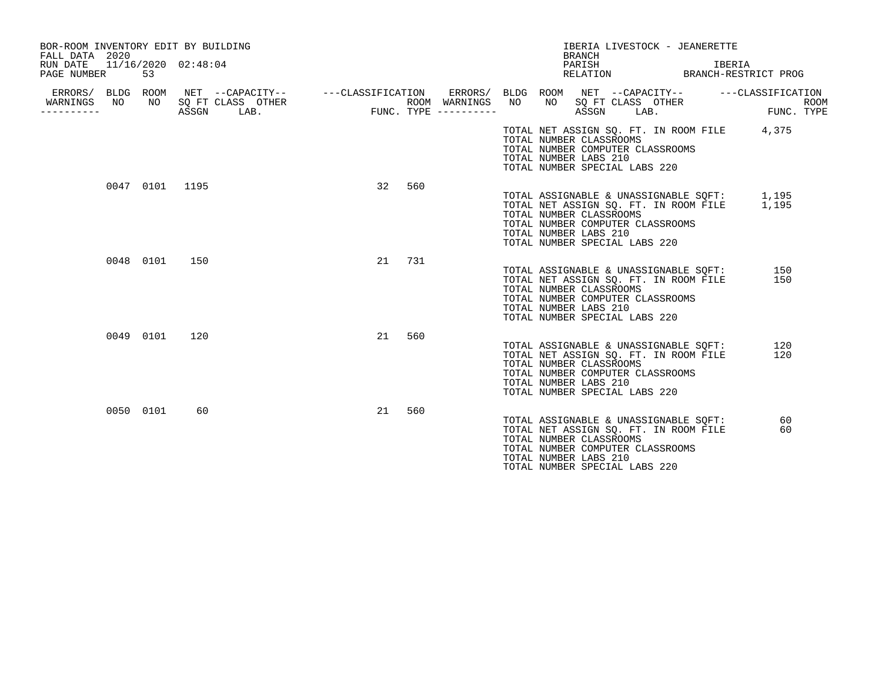| BOR-ROOM INVENTORY EDIT BY BUILDING<br>FALL DATA 2020<br>RUN DATE |                | 11/16/2020 02:48:04                |                                                                                       | IBERIA LIVESTOCK - JEANERETTE<br><b>BRANCH</b><br>PARISH                                                                                                                                                      | IBERIA                    |
|-------------------------------------------------------------------|----------------|------------------------------------|---------------------------------------------------------------------------------------|---------------------------------------------------------------------------------------------------------------------------------------------------------------------------------------------------------------|---------------------------|
| PAGE NUMBER                                                       | 53             |                                    |                                                                                       | RELATION                                                                                                                                                                                                      | BRANCH-RESTRICT PROG      |
| ERRORS/ BLDG ROOM<br>WARNINGS<br>NO.<br>---------                 | NO             | SQ FT CLASS OTHER<br>ASSGN<br>LAB. | NET --CAPACITY-- ---CLASSIFICATION<br>ERRORS/<br>ROOM WARNINGS<br>FUNC. TYPE $------$ | BLDG ROOM NET --CAPACITY-- ---CLASSIFICATION<br>NO<br>NO .<br>SQ FT CLASS OTHER<br>ASSGN<br>LAB.                                                                                                              | <b>ROOM</b><br>FUNC. TYPE |
|                                                                   |                |                                    |                                                                                       | TOTAL NET ASSIGN SO. FT. IN ROOM FILE<br>TOTAL NUMBER CLASSROOMS<br>TOTAL NUMBER COMPUTER CLASSROOMS<br>TOTAL NUMBER LABS 210<br>TOTAL NUMBER SPECIAL LABS 220                                                | 4,375                     |
|                                                                   | 0047 0101 1195 |                                    | 32<br>560                                                                             | TOTAL ASSIGNABLE & UNASSIGNABLE SQFT: 1,195<br>TOTAL NET ASSIGN SQ. FT. IN ROOM FILE<br>TOTAL NUMBER CLASSROOMS<br>TOTAL NUMBER COMPUTER CLASSROOMS<br>TOTAL NUMBER LABS 210<br>TOTAL NUMBER SPECIAL LABS 220 | 1,195                     |
|                                                                   | 0048 0101      | 150                                | 21<br>731                                                                             | TOTAL ASSIGNABLE & UNASSIGNABLE SOFT:<br>TOTAL NET ASSIGN SQ. FT. IN ROOM FILE<br>TOTAL NUMBER CLASSROOMS<br>TOTAL NUMBER COMPUTER CLASSROOMS<br>TOTAL NUMBER LABS 210<br>TOTAL NUMBER SPECIAL LABS 220       | 150<br>150                |
|                                                                   | 0049 0101      | 120                                | 21<br>560                                                                             | TOTAL ASSIGNABLE & UNASSIGNABLE SQFT:<br>TOTAL NET ASSIGN SQ. FT. IN ROOM FILE<br>TOTAL NUMBER CLASSROOMS<br>TOTAL NUMBER COMPUTER CLASSROOMS<br>TOTAL NUMBER LABS 210<br>TOTAL NUMBER SPECIAL LABS 220       | 120<br>120                |
|                                                                   | 0050 0101      | 60                                 | 21<br>560                                                                             | TOTAL ASSIGNABLE & UNASSIGNABLE SQFT:<br>TOTAL NET ASSIGN SQ. FT. IN ROOM FILE<br>TOTAL NUMBER CLASSROOMS<br>TOTAL NUMBER COMPUTER CLASSROOMS<br>TOTAL NUMBER LABS 210<br>TOTAL NUMBER SPECIAL LABS 220       | 60<br>60                  |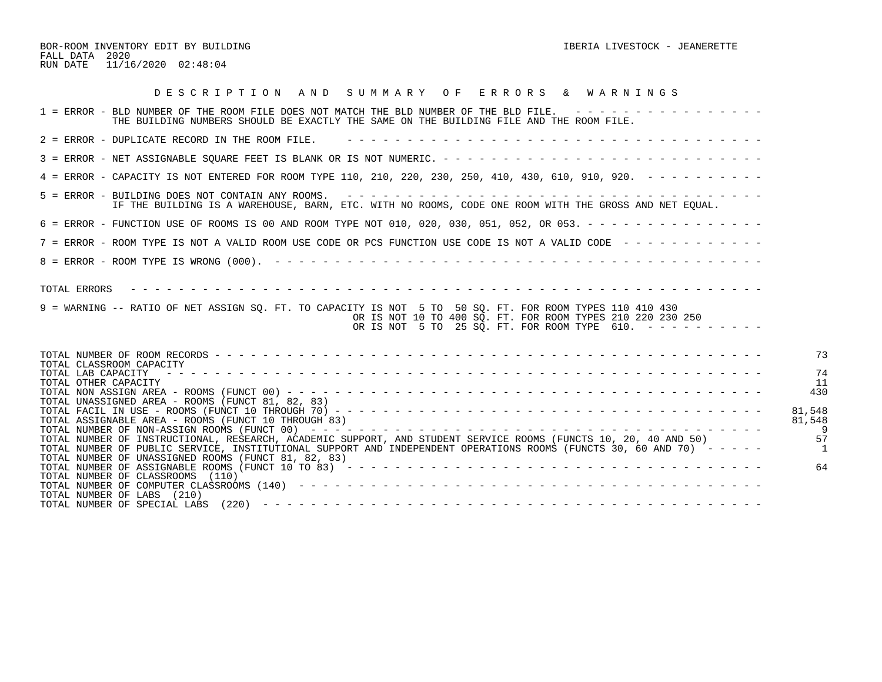BOR-ROOM INVENTORY EDIT BY BUILDING **IBERIA LIVESTOCK - JEANERETTE** FALL DATA 2020 RUN DATE 11/16/2020 02:48:04

| DESCRIPTION AND SUMMARY OF ERRORS & WARNINGS                                                                                                                                                                                                                                                                                                         |                        |
|------------------------------------------------------------------------------------------------------------------------------------------------------------------------------------------------------------------------------------------------------------------------------------------------------------------------------------------------------|------------------------|
| 1 = ERROR - BLD NUMBER OF THE ROOM FILE DOES NOT MATCH THE BLD NUMBER OF THE BLD FILE. ----------------<br>THE BUILDING NUMBERS SHOULD BE EXACTLY THE SAME ON THE BUILDING FILE AND THE ROOM FILE.                                                                                                                                                   |                        |
| 2 = ERROR - DUPLICATE RECORD IN THE ROOM FILE.                                                                                                                                                                                                                                                                                                       |                        |
|                                                                                                                                                                                                                                                                                                                                                      |                        |
| 4 = ERROR - CAPACITY IS NOT ENTERED FOR ROOM TYPE 110, 210, 220, 230, 250, 410, 430, 610, 910, 920. - - - - - - - - -                                                                                                                                                                                                                                |                        |
| 5 = ERROR - BUILDING DOES NOT CONTAIN ANY ROOMS.<br>IF THE BUILDING IS A WAREHOUSE, BARN, ETC. WITH NO ROOMS, CODE ONE ROOM WITH THE GROSS AND NET EQUAL.                                                                                                                                                                                            |                        |
| 6 = ERROR - FUNCTION USE OF ROOMS IS 00 AND ROOM TYPE NOT 010, 020, 030, 051, 052, OR 053. - - - - - - - - - - - - - - -                                                                                                                                                                                                                             |                        |
| 7 = ERROR - ROOM TYPE IS NOT A VALID ROOM USE CODE OR PCS FUNCTION USE CODE IS NOT A VALID CODE ------------                                                                                                                                                                                                                                         |                        |
|                                                                                                                                                                                                                                                                                                                                                      |                        |
| TOTAL ERRORS<br>9 = WARNING -- RATIO OF NET ASSIGN SQ. FT. TO CAPACITY IS NOT 5 TO 50 SQ. FT. FOR ROOM TYPES 110 410 430<br>OR IS NOT 10 TO 400 SO. FT. FOR ROOM TYPES 210 220 230 250<br>OR IS NOT 5 TO 25 SQ. FT. FOR ROOM TYPE 610. ----------                                                                                                    |                        |
| TOTAL CLASSROOM CAPACITY<br>TOTAL LAB CAPACITY<br>TOTAL OTHER CAPACITY<br>TOTAL UNASSIGNED AREA - ROOMS (FUNCT 81, 82, 83)                                                                                                                                                                                                                           | 73<br>74<br>11<br>430  |
| TOTAL ASSIGNABLE AREA - ROOMS (FUNCT 10 THROUGH 83)<br>TOTAL NUMBER OF INSTRUCTIONAL, RESEARCH, ACADEMIC SUPPORT, AND STUDENT SERVICE ROOMS (FUNCTS 10, 20, 40 AND 50)<br>TOTAL NUMBER OF PUBLIC SERVICE, INSTITUTIONAL SUPPORT AND INDEPENDENT OPERATIONS ROOMS (FUNCTS 30, 60 AND 70) -----<br>TOTAL NUMBER OF UNASSIGNED ROOMS (FUNCT 81, 82, 83) | 81,548<br>81,548<br>57 |
| TOTAL NUMBER OF CLASSROOMS (110)<br>TOTAL NUMBER OF LABS (210)<br>TOTAL NUMBER OF SPECIAL LABS                                                                                                                                                                                                                                                       | 64                     |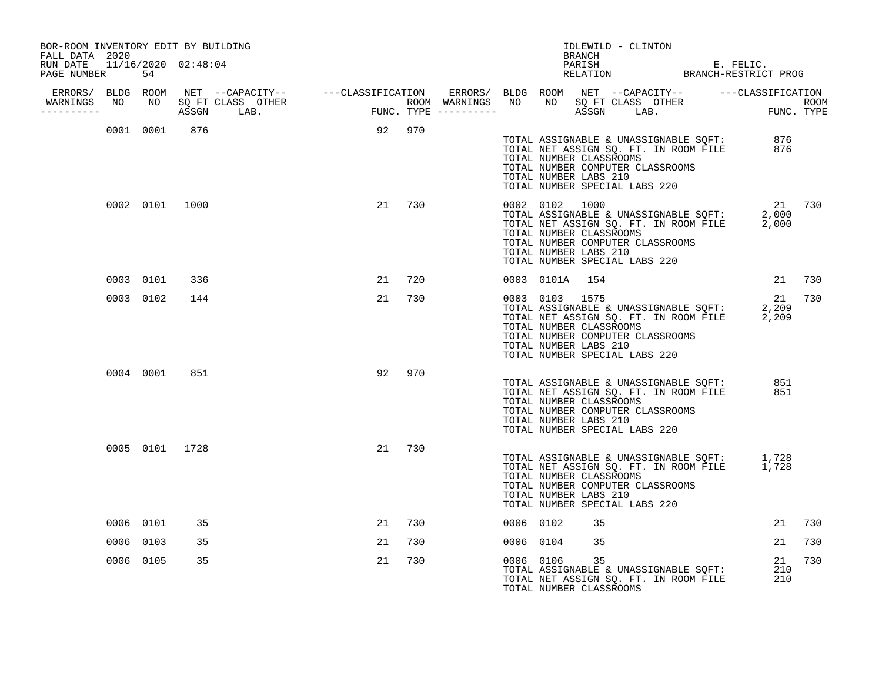| BOR-ROOM INVENTORY EDIT BY BUILDING<br>FALL DATA 2020 |           |                |               |        |        |           |                                                                                                                                         | BRANCH | IDLEWILD - CLINTON |                                                                                |                                                                                                            |        |
|-------------------------------------------------------|-----------|----------------|---------------|--------|--------|-----------|-----------------------------------------------------------------------------------------------------------------------------------------|--------|--------------------|--------------------------------------------------------------------------------|------------------------------------------------------------------------------------------------------------|--------|
| RUN DATE 11/16/2020 02:48:04<br>PAGE NUMBER           | 54        |                |               |        |        |           |                                                                                                                                         |        |                    |                                                                                | PARISH E. FELIC.<br>RELATION BRANCH-RESTRICT PROG                                                          |        |
|                                                       |           |                |               |        |        |           |                                                                                                                                         |        |                    |                                                                                |                                                                                                            |        |
| ----------                                            |           |                |               |        |        |           |                                                                                                                                         |        |                    |                                                                                |                                                                                                            |        |
|                                                       |           |                | 0001 0001 876 | 92 970 |        |           | TOTAL NUMBER CLASSROOMS<br>TOTAL NUMBER COMPUTER CLASSROOMS<br>TOTAL NUMBER LABS 210<br>TOTAL NUMBER SPECIAL LABS 220                   |        |                    |                                                                                | TOTAL ASSIGNABLE & UNASSIGNABLE SQFT: 876<br>TOTAL NET ASSIGN SQ. FT. IN ROOM FILE 876                     |        |
|                                                       |           | 0002 0101 1000 |               |        | 21 730 |           | 0002 0102 1000<br>TOTAL NUMBER CLASSROOMS<br>TOTAL NUMBER COMPUTER CLASSROOMS<br>TOTAL NUMBER LABS 210<br>TOTAL NUMBER SPECIAL LABS 220 |        |                    |                                                                                | 21 730<br>21<br>TOTAL ASSIGNABLE & UNASSIGNABLE SQFT: 2,000<br>TOTAL NET ASSIGN SQ. FT. IN ROOM FILE 2,000 |        |
|                                                       | 0003 0101 | 336            |               | 21     | 720    |           | 0003 0101A 154                                                                                                                          |        |                    |                                                                                |                                                                                                            | 21 730 |
|                                                       | 0003 0102 | 144            |               | 21     | 730    |           | 0003 0103 1575<br>TOTAL NUMBER CLASSROOMS<br>TOTAL NUMBER COMPUTER CLASSROOMS<br>TOTAL NUMBER LABS 210<br>TOTAL NUMBER SPECIAL LABS 220 |        |                    |                                                                                | 21<br>TOTAL ASSIGNABLE & UNASSIGNABLE SOFT: 2,209<br>TOTAL NET ASSIGN SQ. FT. IN ROOM FILE 2,209           | 730    |
|                                                       | 0004 0001 | 851            |               | 92     | 970    |           | TOTAL NUMBER CLASSROOMS<br>TOTAL NUMBER COMPUTER CLASSROOMS<br>TOTAL NUMBER LABS 210<br>TOTAL NUMBER SPECIAL LABS 220                   |        |                    |                                                                                | TOTAL ASSIGNABLE & UNASSIGNABLE SQFT: 851<br>TOTAL NET ASSIGN SQ. FT. IN ROOM FILE 851                     |        |
|                                                       |           | 0005 0101 1728 |               | 21     | 730    |           | TOTAL NUMBER CLASSROOMS<br>TOTAL NUMBER COMPUTER CLASSROOMS<br>TOTAL NUMBER LABS 210<br>TOTAL NUMBER SPECIAL LABS 220                   |        |                    |                                                                                | TOTAL ASSIGNABLE & UNASSIGNABLE SQFT: 1,728<br>TOTAL NET ASSIGN SQ. FT. IN ROOM FILE 1,728                 |        |
|                                                       | 0006 0101 | 35             |               | 21     | 730    | 0006 0102 |                                                                                                                                         | 35     |                    |                                                                                | 21                                                                                                         | 730    |
|                                                       | 0006 0103 | 35             |               | 21     | 730    |           | 0006 0104                                                                                                                               | 35     |                    |                                                                                | 21                                                                                                         | 730    |
|                                                       | 0006 0105 | 35             |               | 21     | 730    |           | 0006 0106<br>TOTAL NUMBER CLASSROOMS                                                                                                    | 35     |                    | TOTAL ASSIGNABLE & UNASSIGNABLE SQFT:<br>TOTAL NET ASSIGN SQ. FT. IN ROOM FILE | 21<br>210<br>210                                                                                           | 730    |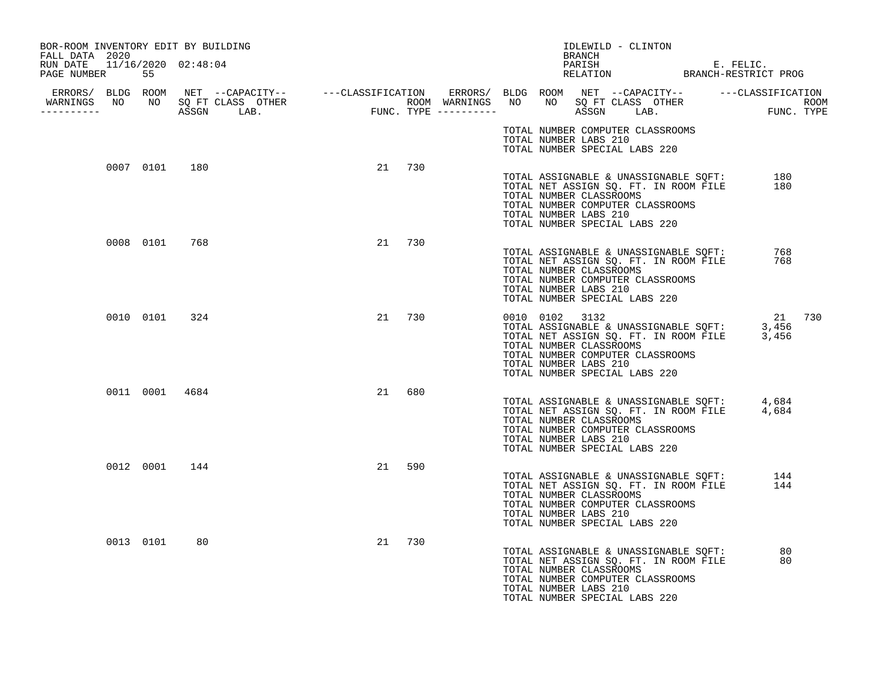| BOR-ROOM INVENTORY EDIT BY BUILDING<br>FALL DATA 2020 |               |                |    |        |  | BRANCH                                                             | IDLEWILD - CLINTON                                                                                                                                  |  |                                                                                                  |        |
|-------------------------------------------------------|---------------|----------------|----|--------|--|--------------------------------------------------------------------|-----------------------------------------------------------------------------------------------------------------------------------------------------|--|--------------------------------------------------------------------------------------------------|--------|
| RUN DATE 11/16/2020 02:48:04<br>PAGE NUMBER 55        |               |                |    |        |  |                                                                    |                                                                                                                                                     |  | PARISH E. FELIC.<br>RELATION BRANCH-RESTRICT PROG                                                |        |
| WARNINGS NO NO SQ FT CLASS OTHER<br>-----------       |               |                |    |        |  |                                                                    |                                                                                                                                                     |  |                                                                                                  |        |
|                                                       |               |                |    |        |  | TOTAL NUMBER LABS 210                                              | TOTAL NUMBER COMPUTER CLASSROOMS<br>TOTAL NUMBER SPECIAL LABS 220                                                                                   |  |                                                                                                  |        |
|                                                       | 0007 0101 180 |                |    | 21 730 |  | TOTAL NUMBER CLASSROOMS<br>TOTAL NUMBER LABS 210                   | TOTAL ASSIGNABLE & UNASSIGNABLE SQFT:<br>TOTAL NET ASSIGN SQ. FT. IN ROOM FILE<br>TOTAL NUMBER COMPUTER CLASSROOMS<br>TOTAL NUMBER SPECIAL LABS 220 |  | 180<br>180                                                                                       |        |
|                                                       | 0008 0101 768 |                |    | 21 730 |  | TOTAL NUMBER CLASSROOMS<br>TOTAL NUMBER LABS 210                   | TOTAL ASSIGNABLE & UNASSIGNABLE SQFT:<br>TOTAL NET ASSIGN SQ. FT. IN ROOM FILE<br>TOTAL NUMBER COMPUTER CLASSROOMS<br>TOTAL NUMBER SPECIAL LABS 220 |  | 768<br>768                                                                                       |        |
|                                                       | 0010 0101 324 |                |    | 21 730 |  | 0010 0102 3132<br>TOTAL NUMBER CLASSROOMS<br>TOTAL NUMBER LABS 210 | TOTAL NUMBER COMPUTER CLASSROOMS<br>TOTAL NUMBER SPECIAL LABS 220                                                                                   |  | 21<br>TOTAL ASSIGNABLE & UNASSIGNABLE SQFT: 3,456<br>TOTAL NET ASSIGN SQ. FT. IN ROOM FILE 3,456 | 21 730 |
|                                                       |               | 0011 0001 4684 | 21 | 680    |  | TOTAL NUMBER CLASSROOMS<br>TOTAL NUMBER LABS 210                   | TOTAL NUMBER COMPUTER CLASSROOMS<br>TOTAL NUMBER SPECIAL LABS 220                                                                                   |  | TOTAL ASSIGNABLE & UNASSIGNABLE SQFT: 4,684<br>TOTAL NET ASSIGN SQ. FT. IN ROOM FILE 4,684       |        |
|                                                       | 0012 0001     | 144            | 21 | 590    |  | TOTAL NUMBER CLASSROOMS<br>TOTAL NUMBER LABS 210                   | TOTAL ASSIGNABLE & UNASSIGNABLE SQFT:<br>TOTAL NET ASSIGN SQ. FT. IN ROOM FILE<br>TOTAL NUMBER COMPUTER CLASSROOMS<br>TOTAL NUMBER SPECIAL LABS 220 |  | 144<br>144                                                                                       |        |
|                                                       | 0013 0101     | 80             | 21 | 730    |  | TOTAL NUMBER CLASSROOMS<br>TOTAL NUMBER LABS 210                   | TOTAL ASSIGNABLE & UNASSIGNABLE SQFT:<br>TOTAL NET ASSIGN SQ. FT. IN ROOM FILE<br>TOTAL NUMBER COMPUTER CLASSROOMS<br>TOTAL NUMBER SPECIAL LABS 220 |  | 80<br>80                                                                                         |        |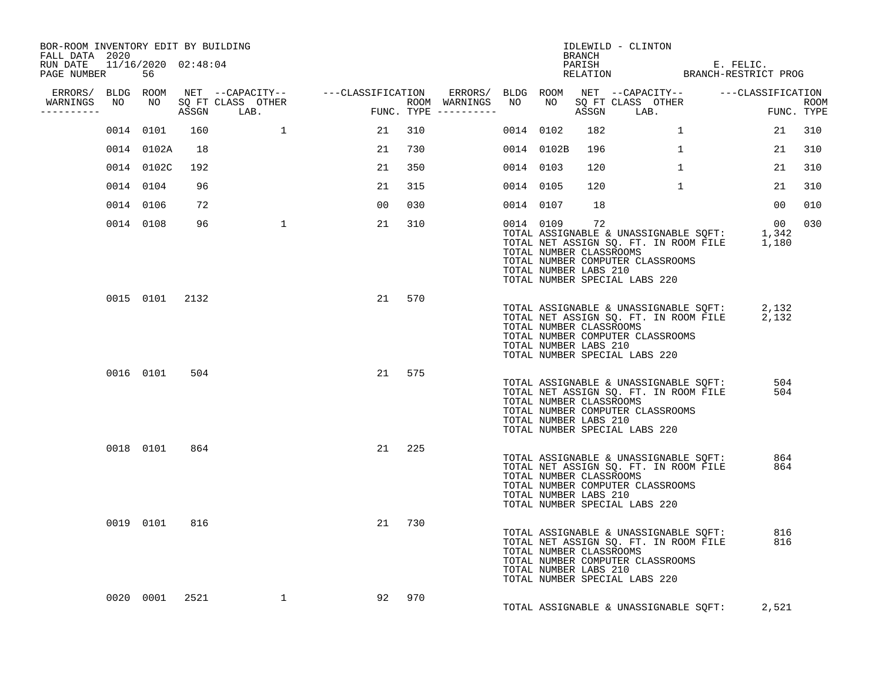| BOR-ROOM INVENTORY EDIT BY BUILDING<br>FALL DATA 2020<br>RUN DATE 11/16/2020 02:48:04 |                |      |                                    |        |     |                                         |           |            |                                                        | IDLEWILD - CLINTON<br><b>BRANCH</b>                                                                                                                             |            |                    |
|---------------------------------------------------------------------------------------|----------------|------|------------------------------------|--------|-----|-----------------------------------------|-----------|------------|--------------------------------------------------------|-----------------------------------------------------------------------------------------------------------------------------------------------------------------|------------|--------------------|
| PAGE NUMBER                                                                           | 56             |      |                                    |        |     |                                         |           |            |                                                        | PARISH E. FELIC.<br>RELATION BRANCH-RESTRICT PROG                                                                                                               |            |                    |
| WARNINGS NO<br>----------                                                             |                |      | NO SQ FT CLASS OTHER<br>ASSGN LAB. | FUNC   |     | ROOM WARNINGS NO<br>FUNC. TYPE $------$ |           |            |                                                        | ERRORS/ BLDG ROOM NET --CAPACITY-- ----CLASSIFICATION ERRORS/ BLDG ROOM NET --CAPACITY-- ----CLASSIFICATION<br>NO SQ FT CLASS OTHER<br>ASSGN LAB.               |            | ROOM<br>FUNC. TYPE |
|                                                                                       | 0014 0101      | 160  |                                    | 21     | 310 |                                         |           | 0014 0102  | 182                                                    | $\mathbf{1}$                                                                                                                                                    | 21         | 310                |
|                                                                                       | 0014 0102A     | 18   |                                    | 21     | 730 |                                         |           | 0014 0102B | 196                                                    | $\mathbf{1}$                                                                                                                                                    | 21         | 310                |
|                                                                                       | 0014 0102C     | 192  |                                    | 21     | 350 |                                         | 0014 0103 |            | 120                                                    | $\mathbf{1}$                                                                                                                                                    | 21         | 310                |
|                                                                                       | 0014 0104      | 96   |                                    | 21     | 315 |                                         |           | 0014 0105  | 120                                                    | 1                                                                                                                                                               | 21         | 310                |
|                                                                                       | 0014 0106      | 72   |                                    | 00     | 030 |                                         |           | 0014 0107  | 18                                                     |                                                                                                                                                                 | 00         | 010                |
|                                                                                       | 0014 0108      | 96   | $\overline{1}$                     | 21     | 310 |                                         |           | 0014 0109  | 72<br>TOTAL NUMBER CLASSROOMS<br>TOTAL NUMBER LABS 210 | TOTAL ASSIGNABLE & UNASSIGNABLE SQFT: 1,342<br>TOTAL NET ASSIGN SQ. FT. IN ROOM FILE 1,180<br>TOTAL NUMBER COMPUTER CLASSROOMS<br>TOTAL NUMBER SPECIAL LABS 220 | 00         | 030                |
|                                                                                       | 0015 0101 2132 |      |                                    | 21     | 570 |                                         |           |            | TOTAL NUMBER CLASSROOMS<br>TOTAL NUMBER LABS 210       | TOTAL ASSIGNABLE & UNASSIGNABLE SQFT: 2,132<br>TOTAL NET ASSIGN SQ. FT. IN ROOM FILE 2,132<br>TOTAL NUMBER COMPUTER CLASSROOMS<br>TOTAL NUMBER SPECIAL LABS 220 |            |                    |
|                                                                                       | 0016 0101      | 504  |                                    | 21 575 |     |                                         |           |            | TOTAL NUMBER CLASSROOMS<br>TOTAL NUMBER LABS 210       | TOTAL ASSIGNABLE & UNASSIGNABLE SQFT:<br>TOTAL NET ASSIGN SQ. FT. IN ROOM FILE<br>TOTAL NUMBER COMPUTER CLASSROOMS<br>TOTAL NUMBER SPECIAL LABS 220             | 504<br>504 |                    |
|                                                                                       | 0018 0101      | 864  |                                    | 21     | 225 |                                         |           |            | TOTAL NUMBER CLASSROOMS<br>TOTAL NUMBER LABS 210       | TOTAL ASSIGNABLE & UNASSIGNABLE SQFT: 864<br>TOTAL NET ASSIGN SQ. FT. IN ROOM FILE 864<br>TOTAL NUMBER COMPUTER CLASSROOMS<br>TOTAL NUMBER SPECIAL LABS 220     |            |                    |
|                                                                                       | 0019 0101      | 816  |                                    | 21     | 730 |                                         |           |            | TOTAL NUMBER CLASSROOMS<br>TOTAL NUMBER LABS 210       | TOTAL ASSIGNABLE & UNASSIGNABLE SQFT: 816<br>TOTAL NET ASSIGN SQ. FT. IN ROOM FILE<br>TOTAL NUMBER COMPUTER CLASSROOMS<br>TOTAL NUMBER SPECIAL LABS 220         | 816        |                    |
|                                                                                       | 0020 0001      | 2521 | $\mathbf{1}$                       | 92     | 970 |                                         |           |            |                                                        | TOTAL ASSIGNABLE & UNASSIGNABLE SQFT:                                                                                                                           | 2,521      |                    |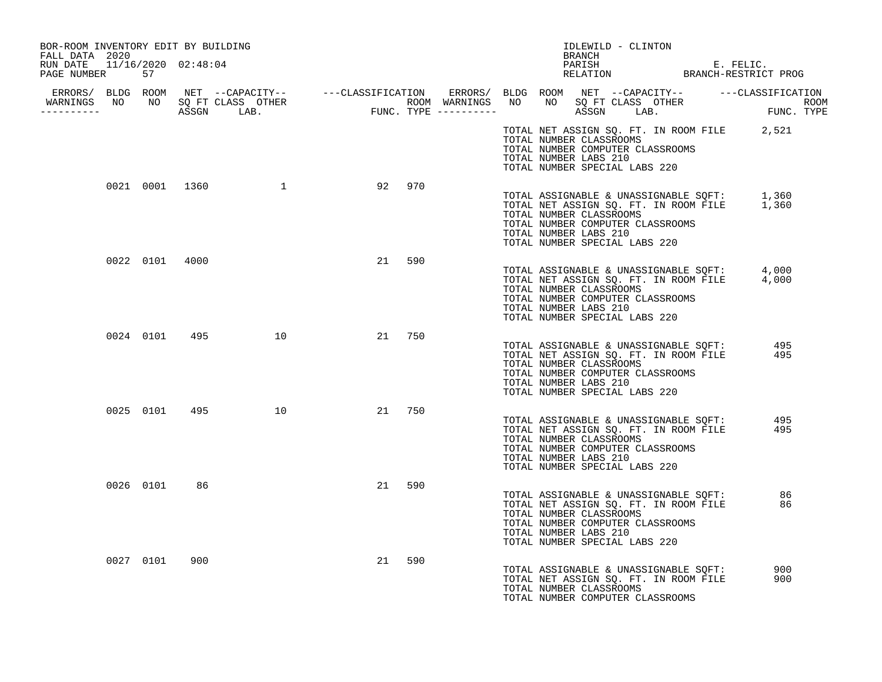| BOR-ROOM INVENTORY EDIT BY BUILDING<br>FALL DATA 2020 |              |                |                  |    |        |  |                                                  | IDLEWILD - CLINTON<br><b>BRANCH</b>                               |                                                                                |                                                                                            |
|-------------------------------------------------------|--------------|----------------|------------------|----|--------|--|--------------------------------------------------|-------------------------------------------------------------------|--------------------------------------------------------------------------------|--------------------------------------------------------------------------------------------|
| RUN DATE 11/16/2020 02:48:04<br>PAGE NUMBER           | 57           |                |                  |    |        |  |                                                  |                                                                   |                                                                                | PARISH E. FELIC.<br>RELATION BRANCH-RESTRICT PROG                                          |
|                                                       |              |                |                  |    |        |  |                                                  |                                                                   |                                                                                |                                                                                            |
|                                                       |              |                |                  |    |        |  | TOTAL NUMBER CLASSROOMS<br>TOTAL NUMBER LABS 210 | TOTAL NUMBER COMPUTER CLASSROOMS<br>TOTAL NUMBER SPECIAL LABS 220 |                                                                                | TOTAL NET ASSIGN SQ. FT. IN ROOM FILE 2,521                                                |
|                                                       |              |                | 0021 0001 1360 1 | 92 | 970    |  | TOTAL NUMBER CLASSROOMS<br>TOTAL NUMBER LABS 210 | TOTAL NUMBER COMPUTER CLASSROOMS<br>TOTAL NUMBER SPECIAL LABS 220 |                                                                                | TOTAL ASSIGNABLE & UNASSIGNABLE SQFT: 1,360<br>TOTAL NET ASSIGN SQ. FT. IN ROOM FILE 1,360 |
|                                                       |              | 0022 0101 4000 |                  | 21 | 590    |  | TOTAL NUMBER CLASSROOMS<br>TOTAL NUMBER LABS 210 | TOTAL NUMBER COMPUTER CLASSROOMS<br>TOTAL NUMBER SPECIAL LABS 220 |                                                                                | TOTAL ASSIGNABLE & UNASSIGNABLE SQFT: 4,000<br>TOTAL NET ASSIGN SQ. FT. IN ROOM FILE 4,000 |
|                                                       |              |                | 0024 0101 495 10 |    | 21 750 |  | TOTAL NUMBER CLASSROOMS<br>TOTAL NUMBER LABS 210 | TOTAL NUMBER COMPUTER CLASSROOMS<br>TOTAL NUMBER SPECIAL LABS 220 |                                                                                | TOTAL ASSIGNABLE & UNASSIGNABLE SQFT: 495<br>TOTAL NET ASSIGN SQ. FT. IN ROOM FILE 495     |
|                                                       |              |                | 0025 0101 495 10 |    | 21 750 |  | TOTAL NUMBER CLASSROOMS<br>TOTAL NUMBER LABS 210 | TOTAL NUMBER COMPUTER CLASSROOMS<br>TOTAL NUMBER SPECIAL LABS 220 | TOTAL ASSIGNABLE & UNASSIGNABLE SQFT:<br>TOTAL NET ASSIGN SQ. FT. IN ROOM FILE | 495<br>495                                                                                 |
|                                                       | 0026 0101 86 |                |                  |    | 21 590 |  | TOTAL NUMBER CLASSROOMS<br>TOTAL NUMBER LABS 210 | TOTAL NUMBER COMPUTER CLASSROOMS<br>TOTAL NUMBER SPECIAL LABS 220 | TOTAL ASSIGNABLE & UNASSIGNABLE SQFT:<br>TOTAL NET ASSIGN SQ. FT. IN ROOM FILE | 86<br>86                                                                                   |
|                                                       | 0027 0101    | 900            |                  | 21 | 590    |  | TOTAL NUMBER CLASSROOMS                          | TOTAL NUMBER COMPUTER CLASSROOMS                                  | TOTAL ASSIGNABLE & UNASSIGNABLE SQFT:<br>TOTAL NET ASSIGN SQ. FT. IN ROOM FILE | 900<br>900                                                                                 |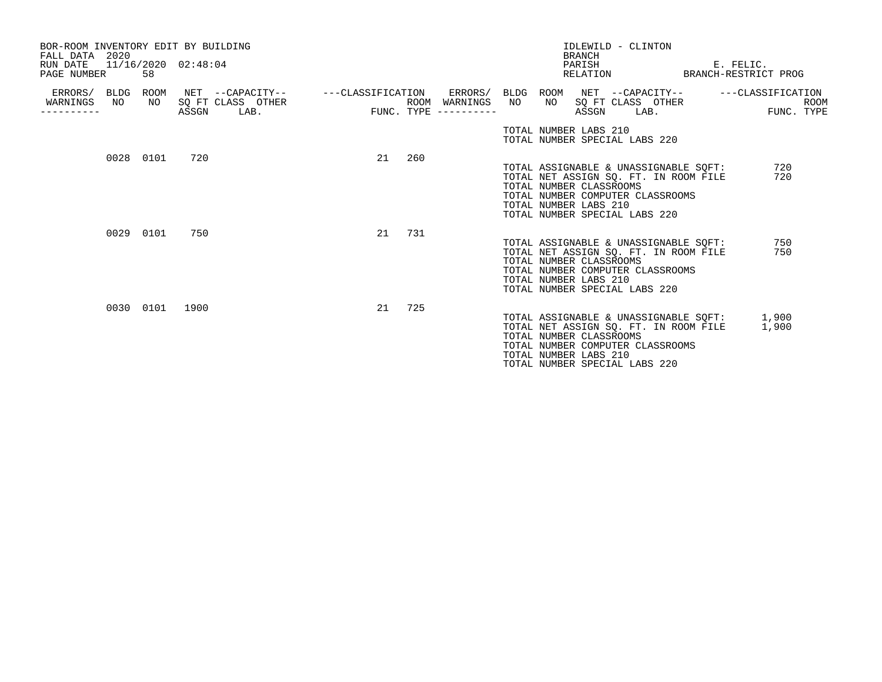| BOR-ROOM INVENTORY EDIT BY BUILDING<br>FALL DATA 2020<br>RUN DATE 11/16/2020 02:48:04<br>PAGE NUMBER |           | 58        |       |                                               |                   |     |                                                           |     | <b>BRANCH</b>               | IDLEWILD - CLINTON<br>PARISH<br>RELATION                                                                                                                                                                        |      | E. FELIC.<br>BRANCH-RESTRICT PROG                    |                           |
|------------------------------------------------------------------------------------------------------|-----------|-----------|-------|-----------------------------------------------|-------------------|-----|-----------------------------------------------------------|-----|-----------------------------|-----------------------------------------------------------------------------------------------------------------------------------------------------------------------------------------------------------------|------|------------------------------------------------------|---------------------------|
| ERRORS/ BLDG ROOM<br>WARNINGS                                                                        | NO        | NO        | ASSGN | NET --CAPACITY--<br>SO FT CLASS OTHER<br>LAB. | ---CLASSIFICATION |     | ERRORS/ BLDG ROOM<br>ROOM WARNINGS<br>FUNC. TYPE $------$ | NO. | NO<br>TOTAL NUMBER LABS 210 | NET --CAPACITY--<br>SQ FT CLASS OTHER<br>ASSGN                                                                                                                                                                  | LAB. | ---CLASSIFICATION                                    | <b>ROOM</b><br>FUNC. TYPE |
|                                                                                                      | 0028 0101 |           | 720   |                                               | 21                | 260 |                                                           |     | TOTAL NUMBER LABS 210       | TOTAL NUMBER SPECIAL LABS 220<br>TOTAL ASSIGNABLE & UNASSIGNABLE SOFT:<br>TOTAL NET ASSIGN SO. FT. IN ROOM FILE<br>TOTAL NUMBER CLASSROOMS<br>TOTAL NUMBER COMPUTER CLASSROOMS<br>TOTAL NUMBER SPECIAL LABS 220 |      | 720<br>720                                           |                           |
|                                                                                                      | 0029 0101 |           | 750   |                                               | 21                | 731 |                                                           |     | TOTAL NUMBER LABS 210       | TOTAL ASSIGNABLE & UNASSIGNABLE SOFT:<br>TOTAL NET ASSIGN SO. FT. IN ROOM FILE<br>TOTAL NUMBER CLASSROOMS<br>TOTAL NUMBER COMPUTER CLASSROOMS<br>TOTAL NUMBER SPECIAL LABS 220                                  |      | 750<br>750                                           |                           |
|                                                                                                      |           | 0030 0101 | 1900  |                                               | 21                | 725 |                                                           |     | TOTAL NUMBER LABS 210       | TOTAL NET ASSIGN SQ. FT. IN ROOM FILE<br>TOTAL NUMBER CLASSROOMS<br>TOTAL NUMBER COMPUTER CLASSROOMS<br>TOTAL NUMBER SPECIAL LABS 220                                                                           |      | TOTAL ASSIGNABLE & UNASSIGNABLE SOFT: 1,900<br>1,900 |                           |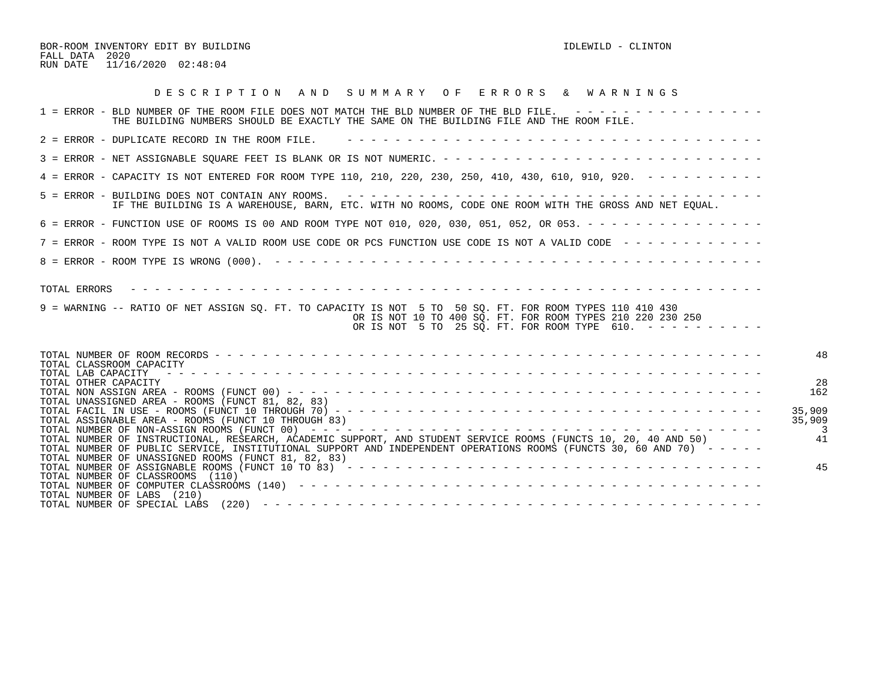BOR-ROOM INVENTORY EDIT BY BUILDING **IDLEWILD** - CLINTON FALL DATA 2020 RUN DATE 11/16/2020 02:48:04

| DESCRIPTION AND SUMMARY OF ERRORS & WARNINGS                                                                                                                                                                                                                                                  |                  |
|-----------------------------------------------------------------------------------------------------------------------------------------------------------------------------------------------------------------------------------------------------------------------------------------------|------------------|
| 1 = ERROR - BLD NUMBER OF THE ROOM FILE DOES NOT MATCH THE BLD NUMBER OF THE BLD FILE. ----------------<br>THE BUILDING NUMBERS SHOULD BE EXACTLY THE SAME ON THE BUILDING FILE AND THE ROOM FILE.                                                                                            |                  |
| 2 = ERROR - DUPLICATE RECORD IN THE ROOM FILE.                                                                                                                                                                                                                                                |                  |
|                                                                                                                                                                                                                                                                                               |                  |
| 4 = ERROR - CAPACITY IS NOT ENTERED FOR ROOM TYPE 110, 210, 220, 230, 250, 410, 430, 610, 910, 920. - - - - - - - - -                                                                                                                                                                         |                  |
| 5 = ERROR - BUILDING DOES NOT CONTAIN ANY ROOMS. $- - - - - - - - - - - - - - - - - - - - - - - - - - - - - - - - -$<br>IF THE BUILDING IS A WAREHOUSE, BARN, ETC. WITH NO ROOMS, CODE ONE ROOM WITH THE GROSS AND NET EOUAL.                                                                 |                  |
| 6 = ERROR - FUNCTION USE OF ROOMS IS 00 AND ROOM TYPE NOT 010, 020, 030, 051, 052, OR 053. - - - - - - - - - - - - - - -                                                                                                                                                                      |                  |
| 7 = ERROR - ROOM TYPE IS NOT A VALID ROOM USE CODE OR PCS FUNCTION USE CODE IS NOT A VALID CODE ------------                                                                                                                                                                                  |                  |
|                                                                                                                                                                                                                                                                                               |                  |
| TOTAL ERRORS<br>9 = WARNING -- RATIO OF NET ASSIGN SQ. FT. TO CAPACITY IS NOT 5 TO 50 SQ. FT. FOR ROOM TYPES 110 410 430<br>OR IS NOT 10 TO 400 SO. FT. FOR ROOM TYPES 210 220 230 250<br>OR IS NOT 5 TO 25 SQ. FT. FOR ROOM TYPE 610. $- - - - - - - - - - -$                                |                  |
| TOTAL CLASSROOM CAPACITY                                                                                                                                                                                                                                                                      | 48               |
| TOTAL LAB CAPACITY<br>TOTAL OTHER CAPACITY<br>TOTAL UNASSIGNED AREA - ROOMS (FUNCT 81, 82, 83)                                                                                                                                                                                                | 28<br>162        |
| TOTAL ASSIGNABLE AREA - ROOMS (FUNCT 10 THROUGH 83)                                                                                                                                                                                                                                           | 35,909<br>35,909 |
| TOTAL NUMBER OF INSTRUCTIONAL, RESEARCH, ACADEMIC SUPPORT, AND STUDENT SERVICE ROOMS (FUNCTS 10, 20, 40 AND 50)<br>TOTAL NUMBER OF PUBLIC SERVICE, INSTITUTIONAL SUPPORT AND INDEPENDENT OPERATIONS ROOMS (FUNCTS 30, 60 AND 70) -----<br>TOTAL NUMBER OF UNASSIGNED ROOMS (FUNCT 81, 82, 83) | 41               |
| TOTAL NUMBER OF CLASSROOMS (110)<br>TOTAL NUMBER OF LABS (210)                                                                                                                                                                                                                                | 45               |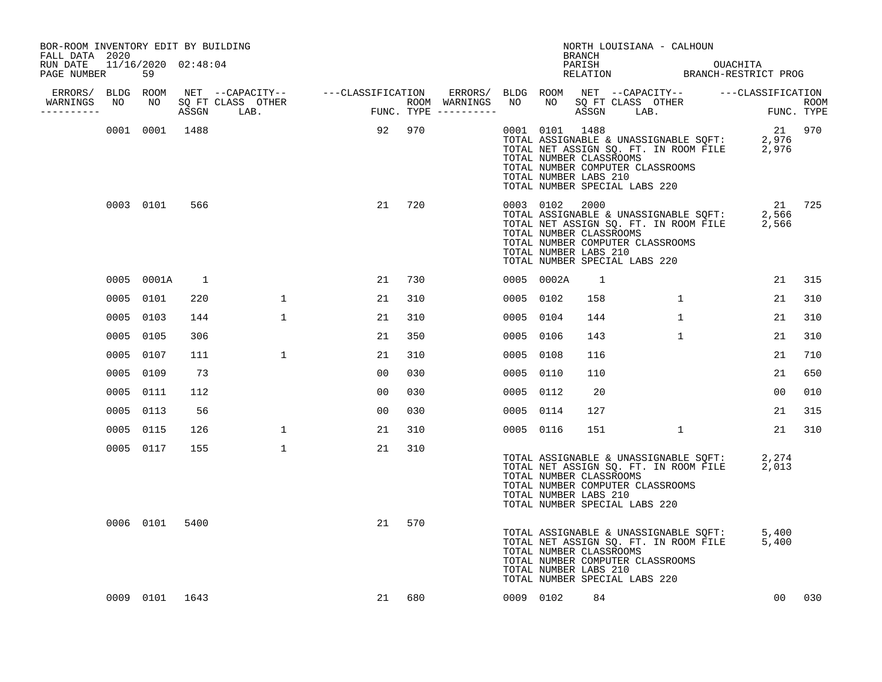| BOR-ROOM INVENTORY EDIT BY BUILDING<br>FALL DATA 2020 |           |                |              |              |                                                                                                                    |     |      |                | BRANCH                                                                                                                | NORTH LOUISIANA - CALHOUN                                                                                                                                          |                |        |
|-------------------------------------------------------|-----------|----------------|--------------|--------------|--------------------------------------------------------------------------------------------------------------------|-----|------|----------------|-----------------------------------------------------------------------------------------------------------------------|--------------------------------------------------------------------------------------------------------------------------------------------------------------------|----------------|--------|
| RUN DATE 11/16/2020 02:48:04<br>PAGE NUMBER           |           | 59             |              |              |                                                                                                                    |     |      |                |                                                                                                                       | PARISH OUACHITA<br>RELATION BRANCH-RESTRICT PROG                                                                                                                   |                |        |
| ERRORS/ BLDG ROOM                                     |           |                |              |              |                                                                                                                    |     |      |                |                                                                                                                       | ERRORS/ BLDG ROOM NET --CAPACITY-- ----CLASSIFICATION                                                                                                              |                |        |
| WARNINGS<br>----------                                | NO        | NO             |              |              | NET --CAPACITY-- ----CLASSIFICATION ERRORS/<br>SQ FT CLASS OTHER ROOM WARNINGS<br>ASSGN LAB. FUNC. TYPE ---------- |     | NO   | NO             |                                                                                                                       | NET --CAPACILIER<br>SQ FT CLASS OTHER FUNC. TYPE                                                                                                                   |                |        |
|                                                       |           | 0001 0001 1488 |              |              | 92 970                                                                                                             |     |      | 0001 0101 1488 | TOTAL NUMBER CLASSROOMS<br>TOTAL NUMBER COMPUTER CLASSROOMS<br>TOTAL NUMBER LABS 210<br>TOTAL NUMBER SPECIAL LABS 220 | TOTAL ASSIGNABLE & UNASSIGNABLE SQFT: 2,976<br>TOTAL NET ASSIGN SQ. FT. IN ROOM FILE 2,976                                                                         |                | 21 970 |
|                                                       |           | 0003 0101      | 566          |              | 21                                                                                                                 | 720 |      | 0003 0102 2000 | TOTAL NUMBER CLASSROOMS<br>TOTAL NUMBER COMPUTER CLASSROOMS<br>TOTAL NUMBER LABS 210<br>TOTAL NUMBER SPECIAL LABS 220 | TOTAL ASSIGNABLE & UNASSIGNABLE SOFT:<br>IOIAL ASSIGNABLE & UNASSIGNABLE SQFT:<br>TOTAL NET ASSIGN SQ. FT. IN ROOM FILE<br>TOTAL NIMARS SLEEP SQ. FT. IN ROOM FILE | 2,566<br>2,566 | 21 725 |
|                                                       |           | 0005 0001A     | <sup>1</sup> |              | 21                                                                                                                 | 730 |      | 0005 0002A     | <sup>1</sup>                                                                                                          |                                                                                                                                                                    | 21             | 315    |
|                                                       | 0005 0101 |                | 220          | $\mathbf 1$  | 21                                                                                                                 | 310 |      | 0005 0102      | 158                                                                                                                   | $\mathbf{1}$                                                                                                                                                       | 21             | 310    |
|                                                       | 0005 0103 |                | 144          | $\mathbf{1}$ | 21                                                                                                                 | 310 |      | 0005 0104      | 144                                                                                                                   | $\mathbf{1}$                                                                                                                                                       | 21             | 310    |
|                                                       | 0005 0105 |                | 306          |              | 21                                                                                                                 | 350 |      | 0005 0106      | 143                                                                                                                   | $\mathbf{1}$                                                                                                                                                       | 21             | 310    |
|                                                       | 0005 0107 |                | 111          | $\mathbf{1}$ | 21                                                                                                                 | 310 | 0005 | 0108           | 116                                                                                                                   |                                                                                                                                                                    | 21             | 710    |
|                                                       | 0005 0109 |                | 73           |              | 0 <sub>0</sub>                                                                                                     | 030 |      | 0005 0110      | 110                                                                                                                   |                                                                                                                                                                    | 21             | 650    |
|                                                       | 0005 0111 |                | 112          |              | 00                                                                                                                 | 030 |      | 0005 0112      | 20                                                                                                                    |                                                                                                                                                                    | 00             | 010    |
|                                                       | 0005 0113 |                | 56           |              | 0 <sub>0</sub>                                                                                                     | 030 |      | 0005 0114      | 127                                                                                                                   |                                                                                                                                                                    | 21             | 315    |
|                                                       | 0005 0115 |                | 126          | $\mathbf 1$  | 21                                                                                                                 | 310 |      | 0005 0116      | 151                                                                                                                   | $\mathbf{1}$                                                                                                                                                       | 21             | 310    |
|                                                       |           | 0005 0117      | 155          | $\mathbf{1}$ | 21                                                                                                                 | 310 |      |                | TOTAL NUMBER CLASSROOMS<br>TOTAL NUMBER COMPUTER CLASSROOMS<br>TOTAL NUMBER LABS 210<br>TOTAL NUMBER SPECIAL LABS 220 | TOTAL ASSIGNABLE & UNASSIGNABLE SQFT:<br>TOTAL NET ASSIGN SQ. FT. IN ROOM FILE                                                                                     | 2,274<br>2,013 |        |
|                                                       |           | 0006 0101      | 5400         |              | 21                                                                                                                 | 570 |      |                | TOTAL NUMBER CLASSROOMS<br>TOTAL NUMBER COMPUTER CLASSROOMS<br>TOTAL NUMBER LABS 210<br>TOTAL NUMBER SPECIAL LABS 220 | TOTAL ASSIGNABLE & UNASSIGNABLE SQFT:<br>TOTAL NET ASSIGN SQ. FT. IN ROOM FILE                                                                                     | 5.400<br>5,400 |        |
|                                                       |           | 0009 0101 1643 |              |              | 21                                                                                                                 | 680 |      | 0009 0102      | 84                                                                                                                    |                                                                                                                                                                    | 00             | 030    |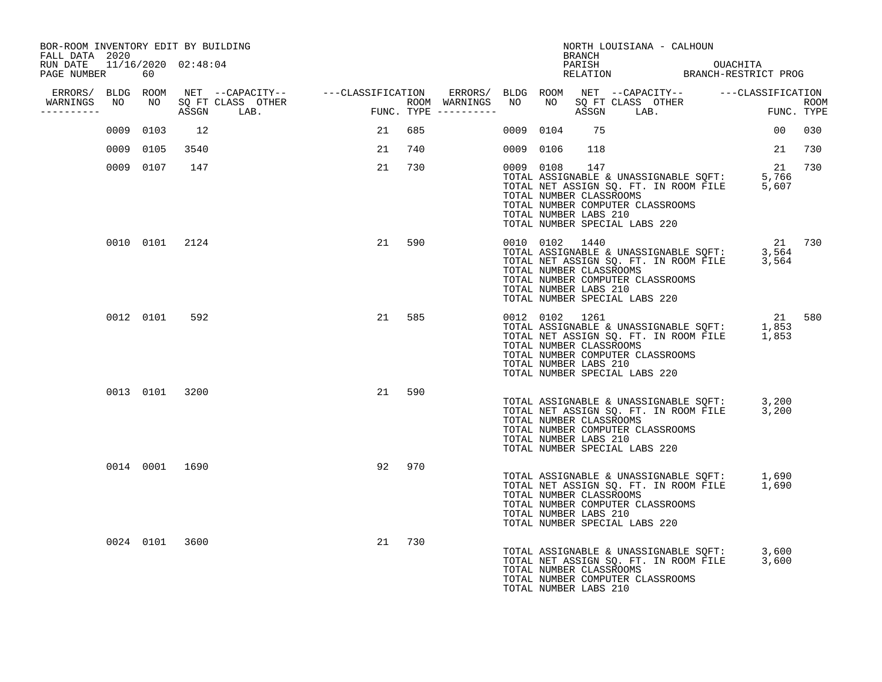| BOR-ROOM INVENTORY EDIT BY BUILDING<br>FALL DATA 2020 |    |           |                |                                                                                                                  |      |     |                         |           | BRANCH                                                             | NORTH LOUISIANA - CALHOUN                                                                                                                                       |        |     |
|-------------------------------------------------------|----|-----------|----------------|------------------------------------------------------------------------------------------------------------------|------|-----|-------------------------|-----------|--------------------------------------------------------------------|-----------------------------------------------------------------------------------------------------------------------------------------------------------------|--------|-----|
| RUN DATE 11/16/2020 02:48:04<br>PAGE NUMBER           |    | 60        |                |                                                                                                                  |      |     |                         |           |                                                                    | PARISH OUACHITA<br>RELATION BRANCH-RESTRICT PROG                                                                                                                |        |     |
| ERRORS/ BLDG ROOM<br>WARNINGS                         | NO | NO        |                | NET --CAPACITY-- - ---CLASSIFICATION ERRORS/ BLDG ROOM NET --CAPACITY-- - ---CLASSIFICATION<br>SQ FT CLASS OTHER |      |     | ROOM WARNINGS NO        |           |                                                                    |                                                                                                                                                                 |        |     |
| ----------                                            |    |           | ASSGN          | LAB.                                                                                                             | FUNC |     | $FUNC. TYPE$ ---------- |           |                                                                    |                                                                                                                                                                 |        |     |
|                                                       |    | 0009 0103 | 12             |                                                                                                                  | 21   | 685 |                         | 0009 0104 | 75                                                                 |                                                                                                                                                                 | 00     | 030 |
|                                                       |    | 0009 0105 | 3540           |                                                                                                                  | 21   | 740 |                         | 0009 0106 | 118                                                                |                                                                                                                                                                 | 21     | 730 |
|                                                       |    | 0009 0107 | 147            |                                                                                                                  | 21   | 730 |                         | 0009 0108 | 147<br>TOTAL NUMBER CLASSROOMS<br>TOTAL NUMBER LABS 210            | TOTAL ASSIGNABLE & UNASSIGNABLE SQFT: 5,766<br>TOTAL NET ASSIGN SQ. FT. IN ROOM FILE 5,607<br>TOTAL NUMBER COMPUTER CLASSROOMS<br>TOTAL NUMBER SPECIAL LABS 220 | 21     | 730 |
|                                                       |    |           | 0010 0101 2124 |                                                                                                                  | 21   | 590 |                         |           | 0010 0102 1440<br>TOTAL NUMBER CLASSROOMS<br>TOTAL NUMBER LABS 210 | TOTAL ASSIGNABLE & UNASSIGNABLE SQFT: 3,564<br>TOTAL NET ASSIGN SQ. FT. IN ROOM FILE 3,564<br>TOTAL NUMBER COMPUTER CLASSROOMS<br>TOTAL NUMBER SPECIAL LABS 220 | 21 730 |     |
|                                                       |    | 0012 0101 | 592            |                                                                                                                  | 21   | 585 |                         |           | 0012 0102 1261<br>TOTAL NUMBER CLASSROOMS<br>TOTAL NUMBER LABS 210 | TOTAL ASSIGNABLE & UNASSIGNABLE SQFT: 1,853<br>TOTAL NET ASSIGN SQ. FT. IN ROOM FILE 1,853<br>TOTAL NUMBER COMPUTER CLASSROOMS<br>TOTAL NUMBER SPECIAL LABS 220 | 21 580 |     |
|                                                       |    |           | 0013 0101 3200 |                                                                                                                  | 21   | 590 |                         |           | TOTAL NUMBER CLASSROOMS<br>TOTAL NUMBER LABS 210                   | TOTAL ASSIGNABLE & UNASSIGNABLE SQFT: 3,200<br>TOTAL NET ASSIGN SQ. FT. IN ROOM FILE 3,200<br>TOTAL NUMBER COMPUTER CLASSROOMS<br>TOTAL NUMBER SPECIAL LABS 220 |        |     |
|                                                       |    |           | 0014 0001 1690 |                                                                                                                  | 92   | 970 |                         |           | TOTAL NUMBER CLASSROOMS<br>TOTAL NUMBER LABS 210                   | TOTAL ASSIGNABLE & UNASSIGNABLE SQFT: 1,690<br>TOTAL NET ASSIGN SQ. FT. IN ROOM FILE 1,690<br>TOTAL NUMBER COMPUTER CLASSROOMS<br>TOTAL NUMBER SPECIAL LABS 220 |        |     |
|                                                       |    |           | 0024 0101 3600 |                                                                                                                  | 21   | 730 |                         |           | TOTAL NUMBER CLASSROOMS<br>TOTAL NUMBER LABS 210                   | TOTAL ASSIGNABLE & UNASSIGNABLE SQFT: 3,600<br>TOTAL NET ASSIGN SQ. FT. IN ROOM FILE 3,600<br>TOTAL NUMBER COMPUTER CLASSROOMS                                  |        |     |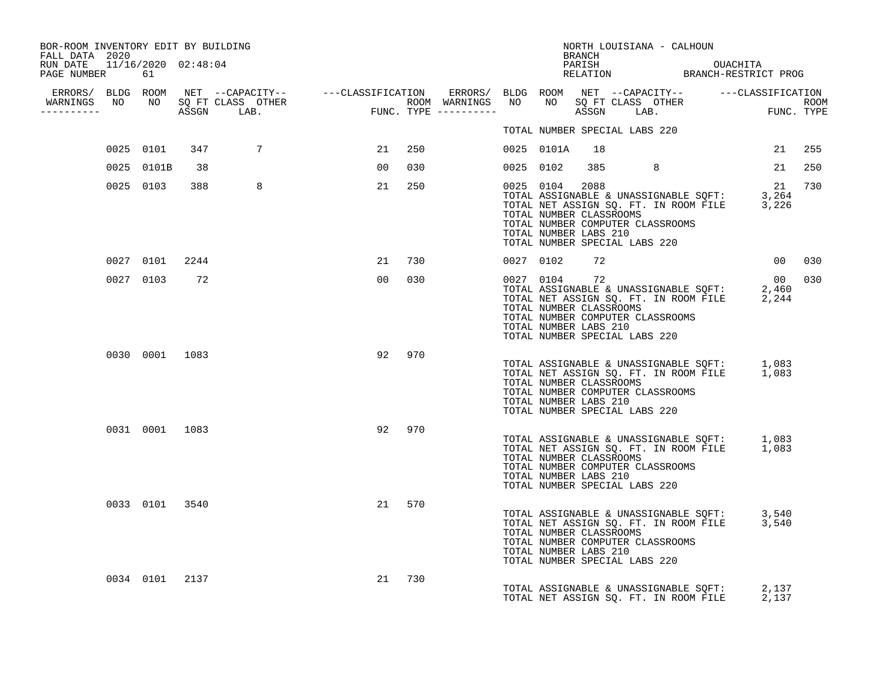| BOR-ROOM INVENTORY EDIT BY BUILDING<br>FALL DATA 2020 |            |                |                                                                                                                                                                                                                                      |                 |     |           |            | BRANCH                                                   | NORTH LOUISIANA - CALHOUN                                                                                                                                       |             |                    |
|-------------------------------------------------------|------------|----------------|--------------------------------------------------------------------------------------------------------------------------------------------------------------------------------------------------------------------------------------|-----------------|-----|-----------|------------|----------------------------------------------------------|-----------------------------------------------------------------------------------------------------------------------------------------------------------------|-------------|--------------------|
| RUN DATE 11/16/2020 02:48:04<br>PAGE NUMBER 61        |            |                |                                                                                                                                                                                                                                      |                 |     |           |            |                                                          | PARISH OUACHITA<br>RELATION BRANCH-RESTRICT PROG                                                                                                                |             |                    |
| WARNINGS<br>----------                                |            |                | ERRORS/ BLDG ROOM NET --CAPACITY-- ----CLASSIFICATION ERRORS/ BLDG ROOM NET --CAPACITY-- -----CLASSIFICATION<br>NARNINGS NO NO SQFTCLASS OTHER ROOM WARNINGS NO NO SQFTCLASS OTHER ROOM<br>--------- ASSGN LAB. FUNC.TYPE ---------- |                 |     |           |            |                                                          |                                                                                                                                                                 |             | ROOM<br>FUNC. TYPE |
|                                                       |            |                |                                                                                                                                                                                                                                      |                 |     |           |            |                                                          | TOTAL NUMBER SPECIAL LABS 220                                                                                                                                   |             |                    |
|                                                       | 0025 0101  | 347            | 7                                                                                                                                                                                                                                    | 21              | 250 |           | 0025 0101A | 18                                                       |                                                                                                                                                                 | 21          | 255                |
|                                                       | 0025 0101B | 38             |                                                                                                                                                                                                                                      | 00              | 030 |           | 0025 0102  |                                                          | 385 388<br>8                                                                                                                                                    | 21          | 250                |
|                                                       | 0025 0103  | 388            | 8                                                                                                                                                                                                                                    | 21              | 250 |           | 0025 0104  | 2088<br>TOTAL NUMBER CLASSROOMS<br>TOTAL NUMBER LABS 210 | TOTAL ASSIGNABLE & UNASSIGNABLE SQFT: 3,264<br>TOTAL NET ASSIGN SQ. FT. IN ROOM FILE 3,226<br>TOTAL NUMBER COMPUTER CLASSROOMS<br>TOTAL NUMBER SPECIAL LABS 220 | 21          | 730                |
|                                                       | 0027 0101  | 2244           |                                                                                                                                                                                                                                      | 21              | 730 | 0027 0102 |            | 72                                                       |                                                                                                                                                                 | 00          | 030                |
|                                                       | 0027 0103  | 72             |                                                                                                                                                                                                                                      | 00 <sub>o</sub> | 030 |           | 0027 0104  | 72<br>TOTAL NUMBER CLASSROOMS<br>TOTAL NUMBER LABS 210   | TOTAL ASSIGNABLE & UNASSIGNABLE SQFT:<br>TOTAL NET ASSIGN SQ. FT. IN ROOM FILE 2,244<br>TOTAL NUMBER COMPUTER CLASSROOMS<br>TOTAL NUMBER SPECIAL LABS 220       | 00<br>2,460 | 030                |
|                                                       |            | 0030 0001 1083 |                                                                                                                                                                                                                                      | 92              | 970 |           |            | TOTAL NUMBER CLASSROOMS<br>TOTAL NUMBER LABS 210         | TOTAL ASSIGNABLE & UNASSIGNABLE SQFT: 1,083<br>TOTAL NET ASSIGN SQ. FT. IN ROOM FILE 1,083<br>TOTAL NUMBER COMPUTER CLASSROOMS<br>TOTAL NUMBER SPECIAL LABS 220 |             |                    |
|                                                       |            | 0031 0001 1083 |                                                                                                                                                                                                                                      | 92              | 970 |           |            | TOTAL NUMBER CLASSROOMS<br>TOTAL NUMBER LABS 210         | TOTAL ASSIGNABLE & UNASSIGNABLE SQFT: 1,083<br>TOTAL NET ASSIGN SQ. FT. IN ROOM FILE 1,083<br>TOTAL NUMBER COMPUTER CLASSROOMS<br>TOTAL NUMBER SPECIAL LABS 220 |             |                    |
|                                                       |            | 0033 0101 3540 |                                                                                                                                                                                                                                      | 21              | 570 |           |            | TOTAL NUMBER CLASSROOMS<br>TOTAL NUMBER LABS 210         | TOTAL ASSIGNABLE & UNASSIGNABLE SQFT: 3,540<br>TOTAL NET ASSIGN SQ. FT. IN ROOM FILE 3,540<br>TOTAL NUMBER COMPUTER CLASSROOMS<br>TOTAL NUMBER SPECIAL LABS 220 |             |                    |
|                                                       |            | 0034 0101 2137 |                                                                                                                                                                                                                                      | 21              | 730 |           |            |                                                          | TOTAL ASSIGNABLE & UNASSIGNABLE SQFT: 2,137<br>TOTAL NET ASSIGN SQ. FT. IN ROOM FILE 2,137                                                                      |             |                    |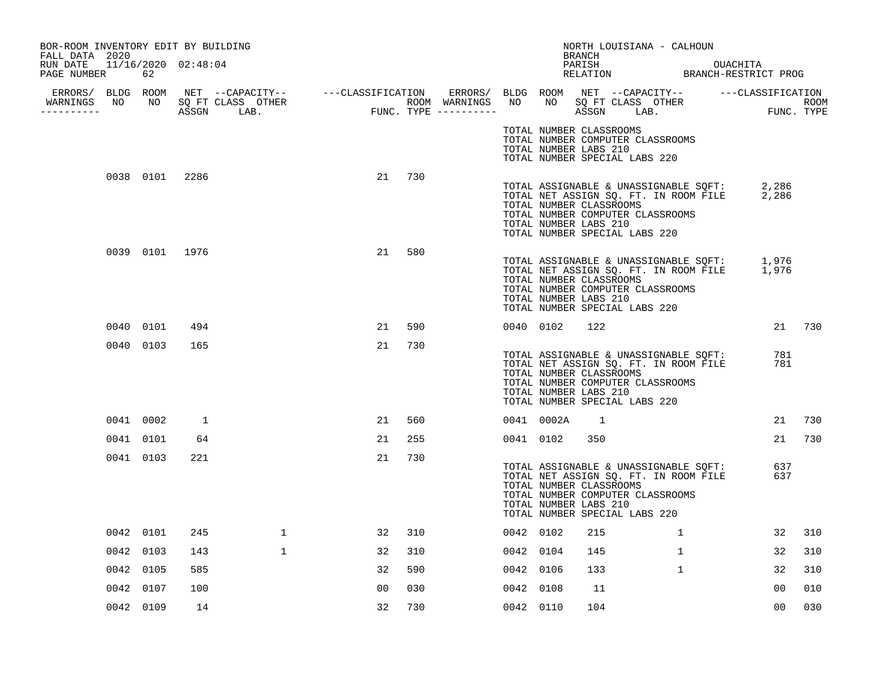| BOR-ROOM INVENTORY EDIT BY BUILDING<br>FALL DATA 2020 |           |                |              |                |     |           |                                                                                   | BRANCH | NORTH LOUISIANA - CALHOUN                                                                                          |                                                                                            |                |        |
|-------------------------------------------------------|-----------|----------------|--------------|----------------|-----|-----------|-----------------------------------------------------------------------------------|--------|--------------------------------------------------------------------------------------------------------------------|--------------------------------------------------------------------------------------------|----------------|--------|
| RUN DATE 11/16/2020 02:48:04<br>PAGE NUMBER           | 62        |                |              |                |     |           |                                                                                   |        |                                                                                                                    | PARISH OUACHITA<br>RELATION BRANCH-RESTRICT PROG                                           |                |        |
| WARNINGS NO NO SQ FT CLASS OTHER                      |           |                |              |                |     |           |                                                                                   |        |                                                                                                                    |                                                                                            |                |        |
| ----------                                            |           |                |              |                |     |           |                                                                                   |        |                                                                                                                    | NO SQFTCLASS OTHER THE ROOM ROOM<br>ASSGN LAB. THE FUNC.TYPE                               |                |        |
|                                                       |           |                |              |                |     |           | TOTAL NUMBER CLASSROOMS<br>TOTAL NUMBER LABS 210<br>TOTAL NUMBER SPECIAL LABS 220 |        | TOTAL NUMBER COMPUTER CLASSROOMS                                                                                   |                                                                                            |                |        |
|                                                       |           | 0038 0101 2286 |              | 21             | 730 |           | TOTAL NUMBER CLASSROOMS<br>TOTAL NUMBER LABS 210<br>TOTAL NUMBER SPECIAL LABS 220 |        | TOTAL NUMBER COMPUTER CLASSROOMS                                                                                   | TOTAL ASSIGNABLE & UNASSIGNABLE SQFT: 2,286<br>TOTAL NET ASSIGN SQ. FT. IN ROOM FILE 2,286 |                |        |
|                                                       |           | 0039 0101 1976 |              | 21             | 580 |           | TOTAL NUMBER CLASSROOMS<br>TOTAL NUMBER LABS 210<br>TOTAL NUMBER SPECIAL LABS 220 |        | TOTAL NUMBER COMPUTER CLASSROOMS                                                                                   | TOTAL ASSIGNABLE & UNASSIGNABLE SQFT: 1,976<br>TOTAL NET ASSIGN SQ. FT. IN ROOM FILE 1,976 |                |        |
|                                                       | 0040 0101 | 494            |              | 21             | 590 | 0040 0102 |                                                                                   | 122    |                                                                                                                    |                                                                                            |                | 21 730 |
|                                                       | 0040 0103 | 165            |              | 21             | 730 |           | TOTAL NUMBER CLASSROOMS<br>TOTAL NUMBER LABS 210<br>TOTAL NUMBER SPECIAL LABS 220 |        | TOTAL ASSIGNABLE & UNASSIGNABLE SQFT:<br>TOTAL NET ASSIGN SQ. FT. IN ROOM FILE<br>TOTAL NUMBER COMPUTER CLASSROOMS |                                                                                            | 781<br>781     |        |
|                                                       | 0041 0002 | 1              |              | 21             | 560 |           | 0041 0002A                                                                        | -1     |                                                                                                                    |                                                                                            | 21             | 730    |
|                                                       | 0041 0101 | 64             |              | 21             | 255 | 0041 0102 |                                                                                   | 350    |                                                                                                                    |                                                                                            | 21             | 730    |
|                                                       | 0041 0103 | 221            |              | 21             | 730 |           | TOTAL NUMBER CLASSROOMS<br>TOTAL NUMBER LABS 210<br>TOTAL NUMBER SPECIAL LABS 220 |        | TOTAL NET ASSIGN SQ. FT. IN ROOM FILE<br>TOTAL NUMBER COMPUTER CLASSROOMS                                          | TOTAL ASSIGNABLE & UNASSIGNABLE SQFT:                                                      | 637<br>637     |        |
|                                                       | 0042 0101 | 245            | $\mathbf{1}$ | 32             | 310 | 0042 0102 |                                                                                   | 215    | $\mathbf{1}$                                                                                                       |                                                                                            | 32             | 310    |
|                                                       | 0042 0103 | 143            | $\mathbf{1}$ | 32             | 310 | 0042 0104 |                                                                                   | 145    | $\mathbf{1}$                                                                                                       |                                                                                            | 32             | 310    |
|                                                       | 0042 0105 | 585            |              | 32             | 590 | 0042 0106 |                                                                                   | 133    | $\mathbf{1}$                                                                                                       |                                                                                            | 32             | 310    |
|                                                       | 0042 0107 | 100            |              | 0 <sub>0</sub> | 030 | 0042 0108 |                                                                                   | 11     |                                                                                                                    |                                                                                            | 00             | 010    |
|                                                       | 0042 0109 | 14             |              | 32             | 730 | 0042 0110 |                                                                                   | 104    |                                                                                                                    |                                                                                            | 0 <sub>0</sub> | 030    |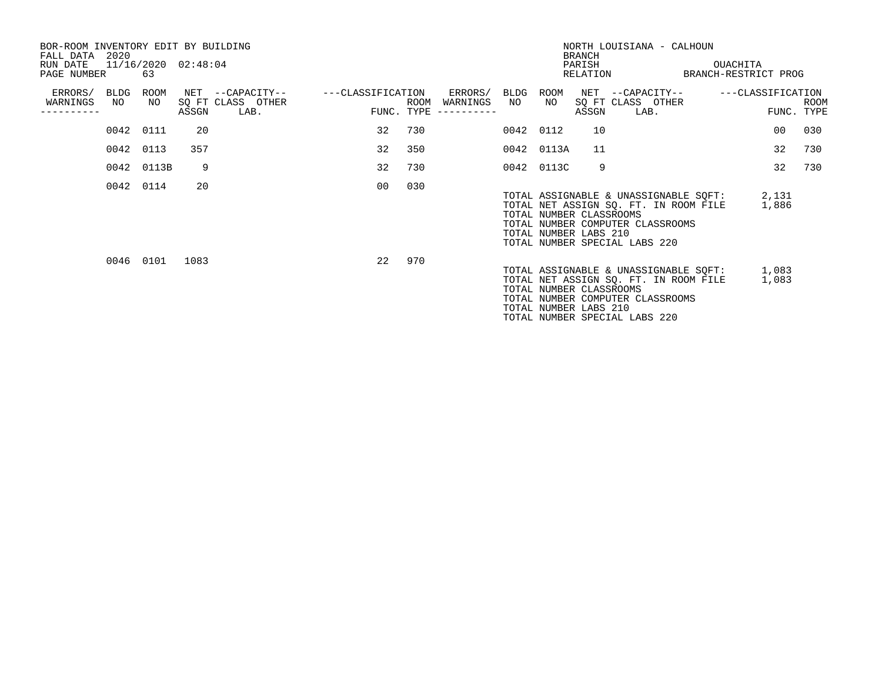| BOR-ROOM INVENTORY EDIT BY BUILDING<br>FALL DATA 2020<br>RUN DATE<br>PAGE NUMBER |            | 63             | 11/16/2020 02:48:04 |                                               |                   |                    |                     |            |                                                  | <b>BRANCH</b><br>PARISH | NORTH LOUISIANA - CALHOUN<br>RELATION                                                                                                               | OUACHITA<br>BRANCH-RESTRICT PROG |                |      |
|----------------------------------------------------------------------------------|------------|----------------|---------------------|-----------------------------------------------|-------------------|--------------------|---------------------|------------|--------------------------------------------------|-------------------------|-----------------------------------------------------------------------------------------------------------------------------------------------------|----------------------------------|----------------|------|
| ERRORS/<br>WARNINGS<br>--------                                                  | BLDG<br>NO | ROOM<br>NO     | ASSGN               | NET --CAPACITY--<br>SQ FT CLASS OTHER<br>LAB. | ---CLASSIFICATION | ROOM<br>FUNC. TYPE | ERRORS/<br>WARNINGS | BLDG<br>NO | ROOM<br>NO                                       | ASSGN                   | NET --CAPACITY--<br>SQ FT CLASS OTHER<br>LAB.                                                                                                       | ---CLASSIFICATION                | FUNC. TYPE     | ROOM |
|                                                                                  |            | 0042 0111      | 20                  |                                               | 32                | 730                |                     | 0042 0112  |                                                  | 10                      |                                                                                                                                                     |                                  | 00             | 030  |
|                                                                                  |            | 0042 0113      | 357                 |                                               | 32                | 350                |                     |            | 0042 0113A                                       | 11                      |                                                                                                                                                     |                                  | 32             | 730  |
|                                                                                  |            | 0042 0113B     | 9                   |                                               | 32                | 730                |                     |            | 0042 0113C                                       | 9                       |                                                                                                                                                     |                                  | 32             | 730  |
|                                                                                  |            | 0042 0114      | 20                  |                                               | 0 <sub>0</sub>    | 030                |                     |            | TOTAL NUMBER CLASSROOMS<br>TOTAL NUMBER LABS 210 |                         | TOTAL ASSIGNABLE & UNASSIGNABLE SQFT:<br>TOTAL NET ASSIGN SQ. FT. IN ROOM FILE<br>TOTAL NUMBER COMPUTER CLASSROOMS<br>TOTAL NUMBER SPECIAL LABS 220 |                                  | 2,131<br>1,886 |      |
|                                                                                  |            | 0046 0101 1083 |                     |                                               | 22                | 970                |                     |            | TOTAL NUMBER CLASSROOMS<br>TOTAL NUMBER LABS 210 |                         | TOTAL ASSIGNABLE & UNASSIGNABLE SQFT:<br>TOTAL NET ASSIGN SQ. FT. IN ROOM FILE<br>TOTAL NUMBER COMPUTER CLASSROOMS<br>TOTAL NUMBER SPECIAL LABS 220 |                                  | 1,083<br>1,083 |      |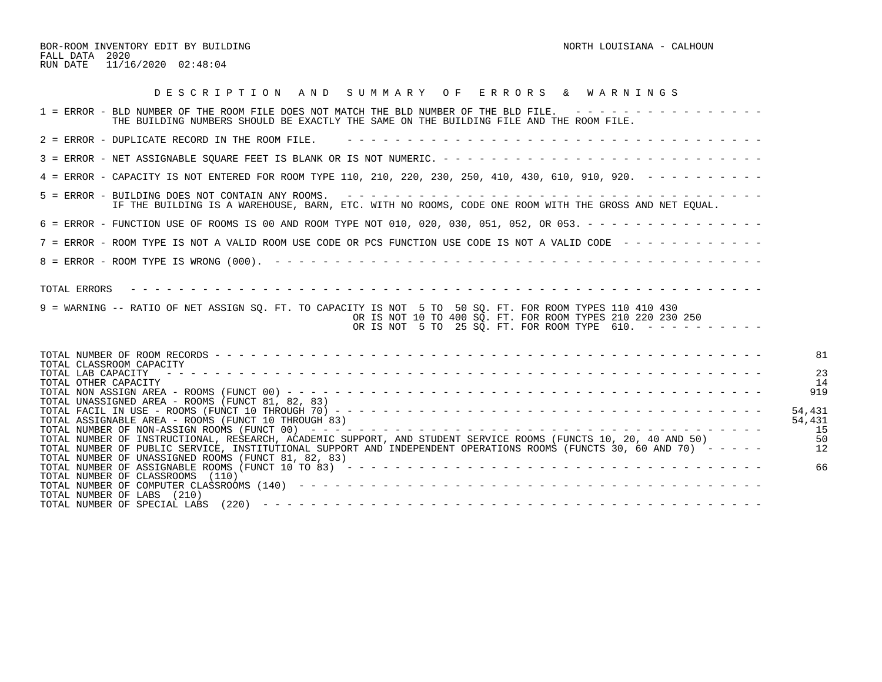BOR-ROOM INVENTORY EDIT BY BUILDING NORTH LOUISIANA - CALHOUN FALL DATA 2020 RUN DATE 11/16/2020 02:48:04

| DESCRIPTION AND SUMMARY OF ERRORS & WARNINGS                                                                                                                                                                                                                                                                                                                                                                                                                                                                           |                                                                                |
|------------------------------------------------------------------------------------------------------------------------------------------------------------------------------------------------------------------------------------------------------------------------------------------------------------------------------------------------------------------------------------------------------------------------------------------------------------------------------------------------------------------------|--------------------------------------------------------------------------------|
| 1 = ERROR - BLD NUMBER OF THE ROOM FILE DOES NOT MATCH THE BLD NUMBER OF THE BLD FILE. ----------------<br>THE BUILDING NUMBERS SHOULD BE EXACTLY THE SAME ON THE BUILDING FILE AND THE ROOM FILE.                                                                                                                                                                                                                                                                                                                     |                                                                                |
| 2 = ERROR - DUPLICATE RECORD IN THE ROOM FILE.                                                                                                                                                                                                                                                                                                                                                                                                                                                                         |                                                                                |
|                                                                                                                                                                                                                                                                                                                                                                                                                                                                                                                        |                                                                                |
| 4 = ERROR - CAPACITY IS NOT ENTERED FOR ROOM TYPE 110, 210, 220, 230, 250, 410, 430, 610, 910, 920. - - - - - - - - -                                                                                                                                                                                                                                                                                                                                                                                                  |                                                                                |
| IF THE BUILDING IS A WAREHOUSE, BARN, ETC. WITH NO ROOMS, CODE ONE ROOM WITH THE GROSS AND NET EQUAL.                                                                                                                                                                                                                                                                                                                                                                                                                  |                                                                                |
| 6 = ERROR - FUNCTION USE OF ROOMS IS 00 AND ROOM TYPE NOT 010, 020, 030, 051, 052, OR 053. - - - - - - - - - - - - - - -                                                                                                                                                                                                                                                                                                                                                                                               |                                                                                |
| 7 = ERROR - ROOM TYPE IS NOT A VALID ROOM USE CODE OR PCS FUNCTION USE CODE IS NOT A VALID CODE ------------                                                                                                                                                                                                                                                                                                                                                                                                           |                                                                                |
|                                                                                                                                                                                                                                                                                                                                                                                                                                                                                                                        |                                                                                |
| TOTAL ERRORS<br>9 = WARNING -- RATIO OF NET ASSIGN SO. FT. TO CAPACITY IS NOT 5 TO 50 SO. FT. FOR ROOM TYPES 110 410 430<br>OR IS NOT 10 TO 400 SO. FT. FOR ROOM TYPES 210 220 230 250<br>OR IS NOT 5 TO 25 SQ. FT. FOR ROOM TYPE 610. $- - - - - - - - - -$                                                                                                                                                                                                                                                           |                                                                                |
| TOTAL CLASSROOM CAPACITY<br>TOTAL LAB CAPACITY<br>TOTAL OTHER CAPACITY<br>TOTAL UNASSIGNED AREA - ROOMS (FUNCT 81, 82, 83)<br>TOTAL ASSIGNABLE AREA - ROOMS (FUNCT 10 THROUGH 83)<br>TOTAL NUMBER OF INSTRUCTIONAL, RESEARCH, ACADEMIC SUPPORT, AND STUDENT SERVICE ROOMS (FUNCTS 10, 20, 40 AND 50)<br>TOTAL NUMBER OF PUBLIC SERVICE, INSTITUTIONAL SUPPORT AND INDEPENDENT OPERATIONS ROOMS (FUNCTS 30, 60 AND 70) -----<br>TOTAL NUMBER OF UNASSIGNED ROOMS (FUNCT 81, 82, 83)<br>TOTAL NUMBER OF CLASSROOMS (110) | 81<br>2 <sup>3</sup><br>14<br>919<br>54,431<br>54,431<br>-15<br>50<br>12<br>66 |
| TOTAL NUMBER OF LABS (210)<br>TOTAL NUMBER OF SPECIAL LABS                                                                                                                                                                                                                                                                                                                                                                                                                                                             |                                                                                |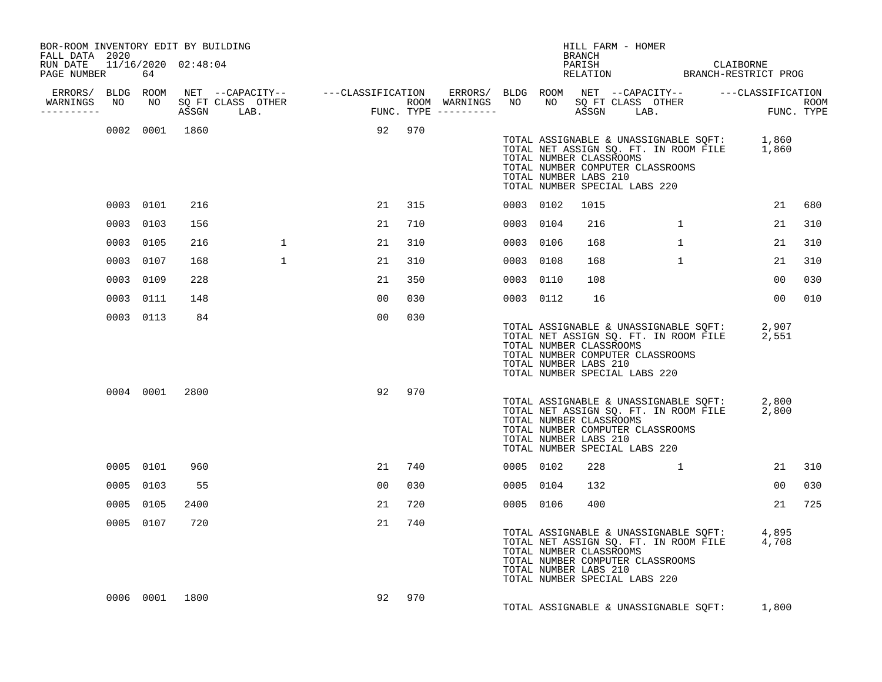| BOR-ROOM INVENTORY EDIT BY BUILDING<br>FALL DATA 2020 |           |                |              |                |     |  |           |                                                  | HILL FARM - HOMER<br><b>BRANCH</b>                                                           |              |                                                                                            |                |                    |
|-------------------------------------------------------|-----------|----------------|--------------|----------------|-----|--|-----------|--------------------------------------------------|----------------------------------------------------------------------------------------------|--------------|--------------------------------------------------------------------------------------------|----------------|--------------------|
| RUN DATE 11/16/2020 02:48:04<br>PAGE NUMBER           | 64        |                |              |                |     |  |           |                                                  |                                                                                              |              | PARISH CLAIBORNE<br>RELATION BRANCH-RESTRICT PROG                                          |                |                    |
|                                                       |           |                |              |                |     |  |           |                                                  |                                                                                              |              |                                                                                            |                |                    |
| WARNINGS NO<br>---------                              |           |                |              |                |     |  |           |                                                  |                                                                                              |              |                                                                                            |                | ROOM<br>FUNC. TYPE |
|                                                       |           | 0002 0001 1860 |              | 92 970         |     |  |           | TOTAL NUMBER LABS 210                            | TOTAL NUMBER CLASSROOMS<br>TOTAL NUMBER COMPUTER CLASSROOMS<br>TOTAL NUMBER SPECIAL LABS 220 |              | TOTAL ASSIGNABLE & UNASSIGNABLE SQFT: 1,860<br>TOTAL NET ASSIGN SQ. FT. IN ROOM FILE 1,860 |                |                    |
|                                                       | 0003 0101 | 216            |              | 21             | 315 |  | 0003 0102 | 1015                                             |                                                                                              |              |                                                                                            | 21             | 680                |
|                                                       | 0003 0103 | 156            |              | 21             | 710 |  | 0003 0104 | 216                                              |                                                                                              | $\mathbf{1}$ |                                                                                            | 21             | 310                |
|                                                       | 0003 0105 | 216            | $\mathbf{1}$ | 21             | 310 |  | 0003 0106 | 168                                              |                                                                                              | $\mathbf{1}$ |                                                                                            | 21             | 310                |
|                                                       | 0003 0107 | 168            | $\mathbf{1}$ | 21             | 310 |  | 0003 0108 | 168                                              |                                                                                              | $\mathbf{1}$ |                                                                                            | 21             | 310                |
|                                                       | 0003 0109 | 228            |              | 21             | 350 |  | 0003 0110 | 108                                              |                                                                                              |              |                                                                                            | 00             | 030                |
|                                                       | 0003 0111 | 148            |              | 00             | 030 |  | 0003 0112 | 16                                               |                                                                                              |              |                                                                                            | 00             | 010                |
|                                                       | 0003 0113 | 84             |              | 00             | 030 |  |           | TOTAL NUMBER LABS 210                            | TOTAL NUMBER CLASSROOMS<br>TOTAL NUMBER COMPUTER CLASSROOMS<br>TOTAL NUMBER SPECIAL LABS 220 |              | TOTAL ASSIGNABLE & UNASSIGNABLE SQFT: 2,907<br>TOTAL NET ASSIGN SQ. FT. IN ROOM FILE 2,551 |                |                    |
|                                                       |           | 0004 0001 2800 |              | 92             | 970 |  |           | TOTAL NUMBER CLASSROOMS<br>TOTAL NUMBER LABS 210 | TOTAL NUMBER COMPUTER CLASSROOMS<br>TOTAL NUMBER SPECIAL LABS 220                            |              | TOTAL ASSIGNABLE & UNASSIGNABLE SQFT: 2,800<br>TOTAL NET ASSIGN SQ. FT. IN ROOM FILE 2,800 |                |                    |
|                                                       | 0005 0101 | 960            |              | 21             | 740 |  | 0005 0102 | 228                                              |                                                                                              | $\mathbf{1}$ |                                                                                            | 21             | 310                |
|                                                       | 0005 0103 | 55             |              | 0 <sub>0</sub> | 030 |  | 0005 0104 | 132                                              |                                                                                              |              |                                                                                            | 0 <sub>0</sub> | 030                |
|                                                       | 0005 0105 | 2400           |              | 21             | 720 |  | 0005 0106 | 400                                              |                                                                                              |              |                                                                                            | 21             | 725                |
|                                                       | 0005 0107 | 720            |              | 21             | 740 |  |           | TOTAL NUMBER CLASSROOMS<br>TOTAL NUMBER LABS 210 | TOTAL NUMBER COMPUTER CLASSROOMS<br>TOTAL NUMBER SPECIAL LABS 220                            |              | TOTAL ASSIGNABLE & UNASSIGNABLE SQFT: 4,895<br>TOTAL NET ASSIGN SQ. FT. IN ROOM FILE 4,708 |                |                    |
|                                                       |           | 0006 0001 1800 |              | 92             | 970 |  |           |                                                  |                                                                                              |              | TOTAL ASSIGNABLE & UNASSIGNABLE SQFT: 1,800                                                |                |                    |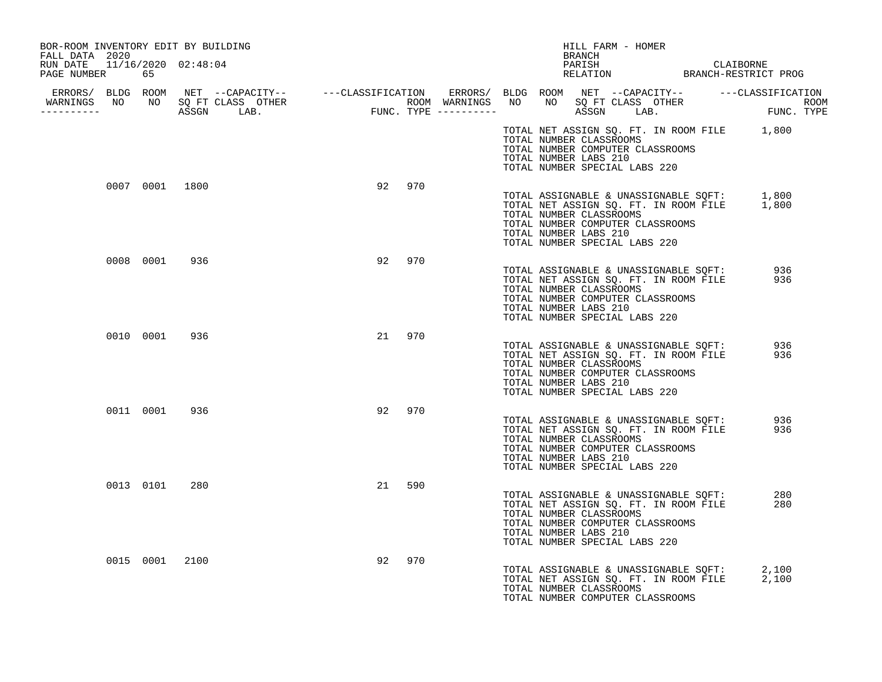| BOR-ROOM INVENTORY EDIT BY BUILDING<br>FALL DATA 2020 |                |     |        |     |                                                                                                                       |  | HILL FARM - HOMER<br><b>BRANCH</b> |                                                                                            |            |  |
|-------------------------------------------------------|----------------|-----|--------|-----|-----------------------------------------------------------------------------------------------------------------------|--|------------------------------------|--------------------------------------------------------------------------------------------|------------|--|
| RUN DATE 11/16/2020 02:48:04<br>PAGE NUMBER 65        |                |     |        |     |                                                                                                                       |  |                                    | PARISH CLAIBORNE<br>RELATION BRANCH-RESTRICT PROG                                          |            |  |
| WARNINGS NO NO SQ FT CLASS OTHER<br>-----------       |                |     |        |     |                                                                                                                       |  |                                    |                                                                                            |            |  |
|                                                       |                |     |        |     | TOTAL NUMBER CLASSROOMS<br>TOTAL NUMBER COMPUTER CLASSROOMS<br>TOTAL NUMBER LABS 210<br>TOTAL NUMBER SPECIAL LABS 220 |  |                                    | TOTAL NET ASSIGN SQ. FT. IN ROOM FILE 1,800                                                |            |  |
|                                                       | 0007 0001 1800 |     | 92     | 970 | TOTAL NUMBER CLASSROOMS<br>TOTAL NUMBER COMPUTER CLASSROOMS<br>TOTAL NUMBER LABS 210<br>TOTAL NUMBER SPECIAL LABS 220 |  |                                    | TOTAL ASSIGNABLE & UNASSIGNABLE SQFT: 1,800<br>TOTAL NET ASSIGN SQ. FT. IN ROOM FILE 1,800 |            |  |
|                                                       | 0008 0001      | 936 | 92     | 970 | TOTAL NUMBER CLASSROOMS<br>TOTAL NUMBER COMPUTER CLASSROOMS<br>TOTAL NUMBER LABS 210<br>TOTAL NUMBER SPECIAL LABS 220 |  |                                    | TOTAL ASSIGNABLE & UNASSIGNABLE SQFT: 936<br>TOTAL NET ASSIGN SQ. FT. IN ROOM FILE         | 936        |  |
|                                                       | 0010 0001 936  |     | 21 970 |     | TOTAL NUMBER CLASSROOMS<br>TOTAL NUMBER COMPUTER CLASSROOMS<br>TOTAL NUMBER LABS 210<br>TOTAL NUMBER SPECIAL LABS 220 |  |                                    | TOTAL ASSIGNABLE & UNASSIGNABLE SQFT:<br>TOTAL NET ASSIGN SQ. FT. IN ROOM FILE             | 936<br>936 |  |
|                                                       | 0011 0001 936  |     | 92 970 |     | TOTAL NUMBER CLASSROOMS<br>TOTAL NUMBER COMPUTER CLASSROOMS<br>TOTAL NUMBER LABS 210<br>TOTAL NUMBER SPECIAL LABS 220 |  |                                    | TOTAL ASSIGNABLE & UNASSIGNABLE SQFT:<br>TOTAL NET ASSIGN SQ. FT. IN ROOM FILE             | 936<br>936 |  |
|                                                       | 0013 0101      | 280 | 21     | 590 | TOTAL NUMBER CLASSROOMS<br>TOTAL NUMBER COMPUTER CLASSROOMS<br>TOTAL NUMBER LABS 210<br>TOTAL NUMBER SPECIAL LABS 220 |  |                                    | TOTAL ASSIGNABLE & UNASSIGNABLE SOFT:<br>TOTAL NET ASSIGN SQ. FT. IN ROOM FILE             | 280<br>280 |  |
|                                                       | 0015 0001 2100 |     | 92     | 970 | TOTAL NUMBER CLASSROOMS<br>TOTAL NUMBER COMPUTER CLASSROOMS                                                           |  |                                    | TOTAL ASSIGNABLE & UNASSIGNABLE SQFT:<br>TOTAL NET ASSIGN SQ. FT. IN ROOM FILE 2,100       | 2,100      |  |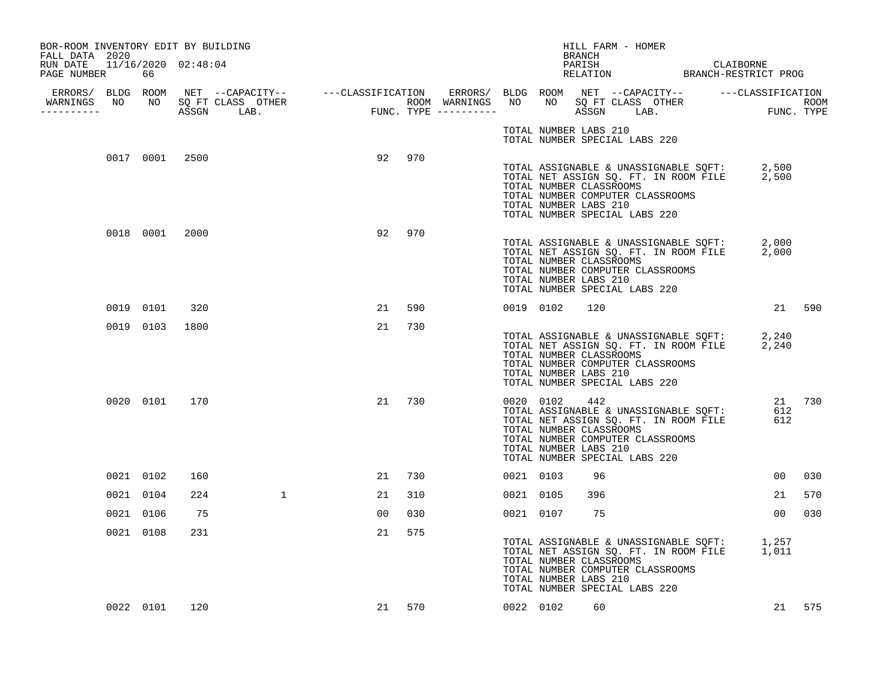| BOR-ROOM INVENTORY EDIT BY BUILDING<br>FALL DATA 2020 |                |      |                                  |    |           |           |                                                               |     | HILL FARM - HOMER                                                                                                                                               |                 |                      |
|-------------------------------------------------------|----------------|------|----------------------------------|----|-----------|-----------|---------------------------------------------------------------|-----|-----------------------------------------------------------------------------------------------------------------------------------------------------------------|-----------------|----------------------|
| RUN DATE 11/16/2020 02:48:04<br>PAGE NUMBER           | 66             |      |                                  |    |           |           |                                                               |     | PARISH<br>PARISH<br>PARISH CLAIBORNE<br>RELATION BRANCH-RESTRICT PROG                                                                                           |                 |                      |
|                                                       |                |      |                                  |    |           |           |                                                               |     |                                                                                                                                                                 |                 |                      |
| -----------                                           |                |      | WARNINGS NO NO SQ FT CLASS OTHER |    |           |           |                                                               |     |                                                                                                                                                                 |                 |                      |
|                                                       |                |      |                                  |    |           |           | TOTAL NUMBER LABS 210                                         |     | TOTAL NUMBER SPECIAL LABS 220                                                                                                                                   |                 |                      |
|                                                       | 0017 0001 2500 |      |                                  |    | 92 970    |           | TOTAL NUMBER CLASSROOMS<br>TOTAL NUMBER LABS 210              |     | TOTAL ASSIGNABLE & UNASSIGNABLE SQFT: 2,500<br>TOTAL NET ASSIGN SQ. FT. IN ROOM FILE 2,500<br>TOTAL NUMBER COMPUTER CLASSROOMS<br>TOTAL NUMBER SPECIAL LABS 220 |                 |                      |
|                                                       | 0018 0001 2000 |      |                                  |    | 970<br>92 |           | TOTAL NUMBER CLASSROOMS<br>TOTAL NUMBER LABS 210              |     | TOTAL ASSIGNABLE & UNASSIGNABLE SQFT: 2,000<br>TOTAL NET ASSIGN SQ. FT. IN ROOM FILE 2,000<br>TOTAL NUMBER COMPUTER CLASSROOMS<br>TOTAL NUMBER SPECIAL LABS 220 |                 |                      |
|                                                       | 0019 0101      | 320  |                                  |    | 21<br>590 |           | 0019 0102                                                     | 120 |                                                                                                                                                                 |                 | 21 590               |
|                                                       | 0019 0103      | 1800 |                                  |    | 21<br>730 |           | TOTAL NUMBER CLASSROOMS<br>TOTAL NUMBER LABS 210              |     | TOTAL ASSIGNABLE & UNASSIGNABLE SQFT: 2,240<br>TOTAL NET ASSIGN SQ. FT. IN ROOM FILE 2,240<br>TOTAL NUMBER COMPUTER CLASSROOMS<br>TOTAL NUMBER SPECIAL LABS 220 |                 |                      |
|                                                       | 0020 0101 170  |      |                                  |    | 21<br>730 |           | 0020 0102<br>TOTAL NUMBER CLASSROOMS<br>TOTAL NUMBER LABS 210 | 442 | TOTAL ASSIGNABLE & UNASSIGNABLE SQFT:<br>TOTAL NET ASSIGN SQ. FT. IN ROOM FILE<br>TOTAL NUMBER COMPUTER CLASSROOMS<br>TOTAL NUMBER SPECIAL LABS 220             |                 | 21 730<br>612<br>612 |
|                                                       | 0021 0102      | 160  |                                  |    | 730<br>21 | 0021 0103 |                                                               | 96  |                                                                                                                                                                 | 00 <sub>o</sub> | 030                  |
|                                                       | 0021 0104      | 224  | $\mathbf{1}$                     |    | 21<br>310 | 0021 0105 |                                                               | 396 |                                                                                                                                                                 | 21              | 570                  |
|                                                       | 0021 0106      | 75   |                                  | 00 | 030       |           | 0021 0107                                                     | 75  |                                                                                                                                                                 | 0 <sub>0</sub>  | 030                  |
|                                                       | 0021 0108      | 231  |                                  |    | 21<br>575 |           | TOTAL NUMBER CLASSROOMS<br>TOTAL NUMBER LABS 210              |     | TOTAL ASSIGNABLE & UNASSIGNABLE SQFT: 1,257<br>TOTAL NET ASSIGN SQ. FT. IN ROOM FILE 1,011<br>TOTAL NUMBER COMPUTER CLASSROOMS<br>TOTAL NUMBER SPECIAL LABS 220 |                 |                      |
|                                                       | 0022 0101 120  |      |                                  |    | 21 570    |           | 0022 0102                                                     | 60  |                                                                                                                                                                 |                 | 21 575               |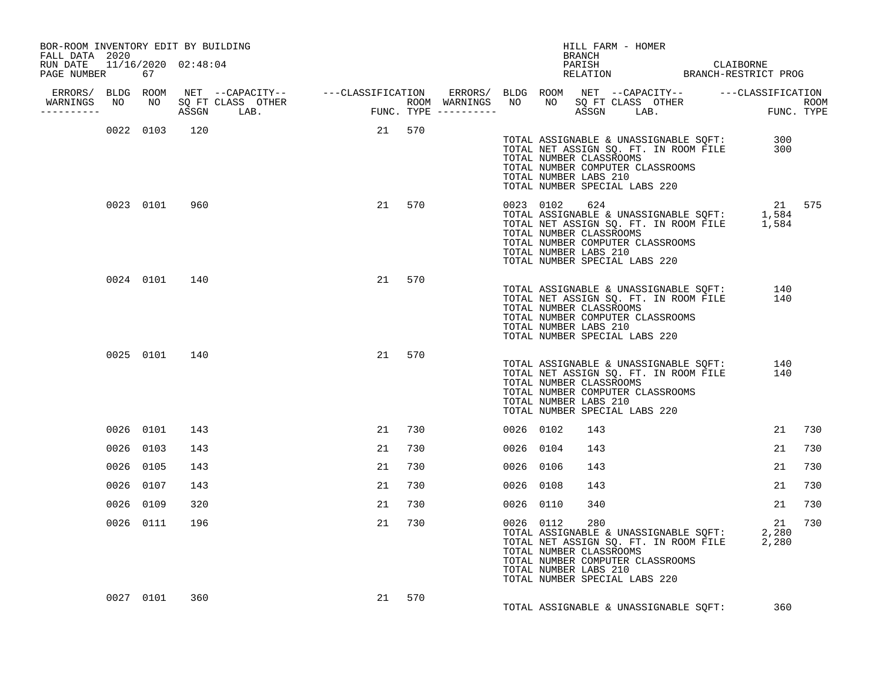| BOR-ROOM INVENTORY EDIT BY BUILDING<br>FALL DATA 2020 |           |               |               |        |        |  |                                        |     | HILL FARM - HOMER                                        |                                  |                                       |                                                                                                  |        |
|-------------------------------------------------------|-----------|---------------|---------------|--------|--------|--|----------------------------------------|-----|----------------------------------------------------------|----------------------------------|---------------------------------------|--------------------------------------------------------------------------------------------------|--------|
| RUN DATE 11/16/2020 02:48:04<br>PAGE NUMBER 67        |           |               |               |        |        |  |                                        |     | BRANCH<br>PARISH                                         |                                  |                                       | PARISH CLAIBORNE<br>RELATION BRANCH-RESTRICT PROG                                                |        |
|                                                       |           |               |               |        |        |  |                                        |     |                                                          |                                  |                                       |                                                                                                  |        |
| ----------                                            |           |               |               |        |        |  |                                        |     |                                                          |                                  |                                       |                                                                                                  |        |
|                                                       |           |               | 0022 0103 120 | 21 570 |        |  | TOTAL NUMBER LABS 210                  |     | TOTAL NUMBER CLASSROOMS<br>TOTAL NUMBER SPECIAL LABS 220 | TOTAL NUMBER COMPUTER CLASSROOMS |                                       | TOTAL ASSIGNABLE & UNASSIGNABLE SQFT: 300<br>TOTAL NET ASSIGN SQ. FT. IN ROOM FILE 300           |        |
|                                                       |           | 0023 0101 960 |               |        | 21 570 |  | 0023 0102 624<br>TOTAL NUMBER LABS 210 |     | TOTAL NUMBER CLASSROOMS<br>TOTAL NUMBER SPECIAL LABS 220 | TOTAL NUMBER COMPUTER CLASSROOMS |                                       | TOTAL ASSIGNABLE & UNASSIGNABLE SOFT: 1,584<br>TOTAL ASSIGNABLE & UNASSIGNABLE SOFT: 1,584       | 21 575 |
|                                                       |           | 0024 0101 140 |               | 21     | 570    |  | TOTAL NUMBER LABS 210                  |     | TOTAL NUMBER CLASSROOMS<br>TOTAL NUMBER SPECIAL LABS 220 | TOTAL NUMBER COMPUTER CLASSROOMS |                                       | TOTAL ASSIGNABLE & UNASSIGNABLE SQFT: 140<br>TOTAL NET ASSIGN SQ. FT. IN ROOM FILE 140           |        |
|                                                       |           | 0025 0101 140 |               |        | 21 570 |  | TOTAL NUMBER LABS 210                  |     | TOTAL NUMBER CLASSROOMS<br>TOTAL NUMBER SPECIAL LABS 220 | TOTAL NUMBER COMPUTER CLASSROOMS |                                       | TOTAL ASSIGNABLE & UNASSIGNABLE SQFT: 140<br>TOTAL NET ASSIGN SQ. FT. IN ROOM FILE 140           |        |
|                                                       | 0026 0101 | 143           |               |        | 21 730 |  | 0026 0102                              | 143 |                                                          |                                  |                                       | 21                                                                                               | 730    |
|                                                       | 0026 0103 | 143           |               | 21     | 730    |  | 0026 0104                              | 143 |                                                          |                                  |                                       | 21                                                                                               | 730    |
|                                                       | 0026 0105 | 143           |               | 21     | 730    |  | 0026 0106                              | 143 |                                                          |                                  |                                       | 21                                                                                               | 730    |
|                                                       | 0026 0107 | 143           |               | 21     | 730    |  | 0026 0108                              | 143 |                                                          |                                  |                                       | 21                                                                                               | 730    |
|                                                       | 0026 0109 | 320           |               | 21     | 730    |  | 0026 0110                              | 340 |                                                          |                                  |                                       | 21                                                                                               | 730    |
|                                                       | 0026 0111 | 196           |               | 21     | 730    |  | 0026 0112<br>TOTAL NUMBER LABS 210     | 280 | TOTAL NUMBER CLASSROOMS<br>TOTAL NUMBER SPECIAL LABS 220 | TOTAL NUMBER COMPUTER CLASSROOMS |                                       | 21<br>TOTAL ASSIGNABLE & UNASSIGNABLE SQFT: 2,280<br>TOTAL NET ASSIGN SQ. FT. IN ROOM FILE 2,280 | 730    |
|                                                       | 0027 0101 | 360           |               |        | 21 570 |  |                                        |     |                                                          |                                  | TOTAL ASSIGNABLE & UNASSIGNABLE SQFT: | 360                                                                                              |        |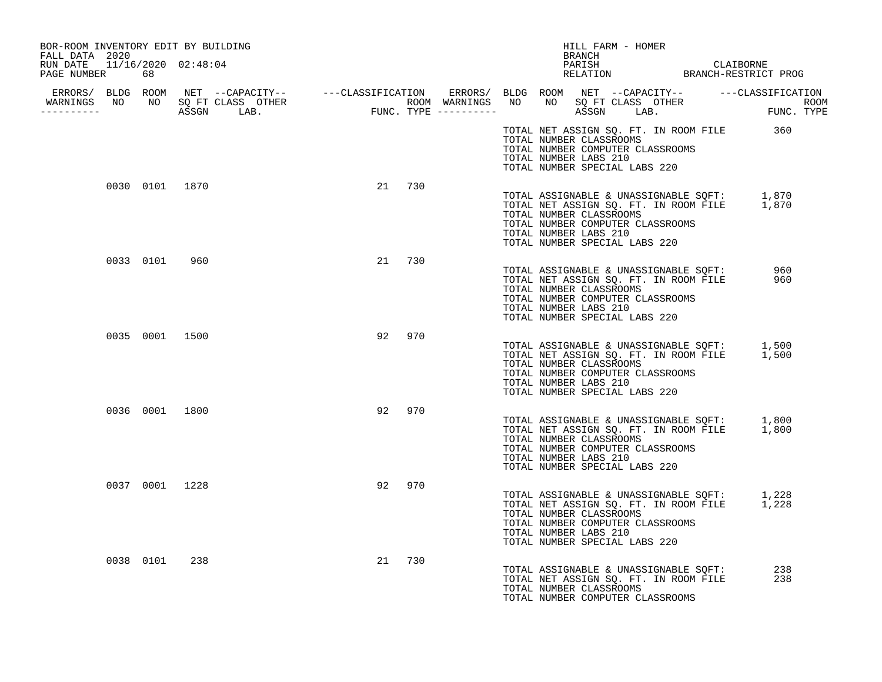| BOR-ROOM INVENTORY EDIT BY BUILDING<br>FALL DATA 2020 |     |           | HILL FARM - HOMER<br><b>BRANCH</b>                                                                                                                                                                                                                       |            |
|-------------------------------------------------------|-----|-----------|----------------------------------------------------------------------------------------------------------------------------------------------------------------------------------------------------------------------------------------------------------|------------|
| RUN DATE  11/16/2020  02:48:04<br>PAGE NUMBER<br>68   |     |           | PARISH CLAIBORNE<br>RELATION BRANCH-RESTRICT PROG                                                                                                                                                                                                        |            |
| -----------                                           |     |           |                                                                                                                                                                                                                                                          |            |
|                                                       |     |           | TOTAL NET ASSIGN SQ. FT. IN ROOM FILE 360<br>TOTAL NUMBER CLASSROOMS<br>TOTAL NUMBER COMPUTER CLASSROOMS<br>TOTAL NUMBER LABS 210<br>TOTAL NUMBER SPECIAL LABS 220                                                                                       |            |
| 0030 0101 1870                                        |     | 21 730    | TOTAL ASSIGNABLE & UNASSIGNABLE SQFT: 1,870<br>TOTAL NET ASSIGN SQ. FT. IN ROOM FILE 1,870<br>TOTAL NUMBER CLASSROOMS<br>TOTAL NUMBER COMPUTER CLASSROOMS<br>TOTAL NUMBER LABS 210<br>TOTAL NUMBER SPECIAL LABS 220                                      |            |
| 0033 0101 960                                         |     | 21 730    | TOTAL ASSIGNABLE & UNASSIGNABLE SQFT: 960<br>TOTAL NET ASSIGN SO. FT. IN ROOM FILE 960<br>TOTAL NET ASSIGN SQ. FT. IN ROOM FILE<br>TOTAL NUMBER CLASSROOMS<br>TOTAL NUMBER COMPUTER CLASSROOMS<br>TOTAL NUMBER LABS 210<br>TOTAL NUMBER SPECIAL LABS 220 | 960        |
| 0035 0001 1500                                        |     | 92<br>970 | TOTAL ASSIGNABLE & UNASSIGNABLE SQFT: 1,500<br>TOTAL NET ASSIGN SQ. FT. IN ROOM FILE 1,500<br>TOTAL NUMBER CLASSROOMS<br>TOTAL NUMBER COMPUTER CLASSROOMS<br>TOTAL NUMBER LABS 210<br>TOTAL NUMBER SPECIAL LABS 220                                      |            |
| 0036 0001 1800                                        |     | 92 970    | TOTAL ASSIGNABLE & UNASSIGNABLE SQFT: 1,800<br>TOTAL NET ASSIGN SQ. FT. IN ROOM FILE 1,800<br>TOTAL NUMBER CLASSROOMS<br>TOTAL NUMBER COMPUTER CLASSROOMS<br>TOTAL NUMBER LABS 210<br>TOTAL NUMBER SPECIAL LABS 220                                      |            |
| 0037 0001 1228                                        |     | 92<br>970 | TOTAL ASSIGNABLE & UNASSIGNABLE SQFT: 1,228<br>TOTAL NET ASSIGN SQ. FT. IN ROOM FILE 1,228<br>TOTAL NUMBER CLASSROOMS<br>TOTAL NUMBER COMPUTER CLASSROOMS<br>TOTAL NUMBER LABS 210<br>TOTAL NUMBER SPECIAL LABS 220                                      |            |
| 0038 0101                                             | 238 | 21 730    | TOTAL ASSIGNABLE & UNASSIGNABLE SQFT:<br>TOTAL NET ASSIGN SQ. FT. IN ROOM FILE<br>TOTAL NUMBER CLASSROOMS<br>TOTAL NUMBER COMPUTER CLASSROOMS                                                                                                            | 238<br>238 |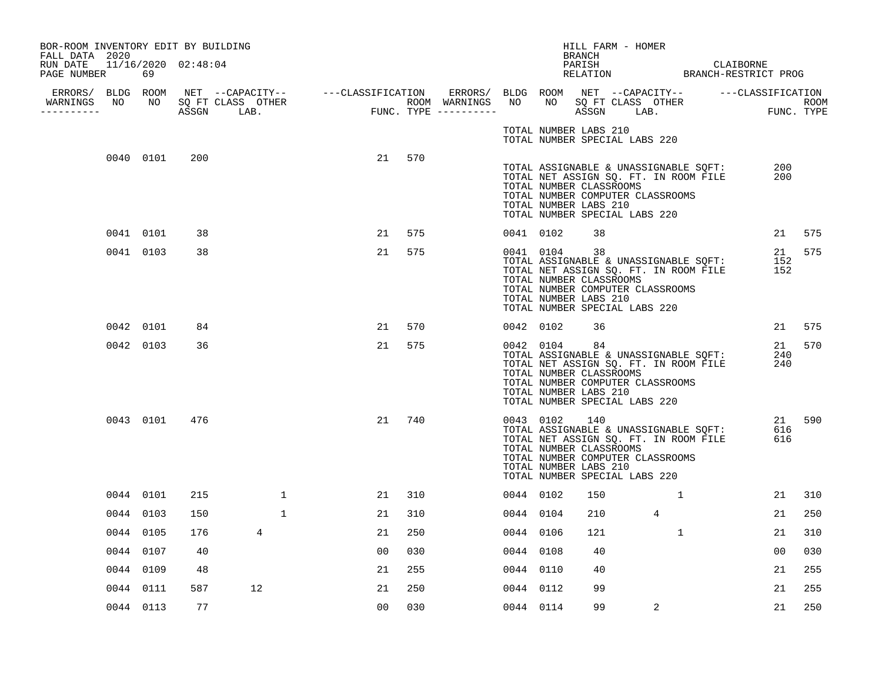| BOR-ROOM INVENTORY EDIT BY BUILDING                              |           |               |                                  |              |                |     |           |                                                                  |        | HILL FARM - HOMER                                                                                                                                                                            |                |              |            |        |
|------------------------------------------------------------------|-----------|---------------|----------------------------------|--------------|----------------|-----|-----------|------------------------------------------------------------------|--------|----------------------------------------------------------------------------------------------------------------------------------------------------------------------------------------------|----------------|--------------|------------|--------|
| FALL DATA 2020<br>RUN DATE 11/16/2020 02:48:04<br>PAGE NUMBER 69 |           |               |                                  |              |                |     |           |                                                                  | BRANCH | PARISH CLAIBORNE RELATION BRANCH-RESTRICT PROG                                                                                                                                               |                |              |            |        |
| ----------                                                       |           |               | WARNINGS NO NO SQ FT CLASS OTHER |              |                |     |           |                                                                  |        |                                                                                                                                                                                              |                |              |            |        |
|                                                                  |           |               |                                  |              |                |     |           | TOTAL NUMBER LABS 210                                            |        | TOTAL NUMBER SPECIAL LABS 220                                                                                                                                                                |                |              |            |        |
|                                                                  | 0040 0101 | 200           |                                  |              | 21             | 570 |           | TOTAL NUMBER CLASSROOMS<br>TOTAL NUMBER LABS 210                 |        | TOTAL ASSIGNABLE & UNASSIGNABLE SQFT:<br>TOTAL ASSIGNABLE & UNASSIGNABLE SQFT:<br>TOTAL NET ASSIGN SQ. FT. IN ROOM FILE<br>TOTAL NUMBER COMPUTER CLASSROOMS<br>TOTAL NUMBER SPECIAL LABS 220 |                |              | 200<br>200 |        |
|                                                                  | 0041 0101 | 38            |                                  |              | 21             | 575 | 0041 0102 |                                                                  | 38     |                                                                                                                                                                                              |                |              |            | 21 575 |
|                                                                  | 0041 0103 | 38            |                                  |              | 21             | 575 |           | 0041 0104<br>TOTAL NUMBER CLASSROOMS<br>TOTAL NUMBER LABS 210    | 38     | TOTAL ASSIGNABLE & UNASSIGNABLE SQFT:<br>TOTAL NET ASSIGN SQ. FT. IN ROOM FILE<br>TOTAL NUMBER COMPUTER CLASSROOMS<br>TOTAL NUMBER SPECIAL LABS 220                                          |                |              | 152<br>152 | 21 575 |
|                                                                  | 0042 0101 | 84            |                                  |              | 21             | 570 | 0042 0102 |                                                                  | 36     |                                                                                                                                                                                              |                |              |            | 21 575 |
|                                                                  | 0042 0103 | 36            |                                  |              | 21             | 575 |           | 0042 0104 84<br>TOTAL NUMBER CLASSROOMS<br>TOTAL NUMBER LABS 210 |        | TOTAL ASSIGNABLE & UNASSIGNABLE SQFT:<br>TOTAL NET ASSIGN SQ. FT. IN ROOM FILE<br>TOTAL NUMBER COMPUTER CLASSROOMS<br>TOTAL NUMBER SPECIAL LABS 220                                          |                |              | 240<br>240 | 21 570 |
|                                                                  |           | 0043 0101 476 |                                  |              | 21             | 740 | 0043 0102 | TOTAL NUMBER CLASSROOMS<br>TOTAL NUMBER LABS 210                 | 140    | TOTAL ASSIGNABLE & UNASSIGNABLE SQFT:<br>TOTAL NET ASSIGN SQ. FT. IN ROOM FILE<br>TOTAL NIMBER CLASSOOMS<br>TOTAL NUMBER COMPUTER CLASSROOMS<br>TOTAL NUMBER SPECIAL LABS 220                |                |              | 616<br>616 | 21 590 |
|                                                                  | 0044 0101 | 215           |                                  | $\mathbf{1}$ | 21             | 310 | 0044 0102 |                                                                  | 150    |                                                                                                                                                                                              |                | 1            | 21         | 310    |
|                                                                  | 0044 0103 | 150           |                                  | $\mathbf{1}$ | 21             | 310 | 0044 0104 |                                                                  | 210    |                                                                                                                                                                                              | $\overline{4}$ |              | 21         | 250    |
|                                                                  | 0044 0105 | 176           | 4                                |              | 21             | 250 | 0044 0106 |                                                                  | 121    |                                                                                                                                                                                              |                | $\mathbf{1}$ | 21         | 310    |
|                                                                  | 0044 0107 | 40            |                                  |              | 00             | 030 | 0044 0108 |                                                                  | 40     |                                                                                                                                                                                              |                |              | 00         | 030    |
|                                                                  | 0044 0109 | 48            |                                  |              | 21             | 255 | 0044 0110 |                                                                  | 40     |                                                                                                                                                                                              |                |              | 21         | 255    |
|                                                                  | 0044 0111 | 587           | 12                               |              | 21             | 250 | 0044 0112 |                                                                  | 99     |                                                                                                                                                                                              |                |              | 21         | 255    |
|                                                                  | 0044 0113 | 77            |                                  |              | 0 <sub>0</sub> | 030 | 0044 0114 |                                                                  | 99     |                                                                                                                                                                                              | $\overline{2}$ |              | 21         | 250    |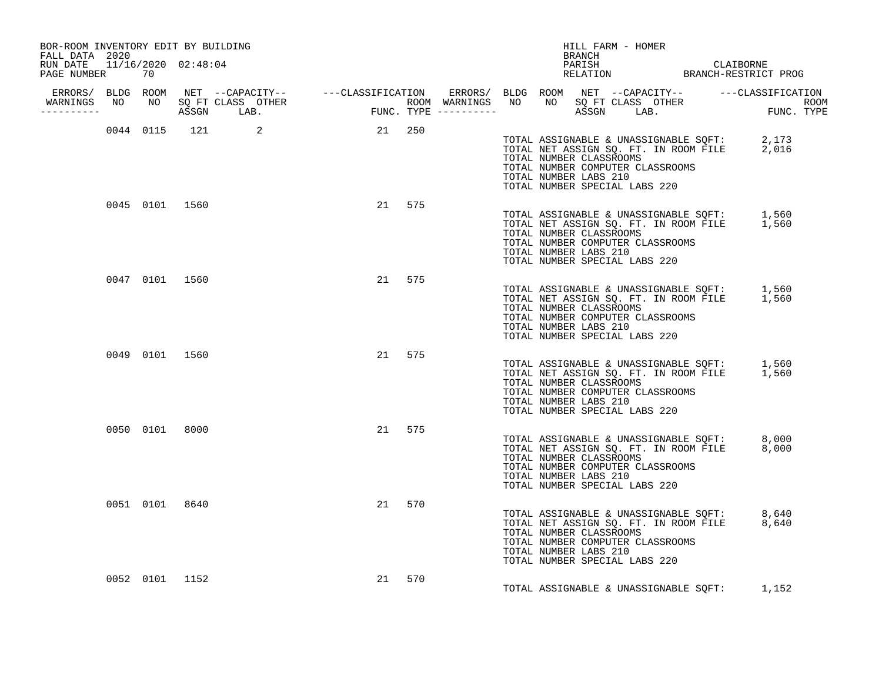| BOR-ROOM INVENTORY EDIT BY BUILDING<br>FALL DATA 2020 |  |                |                                                                                                                                                                                                                                      |           |  | BRANCH                                           | HILL FARM - HOMER                                                                                                                                               |                                                   |
|-------------------------------------------------------|--|----------------|--------------------------------------------------------------------------------------------------------------------------------------------------------------------------------------------------------------------------------------|-----------|--|--------------------------------------------------|-----------------------------------------------------------------------------------------------------------------------------------------------------------------|---------------------------------------------------|
| RUN DATE 11/16/2020 02:48:04<br>PAGE NUMBER 70        |  |                |                                                                                                                                                                                                                                      |           |  |                                                  |                                                                                                                                                                 | PARISH CLAIBORNE<br>RELATION BRANCH-RESTRICT PROG |
| __________                                            |  |                | ERRORS/ BLDG ROOM NET --CAPACITY-- -----CLASSIFICATION ERRORS/ BLDG ROOM NET --CAPACITY-- ------CLASSIFICATION<br>WARNINGS NO NO SQ FT CLASS OTHER ROOM WARNINGS NO NO SQ FT CLASS OTHER ROOM<br>----------- ASSGN LAB. FUNC. TYPE - |           |  |                                                  |                                                                                                                                                                 |                                                   |
|                                                       |  |                | 0044 0115 121 2 21 250                                                                                                                                                                                                               |           |  | TOTAL NUMBER CLASSROOMS<br>TOTAL NUMBER LABS 210 | TOTAL ASSIGNABLE & UNASSIGNABLE SQFT: 2,173<br>TOTAL NET ASSIGN SQ. FT. IN ROOM FILE 2,016<br>TOTAL NUMBER COMPUTER CLASSROOMS<br>TOTAL NUMBER SPECIAL LABS 220 |                                                   |
|                                                       |  |                | 0045 0101 1560                                                                                                                                                                                                                       | 21 575    |  | TOTAL NUMBER CLASSROOMS<br>TOTAL NUMBER LABS 210 | TOTAL ASSIGNABLE & UNASSIGNABLE SQFT: 1,560<br>TOTAL NET ASSIGN SQ. FT. IN ROOM FILE 1,560<br>TOTAL NUMBER COMPUTER CLASSROOMS<br>TOTAL NUMBER SPECIAL LABS 220 |                                                   |
|                                                       |  |                | 0047 0101 1560                                                                                                                                                                                                                       | 21 575    |  | TOTAL NUMBER CLASSROOMS<br>TOTAL NUMBER LABS 210 | TOTAL ASSIGNABLE & UNASSIGNABLE SQFT: 1,560<br>TOTAL NET ASSIGN SQ. FT. IN ROOM FILE 1,560<br>TOTAL NUMBER COMPUTER CLASSROOMS<br>TOTAL NUMBER SPECIAL LABS 220 |                                                   |
|                                                       |  | 0049 0101 1560 |                                                                                                                                                                                                                                      | 21 575    |  | TOTAL NUMBER CLASSROOMS<br>TOTAL NUMBER LABS 210 | TOTAL ASSIGNABLE & UNASSIGNABLE SQFT: 1,560<br>TOTAL NET ASSIGN SQ. FT. IN ROOM FILE 1,560<br>TOTAL NUMBER COMPUTER CLASSROOMS<br>TOTAL NUMBER SPECIAL LABS 220 |                                                   |
|                                                       |  | 0050 0101 8000 |                                                                                                                                                                                                                                      | 21 575    |  | TOTAL NUMBER CLASSROOMS<br>TOTAL NUMBER LABS 210 | TOTAL ASSIGNABLE & UNASSIGNABLE SQFT: 8,000<br>TOTAL NET ASSIGN SQ. FT. IN ROOM FILE 8,000<br>TOTAL NUMBER COMPUTER CLASSROOMS<br>TOTAL NUMBER SPECIAL LABS 220 |                                                   |
|                                                       |  | 0051 0101 8640 |                                                                                                                                                                                                                                      | 21 570    |  | TOTAL NUMBER CLASSROOMS<br>TOTAL NUMBER LABS 210 | TOTAL ASSIGNABLE & UNASSIGNABLE SQFT: 8,640<br>TOTAL NET ASSIGN SQ. FT. IN ROOM FILE 8,640<br>TOTAL NUMBER COMPUTER CLASSROOMS<br>TOTAL NUMBER SPECIAL LABS 220 |                                                   |
|                                                       |  | 0052 0101 1152 |                                                                                                                                                                                                                                      | 570<br>21 |  |                                                  | TOTAL ASSIGNABLE & UNASSIGNABLE SQFT: 1,152                                                                                                                     |                                                   |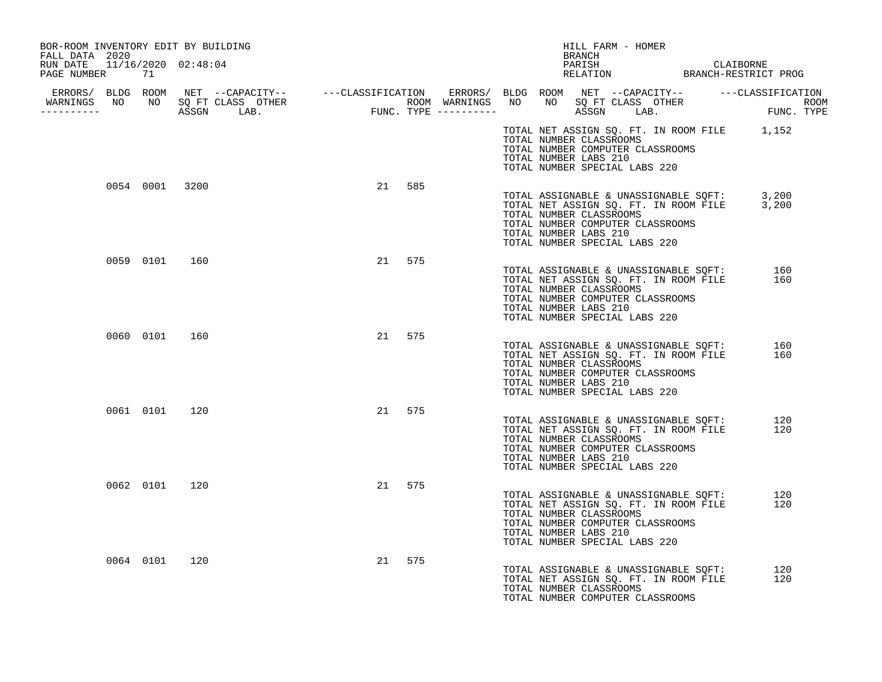| BOR-ROOM INVENTORY EDIT BY BUILDING<br>FALL DATA 2020 |                |  |        |  |                       | HILL FARM - HOMER<br><b>BRANCH</b>                                                           |                                                                                |                                                                                            |            |
|-------------------------------------------------------|----------------|--|--------|--|-----------------------|----------------------------------------------------------------------------------------------|--------------------------------------------------------------------------------|--------------------------------------------------------------------------------------------|------------|
| RUN DATE  11/16/2020  02:48:04<br>PAGE NUMBER<br>71   |                |  |        |  |                       |                                                                                              |                                                                                | PARISH CLAIBORNE<br>RELATION BRANCH-RESTRICT PROG                                          |            |
|                                                       |                |  |        |  |                       |                                                                                              |                                                                                |                                                                                            |            |
|                                                       |                |  |        |  | TOTAL NUMBER LABS 210 | TOTAL NUMBER CLASSROOMS<br>TOTAL NUMBER COMPUTER CLASSROOMS<br>TOTAL NUMBER SPECIAL LABS 220 |                                                                                | TOTAL NET ASSIGN SQ. FT. IN ROOM FILE 1,152                                                |            |
|                                                       | 0054 0001 3200 |  | 21 585 |  | TOTAL NUMBER LABS 210 | TOTAL NUMBER CLASSROOMS<br>TOTAL NUMBER COMPUTER CLASSROOMS<br>TOTAL NUMBER SPECIAL LABS 220 |                                                                                | TOTAL ASSIGNABLE & UNASSIGNABLE SQFT: 3,200<br>TOTAL NET ASSIGN SQ. FT. IN ROOM FILE 3,200 |            |
|                                                       | 0059 0101 160  |  | 21 575 |  | TOTAL NUMBER LABS 210 | TOTAL NUMBER CLASSROOMS<br>TOTAL NUMBER COMPUTER CLASSROOMS<br>TOTAL NUMBER SPECIAL LABS 220 |                                                                                | TOTAL ASSIGNABLE & UNASSIGNABLE SQFT:<br>TOTAL NET ASSIGN SQ. FT. IN ROOM FILE             | 160<br>160 |
|                                                       | 0060 0101 160  |  | 21 575 |  | TOTAL NUMBER LABS 210 | TOTAL NUMBER CLASSROOMS<br>TOTAL NUMBER COMPUTER CLASSROOMS<br>TOTAL NUMBER SPECIAL LABS 220 | TOTAL ASSIGNABLE & UNASSIGNABLE SQFT:<br>TOTAL NET ASSIGN SQ. FT. IN ROOM FILE |                                                                                            | 160<br>160 |
|                                                       | 0061 0101 120  |  | 21 575 |  | TOTAL NUMBER LABS 210 | TOTAL NUMBER CLASSROOMS<br>TOTAL NUMBER COMPUTER CLASSROOMS<br>TOTAL NUMBER SPECIAL LABS 220 | TOTAL ASSIGNABLE & UNASSIGNABLE SQFT:<br>TOTAL NET ASSIGN SQ. FT. IN ROOM FILE |                                                                                            | 120<br>120 |
|                                                       | 0062 0101 120  |  | 21 575 |  | TOTAL NUMBER LABS 210 | TOTAL NUMBER CLASSROOMS<br>TOTAL NUMBER COMPUTER CLASSROOMS<br>TOTAL NUMBER SPECIAL LABS 220 | TOTAL ASSIGNABLE & UNASSIGNABLE SOFT:<br>TOTAL NET ASSIGN SQ. FT. IN ROOM FILE |                                                                                            | 120<br>120 |
| 0064 0101                                             | 120            |  | 21 575 |  |                       | TOTAL NUMBER CLASSROOMS<br>TOTAL NUMBER COMPUTER CLASSROOMS                                  | TOTAL ASSIGNABLE & UNASSIGNABLE SQFT:<br>TOTAL NET ASSIGN SQ. FT. IN ROOM FILE |                                                                                            | 120<br>120 |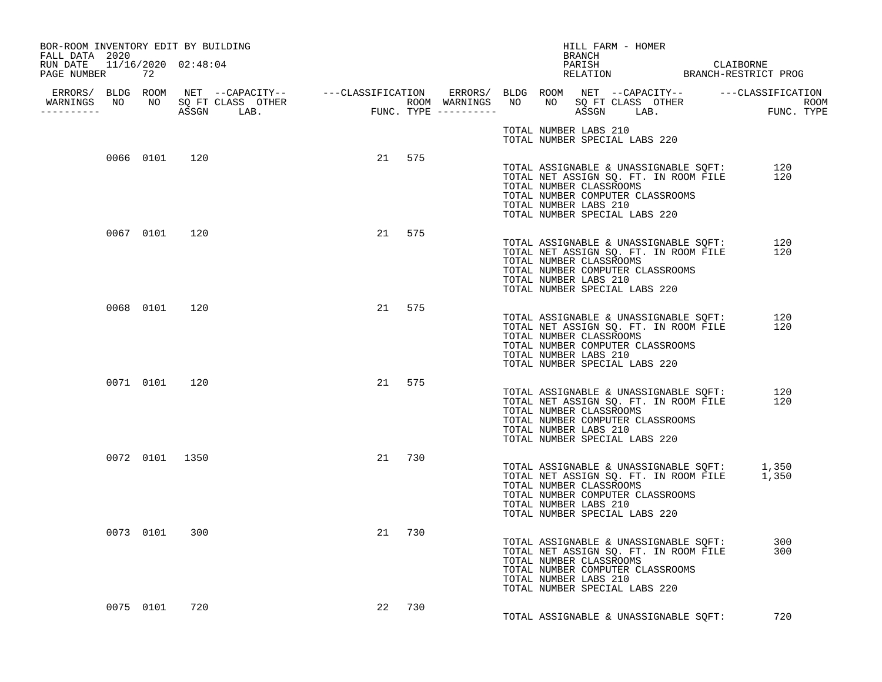| BOR-ROOM INVENTORY EDIT BY BUILDING<br>FALL DATA 2020 |    |                |  |        |  |                       | HILL FARM - HOMER<br><b>BRANCH</b>                                                                                                                                                                                              |  |            |
|-------------------------------------------------------|----|----------------|--|--------|--|-----------------------|---------------------------------------------------------------------------------------------------------------------------------------------------------------------------------------------------------------------------------|--|------------|
| RUN DATE 11/16/2020 02:48:04<br>PAGE NUMBER           | 72 |                |  |        |  |                       | PARISH CLAIBORNE RELATION BRANCH-RESTRICT PROG                                                                                                                                                                                  |  |            |
| -----------                                           |    |                |  |        |  |                       |                                                                                                                                                                                                                                 |  |            |
|                                                       |    |                |  |        |  | TOTAL NUMBER LABS 210 | TOTAL NUMBER SPECIAL LABS 220                                                                                                                                                                                                   |  |            |
|                                                       |    | 0066 0101 120  |  | 21 575 |  | TOTAL NUMBER LABS 210 | TOTAL ASSIGNABLE & UNASSIGNABLE SQFT: 120<br>TOTAL NET ASSIGN SQ. FT. IN ROOM FILE 120<br>TOTAL NET ASSIGN SQ. FT. IN ROOM FILE<br>TOTAL NUMBER CLASSROOMS<br>TOTAL NUMBER COMPUTER CLASSROOMS<br>TOTAL NUMBER SPECIAL LABS 220 |  |            |
|                                                       |    | 0067 0101 120  |  | 21 575 |  | TOTAL NUMBER LABS 210 | TOTAL ASSIGNABLE & UNASSIGNABLE SQFT:<br>TOTAL NET ASSIGN SQ. FT. IN ROOM FILE<br>TOTAL NUMBER CLASSROOMS<br>TOTAL NUMBER COMPUTER CLASSROOMS<br>TOTAL NUMBER SPECIAL LABS 220                                                  |  | 120<br>120 |
|                                                       |    | 0068 0101 120  |  | 21 575 |  | TOTAL NUMBER LABS 210 | TOTAL ASSIGNABLE & UNASSIGNABLE SQFT:<br>TOTAL NET ASSIGN SQ. FT. IN ROOM FILE<br>TOTAL NUMBER CLASSROOMS<br>TOTAL NUMBER COMPUTER CLASSROOMS<br>TOTAL NUMBER SPECIAL LABS 220                                                  |  | 120<br>120 |
|                                                       |    | 0071 0101 120  |  | 21 575 |  | TOTAL NUMBER LABS 210 | TOTAL ASSIGNABLE & UNASSIGNABLE SQFT:<br>TOTAL NET ASSIGN SQ. FT. IN ROOM FILE<br>TOTAL NUMBER CLASSROOMS<br>TOTAL NUMBER COMPUTER CLASSROOMS<br>TOTAL NUMBER SPECIAL LABS 220                                                  |  | 120<br>120 |
|                                                       |    | 0072 0101 1350 |  | 21 730 |  | TOTAL NUMBER LABS 210 | TOTAL ASSIGNABLE & UNASSIGNABLE SQFT: 1,350<br>TOTAL NET ASSIGN SQ. FT. IN ROOM FILE 1,350<br>TOTAL NUMBER CLASSROOMS<br>TOTAL NUMBER COMPUTER CLASSROOMS<br>TOTAL NUMBER SPECIAL LABS 220                                      |  |            |
|                                                       |    | 0073 0101 300  |  | 21 730 |  | TOTAL NUMBER LABS 210 | TOTAL ASSIGNABLE & UNASSIGNABLE SQFT:<br>TOTAL NET ASSIGN SQ. FT. IN ROOM FILE<br>TOTAL NUMBER CLASSROOMS<br>TOTAL NUMBER COMPUTER CLASSROOMS<br>TOTAL NUMBER SPECIAL LABS 220                                                  |  | 300<br>300 |
|                                                       |    | 0075 0101 720  |  | 22 730 |  |                       | TOTAL ASSIGNABLE & UNASSIGNABLE SOFT:                                                                                                                                                                                           |  | 720        |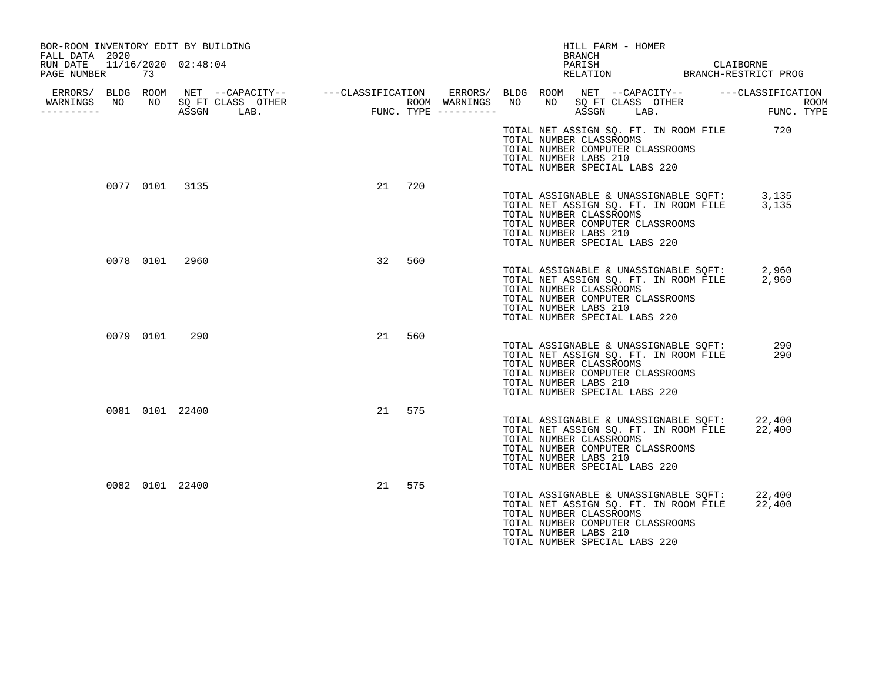| BOR-ROOM INVENTORY EDIT BY BUILDING<br>FALL DATA 2020 |                 |                                   |                                           | HILL FARM - HOMER<br><b>BRANCH</b>                                                                                                                                                                                  |                                   |
|-------------------------------------------------------|-----------------|-----------------------------------|-------------------------------------------|---------------------------------------------------------------------------------------------------------------------------------------------------------------------------------------------------------------------|-----------------------------------|
| RUN DATE 11/16/2020 02:48:04<br>PAGE NUMBER           | 73              |                                   |                                           | PARISH<br>PARISH CLAIBORNE<br>RELATION BRANCH-RESTRICT PROG                                                                                                                                                         | CLAIBORNE                         |
| WARNINGS NO<br>-----------                            |                 | NO SOFT CLASS OTHER<br>ASSGN LAB. | ROOM WARNINGS NO<br>FUNC. TYPE ---------- | ERRORS/ BLDG ROOM NET --CAPACITY-- -----CLASSIFICATION ERRORS/ BLDG ROOM NET --CAPACITY-- -----CLASSIFICATION<br>SQ FT CLASS OTHER<br>NO<br>LAB.<br>ASSGN                                                           | <b>ROOM</b><br>ROOM<br>FUNC. TYPE |
|                                                       |                 |                                   |                                           | TOTAL NET ASSIGN SQ. FT. IN ROOM FILE 720<br>TOTAL NUMBER CLASSROOMS<br>TOTAL NUMBER COMPUTER CLASSROOMS<br>TOTAL NUMBER LABS 210<br>TOTAL NUMBER SPECIAL LABS 220                                                  |                                   |
|                                                       | 0077 0101 3135  |                                   | 21<br>720                                 | TOTAL ASSIGNABLE & UNASSIGNABLE SQFT: 3,135<br>TOTAL NET ASSIGN SQ. FT. IN ROOM FILE 3,135<br>TOTAL NUMBER CLASSROOMS<br>TOTAL NUMBER COMPUTER CLASSROOMS<br>TOTAL NUMBER LABS 210<br>TOTAL NUMBER SPECIAL LABS 220 |                                   |
|                                                       | 0078 0101 2960  |                                   | 32<br>560                                 | TOTAL ASSIGNABLE & UNASSIGNABLE SQFT: 2,960<br>TOTAL NET ASSIGN SQ. FT. IN ROOM FILE 2,960<br>TOTAL NUMBER CLASSROOMS<br>TOTAL NUMBER COMPUTER CLASSROOMS<br>TOTAL NUMBER LABS 210<br>TOTAL NUMBER SPECIAL LABS 220 |                                   |
|                                                       | 0079 0101       | 290                               | 21<br>560                                 | TOTAL ASSIGNABLE & UNASSIGNABLE SQFT:<br>TOTAL NET ASSIGN SQ. FT. IN ROOM FILE<br>TOTAL NUMBER CLASSROOMS<br>TOTAL NUMBER COMPUTER CLASSROOMS<br>TOTAL NUMBER LABS 210<br>TOTAL NUMBER SPECIAL LABS 220             | 290<br>290                        |
|                                                       | 0081 0101 22400 |                                   | 21 575                                    | TOTAL ASSIGNABLE & UNASSIGNABLE SQFT: 22,400<br>TOTAL NET ASSIGN SQ. FT. IN ROOM FILE<br>TOTAL NUMBER CLASSROOMS<br>TOTAL NUMBER COMPUTER CLASSROOMS<br>TOTAL NUMBER LABS 210<br>TOTAL NUMBER SPECIAL LABS 220      | 22,400                            |
|                                                       | 0082 0101 22400 |                                   | 21<br>575                                 | TOTAL ASSIGNABLE & UNASSIGNABLE SOFT:<br>TOTAL NET ASSIGN SQ. FT. IN ROOM FILE<br>TOTAL NUMBER CLASSROOMS<br>TOTAL NUMBER COMPUTER CLASSROOMS<br>TOTAL NUMBER LABS 210<br>TOTAL NUMBER SPECIAL LABS 220             | 22,400<br>22,400                  |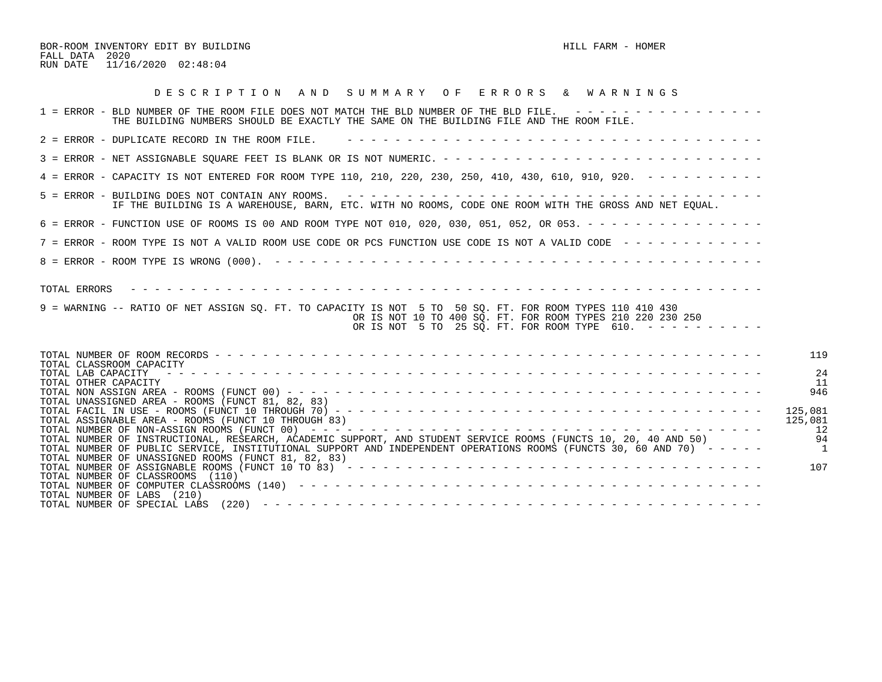BOR-ROOM INVENTORY EDIT BY BUILDING HILL FARM - HOMER FALL DATA 2020 RUN DATE 11/16/2020 02:48:04

| DESCRIPTION AND SUMMARY OF ERRORS & WARNINGS                                                                                                                                                                                                                   |                                |
|----------------------------------------------------------------------------------------------------------------------------------------------------------------------------------------------------------------------------------------------------------------|--------------------------------|
| 1 = ERROR - BLD NUMBER OF THE ROOM FILE DOES NOT MATCH THE BLD NUMBER OF THE BLD FILE. ----------------<br>THE BUILDING NUMBERS SHOULD BE EXACTLY THE SAME ON THE BUILDING FILE AND THE ROOM FILE.                                                             |                                |
| 2 = ERROR - DUPLICATE RECORD IN THE ROOM FILE.                                                                                                                                                                                                                 |                                |
|                                                                                                                                                                                                                                                                |                                |
| 4 = ERROR - CAPACITY IS NOT ENTERED FOR ROOM TYPE 110, 210, 220, 230, 250, 410, 430, 610, 910, 920. - - - - - - - - -                                                                                                                                          |                                |
| IF THE BUILDING IS A WAREHOUSE, BARN, ETC. WITH NO ROOMS, CODE ONE ROOM WITH THE GROSS AND NET EOUAL.                                                                                                                                                          |                                |
| 6 = ERROR - FUNCTION USE OF ROOMS IS 00 AND ROOM TYPE NOT 010, 020, 030, 051, 052, OR 053. - - - - - - - - - - - - - - -                                                                                                                                       |                                |
| 7 = ERROR - ROOM TYPE IS NOT A VALID ROOM USE CODE OR PCS FUNCTION USE CODE IS NOT A VALID CODE ------------                                                                                                                                                   |                                |
|                                                                                                                                                                                                                                                                |                                |
| TOTAL ERRORS<br>9 = WARNING -- RATIO OF NET ASSIGN SQ. FT. TO CAPACITY IS NOT 5 TO 50 SQ. FT. FOR ROOM TYPES 110 410 430<br>OR IS NOT 10 TO 400 SQ. FT. FOR ROOM TYPES 210 220 230 250<br>OR IS NOT 5 TO 25 SQ. FT. FOR ROOM TYPE 610. $- - - - - - - - - - -$ |                                |
| TOTAL CLASSROOM CAPACITY                                                                                                                                                                                                                                       | 119                            |
| TOTAL LAB CAPACITY<br>TOTAL OTHER CAPACITY                                                                                                                                                                                                                     | 24<br>11                       |
| TOTAL UNASSIGNED AREA - ROOMS (FUNCT 81, 82, 83)                                                                                                                                                                                                               | 946                            |
| TOTAL ASSIGNABLE AREA - ROOMS (FUNCT 10 THROUGH 83)                                                                                                                                                                                                            | 125,081<br>125,081<br>12       |
| TOTAL NUMBER OF INSTRUCTIONAL, RESEARCH, ACADEMIC SUPPORT, AND STUDENT SERVICE ROOMS (FUNCTS 10, 20, 40 AND 50)<br>TOTAL NUMBER OF PUBLIC SERVICE, INSTITUTIONAL SUPPORT AND INDEPENDENT OPERATIONS ROOMS (FUNCTS 30, 60 AND 70) -----                         | 94<br>$\overline{\phantom{0}}$ |
| TOTAL NUMBER OF UNASSIGNED ROOMS (FUNCT 81, 82, 83)<br>TOTAL NUMBER OF CLASSROOMS (110)<br>TOTAL NUMBER OF LABS (210)                                                                                                                                          | 107                            |
| TOTAL NUMBER OF SPECIAL LABS                                                                                                                                                                                                                                   |                                |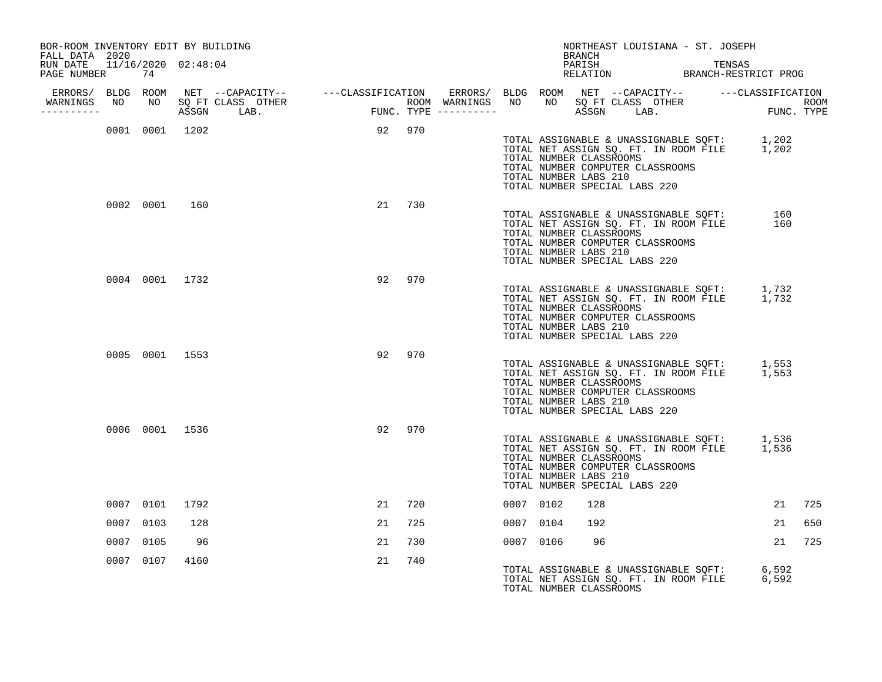| BOR-ROOM INVENTORY EDIT BY BUILDING<br>FALL DATA 2020 |                |                |                |        |        |           | NORTHEAST LOUISIANA - ST. JOSEPH<br>BRANCH                                                                                                                                                                          |    |     |
|-------------------------------------------------------|----------------|----------------|----------------|--------|--------|-----------|---------------------------------------------------------------------------------------------------------------------------------------------------------------------------------------------------------------------|----|-----|
| RUN DATE 11/16/2020 02:48:04<br>PAGE NUMBER 74        |                |                |                |        |        |           | PARISH<br>PARISH TENSAS<br>RELATION BRANCH-RESTRICT PROG                                                                                                                                                            |    |     |
|                                                       |                |                |                |        |        |           |                                                                                                                                                                                                                     |    |     |
| ----------                                            |                |                |                |        |        |           |                                                                                                                                                                                                                     |    |     |
|                                                       |                |                | 0001 0001 1202 | 92 970 |        |           | TOTAL ASSIGNABLE & UNASSIGNABLE SQFT: 1,202<br>TOTAL NET ASSIGN SQ. FT. IN ROOM FILE 1,202<br>TOTAL NUMBER CLASSROOMS<br>TOTAL NUMBER COMPUTER CLASSROOMS<br>TOTAL NUMBER LABS 210<br>TOTAL NUMBER SPECIAL LABS 220 |    |     |
|                                                       |                | 0002 0001 160  |                |        | 21 730 |           | TOTAL ASSIGNABLE & UNASSIGNABLE SQFT: 160<br>TOTAL NET ASSIGN SQ. FT. IN ROOM FILE 160<br>TOTAL NUMBER CLASSROOMS<br>TOTAL NUMBER COMPUTER CLASSROOMS<br>TOTAL NUMBER LABS 210<br>TOTAL NUMBER SPECIAL LABS 220     |    |     |
|                                                       |                | 0004 0001 1732 |                |        | 92 970 |           | TOTAL ASSIGNABLE & UNASSIGNABLE SQFT: 1,732<br>TOTAL NET ASSIGN SQ. FT. IN ROOM FILE 1,732<br>TOTAL NUMBER CLASSROOMS<br>TOTAL NUMBER COMPUTER CLASSROOMS<br>TOTAL NUMBER LABS 210<br>TOTAL NUMBER SPECIAL LABS 220 |    |     |
|                                                       |                | 0005 0001 1553 |                |        | 92 970 |           | TOTAL ASSIGNABLE & UNASSIGNABLE SQFT: 1,553<br>TOTAL NET ASSIGN SQ. FT. IN ROOM FILE 1,553<br>TOTAL NUMBER CLASSROOMS<br>TOTAL NUMBER COMPUTER CLASSROOMS<br>TOTAL NUMBER LABS 210<br>TOTAL NUMBER SPECIAL LABS 220 |    |     |
|                                                       | 0006 0001 1536 |                |                |        | 92 970 |           | TOTAL ASSIGNABLE & UNASSIGNABLE SQFT: 1,536<br>TOTAL NET ASSIGN SQ. FT. IN ROOM FILE 1,536<br>TOTAL NUMBER CLASSROOMS<br>TOTAL NUMBER COMPUTER CLASSROOMS<br>TOTAL NUMBER LABS 210<br>TOTAL NUMBER SPECIAL LABS 220 |    |     |
|                                                       | 0007 0101      | 1792           |                | 21     | 720    | 0007 0102 | 128                                                                                                                                                                                                                 | 21 | 725 |
|                                                       | 0007 0103      | 128            |                | 21     | 725    | 0007 0104 | 192                                                                                                                                                                                                                 | 21 | 650 |
| 0007                                                  | 0105           | 96             |                | 21     | 730    | 0007 0106 | 96                                                                                                                                                                                                                  | 21 | 725 |
|                                                       | 0007 0107      | 4160           |                | 21     | 740    |           | TOTAL ASSIGNABLE & UNASSIGNABLE SQFT: 6,592<br>TOTAL NET ASSIGN SQ. FT. IN ROOM FILE 6,592<br>TOTAL NET ASSIGN SQ. FT. IN ROOM FILE<br>TOTAL NUMBER CLASSROOMS                                                      |    |     |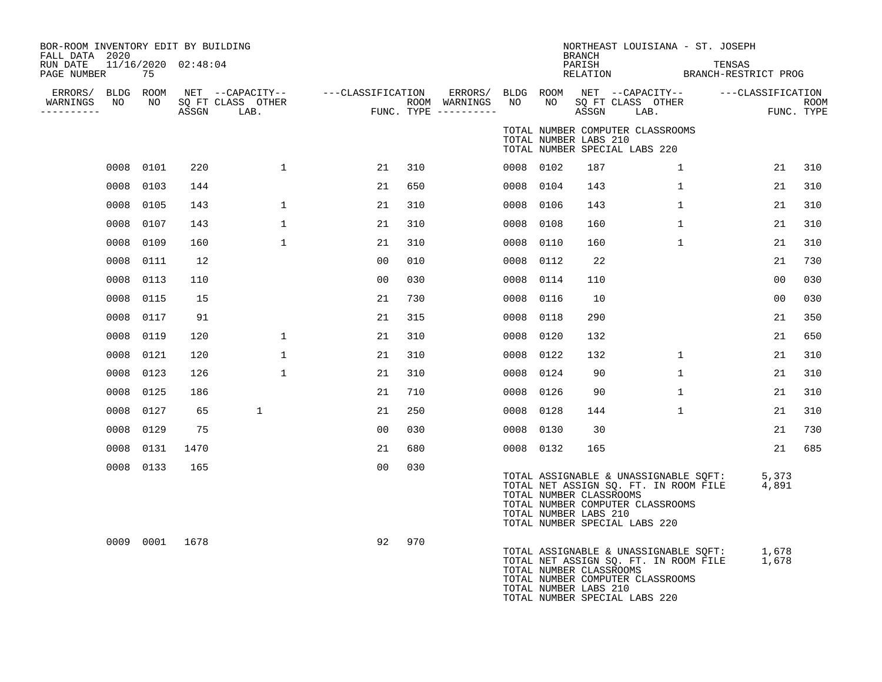| BOR-ROOM INVENTORY EDIT BY BUILDING<br>FALL DATA 2020 |           |      |                                       |                   |     |                       |           |      | <b>BRANCH</b>                                    | NORTHEAST LOUISIANA - ST. JOSEPH                                                                                                                    |                                |                |             |
|-------------------------------------------------------|-----------|------|---------------------------------------|-------------------|-----|-----------------------|-----------|------|--------------------------------------------------|-----------------------------------------------------------------------------------------------------------------------------------------------------|--------------------------------|----------------|-------------|
| RUN DATE 11/16/2020 02:48:04<br>PAGE NUMBER           | 75        |      |                                       |                   |     |                       |           |      | PARISH<br>RELATION                               |                                                                                                                                                     | TENSAS<br>BRANCH-RESTRICT PROG |                |             |
| ERRORS/ BLDG ROOM<br>WARNINGS<br>NO                   | NO        |      | NET --CAPACITY--<br>SQ FT CLASS OTHER | ---CLASSIFICATION |     | ROOM WARNINGS         | NO        | NO   |                                                  | ERRORS/ BLDG ROOM NET --CAPACITY--    ---CLASSIFICATION<br>SQ FT CLASS OTHER                                                                        |                                |                | <b>ROOM</b> |
| ----------                                            |           |      | ASSGN LAB.                            |                   |     | FUNC. TYPE ---------- |           |      | ASSGN                                            | LAB.                                                                                                                                                |                                | FUNC. TYPE     |             |
|                                                       |           |      |                                       |                   |     |                       |           |      | TOTAL NUMBER LABS 210                            | TOTAL NUMBER COMPUTER CLASSROOMS<br>TOTAL NUMBER SPECIAL LABS 220                                                                                   |                                |                |             |
|                                                       | 0008 0101 | 220  | $\mathbf{1}$                          | 21                | 310 |                       | 0008 0102 |      | 187                                              | $\mathbf{1}$                                                                                                                                        |                                | 21             | 310         |
|                                                       | 0008 0103 | 144  |                                       | 21                | 650 |                       | 0008      | 0104 | 143                                              | $\mathbf{1}$                                                                                                                                        |                                | 21             | 310         |
| 0008                                                  | 0105      | 143  | $\mathbf{1}$                          | 21                | 310 |                       | 0008      | 0106 | 143                                              | $\mathbf{1}$                                                                                                                                        |                                | 21             | 310         |
|                                                       | 0008 0107 | 143  | $\mathbf{1}$                          | 21                | 310 |                       | 0008      | 0108 | 160                                              | $\mathbf{1}$                                                                                                                                        |                                | 21             | 310         |
| 0008                                                  | 0109      | 160  | $\mathbf{1}$                          | 21                | 310 |                       | 0008      | 0110 | 160                                              | $\mathbf{1}$                                                                                                                                        |                                | 21             | 310         |
| 0008                                                  | 0111      | 12   |                                       | 00                | 010 |                       | 0008      | 0112 | 22                                               |                                                                                                                                                     |                                | 21             | 730         |
| 0008                                                  | 0113      | 110  |                                       | 00                | 030 |                       | 0008      | 0114 | 110                                              |                                                                                                                                                     |                                | 0 <sub>0</sub> | 030         |
|                                                       | 0008 0115 | 15   |                                       | 21                | 730 |                       | 0008      | 0116 | 10                                               |                                                                                                                                                     |                                | 0 <sub>0</sub> | 030         |
|                                                       | 0008 0117 | 91   |                                       | 21                | 315 |                       | 0008      | 0118 | 290                                              |                                                                                                                                                     |                                | 21             | 350         |
| 0008                                                  | 0119      | 120  | $\mathbf{1}$                          | 21                | 310 |                       | 0008      | 0120 | 132                                              |                                                                                                                                                     |                                | 21             | 650         |
| 0008                                                  | 0121      | 120  | $\mathbf{1}$                          | 21                | 310 |                       | 0008      | 0122 | 132                                              | $\mathbf 1$                                                                                                                                         |                                | 21             | 310         |
|                                                       | 0008 0123 | 126  | $\mathbf{1}$                          | 21                | 310 |                       | 0008 0124 |      | 90                                               | $\mathbf{1}$                                                                                                                                        |                                | 21             | 310         |
|                                                       | 0008 0125 | 186  |                                       | 21                | 710 |                       | 0008      | 0126 | 90                                               | $\mathbf{1}$                                                                                                                                        |                                | 21             | 310         |
|                                                       | 0008 0127 | 65   | $\mathbf 1$                           | 21                | 250 |                       | 0008      | 0128 | 144                                              | $\mathbf{1}$                                                                                                                                        |                                | 21             | 310         |
| 0008                                                  | 0129      | 75   |                                       | 00                | 030 |                       | 0008      | 0130 | 30                                               |                                                                                                                                                     |                                | 21             | 730         |
| 0008                                                  | 0131      | 1470 |                                       | 21                | 680 |                       | 0008 0132 |      | 165                                              |                                                                                                                                                     |                                | 21             | 685         |
|                                                       | 0008 0133 | 165  |                                       | 00                | 030 |                       |           |      | TOTAL NUMBER CLASSROOMS<br>TOTAL NUMBER LABS 210 | TOTAL ASSIGNABLE & UNASSIGNABLE SQFT:<br>TOTAL NET ASSIGN SQ. FT. IN ROOM FILE<br>TOTAL NUMBER COMPUTER CLASSROOMS<br>TOTAL NUMBER SPECIAL LABS 220 |                                | 5,373<br>4,891 |             |
|                                                       | 0009 0001 | 1678 |                                       | 92                | 970 |                       |           |      | TOTAL NUMBER CLASSROOMS<br>TOTAL NUMBER LABS 210 | TOTAL ASSIGNABLE & UNASSIGNABLE SQFT:<br>TOTAL NET ASSIGN SQ. FT. IN ROOM FILE<br>TOTAL NUMBER COMPUTER CLASSROOMS<br>TOTAL NUMBER SPECIAL LABS 220 |                                | 1,678<br>1,678 |             |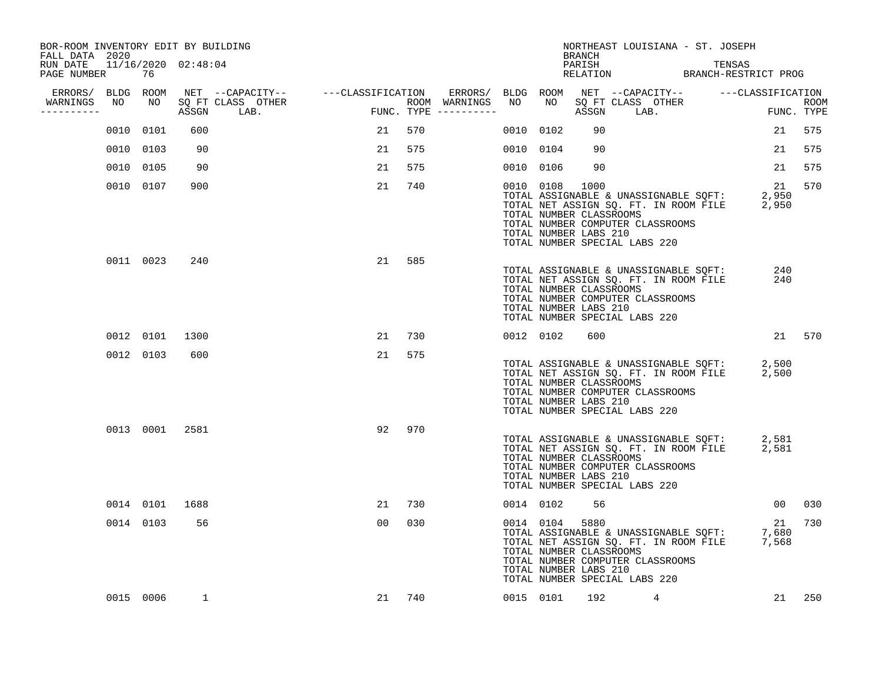| BOR-ROOM INVENTORY EDIT BY BUILDING<br>FALL DATA 2020 |                |      |                                                                                                                               |    |                                         |           |           | BRANCH                                                   | NORTHEAST LOUISIANA - ST. JOSEPH                                                                                                                                               |        |                 |        |
|-------------------------------------------------------|----------------|------|-------------------------------------------------------------------------------------------------------------------------------|----|-----------------------------------------|-----------|-----------|----------------------------------------------------------|--------------------------------------------------------------------------------------------------------------------------------------------------------------------------------|--------|-----------------|--------|
| RUN DATE 11/16/2020 02:48:04<br>PAGE NUMBER           | 76             |      |                                                                                                                               |    |                                         |           |           | PARISH                                                   | PARISH<br>RELATION BRANCH-RESTRICT PROG                                                                                                                                        | TENSAS |                 |        |
|                                                       |                |      |                                                                                                                               |    |                                         |           |           |                                                          |                                                                                                                                                                                |        |                 |        |
| WARNINGS<br>----------                                |                |      | ERRORS/ BLDG ROOM NET --CAPACITY-- ----CLASSIFICATION<br>VARNINGS NO NO SQFT CLASS OTHER --------- ROOM ASSGN LAB. FUNC. TYPE |    | ROOM WARNINGS NO<br>FUNC. TYPE $------$ |           |           |                                                          | ERRORS/ BLDG ROOM NET --CAPACITY-- ----CLASSIFICATION<br>WARNINGS NO NO SQFTCLASS OTHER ROOM<br>---------- ASSGN LAB. FUNC.TYPE                                                |        |                 |        |
|                                                       | 0010 0101      | 600  |                                                                                                                               | 21 | 570                                     | 0010 0102 |           | 90                                                       |                                                                                                                                                                                |        | 21              | 575    |
|                                                       | 0010 0103      | 90   |                                                                                                                               | 21 | 575                                     | 0010 0104 |           | 90                                                       |                                                                                                                                                                                |        | 21              | 575    |
|                                                       | 0010 0105      | 90   |                                                                                                                               | 21 | 575                                     |           | 0010 0106 | 90                                                       |                                                                                                                                                                                |        | 21              | 575    |
|                                                       | 0010 0107      | 900  |                                                                                                                               | 21 | 740                                     |           | 0010 0108 | 1000<br>TOTAL NUMBER CLASSROOMS<br>TOTAL NUMBER LABS 210 | TOTAL ASSIGNABLE & UNASSIGNABLE SQFT: 2,950<br>TOTAL NET ASSIGN SQ. FT. IN ROOM FILE 2,950<br>TOTAL NUMBER COMPUTER CLASSROOMS<br>TOTAL NUMBER SPECIAL LABS 220                |        | 21              | 570    |
|                                                       | 0011 0023      | 240  |                                                                                                                               | 21 | 585                                     |           |           | TOTAL NUMBER CLASSROOMS<br>TOTAL NUMBER LABS 210         | TOTAL NET ASSIGN SQ. FT. IN ROOM FILE<br>TOTAL NET ASSIGN SQ. FT. IN ROOM FILE<br>TOTAL NIMBER CLASSBOOMS<br>TOTAL NUMBER COMPUTER CLASSROOMS<br>TOTAL NUMBER SPECIAL LABS 220 |        | 240<br>240      |        |
|                                                       | 0012 0101      | 1300 |                                                                                                                               | 21 | 730                                     | 0012 0102 |           | 600                                                      |                                                                                                                                                                                |        |                 | 21 570 |
|                                                       | 0012 0103      | 600  |                                                                                                                               | 21 | 575                                     |           |           | TOTAL NUMBER CLASSROOMS<br>TOTAL NUMBER LABS 210         | TOTAL ASSIGNABLE & UNASSIGNABLE SQFT: 2,500<br>TOTAL NET ASSIGN SQ. FT. IN ROOM FILE 2,500<br>TOTAL NUMBER COMPUTER CLASSROOMS<br>TOTAL NUMBER SPECIAL LABS 220                |        |                 |        |
|                                                       | 0013 0001 2581 |      |                                                                                                                               | 92 | 970                                     |           |           | TOTAL NUMBER CLASSROOMS<br>TOTAL NUMBER LABS 210         | TOTAL ASSIGNABLE & UNASSIGNABLE SQFT: 2,581<br>TOTAL NET ASSIGN SQ. FT. IN ROOM FILE 2,581<br>TOTAL NUMBER COMPUTER CLASSROOMS<br>TOTAL NUMBER SPECIAL LABS 220                |        |                 |        |
|                                                       | 0014 0101 1688 |      |                                                                                                                               | 21 | 730                                     | 0014 0102 |           | 56                                                       |                                                                                                                                                                                |        | 00 <sub>o</sub> | 030    |
|                                                       | 0014 0103      | 56   |                                                                                                                               | 00 | 030                                     |           | 0014 0104 | 5880<br>TOTAL NUMBER CLASSROOMS<br>TOTAL NUMBER LABS 210 | TOTAL ASSIGNABLE & UNASSIGNABLE SQFT: 7,680<br>TOTAL NET ASSIGN SQ. FT. IN ROOM FILE 7,568<br>TOTAL NUMBER COMPUTER CLASSROOMS<br>TOTAL NUMBER SPECIAL LABS 220                |        | 21              | 730    |
|                                                       | 0015 0006      | 1    |                                                                                                                               |    | 21 740                                  |           |           | 0015 0101 192                                            | 4                                                                                                                                                                              |        |                 | 21 250 |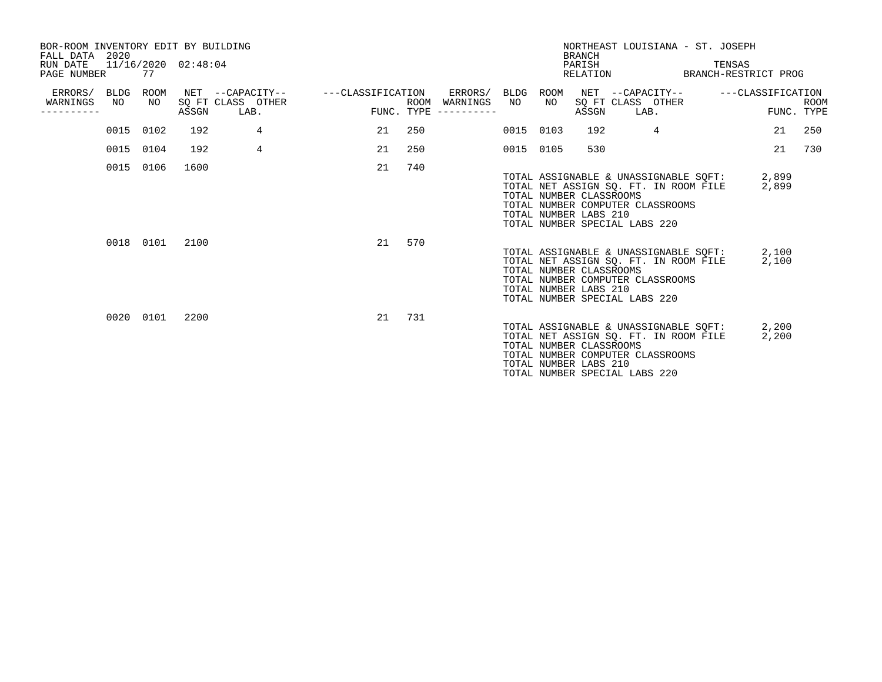| BOR-ROOM INVENTORY EDIT BY BUILDING<br>FALL DATA 2020<br>RUN DATE<br>PAGE NUMBER |           | 77         | 11/16/2020 02:48:04 |                                               |                   |                    |                                                   |           |            | <b>BRANCH</b><br>PARISH                          | NORTHEAST LOUISIANA - ST. JOSEPH<br>RELATION                                                                                                              | TENSAS<br>BRANCH-RESTRICT PROG |                |             |
|----------------------------------------------------------------------------------|-----------|------------|---------------------|-----------------------------------------------|-------------------|--------------------|---------------------------------------------------|-----------|------------|--------------------------------------------------|-----------------------------------------------------------------------------------------------------------------------------------------------------------|--------------------------------|----------------|-------------|
| ERRORS/ BLDG<br>WARNINGS<br>----------                                           | NO        | ROOM<br>NO | ASSGN               | NET --CAPACITY--<br>SQ FT CLASS OTHER<br>LAB. | ---CLASSIFICATION | ROOM<br>FUNC. TYPE | ERRORS/ BLDG<br>WARNINGS<br>$- - - - - - - - - -$ | NO        | ROOM<br>NO | ASSGN                                            | NET --CAPACITY--<br>SQ FT CLASS OTHER<br>LAB.                                                                                                             | ---CLASSIFICATION              | FUNC. TYPE     | <b>ROOM</b> |
|                                                                                  | 0015 0102 |            | 192                 | 4                                             | 21                | 250                |                                                   | 0015 0103 |            | 192                                              | 4                                                                                                                                                         |                                | 21             | 250         |
|                                                                                  | 0015 0104 |            | 192                 | 4                                             | 21                | 250                |                                                   | 0015 0105 |            | 530                                              |                                                                                                                                                           |                                | 21             | 730         |
|                                                                                  | 0015 0106 |            | 1600                |                                               | 21                | 740                |                                                   |           |            | TOTAL NUMBER CLASSROOMS<br>TOTAL NUMBER LABS 210 | TOTAL ASSIGNABLE & UNASSIGNABLE SQFT: 2,899<br>TOTAL NET ASSIGN SO. FT. IN ROOM FILE<br>TOTAL NUMBER COMPUTER CLASSROOMS<br>TOTAL NUMBER SPECIAL LABS 220 |                                | 2,899          |             |
|                                                                                  |           | 0018 0101  | 2100                |                                               | 21                | 570                |                                                   |           |            | TOTAL NUMBER CLASSROOMS<br>TOTAL NUMBER LABS 210 | TOTAL ASSIGNABLE & UNASSIGNABLE SOFT: 2,100<br>TOTAL NET ASSIGN SQ. FT. IN ROOM FILE<br>TOTAL NUMBER COMPUTER CLASSROOMS<br>TOTAL NUMBER SPECIAL LABS 220 |                                | 2,100          |             |
|                                                                                  |           | 0020 0101  | 2200                |                                               | 21                | 731                |                                                   |           |            | TOTAL NUMBER CLASSROOMS<br>TOTAL NUMBER LABS 210 | TOTAL ASSIGNABLE & UNASSIGNABLE SOFT:<br>TOTAL NET ASSIGN SO. FT. IN ROOM FILE<br>TOTAL NUMBER COMPUTER CLASSROOMS<br>TOTAL NUMBER SPECIAL LABS 220       |                                | 2,200<br>2,200 |             |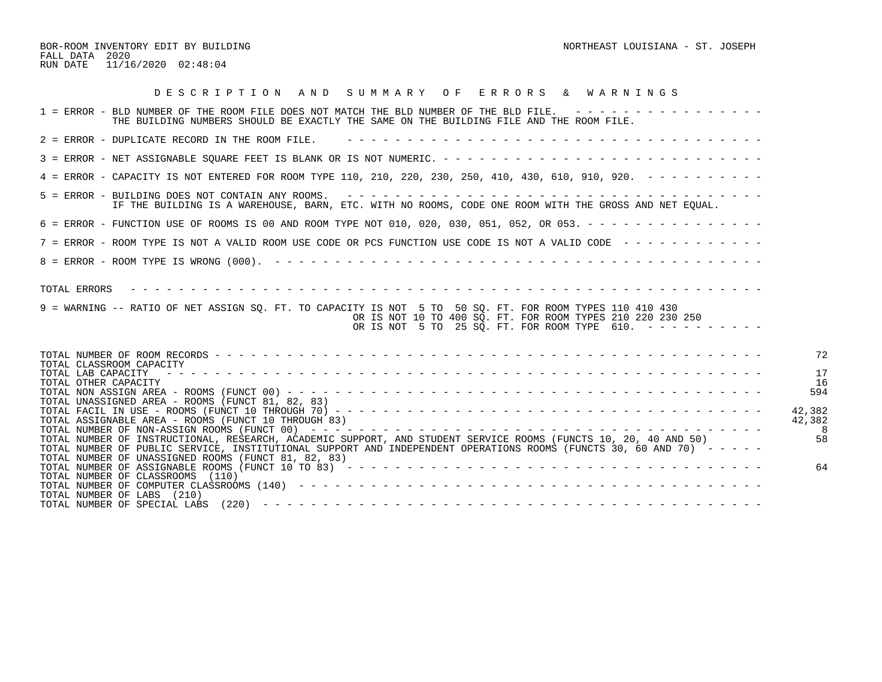| DESCRIPTION AND SUMMARY OF ERRORS & WARNINGS                                                                                                                                                                                                                                                  |                  |
|-----------------------------------------------------------------------------------------------------------------------------------------------------------------------------------------------------------------------------------------------------------------------------------------------|------------------|
| 1 = ERROR - BLD NUMBER OF THE ROOM FILE DOES NOT MATCH THE BLD NUMBER OF THE BLD FILE. ----------------<br>THE BUILDING NUMBERS SHOULD BE EXACTLY THE SAME ON THE BUILDING FILE AND THE ROOM FILE.                                                                                            |                  |
| 2 = ERROR - DUPLICATE RECORD IN THE ROOM FILE.                                                                                                                                                                                                                                                |                  |
|                                                                                                                                                                                                                                                                                               |                  |
| 4 = ERROR - CAPACITY IS NOT ENTERED FOR ROOM TYPE 110, 210, 220, 230, 250, 410, 430, 610, 910, 920. - - - - - - - - -                                                                                                                                                                         |                  |
| IF THE BUILDING IS A WAREHOUSE, BARN, ETC. WITH NO ROOMS, CODE ONE ROOM WITH THE GROSS AND NET EQUAL.                                                                                                                                                                                         |                  |
| 6 = ERROR - FUNCTION USE OF ROOMS IS 00 AND ROOM TYPE NOT 010, 020, 030, 051, 052, OR 053. - - - - - - - - - - - - - - -                                                                                                                                                                      |                  |
| 7 = ERROR - ROOM TYPE IS NOT A VALID ROOM USE CODE OR PCS FUNCTION USE CODE IS NOT A VALID CODE ------------                                                                                                                                                                                  |                  |
|                                                                                                                                                                                                                                                                                               |                  |
| 9 = WARNING -- RATIO OF NET ASSIGN SO. FT. TO CAPACITY IS NOT 5 TO 50 SO. FT. FOR ROOM TYPES 110 410 430<br>OR IS NOT 10 TO 400 SO. FT. FOR ROOM TYPES 210 220 230 250<br>OR IS NOT 5 TO 25 SQ. FT. FOR ROOM TYPE 610. $- - - - - - - - - -$                                                  |                  |
|                                                                                                                                                                                                                                                                                               | 72               |
| TOTAL CLASSROOM CAPACITY<br>TOTAL LAB CAPACITY<br>TOTAL OTHER CAPACITY<br>TOTAL UNASSIGNED AREA - ROOMS (FUNCT 81, 82, 83)                                                                                                                                                                    | 17<br>16<br>594  |
| TOTAL ASSIGNABLE AREA - ROOMS (FUNCT 10 THROUGH 83)                                                                                                                                                                                                                                           | 42,382<br>42,382 |
| TOTAL NUMBER OF INSTRUCTIONAL, RESEARCH, ACADEMIC SUPPORT, AND STUDENT SERVICE ROOMS (FUNCTS 10, 20, 40 AND 50)<br>TOTAL NUMBER OF PUBLIC SERVICE, INSTITUTIONAL SUPPORT AND INDEPENDENT OPERATIONS ROOMS (FUNCTS 30, 60 AND 70) -----<br>TOTAL NUMBER OF UNASSIGNED ROOMS (FUNCT 81, 82, 83) | 58               |
| TOTAL NUMBER OF CLASSROOMS (110)<br>TOTAL NUMBER OF LABS (210)                                                                                                                                                                                                                                | 64               |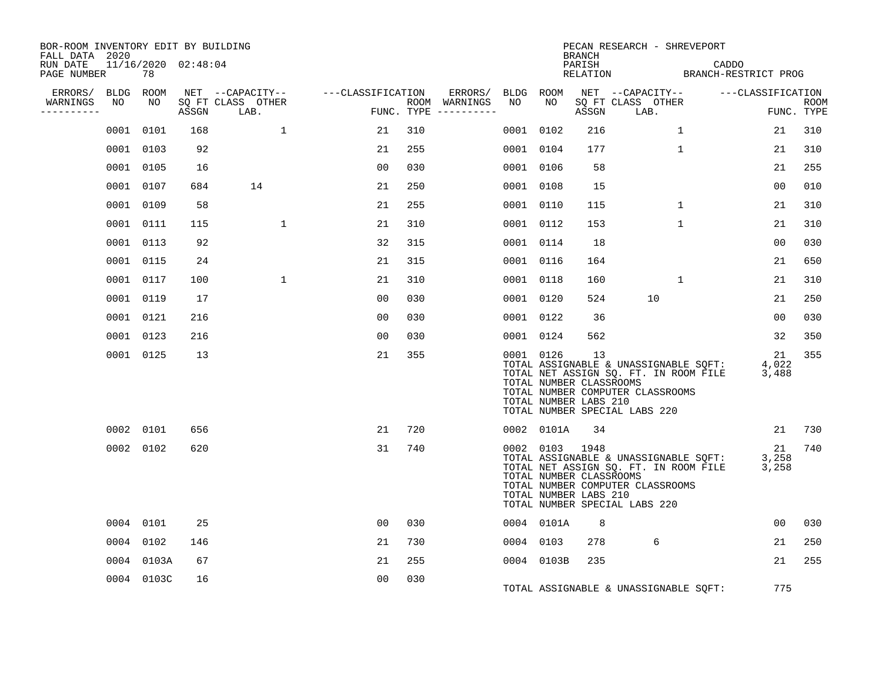| BOR-ROOM INVENTORY EDIT BY BUILDING<br>FALL DATA 2020 |           |            |                     |                           |                   |     |                                      |           |                                                                    | BRANCH |                                                                   |              | PECAN RESEARCH - SHREVEPORT                                                    |                                        |                      |                           |
|-------------------------------------------------------|-----------|------------|---------------------|---------------------------|-------------------|-----|--------------------------------------|-----------|--------------------------------------------------------------------|--------|-------------------------------------------------------------------|--------------|--------------------------------------------------------------------------------|----------------------------------------|----------------------|---------------------------|
| RUN DATE<br>PAGE NUMBER                               |           | 78         | 11/16/2020 02:48:04 |                           |                   |     |                                      |           |                                                                    | PARISH |                                                                   |              |                                                                                | CADDO<br>RELATION BRANCH-RESTRICT PROG |                      |                           |
| ERRORS/                                               | BLDG ROOM |            |                     | NET --CAPACITY--          | ---CLASSIFICATION |     | ERRORS/                              | BLDG ROOM |                                                                    |        | NET --CAPACITY--                                                  |              |                                                                                | ---CLASSIFICATION                      |                      |                           |
| WARNINGS<br>----------                                | NO        | NO         | ASSGN               | SQ FT CLASS OTHER<br>LAB. |                   |     | ROOM WARNINGS<br>FUNC. TYPE $------$ | NO        | NO.                                                                | ASSGN  | SQ FT CLASS OTHER<br>LAB.                                         |              |                                                                                |                                        |                      | <b>ROOM</b><br>FUNC. TYPE |
|                                                       | 0001      | 0101       | 168                 | 1                         | 21                | 310 |                                      | 0001 0102 |                                                                    | 216    |                                                                   | 1            |                                                                                |                                        | 21                   | 310                       |
|                                                       |           | 0001 0103  | 92                  |                           | 21                | 255 |                                      | 0001 0104 |                                                                    | 177    |                                                                   | $\mathbf{1}$ |                                                                                |                                        | 21                   | 310                       |
|                                                       |           | 0001 0105  | 16                  |                           | 0 <sub>0</sub>    | 030 |                                      | 0001 0106 |                                                                    | 58     |                                                                   |              |                                                                                |                                        | 21                   | 255                       |
|                                                       |           | 0001 0107  | 684                 | 14                        | 21                | 250 |                                      | 0001 0108 |                                                                    | 15     |                                                                   |              |                                                                                |                                        | 0 <sub>0</sub>       | 010                       |
|                                                       |           | 0001 0109  | 58                  |                           | 21                | 255 |                                      | 0001 0110 |                                                                    | 115    |                                                                   | $\mathbf{1}$ |                                                                                |                                        | 21                   | 310                       |
|                                                       |           | 0001 0111  | 115                 | $\mathbf{1}$              | 21                | 310 |                                      | 0001 0112 |                                                                    | 153    |                                                                   | $\mathbf 1$  |                                                                                |                                        | 21                   | 310                       |
|                                                       |           | 0001 0113  | 92                  |                           | 32                | 315 |                                      | 0001 0114 |                                                                    | 18     |                                                                   |              |                                                                                |                                        | 00                   | 030                       |
|                                                       |           | 0001 0115  | 24                  |                           | 21                | 315 |                                      | 0001 0116 |                                                                    | 164    |                                                                   |              |                                                                                |                                        | 21                   | 650                       |
|                                                       |           | 0001 0117  | 100                 | $\mathbf{1}$              | 21                | 310 |                                      | 0001 0118 |                                                                    | 160    |                                                                   | 1            |                                                                                |                                        | 21                   | 310                       |
|                                                       |           | 0001 0119  | 17                  |                           | 0 <sub>0</sub>    | 030 |                                      | 0001 0120 |                                                                    | 524    |                                                                   | 10           |                                                                                |                                        | 21                   | 250                       |
|                                                       |           | 0001 0121  | 216                 |                           | 0 <sub>0</sub>    | 030 |                                      | 0001 0122 |                                                                    | 36     |                                                                   |              |                                                                                |                                        | 0 <sub>0</sub>       | 030                       |
|                                                       |           | 0001 0123  | 216                 |                           | 0 <sub>0</sub>    | 030 |                                      | 0001 0124 |                                                                    | 562    |                                                                   |              |                                                                                |                                        | 32                   | 350                       |
|                                                       |           | 0001 0125  | 13                  |                           | 21                | 355 |                                      | 0001 0126 | TOTAL NUMBER CLASSROOMS<br>TOTAL NUMBER LABS 210                   | 13     | TOTAL NUMBER COMPUTER CLASSROOMS<br>TOTAL NUMBER SPECIAL LABS 220 |              | TOTAL ASSIGNABLE & UNASSIGNABLE SQFT:<br>TOTAL NET ASSIGN SQ. FT. IN ROOM FILE |                                        | 21<br>4,022<br>3,488 | 355                       |
|                                                       |           | 0002 0101  | 656                 |                           | 21                | 720 |                                      |           | 0002 0101A                                                         | 34     |                                                                   |              |                                                                                |                                        | 21                   | 730                       |
|                                                       |           | 0002 0102  | 620                 |                           | 31                | 740 |                                      |           | 0002 0103 1948<br>TOTAL NUMBER CLASSROOMS<br>TOTAL NUMBER LABS 210 |        | TOTAL NUMBER COMPUTER CLASSROOMS<br>TOTAL NUMBER SPECIAL LABS 220 |              | TOTAL ASSIGNABLE & UNASSIGNABLE SQFT:<br>TOTAL NET ASSIGN SQ. FT. IN ROOM FILE |                                        | 21<br>3,258<br>3,258 | 740                       |
|                                                       |           | 0004 0101  | 25                  |                           | 00                | 030 |                                      |           | 0004 0101A                                                         | 8      |                                                                   |              |                                                                                |                                        | 0 <sub>0</sub>       | 030                       |
|                                                       |           | 0004 0102  | 146                 |                           | 21                | 730 |                                      | 0004 0103 |                                                                    | 278    |                                                                   | 6            |                                                                                |                                        | 21                   | 250                       |
|                                                       | 0004      | 0103A      | 67                  |                           | 21                | 255 |                                      |           | 0004 0103B                                                         | 235    |                                                                   |              |                                                                                |                                        | 21                   | 255                       |
|                                                       |           | 0004 0103C | 16                  |                           | 0 <sub>0</sub>    | 030 |                                      |           |                                                                    |        |                                                                   |              | TOTAL ASSIGNABLE & UNASSIGNABLE SOFT:                                          |                                        | 775                  |                           |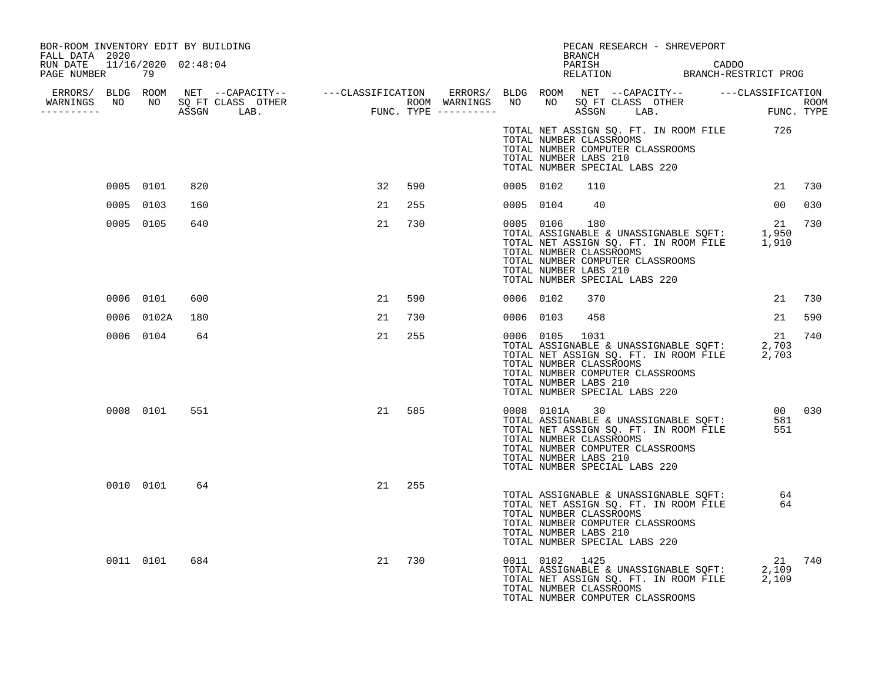| BOR-ROOM INVENTORY EDIT BY BUILDING<br>FALL DATA 2020 |            |     |    |     |           |                | BRANCH                                                                                                                        | PECAN RESEARCH - SHREVEPORT                                                                                          |                 |        |
|-------------------------------------------------------|------------|-----|----|-----|-----------|----------------|-------------------------------------------------------------------------------------------------------------------------------|----------------------------------------------------------------------------------------------------------------------|-----------------|--------|
| RUN DATE  11/16/2020  02:48:04<br>PAGE NUMBER 79      |            |     |    |     |           |                |                                                                                                                               | PARISH CADDO RELATION BRANCH-RESTRICT PROG                                                                           |                 |        |
|                                                       |            |     |    |     |           |                |                                                                                                                               |                                                                                                                      |                 |        |
| -----------                                           |            |     |    |     |           |                |                                                                                                                               |                                                                                                                      |                 |        |
|                                                       |            |     |    |     |           |                | TOTAL NUMBER CLASSROOMS<br>TOTAL NUMBER COMPUTER CLASSROOMS<br>TOTAL NUMBER LABS 210<br>TOTAL NUMBER SPECIAL LABS 220         | TOTAL NET ASSIGN SQ. FT. IN ROOM FILE 726                                                                            |                 |        |
|                                                       | 0005 0101  | 820 | 32 | 590 | 0005 0102 |                | 110                                                                                                                           |                                                                                                                      |                 | 21 730 |
|                                                       | 0005 0103  | 160 | 21 | 255 |           | 0005 0104      | 40                                                                                                                            |                                                                                                                      | 00 <sup>o</sup> | 030    |
|                                                       | 0005 0105  | 640 | 21 | 730 |           | 0005 0106      | 180<br>TOTAL NUMBER CLASSROOMS<br>TOTAL NUMBER COMPUTER CLASSROOMS<br>TOTAL NUMBER LABS 210<br>TOTAL NUMBER SPECIAL LABS 220  | 15 150<br>TOTAL ASSIGNABLE & UNASSIGNABLE SQFT: 1,950<br>TOTAL NET ASSIGN SQ. FT. IN ROOM FILE 1,910                 | 21              | 730    |
|                                                       | 0006 0101  | 600 | 21 | 590 | 0006 0102 |                | 370                                                                                                                           |                                                                                                                      | 21              | 730    |
|                                                       | 0006 0102A | 180 | 21 | 730 | 0006 0103 |                | 458                                                                                                                           |                                                                                                                      | 21              | 590    |
|                                                       | 0006 0104  | 64  | 21 | 255 |           | 0006 0105      | 1031<br>TOTAL NUMBER CLASSROOMS<br>TOTAL NUMBER COMPUTER CLASSROOMS<br>TOTAL NUMBER LABS 210<br>TOTAL NUMBER SPECIAL LABS 220 | TOTAL ASSIGNABLE & UNASSIGNABLE SQFT: 2,703<br>TOTAL NET ASSIGN SQ. FT. IN ROOM FILE 2,703                           | 21              | 740    |
|                                                       | 0008 0101  | 551 | 21 | 585 |           |                | TOTAL NUMBER CLASSROOMS<br>TOTAL NUMBER COMPUTER CLASSROOMS<br>TOTAL NUMBER LABS 210<br>TOTAL NUMBER SPECIAL LABS 220         | TOTAL ASSIGNABLE & UNASSIGNABLE SQFT: 00 030<br>TOTAL ASSIGNABLE & UNASSIGNABLE SQFT: 581<br>TOTAL NUMBER CLASSEOOMS |                 |        |
|                                                       | 0010 0101  | 64  | 21 | 255 |           |                | TOTAL NUMBER CLASSROOMS<br>TOTAL NUMBER COMPUTER CLASSROOMS<br>TOTAL NUMBER LABS 210<br>TOTAL NUMBER SPECIAL LABS 220         | TOTAL ASSIGNABLE & UNASSIGNABLE SQFT:<br>TOTAL NET ASSIGN SQ. FT. IN ROOM FILE 64                                    | 64              |        |
|                                                       | 0011 0101  | 684 | 21 | 730 |           | 0011 0102 1425 | TOTAL NUMBER CLASSROOMS<br>TOTAL NUMBER COMPUTER CLASSROOMS                                                                   | 0011 0102 1425 21<br>TOTAL ASSIGNABLE & UNASSIGNABLE SQFT: 2,109<br>TOTAL NET ASSIGN SQ. FT. IN ROOM FILE 2,109      | 21 740          |        |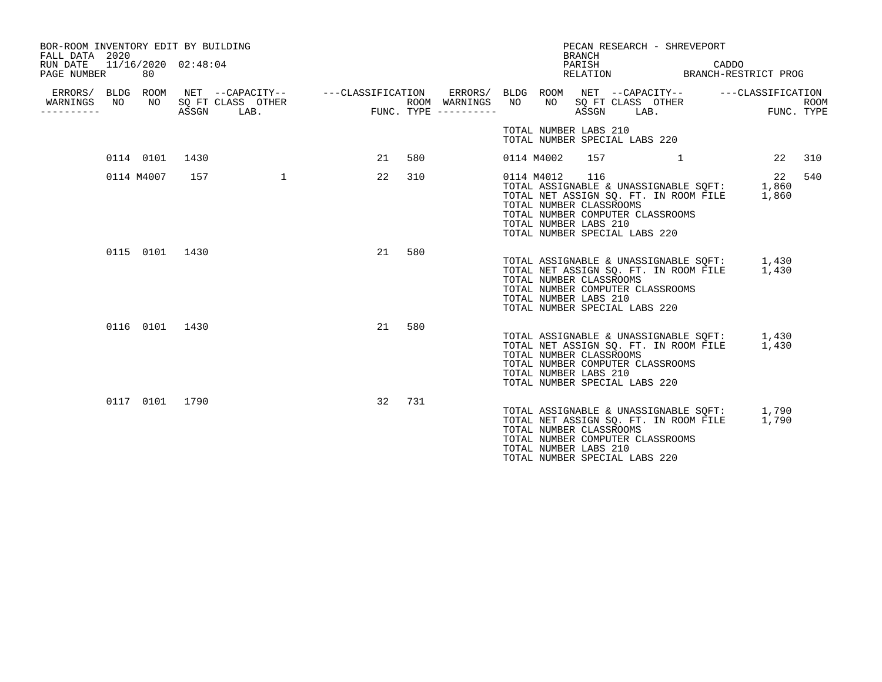| BOR-ROOM INVENTORY EDIT BY BUILDING<br>FALL DATA 2020<br>RUN DATE<br>PAGE NUMBER |     | 80             | 11/16/2020 02:48:04 |                                                                                     |    |     |                                      |     |                                                                | <b>BRANCH</b><br>PARISH | PECAN RESEARCH - SHREVEPORT<br>RELATION                                                                                                                         | CADDO<br>BRANCH-RESTRICT PROG |                           |
|----------------------------------------------------------------------------------|-----|----------------|---------------------|-------------------------------------------------------------------------------------|----|-----|--------------------------------------|-----|----------------------------------------------------------------|-------------------------|-----------------------------------------------------------------------------------------------------------------------------------------------------------------|-------------------------------|---------------------------|
| WARNINGS<br>----------                                                           | NO. | NO             | ASSGN               | ERRORS/ BLDG ROOM NET --CAPACITY-- - ---CLASSIFICATION<br>SQ FT CLASS OTHER<br>LAB. |    |     | ROOM WARNINGS<br>FUNC. TYPE $------$ | NO. | NO                                                             | ASSGN                   | ERRORS/ BLDG ROOM NET --CAPACITY-- ---CLASSIFICATION<br>SQ FT CLASS OTHER<br>$LAB$ .                                                                            |                               | <b>ROOM</b><br>FUNC. TYPE |
|                                                                                  |     |                |                     |                                                                                     |    |     |                                      |     | TOTAL NUMBER LABS 210                                          |                         | TOTAL NUMBER SPECIAL LABS 220                                                                                                                                   |                               |                           |
|                                                                                  |     | 0114 0101      | 1430                |                                                                                     | 21 | 580 |                                      |     | 0114 M4002                                                     |                         | 157 1                                                                                                                                                           | 22                            | 310                       |
|                                                                                  |     | 0114 M4007     | 157                 | $\mathbf{1}$                                                                        | 22 | 310 |                                      |     | 0114 M4012<br>TOTAL NUMBER CLASSROOMS<br>TOTAL NUMBER LABS 210 | 116                     | TOTAL ASSIGNABLE & UNASSIGNABLE SQFT: 1,860<br>TOTAL NET ASSIGN SQ. FT. IN ROOM FILE<br>TOTAL NUMBER COMPUTER CLASSROOMS<br>TOTAL NUMBER SPECIAL LABS 220       | 22<br>1,860                   | 540                       |
|                                                                                  |     | 0115 0101 1430 |                     |                                                                                     | 21 | 580 |                                      |     | TOTAL NUMBER CLASSROOMS<br>TOTAL NUMBER LABS 210               |                         | TOTAL ASSIGNABLE & UNASSIGNABLE SQFT: 1,430<br>TOTAL NET ASSIGN SQ. FT. IN ROOM FILE 1,430<br>TOTAL NUMBER COMPUTER CLASSROOMS<br>TOTAL NUMBER SPECIAL LABS 220 |                               |                           |
|                                                                                  |     | 0116 0101      | 1430                |                                                                                     | 21 | 580 |                                      |     | TOTAL NUMBER CLASSROOMS<br>TOTAL NUMBER LABS 210               |                         | TOTAL ASSIGNABLE & UNASSIGNABLE SQFT: 1,430<br>TOTAL NET ASSIGN SQ. FT. IN ROOM FILE 1,430<br>TOTAL NUMBER COMPUTER CLASSROOMS<br>TOTAL NUMBER SPECIAL LABS 220 |                               |                           |
|                                                                                  |     | 0117 0101 1790 |                     |                                                                                     | 32 | 731 |                                      |     | TOTAL NUMBER CLASSROOMS<br>TOTAL NUMBER LABS 210               |                         | TOTAL ASSIGNABLE & UNASSIGNABLE SQFT: 1,790<br>TOTAL NET ASSIGN SQ. FT. IN ROOM FILE 1,790<br>TOTAL NUMBER COMPUTER CLASSROOMS<br>TOTAL NUMBER SPECIAL LABS 220 |                               |                           |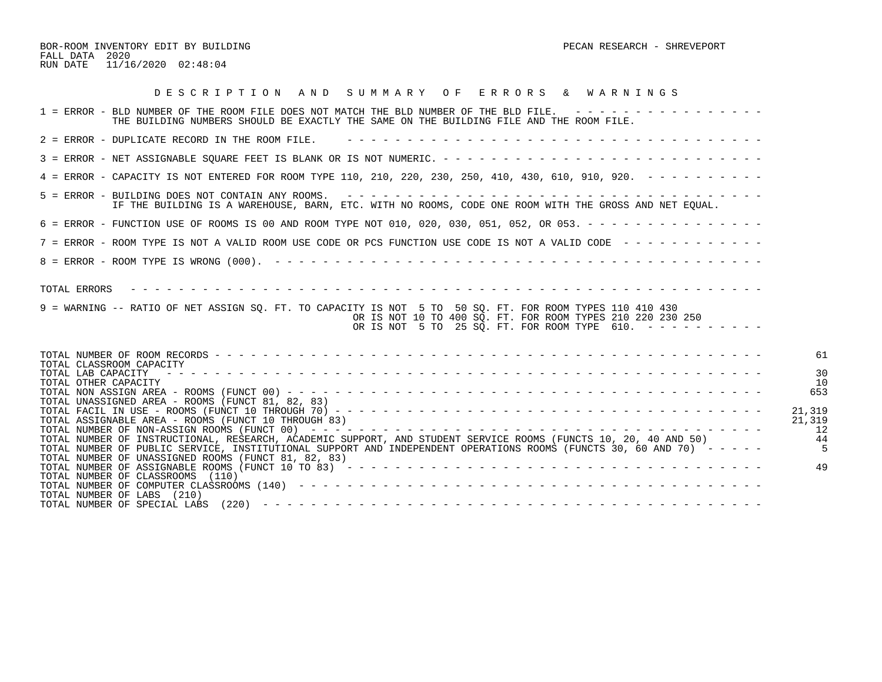BOR-ROOM INVENTORY EDIT BY BUILDING PECAN RESEARCH - SHREVEPORT FALL DATA 2020 RUN DATE 11/16/2020 02:48:04

| DESCRIPTION AND SUMMARY OF ERRORS & WARNINGS                                                                                                                                                                                                                                                  |                                                       |
|-----------------------------------------------------------------------------------------------------------------------------------------------------------------------------------------------------------------------------------------------------------------------------------------------|-------------------------------------------------------|
| 1 = ERROR - BLD NUMBER OF THE ROOM FILE DOES NOT MATCH THE BLD NUMBER OF THE BLD FILE. ----------------<br>THE BUILDING NUMBERS SHOULD BE EXACTLY THE SAME ON THE BUILDING FILE AND THE ROOM FILE.                                                                                            |                                                       |
| 2 = ERROR - DUPLICATE RECORD IN THE ROOM FILE.                                                                                                                                                                                                                                                |                                                       |
|                                                                                                                                                                                                                                                                                               |                                                       |
| 4 = ERROR - CAPACITY IS NOT ENTERED FOR ROOM TYPE 110, 210, 220, 230, 250, 410, 430, 610, 910, 920. - - - - - - - - -                                                                                                                                                                         |                                                       |
| 5 = ERROR - BUILDING DOES NOT CONTAIN ANY ROOMS.<br>IF THE BUILDING IS A WAREHOUSE, BARN, ETC. WITH NO ROOMS, CODE ONE ROOM WITH THE GROSS AND NET EQUAL.                                                                                                                                     |                                                       |
| 6 = ERROR - FUNCTION USE OF ROOMS IS 00 AND ROOM TYPE NOT 010, 020, 030, 051, 052, OR 053. - - - - - - - - - - - - - - -                                                                                                                                                                      |                                                       |
| 7 = ERROR - ROOM TYPE IS NOT A VALID ROOM USE CODE OR PCS FUNCTION USE CODE IS NOT A VALID CODE ------------                                                                                                                                                                                  |                                                       |
|                                                                                                                                                                                                                                                                                               |                                                       |
| TOTAL ERRORS<br>9 = WARNING -- RATIO OF NET ASSIGN SQ. FT. TO CAPACITY IS NOT 5 TO 50 SQ. FT. FOR ROOM TYPES 110 410 430<br>OR IS NOT 10 TO 400 SO. FT. FOR ROOM TYPES 210 220 230 250<br>OR IS NOT 5 TO 25 SQ. FT. FOR ROOM TYPE 610. ----------                                             |                                                       |
| TOTAL CLASSROOM CAPACITY<br>TOTAL LAB CAPACITY<br>TOTAL OTHER CAPACITY<br>TOTAL UNASSIGNED AREA - ROOMS (FUNCT 81, 82, 83)<br>TOTAL ASSIGNABLE AREA - ROOMS (FUNCT 10 THROUGH 83)                                                                                                             | 61<br>3 <sup>c</sup><br>10<br>653<br>21,319<br>21,319 |
| TOTAL NUMBER OF INSTRUCTIONAL, RESEARCH, ACADEMIC SUPPORT, AND STUDENT SERVICE ROOMS (FUNCTS 10, 20, 40 AND 50)<br>TOTAL NUMBER OF PUBLIC SERVICE, INSTITUTIONAL SUPPORT AND INDEPENDENT OPERATIONS ROOMS (FUNCTS 30, 60 AND 70) -----<br>TOTAL NUMBER OF UNASSIGNED ROOMS (FUNCT 81, 82, 83) | 12<br>44                                              |
| TOTAL NUMBER OF CLASSROOMS (110)<br>TOTAL NUMBER OF LABS (210)<br>TOTAL NUMBER OF SPECIAL LABS                                                                                                                                                                                                | 49                                                    |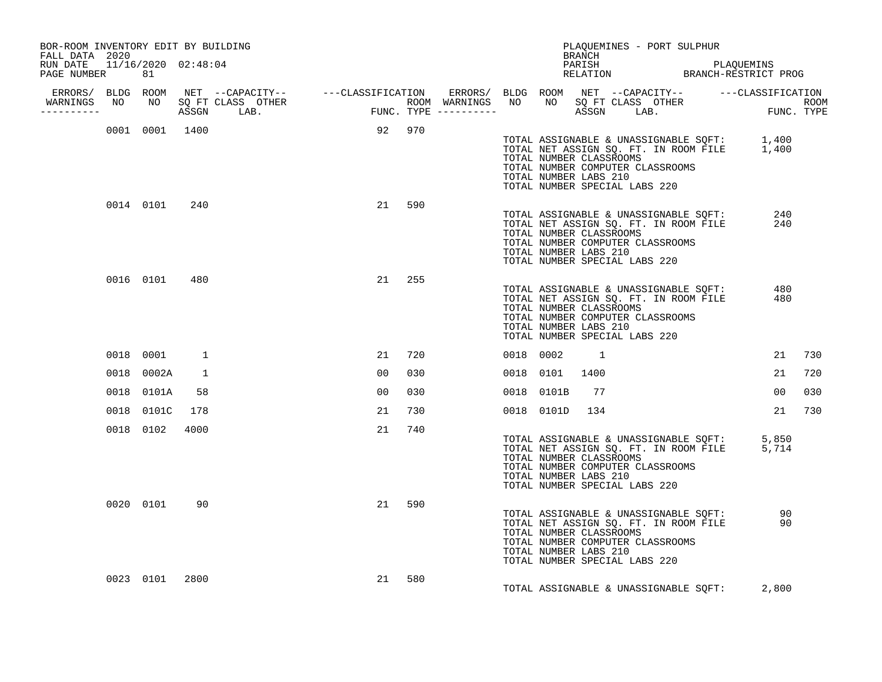| BOR-ROOM INVENTORY EDIT BY BUILDING<br>FALL DATA 2020 |           |                |                |                                                                                                                                                                                                                                                   |        |     |           |                                                                                   | BRANCH   | PLAQUEMINES - PORT SULPHUR       |                                                                                |                                                                                            |     |
|-------------------------------------------------------|-----------|----------------|----------------|---------------------------------------------------------------------------------------------------------------------------------------------------------------------------------------------------------------------------------------------------|--------|-----|-----------|-----------------------------------------------------------------------------------|----------|----------------------------------|--------------------------------------------------------------------------------|--------------------------------------------------------------------------------------------|-----|
| RUN DATE 11/16/2020 02:48:04<br>PAGE NUMBER           |           | 81             |                |                                                                                                                                                                                                                                                   |        |     |           |                                                                                   |          |                                  |                                                                                | PARISH PARISH PLAQUEMINS<br>RELATION BRANCH-RESTRICT PROG                                  |     |
| ERRORS/ BLDG ROOM<br>----------                       |           |                |                | NET --CAPACITY-- ----CLASSIFICATION ERRORS/BLDGROOM NET --CAPACITY-- ----CLASSIFICATION<br>SQFTCLASS OTHER ROOM WARNINGS NO NO SQFTCLASS OTHER ROOM<br>ASSGN LAB. FUNC.TYPE ------------ ASSGN LAB. FUNC.TYPE<br>WARNINGS NO NO SQ FT CLASS OTHER |        |     |           |                                                                                   |          |                                  |                                                                                |                                                                                            |     |
|                                                       |           |                | 0001 0001 1400 |                                                                                                                                                                                                                                                   | 92 970 |     |           | TOTAL NUMBER CLASSROOMS<br>TOTAL NUMBER LABS 210<br>TOTAL NUMBER SPECIAL LABS 220 |          | TOTAL NUMBER COMPUTER CLASSROOMS |                                                                                | TOTAL ASSIGNABLE & UNASSIGNABLE SQFT: 1,400<br>TOTAL NET ASSIGN SQ. FT. IN ROOM FILE 1,400 |     |
|                                                       |           | 0014 0101      | 240            |                                                                                                                                                                                                                                                   | 21     | 590 |           | TOTAL NUMBER CLASSROOMS<br>TOTAL NUMBER LABS 210<br>TOTAL NUMBER SPECIAL LABS 220 |          | TOTAL NUMBER COMPUTER CLASSROOMS | TOTAL ASSIGNABLE & UNASSIGNABLE SQFT:<br>TOTAL NET ASSIGN SQ. FT. IN ROOM FILE | 240<br>240                                                                                 |     |
|                                                       |           | 0016 0101      | 480            |                                                                                                                                                                                                                                                   | 21     | 255 |           | TOTAL NUMBER CLASSROOMS<br>TOTAL NUMBER LABS 210<br>TOTAL NUMBER SPECIAL LABS 220 |          | TOTAL NUMBER COMPUTER CLASSROOMS | TOTAL ASSIGNABLE & UNASSIGNABLE SQFT:<br>TOTAL NET ASSIGN SQ. FT. IN ROOM FILE | 480<br>480                                                                                 |     |
|                                                       | 0018 0001 |                | 1              |                                                                                                                                                                                                                                                   | 21     | 720 | 0018 0002 |                                                                                   | $\sim$ 1 |                                  |                                                                                | 21                                                                                         | 730 |
|                                                       |           | 0018 0002A     | 1              |                                                                                                                                                                                                                                                   | 00     | 030 |           | 0018 0101                                                                         | 1400     |                                  |                                                                                | 21                                                                                         | 720 |
|                                                       |           | 0018 0101A     | 58             |                                                                                                                                                                                                                                                   | 00     | 030 |           | 0018 0101B                                                                        | 77       |                                  |                                                                                | 00                                                                                         | 030 |
|                                                       |           | 0018 0101C     | 178            |                                                                                                                                                                                                                                                   | 21     | 730 |           | 0018 0101D                                                                        | 134      |                                  |                                                                                | 21                                                                                         | 730 |
|                                                       |           | 0018 0102      | 4000           |                                                                                                                                                                                                                                                   | 21     | 740 |           | TOTAL NUMBER CLASSROOMS<br>TOTAL NUMBER LABS 210<br>TOTAL NUMBER SPECIAL LABS 220 |          | TOTAL NUMBER COMPUTER CLASSROOMS |                                                                                | TOTAL ASSIGNABLE & UNASSIGNABLE SQFT: 5,850<br>TOTAL NET ASSIGN SQ. FT. IN ROOM FILE 5,714 |     |
|                                                       |           | 0020 0101      | 90             |                                                                                                                                                                                                                                                   | 21     | 590 |           | TOTAL NUMBER CLASSROOMS<br>TOTAL NUMBER LABS 210<br>TOTAL NUMBER SPECIAL LABS 220 |          | TOTAL NUMBER COMPUTER CLASSROOMS | TOTAL ASSIGNABLE & UNASSIGNABLE SQFT:<br>TOTAL NET ASSIGN SQ. FT. IN ROOM FILE | 90<br>90                                                                                   |     |
|                                                       |           | 0023 0101 2800 |                |                                                                                                                                                                                                                                                   | 21     | 580 |           |                                                                                   |          |                                  | TOTAL ASSIGNABLE & UNASSIGNABLE SQFT:                                          | 2,800                                                                                      |     |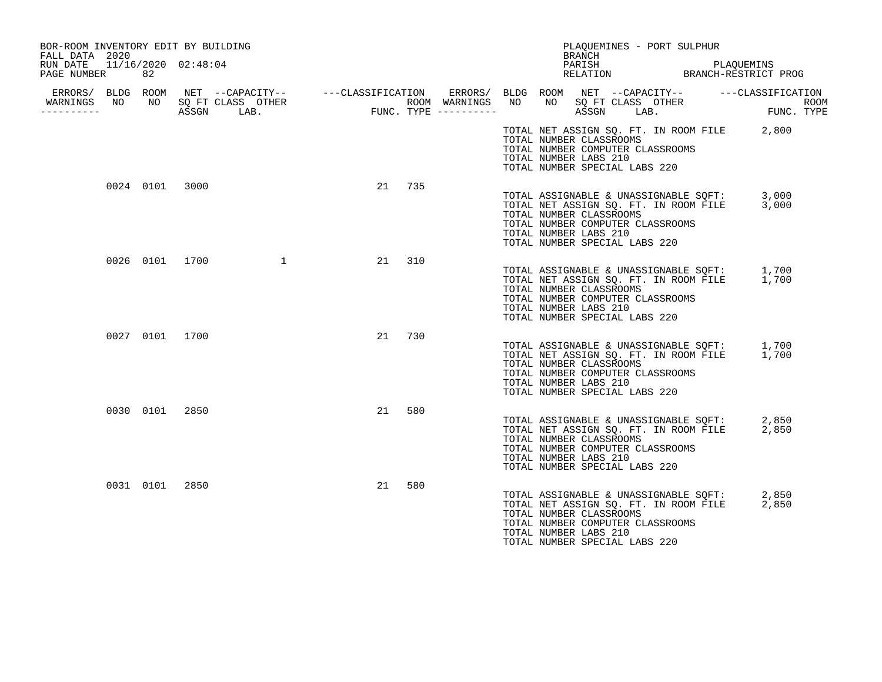| BOR-ROOM INVENTORY EDIT BY BUILDING<br>FALL DATA 2020 |    |                                                                                                                                                |                                           |        |  | BRANCH                                                                                                                                                                                                              | PLAQUEMINES - PORT SULPHUR |                                    |
|-------------------------------------------------------|----|------------------------------------------------------------------------------------------------------------------------------------------------|-------------------------------------------|--------|--|---------------------------------------------------------------------------------------------------------------------------------------------------------------------------------------------------------------------|----------------------------|------------------------------------|
| RUN DATE<br>PAGE NUMBER                               | 82 | 11/16/2020 02:48:04                                                                                                                            |                                           |        |  | PARISH<br>RELATION B                                                                                                                                                                                                |                            | PLAQUEMINS<br>BRANCH-RESTRICT PROG |
| WARNINGS NO<br>----------                             | NO | ERRORS/ BLDG ROOM NET --CAPACITY-- ----CLASSIFICATION ERRORS/ BLDG ROOM NET --CAPACITY-- ----CLASSIFICATION<br>SO FT CLASS OTHER<br>ASSGN LAB. | ROOM WARNINGS NO<br>FUNC. TYPE ---------- |        |  | SQ FT CLASS OTHER<br>NO<br>ASSGN                                                                                                                                                                                    | LAB.                       | <b>ROOM</b><br>FUNC. TYPE          |
|                                                       |    |                                                                                                                                                |                                           |        |  | TOTAL NET ASSIGN SQ. FT. IN ROOM FILE 2,800<br>TOTAL NUMBER CLASSROOMS<br>TOTAL NUMBER COMPUTER CLASSROOMS<br>TOTAL NUMBER LABS 210<br>TOTAL NUMBER SPECIAL LABS 220                                                |                            |                                    |
| 0024 0101 3000                                        |    |                                                                                                                                                | 21                                        | 735    |  | TOTAL ASSIGNABLE & UNASSIGNABLE SQFT: 3,000<br>TOTAL NET ASSIGN SQ. FT. IN ROOM FILE 3,000<br>TOTAL NUMBER CLASSROOMS<br>TOTAL NUMBER COMPUTER CLASSROOMS<br>TOTAL NUMBER LABS 210<br>TOTAL NUMBER SPECIAL LABS 220 |                            |                                    |
| 0026 0101 1700                                        |    |                                                                                                                                                |                                           | 21 310 |  | TOTAL ASSIGNABLE & UNASSIGNABLE SQFT: 1,700<br>TOTAL NET ASSIGN SQ. FT. IN ROOM FILE 1,700<br>TOTAL NUMBER CLASSROOMS<br>TOTAL NUMBER COMPUTER CLASSROOMS<br>TOTAL NUMBER LABS 210<br>TOTAL NUMBER SPECIAL LABS 220 |                            |                                    |
| 0027 0101 1700                                        |    |                                                                                                                                                | 21                                        | 730    |  | TOTAL ASSIGNABLE & UNASSIGNABLE SQFT: 1,700<br>TOTAL NET ASSIGN SQ. FT. IN ROOM FILE 1,700<br>TOTAL NUMBER CLASSROOMS<br>TOTAL NUMBER COMPUTER CLASSROOMS<br>TOTAL NUMBER LABS 210<br>TOTAL NUMBER SPECIAL LABS 220 |                            |                                    |
| 0030 0101 2850                                        |    |                                                                                                                                                | 21                                        | 580    |  | TOTAL ASSIGNABLE & UNASSIGNABLE SQFT:<br>TOTAL NET ASSIGN SQ. FT. IN ROOM FILE<br>TOTAL NUMBER CLASSROOMS<br>TOTAL NUMBER COMPUTER CLASSROOMS<br>TOTAL NUMBER LABS 210<br>TOTAL NUMBER SPECIAL LABS 220             |                            | 2,850<br>2,850                     |
| 0031 0101 2850                                        |    |                                                                                                                                                | 21                                        | 580    |  | TOTAL ASSIGNABLE & UNASSIGNABLE SOFT:<br>TOTAL NET ASSIGN SQ. FT. IN ROOM FILE<br>TOTAL NUMBER CLASSROOMS<br>TOTAL NUMBER COMPUTER CLASSROOMS<br>TOTAL NUMBER LABS 210<br>TOTAL NUMBER SPECIAL LABS 220             |                            | 2,850<br>2,850                     |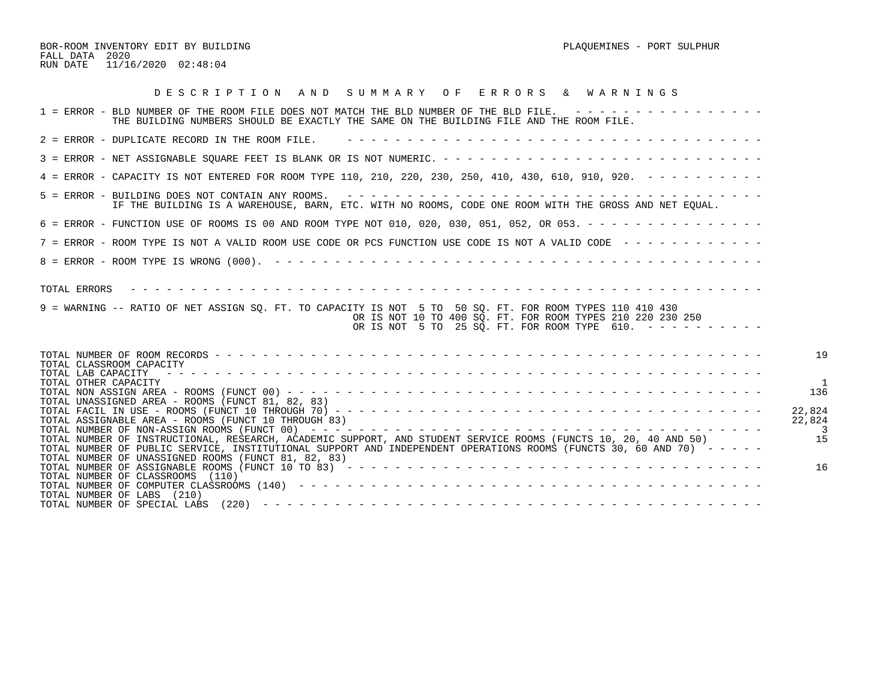BOR-ROOM INVENTORY EDIT BY BUILDING PLAQUEMINES - PORT SULPHUR FALL DATA 2020 RUN DATE 11/16/2020 02:48:04

| DESCRIPTION AND SUMMARY OF ERRORS & WARNINGS                                                                                                                                                                                                                                                                                                                                                                                                                                                                                                                                |
|-----------------------------------------------------------------------------------------------------------------------------------------------------------------------------------------------------------------------------------------------------------------------------------------------------------------------------------------------------------------------------------------------------------------------------------------------------------------------------------------------------------------------------------------------------------------------------|
| 1 = ERROR - BLD NUMBER OF THE ROOM FILE DOES NOT MATCH THE BLD NUMBER OF THE BLD FILE. ----------------<br>THE BUILDING NUMBERS SHOULD BE EXACTLY THE SAME ON THE BUILDING FILE AND THE ROOM FILE.                                                                                                                                                                                                                                                                                                                                                                          |
| 2 = ERROR - DUPLICATE RECORD IN THE ROOM FILE.                                                                                                                                                                                                                                                                                                                                                                                                                                                                                                                              |
|                                                                                                                                                                                                                                                                                                                                                                                                                                                                                                                                                                             |
| 4 = ERROR - CAPACITY IS NOT ENTERED FOR ROOM TYPE 110, 210, 220, 230, 250, 410, 430, 610, 910, 920. - - - - - - - - -                                                                                                                                                                                                                                                                                                                                                                                                                                                       |
| IF THE BUILDING IS A WAREHOUSE, BARN, ETC. WITH NO ROOMS, CODE ONE ROOM WITH THE GROSS AND NET EOUAL.                                                                                                                                                                                                                                                                                                                                                                                                                                                                       |
| 6 = ERROR - FUNCTION USE OF ROOMS IS 00 AND ROOM TYPE NOT 010, 020, 030, 051, 052, OR 053. - - - - - - - - - - - - - - -                                                                                                                                                                                                                                                                                                                                                                                                                                                    |
| 7 = ERROR - ROOM TYPE IS NOT A VALID ROOM USE CODE OR PCS FUNCTION USE CODE IS NOT A VALID CODE ------------                                                                                                                                                                                                                                                                                                                                                                                                                                                                |
|                                                                                                                                                                                                                                                                                                                                                                                                                                                                                                                                                                             |
| TOTAL ERRORS<br>9 = WARNING -- RATIO OF NET ASSIGN SO. FT. TO CAPACITY IS NOT 5 TO 50 SO. FT. FOR ROOM TYPES 110 410 430<br>OR IS NOT 10 TO 400 SO. FT. FOR ROOM TYPES 210 220 230 250<br>OR IS NOT 5 TO 25 SQ. FT. FOR ROOM TYPE 610. $-$ - - - - - - - - -                                                                                                                                                                                                                                                                                                                |
| 19<br>TOTAL CLASSROOM CAPACITY<br>TOTAL OTHER CAPACITY<br>136<br>TOTAL UNASSIGNED AREA - ROOMS (FUNCT 81, 82, 83)<br>22,824<br>22,824<br>TOTAL ASSIGNABLE AREA - ROOMS (FUNCT 10 THROUGH 83)<br>15<br>TOTAL NUMBER OF INSTRUCTIONAL, RESEARCH, ACADEMIC SUPPORT, AND STUDENT SERVICE ROOMS (FUNCTS 10, 20, 40 AND 50)<br>TOTAL NUMBER OF PUBLIC SERVICE, INSTITUTIONAL SUPPORT AND INDEPENDENT OPERATIONS ROOMS (FUNCTS 30, 60 AND 70) -----<br>TOTAL NUMBER OF UNASSIGNED ROOMS (FUNCT 81, 82, 83)<br>16<br>TOTAL NUMBER OF CLASSROOMS (110)<br>TOTAL NUMBER OF LABS (210) |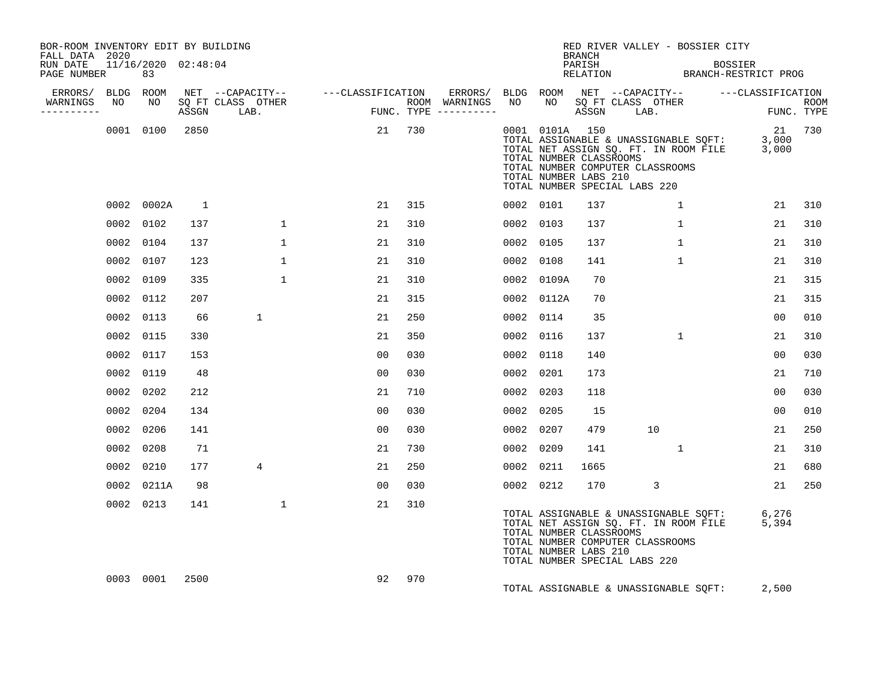| BOR-ROOM INVENTORY EDIT BY BUILDING<br>FALL DATA 2020 |                           |                |                                 |                                    |                                      |    |                | <b>BRANCH</b>                                    | RED RIVER VALLEY - BOSSIER CITY                                                                                                                                 |                    |     |
|-------------------------------------------------------|---------------------------|----------------|---------------------------------|------------------------------------|--------------------------------------|----|----------------|--------------------------------------------------|-----------------------------------------------------------------------------------------------------------------------------------------------------------------|--------------------|-----|
| RUN DATE<br>PAGE NUMBER                               | 11/16/2020 02:48:04<br>83 |                |                                 |                                    |                                      |    |                | PARISH                                           | PARISH BOSSIER<br>RELATION BRANCH-RESTRICT PROG                                                                                                                 | <b>BOSSIER</b>     |     |
| ERRORS/ BLDG ROOM                                     |                           |                |                                 | NET --CAPACITY-- ---CLASSIFICATION |                                      |    |                |                                                  | ERRORS/ BLDG ROOM NET --CAPACITY-- ----CLASSIFICATION                                                                                                           |                    |     |
| WARNINGS<br>NO<br>----------                          | NO                        |                | SQ FT CLASS OTHER<br>ASSGN LAB. | <b>FUN</b>                         | ROOM WARNINGS<br>FUNC. TYPE $------$ | NO |                |                                                  | NO SQ FT CLASS OTHER<br>ASSGN LAB.                                                                                                                              | ROOM<br>FUNC. TYPE |     |
|                                                       | 0001 0100                 | 2850           |                                 |                                    | 21 730                               |    | 0001 0101A 150 | TOTAL NUMBER CLASSROOMS<br>TOTAL NUMBER LABS 210 | TOTAL ASSIGNABLE & UNASSIGNABLE SQFT: 3,000<br>TOTAL NET ASSIGN SQ. FT. IN ROOM FILE 3,000<br>TOTAL NUMBER COMPUTER CLASSROOMS<br>TOTAL NUMBER SPECIAL LABS 220 | 21 730             |     |
|                                                       | 0002 0002A                | $\overline{1}$ |                                 | 21                                 | 315                                  |    | 0002 0101      | 137                                              | $\mathbf{1}$                                                                                                                                                    | 21                 | 310 |
|                                                       | 0002 0102                 | 137            | $\mathbf{1}$                    | 21                                 | 310                                  |    | 0002 0103      | 137                                              | $\mathbf{1}$                                                                                                                                                    | 21                 | 310 |
|                                                       | 0002 0104                 | 137            | $\mathbf{1}$                    | 21                                 | 310                                  |    | 0002 0105      | 137                                              | $\mathbf{1}$                                                                                                                                                    | 21                 | 310 |
|                                                       | 0002 0107                 | 123            | $\mathbf{1}$                    | 21                                 | 310                                  |    | 0002 0108      | 141                                              | $\mathbf{1}$                                                                                                                                                    | 21                 | 310 |
|                                                       | 0002 0109                 | 335            | $\mathbf{1}$                    | 21                                 | 310                                  |    | 0002 0109A     | 70                                               |                                                                                                                                                                 | 21                 | 315 |
|                                                       | 0002 0112                 | 207            |                                 | 21                                 | 315                                  |    | 0002 0112A     | 70                                               |                                                                                                                                                                 | 21                 | 315 |
|                                                       | 0002 0113                 | 66             | $\mathbf{1}$                    | 21                                 | 250                                  |    | 0002 0114      | 35                                               |                                                                                                                                                                 | 0 <sub>0</sub>     | 010 |
|                                                       | 0002 0115                 | 330            |                                 | 21                                 | 350                                  |    | 0002 0116      | 137                                              | $\mathbf{1}$                                                                                                                                                    | 21                 | 310 |
|                                                       | 0002 0117                 | 153            |                                 | 0 <sub>0</sub>                     | 030                                  |    | 0002 0118      | 140                                              |                                                                                                                                                                 | 00                 | 030 |
|                                                       | 0002 0119                 | 48             |                                 | 0 <sub>0</sub>                     | 030                                  |    | 0002 0201      | 173                                              |                                                                                                                                                                 | 21                 | 710 |
|                                                       | 0002 0202                 | 212            |                                 | 21                                 | 710                                  |    | 0002 0203      | 118                                              |                                                                                                                                                                 | 0 <sub>0</sub>     | 030 |
|                                                       | 0002 0204                 | 134            |                                 | 00                                 | 030                                  |    | 0002 0205      | 15                                               |                                                                                                                                                                 | 00                 | 010 |
|                                                       | 0002 0206                 | 141            |                                 | 00                                 | 030                                  |    | 0002 0207      | 479                                              | 10                                                                                                                                                              | 21                 | 250 |
|                                                       | 0002 0208                 | 71             |                                 | 21                                 | 730                                  |    | 0002 0209      | 141                                              | $\mathbf{1}$                                                                                                                                                    | 21                 | 310 |
|                                                       | 0002 0210                 | 177            | 4                               | 21                                 | 250                                  |    | 0002 0211      | 1665                                             |                                                                                                                                                                 | 21                 | 680 |
|                                                       | 0002 0211A                | 98             |                                 | 00                                 | 030                                  |    | 0002 0212      | 170                                              | 3                                                                                                                                                               | 21                 | 250 |
|                                                       | 0002 0213                 | 141            | $\mathbf{1}$                    | 21                                 | 310                                  |    |                | TOTAL NUMBER CLASSROOMS<br>TOTAL NUMBER LABS 210 | TOTAL ASSIGNABLE & UNASSIGNABLE SQFT: 6,276<br>TOTAL NET ASSIGN SQ. FT. IN ROOM FILE 5,394<br>TOTAL NUMBER COMPUTER CLASSROOMS<br>TOTAL NUMBER SPECIAL LABS 220 |                    |     |
|                                                       | 0003 0001                 | 2500           |                                 | 92                                 | 970                                  |    |                |                                                  | TOTAL ASSIGNABLE & UNASSIGNABLE SQFT:                                                                                                                           | 2,500              |     |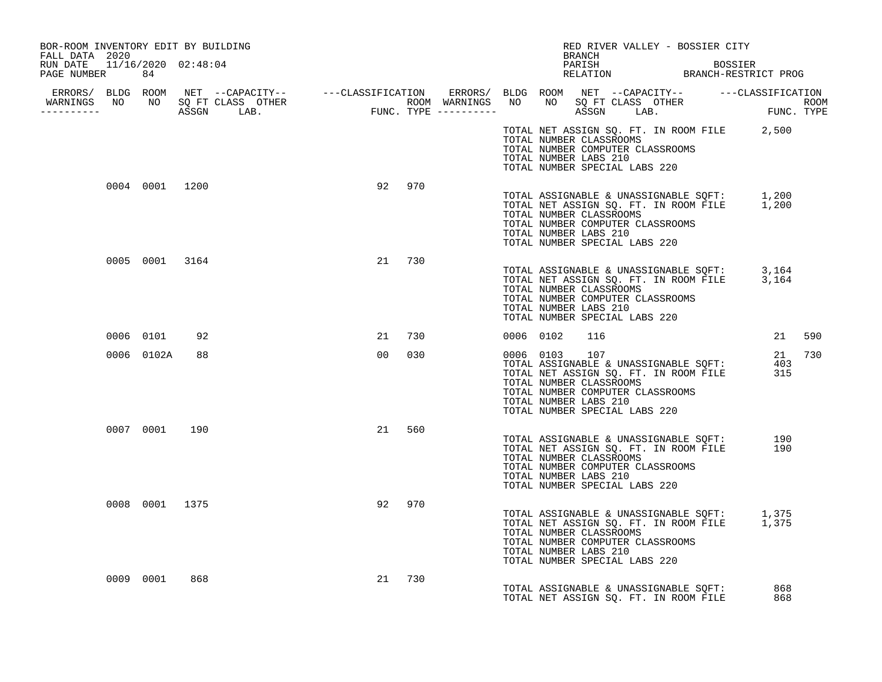| BOR-ROOM INVENTORY EDIT BY BUILDING<br>FALL DATA 2020 |                |                |           | RED RIVER VALLEY - BOSSIER CITY<br>BRANCH                                                                                                                                                                                            |            |
|-------------------------------------------------------|----------------|----------------|-----------|--------------------------------------------------------------------------------------------------------------------------------------------------------------------------------------------------------------------------------------|------------|
| RUN DATE 11/16/2020 02:48:04<br>PAGE NUMBER 84        |                |                |           | PARISH BOSSIER<br>RELATION BRANCH-RESTRICT PROG                                                                                                                                                                                      |            |
|                                                       |                |                |           | ERRORS/ BLDG ROOM NET --CAPACITY-- ----CLASSIFICATION ERRORS/ BLDG ROOM NET --CAPACITY-- -----CLASSIFICATION<br>WARNINGS NO NO SQFTCLASS OTHER ROOM WARNINGS NO NO SQFTCLASS OTHER ROOM<br>----------- ASSGN LAB. FUNC.TYPE -------- |            |
|                                                       |                |                |           | TOTAL NET ASSIGN SQ. FT. IN ROOM FILE 2,500<br>TOTAL NUMBER CLASSROOMS<br>TOTAL NUMBER COMPUTER CLASSROOMS<br>TOTAL NUMBER LABS 210<br>TOTAL NUMBER SPECIAL LABS 220                                                                 |            |
|                                                       | 0004 0001 1200 |                | 92 970    | TOTAL ASSIGNABLE & UNASSIGNABLE SQFT: 1,200<br>TOTAL NET ASSIGN SQ. FT. IN ROOM FILE 1,200<br>TOTAL NUMBER CLASSROOMS<br>TOTAL NUMBER COMPUTER CLASSROOMS<br>TOTAL NUMBER LABS 210<br>TOTAL NUMBER SPECIAL LABS 220                  |            |
|                                                       | 0005 0001 3164 |                | 21 730    | TOTAL ASSIGNABLE & UNASSIGNABLE SQFT: 3,164<br>TOTAL NET ASSIGN SQ. FT. IN ROOM FILE 3,164<br>TOTAL NUMBER CLASSROOMS<br>TOTAL NUMBER COMPUTER CLASSROOMS<br>TOTAL NUMBER LABS 210<br>TOTAL NUMBER SPECIAL LABS 220                  |            |
|                                                       | 0006 0101 92   |                | 21 730    | 0006 0102<br>116                                                                                                                                                                                                                     | 21 590     |
|                                                       | 0006 0102A     | 88             | 00<br>030 | 0006 0103 107<br>TOTAL ASSIGNABLE & UNASSIGNABLE SOFT: 403<br>TOTAL NET ASSIGN SQ. FT. IN ROOM FILE 315<br>TOTAL NUMBER CLASSROOMS<br>TOTAL NUMBER COMPUTER CLASSROOMS<br>TOTAL NUMBER LABS 210<br>TOTAL NUMBER SPECIAL LABS 220     | 21 730     |
|                                                       | 0007 0001 190  |                | 21 560    | TOTAL ASSIGNABLE & UNASSIGNABLE SQFT: 190<br>TOTAL NET ASSIGN SQ. FT. IN ROOM FILE 190<br>TOTAL NUMBER CLASSROOMS<br>TOTAL NUMBER COMPUTER CLASSROOMS<br>TOTAL NUMBER LABS 210<br>TOTAL NUMBER SPECIAL LABS 220                      |            |
|                                                       |                | 0008 0001 1375 | 92 970    | TOTAL ASSIGNABLE & UNASSIGNABLE SQFT: 1,375<br>TOTAL NET ASSIGN SQ. FT. IN ROOM FILE 1,375<br>TOTAL NUMBER CLASSROOMS<br>TOTAL NUMBER COMPUTER CLASSROOMS<br>TOTAL NUMBER LABS 210<br>TOTAL NUMBER SPECIAL LABS 220                  |            |
|                                                       | 0009 0001      | 868            | 730<br>21 | TOTAL ASSIGNABLE & UNASSIGNABLE SQFT:<br>TOTAL NET ASSIGN SO. FT. IN ROOM FILE                                                                                                                                                       | 868<br>868 |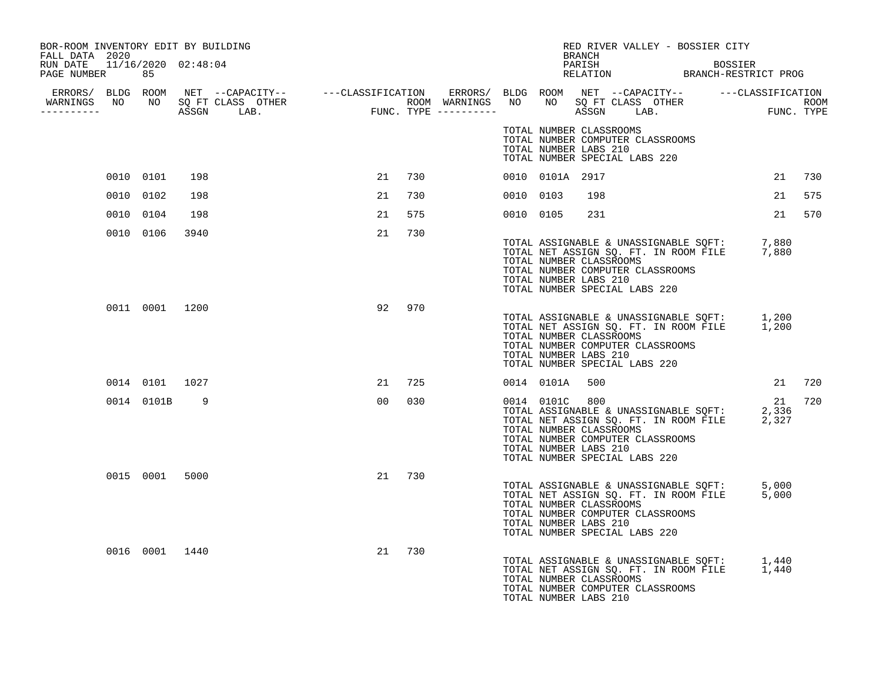| BOR-ROOM INVENTORY EDIT BY BUILDING<br>FALL DATA 2020 |              |                |                                  |    |     |           |                 | RED RIVER VALLEY - BOSSIER CITY<br>BRANCH                                                                                                                                                                           |                |    |        |
|-------------------------------------------------------|--------------|----------------|----------------------------------|----|-----|-----------|-----------------|---------------------------------------------------------------------------------------------------------------------------------------------------------------------------------------------------------------------|----------------|----|--------|
| RUN DATE 11/16/2020 02:48:04<br>PAGE NUMBER 85        |              |                |                                  |    |     |           |                 | PARISH<br>PARISH BOSSIER<br>RELATION BRANCH-RESTRICT PROG                                                                                                                                                           | <b>BOSSIER</b> |    |        |
|                                                       |              |                | WARNINGS NO NO SQ FT CLASS OTHER |    |     |           |                 |                                                                                                                                                                                                                     |                |    |        |
| -----------                                           |              |                |                                  |    |     |           |                 |                                                                                                                                                                                                                     |                |    |        |
|                                                       |              |                |                                  |    |     |           |                 | TOTAL NUMBER CLASSROOMS<br>TOTAL NUMBER COMPUTER CLASSROOMS<br>TOTAL NUMBER LABS 210<br>TOTAL NUMBER SPECIAL LABS 220                                                                                               |                |    |        |
|                                                       | 0010 0101    | 198            |                                  | 21 | 730 |           | 0010 0101A 2917 |                                                                                                                                                                                                                     |                | 21 | 730    |
|                                                       | 0010 0102    | 198            |                                  | 21 | 730 | 0010 0103 |                 | 198                                                                                                                                                                                                                 |                | 21 | 575    |
|                                                       | 0010 0104    | 198            |                                  | 21 | 575 | 0010 0105 |                 | 231                                                                                                                                                                                                                 |                | 21 | 570    |
|                                                       | 0010 0106    | 3940           |                                  | 21 | 730 |           |                 | TOTAL ASSIGNABLE & UNASSIGNABLE SQFT: 7,880<br>TOTAL NET ASSIGN SQ. FT. IN ROOM FILE 7,880<br>TOTAL NUMBER CLASSROOMS<br>TOTAL NUMBER COMPUTER CLASSROOMS<br>TOTAL NUMBER LABS 210<br>TOTAL NUMBER SPECIAL LABS 220 |                |    |        |
|                                                       |              | 0011 0001 1200 |                                  | 92 | 970 |           |                 | TOTAL ASSIGNABLE & UNASSIGNABLE SQFT: 1,200<br>TOTAL NET ASSIGN SQ. FT. IN ROOM FILE 1,200<br>TOTAL NUMBER CLASSROOMS<br>TOTAL NUMBER COMPUTER CLASSROOMS<br>TOTAL NUMBER LABS 210<br>TOTAL NUMBER SPECIAL LABS 220 |                |    |        |
|                                                       |              | 0014 0101 1027 |                                  | 21 | 725 |           | 0014 0101A      | 500                                                                                                                                                                                                                 |                |    | 21 720 |
|                                                       | 0014 0101B 9 |                |                                  | 00 | 030 |           | 0014 0101C 800  | TOTAL ASSIGNABLE & UNASSIGNABLE SQFT: 2,336<br>TOTAL NET ASSIGN SQ. FT. IN ROOM FILE 2,327<br>TOTAL NUMBER CLASSROOMS<br>TOTAL NUMBER COMPUTER CLASSROOMS<br>TOTAL NUMBER LABS 210<br>TOTAL NUMBER SPECIAL LABS 220 |                | 21 | 720    |
|                                                       |              | 0015 0001 5000 |                                  | 21 | 730 |           |                 | TOTAL ASSIGNABLE & UNASSIGNABLE SQFT: 5,000<br>TOTAL NET ASSIGN SQ. FT. IN ROOM FILE 5,000<br>TOTAL NUMBER CLASSROOMS<br>TOTAL NUMBER COMPUTER CLASSROOMS<br>TOTAL NUMBER LABS 210<br>TOTAL NUMBER SPECIAL LABS 220 |                |    |        |
|                                                       |              | 0016 0001 1440 |                                  | 21 | 730 |           |                 | TOTAL ASSIGNABLE & UNASSIGNABLE SQFT: 1,440<br>TOTAL NET ASSIGN SQ. FT. IN ROOM FILE 1,440<br>TOTAL NUMBER CLASSROOMS<br>TOTAL NUMBER COMPUTER CLASSROOMS<br>TOTAL NUMBER LABS 210                                  |                |    |        |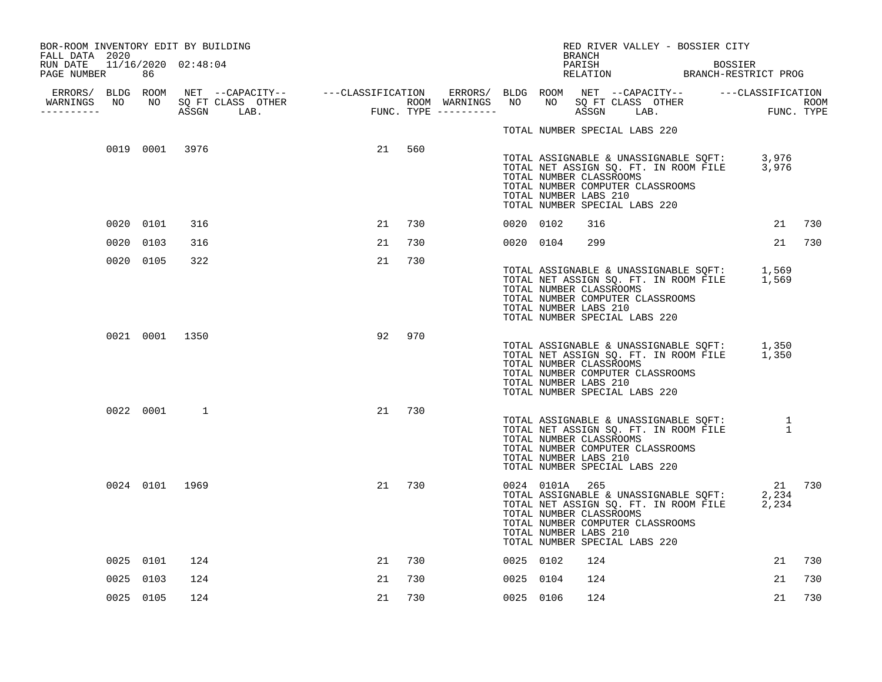| BOR-ROOM INVENTORY EDIT BY BUILDING<br>FALL DATA 2020 |           |                |                                  |    |     |           |                                                                                                                                         | BRANCH |  |  | RED RIVER VALLEY - BOSSIER CITY |                                                                                                      |        |
|-------------------------------------------------------|-----------|----------------|----------------------------------|----|-----|-----------|-----------------------------------------------------------------------------------------------------------------------------------------|--------|--|--|---------------------------------|------------------------------------------------------------------------------------------------------|--------|
| RUN DATE 11/16/2020 02:48:04<br>PAGE NUMBER           | 86        |                |                                  |    |     |           |                                                                                                                                         | PARISH |  |  | BOSSIER                         | PARISH BOSSIER<br>RELATION BRANCH-RESTRICT PROG                                                      |        |
| -----------                                           |           |                | WARNINGS NO NO SQ FT CLASS OTHER |    |     |           |                                                                                                                                         |        |  |  |                                 |                                                                                                      |        |
|                                                       |           |                |                                  |    |     |           | TOTAL NUMBER SPECIAL LABS 220                                                                                                           |        |  |  |                                 |                                                                                                      |        |
|                                                       |           | 0019 0001 3976 |                                  | 21 | 560 |           | TOTAL NUMBER CLASSROOMS<br>TOTAL NUMBER COMPUTER CLASSROOMS<br>TOTAL NUMBER LABS 210<br>TOTAL NUMBER SPECIAL LABS 220                   |        |  |  |                                 | TOTAL ASSIGNABLE & UNASSIGNABLE SQFT: 3,976<br>TOTAL NET ASSIGN SQ. FT. IN ROOM FILE 3,976           |        |
|                                                       | 0020 0101 | 316            |                                  | 21 | 730 | 0020 0102 |                                                                                                                                         | 316    |  |  |                                 |                                                                                                      | 21 730 |
|                                                       | 0020 0103 | 316            |                                  | 21 | 730 | 0020 0104 |                                                                                                                                         | 299    |  |  |                                 |                                                                                                      | 21 730 |
|                                                       | 0020 0105 | 322            |                                  | 21 | 730 |           | TOTAL NUMBER CLASSROOMS<br>TOTAL NUMBER COMPUTER CLASSROOMS<br>TOTAL NUMBER LABS 210<br>TOTAL NUMBER SPECIAL LABS 220                   |        |  |  |                                 | TOTAL ASSIGNABLE & UNASSIGNABLE SQFT: 1,569<br>TOTAL NET ASSIGN SQ. FT. IN ROOM FILE 1,569           |        |
|                                                       |           | 0021 0001 1350 |                                  | 92 | 970 |           | TOTAL NUMBER CLASSROOMS<br>TOTAL NUMBER COMPUTER CLASSROOMS<br>TOTAL NUMBER LABS 210<br>TOTAL NUMBER SPECIAL LABS 220                   |        |  |  |                                 | TOTAL ASSIGNABLE & UNASSIGNABLE SQFT: 1,350<br>TOTAL NET ASSIGN SQ. FT. IN ROOM FILE 1,350           |        |
|                                                       | 0022 0001 | 1              |                                  | 21 | 730 |           | TOTAL NUMBER CLASSROOMS<br>TOTAL NUMBER COMPUTER CLASSROOMS<br>TOTAL NUMBER LABS 210<br>TOTAL NUMBER SPECIAL LABS 220                   |        |  |  |                                 | TOTAL ASSIGNABLE & UNASSIGNABLE SQFT: 1<br>TOTAL NET ASSIGN SQ. FT. IN ROOM FILE 1                   |        |
|                                                       |           | 0024 0101 1969 |                                  | 21 | 730 |           | 0024 0101A 265<br>TOTAL NUMBER CLASSROOMS<br>TOTAL NUMBER COMPUTER CLASSROOMS<br>TOTAL NUMBER LABS 210<br>TOTAL NUMBER SPECIAL LABS 220 |        |  |  |                                 | 21 730<br>TOTAL ASSIGNABLE & UNASSIGNABLE SOFT: 2,234<br>TOTAL NET ASSIGN SQ. FT. IN ROOM FILE 2,234 |        |
|                                                       | 0025 0101 | 124            |                                  | 21 | 730 | 0025 0102 |                                                                                                                                         | 124    |  |  |                                 | 21                                                                                                   | 730    |
|                                                       | 0025 0103 | 124            |                                  | 21 | 730 | 0025 0104 |                                                                                                                                         | 124    |  |  |                                 | 21                                                                                                   | 730    |
|                                                       | 0025 0105 | 124            |                                  | 21 | 730 | 0025 0106 |                                                                                                                                         | 124    |  |  |                                 | 21                                                                                                   | 730    |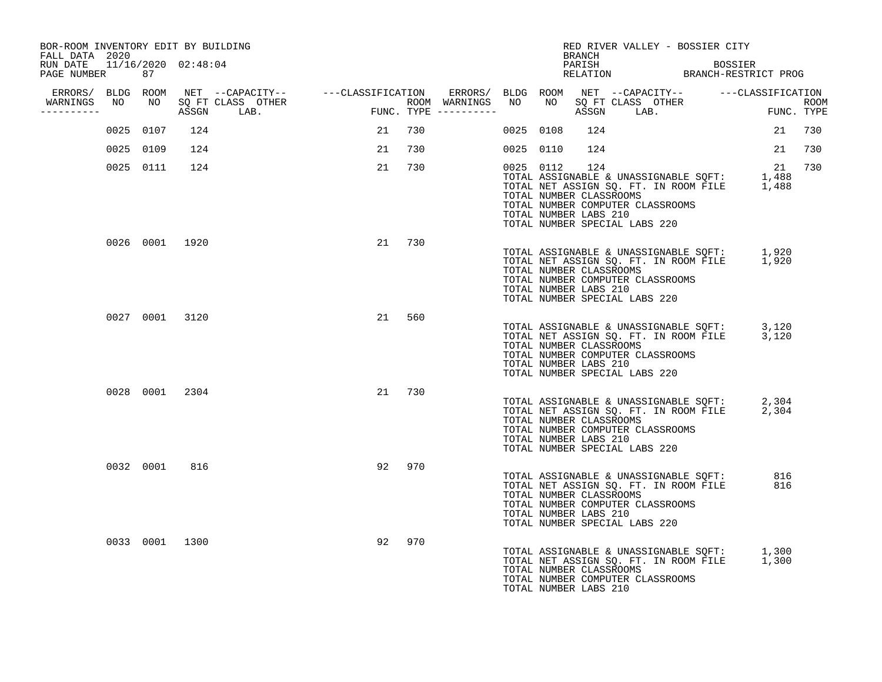| BOR-ROOM INVENTORY EDIT BY BUILDING<br>FALL DATA 2020 |           |           |                |                                                                                                                                    |                                       |        |                  |           |           | BRANCH                                                  | RED RIVER VALLEY - BOSSIER CITY                                                                                                                                 |         |             |     |
|-------------------------------------------------------|-----------|-----------|----------------|------------------------------------------------------------------------------------------------------------------------------------|---------------------------------------|--------|------------------|-----------|-----------|---------------------------------------------------------|-----------------------------------------------------------------------------------------------------------------------------------------------------------------|---------|-------------|-----|
| RUN DATE  11/16/2020  02:48:04<br>PAGE NUMBER         |           | 87        |                |                                                                                                                                    |                                       |        |                  |           |           | PARISH                                                  | PARISH BOSSIER<br>RELATION BRANCH-RESTRICT PROG                                                                                                                 | BOSSIER |             |     |
| WARNINGS NO                                           |           | NO        |                | ERRORS/ BLDG ROOM NET --CAPACITY-- - ---CLASSIFICATION ERRORS/ BLDG ROOM NET --CAPACITY-- - ---CLASSIFICATION<br>SQ FT CLASS OTHER |                                       |        | ROOM WARNINGS NO |           | NO        |                                                         |                                                                                                                                                                 |         |             |     |
| ----------                                            |           |           |                | ASSGN LAB.                                                                                                                         | ROOM WARNINGS<br>FUNC. TYPE --------- |        |                  |           |           |                                                         |                                                                                                                                                                 |         |             |     |
|                                                       |           | 0025 0107 | 124            |                                                                                                                                    | 21                                    | 730    |                  | 0025 0108 |           | 124                                                     |                                                                                                                                                                 |         | 21          | 730 |
|                                                       | 0025 0109 |           | 124            |                                                                                                                                    | 21                                    | 730    |                  | 0025 0110 |           | 124                                                     |                                                                                                                                                                 |         | 21          | 730 |
|                                                       |           | 0025 0111 | 124            |                                                                                                                                    | 21                                    | 730    |                  |           | 0025 0112 | 124<br>TOTAL NUMBER CLASSROOMS<br>TOTAL NUMBER LABS 210 | TOTAL ASSIGNABLE & UNASSIGNABLE SQFT:<br>TOTAL NET ASSIGN SQ. FT. IN ROOM FILE 1,488<br>TOTAL NUMBER COMPUTER CLASSROOMS<br>TOTAL NUMBER SPECIAL LABS 220       |         | 21<br>1,488 | 730 |
|                                                       |           |           | 0026 0001 1920 |                                                                                                                                    |                                       | 21 730 |                  |           |           | TOTAL NUMBER CLASSROOMS<br>TOTAL NUMBER LABS 210        | TOTAL ASSIGNABLE & UNASSIGNABLE SQFT: 1,920<br>TOTAL NET ASSIGN SQ. FT. IN ROOM FILE 1,920<br>TOTAL NUMBER COMPUTER CLASSROOMS<br>TOTAL NUMBER SPECIAL LABS 220 |         |             |     |
|                                                       |           |           | 0027 0001 3120 |                                                                                                                                    | 21                                    | 560    |                  |           |           | TOTAL NUMBER CLASSROOMS<br>TOTAL NUMBER LABS 210        | TOTAL ASSIGNABLE & UNASSIGNABLE SQFT: 3,120<br>TOTAL NET ASSIGN SQ. FT. IN ROOM FILE 3,120<br>TOTAL NUMBER COMPUTER CLASSROOMS<br>TOTAL NUMBER SPECIAL LABS 220 |         |             |     |
|                                                       |           |           | 0028 0001 2304 |                                                                                                                                    | 21                                    | 730    |                  |           |           | TOTAL NUMBER CLASSROOMS<br>TOTAL NUMBER LABS 210        | TOTAL ASSIGNABLE & UNASSIGNABLE SQFT: 2,304<br>TOTAL NET ASSIGN SQ. FT. IN ROOM FILE 2,304<br>TOTAL NUMBER COMPUTER CLASSROOMS<br>TOTAL NUMBER SPECIAL LABS 220 |         |             |     |
|                                                       |           | 0032 0001 | 816            |                                                                                                                                    | 92                                    | 970    |                  |           |           | TOTAL NUMBER CLASSROOMS<br>TOTAL NUMBER LABS 210        | TOTAL ASSIGNABLE & UNASSIGNABLE SQFT:<br>TOTAL NET ASSIGN SQ. FT. IN ROOM FILE<br>TOTAL NUMBER COMPUTER CLASSROOMS<br>TOTAL NUMBER SPECIAL LABS 220             |         | 816<br>816  |     |
|                                                       |           |           | 0033 0001 1300 |                                                                                                                                    | 92                                    | 970    |                  |           |           | TOTAL NUMBER CLASSROOMS<br>TOTAL NUMBER LABS 210        | TOTAL ASSIGNABLE & UNASSIGNABLE SQFT: 1,300<br>TOTAL NET ASSIGN SQ. FT. IN ROOM FILE 1,300<br>TOTAL NUMBER COMPUTER CLASSROOMS                                  |         |             |     |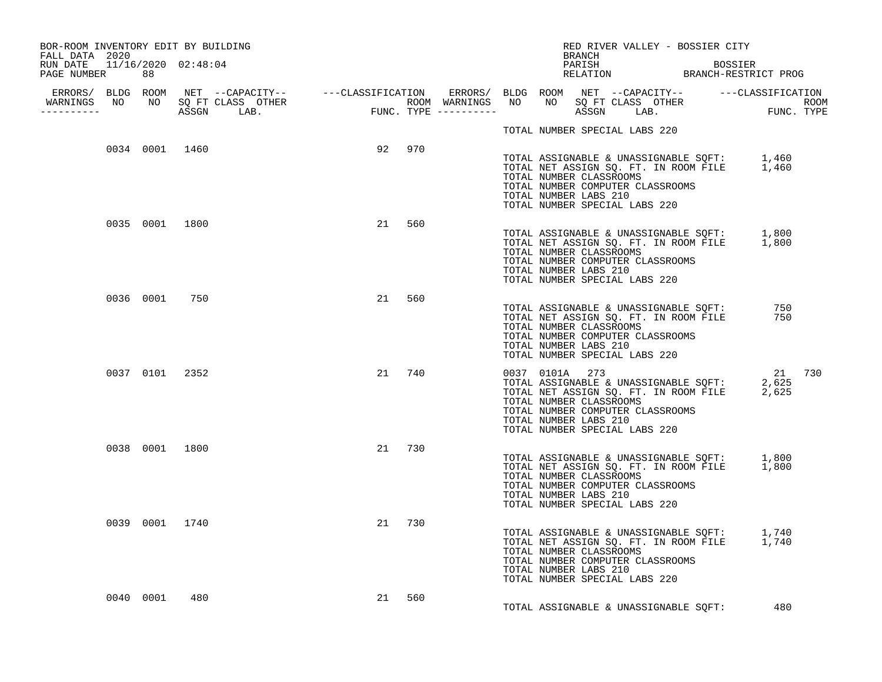| BOR-ROOM INVENTORY EDIT BY BUILDING<br>FALL DATA 2020 |                |        | RED RIVER VALLEY - BOSSIER CITY<br>BRANCH                                                                                                                                                                                             |                                                 |
|-------------------------------------------------------|----------------|--------|---------------------------------------------------------------------------------------------------------------------------------------------------------------------------------------------------------------------------------------|-------------------------------------------------|
| RUN DATE 11/16/2020 02:48:04<br>PAGE NUMBER 88        |                |        |                                                                                                                                                                                                                                       | PARISH BOSSIER<br>RELATION BRANCH-RESTRICT PROG |
| __________                                            |                |        |                                                                                                                                                                                                                                       |                                                 |
|                                                       |                |        | TOTAL NUMBER SPECIAL LABS 220                                                                                                                                                                                                         |                                                 |
|                                                       | 0034 0001 1460 | 92 970 | TOTAL ASSIGNABLE & UNASSIGNABLE SQFT: 1,460<br>TOTAL NET ASSIGN SQ. FT. IN ROOM FILE 1,460<br>TOTAL NUMBER CLASSROOMS<br>TOTAL NUMBER COMPUTER CLASSROOMS<br>TOTAL NUMBER LABS 210<br>TOTAL NUMBER SPECIAL LABS 220                   |                                                 |
| 0035 0001 1800                                        |                | 21 560 | TOTAL ASSIGNABLE & UNASSIGNABLE SQFT: 1,800<br>TOTAL NET ASSIGN SQ. FT. IN ROOM FILE 1,800<br>TOTAL NUMBER CLASSROOMS<br>TOTAL NUMBER COMPUTER CLASSROOMS<br>TOTAL NUMBER LABS 210<br>TOTAL NUMBER SPECIAL LABS 220                   |                                                 |
| 0036 0001 750                                         |                | 21 560 | TOTAL ASSIGNABLE & UNASSIGNABLE SQFT:<br>momat NFT assign SO. FT. IN ROOM FILE<br>TOTAL NUMBER CLASSROOMS<br>TOTAL NUMBER COMPUTER CLASSROOMS<br>TOTAL NUMBER LABS 210<br>TOTAL NUMBER SPECIAL LABS 220                               | 750<br>750                                      |
| 0037 0101 2352                                        |                | 21 740 | 0037 0101A 273<br>TOTAL ASSIGNABLE & UNASSIGNABLE SOFT: 2,625<br>TOTAL NET ASSIGN SQ. FT. IN ROOM FILE 2,625<br>TOTAL NUMBER CLASSROOMS<br>TOTAL NUMBER COMPUTER CLASSROOMS<br>TOTAL NUMBER LABS 210<br>TOTAL NUMBER SPECIAL LABS 220 | 21 730                                          |
| 0038 0001 1800                                        |                | 21 730 | TOTAL ASSIGNABLE & UNASSIGNABLE SQFT: 1,800<br>TOTAL NET ASSIGN SQ. FT. IN ROOM FILE 1,800<br>TOTAL NUMBER CLASSROOMS<br>TOTAL NUMBER COMPUTER CLASSROOMS<br>TOTAL NUMBER LABS 210<br>TOTAL NUMBER SPECIAL LABS 220                   |                                                 |
| 0039 0001 1740                                        |                | 21 730 | TOTAL ASSIGNABLE & UNASSIGNABLE SQFT: 1,740<br>TOTAL NET ASSIGN SQ. FT. IN ROOM FILE 1,740<br>TOTAL NUMBER CLASSROOMS<br>TOTAL NUMBER COMPUTER CLASSROOMS<br>TOTAL NUMBER LABS 210<br>TOTAL NUMBER SPECIAL LABS 220                   |                                                 |
| 0040 0001                                             | 480            | 21 560 | TOTAL ASSIGNABLE & UNASSIGNABLE SQFT:                                                                                                                                                                                                 | 480                                             |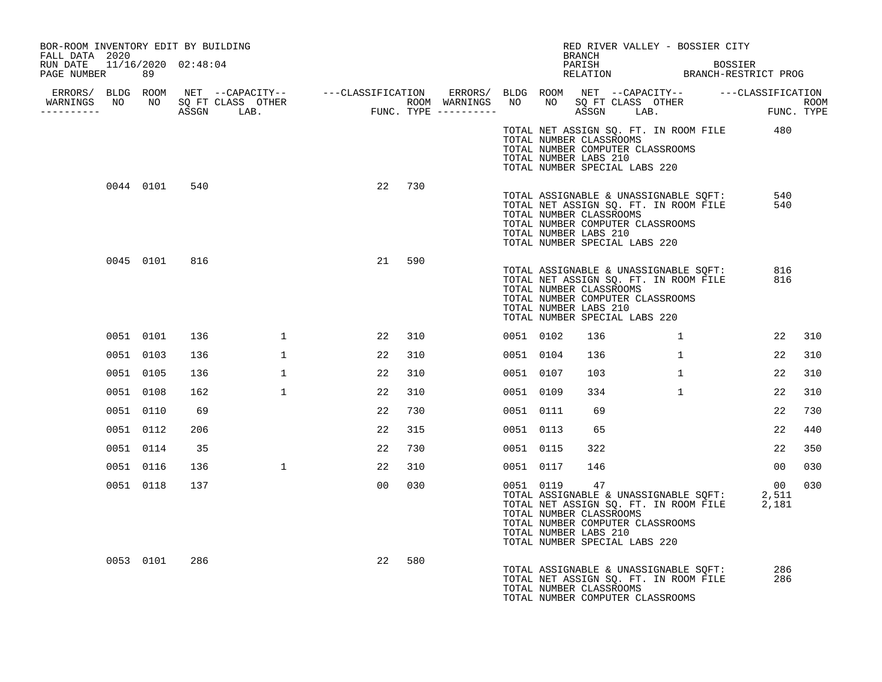| BOR-ROOM INVENTORY EDIT BY BUILDING<br>FALL DATA 2020 |           |               |     |              |                 |     |           |                                                                                   | BRANCH | RED RIVER VALLEY - BOSSIER CITY                                                                                    |                                                                                                           |                 |     |
|-------------------------------------------------------|-----------|---------------|-----|--------------|-----------------|-----|-----------|-----------------------------------------------------------------------------------|--------|--------------------------------------------------------------------------------------------------------------------|-----------------------------------------------------------------------------------------------------------|-----------------|-----|
| RUN DATE 11/16/2020 02:48:04<br>PAGE NUMBER 89        |           |               |     |              |                 |     |           |                                                                                   |        |                                                                                                                    | PARISH BOSSIER<br>RELATION BRANCH-RESTRICT PROG                                                           |                 |     |
|                                                       |           |               |     |              |                 |     |           |                                                                                   |        |                                                                                                                    |                                                                                                           |                 |     |
| -----------                                           |           |               |     |              |                 |     |           |                                                                                   |        |                                                                                                                    |                                                                                                           |                 |     |
|                                                       |           |               |     |              |                 |     |           | TOTAL NUMBER CLASSROOMS<br>TOTAL NUMBER LABS 210<br>TOTAL NUMBER SPECIAL LABS 220 |        | TOTAL NUMBER COMPUTER CLASSROOMS                                                                                   | TOTAL NET ASSIGN SQ. FT. IN ROOM FILE 480                                                                 |                 |     |
|                                                       |           | 0044 0101     | 540 |              | 22 730          |     |           | TOTAL NUMBER CLASSROOMS<br>TOTAL NUMBER LABS 210<br>TOTAL NUMBER SPECIAL LABS 220 |        | TOTAL ASSIGNABLE & UNASSIGNABLE SQFT:<br>TOTAL NET ASSIGN SQ. FT. IN ROOM FILE<br>TOTAL NUMBER COMPUTER CLASSROOMS |                                                                                                           | 540<br>540      |     |
|                                                       |           | 0045 0101 816 |     |              | 21              | 590 |           | TOTAL NUMBER CLASSROOMS<br>TOTAL NUMBER LABS 210<br>TOTAL NUMBER SPECIAL LABS 220 |        | TOTAL NUMBER COMPUTER CLASSROOMS                                                                                   | TOTAL NET ASSIGN SQ. FT. IN ROOM FILE<br>TOTAL NET ASSIGN SQ. FT. IN ROOM FILE<br>TOTAL NUMBER CLASSPOOMS | 816<br>816      |     |
|                                                       | 0051 0101 |               | 136 | $\mathbf{1}$ | 22              | 310 | 0051 0102 |                                                                                   | 136    | $\mathbf{1}$                                                                                                       |                                                                                                           | 22              | 310 |
|                                                       | 0051 0103 |               | 136 | $\mathbf{1}$ | 22              | 310 | 0051 0104 |                                                                                   | 136    | $\mathbf{1}$                                                                                                       |                                                                                                           | 22              | 310 |
|                                                       | 0051 0105 |               | 136 | $\mathbf{1}$ | 22              | 310 | 0051 0107 |                                                                                   | 103    | $\mathbf{1}$                                                                                                       |                                                                                                           | 22              | 310 |
|                                                       | 0051 0108 |               | 162 | $\mathbf{1}$ | 22              | 310 | 0051 0109 |                                                                                   | 334    | $\mathbf{1}$                                                                                                       |                                                                                                           | 22              | 310 |
|                                                       | 0051 0110 |               | 69  |              | 22              | 730 | 0051 0111 |                                                                                   | 69     |                                                                                                                    |                                                                                                           | 22              | 730 |
|                                                       | 0051 0112 |               | 206 |              | 22              | 315 | 0051 0113 |                                                                                   | 65     |                                                                                                                    |                                                                                                           | 22              | 440 |
|                                                       | 0051 0114 |               | 35  |              | 22              | 730 | 0051 0115 |                                                                                   | 322    |                                                                                                                    |                                                                                                           | 22              | 350 |
|                                                       | 0051 0116 |               | 136 | $\mathbf{1}$ | 22              | 310 | 0051 0117 |                                                                                   | 146    |                                                                                                                    |                                                                                                           | 00 <sub>o</sub> | 030 |
|                                                       | 0051 0118 |               | 137 |              | 00 <sup>o</sup> | 030 | 0051 0119 | TOTAL NUMBER CLASSROOMS<br>TOTAL NUMBER LABS 210<br>TOTAL NUMBER SPECIAL LABS 220 | 47     | TOTAL NUMBER COMPUTER CLASSROOMS                                                                                   | TOTAL ASSIGNABLE & UNASSIGNABLE SQFT: 2,511<br>TOTAL NET ASSIGN SQ. FT. IN ROOM FILE 2,181                | 00              | 030 |
|                                                       |           | 0053 0101     | 286 |              | 22              | 580 |           | TOTAL NUMBER CLASSROOMS                                                           |        | TOTAL ASSIGNABLE & UNASSIGNABLE SOFT:<br>TOTAL NET ASSIGN SQ. FT. IN ROOM FILE<br>TOTAL NUMBER COMPUTER CLASSROOMS |                                                                                                           | 286<br>286      |     |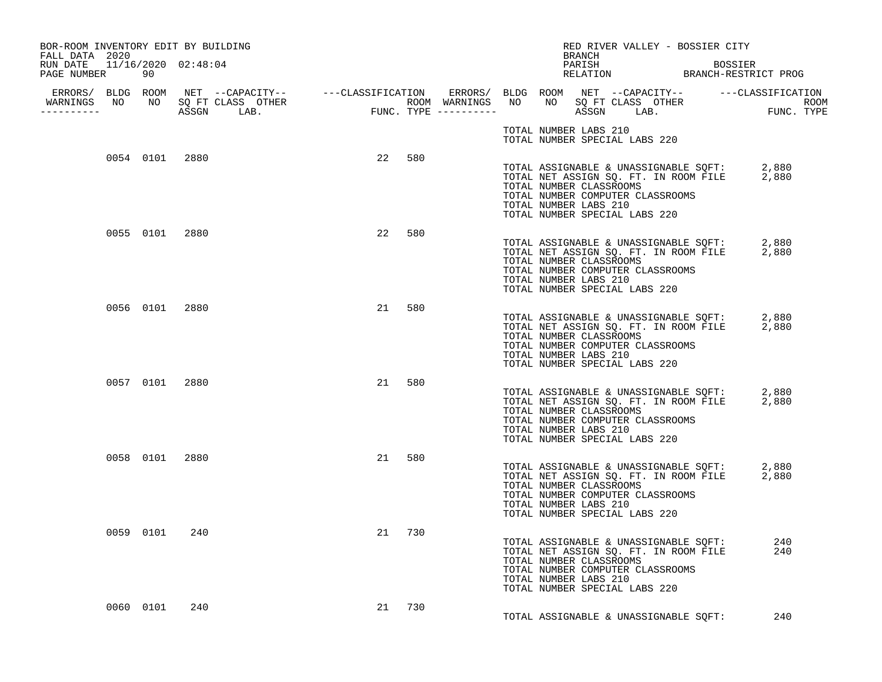| BOR-ROOM INVENTORY EDIT BY BUILDING<br>FALL DATA 2020 |               |                |                |        |     |  | BRANCH                | RED RIVER VALLEY - BOSSIER CITY                                                                                                                                                            |            |  |
|-------------------------------------------------------|---------------|----------------|----------------|--------|-----|--|-----------------------|--------------------------------------------------------------------------------------------------------------------------------------------------------------------------------------------|------------|--|
| RUN DATE 11/16/2020 02:48:04<br>PAGE NUMBER 90        |               |                |                |        |     |  | PARISH                | PARISH BOSSIER<br>RELATION BRANCH-RESTRICT PROG                                                                                                                                            | BOSSIER    |  |
| <u> - - - - - - - - - - -</u>                         |               |                |                |        |     |  |                       |                                                                                                                                                                                            |            |  |
|                                                       |               |                |                |        |     |  | TOTAL NUMBER LABS 210 | TOTAL NUMBER SPECIAL LABS 220                                                                                                                                                              |            |  |
|                                                       |               | 0054 0101 2880 |                | 22 580 |     |  | TOTAL NUMBER LABS 210 | TOTAL ASSIGNABLE & UNASSIGNABLE SQFT: 2,880<br>TOTAL NET ASSIGN SQ. FT. IN ROOM FILE 2,880<br>TOTAL NUMBER CLASSROOMS<br>TOTAL NUMBER COMPUTER CLASSROOMS<br>TOTAL NUMBER SPECIAL LABS 220 |            |  |
|                                                       |               | 0055 0101 2880 |                | 22     | 580 |  | TOTAL NUMBER LABS 210 | TOTAL ASSIGNABLE & UNASSIGNABLE SQFT: 2,880<br>TOTAL NET ASSIGN SQ. FT. IN ROOM FILE 2,880<br>TOTAL NUMBER CLASSROOMS<br>TOTAL NUMBER COMPUTER CLASSROOMS<br>TOTAL NUMBER SPECIAL LABS 220 |            |  |
|                                                       |               | 0056 0101 2880 |                | 21 580 |     |  | TOTAL NUMBER LABS 210 | TOTAL ASSIGNABLE & UNASSIGNABLE SQFT: 2,880<br>TOTAL NET ASSIGN SQ. FT. IN ROOM FILE 2,880<br>TOTAL NUMBER CLASSROOMS<br>TOTAL NUMBER COMPUTER CLASSROOMS<br>TOTAL NUMBER SPECIAL LABS 220 |            |  |
|                                                       |               |                | 0057 0101 2880 | 21 580 |     |  | TOTAL NUMBER LABS 210 | TOTAL ASSIGNABLE & UNASSIGNABLE SQFT: 2,880<br>TOTAL NET ASSIGN SQ. FT. IN ROOM FILE 2,880<br>TOTAL NUMBER CLASSROOMS<br>TOTAL NUMBER COMPUTER CLASSROOMS<br>TOTAL NUMBER SPECIAL LABS 220 |            |  |
|                                                       |               | 0058 0101 2880 |                | 21 580 |     |  | TOTAL NUMBER LABS 210 | TOTAL ASSIGNABLE & UNASSIGNABLE SQFT: 2,880<br>TOTAL NET ASSIGN SQ. FT. IN ROOM FILE 2,880<br>TOTAL NUMBER CLASSROOMS<br>TOTAL NUMBER COMPUTER CLASSROOMS<br>TOTAL NUMBER SPECIAL LABS 220 |            |  |
|                                                       |               | 0059 0101 240  |                | 21 730 |     |  | TOTAL NUMBER LABS 210 | TOTAL ASSIGNABLE & UNASSIGNABLE SQFT:<br>TOTAL NET ASSIGN SQ. FT. IN ROOM FILE<br>TOTAL NUMBER CLASSROOMS<br>TOTAL NUMBER COMPUTER CLASSROOMS<br>TOTAL NUMBER SPECIAL LABS 220             | 240<br>240 |  |
|                                                       | 0060 0101 240 |                |                | 21 730 |     |  |                       | TOTAL ASSIGNABLE & UNASSIGNABLE SOFT:                                                                                                                                                      | 240        |  |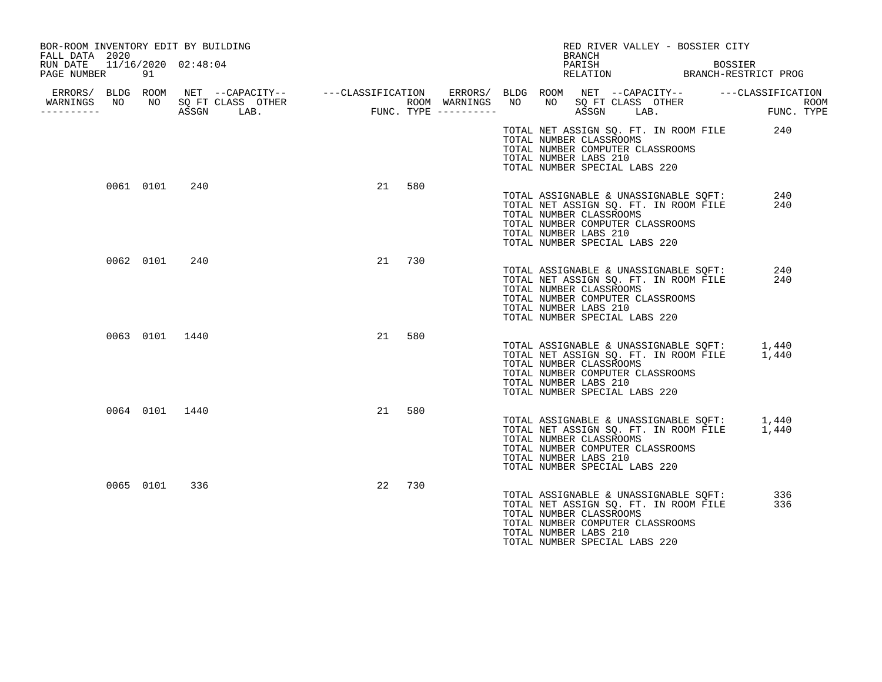| BOR-ROOM INVENTORY EDIT BY BUILDING<br>FALL DATA 2020 |           |                                 |                                           | RED RIVER VALLEY - BOSSIER CITY<br>BRANCH                                                                                                                                                               |                                 |
|-------------------------------------------------------|-----------|---------------------------------|-------------------------------------------|---------------------------------------------------------------------------------------------------------------------------------------------------------------------------------------------------------|---------------------------------|
| RUN DATE<br>PAGE NUMBER                               | 91        | 11/16/2020 02:48:04             |                                           | PARISH<br>RELATION                                                                                                                                                                                      | BOSSIER<br>BRANCH-RESTRICT PROG |
| WARNINGS NO<br>----------                             | NO        | SO FT CLASS OTHER<br>ASSGN LAB. | ROOM WARNINGS NO<br>FUNC. TYPE ---------- | ERRORS/ BLDG ROOM NET --CAPACITY-- - ---CLASSIFICATION ERRORS/ BLDG ROOM NET --CAPACITY-- - ---CLASSIFICATION<br>NO<br>SO FT CLASS OTHER<br>ASSGN<br>LAB.                                               | ROOM<br>FUNC. TYPE              |
|                                                       |           |                                 |                                           | TOTAL NET ASSIGN SQ. FT. IN ROOM FILE<br>TOTAL NUMBER CLASSROOMS<br>TOTAL NUMBER COMPUTER CLASSROOMS<br>TOTAL NUMBER LABS 210<br>TOTAL NUMBER SPECIAL LABS 220                                          | 240                             |
|                                                       | 0061 0101 | 240                             | 21<br>580                                 | TOTAL ASSIGNABLE & UNASSIGNABLE SOFT:<br>TOTAL NET ASSIGN SQ. FT. IN ROOM FILE<br>TOTAL NUMBER CLASSROOMS<br>TOTAL NUMBER COMPUTER CLASSROOMS<br>TOTAL NUMBER LABS 210<br>TOTAL NUMBER SPECIAL LABS 220 | 240<br>240                      |
|                                                       | 0062 0101 | 240                             | 21 730                                    | TOTAL ASSIGNABLE & UNASSIGNABLE SQFT:<br>TOTAL NET ASSIGN SQ. FT. IN ROOM FILE<br>TOTAL NUMBER CLASSROOMS<br>TOTAL NUMBER COMPUTER CLASSROOMS<br>TOTAL NUMBER LABS 210<br>TOTAL NUMBER SPECIAL LABS 220 | 240<br>240                      |
|                                                       |           | 0063 0101 1440                  | 580<br>21                                 | TOTAL ASSIGNABLE & UNASSIGNABLE SQFT:<br>TOTAL NET ASSIGN SQ. FT. IN ROOM FILE<br>TOTAL NUMBER CLASSROOMS<br>TOTAL NUMBER COMPUTER CLASSROOMS<br>TOTAL NUMBER LABS 210<br>TOTAL NUMBER SPECIAL LABS 220 | 1,440<br>1,440                  |
|                                                       |           | 0064 0101 1440                  | 580<br>21                                 | TOTAL ASSIGNABLE & UNASSIGNABLE SQFT:<br>TOTAL NET ASSIGN SQ. FT. IN ROOM FILE<br>TOTAL NUMBER CLASSROOMS<br>TOTAL NUMBER COMPUTER CLASSROOMS<br>TOTAL NUMBER LABS 210<br>TOTAL NUMBER SPECIAL LABS 220 | 1,440<br>1,440                  |
|                                                       | 0065 0101 | 336                             | 730<br>22                                 | TOTAL ASSIGNABLE & UNASSIGNABLE SQFT:<br>TOTAL NET ASSIGN SQ. FT. IN ROOM FILE<br>TOTAL NUMBER CLASSROOMS<br>TOTAL NUMBER COMPUTER CLASSROOMS<br>TOTAL NUMBER LABS 210<br>TOTAL NUMBER SPECIAL LABS 220 | 336<br>336                      |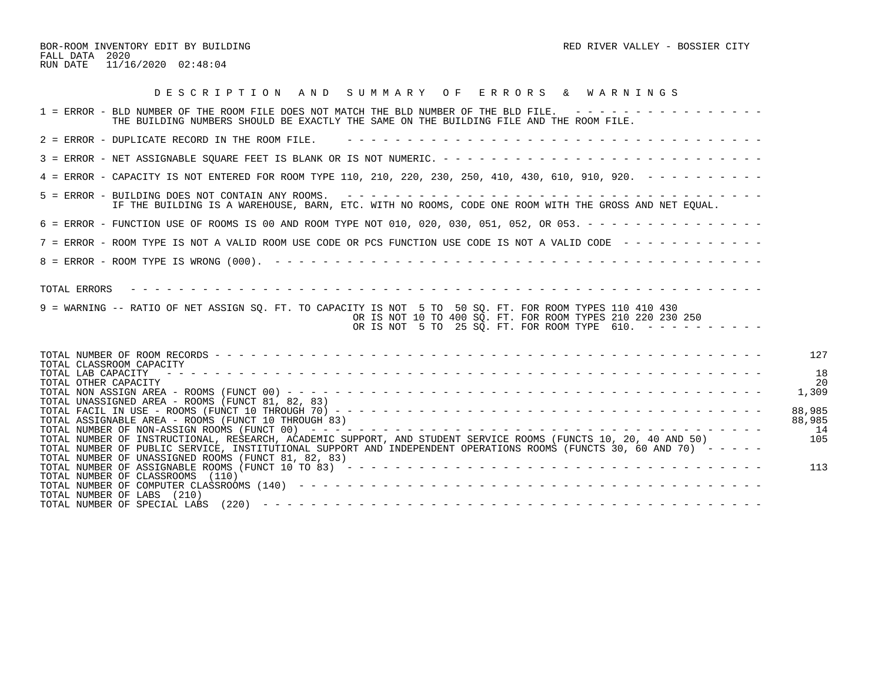BOR-ROOM INVENTORY EDIT BY BUILDING **RED** RED RIVER VALLEY - BOSSIER CITY FALL DATA 2020 RUN DATE 11/16/2020 02:48:04

| DESCRIPTION AND SUMMARY OF ERRORS & WARNINGS                                                                                                                                                                                                                                                                                                                                                                 |                               |
|--------------------------------------------------------------------------------------------------------------------------------------------------------------------------------------------------------------------------------------------------------------------------------------------------------------------------------------------------------------------------------------------------------------|-------------------------------|
| 1 = ERROR - BLD NUMBER OF THE ROOM FILE DOES NOT MATCH THE BLD NUMBER OF THE BLD FILE. ----------------<br>THE BUILDING NUMBERS SHOULD BE EXACTLY THE SAME ON THE BUILDING FILE AND THE ROOM FILE.                                                                                                                                                                                                           |                               |
| 2 = ERROR - DUPLICATE RECORD IN THE ROOM FILE.                                                                                                                                                                                                                                                                                                                                                               |                               |
|                                                                                                                                                                                                                                                                                                                                                                                                              |                               |
| 4 = ERROR - CAPACITY IS NOT ENTERED FOR ROOM TYPE 110, 210, 220, 230, 250, 410, 430, 610, 910, 920. - - - - - - - - -                                                                                                                                                                                                                                                                                        |                               |
| IF THE BUILDING IS A WAREHOUSE, BARN, ETC. WITH NO ROOMS, CODE ONE ROOM WITH THE GROSS AND NET EOUAL.                                                                                                                                                                                                                                                                                                        |                               |
| 6 = ERROR - FUNCTION USE OF ROOMS IS 00 AND ROOM TYPE NOT 010, 020, 030, 051, 052, OR 053. - - - - - - - - - - - - - - -                                                                                                                                                                                                                                                                                     |                               |
| 7 = ERROR - ROOM TYPE IS NOT A VALID ROOM USE CODE OR PCS FUNCTION USE CODE IS NOT A VALID CODE -------------                                                                                                                                                                                                                                                                                                |                               |
|                                                                                                                                                                                                                                                                                                                                                                                                              |                               |
| TOTAL ERRORS<br>9 = WARNING -- RATIO OF NET ASSIGN SO. FT. TO CAPACITY IS NOT 5 TO 50 SO. FT. FOR ROOM TYPES 110 410 430<br>OR IS NOT 10 TO 400 SQ. FT. FOR ROOM TYPES 210 220 230 250<br>OR IS NOT 5 TO 25 SQ. FT. FOR ROOM TYPE 610. $- - - - - - - - - -$                                                                                                                                                 |                               |
| TOTAL CLASSROOM CAPACITY<br>TOTAL LAB CAPACITY<br>TOTAL OTHER CAPACITY                                                                                                                                                                                                                                                                                                                                       | 127<br>18<br>20<br>1,309      |
| TOTAL UNASSIGNED AREA - ROOMS (FUNCT 81, 82, 83)<br>TOTAL ASSIGNABLE AREA - ROOMS (FUNCT 10 THROUGH 83)<br>TOTAL NUMBER OF INSTRUCTIONAL, RESEARCH, ACADEMIC SUPPORT, AND STUDENT SERVICE ROOMS (FUNCTS 10, 20, 40 AND 50)<br>TOTAL NUMBER OF PUBLIC SERVICE, INSTITUTIONAL SUPPORT AND INDEPENDENT OPERATIONS ROOMS (FUNCTS 30, 60 AND 70) - - - - -<br>TOTAL NUMBER OF UNASSIGNED ROOMS (FUNCT 81, 82, 83) | 88,985<br>88,985<br>14<br>105 |
| TOTAL NUMBER OF ASSIGNABLE ROOMS (FUNCT 10 TO 83) $- - - - - - - - - - - - - - - - - - - - - - - - - - - - - - - - - - - -$<br>TOTAL NUMBER OF CLASSROOMS (110)<br>TOTAL NUMBER OF LABS (210)                                                                                                                                                                                                                | 113                           |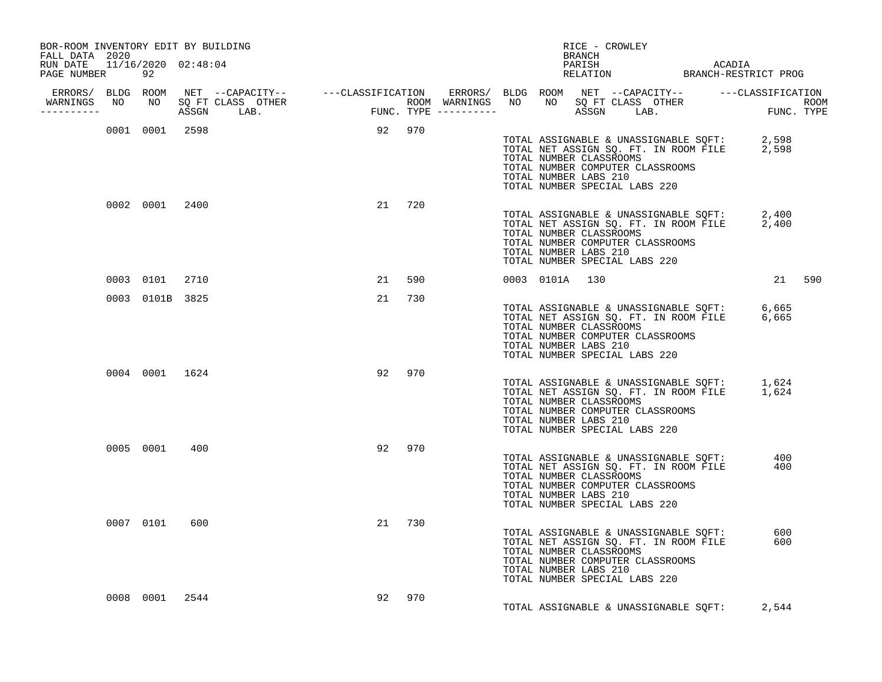| BOR-ROOM INVENTORY EDIT BY BUILDING<br>FALL DATA 2020 |                 |      |                                 |        |        |  |                                                  | BRANCH | RICE - CROWLEY                                                                                                                                                                             |        |  |
|-------------------------------------------------------|-----------------|------|---------------------------------|--------|--------|--|--------------------------------------------------|--------|--------------------------------------------------------------------------------------------------------------------------------------------------------------------------------------------|--------|--|
| RUN DATE 11/16/2020 02:48:04<br>PAGE NUMBER 92        |                 |      |                                 |        |        |  |                                                  |        | PARISH ACADIA RELATION BRANCH-RESTRICT PROG                                                                                                                                                |        |  |
| -----------                                           |                 |      | WARNINGS NO NO SOFT CLASS OTHER |        |        |  |                                                  |        |                                                                                                                                                                                            |        |  |
|                                                       | 0001 0001 2598  |      |                                 | 92 970 |        |  |                                                  |        |                                                                                                                                                                                            |        |  |
|                                                       |                 |      |                                 |        |        |  | TOTAL NUMBER LABS 210                            |        | TOTAL ASSIGNABLE & UNASSIGNABLE SQFT: 2,598<br>TOTAL NET ASSIGN SQ. FT. IN ROOM FILE 2,598<br>TOTAL NUMBER CLASSROOMS<br>TOTAL NUMBER COMPUTER CLASSROOMS<br>TOTAL NUMBER SPECIAL LABS 220 |        |  |
|                                                       | 0002 0001 2400  |      |                                 |        | 21 720 |  |                                                  |        |                                                                                                                                                                                            |        |  |
|                                                       |                 |      |                                 |        |        |  | TOTAL NUMBER LABS 210                            |        | TOTAL ASSIGNABLE & UNASSIGNABLE SQFT: 2,400<br>TOTAL NET ASSIGN SQ. FT. IN ROOM FILE 2,400<br>TOTAL NUMBER CLASSROOMS<br>TOTAL NUMBER COMPUTER CLASSROOMS<br>TOTAL NUMBER SPECIAL LABS 220 |        |  |
|                                                       | 0003 0101       | 2710 |                                 |        | 21 590 |  | 0003 0101A 130                                   |        |                                                                                                                                                                                            | 21 590 |  |
|                                                       | 0003 0101B 3825 |      |                                 |        | 21 730 |  |                                                  |        |                                                                                                                                                                                            |        |  |
|                                                       |                 |      |                                 |        |        |  | TOTAL NUMBER LABS 210                            |        | TOTAL ASSIGNABLE & UNASSIGNABLE SQFT: 6,665<br>TOTAL NET ASSIGN SQ. FT. IN ROOM FILE 6,665<br>TOTAL NUMBER CLASSROOMS<br>TOTAL NUMBER COMPUTER CLASSROOMS<br>TOTAL NUMBER SPECIAL LABS 220 |        |  |
|                                                       | 0004 0001 1624  |      |                                 |        | 92 970 |  |                                                  |        |                                                                                                                                                                                            |        |  |
|                                                       |                 |      |                                 |        |        |  | TOTAL NUMBER LABS 210                            |        | TOTAL ASSIGNABLE & UNASSIGNABLE SQFT: 1,624<br>TOTAL NET ASSIGN SQ. FT. IN ROOM FILE 1,624<br>TOTAL NUMBER CLASSROOMS<br>TOTAL NUMBER COMPUTER CLASSROOMS<br>TOTAL NUMBER SPECIAL LABS 220 |        |  |
|                                                       | 0005 0001 400   |      |                                 |        | 92 970 |  | TOTAL NUMBER CLASSROOMS<br>TOTAL NUMBER LABS 210 |        | TOTAL ASSIGNABLE & UNASSIGNABLE SQFT: 400<br>TOTAL NET ASSIGN SQ. FT. IN ROOM FILE 400<br>TOTAL NUMBER COMPUTER CLASSROOMS<br>TOTAL NUMBER SPECIAL LABS 220                                |        |  |
|                                                       | 0007 0101 600   |      |                                 |        | 21 730 |  | TOTAL NUMBER CLASSROOMS<br>TOTAL NUMBER LABS 210 |        | TOTAL ASSIGNABLE & UNASSIGNABLE SQFT: 600<br>TOTAL NET ASSIGN SQ. FT. IN ROOM FILE 600<br>TOTAL NUMBER COMPUTER CLASSROOMS<br>TOTAL NUMBER SPECIAL LABS 220                                |        |  |
|                                                       | 0008 0001 2544  |      |                                 |        | 92 970 |  |                                                  |        | TOTAL ASSIGNABLE & UNASSIGNABLE SQFT:                                                                                                                                                      | 2,544  |  |
|                                                       |                 |      |                                 |        |        |  |                                                  |        |                                                                                                                                                                                            |        |  |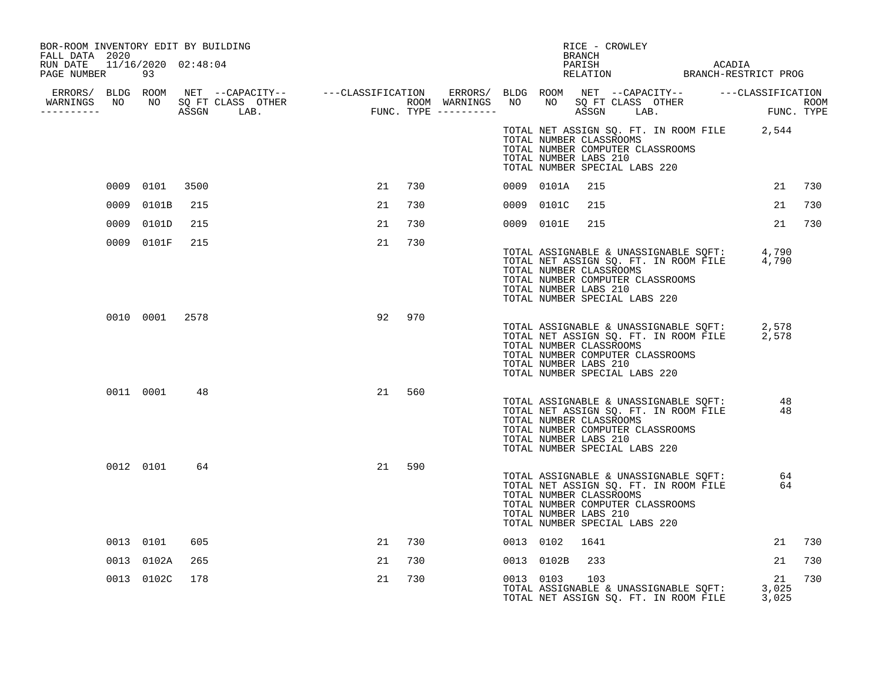| BOR-ROOM INVENTORY EDIT BY BUILDING<br>FALL DATA 2020<br>RUN DATE 11/16/2020 02:48:04<br>PAGE NUMBER |      | 93             |      |    |        |           |                                                  | <b>BRANCH</b> | RICE - CROWLEY                                                    |                                                                                |                                                                                            |          |        |
|------------------------------------------------------------------------------------------------------|------|----------------|------|----|--------|-----------|--------------------------------------------------|---------------|-------------------------------------------------------------------|--------------------------------------------------------------------------------|--------------------------------------------------------------------------------------------|----------|--------|
|                                                                                                      |      |                |      |    |        |           |                                                  |               |                                                                   |                                                                                |                                                                                            |          |        |
|                                                                                                      |      |                |      |    |        |           | TOTAL NUMBER CLASSROOMS<br>TOTAL NUMBER LABS 210 |               | TOTAL NUMBER COMPUTER CLASSROOMS<br>TOTAL NUMBER SPECIAL LABS 220 |                                                                                | TOTAL NET ASSIGN SQ. FT. IN ROOM FILE 2,544                                                |          |        |
|                                                                                                      |      | 0009 0101      | 3500 | 21 | 730    |           | 0009 0101A                                       | 215           |                                                                   |                                                                                |                                                                                            |          | 21 730 |
|                                                                                                      | 0009 | 0101B          | 215  | 21 | 730    |           | 0009 0101C                                       | 215           |                                                                   |                                                                                |                                                                                            | 21       | 730    |
|                                                                                                      |      | 0009 0101D     | 215  | 21 | 730    |           | 0009 0101E                                       | 215           |                                                                   |                                                                                |                                                                                            | 21       | 730    |
|                                                                                                      |      | 0009 0101F     | 215  | 21 | 730    |           | TOTAL NUMBER CLASSROOMS<br>TOTAL NUMBER LABS 210 |               | TOTAL NUMBER COMPUTER CLASSROOMS<br>TOTAL NUMBER SPECIAL LABS 220 |                                                                                | TOTAL ASSIGNABLE & UNASSIGNABLE SQFT: 4,790<br>TOTAL NET ASSIGN SQ. FT. IN ROOM FILE 4,790 |          |        |
|                                                                                                      |      | 0010 0001 2578 |      |    | 92 970 |           | TOTAL NUMBER CLASSROOMS<br>TOTAL NUMBER LABS 210 |               | TOTAL NUMBER COMPUTER CLASSROOMS<br>TOTAL NUMBER SPECIAL LABS 220 |                                                                                | TOTAL ASSIGNABLE & UNASSIGNABLE SQFT: 2,578<br>TOTAL NET ASSIGN SQ. FT. IN ROOM FILE 2,578 |          |        |
|                                                                                                      |      | 0011 0001 48   |      | 21 | 560    |           | TOTAL NUMBER CLASSROOMS<br>TOTAL NUMBER LABS 210 |               | TOTAL NUMBER COMPUTER CLASSROOMS<br>TOTAL NUMBER SPECIAL LABS 220 | TOTAL ASSIGNABLE & UNASSIGNABLE SQFT:<br>TOTAL NET ASSIGN SQ. FT. IN ROOM FILE | 48                                                                                         | 48       |        |
|                                                                                                      |      | 0012 0101      | 64   | 21 | 590    |           | TOTAL NUMBER CLASSROOMS<br>TOTAL NUMBER LABS 210 |               | TOTAL NUMBER COMPUTER CLASSROOMS<br>TOTAL NUMBER SPECIAL LABS 220 | TOTAL ASSIGNABLE & UNASSIGNABLE SQFT:<br>TOTAL NET ASSIGN SQ. FT. IN ROOM FILE |                                                                                            | 64<br>64 |        |
|                                                                                                      |      | 0013 0101      | 605  | 21 | 730    |           | 0013 0102 1641                                   |               |                                                                   |                                                                                |                                                                                            | 21       | 730    |
|                                                                                                      |      | 0013 0102A     | 265  | 21 | 730    |           | 0013 0102B                                       | 233           |                                                                   |                                                                                |                                                                                            | 21       | 730    |
|                                                                                                      |      | 0013 0102C     | 178  | 21 | 730    | 0013 0103 |                                                  | 103           |                                                                   |                                                                                | TOTAL ASSIGNABLE & UNASSIGNABLE SQFT: 3,025<br>TOTAL NET ASSIGN SQ. FT. IN ROOM FILE 3,025 | 21       | 730    |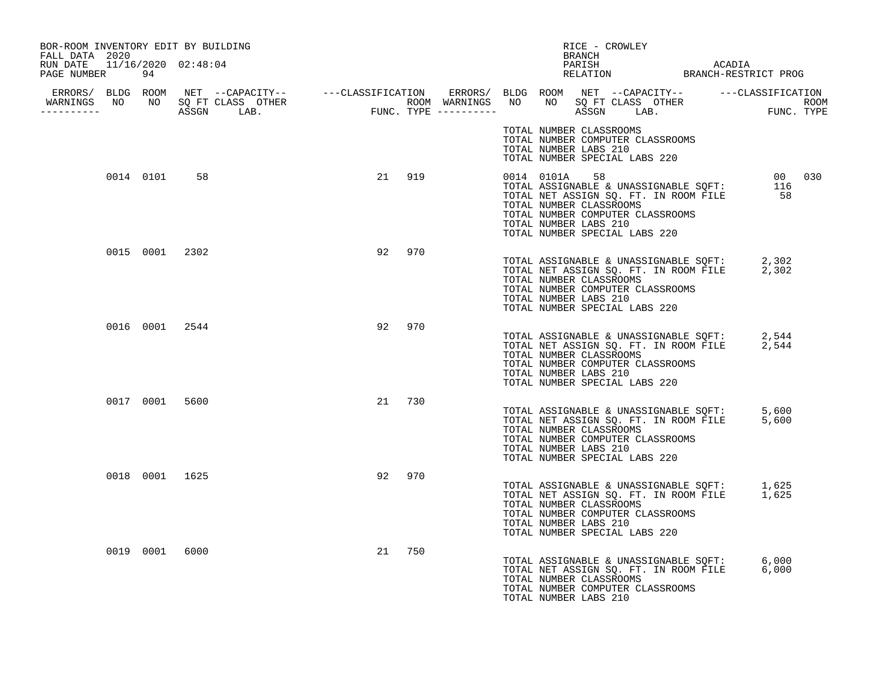| BOR-ROOM INVENTORY EDIT BY BUILDING<br>FALL DATA 2020 |           |                |    |        | RICE - CROWLEY<br>BRANCH                                                                                                                                                                                                                      |        |
|-------------------------------------------------------|-----------|----------------|----|--------|-----------------------------------------------------------------------------------------------------------------------------------------------------------------------------------------------------------------------------------------------|--------|
| RUN DATE 11/16/2020 02:48:04<br>PAGE NUMBER 94        |           |                |    |        |                                                                                                                                                                                                                                               |        |
| WARNINGS NO NO SQ FT CLASS OTHER<br>-----------       |           |                |    |        |                                                                                                                                                                                                                                               |        |
|                                                       |           |                |    |        | TOTAL NUMBER CLASSROOMS<br>TOTAL NUMBER COMPUTER CLASSROOMS<br>TOTAL NUMBER LABS 210<br>TOTAL NUMBER SPECIAL LABS 220                                                                                                                         |        |
|                                                       | 0014 0101 | 58             |    | 21 919 | 0014 0101A 58<br>TOTAL ASSIGNABLE & UNASSIGNABLE SQFT: $\frac{016}{116}$<br>TOTAL NET ASSIGN SQ. FT. IN ROOM FILE 58<br>TOTAL NUMBER CLASSROOMS<br>TOTAL NUMBER COMPUTER CLASSROOMS<br>TOTAL NUMBER LABS 210<br>TOTAL NUMBER SPECIAL LABS 220 | 000030 |
|                                                       |           | 0015 0001 2302 |    | 92 970 | TOTAL ASSIGNABLE & UNASSIGNABLE SQFT: 2,302<br>TOTAL NET ASSIGN SQ. FT. IN ROOM FILE 2,302<br>TOTAL NUMBER CLASSROOMS<br>TOTAL NUMBER COMPUTER CLASSROOMS<br>TOTAL NUMBER LABS 210<br>TOTAL NUMBER SPECIAL LABS 220                           |        |
|                                                       |           | 0016 0001 2544 |    | 92 970 | TOTAL ASSIGNABLE & UNASSIGNABLE SQFT: 2,544<br>TOTAL NET ASSIGN SQ. FT. IN ROOM FILE 2,544<br>TOTAL NUMBER CLASSROOMS<br>TOTAL NUMBER COMPUTER CLASSROOMS<br>TOTAL NUMBER LABS 210<br>TOTAL NUMBER SPECIAL LABS 220                           |        |
|                                                       |           | 0017 0001 5600 |    | 21 730 | TOTAL ASSIGNABLE & UNASSIGNABLE SQFT: 5,600<br>TOTAL NET ASSIGN SQ. FT. IN ROOM FILE 5,600<br>TOTAL NUMBER CLASSROOMS<br>TOTAL NUMBER COMPUTER CLASSROOMS<br>TOTAL NUMBER LABS 210<br>TOTAL NUMBER SPECIAL LABS 220                           |        |
|                                                       |           | 0018 0001 1625 | 92 | 970    | TOTAL ASSIGNABLE & UNASSIGNABLE SQFT: 1,625<br>TOTAL NET ASSIGN SQ. FT. IN ROOM FILE 1,625<br>TOTAL NUMBER CLASSROOMS<br>TOTAL NUMBER COMPUTER CLASSROOMS<br>TOTAL NUMBER LABS 210<br>TOTAL NUMBER SPECIAL LABS 220                           |        |
|                                                       |           | 0019 0001 6000 |    | 21 750 | TOTAL ASSIGNABLE & UNASSIGNABLE SQFT: 6,000<br>TOTAL NET ASSIGN SQ. FT. IN ROOM FILE 6,000<br>TOTAL NUMBER CLASSROOMS<br>TOTAL NUMBER COMPUTER CLASSROOMS<br>TOTAL NUMBER LABS 210                                                            |        |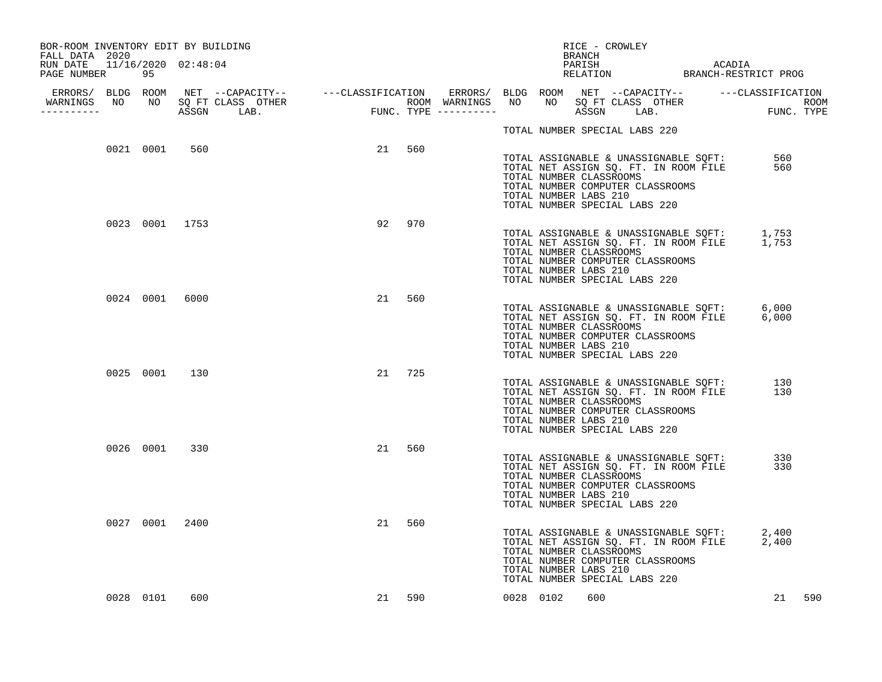| BOR-ROOM INVENTORY EDIT BY BUILDING                              |           |                |        |        |  |           | BRANCH                                           | RICE - CROWLEY                |                                                                           |                                                                                |                                                                                            |        |
|------------------------------------------------------------------|-----------|----------------|--------|--------|--|-----------|--------------------------------------------------|-------------------------------|---------------------------------------------------------------------------|--------------------------------------------------------------------------------|--------------------------------------------------------------------------------------------|--------|
| FALL DATA 2020<br>RUN DATE 11/16/2020 02:48:04<br>PAGE NUMBER 95 |           |                |        |        |  |           | PARISH                                           |                               |                                                                           | ACADIA                                                                         |                                                                                            |        |
| WARNINGS NO NO SQ FT CLASS OTHER<br>-----------                  |           |                |        |        |  |           |                                                  |                               |                                                                           |                                                                                |                                                                                            |        |
|                                                                  |           |                |        |        |  |           |                                                  | TOTAL NUMBER SPECIAL LABS 220 |                                                                           |                                                                                |                                                                                            |        |
|                                                                  | 0021 0001 | 560            | 21 560 |        |  |           | TOTAL NUMBER CLASSROOMS<br>TOTAL NUMBER LABS 210 | TOTAL NUMBER SPECIAL LABS 220 | TOTAL NUMBER COMPUTER CLASSROOMS                                          | TOTAL ASSIGNABLE & UNASSIGNABLE SQFT:<br>TOTAL NET ASSIGN SQ. FT. IN ROOM FILE | 560<br>560                                                                                 |        |
|                                                                  |           | 0023 0001 1753 | 92     | 970    |  |           | TOTAL NUMBER CLASSROOMS<br>TOTAL NUMBER LABS 210 | TOTAL NUMBER SPECIAL LABS 220 | TOTAL NUMBER COMPUTER CLASSROOMS                                          |                                                                                | TOTAL ASSIGNABLE & UNASSIGNABLE SQFT: 1,753<br>TOTAL NET ASSIGN SQ. FT. IN ROOM FILE 1,753 |        |
|                                                                  | 0024 0001 | 6000           | 21     | 560    |  |           | TOTAL NUMBER CLASSROOMS<br>TOTAL NUMBER LABS 210 | TOTAL NUMBER SPECIAL LABS 220 | TOTAL NUMBER COMPUTER CLASSROOMS                                          |                                                                                | TOTAL ASSIGNABLE & UNASSIGNABLE SQFT: 6,000<br>TOTAL NET ASSIGN SQ. FT. IN ROOM FILE 6,000 |        |
|                                                                  |           | 0025 0001 130  | 21     | 725    |  |           | TOTAL NUMBER CLASSROOMS<br>TOTAL NUMBER LABS 210 | TOTAL NUMBER SPECIAL LABS 220 | TOTAL NET ASSIGN SQ. FT. IN ROOM FILE<br>TOTAL NUMBER COMPUTER CLASSROOMS | TOTAL ASSIGNABLE & UNASSIGNABLE SQFT:                                          | 130<br>130                                                                                 |        |
|                                                                  |           | 0026 0001 330  | 21     | 560    |  |           | TOTAL NUMBER CLASSROOMS<br>TOTAL NUMBER LABS 210 | TOTAL NUMBER SPECIAL LABS 220 | TOTAL NET ASSIGN SQ. FT. IN ROOM FILE<br>TOTAL NUMBER COMPUTER CLASSROOMS | TOTAL ASSIGNABLE & UNASSIGNABLE SQFT:                                          | 330<br>330                                                                                 |        |
|                                                                  |           | 0027 0001 2400 | 21     | 560    |  |           | TOTAL NUMBER CLASSROOMS<br>TOTAL NUMBER LABS 210 | TOTAL NUMBER SPECIAL LABS 220 | TOTAL NET ASSIGN SQ. FT. IN ROOM FILE<br>TOTAL NUMBER COMPUTER CLASSROOMS | TOTAL ASSIGNABLE & UNASSIGNABLE SQFT:<br>TOTAL NET ASSIGN SQ. FT. IN ROOM FILE | 2,400<br>2,400                                                                             |        |
|                                                                  | 0028 0101 | 600            |        | 21 590 |  | 0028 0102 | 600                                              |                               |                                                                           |                                                                                |                                                                                            | 21 590 |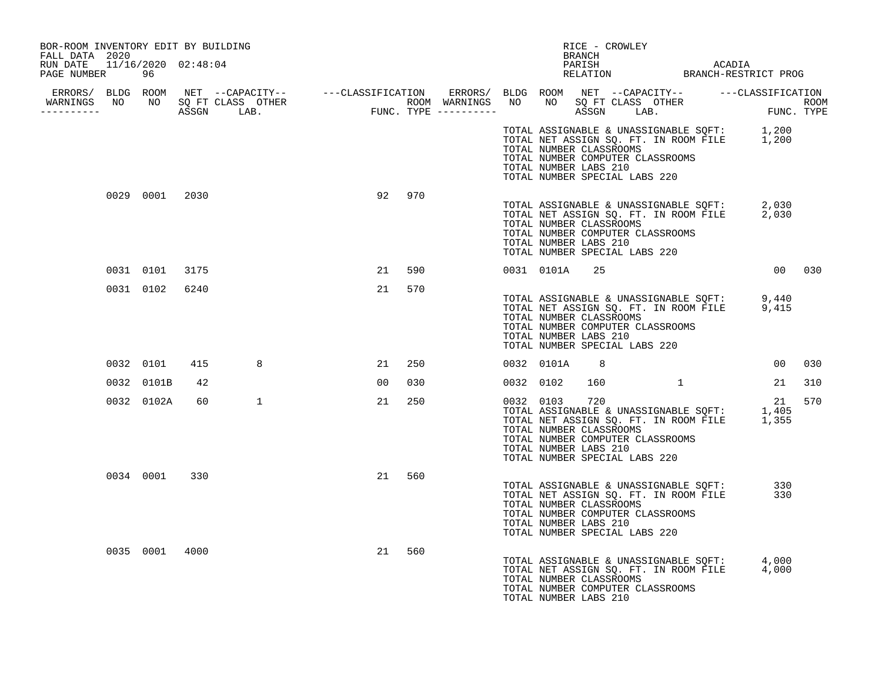| BOR-ROOM INVENTORY EDIT BY BUILDING<br>FALL DATA 2020 |            |                |   |    |     |  |               | RICE - CROWLEY<br>BRANCH                                                                                                     |                                                                                                                      |                                                                                                        |     |
|-------------------------------------------------------|------------|----------------|---|----|-----|--|---------------|------------------------------------------------------------------------------------------------------------------------------|----------------------------------------------------------------------------------------------------------------------|--------------------------------------------------------------------------------------------------------|-----|
| RUN DATE 11/16/2020 02:48:04<br>PAGE NUMBER 96        |            |                |   |    |     |  |               |                                                                                                                              |                                                                                                                      |                                                                                                        |     |
| WARNINGS NO NO SOFT CLASS OTHER                       |            |                |   |    |     |  |               |                                                                                                                              |                                                                                                                      |                                                                                                        |     |
| -----------                                           |            |                |   |    |     |  |               |                                                                                                                              |                                                                                                                      |                                                                                                        |     |
|                                                       |            |                |   |    |     |  |               | TOTAL NUMBER CLASSROOMS<br>TOTAL NUMBER COMPUTER CLASSROOMS<br>TOTAL NUMBER LABS 210<br>TOTAL NUMBER SPECIAL LABS 220        |                                                                                                                      | TOTAL ASSIGNABLE & UNASSIGNABLE SQFT: 1,200<br>TOTAL NET ASSIGN SQ. FT. IN ROOM FILE 1,200             |     |
|                                                       |            | 0029 0001 2030 |   | 92 | 970 |  |               | TOTAL NUMBER CLASSROOMS<br>TOTAL NUMBER COMPUTER CLASSROOMS<br>TOTAL NUMBER LABS 210<br>TOTAL NUMBER SPECIAL LABS 220        |                                                                                                                      | TOTAL ASSIGNABLE & UNASSIGNABLE SQFT: 2,030<br>TOTAL NET ASSIGN SQ. FT. IN ROOM FILE 2,030             |     |
|                                                       | 0031 0101  | 3175           |   | 21 | 590 |  | 0031 0101A 25 |                                                                                                                              |                                                                                                                      | 00 030                                                                                                 |     |
|                                                       | 0031 0102  | 6240           |   | 21 | 570 |  |               | TOTAL NUMBER CLASSROOMS<br>TOTAL NUMBER COMPUTER CLASSROOMS<br>TOTAL NUMBER LABS 210<br>TOTAL NUMBER SPECIAL LABS 220        |                                                                                                                      | TOTAL ASSIGNABLE & UNASSIGNABLE SQFT: 9,440<br>TOTAL NET ASSIGN SQ. FT. IN ROOM FILE 9,415             |     |
|                                                       | 0032 0101  | 415            | 8 | 21 | 250 |  | 0032 0101A    | 8 <sup>8</sup>                                                                                                               |                                                                                                                      | 00 <sub>o</sub>                                                                                        | 030 |
|                                                       | 0032 0101B | 42             |   | 00 | 030 |  | 0032 0102     | 160                                                                                                                          | $\sim$ 1 and 1 and 1 and 1 and 1 and 1 and 1 and 1 and 1 and 1 and 1 and 1 and 1 and 1 and 1 and 1 and 1 and 1 and 1 | 21                                                                                                     | 310 |
|                                                       | 0032 0102A | 60             | 1 | 21 | 250 |  | 0032 0103     | 720<br>TOTAL NUMBER CLASSROOMS<br>TOTAL NUMBER COMPUTER CLASSROOMS<br>TOTAL NUMBER LABS 210<br>TOTAL NUMBER SPECIAL LABS 220 |                                                                                                                      | 21<br>11<br>TOTAL ASSIGNABLE & UNASSIGNABLE SQFT: 1,405<br>TOTAL NET ASSIGN SQ. FT. IN ROOM FILE 1,355 | 570 |
|                                                       | 0034 0001  | 330            |   | 21 | 560 |  |               | TOTAL NUMBER CLASSROOMS<br>TOTAL NUMBER COMPUTER CLASSROOMS<br>TOTAL NUMBER LABS 210<br>TOTAL NUMBER SPECIAL LABS 220        | TOTAL ASSIGNABLE & UNASSIGNABLE SQFT:<br>TOTAL NET ASSIGN SQ. FT. IN ROOM FILE                                       | 330<br>330                                                                                             |     |
|                                                       |            | 0035 0001 4000 |   | 21 | 560 |  |               | TOTAL NUMBER CLASSROOMS<br>TOTAL NUMBER COMPUTER CLASSROOMS<br>TOTAL NUMBER LABS 210                                         |                                                                                                                      | TOTAL ASSIGNABLE & UNASSIGNABLE SQFT: 4,000<br>TOTAL NET ASSIGN SQ. FT. IN ROOM FILE 4,000             |     |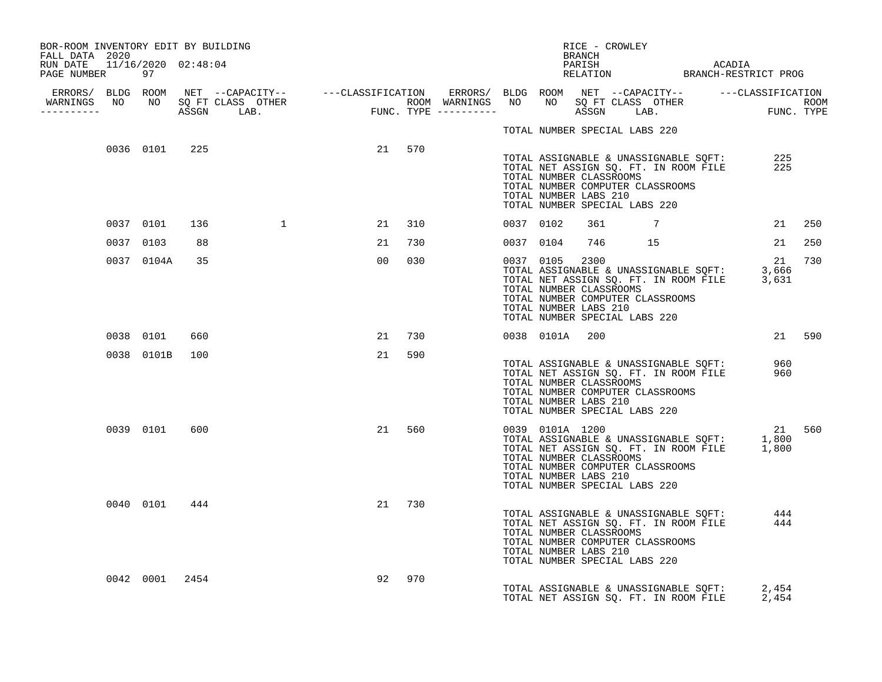| BOR-ROOM INVENTORY EDIT BY BUILDING<br>FALL DATA 2020 |                |     |                                                                                                                                                                                                                                      |        |        |           |                | RICE - CROWLEY<br>BRANCH                                                                             |                                  |                                                                                                  |            |        |
|-------------------------------------------------------|----------------|-----|--------------------------------------------------------------------------------------------------------------------------------------------------------------------------------------------------------------------------------------|--------|--------|-----------|----------------|------------------------------------------------------------------------------------------------------|----------------------------------|--------------------------------------------------------------------------------------------------|------------|--------|
| RUN DATE 11/16/2020 02:48:04<br>PAGE NUMBER 97        |                |     |                                                                                                                                                                                                                                      |        |        |           |                |                                                                                                      |                                  | PARISH ACADIA RELATION BRANCH-RESTRICT PROG                                                      |            |        |
|                                                       |                |     | ERRORS/ BLDG ROOM NET --CAPACITY-- ----CLASSIFICATION ERRORS/ BLDG ROOM NET --CAPACITY-- -----CLASSIFICATION<br>WARNINGS NO NO SQFTCLASS OTHER ROOM WARNINGS NO NO SQFTCLASS OTHER ROOM<br>----------- ASSGN LAB. FUNC.TYPE -------- |        |        |           |                |                                                                                                      |                                  |                                                                                                  |            |        |
|                                                       |                |     |                                                                                                                                                                                                                                      |        |        |           |                | TOTAL NUMBER SPECIAL LABS 220                                                                        |                                  |                                                                                                  |            |        |
|                                                       | 0036 0101 225  |     |                                                                                                                                                                                                                                      | 21 570 |        |           |                | TOTAL NUMBER CLASSROOMS<br>TOTAL NUMBER LABS 210<br>TOTAL NUMBER SPECIAL LABS 220                    | TOTAL NUMBER COMPUTER CLASSROOMS | TOTAL ASSIGNABLE & UNASSIGNABLE SQFT:<br>TOTAL NET ASSIGN SQ. FT. IN ROOM FILE                   | 225<br>225 |        |
|                                                       | 0037 0101      | 136 | $\overline{1}$                                                                                                                                                                                                                       |        | 21 310 | 0037 0102 |                |                                                                                                      |                                  | $361$ 7                                                                                          |            | 21 250 |
|                                                       | 0037 0103      | 88  |                                                                                                                                                                                                                                      |        | 21 730 | 0037 0104 |                |                                                                                                      |                                  | 746 15                                                                                           |            | 21 250 |
|                                                       | 0037 0104A     | 35  |                                                                                                                                                                                                                                      | 00     | 030    | 0037 0105 |                | 2300<br>TOTAL NUMBER CLASSROOMS<br>TOTAL NUMBER LABS 210<br>TOTAL NUMBER SPECIAL LABS 220            | TOTAL NUMBER COMPUTER CLASSROOMS | 12<br>TOTAL ASSIGNABLE & UNASSIGNABLE SQFT: 3,666<br>TOTAL NET ASSIGN SQ. FT. IN ROOM FILE 3,631 | 21         | 730    |
|                                                       | 0038 0101      | 660 |                                                                                                                                                                                                                                      |        | 21 730 |           | 0038 0101A 200 |                                                                                                      |                                  |                                                                                                  |            | 21 590 |
|                                                       | 0038 0101B 100 |     |                                                                                                                                                                                                                                      | 21     | 590    |           |                | TOTAL NUMBER CLASSROOMS<br>TOTAL NUMBER LABS 210<br>TOTAL NUMBER SPECIAL LABS 220                    | TOTAL NUMBER COMPUTER CLASSROOMS | TOTAL ASSIGNABLE & UNASSIGNABLE SQFT: 960<br>TOTAL NET ASSIGN SQ. FT. IN ROOM FILE 960           |            |        |
|                                                       | 0039 0101      | 600 |                                                                                                                                                                                                                                      |        | 21 560 |           |                | 0039 0101A 1200<br>TOTAL NUMBER CLASSROOMS<br>TOTAL NUMBER LABS 210<br>TOTAL NUMBER SPECIAL LABS 220 | TOTAL NUMBER COMPUTER CLASSROOMS | TOTAL ASSIGNABLE & UNASSIGNABLE SQFT: 1,800<br>TOTAL NET ASSIGN SQ. FT. IN ROOM FILE 1,800       | 21 560     |        |
|                                                       | 0040 0101      | 444 |                                                                                                                                                                                                                                      |        | 21 730 |           |                | TOTAL NUMBER CLASSROOMS<br>TOTAL NUMBER LABS 210<br>TOTAL NUMBER SPECIAL LABS 220                    | TOTAL NUMBER COMPUTER CLASSROOMS | TOTAL NET ASSIGN SQ. FT. IN ROOM FILE 444<br>TOTAL NET ASSIGN SQ. FT. IN ROOM FILE 444           |            |        |
|                                                       | 0042 0001 2454 |     |                                                                                                                                                                                                                                      | 92     | 970    |           |                |                                                                                                      |                                  | TOTAL ASSIGNABLE & UNASSIGNABLE SOFT: 2,454<br>TOTAL NET ASSIGN SO. FT. IN ROOM FILE             | 2,454      |        |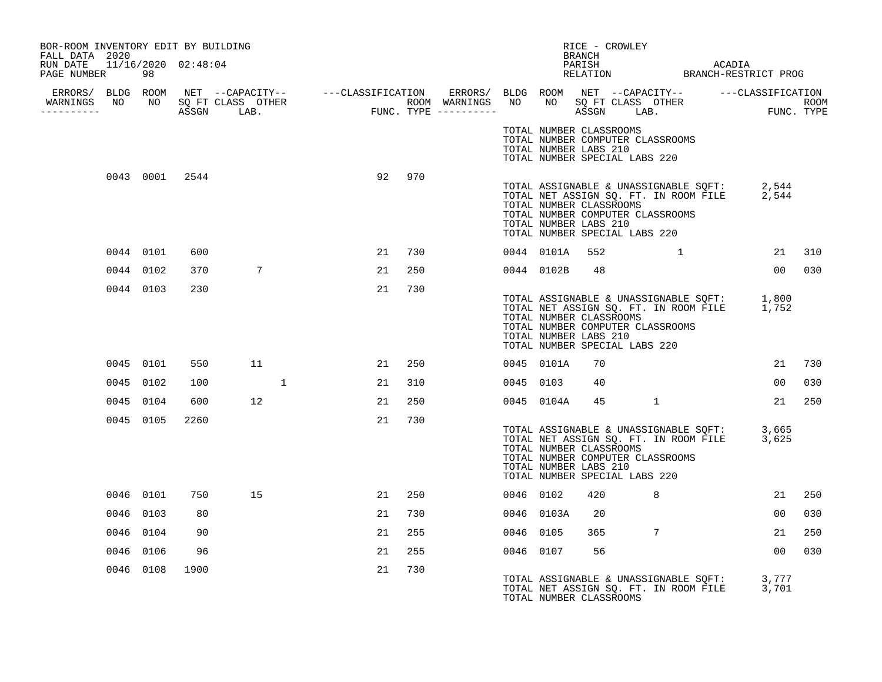| BOR-ROOM INVENTORY EDIT BY BUILDING<br>FALL DATA 2020 |           |           |      |                 |  |        |     |           |                                                                                                                       | RICE - CROWLEY<br>BRANCH |                |                                                                                            |                 |     |
|-------------------------------------------------------|-----------|-----------|------|-----------------|--|--------|-----|-----------|-----------------------------------------------------------------------------------------------------------------------|--------------------------|----------------|--------------------------------------------------------------------------------------------|-----------------|-----|
| RUN DATE 11/16/2020 02:48:04<br>PAGE NUMBER           |           | 98        |      |                 |  |        |     |           |                                                                                                                       |                          |                |                                                                                            |                 |     |
|                                                       |           |           |      |                 |  |        |     |           |                                                                                                                       |                          |                |                                                                                            |                 |     |
| -----------                                           |           |           |      |                 |  |        |     |           |                                                                                                                       |                          |                |                                                                                            |                 |     |
|                                                       |           |           |      |                 |  |        |     |           | TOTAL NUMBER CLASSROOMS<br>TOTAL NUMBER COMPUTER CLASSROOMS<br>TOTAL NUMBER LABS 210<br>TOTAL NUMBER SPECIAL LABS 220 |                          |                |                                                                                            |                 |     |
|                                                       |           |           |      | 0043 0001 2544  |  | 92 970 |     |           | TOTAL NUMBER CLASSROOMS<br>TOTAL NUMBER COMPUTER CLASSROOMS<br>TOTAL NUMBER LABS 210<br>TOTAL NUMBER SPECIAL LABS 220 |                          |                | TOTAL ASSIGNABLE & UNASSIGNABLE SQFT: 2,544<br>TOTAL NET ASSIGN SQ. FT. IN ROOM FILE 2,544 |                 |     |
|                                                       |           | 0044 0101 | 600  |                 |  | 21     | 730 |           |                                                                                                                       |                          |                | 0044 0101A 552 1                                                                           | 21 310          |     |
|                                                       |           | 0044 0102 | 370  | $7\overline{ }$ |  | 21     | 250 |           | 0044 0102B 48                                                                                                         |                          |                |                                                                                            | 00 030          |     |
|                                                       |           | 0044 0103 | 230  |                 |  | 21     | 730 |           | TOTAL NUMBER CLASSROOMS<br>TOTAL NUMBER COMPUTER CLASSROOMS<br>TOTAL NUMBER LABS 210<br>TOTAL NUMBER SPECIAL LABS 220 |                          |                | TOTAL ASSIGNABLE & UNASSIGNABLE SQFT: 1,800<br>TOTAL NET ASSIGN SQ. FT. IN ROOM FILE 1,752 |                 |     |
|                                                       |           | 0045 0101 | 550  | 11              |  | 21 250 |     |           | 0045 0101A                                                                                                            | 70                       |                |                                                                                            | 21 730          |     |
|                                                       |           | 0045 0102 | 100  |                 |  | 21     | 310 | 0045 0103 |                                                                                                                       | 40                       |                |                                                                                            | 0 <sub>0</sub>  | 030 |
|                                                       | 0045 0104 |           | 600  | 12              |  | 21     | 250 |           | 0045 0104A                                                                                                            | 45                       | $\overline{1}$ |                                                                                            | 21              | 250 |
|                                                       |           | 0045 0105 | 2260 |                 |  | 21     | 730 |           | TOTAL NUMBER CLASSROOMS<br>TOTAL NUMBER COMPUTER CLASSROOMS<br>TOTAL NUMBER LABS 210<br>TOTAL NUMBER SPECIAL LABS 220 |                          |                | TOTAL ASSIGNABLE & UNASSIGNABLE SQFT: 3,665<br>TOTAL NET ASSIGN SQ. FT. IN ROOM FILE 3,625 |                 |     |
|                                                       |           | 0046 0101 | 750  | 15              |  | 21     | 250 | 0046 0102 |                                                                                                                       | 420                      | 8              |                                                                                            | 21              | 250 |
|                                                       |           | 0046 0103 | 80   |                 |  | 21     | 730 |           | 0046 0103A                                                                                                            | 20                       |                |                                                                                            | 00 <sup>o</sup> | 030 |
|                                                       | 0046 0104 |           | 90   |                 |  | 21     | 255 | 0046 0105 |                                                                                                                       | 365                      | 7              |                                                                                            | 21              | 250 |
|                                                       |           | 0046 0106 | 96   |                 |  | 21     | 255 | 0046 0107 |                                                                                                                       | 56                       |                |                                                                                            | 00              | 030 |
|                                                       |           | 0046 0108 | 1900 |                 |  | 21     | 730 |           | TOTAL NUMBER CLASSROOMS                                                                                               |                          |                | TOTAL ASSIGNABLE & UNASSIGNABLE SQFT: 3,777<br>TOTAL NET ASSIGN SQ. FT. IN ROOM FILE 3,701 |                 |     |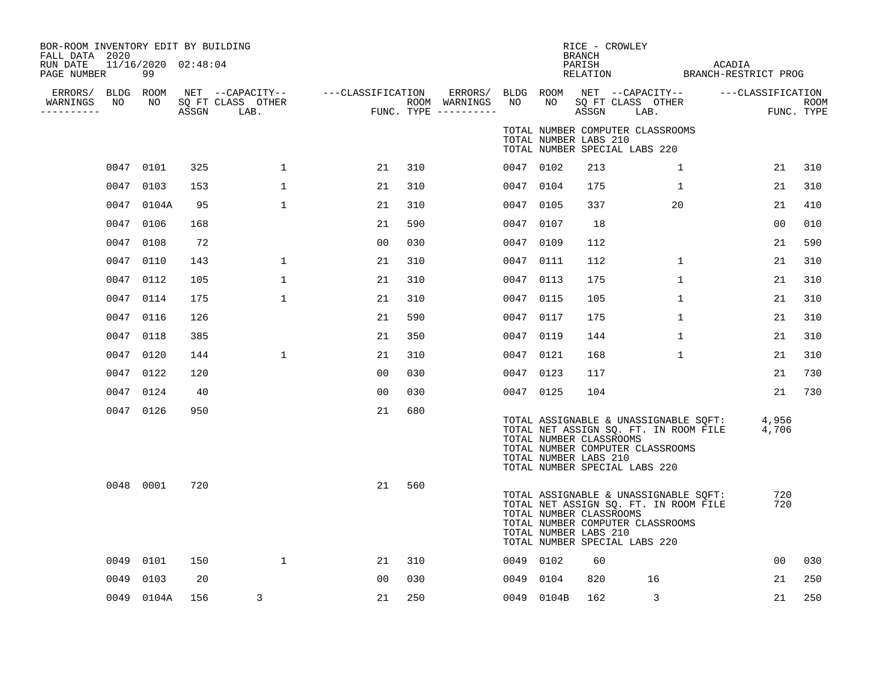| BOR-ROOM INVENTORY EDIT BY BUILDING<br>FALL DATA 2020<br>RUN DATE<br>PAGE NUMBER |      | 11/16/2020 02:48:04<br>99 |       |                           |                                                         |     |                                        |           |                                                  | BRANCH<br>PARISH<br>RELATION | RICE - CROWLEY                                                                                                                                      | ACADIA<br>BRANCH-RESTRICT PROG |                                 |      |
|----------------------------------------------------------------------------------|------|---------------------------|-------|---------------------------|---------------------------------------------------------|-----|----------------------------------------|-----------|--------------------------------------------------|------------------------------|-----------------------------------------------------------------------------------------------------------------------------------------------------|--------------------------------|---------------------------------|------|
| ERRORS/ BLDG ROOM<br>WARNINGS<br>----------                                      | NO   | NO                        | ASSGN | SQ FT CLASS OTHER<br>LAB. | NET --CAPACITY--    ---CLASSIFICATION ERRORS/ BLDG ROOM |     | ROOM WARNINGS<br>FUNC. TYPE ---------- | NO        | NO                                               | ASSGN                        | NET --CAPACITY--<br>SQ FT CLASS OTHER<br>LAB.                                                                                                       |                                | ---CLASSIFICATION<br>FUNC. TYPE | ROOM |
|                                                                                  |      |                           |       |                           |                                                         |     |                                        |           | TOTAL NUMBER LABS 210                            |                              | TOTAL NUMBER COMPUTER CLASSROOMS<br>TOTAL NUMBER SPECIAL LABS 220                                                                                   |                                |                                 |      |
|                                                                                  |      | 0047 0101                 | 325   | $\mathbf{1}$              | 21                                                      | 310 |                                        | 0047 0102 |                                                  | 213                          | $\mathbf{1}$                                                                                                                                        |                                | 21                              | 310  |
|                                                                                  |      | 0047 0103                 | 153   | $\mathbf{1}$              | 21                                                      | 310 |                                        | 0047 0104 |                                                  | 175                          | 1                                                                                                                                                   |                                | 21                              | 310  |
|                                                                                  |      | 0047 0104A                | 95    | 1                         | 21                                                      | 310 |                                        | 0047 0105 |                                                  | 337                          | 20                                                                                                                                                  |                                | 21                              | 410  |
|                                                                                  |      | 0047 0106                 | 168   |                           | 21                                                      | 590 |                                        | 0047 0107 |                                                  | 18                           |                                                                                                                                                     |                                | 00                              | 010  |
|                                                                                  |      | 0047 0108                 | 72    |                           | 00                                                      | 030 |                                        | 0047 0109 |                                                  | 112                          |                                                                                                                                                     |                                | 21                              | 590  |
|                                                                                  |      | 0047 0110                 | 143   | $\mathbf{1}$              | 21                                                      | 310 |                                        | 0047 0111 |                                                  | 112                          | $\mathbf{1}$                                                                                                                                        |                                | 21                              | 310  |
|                                                                                  |      | 0047 0112                 | 105   | $\mathbf{1}$              | 21                                                      | 310 |                                        | 0047 0113 |                                                  | 175                          | $\mathbf{1}$                                                                                                                                        |                                | 21                              | 310  |
|                                                                                  |      | 0047 0114                 | 175   | $\mathbf{1}$              | 21                                                      | 310 |                                        | 0047 0115 |                                                  | 105                          | 1                                                                                                                                                   |                                | 21                              | 310  |
|                                                                                  |      | 0047 0116                 | 126   |                           | 21                                                      | 590 |                                        | 0047 0117 |                                                  | 175                          | 1                                                                                                                                                   |                                | 21                              | 310  |
|                                                                                  |      | 0047 0118                 | 385   |                           | 21                                                      | 350 |                                        | 0047 0119 |                                                  | 144                          | $\mathbf{1}$                                                                                                                                        |                                | 21                              | 310  |
|                                                                                  |      | 0047 0120                 | 144   | $\mathbf{1}$              | 21                                                      | 310 |                                        | 0047 0121 |                                                  | 168                          | $\mathbf{1}$                                                                                                                                        |                                | 21                              | 310  |
|                                                                                  |      | 0047 0122                 | 120   |                           | 00                                                      | 030 |                                        | 0047 0123 |                                                  | 117                          |                                                                                                                                                     |                                | 21                              | 730  |
|                                                                                  |      | 0047 0124                 | 40    |                           | 00                                                      | 030 |                                        | 0047 0125 |                                                  | 104                          |                                                                                                                                                     |                                | 21                              | 730  |
|                                                                                  |      | 0047 0126                 | 950   |                           | 21                                                      | 680 |                                        |           | TOTAL NUMBER CLASSROOMS<br>TOTAL NUMBER LABS 210 |                              | TOTAL ASSIGNABLE & UNASSIGNABLE SQFT:<br>TOTAL NET ASSIGN SQ. FT. IN ROOM FILE<br>TOTAL NUMBER COMPUTER CLASSROOMS<br>TOTAL NUMBER SPECIAL LABS 220 |                                | 4,956<br>4,706                  |      |
|                                                                                  |      | 0048 0001                 | 720   |                           | 21                                                      | 560 |                                        |           | TOTAL NUMBER CLASSROOMS<br>TOTAL NUMBER LABS 210 |                              | TOTAL ASSIGNABLE & UNASSIGNABLE SQFT:<br>TOTAL NET ASSIGN SQ. FT. IN ROOM FILE<br>TOTAL NUMBER COMPUTER CLASSROOMS<br>TOTAL NUMBER SPECIAL LABS 220 |                                | 720<br>720                      |      |
|                                                                                  | 0049 | 0101                      | 150   | $\mathbf{1}$              | 21                                                      | 310 |                                        | 0049 0102 |                                                  | 60                           |                                                                                                                                                     |                                | 00                              | 030  |
|                                                                                  | 0049 | 0103                      | 20    |                           | 00                                                      | 030 |                                        | 0049 0104 |                                                  | 820                          | 16                                                                                                                                                  |                                | 21                              | 250  |
|                                                                                  |      | 0049 0104A                | 156   | 3                         | 21                                                      | 250 |                                        |           | 0049 0104B                                       | 162                          | 3                                                                                                                                                   |                                | 21                              | 250  |
|                                                                                  |      |                           |       |                           |                                                         |     |                                        |           |                                                  |                              |                                                                                                                                                     |                                |                                 |      |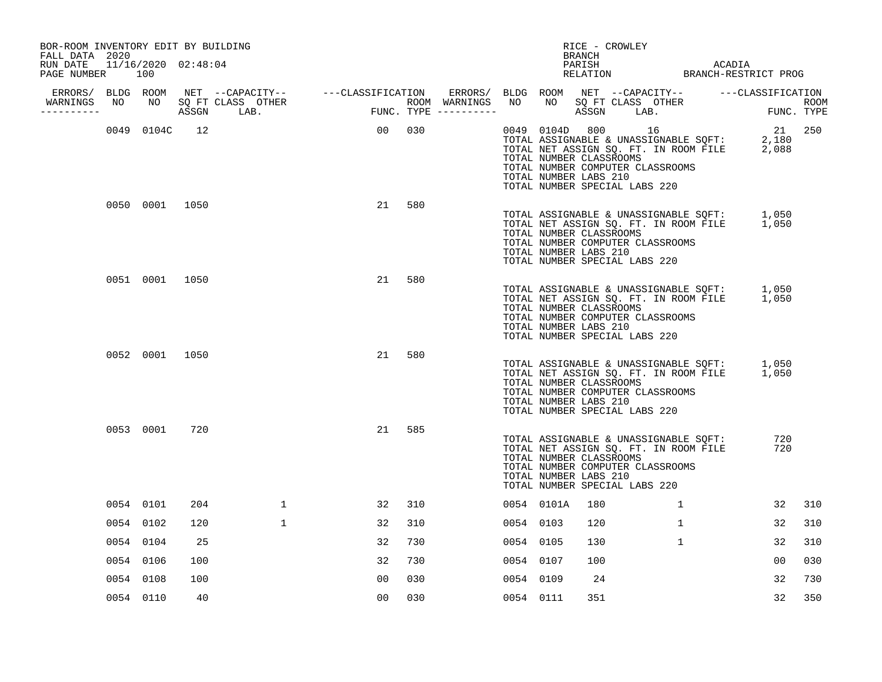| BOR-ROOM INVENTORY EDIT BY BUILDING<br>FALL DATA 2020 |                |     |              |                |     |           |                                                  | BRANCH | RICE - CROWLEY                                                                                                                                                                       |              |            |        |
|-------------------------------------------------------|----------------|-----|--------------|----------------|-----|-----------|--------------------------------------------------|--------|--------------------------------------------------------------------------------------------------------------------------------------------------------------------------------------|--------------|------------|--------|
| RUN DATE 11/16/2020 02:48:04<br>PAGE NUMBER           | 100            |     |              |                |     |           |                                                  | PARISH | RELATION BRANCH-RESTRICT PROG                                                                                                                                                        |              | ACADIA     |        |
|                                                       |                |     |              |                |     |           |                                                  |        |                                                                                                                                                                                      |              |            |        |
| WARNINGS<br>-----------                               |                |     |              |                |     |           |                                                  |        | NO SQ FT CLASS OTHER THE ROOM ASSGN LAB. FUNC. TYPE                                                                                                                                  |              |            |        |
|                                                       | 0049 0104C 12  |     |              | 00 030         |     |           | TOTAL NUMBER CLASSROOMS<br>TOTAL NUMBER LABS 210 |        | 0049 0104D 800 16<br>TOTAL ASSIGNABLE & UNASSIGNABLE SQFT: 2,180<br>TOTAL NET ASSIGN SQ. FT. IN ROOM FILE 2,088<br>TOTAL NUMBER COMPUTER CLASSROOMS<br>TOTAL NUMBER SPECIAL LABS 220 |              | 2,180      | 21 250 |
|                                                       | 0050 0001 1050 |     |              | 21             | 580 |           | TOTAL NUMBER CLASSROOMS<br>TOTAL NUMBER LABS 210 |        | TOTAL ASSIGNABLE & UNASSIGNABLE SQFT: 1,050<br>TOTAL NET ASSIGN SQ. FT. IN ROOM FILE 1,050<br>TOTAL NUMBER COMPUTER CLASSROOMS<br>TOTAL NUMBER SPECIAL LABS 220                      |              |            |        |
|                                                       | 0051 0001 1050 |     |              | 21             | 580 |           | TOTAL NUMBER CLASSROOMS<br>TOTAL NUMBER LABS 210 |        | TOTAL ASSIGNABLE & UNASSIGNABLE SOFT: 1,050<br>TOTAL NET ASSIGN SQ. FT. IN ROOM FILE 1,050<br>TOTAL NUMBER COMPUTER CLASSROOMS<br>TOTAL NUMBER SPECIAL LABS 220                      |              |            |        |
|                                                       | 0052 0001 1050 |     |              | 21             | 580 |           | TOTAL NUMBER CLASSROOMS<br>TOTAL NUMBER LABS 210 |        | TOTAL ASSIGNABLE & UNASSIGNABLE SQFT: 1,050<br>TOTAL NET ASSIGN SQ. FT. IN ROOM FILE 1,050<br>TOTAL NUMBER COMPUTER CLASSROOMS<br>TOTAL NUMBER SPECIAL LABS 220                      |              |            |        |
|                                                       | 0053 0001      | 720 |              | 21             | 585 |           | TOTAL NUMBER CLASSROOMS<br>TOTAL NUMBER LABS 210 |        | TOTAL ASSIGNABLE & UNASSIGNABLE SQFT:<br>TOTAL NET ASSIGN SQ. FT. IN ROOM FILE<br>TOTAL NUMBER COMPUTER CLASSROOMS<br>TOTAL NUMBER SPECIAL LABS 220                                  |              | 720<br>720 |        |
|                                                       | 0054 0101      | 204 | $\mathbf{1}$ | 32             | 310 |           | 0054 0101A                                       | 180    |                                                                                                                                                                                      | $\mathbf{1}$ | 32         | 310    |
|                                                       | 0054 0102      | 120 | 1            | 32             | 310 | 0054 0103 |                                                  | 120    |                                                                                                                                                                                      | $\mathbf{1}$ | 32         | 310    |
|                                                       | 0054 0104      | 25  |              | 32             | 730 | 0054 0105 |                                                  | 130    |                                                                                                                                                                                      | $\mathbf{1}$ | 32         | 310    |
|                                                       | 0054 0106      | 100 |              | 32             | 730 | 0054 0107 |                                                  | 100    |                                                                                                                                                                                      |              | 00         | 030    |
|                                                       | 0054 0108      | 100 |              | 0 <sub>0</sub> | 030 | 0054 0109 |                                                  | 24     |                                                                                                                                                                                      |              | 32         | 730    |
|                                                       | 0054 0110      | 40  |              | 00             | 030 | 0054 0111 |                                                  | 351    |                                                                                                                                                                                      |              | 32         | 350    |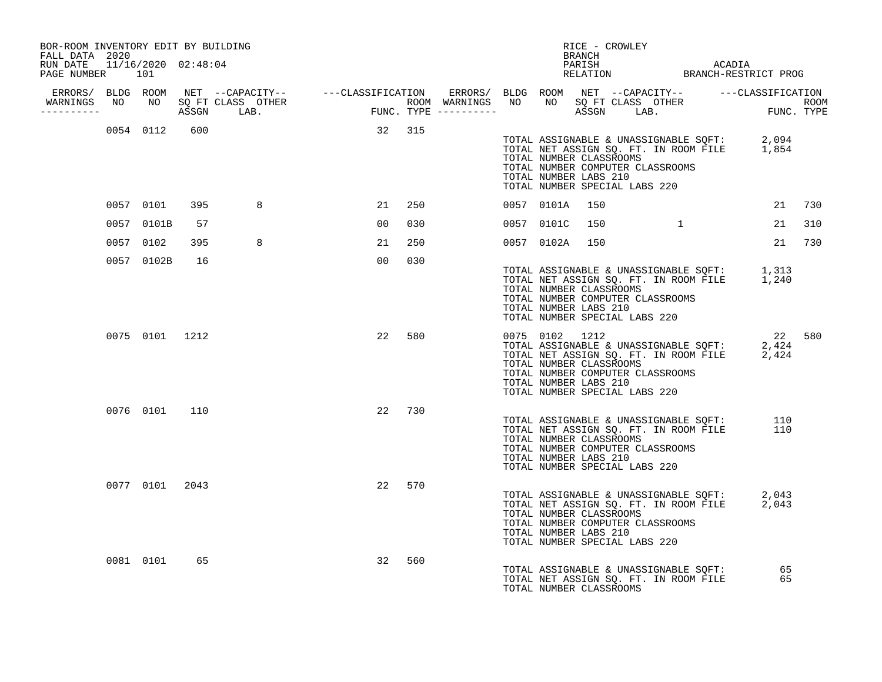| BOR-ROOM INVENTORY EDIT BY BUILDING<br>FALL DATA 2020 |               |    |                |                |        |        |                | RICE - CROWLEY<br><b>BRANCH</b>                                                                                                         |  |                                                                                                      |        |
|-------------------------------------------------------|---------------|----|----------------|----------------|--------|--------|----------------|-----------------------------------------------------------------------------------------------------------------------------------------|--|------------------------------------------------------------------------------------------------------|--------|
| RUN DATE 11/16/2020 02:48:04<br>PAGE NUMBER 101       |               |    |                |                |        |        |                |                                                                                                                                         |  | PARISH PARISH ACADIA<br>RELATION BRANCH-RESTRICT PROG                                                |        |
|                                                       |               |    |                |                |        |        |                |                                                                                                                                         |  |                                                                                                      |        |
|                                                       |               |    |                |                |        |        |                |                                                                                                                                         |  |                                                                                                      |        |
|                                                       |               |    | 0054 0112 600  | 32 315         |        |        |                | TOTAL NUMBER CLASSROOMS<br>TOTAL NUMBER COMPUTER CLASSROOMS<br>TOTAL NUMBER LABS 210<br>TOTAL NUMBER SPECIAL LABS 220                   |  | TOTAL ASSIGNABLE & UNASSIGNABLE SQFT: 2,094<br>TOTAL NET ASSIGN SQ. FT. IN ROOM FILE 1,854           |        |
|                                                       | 0057 0101     |    | 395 11<br>8    |                |        | 21 250 | 0057 0101A 150 |                                                                                                                                         |  |                                                                                                      | 21 730 |
|                                                       | 0057 0101B    | 57 |                |                | 00 030 |        |                | 0057 0101C 150 1                                                                                                                        |  |                                                                                                      | 21 310 |
|                                                       | 0057 0102     |    | 395 8          |                | 21 250 |        |                | 0057 0102A 150                                                                                                                          |  | 21 730                                                                                               |        |
|                                                       | 0057 0102B    | 16 |                | 0 <sub>0</sub> | 030    |        |                | TOTAL NUMBER CLASSROOMS<br>TOTAL NUMBER COMPUTER CLASSROOMS<br>TOTAL NUMBER LABS 210<br>TOTAL NUMBER SPECIAL LABS 220                   |  | TOTAL ASSIGNABLE & UNASSIGNABLE SQFT: 1,313<br>TOTAL NET ASSIGN SQ. FT. IN ROOM FILE 1,240           |        |
|                                                       |               |    | 0075 0101 1212 |                | 22 580 |        |                | 0075 0102 1212<br>TOTAL NUMBER CLASSROOMS<br>TOTAL NUMBER COMPUTER CLASSROOMS<br>TOTAL NUMBER LABS 210<br>TOTAL NUMBER SPECIAL LABS 220 |  | 22 580<br>TOTAL ASSIGNABLE & UNASSIGNABLE SOFT: 2,424<br>TOTAL NET ASSIGN SQ. FT. IN ROOM FILE 2,424 |        |
|                                                       | 0076 0101 110 |    |                |                | 22 730 |        |                |                                                                                                                                         |  |                                                                                                      |        |
|                                                       |               |    |                |                |        |        |                | TOTAL NUMBER CLASSROOMS<br>TOTAL NUMBER COMPUTER CLASSROOMS<br>TOTAL NUMBER LABS 210<br>TOTAL NUMBER SPECIAL LABS 220                   |  | TOTAL ASSIGNABLE & UNASSIGNABLE SQFT: 110<br>TOTAL NET ASSIGN SQ. FT. IN ROOM FILE 110               |        |
|                                                       |               |    | 0077 0101 2043 |                | 22 570 |        |                | TOTAL NUMBER CLASSROOMS<br>TOTAL NUMBER COMPUTER CLASSROOMS<br>TOTAL NUMBER LABS 210<br>TOTAL NUMBER SPECIAL LABS 220                   |  | TOTAL ASSIGNABLE & UNASSIGNABLE SQFT: 2,043<br>TOTAL NET ASSIGN SQ. FT. IN ROOM FILE 2,043           |        |
|                                                       | 0081 0101     | 65 |                |                | 32 560 |        |                | TOTAL NUMBER CLASSROOMS                                                                                                                 |  | TOTAL ASSIGNABLE & UNASSIGNABLE SQFT: 65<br>TOTAL NET ASSIGN SQ. FT. IN ROOM FILE 65                 |        |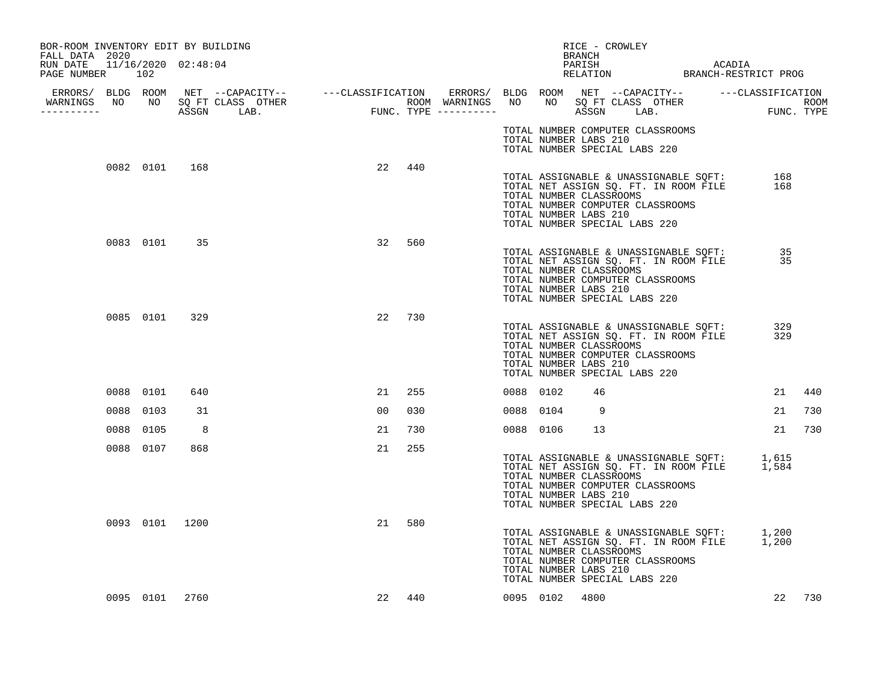| BOR-ROOM INVENTORY EDIT BY BUILDING                               |                |      |                                                                                                                                                                                                                                      |    |        |           |                                                  |    | RICE - CROWLEY<br>BRANCH                                                                                                                                        |  |            |     |
|-------------------------------------------------------------------|----------------|------|--------------------------------------------------------------------------------------------------------------------------------------------------------------------------------------------------------------------------------------|----|--------|-----------|--------------------------------------------------|----|-----------------------------------------------------------------------------------------------------------------------------------------------------------------|--|------------|-----|
| FALL DATA 2020<br>RUN DATE 11/16/2020 02:48:04<br>PAGE NUMBER 102 |                |      |                                                                                                                                                                                                                                      |    |        |           |                                                  |    |                                                                                                                                                                 |  |            |     |
|                                                                   |                |      |                                                                                                                                                                                                                                      |    |        |           |                                                  |    |                                                                                                                                                                 |  |            |     |
| WARNINGS NO NO SQ FT CLASS OTHER<br>----------                    |                |      | ERRORS/ BLDG ROOM NET --CAPACITY-- ----CLASSIFICATION ERRORS/ BLDG ROOM NET --CAPACITY-- -----CLASSIFICATION<br>NARNINGS NO NO SQFTCLASS OTHER ROOM WARNINGS NO NO SQFTCLASS OTHER ROOM<br>---------- ASSGN LAB. FUNC.TYPE --------- |    |        |           |                                                  |    |                                                                                                                                                                 |  |            |     |
|                                                                   |                |      |                                                                                                                                                                                                                                      |    |        |           | TOTAL NUMBER LABS 210                            |    | TOTAL NUMBER COMPUTER CLASSROOMS<br>TOTAL NUMBER SPECIAL LABS 220                                                                                               |  |            |     |
|                                                                   | 0082 0101 168  |      |                                                                                                                                                                                                                                      | 22 | 440    |           | TOTAL NUMBER CLASSROOMS<br>TOTAL NUMBER LABS 210 |    | TOTAL ASSIGNABLE & UNASSIGNABLE SQFT:<br>TOTAL NET ASSIGN SQ. FT. IN ROOM FILE<br>TOTAL NUMBER COMPUTER CLASSROOMS<br>TOTAL NUMBER SPECIAL LABS 220             |  | 168<br>168 |     |
|                                                                   | 0083 0101 35   |      |                                                                                                                                                                                                                                      | 32 | 560    |           | TOTAL NUMBER CLASSROOMS<br>TOTAL NUMBER LABS 210 |    | TOTAL ASSIGNABLE & UNASSIGNABLE SQFT:<br>TOTAL NET ASSIGN SQ. FT. IN ROOM FILE<br>TOTAL NUMBER COMPUTER CLASSROOMS<br>TOTAL NUMBER SPECIAL LABS 220             |  | 35<br>35   |     |
|                                                                   | 0085 0101      | 329  |                                                                                                                                                                                                                                      | 22 | 730    |           | TOTAL NUMBER CLASSROOMS<br>TOTAL NUMBER LABS 210 |    | TOTAL ASSIGNABLE & UNASSIGNABLE SQFT:<br>TOTAL NET ASSIGN SQ. FT. IN ROOM FILE<br>TOTAL NUMBER COMPUTER CLASSROOMS<br>TOTAL NUMBER SPECIAL LABS 220             |  | 329<br>329 |     |
|                                                                   | 0088 0101      | 640  |                                                                                                                                                                                                                                      | 21 | 255    | 0088 0102 |                                                  | 46 |                                                                                                                                                                 |  | 21         | 440 |
|                                                                   | 0088 0103      | 31   |                                                                                                                                                                                                                                      | 00 | 030    | 0088 0104 |                                                  | 9  |                                                                                                                                                                 |  | 21         | 730 |
| 0088                                                              | 0105           | 8    |                                                                                                                                                                                                                                      | 21 | 730    | 0088 0106 |                                                  | 13 |                                                                                                                                                                 |  | 21         | 730 |
|                                                                   | 0088 0107      | 868  |                                                                                                                                                                                                                                      | 21 | 255    |           | TOTAL NUMBER CLASSROOMS<br>TOTAL NUMBER LABS 210 |    | TOTAL ASSIGNABLE & UNASSIGNABLE SQFT: 1,615<br>TOTAL NET ASSIGN SQ. FT. IN ROOM FILE 1,584<br>TOTAL NUMBER COMPUTER CLASSROOMS<br>TOTAL NUMBER SPECIAL LABS 220 |  |            |     |
|                                                                   | 0093 0101 1200 |      |                                                                                                                                                                                                                                      | 21 | 580    |           | TOTAL NUMBER CLASSROOMS<br>TOTAL NUMBER LABS 210 |    | TOTAL ASSIGNABLE & UNASSIGNABLE SQFT: 1,200<br>TOTAL NET ASSIGN SQ. FT. IN ROOM FILE 1,200<br>TOTAL NUMBER COMPUTER CLASSROOMS<br>TOTAL NUMBER SPECIAL LABS 220 |  |            |     |
|                                                                   | 0095 0101      | 2760 |                                                                                                                                                                                                                                      |    | 22 440 |           | 0095 0102 4800                                   |    |                                                                                                                                                                 |  | 22         | 730 |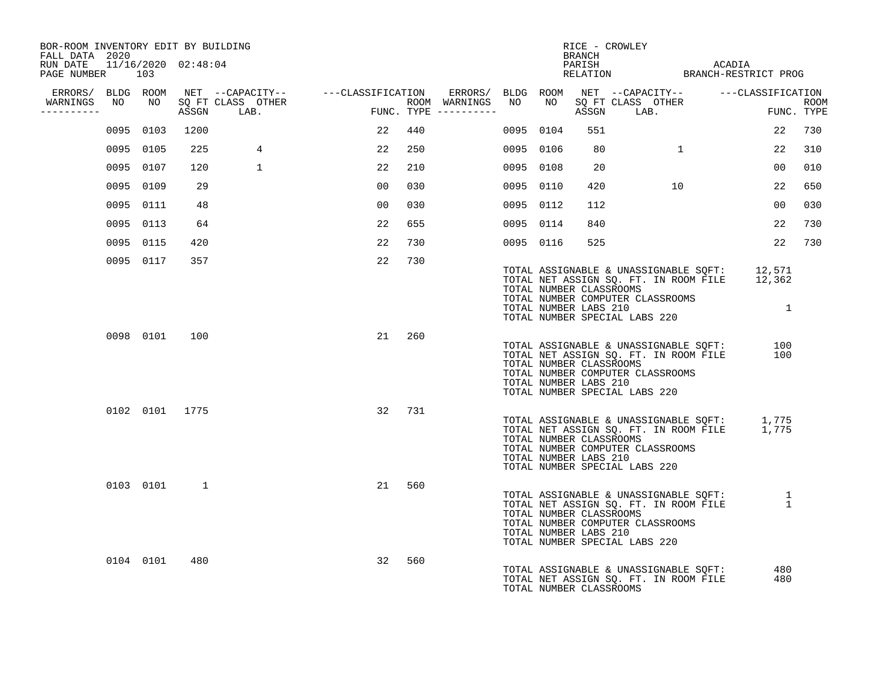| BOR-ROOM INVENTORY EDIT BY BUILDING<br>FALL DATA 2020 |    |           |                |                      |                                                                                                               |                |     |                                            |           | BRANCH                                           | RICE - CROWLEY                                                                                                        |                |                                                                                              |                |     |
|-------------------------------------------------------|----|-----------|----------------|----------------------|---------------------------------------------------------------------------------------------------------------|----------------|-----|--------------------------------------------|-----------|--------------------------------------------------|-----------------------------------------------------------------------------------------------------------------------|----------------|----------------------------------------------------------------------------------------------|----------------|-----|
| RUN DATE 11/16/2020 02:48:04<br>PAGE NUMBER 103       |    |           |                |                      |                                                                                                               |                |     |                                            |           |                                                  |                                                                                                                       |                |                                                                                              |                |     |
|                                                       |    |           |                |                      | ERRORS/ BLDG ROOM NET --CAPACITY-- - ---CLASSIFICATION ERRORS/ BLDG ROOM NET --CAPACITY-- - ---CLASSIFICATION |                |     |                                            |           |                                                  |                                                                                                                       |                |                                                                                              |                |     |
| WARNINGS<br>----------                                | NO |           | ASSGN LAB.     | NO SQ FT CLASS OTHER | FUNC                                                                                                          |                |     | ROOM WARNINGS NO<br>$FUNC. TYPE$ --------- |           |                                                  |                                                                                                                       |                | NO SOFT CLASS OTHER TUNC. TYPE                                                               |                |     |
|                                                       |    | 0095 0103 | 1200           |                      |                                                                                                               | 22             | 440 |                                            | 0095 0104 | 551                                              |                                                                                                                       |                |                                                                                              | 22             | 730 |
|                                                       |    | 0095 0105 | 225            | 4                    |                                                                                                               | 22             | 250 |                                            | 0095 0106 | 80                                               |                                                                                                                       | $\overline{1}$ |                                                                                              | 22             | 310 |
|                                                       |    | 0095 0107 | 120            | $\mathbf{1}$         |                                                                                                               | 22             | 210 |                                            | 0095 0108 | 20                                               |                                                                                                                       |                |                                                                                              | 00             | 010 |
|                                                       |    | 0095 0109 | 29             |                      |                                                                                                               | 0 <sub>0</sub> | 030 |                                            | 0095 0110 | 420                                              |                                                                                                                       | 10             |                                                                                              | 22             | 650 |
|                                                       |    | 0095 0111 | 48             |                      |                                                                                                               | 0 <sub>0</sub> | 030 |                                            | 0095 0112 | 112                                              |                                                                                                                       |                |                                                                                              | 0 <sub>0</sub> | 030 |
|                                                       |    | 0095 0113 | 64             |                      |                                                                                                               | 22             | 655 |                                            | 0095 0114 | 840                                              |                                                                                                                       |                |                                                                                              | 22             | 730 |
|                                                       |    | 0095 0115 | 420            |                      |                                                                                                               | 22             | 730 |                                            | 0095 0116 | 525                                              |                                                                                                                       |                |                                                                                              | 22             | 730 |
|                                                       |    | 0095 0117 | 357            |                      |                                                                                                               | 22             | 730 |                                            |           |                                                  | TOTAL NUMBER CLASSROOMS<br>TOTAL NUMBER COMPUTER CLASSROOMS<br>TOTAL NUMBER LABS 210<br>TOTAL NUMBER SPECIAL LABS 220 |                | TOTAL ASSIGNABLE & UNASSIGNABLE SQFT: 12,571<br>TOTAL NET ASSIGN SQ. FT. IN ROOM FILE 12,362 | $\overline{1}$ |     |
|                                                       |    |           | 0098 0101 100  |                      |                                                                                                               | 21 260         |     |                                            |           | TOTAL NUMBER CLASSROOMS<br>TOTAL NUMBER LABS 210 | TOTAL NUMBER COMPUTER CLASSROOMS<br>TOTAL NUMBER SPECIAL LABS 220                                                     |                | TOTAL ASSIGNABLE & UNASSIGNABLE SQFT: 100<br>TOTAL NET ASSIGN SQ. FT. IN ROOM FILE 100       |                |     |
|                                                       |    |           | 0102 0101 1775 |                      |                                                                                                               | 32 731         |     |                                            |           | TOTAL NUMBER CLASSROOMS<br>TOTAL NUMBER LABS 210 | TOTAL NUMBER COMPUTER CLASSROOMS<br>TOTAL NUMBER SPECIAL LABS 220                                                     |                | TOTAL ASSIGNABLE & UNASSIGNABLE SQFT: 1,775<br>TOTAL NET ASSIGN SQ. FT. IN ROOM FILE 1,775   |                |     |
|                                                       |    |           | 0103 0101 1    |                      |                                                                                                               | 21             | 560 |                                            |           | TOTAL NUMBER CLASSROOMS<br>TOTAL NUMBER LABS 210 | TOTAL NUMBER COMPUTER CLASSROOMS<br>TOTAL NUMBER SPECIAL LABS 220                                                     |                | TOTAL ASSIGNABLE & UNASSIGNABLE SQFT: 1<br>TOTAL NET ASSIGN SQ. FT. IN ROOM FILE 1           |                |     |
|                                                       |    | 0104 0101 | 480            |                      |                                                                                                               | 32             | 560 |                                            |           | TOTAL NUMBER CLASSROOMS                          |                                                                                                                       |                | TOTAL ASSIGNABLE & UNASSIGNABLE SQFT:<br>TOTAL NET ASSIGN SQ. FT. IN ROOM FILE               | 480<br>480     |     |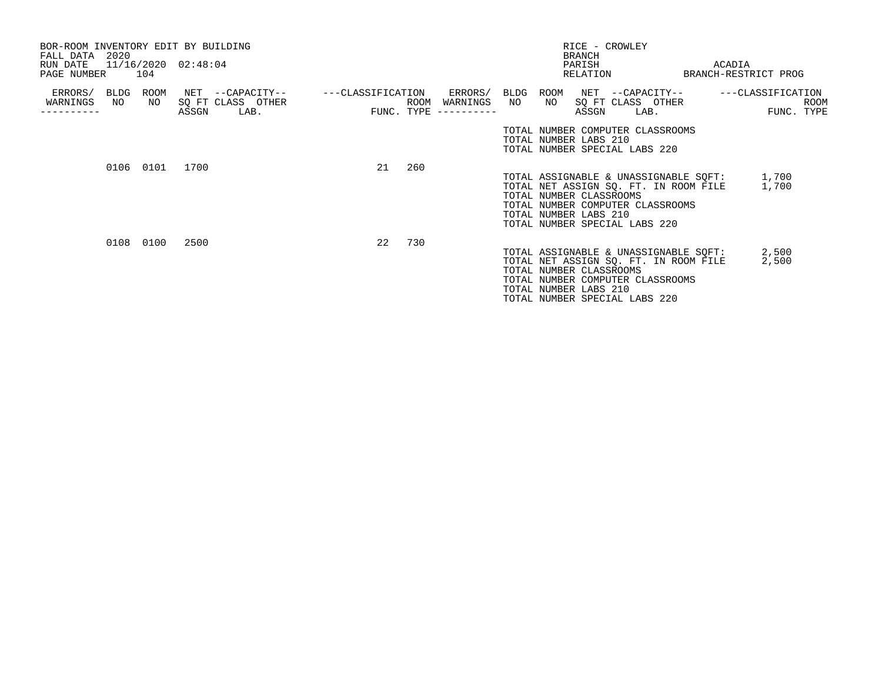| BOR-ROOM INVENTORY EDIT BY BUILDING<br>FALL DATA 2020<br>RUN DATE 11/16/2020 02:48:04<br>PAGE NUMBER |    | 104        |       |                                               |                   |     |                                                      |    | BRANCH<br>PARISH<br>RELATION                                                                                                                                   | RICE - CROWLEY                        |      | ACADIA<br>BRANCH-RESTRICT PROG                       |                    |
|------------------------------------------------------------------------------------------------------|----|------------|-------|-----------------------------------------------|-------------------|-----|------------------------------------------------------|----|----------------------------------------------------------------------------------------------------------------------------------------------------------------|---------------------------------------|------|------------------------------------------------------|--------------------|
| ERRORS/ BLDG<br>WARNINGS                                                                             | NO | ROOM<br>NO | ASSGN | NET --CAPACITY--<br>SQ FT CLASS OTHER<br>LAB. | ---CLASSIFICATION |     | ERRORS/ BLDG<br>ROOM WARNINGS<br>FUNC. TYPE $------$ | NO | ROOM<br>NO 11<br>ASSGN                                                                                                                                         | NET --CAPACITY--<br>SQ FT CLASS OTHER | LAB. | ---CLASSIFICATION                                    | ROOM<br>FUNC. TYPE |
|                                                                                                      |    |            |       |                                               |                   |     |                                                      |    | TOTAL NUMBER COMPUTER CLASSROOMS<br>TOTAL NUMBER LABS 210<br>TOTAL NUMBER SPECIAL LABS 220                                                                     |                                       |      |                                                      |                    |
|                                                                                                      |    | 0106 0101  | 1700  |                                               | 21                | 260 |                                                      |    | TOTAL NET ASSIGN SQ. FT. IN ROOM FILE<br>TOTAL NUMBER CLASSROOMS<br>TOTAL NUMBER COMPUTER CLASSROOMS<br>TOTAL NUMBER LABS 210<br>TOTAL NUMBER SPECIAL LABS 220 |                                       |      | TOTAL ASSIGNABLE & UNASSIGNABLE SQFT: 1,700<br>1,700 |                    |
|                                                                                                      |    | 0108 0100  | 2500  |                                               | 22                | 730 |                                                      |    | TOTAL NET ASSIGN SQ. FT. IN ROOM FILE<br>TOTAL NUMBER CLASSROOMS<br>TOTAL NUMBER COMPUTER CLASSROOMS<br>TOTAL NUMBER LABS 210<br>TOTAL NUMBER SPECIAL LABS 220 |                                       |      | TOTAL ASSIGNABLE & UNASSIGNABLE SQFT: 2,500<br>2,500 |                    |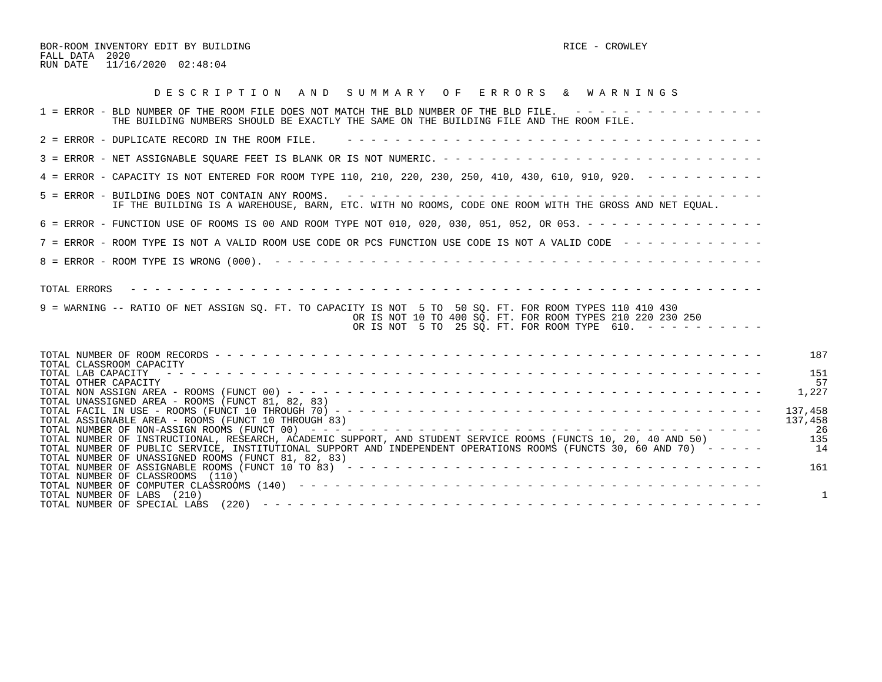BOR-ROOM INVENTORY EDIT BY BUILDING RICE - CROWLEY FALL DATA 2020 RUN DATE 11/16/2020 02:48:04

| DESCRIPTION AND SUMMARY OF ERRORS & WARNINGS                                                                                                                                                                                                                                                  |                  |
|-----------------------------------------------------------------------------------------------------------------------------------------------------------------------------------------------------------------------------------------------------------------------------------------------|------------------|
| $1$ = ERROR - BLD NUMBER OF THE ROOM FILE DOES NOT MATCH THE BLD NUMBER OF THE BLD FILE. $- - - - - - - - - - - - - - - - - -$<br>THE BUILDING NUMBERS SHOULD BE EXACTLY THE SAME ON THE BUILDING FILE AND THE ROOM FILE.                                                                     |                  |
| 2 = ERROR - DUPLICATE RECORD IN THE ROOM FILE.                                                                                                                                                                                                                                                |                  |
|                                                                                                                                                                                                                                                                                               |                  |
| 4 = ERROR - CAPACITY IS NOT ENTERED FOR ROOM TYPE 110, 210, 220, 230, 250, 410, 430, 610, 910, 920. - - - - - - - - -                                                                                                                                                                         |                  |
| IF THE BUILDING IS A WAREHOUSE, BARN, ETC. WITH NO ROOMS, CODE ONE ROOM WITH THE GROSS AND NET EQUAL.                                                                                                                                                                                         |                  |
| 6 = ERROR - FUNCTION USE OF ROOMS IS 00 AND ROOM TYPE NOT 010, 020, 030, 051, 052, OR 053. - - - - - - - - - - - - - - -                                                                                                                                                                      |                  |
| 7 = ERROR - ROOM TYPE IS NOT A VALID ROOM USE CODE OR PCS FUNCTION USE CODE IS NOT A VALID CODE ------------                                                                                                                                                                                  |                  |
|                                                                                                                                                                                                                                                                                               |                  |
| 9 = WARNING -- RATIO OF NET ASSIGN SO. FT. TO CAPACITY IS NOT 5 TO 50 SO. FT. FOR ROOM TYPES 110 410 430<br>OR IS NOT 10 TO 400 SO. FT. FOR ROOM TYPES 210 220 230 250<br>OR IS NOT 5 TO 25 SQ. FT. FOR ROOM TYPE 610. $- - - - - - - - - - -$                                                |                  |
| TOTAL CLASSROOM CAPACITY<br>TOTAL LAB CAPACITY<br>TOTAL OTHER CAPACITY                                                                                                                                                                                                                        | 187<br>151<br>57 |
| TOTAL UNASSIGNED AREA - ROOMS (FUNCT 81, 82, 83)                                                                                                                                                                                                                                              | 1,227<br>137,458 |
| TOTAL ASSIGNABLE AREA - ROOMS (FUNCT 10 THROUGH 83)                                                                                                                                                                                                                                           | 137,458<br>-26   |
| TOTAL NUMBER OF INSTRUCTIONAL, RESEARCH, ACADEMIC SUPPORT, AND STUDENT SERVICE ROOMS (FUNCTS 10, 20, 40 AND 50)<br>TOTAL NUMBER OF PUBLIC SERVICE, INSTITUTIONAL SUPPORT AND INDEPENDENT OPERATIONS ROOMS (FUNCTS 30, 60 AND 70) -----<br>TOTAL NUMBER OF UNASSIGNED ROOMS (FUNCT 81, 82, 83) | 135<br>14        |
| TOTAL NUMBER OF ASSIGNABLE ROOMS (FUNCT 10 TO 83) $- - - - - - - - - - - - - - - - - - - - - - - - - - - - - - - - - - - -$<br>TOTAL NUMBER OF CLASSROOMS (110)                                                                                                                               | 161              |
| TOTAL NUMBER OF LABS (210)                                                                                                                                                                                                                                                                    |                  |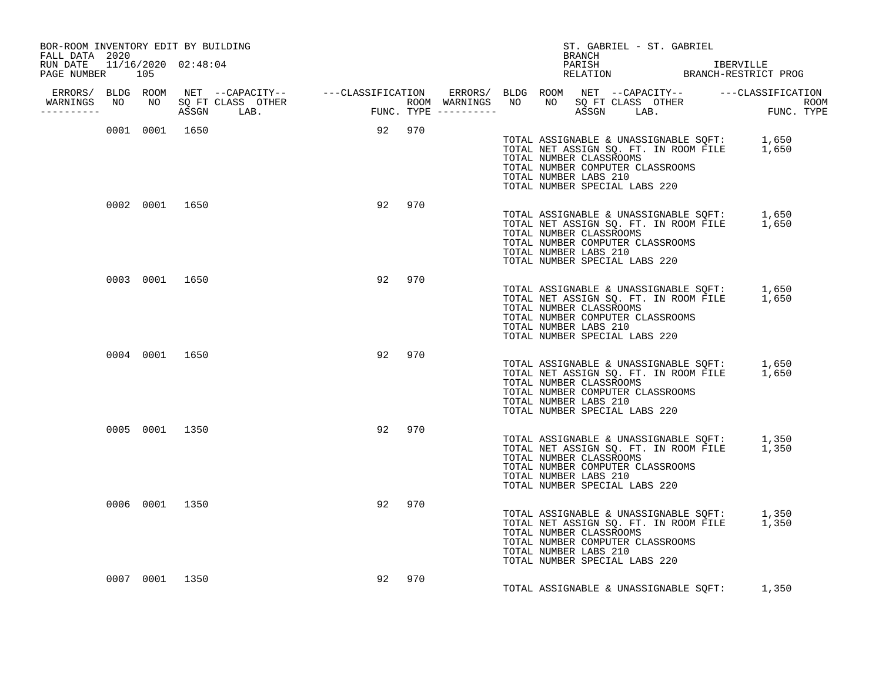| BOR-ROOM INVENTORY EDIT BY BUILDING<br>FALL DATA 2020 |  |                |                |        |        |     |  |                                                                                                                       | ST. GABRIEL - ST. GABRIEL<br>BRANCH |  |  |                                                                                            |  |
|-------------------------------------------------------|--|----------------|----------------|--------|--------|-----|--|-----------------------------------------------------------------------------------------------------------------------|-------------------------------------|--|--|--------------------------------------------------------------------------------------------|--|
| RUN DATE 11/16/2020 02:48:04<br>PAGE NUMBER 105       |  |                |                |        |        |     |  |                                                                                                                       |                                     |  |  | PARISH IBERVILLE<br>RELATION BRANCH-RESTRICT PROG                                          |  |
| ----------                                            |  |                |                |        |        |     |  |                                                                                                                       |                                     |  |  |                                                                                            |  |
|                                                       |  |                | 0001 0001 1650 | 92 970 |        |     |  | TOTAL NUMBER CLASSROOMS<br>TOTAL NUMBER COMPUTER CLASSROOMS<br>TOTAL NUMBER LABS 210<br>TOTAL NUMBER SPECIAL LABS 220 |                                     |  |  | TOTAL ASSIGNABLE & UNASSIGNABLE SQFT: 1,650<br>TOTAL NET ASSIGN SQ. FT. IN ROOM FILE 1,650 |  |
|                                                       |  |                | 0002 0001 1650 |        | 92 970 |     |  | TOTAL NUMBER CLASSROOMS<br>TOTAL NUMBER COMPUTER CLASSROOMS<br>TOTAL NUMBER LABS 210<br>TOTAL NUMBER SPECIAL LABS 220 |                                     |  |  | TOTAL ASSIGNABLE & UNASSIGNABLE SQFT: 1,650<br>TOTAL NET ASSIGN SQ. FT. IN ROOM FILE 1,650 |  |
|                                                       |  | 0003 0001 1650 |                |        | 92 970 |     |  | TOTAL NUMBER CLASSROOMS<br>TOTAL NUMBER COMPUTER CLASSROOMS<br>TOTAL NUMBER LABS 210<br>TOTAL NUMBER SPECIAL LABS 220 |                                     |  |  | TOTAL ASSIGNABLE & UNASSIGNABLE SQFT: 1,650<br>TOTAL NET ASSIGN SQ. FT. IN ROOM FILE 1,650 |  |
|                                                       |  | 0004 0001 1650 |                |        | 92 970 |     |  | TOTAL NUMBER CLASSROOMS<br>TOTAL NUMBER COMPUTER CLASSROOMS<br>TOTAL NUMBER LABS 210<br>TOTAL NUMBER SPECIAL LABS 220 |                                     |  |  | TOTAL ASSIGNABLE & UNASSIGNABLE SQFT: 1,650<br>TOTAL NET ASSIGN SQ. FT. IN ROOM FILE 1,650 |  |
|                                                       |  | 0005 0001 1350 |                |        | 92 970 |     |  | TOTAL NUMBER CLASSROOMS<br>TOTAL NUMBER COMPUTER CLASSROOMS<br>TOTAL NUMBER LABS 210<br>TOTAL NUMBER SPECIAL LABS 220 |                                     |  |  | TOTAL ASSIGNABLE & UNASSIGNABLE SQFT: 1,350<br>TOTAL NET ASSIGN SQ. FT. IN ROOM FILE 1,350 |  |
|                                                       |  | 0006 0001 1350 |                |        | 92 970 |     |  | TOTAL NUMBER CLASSROOMS<br>TOTAL NUMBER COMPUTER CLASSROOMS<br>TOTAL NUMBER LABS 210<br>TOTAL NUMBER SPECIAL LABS 220 |                                     |  |  | TOTAL ASSIGNABLE & UNASSIGNABLE SQFT: 1,350<br>TOTAL NET ASSIGN SQ. FT. IN ROOM FILE 1,350 |  |
|                                                       |  | 0007 0001 1350 |                |        | 92     | 970 |  |                                                                                                                       |                                     |  |  | TOTAL ASSIGNABLE & UNASSIGNABLE SQFT: 1,350                                                |  |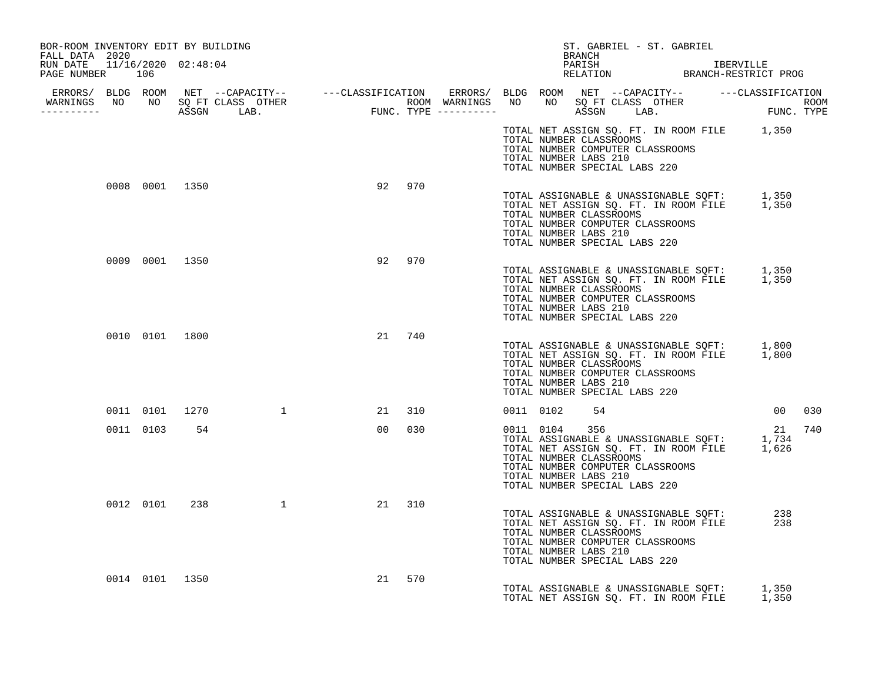| BOR-ROOM INVENTORY EDIT BY BUILDING<br>FALL DATA 2020 |                |    |                                                                                                                                                                                                                                      |    |        |  | BRANCH                                                                                                                                                                                                                                      | ST. GABRIEL - ST. GABRIEL |  |                                                   |        |  |
|-------------------------------------------------------|----------------|----|--------------------------------------------------------------------------------------------------------------------------------------------------------------------------------------------------------------------------------------|----|--------|--|---------------------------------------------------------------------------------------------------------------------------------------------------------------------------------------------------------------------------------------------|---------------------------|--|---------------------------------------------------|--------|--|
| RUN DATE 11/16/2020 02:48:04<br>PAGE NUMBER 106       |                |    |                                                                                                                                                                                                                                      |    |        |  |                                                                                                                                                                                                                                             |                           |  | PARISH IBERVILLE<br>RELATION BRANCH-RESTRICT PROG |        |  |
|                                                       |                |    |                                                                                                                                                                                                                                      |    |        |  |                                                                                                                                                                                                                                             |                           |  |                                                   |        |  |
|                                                       |                |    | ERRORS/ BLDG ROOM NET --CAPACITY-- ----CLASSIFICATION ERRORS/ BLDG ROOM NET --CAPACITY-- -----CLASSIFICATION<br>WARNINGS NO NO SQFTCLASS OTHER ROOM WARNINGS NO NO SQFTCLASS OTHER ROOM<br>----------- ASSGN LAB. FUNC.TYPE -------- |    |        |  |                                                                                                                                                                                                                                             |                           |  |                                                   |        |  |
|                                                       |                |    |                                                                                                                                                                                                                                      |    |        |  | TOTAL NET ASSIGN SQ. FT. IN ROOM FILE 1,350<br>TOTAL NUMBER CLASSROOMS<br>TOTAL NUMBER COMPUTER CLASSROOMS<br>TOTAL NUMBER LABS 210<br>TOTAL NUMBER SPECIAL LABS 220                                                                        |                           |  |                                                   |        |  |
|                                                       | 0008 0001 1350 |    |                                                                                                                                                                                                                                      |    | 92 970 |  | TOTAL ASSIGNABLE & UNASSIGNABLE SQFT: 1,350<br>TOTAL NET ASSIGN SQ. FT. IN ROOM FILE 1,350<br>TOTAL NUMBER CLASSROOMS<br>TOTAL NUMBER COMPUTER CLASSROOMS<br>TOTAL NUMBER LABS 210<br>TOTAL NUMBER SPECIAL LABS 220                         |                           |  |                                                   |        |  |
|                                                       | 0009 0001 1350 |    |                                                                                                                                                                                                                                      |    | 92 970 |  | TOTAL ASSIGNABLE & UNASSIGNABLE SQFT: 1,350<br>TOTAL NET ASSIGN SQ. FT. IN ROOM FILE 1,350<br>TOTAL NUMBER CLASSROOMS<br>TOTAL NUMBER COMPUTER CLASSROOMS<br>TOTAL NUMBER LABS 210<br>TOTAL NUMBER SPECIAL LABS 220                         |                           |  |                                                   |        |  |
|                                                       | 0010 0101 1800 |    |                                                                                                                                                                                                                                      |    | 21 740 |  | TOTAL ASSIGNABLE & UNASSIGNABLE SQFT: 1,800<br>TOTAL NET ASSIGN SQ. FT. IN ROOM FILE 1,800<br>TOTAL NUMBER CLASSROOMS<br>TOTAL NUMBER COMPUTER CLASSROOMS<br>TOTAL NUMBER LABS 210<br>TOTAL NUMBER SPECIAL LABS 220                         |                           |  |                                                   |        |  |
|                                                       |                |    | 0011 0101 1270 1                                                                                                                                                                                                                     |    | 21 310 |  | 0011 0102 54                                                                                                                                                                                                                                |                           |  | 00 030                                            |        |  |
|                                                       | 0011 0103      | 54 |                                                                                                                                                                                                                                      |    | 00 030 |  | 0011 0104 356<br>121<br>TOTAL ASSIGNABLE & UNASSIGNABLE SQFT: 1,734<br>TOTAL NET ASSIGN SQ. FT. IN ROOM FILE 1,626<br>TOTAL NUMBER CLASSROOMS<br>TOTAL NUMBER COMPUTER CLASSROOMS<br>TOTAL NUMBER LABS 210<br>TOTAL NUMBER SPECIAL LABS 220 |                           |  |                                                   | 21 740 |  |
|                                                       |                |    | 0012 0101 238 1                                                                                                                                                                                                                      |    | 21 310 |  | TOTAL ASSIGNABLE & UNASSIGNABLE SQFT: 238<br>TOTAL NET ASSIGN SQ. FT. IN ROOM FILE 238<br>TOTAL NUMBER CLASSROOMS<br>TOTAL NUMBER COMPUTER CLASSROOMS<br>TOTAL NUMBER LABS 210<br>TOTAL NUMBER SPECIAL LABS 220                             |                           |  |                                                   |        |  |
|                                                       | 0014 0101 1350 |    |                                                                                                                                                                                                                                      | 21 | 570    |  | TOTAL ASSIGNABLE & UNASSIGNABLE SOFT: 1,350<br>TOTAL NET ASSIGN SO. FT. IN ROOM FILE 1,350                                                                                                                                                  |                           |  |                                                   |        |  |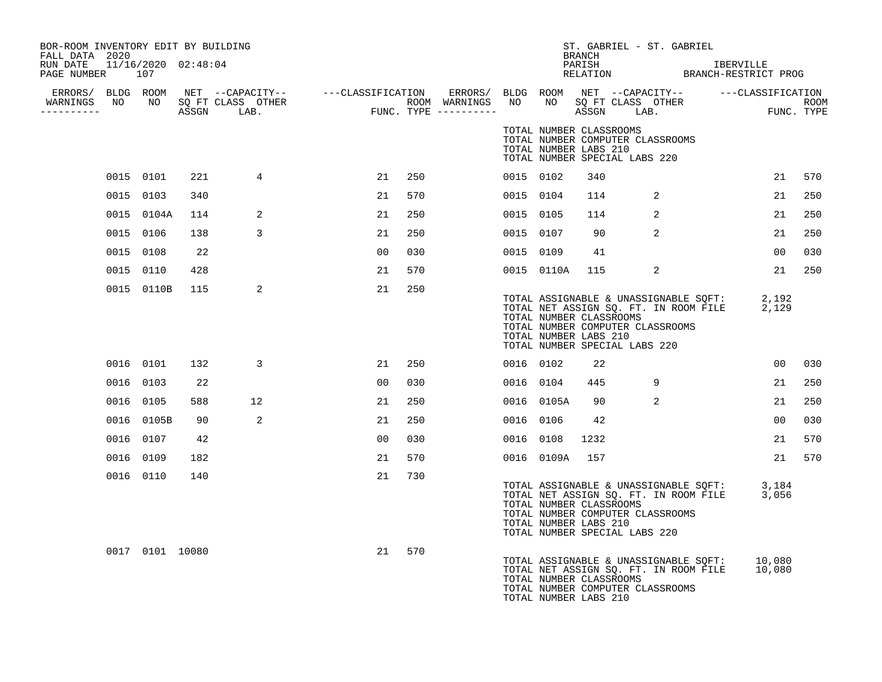| BOR-ROOM INVENTORY EDIT BY BUILDING<br>FALL DATA 2020 |                 |     |                |                |     |           |                | BRANCH                                           |                                                                   | ST. GABRIEL - ST. GABRIEL                                                                    |                 |     |
|-------------------------------------------------------|-----------------|-----|----------------|----------------|-----|-----------|----------------|--------------------------------------------------|-------------------------------------------------------------------|----------------------------------------------------------------------------------------------|-----------------|-----|
| RUN DATE 11/16/2020 02:48:04<br>PAGE NUMBER 107       |                 |     |                |                |     |           |                |                                                  |                                                                   |                                                                                              |                 |     |
| WARNINGS NO NO SQ FT CLASS OTHER                      |                 |     |                |                |     |           |                |                                                  |                                                                   |                                                                                              |                 |     |
| -----------                                           |                 |     |                |                |     |           |                |                                                  |                                                                   |                                                                                              |                 |     |
|                                                       |                 |     |                |                |     |           |                | TOTAL NUMBER CLASSROOMS<br>TOTAL NUMBER LABS 210 | TOTAL NUMBER COMPUTER CLASSROOMS<br>TOTAL NUMBER SPECIAL LABS 220 |                                                                                              |                 |     |
|                                                       | 0015 0101       | 221 | $\overline{4}$ | 21             | 250 | 0015 0102 |                | 340                                              |                                                                   |                                                                                              | 21              | 570 |
|                                                       | 0015 0103       | 340 |                | 21             | 570 | 0015 0104 |                | 114                                              | 2                                                                 |                                                                                              | 21              | 250 |
|                                                       | 0015 0104A      | 114 | 2              | 21             | 250 | 0015 0105 |                | 114                                              | $\overline{a}$                                                    |                                                                                              | 21              | 250 |
|                                                       | 0015 0106       | 138 | 3              | 21             | 250 | 0015 0107 |                | 90                                               | 2                                                                 |                                                                                              | 21              | 250 |
|                                                       | 0015 0108       | 22  |                | 00             | 030 | 0015 0109 |                | 41                                               |                                                                   |                                                                                              | 00              | 030 |
|                                                       | 0015 0110       | 428 |                | 21             | 570 |           | 0015 0110A 115 |                                                  | 2                                                                 |                                                                                              | 21              | 250 |
|                                                       | 0015 0110B      | 115 | 2              | 21             | 250 |           |                | TOTAL NUMBER CLASSROOMS<br>TOTAL NUMBER LABS 210 | TOTAL NUMBER COMPUTER CLASSROOMS<br>TOTAL NUMBER SPECIAL LABS 220 | TOTAL ASSIGNABLE & UNASSIGNABLE SQFT: 2,192<br>TOTAL NET ASSIGN SQ. FT. IN ROOM FILE 2,129   |                 |     |
|                                                       | 0016 0101       | 132 | 3              | 21             | 250 | 0016 0102 |                | 22                                               |                                                                   |                                                                                              | 00 <sub>o</sub> | 030 |
|                                                       | 0016 0103       | 22  |                | 0 <sub>0</sub> | 030 |           | 0016 0104      | 445                                              | 9                                                                 |                                                                                              | 21              | 250 |
|                                                       | 0016 0105       | 588 | 12             | 21             | 250 |           | 0016 0105A     | 90                                               | 2                                                                 |                                                                                              | 21              | 250 |
|                                                       | 0016 0105B      | 90  | 2              | 21             | 250 | 0016 0106 |                | 42                                               |                                                                   |                                                                                              | 00              | 030 |
|                                                       | 0016 0107       | 42  |                | 0 <sub>0</sub> | 030 |           | 0016 0108      | 1232                                             |                                                                   |                                                                                              | 21              | 570 |
|                                                       | 0016 0109       | 182 |                | 21             | 570 |           | 0016 0109A 157 |                                                  |                                                                   |                                                                                              | 21              | 570 |
|                                                       | 0016 0110       | 140 |                | 21             | 730 |           |                | TOTAL NUMBER CLASSROOMS<br>TOTAL NUMBER LABS 210 | TOTAL NUMBER COMPUTER CLASSROOMS<br>TOTAL NUMBER SPECIAL LABS 220 | TOTAL ASSIGNABLE & UNASSIGNABLE SQFT: 3,184<br>TOTAL NET ASSIGN SQ. FT. IN ROOM FILE 3,056   |                 |     |
|                                                       | 0017 0101 10080 |     |                | 21             | 570 |           |                | TOTAL NUMBER CLASSROOMS<br>TOTAL NUMBER LABS 210 | TOTAL NUMBER COMPUTER CLASSROOMS                                  | TOTAL ASSIGNABLE & UNASSIGNABLE SQFT: 10,080<br>TOTAL NET ASSIGN SQ. FT. IN ROOM FILE 10,080 |                 |     |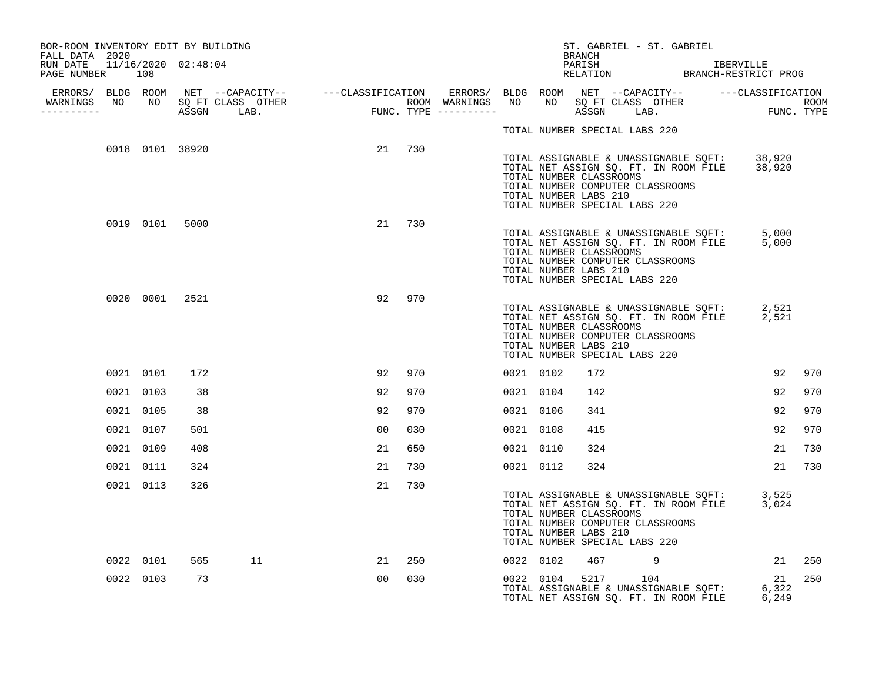| BOR-ROOM INVENTORY EDIT BY BUILDING                               |           |                |                 |                |        |           |           | BRANCH                                           | ST. GABRIEL - ST. GABRIEL                                         |                                                                                                                        |        |
|-------------------------------------------------------------------|-----------|----------------|-----------------|----------------|--------|-----------|-----------|--------------------------------------------------|-------------------------------------------------------------------|------------------------------------------------------------------------------------------------------------------------|--------|
| FALL DATA 2020<br>RUN DATE 11/16/2020 02:48:04<br>PAGE NUMBER 108 |           |                |                 |                |        |           |           |                                                  |                                                                   |                                                                                                                        |        |
|                                                                   |           |                |                 |                |        |           |           |                                                  |                                                                   |                                                                                                                        |        |
| -----------                                                       |           |                |                 |                |        |           |           |                                                  |                                                                   |                                                                                                                        |        |
|                                                                   |           |                |                 |                |        |           |           |                                                  | TOTAL NUMBER SPECIAL LABS 220                                     |                                                                                                                        |        |
|                                                                   |           |                | 0018 0101 38920 |                | 21 730 |           |           | TOTAL NUMBER CLASSROOMS<br>TOTAL NUMBER LABS 210 | TOTAL NUMBER COMPUTER CLASSROOMS<br>TOTAL NUMBER SPECIAL LABS 220 | TOTAL ASSIGNABLE & UNASSIGNABLE SQFT: 38,920<br>TOTAL NET ASSIGN SQ. FT. IN ROOM FILE 38,920                           |        |
|                                                                   |           | 0019 0101 5000 |                 | 21             | 730    |           |           | TOTAL NUMBER CLASSROOMS<br>TOTAL NUMBER LABS 210 | TOTAL NUMBER COMPUTER CLASSROOMS<br>TOTAL NUMBER SPECIAL LABS 220 | TOTAL ASSIGNABLE & UNASSIGNABLE SQFT: 5,000<br>TOTAL NET ASSIGN SQ. FT. IN ROOM FILE 5,000                             |        |
|                                                                   |           | 0020 0001 2521 |                 | 92             | 970    |           |           | TOTAL NUMBER CLASSROOMS<br>TOTAL NUMBER LABS 210 | TOTAL NUMBER COMPUTER CLASSROOMS<br>TOTAL NUMBER SPECIAL LABS 220 | TOTAL ASSIGNABLE & UNASSIGNABLE SQFT: 2,521<br>TOTAL NET ASSIGN SQ. FT. IN ROOM FILE 2,521                             |        |
|                                                                   | 0021 0101 | 172            |                 | 92             | 970    | 0021 0102 |           | 172                                              |                                                                   | 92                                                                                                                     | 970    |
|                                                                   | 0021 0103 | 38             |                 | 92             | 970    |           | 0021 0104 | 142                                              |                                                                   | 92                                                                                                                     | 970    |
|                                                                   | 0021 0105 | 38             |                 | 92             | 970    | 0021 0106 |           | 341                                              |                                                                   | 92                                                                                                                     | 970    |
|                                                                   | 0021 0107 | 501            |                 | 00             | 030    | 0021 0108 |           | 415                                              |                                                                   | 92                                                                                                                     | 970    |
|                                                                   | 0021 0109 | 408            |                 | 21             | 650    | 0021 0110 |           | 324                                              |                                                                   | 21                                                                                                                     | 730    |
|                                                                   | 0021 0111 | 324            |                 | 21             | 730    |           | 0021 0112 | 324                                              |                                                                   | 21                                                                                                                     | 730    |
|                                                                   | 0021 0113 | 326            |                 | 21             | 730    |           |           | TOTAL NUMBER CLASSROOMS<br>TOTAL NUMBER LABS 210 | TOTAL NUMBER COMPUTER CLASSROOMS<br>TOTAL NUMBER SPECIAL LABS 220 | TOTAL ASSIGNABLE & UNASSIGNABLE SQFT: 3,525<br>TOTAL NET ASSIGN SQ. FT. IN ROOM FILE 3,024                             |        |
|                                                                   | 0022 0101 | 565            | 11              | 21             | 250    |           | 0022 0102 |                                                  | 467 9                                                             |                                                                                                                        | 21 250 |
|                                                                   | 0022 0103 | 73             |                 | 0 <sub>0</sub> | 030    |           | 0022 0104 |                                                  | 5217 104                                                          | 21<br>0022 0104 5217 104<br>TOTAL ASSIGNABLE & UNASSIGNABLE SQFT: 6,322<br>TOTAL NET ASSIGN SQ. FT. IN ROOM FILE 6,249 | 250    |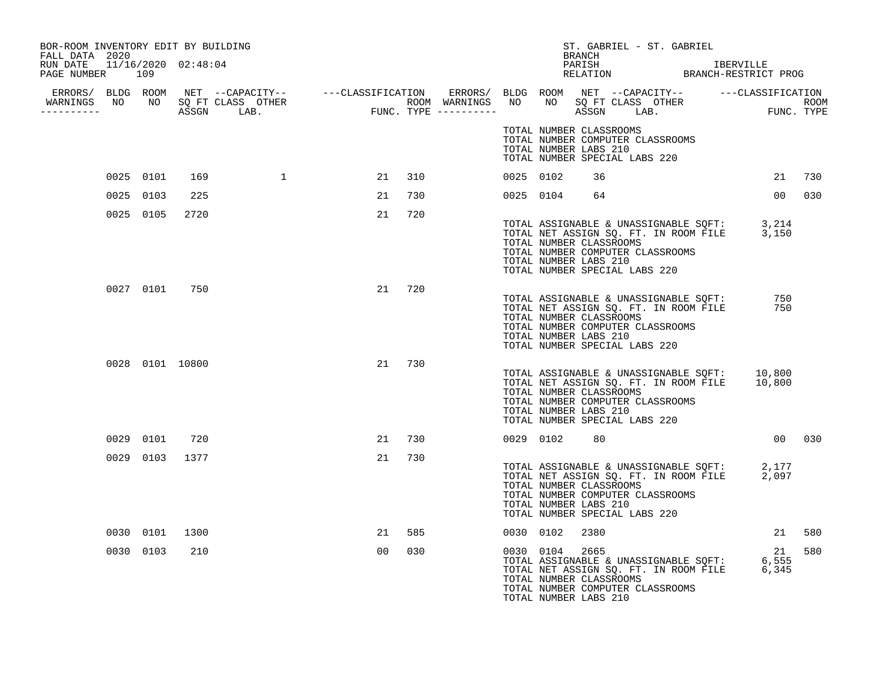| BOR-ROOM INVENTORY EDIT BY BUILDING<br>FALL DATA 2020 |           |           |                 |          |                |        |  |           | ST. GABRIEL - ST. GABRIEL<br>BRANCH                                                                                                                                                                                                       |            |        |
|-------------------------------------------------------|-----------|-----------|-----------------|----------|----------------|--------|--|-----------|-------------------------------------------------------------------------------------------------------------------------------------------------------------------------------------------------------------------------------------------|------------|--------|
| RUN DATE 11/16/2020 02:48:04<br>PAGE NUMBER 109       |           |           |                 |          |                |        |  |           |                                                                                                                                                                                                                                           |            |        |
|                                                       |           |           |                 |          |                |        |  |           |                                                                                                                                                                                                                                           |            |        |
|                                                       |           |           |                 |          |                |        |  |           | TOTAL NUMBER CLASSROOMS<br>TOTAL NUMBER COMPUTER CLASSROOMS<br>TOTAL NUMBER LABS 210<br>TOTAL NUMBER SPECIAL LABS 220                                                                                                                     |            |        |
|                                                       |           | 0025 0101 | 169             | $\sim$ 1 | 21             | 310    |  | 0025 0102 | 36                                                                                                                                                                                                                                        | 21         | 730    |
|                                                       | 0025 0103 |           | 225             |          | 21             | 730    |  |           | 0025 0104 64                                                                                                                                                                                                                              | 00         | 030    |
|                                                       |           | 0025 0105 | 2720            |          | 21             | 720    |  |           | TOTAL ASSIGNABLE & UNASSIGNABLE SQFT: 3,214<br>TOTAL NET ASSIGN SQ. FT. IN ROOM FILE 3,150<br>TOTAL NUMBER CLASSROOMS<br>TOTAL NUMBER COMPUTER CLASSROOMS<br>TOTAL NUMBER LABS 210<br>TOTAL NUMBER SPECIAL LABS 220                       |            |        |
|                                                       |           |           | 0027 0101 750   |          | 21             | 720    |  |           | TOTAL ASSIGNABLE & UNASSIGNABLE SQFT:<br>TOTAL NET ASSIGN SQ. FT. IN ROOM FILE<br>TOTAL NUMBER CLASSROOMS<br>TOTAL NUMBER COMPUTER CLASSROOMS<br>TOTAL NUMBER LABS 210<br>TOTAL NUMBER SPECIAL LABS 220                                   | 750<br>750 |        |
|                                                       |           |           | 0028 0101 10800 |          |                | 21 730 |  |           | TOTAL ASSIGNABLE & UNASSIGNABLE SQFT: 10,800<br>TOTAL NET ASSIGN SQ. FT. IN ROOM FILE 10,800<br>TOTAL NUMBER CLASSROOMS<br>TOTAL NUMBER COMPUTER CLASSROOMS<br>TOTAL NUMBER LABS 210<br>TOTAL NUMBER SPECIAL LABS 220                     |            |        |
|                                                       |           | 0029 0101 | 720             |          | 21             | 730    |  |           | 0029 0102 80                                                                                                                                                                                                                              |            | 00 030 |
|                                                       |           | 0029 0103 | 1377            |          | 21             | 730    |  |           | TOTAL ASSIGNABLE & UNASSIGNABLE SQFT: 2,177<br>TOTAL NET ASSIGN SQ. FT. IN ROOM FILE 2,097<br>TOTAL NUMBER CLASSROOMS<br>TOTAL NUMBER COMPUTER CLASSROOMS<br>TOTAL NUMBER LABS 210<br>TOTAL NUMBER SPECIAL LABS 220                       |            |        |
|                                                       |           | 0030 0101 | 1300            |          | 21             | 585    |  | 0030 0102 | 2380                                                                                                                                                                                                                                      | 21         | 580    |
|                                                       |           | 0030 0103 | 210             |          | 0 <sub>0</sub> | 030    |  | 0030 0104 | 2665<br>TOTAL ASSIGNABLE & UNASSIGNABLE SQFT: 6,555<br>TOTAL ASSIGNABLE & UNASSIGNABLE SQFT: 6,555<br>TOTAL NET ASSIGN SQ. FT. IN ROOM FILE 6,345<br>TOTAL NUMBER CLASSROOMS<br>TOTAL NUMBER COMPUTER CLASSROOMS<br>TOTAL NUMBER LABS 210 | 21         | 580    |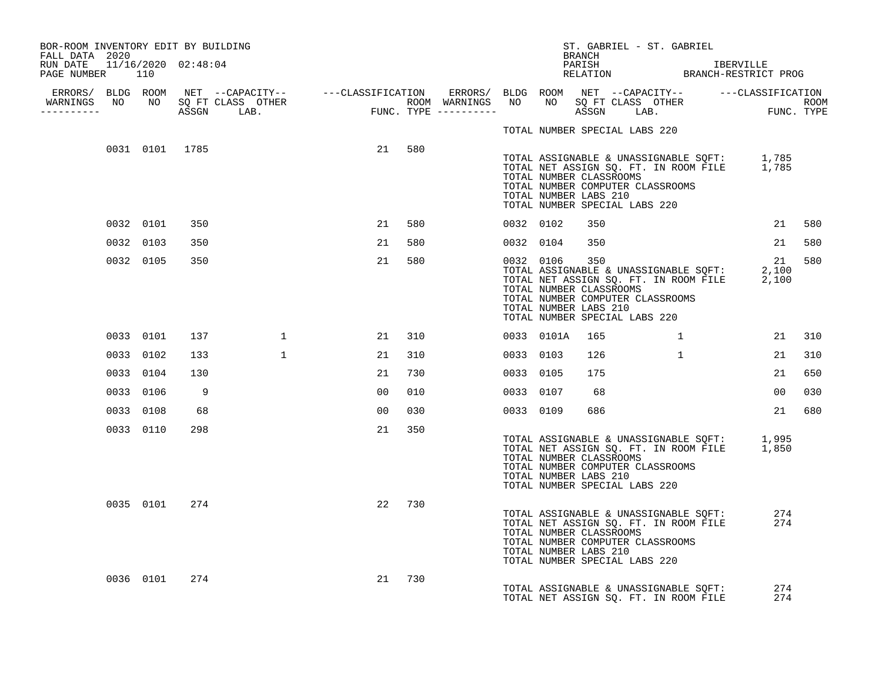| BOR-ROOM INVENTORY EDIT BY BUILDING<br>FALL DATA 2020 |           |                |     |                                                                                                                                                                                                                                                                          |                |        |           | BRANCH                                                  | ST. GABRIEL - ST. GABRIEL                                         |                                                                                            |                 |     |
|-------------------------------------------------------|-----------|----------------|-----|--------------------------------------------------------------------------------------------------------------------------------------------------------------------------------------------------------------------------------------------------------------------------|----------------|--------|-----------|---------------------------------------------------------|-------------------------------------------------------------------|--------------------------------------------------------------------------------------------|-----------------|-----|
| RUN DATE 11/16/2020 02:48:04<br>PAGE NUMBER 110       |           |                |     |                                                                                                                                                                                                                                                                          |                |        |           |                                                         |                                                                   | PARISH IBERVILLE<br>RELATION BRANCH-RESTRICT PROG                                          |                 |     |
|                                                       |           |                |     | ERRORS/ BLDG ROOM NET --CAPACITY-- ----CLASSIFICATION ERRORS/ BLDG ROOM NET --CAPACITY-- -----CLASSIFICATION<br>NARNINGS NO NO SQFTCLASS OTHER ROOM WARNINGS NO NO SQFTCLASS OTHER ROOM<br>---------- ASSGN LAB. FUNC.TYPE ---------<br>WARNINGS NO NO SQ FT CLASS OTHER |                |        |           |                                                         |                                                                   |                                                                                            |                 |     |
| -----------                                           |           |                |     |                                                                                                                                                                                                                                                                          |                |        |           |                                                         |                                                                   |                                                                                            |                 |     |
|                                                       |           |                |     |                                                                                                                                                                                                                                                                          |                |        |           |                                                         | TOTAL NUMBER SPECIAL LABS 220                                     |                                                                                            |                 |     |
|                                                       |           | 0031 0101 1785 |     |                                                                                                                                                                                                                                                                          |                | 21 580 |           | TOTAL NUMBER CLASSROOMS<br>TOTAL NUMBER LABS 210        | TOTAL NUMBER COMPUTER CLASSROOMS<br>TOTAL NUMBER SPECIAL LABS 220 | TOTAL ASSIGNABLE & UNASSIGNABLE SQFT: 1,785<br>TOTAL NET ASSIGN SQ. FT. IN ROOM FILE 1,785 |                 |     |
|                                                       |           | 0032 0101      | 350 |                                                                                                                                                                                                                                                                          | 21             | 580    | 0032 0102 | 350                                                     |                                                                   |                                                                                            | 21 580          |     |
|                                                       |           | 0032 0103      | 350 |                                                                                                                                                                                                                                                                          | 21             | 580    | 0032 0104 | 350                                                     |                                                                   |                                                                                            | 21              | 580 |
|                                                       |           | 0032 0105      | 350 |                                                                                                                                                                                                                                                                          | 21             | 580    | 0032 0106 | 350<br>TOTAL NUMBER CLASSROOMS<br>TOTAL NUMBER LABS 210 | TOTAL NUMBER COMPUTER CLASSROOMS<br>TOTAL NUMBER SPECIAL LABS 220 | TOTAL ASSIGNABLE & UNASSIGNABLE SQFT:<br>TOTAL NET ASSIGN SQ. FT. IN ROOM FILE 2,100       | 21<br>2,100     | 580 |
|                                                       |           | 0033 0101      | 137 | $\mathbf{1}$                                                                                                                                                                                                                                                             |                | 21 310 |           | 0033 0101A 165                                          |                                                                   | $\mathbf{1}$                                                                               | 21 310          |     |
|                                                       | 0033 0102 |                | 133 | $\mathbf{1}$                                                                                                                                                                                                                                                             | 21             | 310    | 0033 0103 | 126                                                     | $\mathbf{1}$                                                      |                                                                                            | 21              | 310 |
|                                                       | 0033 0104 |                | 130 |                                                                                                                                                                                                                                                                          | 21             | 730    | 0033 0105 | 175                                                     |                                                                   |                                                                                            | 21              | 650 |
|                                                       | 0033 0106 |                | 9   |                                                                                                                                                                                                                                                                          | 0 <sub>0</sub> | 010    | 0033 0107 | 68                                                      |                                                                   |                                                                                            | 00 <sub>o</sub> | 030 |
|                                                       |           | 0033 0108      | 68  |                                                                                                                                                                                                                                                                          | 0 <sub>0</sub> | 030    | 0033 0109 | 686                                                     |                                                                   |                                                                                            | 21              | 680 |
|                                                       |           | 0033 0110      | 298 |                                                                                                                                                                                                                                                                          | 21             | 350    |           | TOTAL NUMBER CLASSROOMS<br>TOTAL NUMBER LABS 210        | TOTAL NUMBER COMPUTER CLASSROOMS<br>TOTAL NUMBER SPECIAL LABS 220 | TOTAL ASSIGNABLE & UNASSIGNABLE SQFT: 1,995<br>TOTAL NET ASSIGN SQ. FT. IN ROOM FILE 1,850 |                 |     |
|                                                       |           | 0035 0101      | 274 |                                                                                                                                                                                                                                                                          | 22             | 730    |           | TOTAL NUMBER CLASSROOMS<br>TOTAL NUMBER LABS 210        | TOTAL NUMBER COMPUTER CLASSROOMS<br>TOTAL NUMBER SPECIAL LABS 220 | TOTAL ASSIGNABLE & UNASSIGNABLE SQFT:<br>TOTAL NET ASSIGN SQ. FT. IN ROOM FILE             | 274<br>274      |     |
|                                                       |           | 0036 0101      | 274 |                                                                                                                                                                                                                                                                          | 21             | 730    |           |                                                         |                                                                   | TOTAL ASSIGNABLE & UNASSIGNABLE SQFT:<br>TOTAL NET ASSIGN SQ. FT. IN ROOM FILE             | 274<br>274      |     |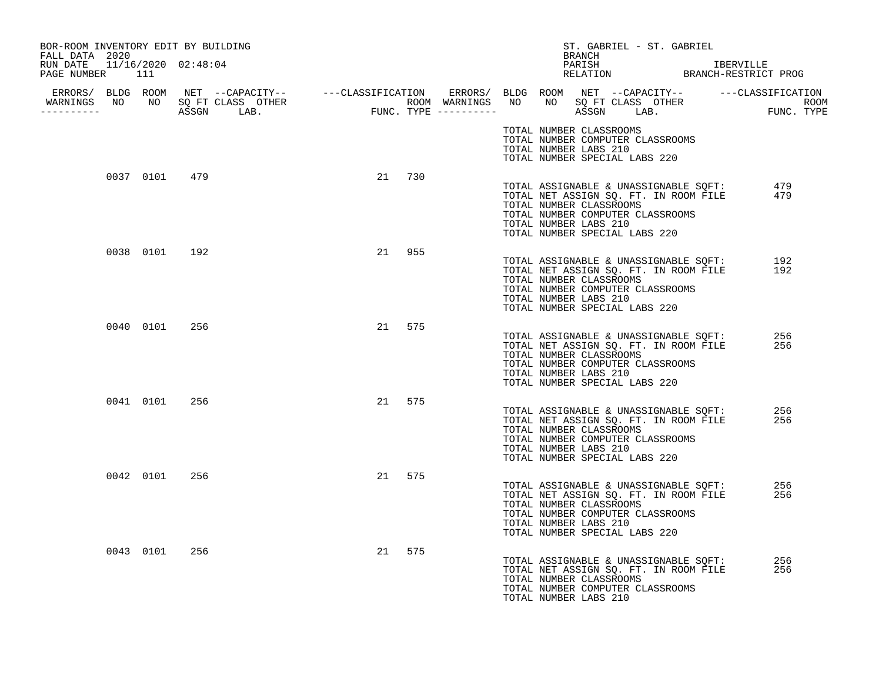| BOR-ROOM INVENTORY EDIT BY BUILDING<br>FALL DATA 2020 |               |     |  |        | ST. GABRIEL - ST. GABRIEL<br>BRANCH                                                                                                                                                                                                                            |  |
|-------------------------------------------------------|---------------|-----|--|--------|----------------------------------------------------------------------------------------------------------------------------------------------------------------------------------------------------------------------------------------------------------------|--|
| RUN DATE 11/16/2020 02:48:04<br>PAGE NUMBER 111       |               |     |  |        | PARISH IBERVILLE<br>RELATION BRANCH-RESTRICT PROG                                                                                                                                                                                                              |  |
| WARNINGS NO NO SQ FT CLASS OTHER<br>__________        |               |     |  |        |                                                                                                                                                                                                                                                                |  |
|                                                       |               |     |  |        | TOTAL NUMBER CLASSROOMS<br>TOTAL NUMBER COMPUTER CLASSROOMS<br>TOTAL NUMBER LABS 210<br>TOTAL NUMBER SPECIAL LABS 220                                                                                                                                          |  |
|                                                       | 0037 0101 479 |     |  | 21 730 | TOTAL ASSIGNABLE & UNASSIGNABLE SQFT:<br>479<br>479<br>TOTAL NET ASSIGN SQ. FT. IN ROOM FILE<br>TOTAL NUMBER CLASSROOMS<br>TOTAL NUMBER COMPUTER CLASSROOMS<br>TOTAL NUMBER LABS 210<br>TOTAL NUMBER SPECIAL LABS 220                                          |  |
|                                                       | 0038 0101 192 |     |  | 21 955 | TOTAL ASSIGNABLE & UNASSIGNABLE SQFT:<br>192<br>TOTAL NET ASSIGN SQ. FT. IN ROOM FILE<br>192<br>TOTAL NUMBER CLASSROOMS<br>TOTAL NUMBER COMPUTER CLASSROOMS<br>TOTAL NUMBER LABS 210<br>TOTAL NUMBER SPECIAL LABS 220                                          |  |
|                                                       | 0040 0101     | 256 |  | 21 575 | TOTAL ASSIGNABLE & UNASSIGNABLE SQFT:<br>256<br>TOTAL NET ASSIGN SQ. FT. IN ROOM FILE<br>256<br>TOTAL NUMBER CLASSROOMS<br>TOTAL NUMBER COMPUTER CLASSROOMS<br>TOTAL NUMBER LABS 210<br>TOTAL NUMBER SPECIAL LABS 220                                          |  |
|                                                       | 0041 0101     | 256 |  | 21 575 | TOTAL ASSIGNABLE & UNASSIGNABLE SQFT:<br>TOTAL NET ASSIGN SQ. FT. IN ROOM FILE<br>256<br>256<br>TOTAL NUMBER CLASSROOMS<br>TOTAL NUMBER COMPUTER CLASSROOMS<br>TOTAL NUMBER LABS 210<br>TOTAL NUMBER SPECIAL LABS 220                                          |  |
|                                                       | 0042 0101     | 256 |  | 21 575 | 256<br>TOTAL ASSIGNABLE & UNASSIGNABLE SQFT:<br>TOTAL NET ASSIGN SO. FT. IN ROOM FILE<br>TOTAL NET ASSIGN SQ. FT. IN ROOM FILE<br>256<br>TOTAL NUMBER CLASSROOMS<br>TOTAL NUMBER COMPUTER CLASSROOMS<br>TOTAL NUMBER LABS 210<br>TOTAL NUMBER SPECIAL LABS 220 |  |
|                                                       | 0043 0101     | 256 |  | 21 575 | 256<br>TOTAL ASSIGNABLE & UNASSIGNABLE SQFT:<br>256<br>TOTAL NET ASSIGN SQ. FT. IN ROOM FILE<br>TOTAL NUMBER CLASSROOMS<br>TOTAL NUMBER COMPUTER CLASSROOMS<br>TOTAL NUMBER LABS 210                                                                           |  |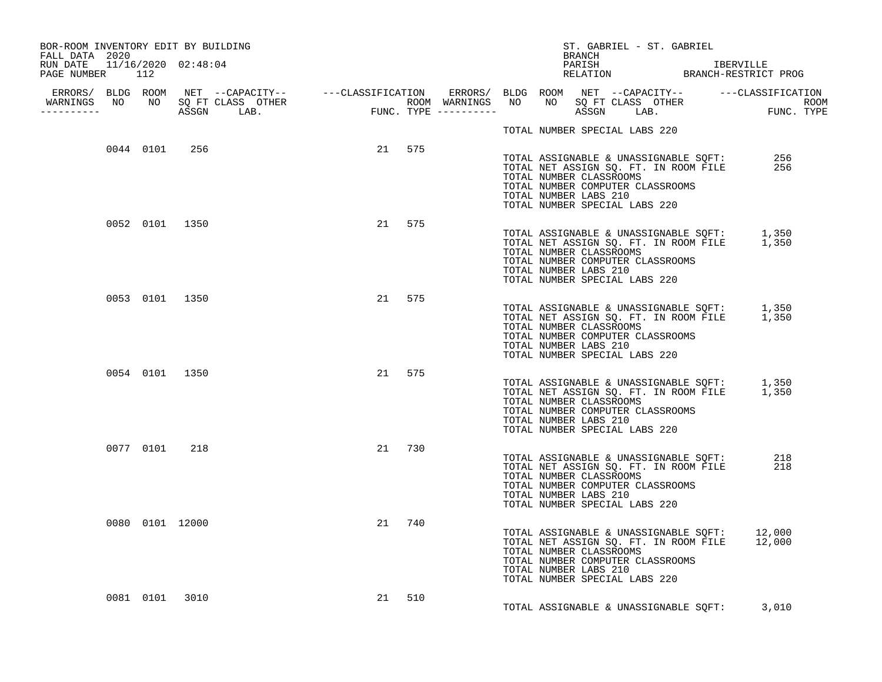| BOR-ROOM INVENTORY EDIT BY BUILDING<br>FALL DATA 2020 |  |                 |                |        |        |  |                                                                                                                       | BRANCH |  | ST. GABRIEL - ST. GABRIEL |                                                                                              |  |
|-------------------------------------------------------|--|-----------------|----------------|--------|--------|--|-----------------------------------------------------------------------------------------------------------------------|--------|--|---------------------------|----------------------------------------------------------------------------------------------|--|
| RUN DATE 11/16/2020 02:48:04<br>PAGE NUMBER 112       |  |                 |                |        |        |  |                                                                                                                       |        |  |                           | PARISH IBERVILLE<br>RELATION BRANCH-RESTRICT PROG                                            |  |
|                                                       |  |                 |                |        |        |  |                                                                                                                       |        |  |                           |                                                                                              |  |
|                                                       |  |                 |                |        |        |  | TOTAL NUMBER SPECIAL LABS 220                                                                                         |        |  |                           |                                                                                              |  |
|                                                       |  | 0044 0101 256   |                | 21 575 |        |  | TOTAL NUMBER CLASSROOMS<br>TOTAL NUMBER COMPUTER CLASSROOMS<br>TOTAL NUMBER LABS 210<br>TOTAL NUMBER SPECIAL LABS 220 |        |  |                           | TOTAL ASSIGNABLE & UNASSIGNABLE SQFT: 256<br>TOTAL NET ASSIGN SQ. FT. IN ROOM FILE 256       |  |
|                                                       |  |                 | 0052 0101 1350 |        | 21 575 |  | TOTAL NUMBER CLASSROOMS<br>TOTAL NUMBER COMPUTER CLASSROOMS<br>TOTAL NUMBER LABS 210<br>TOTAL NUMBER SPECIAL LABS 220 |        |  |                           | TOTAL ASSIGNABLE & UNASSIGNABLE SQFT: 1,350<br>TOTAL NET ASSIGN SQ. FT. IN ROOM FILE 1,350   |  |
|                                                       |  | 0053 0101 1350  |                |        | 21 575 |  | TOTAL NUMBER CLASSROOMS<br>TOTAL NUMBER COMPUTER CLASSROOMS<br>TOTAL NUMBER LABS 210<br>TOTAL NUMBER SPECIAL LABS 220 |        |  |                           | TOTAL ASSIGNABLE & UNASSIGNABLE SQFT: 1,350<br>TOTAL NET ASSIGN SQ. FT. IN ROOM FILE 1,350   |  |
|                                                       |  | 0054 0101 1350  |                |        | 21 575 |  | TOTAL NUMBER CLASSROOMS<br>TOTAL NUMBER COMPUTER CLASSROOMS<br>TOTAL NUMBER LABS 210<br>TOTAL NUMBER SPECIAL LABS 220 |        |  |                           | TOTAL ASSIGNABLE & UNASSIGNABLE SQFT: 1,350<br>TOTAL NET ASSIGN SQ. FT. IN ROOM FILE 1,350   |  |
|                                                       |  | 0077 0101 218   |                |        | 21 730 |  | TOTAL NUMBER CLASSROOMS<br>TOTAL NUMBER COMPUTER CLASSROOMS<br>TOTAL NUMBER LABS 210<br>TOTAL NUMBER SPECIAL LABS 220 |        |  |                           | TOTAL ASSIGNABLE & UNASSIGNABLE SQFT: 218<br>TOTAL NET ASSIGN SQ. FT. IN ROOM FILE 218       |  |
|                                                       |  | 0080 0101 12000 |                |        | 21 740 |  | TOTAL NUMBER CLASSROOMS<br>TOTAL NUMBER COMPUTER CLASSROOMS<br>TOTAL NUMBER LABS 210<br>TOTAL NUMBER SPECIAL LABS 220 |        |  |                           | TOTAL ASSIGNABLE & UNASSIGNABLE SQFT: 12,000<br>TOTAL NET ASSIGN SQ. FT. IN ROOM FILE 12,000 |  |
|                                                       |  | 0081 0101 3010  |                |        | 21 510 |  |                                                                                                                       |        |  |                           | TOTAL ASSIGNABLE & UNASSIGNABLE SQFT: 3,010                                                  |  |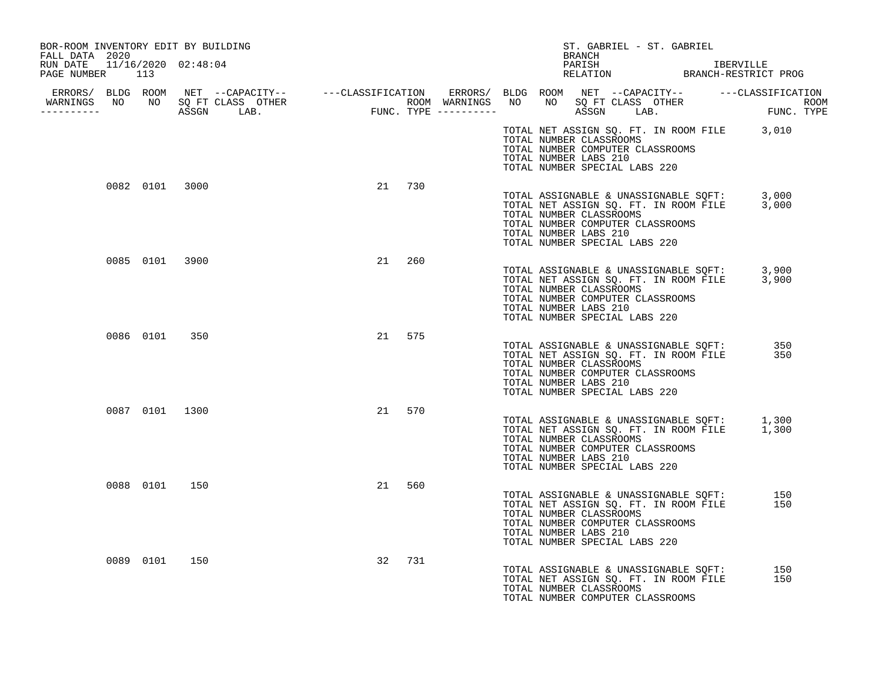| BOR-ROOM INVENTORY EDIT BY BUILDING<br>FALL DATA 2020 |                                  |           | ST. GABRIEL - ST. GABRIEL<br>BRANCH                                                                                                                                                                                 |            |
|-------------------------------------------------------|----------------------------------|-----------|---------------------------------------------------------------------------------------------------------------------------------------------------------------------------------------------------------------------|------------|
| RUN DATE 11/16/2020 02:48:04<br>PAGE NUMBER 113       |                                  |           |                                                                                                                                                                                                                     |            |
| -----------                                           | WARNINGS NO NO SQ FT CLASS OTHER |           |                                                                                                                                                                                                                     |            |
|                                                       |                                  |           | TOTAL NET ASSIGN SQ. FT. IN ROOM FILE 3,010<br>TOTAL NUMBER CLASSROOMS<br>TOTAL NUMBER COMPUTER CLASSROOMS<br>TOTAL NUMBER LABS 210<br>TOTAL NUMBER SPECIAL LABS 220                                                |            |
| 0082 0101 3000                                        |                                  | 21 730    | TOTAL ASSIGNABLE & UNASSIGNABLE SQFT: 3,000<br>TOTAL NET ASSIGN SQ. FT. IN ROOM FILE 3,000<br>TOTAL NUMBER CLASSROOMS<br>TOTAL NUMBER COMPUTER CLASSROOMS<br>TOTAL NUMBER LABS 210<br>TOTAL NUMBER SPECIAL LABS 220 |            |
| 0085 0101 3900                                        |                                  | 21 260    | TOTAL ASSIGNABLE & UNASSIGNABLE SQFT: 3,900<br>TOTAL NET ASSIGN SQ. FT. IN ROOM FILE 3,900<br>TOTAL NUMBER CLASSROOMS<br>TOTAL NUMBER COMPUTER CLASSROOMS<br>TOTAL NUMBER LABS 210<br>TOTAL NUMBER SPECIAL LABS 220 |            |
| 0086 0101 350                                         |                                  | 21 575    | TOTAL ASSIGNABLE & UNASSIGNABLE SQFT:<br>TOTAL NET ASSIGN SQ. FT. IN ROOM FILE<br>TOTAL NUMBER CLASSROOMS<br>TOTAL NUMBER COMPUTER CLASSROOMS<br>TOTAL NUMBER LABS 210<br>TOTAL NUMBER SPECIAL LABS 220             | 350<br>350 |
| 0087 0101 1300                                        |                                  | 21<br>570 | TOTAL ASSIGNABLE & UNASSIGNABLE SQFT: 1,300<br>TOTAL NET ASSIGN SQ. FT. IN ROOM FILE 1,300<br>TOTAL NUMBER CLASSROOMS<br>TOTAL NUMBER COMPUTER CLASSROOMS<br>TOTAL NUMBER LABS 210<br>TOTAL NUMBER SPECIAL LABS 220 |            |
| 0088 0101 150                                         |                                  | 21<br>560 | TOTAL ASSIGNABLE & UNASSIGNABLE SQFT:<br>TOTAL NET ASSIGN SQ. FT. IN ROOM FILE<br>TOTAL NUMBER CLASSROOMS<br>TOTAL NUMBER COMPUTER CLASSROOMS<br>TOTAL NUMBER LABS 210<br>TOTAL NUMBER SPECIAL LABS 220             | 150<br>150 |
| 0089 0101                                             | 150                              | 32 731    | TOTAL ASSIGNABLE & UNASSIGNABLE SQFT:<br>TOTAL NET ASSIGN SQ. FT. IN ROOM FILE<br>TOTAL NUMBER CLASSROOMS<br>TOTAL NUMBER COMPUTER CLASSROOMS                                                                       | 150<br>150 |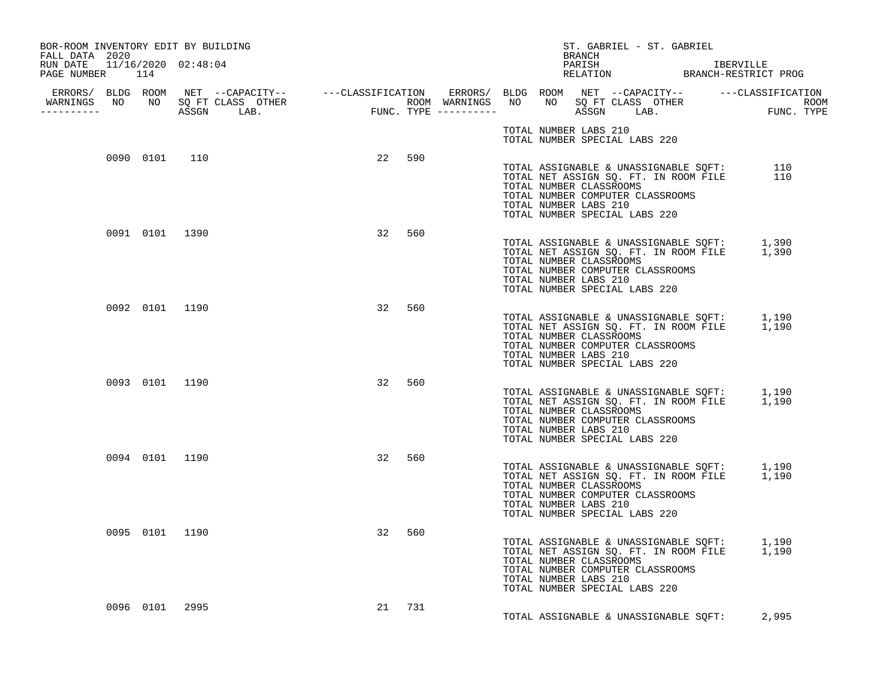| BOR-ROOM INVENTORY EDIT BY BUILDING                                 |                |                |    |        |  |                       |        | ST. GABRIEL - ST. GABRIEL                                                                                                                                                                  |  |  |  |
|---------------------------------------------------------------------|----------------|----------------|----|--------|--|-----------------------|--------|--------------------------------------------------------------------------------------------------------------------------------------------------------------------------------------------|--|--|--|
| FALL DATA 2020<br>RUN DATE  11/16/2020  02:48:04<br>PAGE NUMBER 114 |                |                |    |        |  |                       | BRANCH |                                                                                                                                                                                            |  |  |  |
| -----------                                                         |                |                |    |        |  |                       |        |                                                                                                                                                                                            |  |  |  |
|                                                                     |                |                |    |        |  | TOTAL NUMBER LABS 210 |        | TOTAL NUMBER SPECIAL LABS 220                                                                                                                                                              |  |  |  |
|                                                                     | 0090 0101 110  |                |    | 22 590 |  | TOTAL NUMBER LABS 210 |        | TOTAL ASSIGNABLE & UNASSIGNABLE SQFT: 110<br>TOTAL NET ASSIGN SQ. FT. IN ROOM FILE 110<br>TOTAL NUMBER CLASSROOMS<br>TOTAL NUMBER COMPUTER CLASSROOMS<br>TOTAL NUMBER SPECIAL LABS 220     |  |  |  |
|                                                                     | 0091 0101 1390 |                |    | 32 560 |  | TOTAL NUMBER LABS 210 |        | TOTAL ASSIGNABLE & UNASSIGNABLE SQFT: 1,390<br>TOTAL NET ASSIGN SQ. FT. IN ROOM FILE 1,390<br>TOTAL NUMBER CLASSROOMS<br>TOTAL NUMBER COMPUTER CLASSROOMS<br>TOTAL NUMBER SPECIAL LABS 220 |  |  |  |
|                                                                     | 0092 0101 1190 |                |    | 32 560 |  | TOTAL NUMBER LABS 210 |        | TOTAL ASSIGNABLE & UNASSIGNABLE SQFT: 1,190<br>TOTAL NET ASSIGN SQ. FT. IN ROOM FILE 1,190<br>TOTAL NUMBER CLASSROOMS<br>TOTAL NUMBER COMPUTER CLASSROOMS<br>TOTAL NUMBER SPECIAL LABS 220 |  |  |  |
|                                                                     |                | 0093 0101 1190 |    | 32 560 |  | TOTAL NUMBER LABS 210 |        | TOTAL ASSIGNABLE & UNASSIGNABLE SQFT: 1,190<br>TOTAL NET ASSIGN SQ. FT. IN ROOM FILE 1,190<br>TOTAL NUMBER CLASSROOMS<br>TOTAL NUMBER COMPUTER CLASSROOMS<br>TOTAL NUMBER SPECIAL LABS 220 |  |  |  |
|                                                                     | 0094 0101 1190 |                |    | 32 560 |  | TOTAL NUMBER LABS 210 |        | TOTAL ASSIGNABLE & UNASSIGNABLE SQFT: 1,190<br>TOTAL NET ASSIGN SQ. FT. IN ROOM FILE 1,190<br>TOTAL NUMBER CLASSROOMS<br>TOTAL NUMBER COMPUTER CLASSROOMS<br>TOTAL NUMBER SPECIAL LABS 220 |  |  |  |
|                                                                     | 0095 0101 1190 |                | 32 | 560    |  | TOTAL NUMBER LABS 210 |        | TOTAL ASSIGNABLE & UNASSIGNABLE SQFT: 1,190<br>TOTAL NET ASSIGN SQ. FT. IN ROOM FILE 1,190<br>TOTAL NUMBER CLASSROOMS<br>TOTAL NUMBER COMPUTER CLASSROOMS<br>TOTAL NUMBER SPECIAL LABS 220 |  |  |  |
|                                                                     | 0096 0101 2995 |                |    | 21 731 |  |                       |        | TOTAL ASSIGNABLE & UNASSIGNABLE SOFT: 2,995                                                                                                                                                |  |  |  |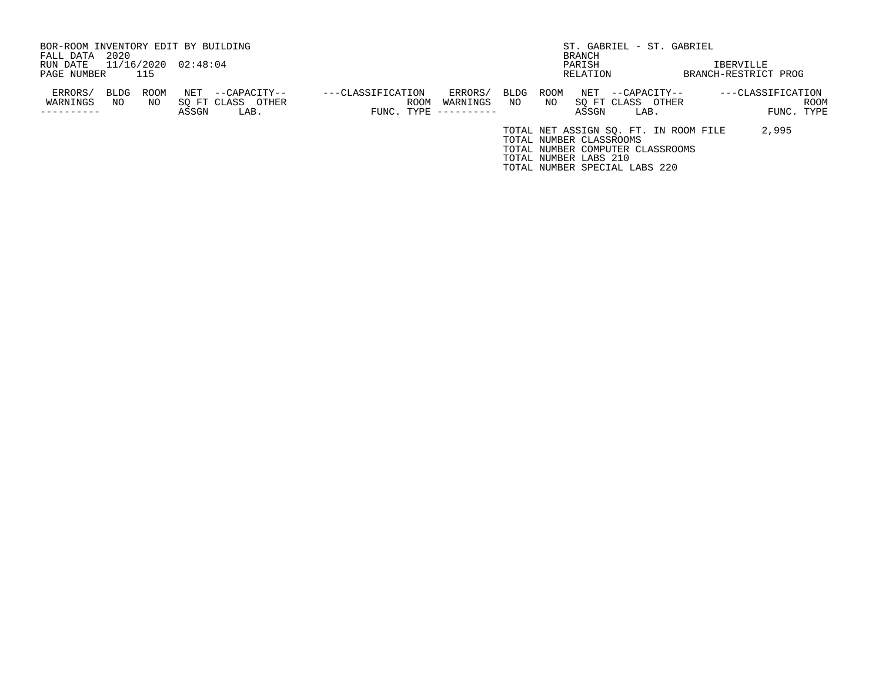| BOR-ROOM INVENTORY EDIT BY BUILDING |            |            |                     |                                   |                           |                     |            |                         |          |                               | ST. GABRIEL - ST. GABRIEL                                                 |                      |            |
|-------------------------------------|------------|------------|---------------------|-----------------------------------|---------------------------|---------------------|------------|-------------------------|----------|-------------------------------|---------------------------------------------------------------------------|----------------------|------------|
| FALL DATA                           | 2020       |            |                     |                                   |                           |                     |            |                         | BRANCH   |                               |                                                                           |                      |            |
| RUN DATE                            |            |            | 11/16/2020 02:48:04 |                                   |                           |                     |            |                         | PARISH   |                               |                                                                           | IBERVILLE            |            |
| PAGE NUMBER                         |            | 115        |                     |                                   |                           |                     |            |                         | RELATION |                               |                                                                           | BRANCH-RESTRICT PROG |            |
| ERRORS/<br>WARNINGS                 | BLDG<br>NO | ROOM<br>NO | NET                 | --CAPACITY--<br>SO FT CLASS OTHER | ---CLASSIFICATION<br>ROOM | ERRORS/<br>WARNINGS | BLDG<br>NO | ROOM<br>NO.             | NET      | --CAPACITY--<br>SO FT CLASS   | OTHER                                                                     | $---CLASSIFICATION$  | ROOM       |
| ---------                           |            |            | ASSGN               | LAB.                              | $FUNC. TYPE$ ----------   |                     |            |                         | ASSGN    | LAB.                          |                                                                           |                      | FUNC. TYPE |
|                                     |            |            |                     |                                   |                           |                     |            | TOTAL NUMBER CLASSROOMS |          |                               | TOTAL NET ASSIGN SO. FT. IN ROOM FILE<br>TOTAL NUMBER COMPUTER CLASSROOMS | 2,995                |            |
|                                     |            |            |                     |                                   |                           |                     |            | TOTAL NUMBER LABS 210   |          |                               |                                                                           |                      |            |
|                                     |            |            |                     |                                   |                           |                     |            |                         |          | TOTAL NUMBER SPECIAL LABS 220 |                                                                           |                      |            |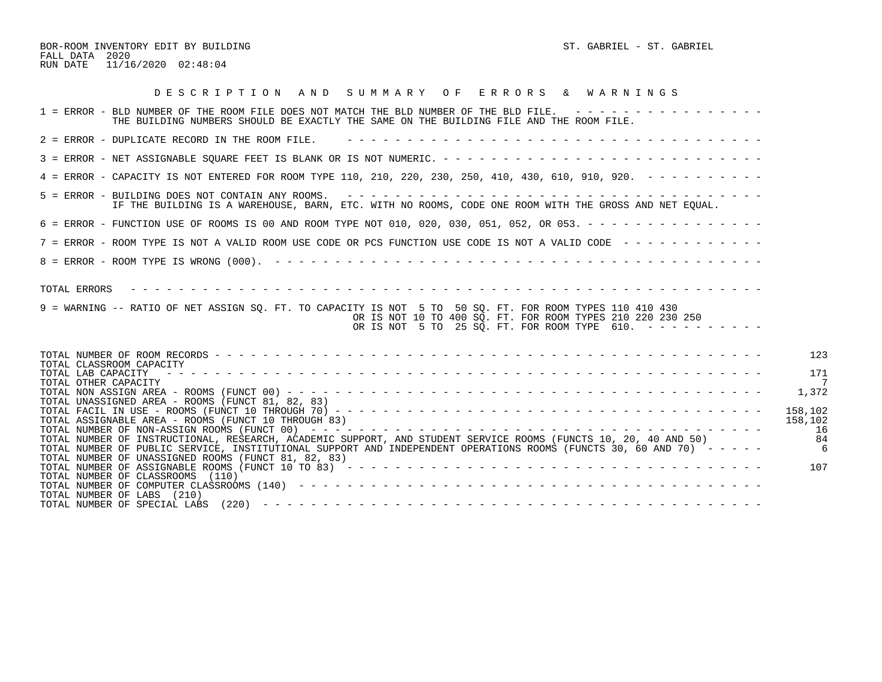BOR-ROOM INVENTORY EDIT BY BUILDING ST. GABRIEL - ST. GABRIEL - ST. GABRIEL FALL DATA 2020 RUN DATE 11/16/2020 02:48:04

| DESCRIPTION AND SUMMARY OF ERRORS & WARNINGS                                                                                                                                                                                                                                                                                                                                                                                                                                                                                                                                                                                        |
|-------------------------------------------------------------------------------------------------------------------------------------------------------------------------------------------------------------------------------------------------------------------------------------------------------------------------------------------------------------------------------------------------------------------------------------------------------------------------------------------------------------------------------------------------------------------------------------------------------------------------------------|
| 1 = ERROR - BLD NUMBER OF THE ROOM FILE DOES NOT MATCH THE BLD NUMBER OF THE BLD FILE. ----------------<br>THE BUILDING NUMBERS SHOULD BE EXACTLY THE SAME ON THE BUILDING FILE AND THE ROOM FILE.                                                                                                                                                                                                                                                                                                                                                                                                                                  |
| 2 = ERROR - DUPLICATE RECORD IN THE ROOM FILE.                                                                                                                                                                                                                                                                                                                                                                                                                                                                                                                                                                                      |
|                                                                                                                                                                                                                                                                                                                                                                                                                                                                                                                                                                                                                                     |
| 4 = ERROR - CAPACITY IS NOT ENTERED FOR ROOM TYPE 110, 210, 220, 230, 250, 410, 430, 610, 910, 920. - - - - - - - - -                                                                                                                                                                                                                                                                                                                                                                                                                                                                                                               |
| IF THE BUILDING IS A WAREHOUSE, BARN, ETC. WITH NO ROOMS, CODE ONE ROOM WITH THE GROSS AND NET EQUAL.                                                                                                                                                                                                                                                                                                                                                                                                                                                                                                                               |
| 6 = ERROR - FUNCTION USE OF ROOMS IS 00 AND ROOM TYPE NOT 010, 020, 030, 051, 052, OR 053. - - - - - - - - - - - - - - -                                                                                                                                                                                                                                                                                                                                                                                                                                                                                                            |
| 7 = ERROR - ROOM TYPE IS NOT A VALID ROOM USE CODE OR PCS FUNCTION USE CODE IS NOT A VALID CODE -------------                                                                                                                                                                                                                                                                                                                                                                                                                                                                                                                       |
|                                                                                                                                                                                                                                                                                                                                                                                                                                                                                                                                                                                                                                     |
| 9 = WARNING -- RATIO OF NET ASSIGN SQ. FT. TO CAPACITY IS NOT 5 TO 50 SQ. FT. FOR ROOM TYPES 110 410 430<br>OR IS NOT 10 TO 400 SQ. FT. FOR ROOM TYPES 210 220 230 250<br>OR IS NOT 5 TO 25 SQ. FT. FOR ROOM TYPE 610. $- - - - - - - - - - -$                                                                                                                                                                                                                                                                                                                                                                                      |
| 123<br>TOTAL CLASSROOM CAPACITY<br>171<br>TOTAL LAB CAPACITY<br>TOTAL OTHER CAPACITY<br>1,372<br>TOTAL UNASSIGNED AREA - ROOMS (FUNCT 81, 82, 83)<br>158,102<br>TOTAL ASSIGNABLE AREA - ROOMS (FUNCT 10 THROUGH 83)<br>158,102<br>16<br>-84<br>TOTAL NUMBER OF INSTRUCTIONAL, RESEARCH, ACADEMIC SUPPORT, AND STUDENT SERVICE ROOMS (FUNCTS 10, 20, 40 AND 50)<br>TOTAL NUMBER OF PUBLIC SERVICE, INSTITUTIONAL SUPPORT AND INDEPENDENT OPERATIONS ROOMS (FUNCTS 30, 60 AND 70) -----<br>$\epsilon$<br>TOTAL NUMBER OF UNASSIGNED ROOMS (FUNCT 81, 82, 83)<br>107<br>TOTAL NUMBER OF CLASSROOMS (110)<br>TOTAL NUMBER OF LABS (210) |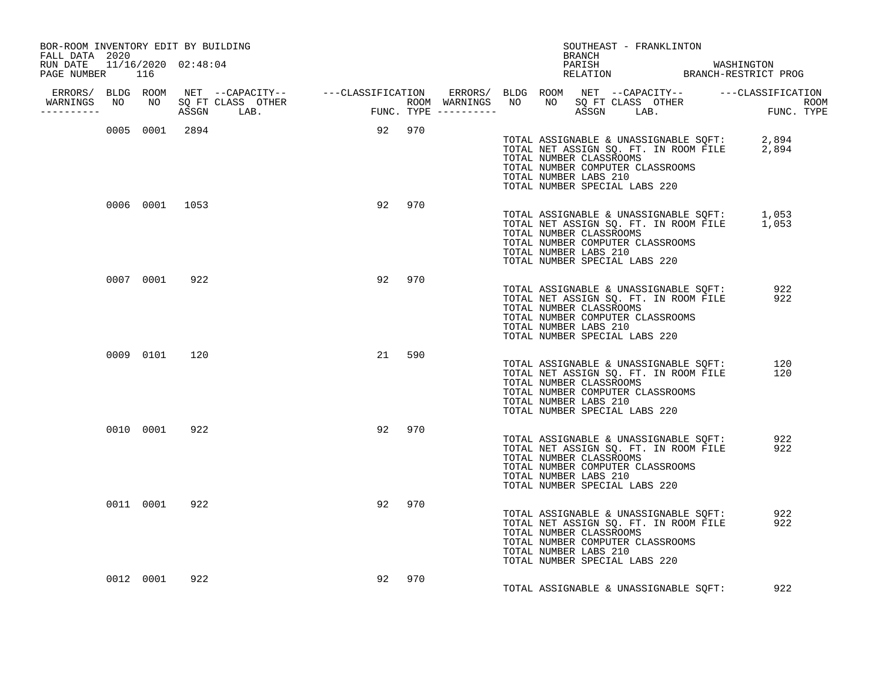| BOR-ROOM INVENTORY EDIT BY BUILDING<br>FALL DATA 2020 |               |     |                |        |        | BRANCH                                           | SOUTHEAST - FRANKLINTON                                                                                                                             |                                                                                            |  |
|-------------------------------------------------------|---------------|-----|----------------|--------|--------|--------------------------------------------------|-----------------------------------------------------------------------------------------------------------------------------------------------------|--------------------------------------------------------------------------------------------|--|
| RUN DATE  11/16/2020  02:48:04<br>PAGE NUMBER 116     |               |     |                |        |        |                                                  |                                                                                                                                                     | PARISH MASHINGTON<br>RELATION BRANCH-RESTRICT PROG                                         |  |
|                                                       |               |     |                |        |        |                                                  |                                                                                                                                                     |                                                                                            |  |
| ----------                                            |               |     |                |        |        |                                                  |                                                                                                                                                     |                                                                                            |  |
|                                                       |               |     | 0005 0001 2894 | 92 970 |        | TOTAL NUMBER CLASSROOMS<br>TOTAL NUMBER LABS 210 | TOTAL NUMBER COMPUTER CLASSROOMS<br>TOTAL NUMBER SPECIAL LABS 220                                                                                   | TOTAL ASSIGNABLE & UNASSIGNABLE SQFT: 2,894<br>TOTAL NET ASSIGN SQ. FT. IN ROOM FILE 2,894 |  |
|                                                       |               |     | 0006 0001 1053 |        | 92 970 | TOTAL NUMBER CLASSROOMS<br>TOTAL NUMBER LABS 210 | TOTAL NUMBER COMPUTER CLASSROOMS<br>TOTAL NUMBER SPECIAL LABS 220                                                                                   | TOTAL ASSIGNABLE & UNASSIGNABLE SQFT: 1,053<br>TOTAL NET ASSIGN SQ. FT. IN ROOM FILE 1,053 |  |
|                                                       | 0007 0001     | 922 |                | 92 970 |        | TOTAL NUMBER CLASSROOMS<br>TOTAL NUMBER LABS 210 | TOTAL ASSIGNABLE & UNASSIGNABLE SQFT:<br>TOTAL NET ASSIGN SQ. FT. IN ROOM FILE<br>TOTAL NUMBER COMPUTER CLASSROOMS<br>TOTAL NUMBER SPECIAL LABS 220 | 922<br>922                                                                                 |  |
|                                                       | 0009 0101     | 120 |                | 21 590 |        | TOTAL NUMBER CLASSROOMS<br>TOTAL NUMBER LABS 210 | TOTAL ASSIGNABLE & UNASSIGNABLE SQFT:<br>TOTAL NET ASSIGN SQ. FT. IN ROOM FILE<br>TOTAL NUMBER COMPUTER CLASSROOMS<br>TOTAL NUMBER SPECIAL LABS 220 | 120<br>120                                                                                 |  |
|                                                       | 0010 0001     | 922 |                | 92 970 |        | TOTAL NUMBER CLASSROOMS<br>TOTAL NUMBER LABS 210 | TOTAL ASSIGNABLE & UNASSIGNABLE SQFT:<br>TOTAL NET ASSIGN SQ. FT. IN ROOM FILE<br>TOTAL NUMBER COMPUTER CLASSROOMS<br>TOTAL NUMBER SPECIAL LABS 220 | 922<br>922                                                                                 |  |
|                                                       | 0011 0001 922 |     |                | 92 970 |        | TOTAL NUMBER CLASSROOMS<br>TOTAL NUMBER LABS 210 | TOTAL ASSIGNABLE & UNASSIGNABLE SQFT:<br>TOTAL NET ASSIGN SQ. FT. IN ROOM FILE<br>TOTAL NUMBER COMPUTER CLASSROOMS<br>TOTAL NUMBER SPECIAL LABS 220 | 922<br>922                                                                                 |  |
|                                                       | 0012 0001     | 922 |                | 92     | 970    |                                                  | TOTAL ASSIGNABLE & UNASSIGNABLE SOFT:                                                                                                               | 922                                                                                        |  |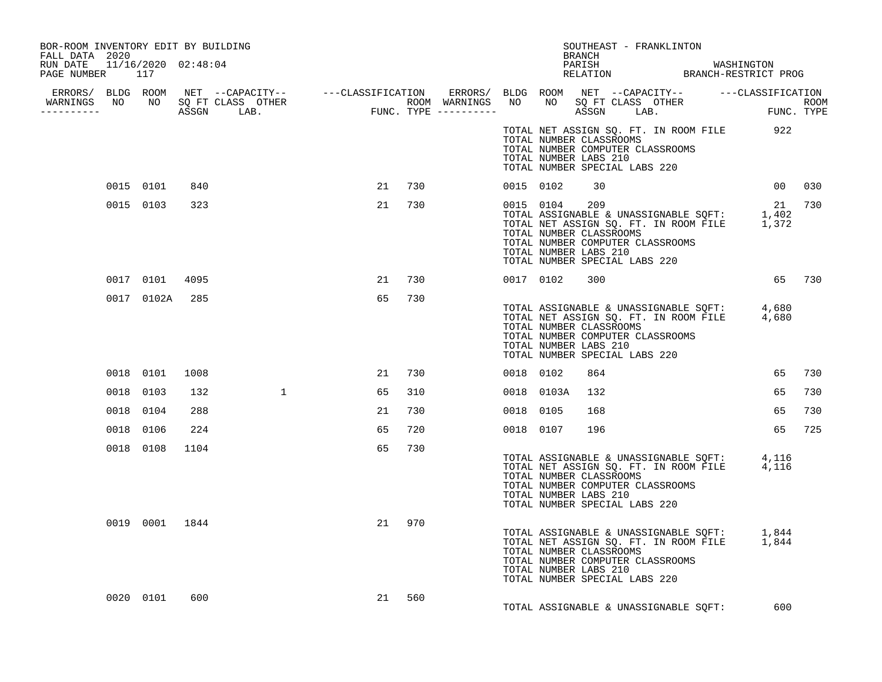| BOR-ROOM INVENTORY EDIT BY BUILDING<br>FALL DATA 2020 |                |                |    |        |           |                | BRANCH                                                                                                                | SOUTHEAST - FRANKLINTON                                                                    |        |     |
|-------------------------------------------------------|----------------|----------------|----|--------|-----------|----------------|-----------------------------------------------------------------------------------------------------------------------|--------------------------------------------------------------------------------------------|--------|-----|
| RUN DATE 11/16/2020 02:48:04<br>PAGE NUMBER 117       |                |                |    |        |           |                |                                                                                                                       | PARISH MASHINGTON<br>RELATION BRANCH-RESTRICT PROG                                         |        |     |
|                                                       |                |                |    |        |           |                |                                                                                                                       |                                                                                            |        |     |
|                                                       |                |                |    |        |           |                |                                                                                                                       |                                                                                            |        |     |
|                                                       |                |                |    |        |           |                | TOTAL NUMBER CLASSROOMS<br>TOTAL NUMBER COMPUTER CLASSROOMS<br>TOTAL NUMBER LABS 210<br>TOTAL NUMBER SPECIAL LABS 220 | TOTAL NET ASSIGN SQ. FT. IN ROOM FILE 922                                                  |        |     |
|                                                       | 0015 0101 840  |                |    | 21 730 |           | 0015 0102      | 30                                                                                                                    |                                                                                            | 00 030 |     |
|                                                       | 0015 0103 323  |                |    | 21 730 |           | 0015 0104 209  | TOTAL NUMBER CLASSROOMS<br>TOTAL NUMBER COMPUTER CLASSROOMS<br>TOTAL NUMBER LABS 210<br>TOTAL NUMBER SPECIAL LABS 220 | TOTAL ASSIGNABLE & UNASSIGNABLE SOFT: 1,402<br>TOTAL NET ASSIGN SQ. FT. IN ROOM FILE 1,372 | 21 730 |     |
|                                                       | 0017 0101 4095 |                | 21 | 730    |           | 0017 0102      | 300                                                                                                                   |                                                                                            | 65 730 |     |
|                                                       | 0017 0102A 285 |                | 65 | 730    |           |                | TOTAL NUMBER CLASSROOMS<br>TOTAL NUMBER COMPUTER CLASSROOMS<br>TOTAL NUMBER LABS 210<br>TOTAL NUMBER SPECIAL LABS 220 | TOTAL ASSIGNABLE & UNASSIGNABLE SQFT: 4,680<br>TOTAL NET ASSIGN SQ. FT. IN ROOM FILE 4,680 |        |     |
|                                                       | 0018 0101      | 1008           | 21 | 730    | 0018 0102 |                | 864                                                                                                                   |                                                                                            | 65     | 730 |
|                                                       | 0018 0103      | 132            | 65 | 310    |           | 0018 0103A 132 |                                                                                                                       |                                                                                            | 65     | 730 |
|                                                       | 0018 0104      | 288            | 21 | 730    | 0018 0105 |                | 168                                                                                                                   |                                                                                            | 65     | 730 |
|                                                       | 0018 0106      | 224            | 65 | 720    | 0018 0107 |                | 196                                                                                                                   |                                                                                            | 65     | 725 |
|                                                       | 0018 0108      | 1104           | 65 | 730    |           |                | TOTAL NUMBER CLASSROOMS<br>TOTAL NUMBER COMPUTER CLASSROOMS<br>TOTAL NUMBER LABS 210<br>TOTAL NUMBER SPECIAL LABS 220 | TOTAL ASSIGNABLE & UNASSIGNABLE SQFT: 4,116<br>TOTAL NET ASSIGN SQ. FT. IN ROOM FILE 4,116 |        |     |
|                                                       |                | 0019 0001 1844 | 21 | 970    |           |                | TOTAL NUMBER CLASSROOMS<br>TOTAL NUMBER COMPUTER CLASSROOMS<br>TOTAL NUMBER LABS 210<br>TOTAL NUMBER SPECIAL LABS 220 | TOTAL ASSIGNABLE & UNASSIGNABLE SQFT: 1,844<br>TOTAL NET ASSIGN SQ. FT. IN ROOM FILE 1,844 |        |     |
|                                                       | 0020 0101      | 600            |    | 21 560 |           |                |                                                                                                                       | TOTAL ASSIGNABLE & UNASSIGNABLE SQFT:                                                      | 600    |     |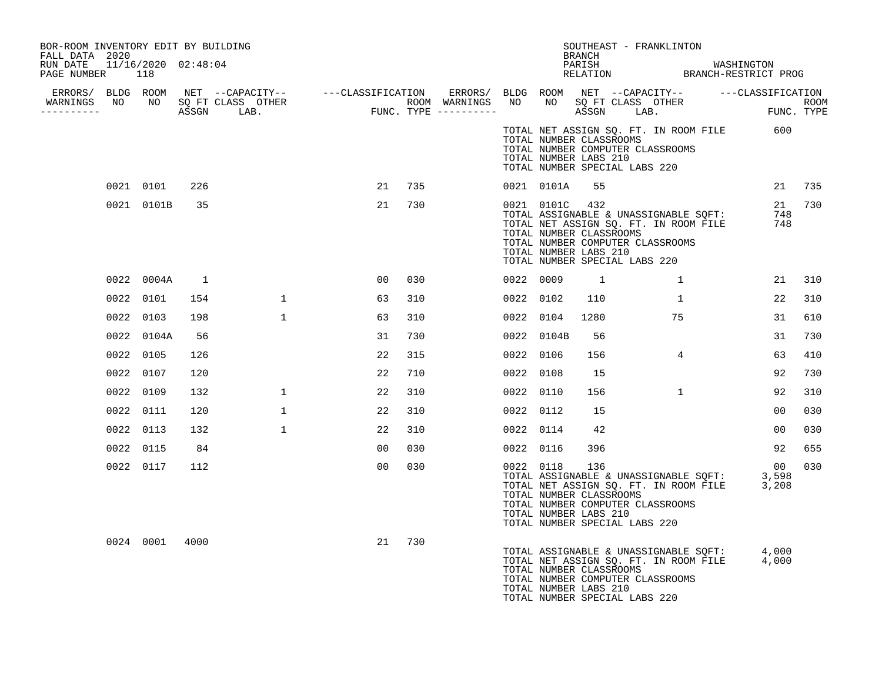| BOR-ROOM INVENTORY EDIT BY BUILDING<br>FALL DATA 2020 |                |     |              |                                                                                                               |     |           |                | BRANCH                                                                                                                       | SOUTHEAST - FRANKLINTON                                                        |                                                                                                  |               |
|-------------------------------------------------------|----------------|-----|--------------|---------------------------------------------------------------------------------------------------------------|-----|-----------|----------------|------------------------------------------------------------------------------------------------------------------------------|--------------------------------------------------------------------------------|--------------------------------------------------------------------------------------------------|---------------|
| RUN DATE 11/16/2020 02:48:04<br>PAGE NUMBER           | 118            |     |              |                                                                                                               |     |           |                |                                                                                                                              |                                                                                | PARISH WASHINGTON RELATION BRANCH-RESTRICT PROG                                                  |               |
|                                                       |                |     |              | ERRORS/ BLDG ROOM NET --CAPACITY-- -----CLASSIFICATION ERRORS/ BLDG ROOM NET --CAPACITY-- -----CLASSIFICATION |     |           |                |                                                                                                                              |                                                                                |                                                                                                  | ROOM          |
| __________                                            |                |     |              |                                                                                                               |     |           |                |                                                                                                                              |                                                                                |                                                                                                  |               |
|                                                       |                |     |              |                                                                                                               |     |           |                | TOTAL NUMBER CLASSROOMS<br>TOTAL NUMBER COMPUTER CLASSROOMS<br>TOTAL NUMBER LABS 210<br>TOTAL NUMBER SPECIAL LABS 220        |                                                                                | TOTAL NET ASSIGN SQ. FT. IN ROOM FILE 600                                                        |               |
|                                                       | 0021 0101      | 226 |              | 21                                                                                                            | 735 |           | 0021 0101A     | 55                                                                                                                           |                                                                                |                                                                                                  | 21 735        |
|                                                       | 0021 0101B     | 35  |              | 21                                                                                                            | 730 |           | 0021 0101C 432 | TOTAL NUMBER CLASSROOMS<br>TOTAL NUMBER COMPUTER CLASSROOMS<br>TOTAL NUMBER LABS 210<br>TOTAL NUMBER SPECIAL LABS 220        | TOTAL ASSIGNABLE & UNASSIGNABLE SQFT:<br>TOTAL NET ASSIGN SQ. FT. IN ROOM FILE | 748                                                                                              | 21 730<br>748 |
|                                                       | 0022 0004A     | -1  |              | 00                                                                                                            | 030 | 0022 0009 |                | $\overline{1}$                                                                                                               | $\mathbf{1}$                                                                   | 21                                                                                               | 310           |
|                                                       | 0022 0101      | 154 | $\mathbf{1}$ | 63                                                                                                            | 310 | 0022 0102 |                | 110                                                                                                                          | 1                                                                              | 22                                                                                               | 310           |
|                                                       | 0022 0103      | 198 | $\mathbf{1}$ | 63                                                                                                            | 310 | 0022 0104 |                | 1280                                                                                                                         | 75                                                                             | 31                                                                                               | 610           |
|                                                       | 0022 0104A     | 56  |              | 31                                                                                                            | 730 |           | 0022 0104B     | 56                                                                                                                           |                                                                                | 31                                                                                               | 730           |
|                                                       | 0022 0105      | 126 |              | 22                                                                                                            | 315 | 0022 0106 |                | 156                                                                                                                          | $4\overline{ }$                                                                | 63                                                                                               | 410           |
|                                                       | 0022 0107      | 120 |              | 22                                                                                                            | 710 | 0022 0108 |                | 15                                                                                                                           |                                                                                | 92                                                                                               | 730           |
|                                                       | 0022 0109      | 132 | $\mathbf{1}$ | 22                                                                                                            | 310 | 0022 0110 |                | 156                                                                                                                          | $\mathbf{1}$                                                                   | 92                                                                                               | 310           |
|                                                       | 0022 0111      | 120 | $\mathbf{1}$ | 22                                                                                                            | 310 | 0022 0112 |                | 15                                                                                                                           |                                                                                | 0 <sub>0</sub>                                                                                   | 030           |
|                                                       | 0022 0113      | 132 | 1            | 22                                                                                                            | 310 | 0022 0114 |                | 42                                                                                                                           |                                                                                | 00                                                                                               | 030           |
|                                                       | 0022 0115      | 84  |              | 00                                                                                                            | 030 | 0022 0116 |                | 396                                                                                                                          |                                                                                | 92                                                                                               | 655           |
|                                                       | 0022 0117      | 112 |              | 00                                                                                                            | 030 |           | 0022 0118      | 136<br>TOTAL NUMBER CLASSROOMS<br>TOTAL NUMBER COMPUTER CLASSROOMS<br>TOTAL NUMBER LABS 210<br>TOTAL NUMBER SPECIAL LABS 220 |                                                                                | 00<br>TOTAL ASSIGNABLE & UNASSIGNABLE SOFT: 3,598<br>TOTAL NET ASSIGN SQ. FT. IN ROOM FILE 3,208 | 030           |
|                                                       | 0024 0001 4000 |     |              | 21                                                                                                            | 730 |           |                | TOTAL NUMBER CLASSROOMS<br>TOTAL NUMBER COMPUTER CLASSROOMS<br>TOTAL NUMBER LABS 210<br>TOTAL NUMBER SPECIAL LABS 220        |                                                                                | TOTAL ASSIGNABLE & UNASSIGNABLE SQFT: 4,000<br>TOTAL NET ASSIGN SQ. FT. IN ROOM FILE 4,000       |               |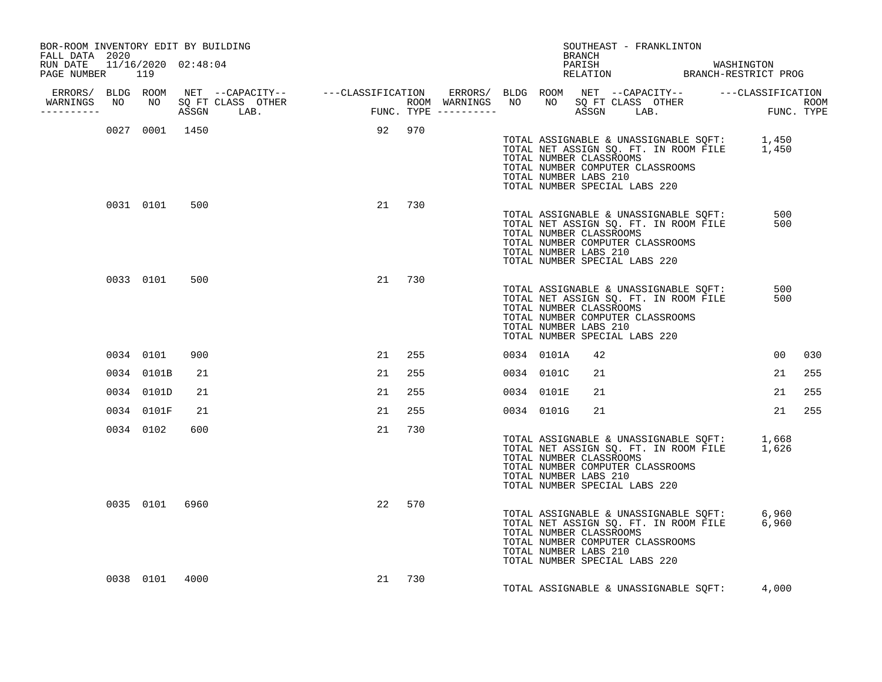| BOR-ROOM INVENTORY EDIT BY BUILDING<br>FALL DATA 2020 |           |            |                |                                  |        |        |  |                       | BRANCH | SOUTHEAST - FRANKLINTON                                                                      |                                                                                |                                                                                            |     |
|-------------------------------------------------------|-----------|------------|----------------|----------------------------------|--------|--------|--|-----------------------|--------|----------------------------------------------------------------------------------------------|--------------------------------------------------------------------------------|--------------------------------------------------------------------------------------------|-----|
| RUN DATE 11/16/2020 02:48:04<br>PAGE NUMBER           | 119       |            |                |                                  |        |        |  |                       |        |                                                                                              |                                                                                | PARISH MASHINGTON<br>RELATION BRANCH-RESTRICT PROG                                         |     |
| ----------                                            |           |            |                | WARNINGS NO NO SQ FT CLASS OTHER |        |        |  |                       |        |                                                                                              |                                                                                |                                                                                            |     |
|                                                       |           |            |                | 0027 0001 1450                   | 92 970 |        |  | TOTAL NUMBER LABS 210 |        | TOTAL NUMBER CLASSROOMS<br>TOTAL NUMBER COMPUTER CLASSROOMS<br>TOTAL NUMBER SPECIAL LABS 220 |                                                                                | TOTAL ASSIGNABLE & UNASSIGNABLE SQFT: 1,450<br>TOTAL NET ASSIGN SQ. FT. IN ROOM FILE 1,450 |     |
|                                                       |           | 0031 0101  | 500            |                                  |        | 21 730 |  | TOTAL NUMBER LABS 210 |        | TOTAL NUMBER CLASSROOMS<br>TOTAL NUMBER COMPUTER CLASSROOMS<br>TOTAL NUMBER SPECIAL LABS 220 | TOTAL ASSIGNABLE & UNASSIGNABLE SQFT:<br>TOTAL NET ASSIGN SQ. FT. IN ROOM FILE | 500<br>500                                                                                 |     |
|                                                       |           | 0033 0101  | 500            |                                  |        | 21 730 |  | TOTAL NUMBER LABS 210 |        | TOTAL NUMBER CLASSROOMS<br>TOTAL NUMBER COMPUTER CLASSROOMS<br>TOTAL NUMBER SPECIAL LABS 220 | TOTAL ASSIGNABLE & UNASSIGNABLE SOFT:<br>TOTAL NET ASSIGN SQ. FT. IN ROOM FILE | 500<br>500                                                                                 |     |
|                                                       | 0034 0101 |            | 900            |                                  | 21     | 255    |  | 0034 0101A            | 42     |                                                                                              |                                                                                | 00 <sup>o</sup>                                                                            | 030 |
|                                                       |           | 0034 0101B | 21             |                                  | 21     | 255    |  | 0034 0101C            | 21     |                                                                                              |                                                                                | 21                                                                                         | 255 |
|                                                       |           | 0034 0101D | 21             |                                  | 21     | 255    |  | 0034 0101E            | 21     |                                                                                              |                                                                                | 21                                                                                         | 255 |
|                                                       |           | 0034 0101F | 21             |                                  | 21     | 255    |  | 0034 0101G            | 21     |                                                                                              |                                                                                | 21                                                                                         | 255 |
|                                                       |           | 0034 0102  | 600            |                                  | 21     | 730    |  | TOTAL NUMBER LABS 210 |        | TOTAL NUMBER CLASSROOMS<br>TOTAL NUMBER COMPUTER CLASSROOMS<br>TOTAL NUMBER SPECIAL LABS 220 |                                                                                | TOTAL ASSIGNABLE & UNASSIGNABLE SQFT: 1,668<br>TOTAL NET ASSIGN SQ. FT. IN ROOM FILE 1,626 |     |
|                                                       |           |            | 0035 0101 6960 |                                  | 22     | 570    |  | TOTAL NUMBER LABS 210 |        | TOTAL NUMBER CLASSROOMS<br>TOTAL NUMBER COMPUTER CLASSROOMS<br>TOTAL NUMBER SPECIAL LABS 220 |                                                                                | TOTAL ASSIGNABLE & UNASSIGNABLE SQFT: 6,960<br>TOTAL NET ASSIGN SQ. FT. IN ROOM FILE 6,960 |     |
|                                                       |           | 0038 0101  | 4000           |                                  | 21     | 730    |  |                       |        |                                                                                              |                                                                                | TOTAL ASSIGNABLE & UNASSIGNABLE SQFT: 4,000                                                |     |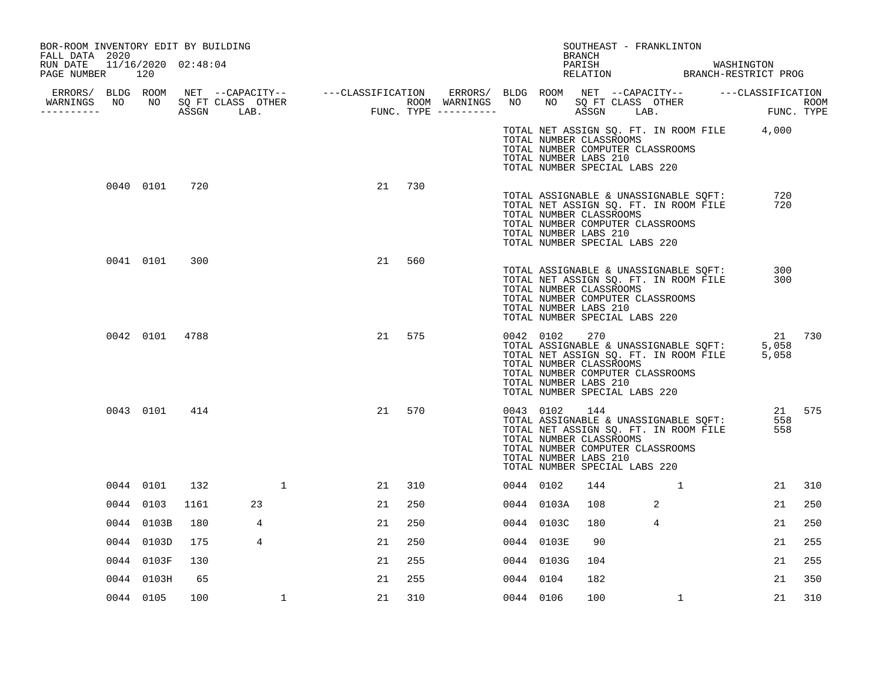| FALL DATA 2020<br>RUN DATE 11/16/2020 02:48:04<br>PAGE NUMBER 120 |               |      |                                  |              |    |     |  |                                                               | BRANCH |                                                                   |              |                                                                                                               |                                                    |                |        |
|-------------------------------------------------------------------|---------------|------|----------------------------------|--------------|----|-----|--|---------------------------------------------------------------|--------|-------------------------------------------------------------------|--------------|---------------------------------------------------------------------------------------------------------------|----------------------------------------------------|----------------|--------|
|                                                                   |               |      |                                  |              |    |     |  |                                                               |        |                                                                   |              |                                                                                                               | PARISH WASHINGTON<br>RELATION BRANCH-RESTRICT PROG |                |        |
|                                                                   |               |      |                                  |              |    |     |  |                                                               |        |                                                                   |              |                                                                                                               |                                                    |                |        |
| -----------                                                       |               |      | WARNINGS NO NO SQ FT CLASS OTHER |              |    |     |  |                                                               |        |                                                                   |              |                                                                                                               |                                                    |                |        |
|                                                                   |               |      |                                  |              |    |     |  | TOTAL NUMBER CLASSROOMS<br>TOTAL NUMBER LABS 210              |        | TOTAL NUMBER COMPUTER CLASSROOMS<br>TOTAL NUMBER SPECIAL LABS 220 |              |                                                                                                               | TOTAL NET ASSIGN SQ. FT. IN ROOM FILE 4,000        |                |        |
|                                                                   | 0040 0101 720 |      |                                  |              | 21 | 730 |  | TOTAL NUMBER LABS 210                                         |        | TOTAL NUMBER COMPUTER CLASSROOMS<br>TOTAL NUMBER SPECIAL LABS 220 |              | TOTAL NET ASSIGN SQ. FT. IN ROOM FILE<br>TOTAL NET ASSIGN SQ. FT. IN ROOM FILE<br>TOTAL NUMBER CLASSROOMS     |                                                    | 720<br>720     |        |
|                                                                   | 0041 0101     | 300  |                                  |              | 21 | 560 |  | TOTAL NUMBER CLASSROOMS<br>TOTAL NUMBER LABS 210              |        | TOTAL NUMBER COMPUTER CLASSROOMS<br>TOTAL NUMBER SPECIAL LABS 220 |              | TOTAL NET ASSIGN SQ. FT. IN ROOM FILE                                                                         | TOTAL ASSIGNABLE & UNASSIGNABLE SQFT:              | 300<br>300     |        |
|                                                                   | 0042 0101     | 4788 |                                  |              | 21 | 575 |  | 0042 0102<br>TOTAL NUMBER CLASSROOMS<br>TOTAL NUMBER LABS 210 | 270    | TOTAL NUMBER COMPUTER CLASSROOMS<br>TOTAL NUMBER SPECIAL LABS 220 |              | TOTAL ASSIGNABLE & UNASSIGNABLE SQFT:<br>TOTAL NET ASSIGN SQ. FT. IN ROOM FILE                                |                                                    | 5,058<br>5,058 | 21 730 |
|                                                                   | 0043 0101 414 |      |                                  |              | 21 | 570 |  | 0043 0102<br>TOTAL NUMBER LABS 210                            | 144    | TOTAL NUMBER COMPUTER CLASSROOMS<br>TOTAL NUMBER SPECIAL LABS 220 |              | TOTAL NET ASSIGNABLE & UNASSIGNABLE SQFT:<br>TOTAL NET ASSIGN SQ. FT. IN ROOM FILE<br>TOTAL NUMBER CLASSROOMS |                                                    | 558<br>558     | 21 575 |
|                                                                   | 0044 0101     | 132  |                                  | 1            | 21 | 310 |  | 0044 0102                                                     | 144    |                                                                   | $\sim$ 1     |                                                                                                               |                                                    | 21             | 310    |
|                                                                   | 0044 0103     | 1161 | 23                               |              | 21 | 250 |  | 0044 0103A                                                    | 108    |                                                                   | -2           |                                                                                                               |                                                    | 21             | 250    |
|                                                                   | 0044 0103B    | 180  | 4                                |              | 21 | 250 |  | 0044 0103C                                                    | 180    |                                                                   | 4            |                                                                                                               |                                                    | 21             | 250    |
|                                                                   | 0044 0103D    | 175  | $\overline{4}$                   |              | 21 | 250 |  | 0044 0103E                                                    | 90     |                                                                   |              |                                                                                                               |                                                    | 21             | 255    |
|                                                                   | 0044 0103F    | 130  |                                  |              | 21 | 255 |  | 0044 0103G                                                    | 104    |                                                                   |              |                                                                                                               |                                                    | 21             | 255    |
|                                                                   | 0044 0103H    | 65   |                                  |              | 21 | 255 |  | 0044 0104                                                     | 182    |                                                                   |              |                                                                                                               |                                                    | 21             | 350    |
|                                                                   | 0044 0105     | 100  |                                  | $\mathbf{1}$ | 21 | 310 |  | 0044 0106                                                     | 100    |                                                                   | $\mathbf{1}$ |                                                                                                               |                                                    | 21             | 310    |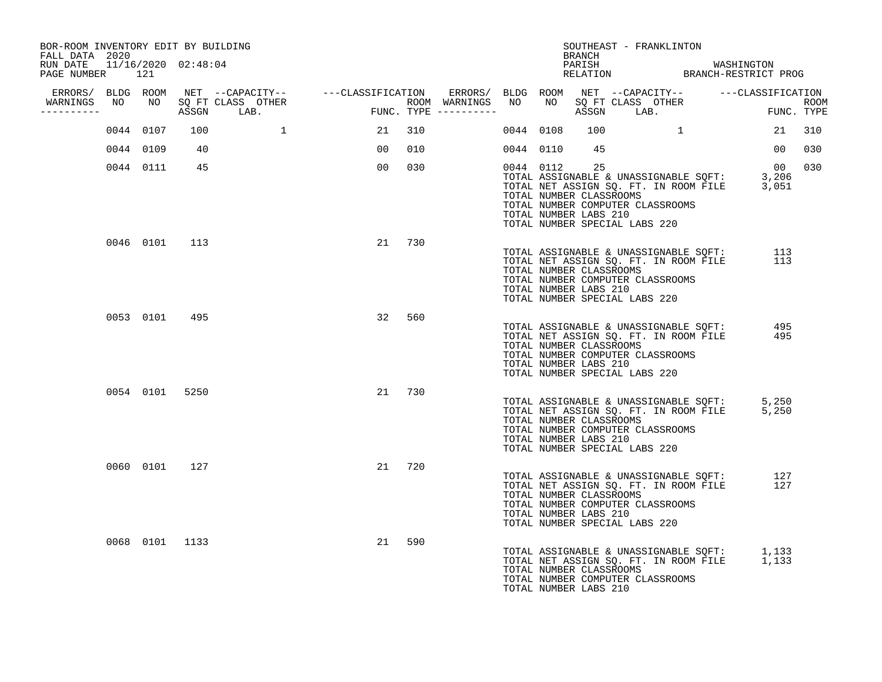| BOR-ROOM INVENTORY EDIT BY BUILDING<br>FALL DATA 2020 |                |                |                                                                                                                                       |      |        |                         |           |           | SOUTHEAST - FRANKLINTON<br>BRANCH                                                                                           |          |                                       |                                                                                            |            |     |
|-------------------------------------------------------|----------------|----------------|---------------------------------------------------------------------------------------------------------------------------------------|------|--------|-------------------------|-----------|-----------|-----------------------------------------------------------------------------------------------------------------------------|----------|---------------------------------------|--------------------------------------------------------------------------------------------|------------|-----|
| RUN DATE  11/16/2020  02:48:04<br>PAGE NUMBER 121     |                |                |                                                                                                                                       |      |        |                         |           |           |                                                                                                                             |          |                                       | PARISH WASHINGTON RELATION BRANCH-RESTRICT PROG                                            |            |     |
| WARNINGS NO                                           |                |                | ERRORS/ BLDG ROOM NET --CAPACITY-- - ---CLASSIFICATION ERRORS/ BLDG ROOM NET --CAPACITY-- - ---CLASSIFICATION<br>NO SQ FT CLASS OTHER |      |        | ROOM WARNINGS NO        |           | NO        |                                                                                                                             |          |                                       |                                                                                            |            |     |
| -----------                                           |                |                | ASSGN LAB.                                                                                                                            | FUNC |        | $FUNC. TYPE$ ---------- |           |           |                                                                                                                             |          |                                       | SQ FT CLASS OTHER ROOM ROOM ASSGN LAB. FUNC. TYPE                                          |            |     |
|                                                       | 0044 0107      | 100            |                                                                                                                                       | 21   | 310    |                         | 0044 0108 |           | 100                                                                                                                         | $\sim$ 1 |                                       |                                                                                            | 21         | 310 |
|                                                       | 0044 0109      | 40             |                                                                                                                                       | 00   | 010    |                         | 0044 0110 |           | 45                                                                                                                          |          |                                       |                                                                                            | 00         | 030 |
|                                                       | 0044 0111 45   |                |                                                                                                                                       | 00   | 030    |                         |           | 0044 0112 | 25<br>TOTAL NUMBER CLASSROOMS<br>TOTAL NUMBER COMPUTER CLASSROOMS<br>TOTAL NUMBER LABS 210<br>TOTAL NUMBER SPECIAL LABS 220 |          |                                       | TOTAL ASSIGNABLE & UNASSIGNABLE SOFT: 3,206<br>TOTAL NET ASSIGN SQ. FT. IN ROOM FILE 3,051 | 00         | 030 |
|                                                       | 0046 0101 113  |                |                                                                                                                                       |      | 21 730 |                         |           |           | TOTAL NUMBER CLASSROOMS<br>TOTAL NUMBER COMPUTER CLASSROOMS<br>TOTAL NUMBER LABS 210<br>TOTAL NUMBER SPECIAL LABS 220       |          | TOTAL NET ASSIGN SQ. FT. IN ROOM FILE | TOTAL ASSIGNABLE & UNASSIGNABLE SQFT:                                                      | 113<br>113 |     |
|                                                       | 0053 0101      | 495            |                                                                                                                                       | 32   | 560    |                         |           |           | TOTAL NUMBER CLASSROOMS<br>TOTAL NUMBER COMPUTER CLASSROOMS<br>TOTAL NUMBER LABS 210<br>TOTAL NUMBER SPECIAL LABS 220       |          | TOTAL NET ASSIGN SQ. FT. IN ROOM FILE | TOTAL ASSIGNABLE & UNASSIGNABLE SQFT: 495                                                  | 495        |     |
|                                                       | 0054 0101 5250 |                |                                                                                                                                       |      | 21 730 |                         |           |           | TOTAL NUMBER CLASSROOMS<br>TOTAL NUMBER COMPUTER CLASSROOMS<br>TOTAL NUMBER LABS 210<br>TOTAL NUMBER SPECIAL LABS 220       |          |                                       | TOTAL ASSIGNABLE & UNASSIGNABLE SQFT: 5,250<br>TOTAL NET ASSIGN SQ. FT. IN ROOM FILE 5,250 |            |     |
|                                                       | 0060 0101 127  |                |                                                                                                                                       |      | 21 720 |                         |           |           | TOTAL NUMBER CLASSROOMS<br>TOTAL NUMBER COMPUTER CLASSROOMS<br>TOTAL NUMBER LABS 210<br>TOTAL NUMBER SPECIAL LABS 220       |          | TOTAL NET ASSIGN SQ. FT. IN ROOM FILE | TOTAL ASSIGNABLE & UNASSIGNABLE SQFT:<br>TOTAL NET ASSIGN SO. FT. IN ROOM FILE             | 127<br>127 |     |
|                                                       |                | 0068 0101 1133 |                                                                                                                                       | 21   | 590    |                         |           |           | TOTAL NUMBER CLASSROOMS<br>TOTAL NUMBER COMPUTER CLASSROOMS<br>TOTAL NUMBER LABS 210                                        |          |                                       | TOTAL ASSIGNABLE & UNASSIGNABLE SQFT: 1,133<br>TOTAL NET ASSIGN SQ. FT. IN ROOM FILE 1,133 |            |     |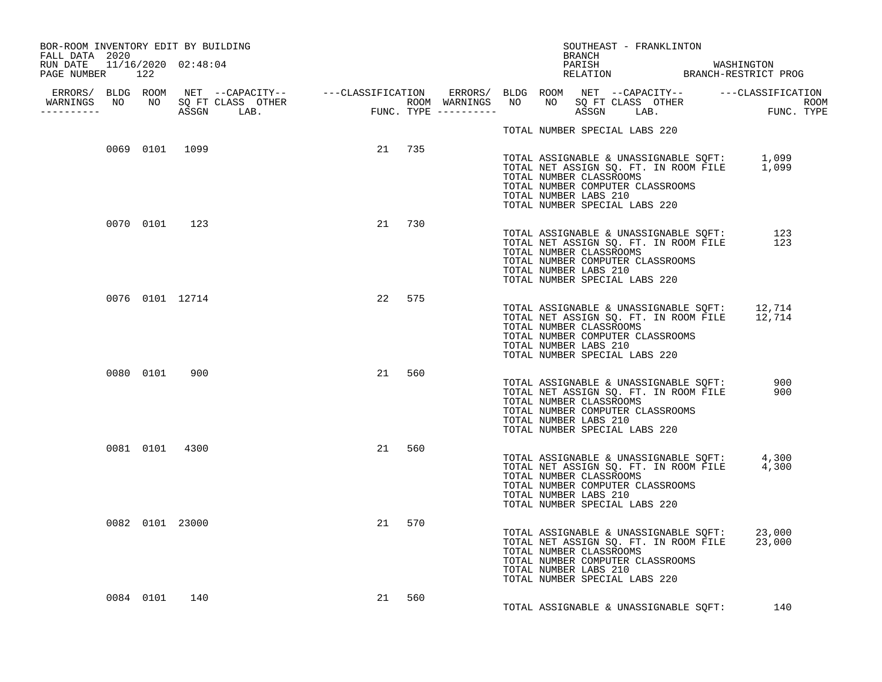| BOR-ROOM INVENTORY EDIT BY BUILDING<br>FALL DATA 2020 |  |                 |                 |        |        |  |                       | BRANCH |                         | SOUTHEAST - FRANKLINTON                                           |                                       |                                                                                              |            |
|-------------------------------------------------------|--|-----------------|-----------------|--------|--------|--|-----------------------|--------|-------------------------|-------------------------------------------------------------------|---------------------------------------|----------------------------------------------------------------------------------------------|------------|
| RUN DATE 11/16/2020 02:48:04<br>PAGE NUMBER 122       |  |                 |                 |        |        |  |                       |        |                         |                                                                   |                                       | PARISH MASHINGTON<br>RELATION BRANCH-RESTRICT PROG                                           |            |
| -----------                                           |  |                 |                 |        |        |  |                       |        |                         |                                                                   |                                       |                                                                                              |            |
|                                                       |  |                 |                 |        |        |  |                       |        |                         | TOTAL NUMBER SPECIAL LABS 220                                     |                                       |                                                                                              |            |
|                                                       |  |                 | 0069 0101 1099  | 21 735 |        |  | TOTAL NUMBER LABS 210 |        | TOTAL NUMBER CLASSROOMS | TOTAL NUMBER COMPUTER CLASSROOMS<br>TOTAL NUMBER SPECIAL LABS 220 |                                       | TOTAL ASSIGNABLE & UNASSIGNABLE SQFT: 1,099<br>TOTAL NET ASSIGN SQ. FT. IN ROOM FILE 1,099   |            |
|                                                       |  | 0070 0101 123   |                 |        | 21 730 |  | TOTAL NUMBER LABS 210 |        | TOTAL NUMBER CLASSROOMS | TOTAL NUMBER COMPUTER CLASSROOMS<br>TOTAL NUMBER SPECIAL LABS 220 |                                       | TOTAL ASSIGNABLE & UNASSIGNABLE SQFT:<br>TOTAL NET ASSIGN SQ. FT. IN ROOM FILE<br>123        | 123        |
|                                                       |  |                 | 0076 0101 12714 |        | 22 575 |  | TOTAL NUMBER LABS 210 |        | TOTAL NUMBER CLASSROOMS | TOTAL NUMBER COMPUTER CLASSROOMS<br>TOTAL NUMBER SPECIAL LABS 220 |                                       | TOTAL ASSIGNABLE & UNASSIGNABLE SQFT: 12,714<br>TOTAL NET ASSIGN SQ. FT. IN ROOM FILE 12,714 |            |
|                                                       |  | 0080 0101 900   |                 |        | 21 560 |  | TOTAL NUMBER LABS 210 |        | TOTAL NUMBER CLASSROOMS | TOTAL NUMBER COMPUTER CLASSROOMS<br>TOTAL NUMBER SPECIAL LABS 220 |                                       | TOTAL ASSIGNABLE & UNASSIGNABLE SQFT:<br>TOTAL NET ASSIGN SQ. FT. IN ROOM FILE               | 900<br>900 |
|                                                       |  | 0081 0101 4300  |                 |        | 21 560 |  | TOTAL NUMBER LABS 210 |        | TOTAL NUMBER CLASSROOMS | TOTAL NUMBER COMPUTER CLASSROOMS<br>TOTAL NUMBER SPECIAL LABS 220 |                                       | TOTAL ASSIGNABLE & UNASSIGNABLE SQFT: 4,300<br>TOTAL NET ASSIGN SQ. FT. IN ROOM FILE 4,300   |            |
|                                                       |  | 0082 0101 23000 |                 |        | 21 570 |  | TOTAL NUMBER LABS 210 |        | TOTAL NUMBER CLASSROOMS | TOTAL NUMBER COMPUTER CLASSROOMS<br>TOTAL NUMBER SPECIAL LABS 220 |                                       | TOTAL ASSIGNABLE & UNASSIGNABLE SQFT: 23,000<br>TOTAL NET ASSIGN SQ. FT. IN ROOM FILE 23,000 |            |
|                                                       |  | 0084 0101 140   |                 |        | 21 560 |  |                       |        |                         |                                                                   | TOTAL ASSIGNABLE & UNASSIGNABLE SQFT: | 140                                                                                          |            |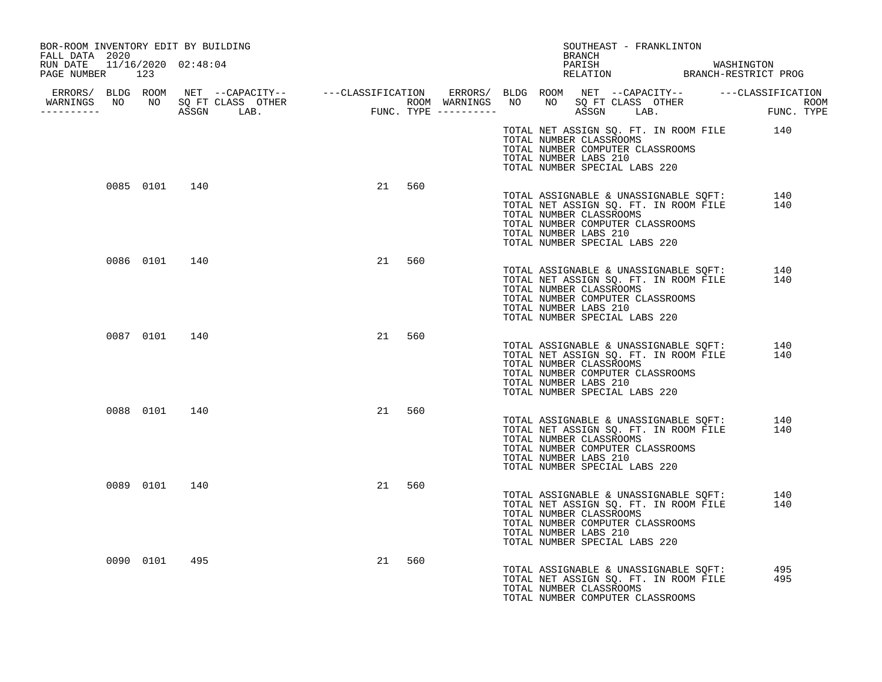| BOR-ROOM INVENTORY EDIT BY BUILDING<br>FALL DATA 2020 |     |           | SOUTHEAST - FRANKLINTON<br>BRANCH                                                                                                                                                                                                                |            |
|-------------------------------------------------------|-----|-----------|--------------------------------------------------------------------------------------------------------------------------------------------------------------------------------------------------------------------------------------------------|------------|
| RUN DATE 11/16/2020 02:48:04<br>PAGE NUMBER 123       |     |           | PARISH WASHINGTON RELATION BRANCH-RESTRICT PROG                                                                                                                                                                                                  |            |
|                                                       |     |           | ERRORS/ BLDG ROOM NET --CAPACITY-- ----CLASSIFICATION ERRORS/ BLDG ROOM NET --CAPACITY-- -----CLASSIFICATION<br>WARNINGS NO NO SQFTCLASS OTHER ROOM WARNINGS NO NO SQFTCLASS OTHER ROOM<br>----------- ASSGN LAB. FUNC.TYPE --------             |            |
|                                                       |     |           | TOTAL NET ASSIGN SQ. FT. IN ROOM FILE 140<br>TOTAL NUMBER CLASSROOMS<br>TOTAL NUMBER COMPUTER CLASSROOMS<br>TOTAL NUMBER LABS 210<br>TOTAL NUMBER SPECIAL LABS 220                                                                               |            |
| 0085 0101 140                                         |     | 21 560    | TOTAL ASSIGNABLE & UNASSIGNABLE SQFT:<br>TOTAL NET ASSIGN SO. FT. IN ROOM FILE<br>TOTAL NET ASSIGN SQ. FT. IN ROOM FILE<br>TOTAL NUMBER CLASSROOMS<br>TOTAL NUMBER COMPUTER CLASSROOMS<br>TOTAL NUMBER LABS 210<br>TOTAL NUMBER SPECIAL LABS 220 | 140<br>140 |
| 0086 0101 140                                         |     | 21<br>560 | TOTAL ASSIGNABLE & UNASSIGNABLE SQFT:<br>TOTAL NET ASSIGN SQ. FT. IN ROOM FILE<br>TOTAL NUMBER CLASSROOMS<br>TOTAL NUMBER COMPUTER CLASSROOMS<br>TOTAL NUMBER LABS 210<br>TOTAL NUMBER SPECIAL LABS 220                                          | 140<br>140 |
| 0087 0101 140                                         |     | 21<br>560 | TOTAL ASSIGNABLE & UNASSIGNABLE SQFT:<br>TOTAL NET ASSIGN SQ. FT. IN ROOM FILE<br>TOTAL NUMBER CLASSROOMS<br>TOTAL NUMBER COMPUTER CLASSROOMS<br>TOTAL NUMBER LABS 210<br>TOTAL NUMBER SPECIAL LABS 220                                          | 140<br>140 |
| 0088 0101 140                                         |     | 21<br>560 | TOTAL ASSIGNABLE & UNASSIGNABLE SQFT:<br>TOTAL NET ASSIGN SQ. FT. IN ROOM FILE<br>TOTAL NUMBER CLASSROOMS<br>TOTAL NUMBER COMPUTER CLASSROOMS<br>TOTAL NUMBER LABS 210<br>TOTAL NUMBER SPECIAL LABS 220                                          | 140<br>140 |
| 0089 0101 140                                         |     | 21<br>560 | TOTAL ASSIGNABLE & UNASSIGNABLE SOFT:<br>TOTAL NET ASSIGN SQ. FT. IN ROOM FILE<br>TOTAL NUMBER CLASSROOMS<br>TOTAL NUMBER COMPUTER CLASSROOMS<br>TOTAL NUMBER LABS 210<br>TOTAL NUMBER SPECIAL LABS 220                                          | 140<br>140 |
| 0090 0101                                             | 495 | 21<br>560 | TOTAL ASSIGNABLE & UNASSIGNABLE SQFT:<br>TOTAL NET ASSIGN SQ. FT. IN ROOM FILE<br>TOTAL NUMBER CLASSROOMS<br>TOTAL NUMBER COMPUTER CLASSROOMS                                                                                                    | 495<br>495 |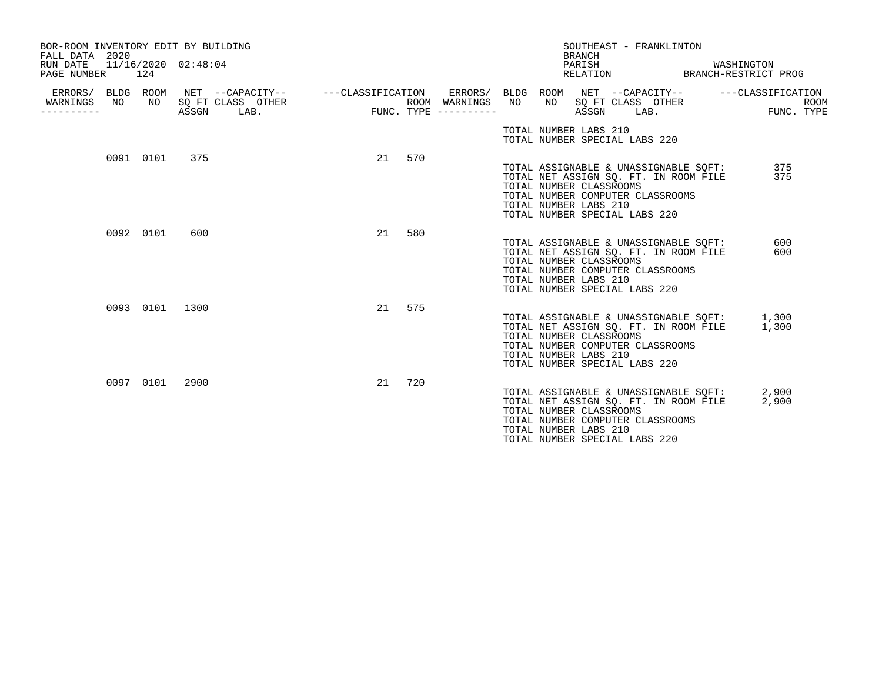| BOR-ROOM INVENTORY EDIT BY BUILDING<br>FALL DATA 2020<br>RUN DATE<br>PAGE NUMBER | 124 |           | 11/16/2020 02:48:04 |                                                                                                                                               |      |    |     |                                            |                                                  | <b>BRANCH</b><br>PARISH | SOUTHEAST - FRANKLINTON                                           | RELATION BRANCH-RESTRICT PROG                                                        | WASHINGTON |                |             |
|----------------------------------------------------------------------------------|-----|-----------|---------------------|-----------------------------------------------------------------------------------------------------------------------------------------------|------|----|-----|--------------------------------------------|--------------------------------------------------|-------------------------|-------------------------------------------------------------------|--------------------------------------------------------------------------------------|------------|----------------|-------------|
| WARNINGS<br>. <u>.</u>                                                           | NO  |           | ASSGN               | ERRORS/ BLDG ROOM NET --CAPACITY-- - ---CLASSIFICATION ERRORS/ BLDG ROOM NET --CAPACITY-- - ---CLASSIFICATION<br>NO SQ FT CLASS OTHER<br>LAB. | FUNC |    |     | ROOM WARNINGS NO<br>$FUNC. TYPE$ --------- |                                                  |                         |                                                                   | NO SQ FT CLASS OTHER<br>ASSGN LAB.                                                   |            | FUNC. TYPE     | <b>ROOM</b> |
|                                                                                  |     |           |                     |                                                                                                                                               |      |    |     |                                            | TOTAL NUMBER LABS 210                            |                         | TOTAL NUMBER SPECIAL LABS 220                                     |                                                                                      |            |                |             |
|                                                                                  |     | 0091 0101 | 375                 |                                                                                                                                               |      | 21 | 570 |                                            | TOTAL NUMBER CLASSROOMS<br>TOTAL NUMBER LABS 210 |                         | TOTAL NUMBER COMPUTER CLASSROOMS<br>TOTAL NUMBER SPECIAL LABS 220 | TOTAL ASSIGNABLE & UNASSIGNABLE SQFT:<br>TOTAL NET ASSIGN SQ. FT. IN ROOM FILE       |            | 375<br>375     |             |
|                                                                                  |     | 0092 0101 | 600                 |                                                                                                                                               |      | 21 | 580 |                                            | TOTAL NUMBER CLASSROOMS<br>TOTAL NUMBER LABS 210 |                         | TOTAL NUMBER COMPUTER CLASSROOMS<br>TOTAL NUMBER SPECIAL LABS 220 | TOTAL ASSIGNABLE & UNASSIGNABLE SQFT:<br>TOTAL NET ASSIGN SQ. FT. IN ROOM FILE       |            | 600<br>600     |             |
|                                                                                  |     |           | 0093 0101 1300      |                                                                                                                                               |      | 21 | 575 |                                            | TOTAL NUMBER CLASSROOMS<br>TOTAL NUMBER LABS 210 |                         | TOTAL NUMBER COMPUTER CLASSROOMS<br>TOTAL NUMBER SPECIAL LABS 220 | TOTAL ASSIGNABLE & UNASSIGNABLE SQFT: 1,300<br>TOTAL NET ASSIGN SQ. FT. IN ROOM FILE | 1,300      |                |             |
|                                                                                  |     | 0097 0101 | 2900                |                                                                                                                                               |      | 21 | 720 |                                            | TOTAL NUMBER CLASSROOMS<br>TOTAL NUMBER LABS 210 |                         | TOTAL NUMBER COMPUTER CLASSROOMS<br>TOTAL NUMBER SPECIAL LABS 220 | TOTAL ASSIGNABLE & UNASSIGNABLE SQFT:<br>TOTAL NET ASSIGN SQ. FT. IN ROOM FILE       |            | 2,900<br>2,900 |             |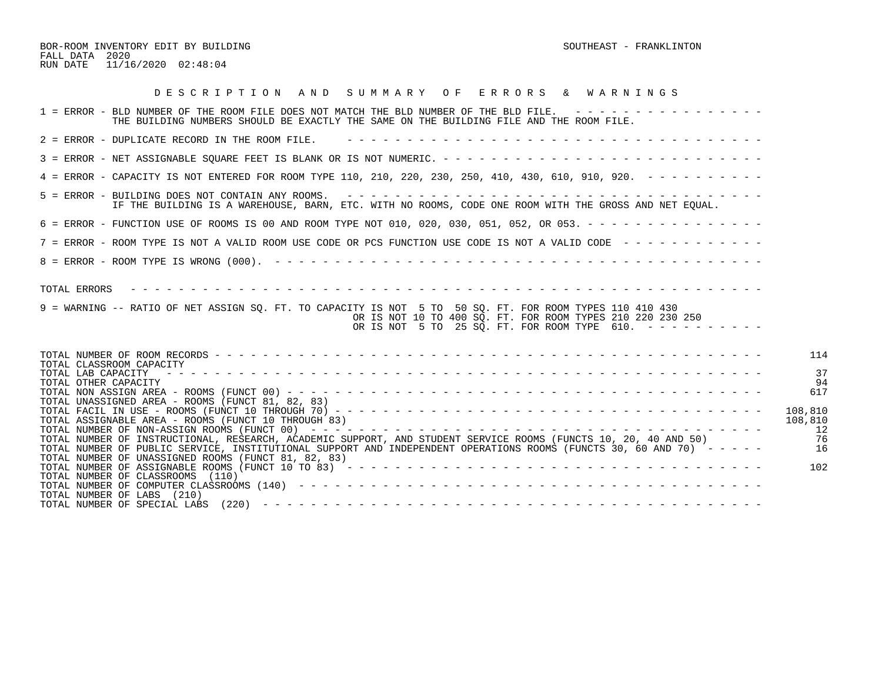BOR-ROOM INVENTORY EDIT BY BUILDING SOUTHEAST - FRANKLINTON FALL DATA 2020 RUN DATE 11/16/2020 02:48:04

| DESCRIPTION AND SUMMARY OF ERRORS & WARNINGS                                                                                                                                                                                                                                                                                                         |                                       |
|------------------------------------------------------------------------------------------------------------------------------------------------------------------------------------------------------------------------------------------------------------------------------------------------------------------------------------------------------|---------------------------------------|
| 1 = ERROR - BLD NUMBER OF THE ROOM FILE DOES NOT MATCH THE BLD NUMBER OF THE BLD FILE. ----------------<br>THE BUILDING NUMBERS SHOULD BE EXACTLY THE SAME ON THE BUILDING FILE AND THE ROOM FILE.                                                                                                                                                   |                                       |
| 2 = ERROR - DUPLICATE RECORD IN THE ROOM FILE.                                                                                                                                                                                                                                                                                                       |                                       |
|                                                                                                                                                                                                                                                                                                                                                      |                                       |
| 4 = ERROR - CAPACITY IS NOT ENTERED FOR ROOM TYPE 110, 210, 220, 230, 250, 410, 430, 610, 910, 920. - - - - - - - - -                                                                                                                                                                                                                                |                                       |
| 5 = ERROR - BUILDING DOES NOT CONTAIN ANY ROOMS. $- - - - - - - - - - - - - - - - - - - - - - - - - - - - - - - - -$<br>IF THE BUILDING IS A WAREHOUSE, BARN, ETC. WITH NO ROOMS, CODE ONE ROOM WITH THE GROSS AND NET EOUAL.                                                                                                                        |                                       |
| 6 = ERROR - FUNCTION USE OF ROOMS IS 00 AND ROOM TYPE NOT 010, 020, 030, 051, 052, OR 053. - - - - - - - - - - - - - - -                                                                                                                                                                                                                             |                                       |
| 7 = ERROR - ROOM TYPE IS NOT A VALID ROOM USE CODE OR PCS FUNCTION USE CODE IS NOT A VALID CODE ------------                                                                                                                                                                                                                                         |                                       |
|                                                                                                                                                                                                                                                                                                                                                      |                                       |
| TOTAL ERRORS<br>9 = WARNING -- RATIO OF NET ASSIGN SQ. FT. TO CAPACITY IS NOT 5 TO 50 SQ. FT. FOR ROOM TYPES 110 410 430<br>OR IS NOT 10 TO 400 SO. FT. FOR ROOM TYPES 210 220 230 250<br>OR IS NOT 5 TO 25 SQ. FT. FOR ROOM TYPE 610. ----------                                                                                                    |                                       |
| TOTAL CLASSROOM CAPACITY<br>TOTAL LAB CAPACITY<br>TOTAL OTHER CAPACITY<br>TOTAL UNASSIGNED AREA - ROOMS (FUNCT 81, 82, 83)                                                                                                                                                                                                                           | 114<br>37<br>94<br>617                |
| TOTAL ASSIGNABLE AREA - ROOMS (FUNCT 10 THROUGH 83)<br>TOTAL NUMBER OF INSTRUCTIONAL, RESEARCH, ACADEMIC SUPPORT, AND STUDENT SERVICE ROOMS (FUNCTS 10, 20, 40 AND 50)<br>TOTAL NUMBER OF PUBLIC SERVICE, INSTITUTIONAL SUPPORT AND INDEPENDENT OPERATIONS ROOMS (FUNCTS 30, 60 AND 70) -----<br>TOTAL NUMBER OF UNASSIGNED ROOMS (FUNCT 81, 82, 83) | 108,810<br>108,810<br>-12<br>76<br>16 |
| TOTAL NUMBER OF CLASSROOMS (110)<br>TOTAL NUMBER OF LABS (210)<br>TOTAL NUMBER OF SPECIAL LABS                                                                                                                                                                                                                                                       | 102                                   |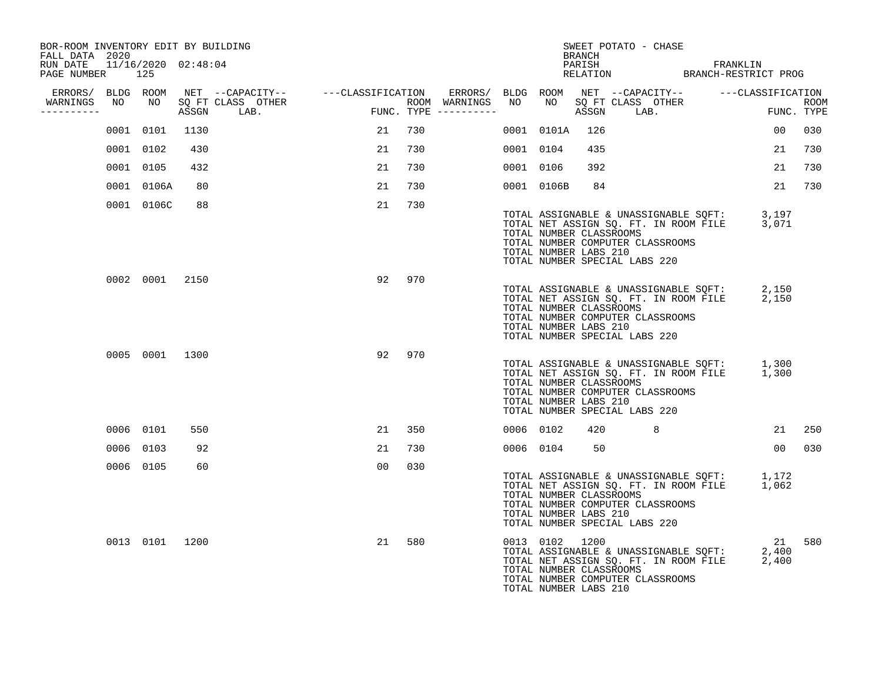| BOR-ROOM INVENTORY EDIT BY BUILDING<br>FALL DATA 2020 |           |                |      |                                      |     |    |     |                                                       |           |                                                                    | BRANCH |                               | SWEET POTATO - CHASE                                                      |                                                                                            |                 |     |
|-------------------------------------------------------|-----------|----------------|------|--------------------------------------|-----|----|-----|-------------------------------------------------------|-----------|--------------------------------------------------------------------|--------|-------------------------------|---------------------------------------------------------------------------|--------------------------------------------------------------------------------------------|-----------------|-----|
| RUN DATE 11/16/2020 02:48:04<br>PAGE NUMBER           | 125       |                |      |                                      |     |    |     |                                                       |           |                                                                    |        |                               |                                                                           | PARISH FRANKLIN<br>RELATION BRANCH-RESTRICT PROG                                           |                 |     |
| ERRORS/ BLDG ROOM                                     |           |                |      | NET --CAPACITY-- - ---CLASSIFICATION |     |    |     | ERRORS/ BLDG ROOM NET --CAPACITY-- ----CLASSIFICATION |           |                                                                    |        |                               |                                                                           |                                                                                            |                 |     |
| WARNINGS<br>----------                                | NO        | NO 11          |      | SO FT CLASS OTHER<br>ASSGN LAB.      | FUN |    |     | ROOM WARNINGS<br>FUNC. TYPE $------$                  | NO        |                                                                    | ASSGN  |                               | NO SQ FT CLASS OTHER<br>LAB.                                              | ROOM<br>FUNC. TYPE                                                                         |                 |     |
|                                                       | 0001 0101 |                | 1130 |                                      |     | 21 | 730 |                                                       |           | 0001 0101A                                                         | 126    |                               |                                                                           |                                                                                            | 00              | 030 |
|                                                       | 0001 0102 |                | 430  |                                      |     | 21 | 730 |                                                       | 0001 0104 |                                                                    | 435    |                               |                                                                           |                                                                                            | 21              | 730 |
|                                                       | 0001 0105 |                | 432  |                                      |     | 21 | 730 |                                                       | 0001 0106 |                                                                    | 392    |                               |                                                                           |                                                                                            | 21              | 730 |
|                                                       |           | 0001 0106A     | 80   |                                      |     | 21 | 730 |                                                       |           | 0001 0106B                                                         | 84     |                               |                                                                           |                                                                                            | 21              | 730 |
|                                                       |           | 0001 0106C     | 88   |                                      |     | 21 | 730 |                                                       |           | TOTAL NUMBER CLASSROOMS<br>TOTAL NUMBER LABS 210                   |        | TOTAL NUMBER SPECIAL LABS 220 | TOTAL NUMBER COMPUTER CLASSROOMS                                          | TOTAL ASSIGNABLE & UNASSIGNABLE SQFT: 3,197<br>TOTAL NET ASSIGN SQ. FT. IN ROOM FILE 3,071 |                 |     |
|                                                       |           | 0002 0001 2150 |      |                                      |     | 92 | 970 |                                                       |           | TOTAL NUMBER CLASSROOMS<br>TOTAL NUMBER LABS 210                   |        | TOTAL NUMBER SPECIAL LABS 220 | TOTAL NUMBER COMPUTER CLASSROOMS                                          | TOTAL ASSIGNABLE & UNASSIGNABLE SQFT: 2,150<br>TOTAL NET ASSIGN SQ. FT. IN ROOM FILE 2,150 |                 |     |
|                                                       |           | 0005 0001 1300 |      |                                      |     | 92 | 970 |                                                       |           | TOTAL NUMBER CLASSROOMS<br>TOTAL NUMBER LABS 210                   |        | TOTAL NUMBER SPECIAL LABS 220 | TOTAL NUMBER COMPUTER CLASSROOMS                                          | TOTAL ASSIGNABLE & UNASSIGNABLE SQFT: 1,300<br>TOTAL NET ASSIGN SQ. FT. IN ROOM FILE 1,300 |                 |     |
|                                                       | 0006 0101 |                | 550  |                                      |     | 21 | 350 |                                                       | 0006 0102 |                                                                    |        | 420 8                         |                                                                           |                                                                                            | 21              | 250 |
|                                                       | 0006 0103 |                | 92   |                                      |     | 21 | 730 |                                                       | 0006 0104 |                                                                    | 50     |                               |                                                                           |                                                                                            | 00 <sub>o</sub> | 030 |
|                                                       | 0006 0105 |                | 60   |                                      |     | 00 | 030 |                                                       |           | TOTAL NUMBER CLASSROOMS<br>TOTAL NUMBER LABS 210                   |        | TOTAL NUMBER SPECIAL LABS 220 | TOTAL NUMBER COMPUTER CLASSROOMS                                          | TOTAL ASSIGNABLE & UNASSIGNABLE SQFT: 1,172<br>TOTAL NET ASSIGN SQ. FT. IN ROOM FILE 1,062 |                 |     |
|                                                       |           | 0013 0101 1200 |      |                                      |     | 21 | 580 |                                                       |           | 0013 0102 1200<br>TOTAL NUMBER CLASSROOMS<br>TOTAL NUMBER LABS 210 |        |                               | TOTAL ASSIGNABLE & UNASSIGNABLE SQFT:<br>TOTAL NUMBER COMPUTER CLASSROOMS | TOTAL NET ASSIGN SQ. FT. IN ROOM FILE 2,400                                                | 21<br>2,400     | 580 |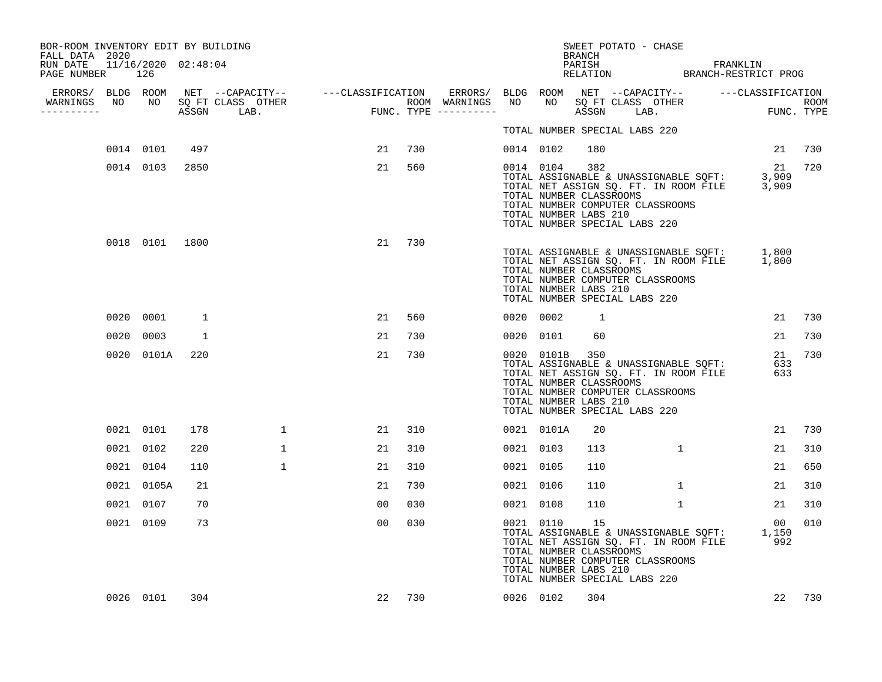| BOR-ROOM INVENTORY EDIT BY BUILDING<br>FALL DATA 2020 |     |                |      |              |        |     |           |                                                                                                                                         | BRANCH       | SWEET POTATO - CHASE |                                                                                            |                  |     |
|-------------------------------------------------------|-----|----------------|------|--------------|--------|-----|-----------|-----------------------------------------------------------------------------------------------------------------------------------------|--------------|----------------------|--------------------------------------------------------------------------------------------|------------------|-----|
| RUN DATE 11/16/2020 02:48:04<br>PAGE NUMBER           | 126 |                |      |              |        |     |           |                                                                                                                                         |              |                      | PARISH FRANKLIN RELATION BRANCH-RESTRICT PROG                                              |                  |     |
| WARNINGS                                              |     |                |      |              |        |     |           |                                                                                                                                         |              |                      |                                                                                            |                  |     |
| ----------                                            |     |                |      |              |        |     |           |                                                                                                                                         |              |                      |                                                                                            |                  |     |
|                                                       |     |                |      |              |        |     |           | TOTAL NUMBER SPECIAL LABS 220                                                                                                           |              |                      |                                                                                            |                  |     |
|                                                       |     | 0014 0101      | 497  |              | 21     | 730 | 0014 0102 |                                                                                                                                         | 180          |                      |                                                                                            | 21 730           |     |
|                                                       |     | 0014 0103      | 2850 |              | 21     | 560 |           | 0014 0104<br>TOTAL NUMBER CLASSROOMS<br>TOTAL NUMBER COMPUTER CLASSROOMS<br>TOTAL NUMBER LABS 210<br>TOTAL NUMBER SPECIAL LABS 220      | 382          |                      | TOTAL ASSIGNABLE & UNASSIGNABLE SOFT: 3,909<br>TOTAL NET ASSIGN SQ. FT. IN ROOM FILE 3,909 | 21               | 720 |
|                                                       |     | 0018 0101 1800 |      |              | 21     | 730 |           | TOTAL NUMBER CLASSROOMS<br>TOTAL NUMBER COMPUTER CLASSROOMS<br>TOTAL NUMBER LABS 210<br>TOTAL NUMBER SPECIAL LABS 220                   |              |                      | TOTAL ASSIGNABLE & UNASSIGNABLE SQFT: 1,800<br>TOTAL NET ASSIGN SQ. FT. IN ROOM FILE 1,800 |                  |     |
|                                                       |     | 0020 0001      | 1    |              | 21     | 560 | 0020 0002 |                                                                                                                                         | $\mathbf{1}$ |                      |                                                                                            | 21               | 730 |
|                                                       |     | 0020 0003      | 1    |              | 21     | 730 | 0020 0101 |                                                                                                                                         | 60           |                      |                                                                                            | 21               | 730 |
|                                                       |     | 0020 0101A     | 220  |              | 21     | 730 |           | 0020 0101B 350<br>TOTAL NUMBER CLASSROOMS<br>TOTAL NUMBER COMPUTER CLASSROOMS<br>TOTAL NUMBER LABS 210<br>TOTAL NUMBER SPECIAL LABS 220 |              |                      | TOTAL ASSIGNABLE & UNASSIGNABLE SOFT:<br>TOTAL NET ASSIGN SQ. FT. IN ROOM FILE             | 21<br>633<br>633 | 730 |
|                                                       |     | 0021 0101      | 178  | 1            | 21     | 310 |           | 0021 0101A                                                                                                                              | 20           |                      |                                                                                            | 21               | 730 |
|                                                       |     | 0021 0102      | 220  | $\mathbf{1}$ | 21     | 310 | 0021 0103 |                                                                                                                                         | 113          | $\mathbf{1}$         |                                                                                            | 21               | 310 |
|                                                       |     | 0021 0104      | 110  | $\mathbf{1}$ | 21     | 310 | 0021 0105 |                                                                                                                                         | 110          |                      |                                                                                            | 21               | 650 |
|                                                       |     | 0021 0105A     | 21   |              | 21     | 730 | 0021 0106 |                                                                                                                                         | 110          | $\mathbf{1}$         |                                                                                            | 21               | 310 |
|                                                       |     | 0021 0107      | 70   |              | 00     | 030 | 0021 0108 |                                                                                                                                         | 110          | $\mathbf{1}$         |                                                                                            | 21               | 310 |
|                                                       |     | 0021 0109      | 73   |              | 00     | 030 | 0021 0110 | TOTAL NUMBER CLASSROOMS<br>TOTAL NUMBER COMPUTER CLASSROOMS<br>TOTAL NUMBER LABS 210<br>TOTAL NUMBER SPECIAL LABS 220                   | 15           |                      | TOTAL ASSIGNABLE & UNASSIGNABLE SQFT: 1,150<br>TOTAL NET ASSIGN SQ. FT. IN ROOM FILE 992   | 00               | 010 |
|                                                       |     | 0026 0101      | 304  |              | 22 730 |     | 0026 0102 |                                                                                                                                         | 304          |                      |                                                                                            | 22               | 730 |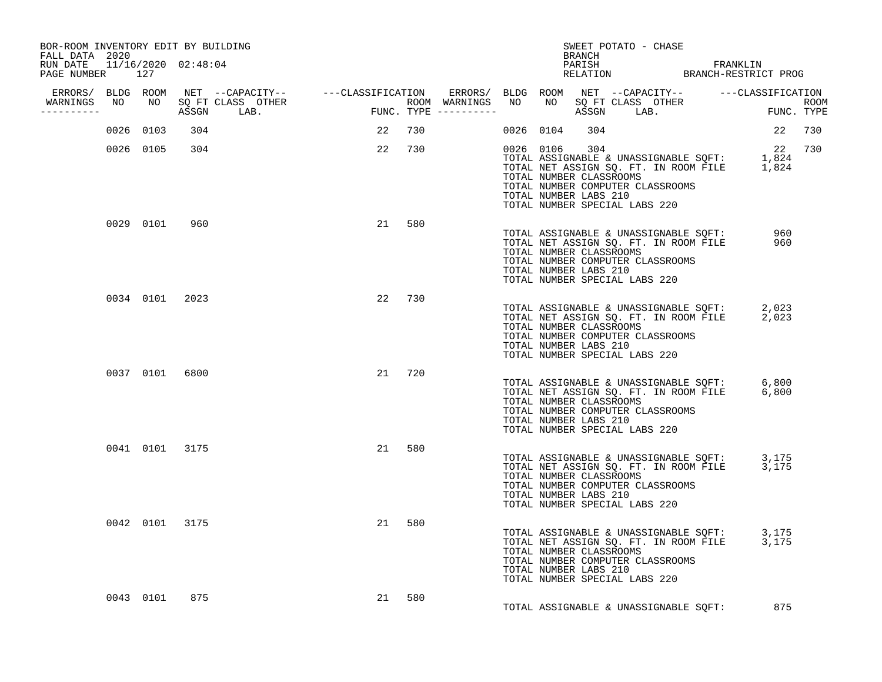| BOR-ROOM INVENTORY EDIT BY BUILDING<br>FALL DATA 2020 |           |                |                                  |    |        |  | BRANCH                                 | SWEET POTATO - CHASE                                                                                                                                                                                        |     |        |
|-------------------------------------------------------|-----------|----------------|----------------------------------|----|--------|--|----------------------------------------|-------------------------------------------------------------------------------------------------------------------------------------------------------------------------------------------------------------|-----|--------|
| RUN DATE 11/16/2020 02:48:04<br>PAGE NUMBER 127       |           |                |                                  |    |        |  |                                        | PARISH PARISH FRANKLIN<br>RELATION BRANCH-RESTRICT PROG                                                                                                                                                     |     |        |
|                                                       |           |                |                                  |    |        |  |                                        |                                                                                                                                                                                                             |     |        |
| -----------                                           |           |                | WARNINGS NO NO SQ FT CLASS OTHER |    |        |  |                                        |                                                                                                                                                                                                             |     |        |
|                                                       | 0026 0103 | 304            |                                  |    | 22 730 |  | 0026 0104 304                          |                                                                                                                                                                                                             |     | 22 730 |
|                                                       | 0026 0105 | 304            |                                  |    | 22 730 |  | 0026 0106 304<br>TOTAL NUMBER LABS 210 | 0026 0106 304<br>TOTAL ASSIGNABLE & UNASSIGNABLE SQFT: 1,824<br>TOTAL NET ASSIGN SQ. FT. IN ROOM FILE 1,824<br>TOTAL NUMBER CLASSROOMS<br>TOTAL NUMBER COMPUTER CLASSROOMS<br>TOTAL NUMBER SPECIAL LABS 220 |     | 22 730 |
|                                                       | 0029 0101 | 960            |                                  |    | 21 580 |  | TOTAL NUMBER LABS 210                  | TOTAL ASSIGNABLE & UNASSIGNABLE SQFT: 960<br>TOTAL NET ASSIGN SQ. FT. IN ROOM FILE 960<br>TOTAL NUMBER CLASSROOMS<br>TOTAL NUMBER COMPUTER CLASSROOMS<br>TOTAL NUMBER SPECIAL LABS 220                      |     |        |
|                                                       |           | 0034 0101 2023 |                                  |    | 22 730 |  | TOTAL NUMBER LABS 210                  | TOTAL ASSIGNABLE & UNASSIGNABLE SQFT: 2,023<br>TOTAL NET ASSIGN SQ. FT. IN ROOM FILE 2,023<br>TOTAL NUMBER CLASSROOMS<br>TOTAL NUMBER COMPUTER CLASSROOMS<br>TOTAL NUMBER SPECIAL LABS 220                  |     |        |
|                                                       |           | 0037 0101 6800 |                                  |    | 21 720 |  | TOTAL NUMBER LABS 210                  | TOTAL ASSIGNABLE & UNASSIGNABLE SQFT: 6,800<br>TOTAL NET ASSIGN SQ. FT. IN ROOM FILE 6,800<br>TOTAL NUMBER CLASSROOMS<br>TOTAL NUMBER COMPUTER CLASSROOMS<br>TOTAL NUMBER SPECIAL LABS 220                  |     |        |
|                                                       |           | 0041 0101 3175 |                                  | 21 | 580    |  | TOTAL NUMBER LABS 210                  | TOTAL ASSIGNABLE & UNASSIGNABLE SQFT: 3,175<br>TOTAL NET ASSIGN SQ. FT. IN ROOM FILE 3,175<br>TOTAL NUMBER CLASSROOMS<br>TOTAL NUMBER COMPUTER CLASSROOMS<br>TOTAL NUMBER SPECIAL LABS 220                  |     |        |
|                                                       |           | 0042 0101 3175 |                                  | 21 | 580    |  | TOTAL NUMBER LABS 210                  | TOTAL ASSIGNABLE & UNASSIGNABLE SQFT: 3,175<br>TOTAL NET ASSIGN SQ. FT. IN ROOM FILE 3,175<br>TOTAL NUMBER CLASSROOMS<br>TOTAL NUMBER COMPUTER CLASSROOMS<br>TOTAL NUMBER SPECIAL LABS 220                  |     |        |
|                                                       | 0043 0101 | 875            |                                  |    | 21 580 |  |                                        | TOTAL ASSIGNABLE & UNASSIGNABLE SQFT:                                                                                                                                                                       | 875 |        |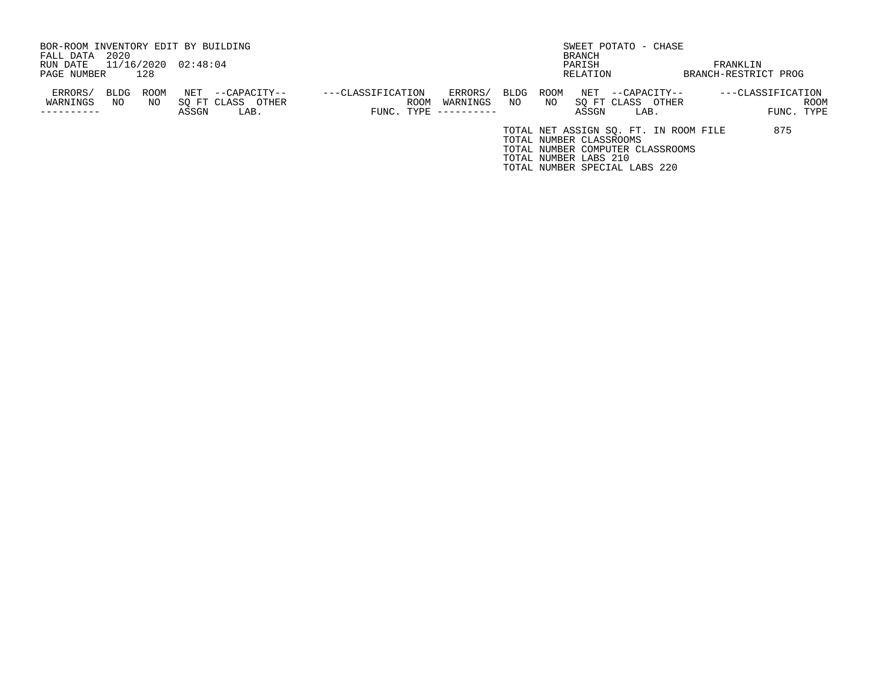| BOR-ROOM INVENTORY EDIT BY BUILDING |             |                     |                   |                   |                     |      |      |                         | SWEET POTATO - CHASE          |                                       |                      |            |
|-------------------------------------|-------------|---------------------|-------------------|-------------------|---------------------|------|------|-------------------------|-------------------------------|---------------------------------------|----------------------|------------|
| FALL DATA                           | 2020        |                     |                   |                   |                     |      |      | BRANCH                  |                               |                                       |                      |            |
| RUN DATE                            |             | 11/16/2020 02:48:04 |                   |                   |                     |      |      | PARISH                  |                               |                                       | FRANKLIN             |            |
| PAGE NUMBER                         | 128         |                     |                   |                   |                     |      |      | RELATION                |                               |                                       | BRANCH-RESTRICT PROG |            |
| ERRORS/                             | <b>BLDG</b> | ROOM<br>NET         | --CAPACITY--      | ---CLASSIFICATION | ERRORS/             | BLDG | ROOM | NET                     | --CAPACITY--                  |                                       | ---CLASSIFICATION    |            |
| WARNINGS                            | NO          | NO.                 | SO FT CLASS OTHER | ROOM              | WARNINGS            | NO   | NO.  |                         | SO FT CLASS OTHER             |                                       |                      | ROOM       |
| ---------                           |             | ASSGN               | LAB.              |                   | FUNC. TYPE $------$ |      |      | ASSGN                   | LAB.                          |                                       |                      | FUNC. TYPE |
|                                     |             |                     |                   |                   |                     |      |      |                         |                               | TOTAL NET ASSIGN SQ. FT. IN ROOM FILE | 875                  |            |
|                                     |             |                     |                   |                   |                     |      |      | TOTAL NUMBER CLASSROOMS |                               |                                       |                      |            |
|                                     |             |                     |                   |                   |                     |      |      |                         |                               | TOTAL NUMBER COMPUTER CLASSROOMS      |                      |            |
|                                     |             |                     |                   |                   |                     |      |      | TOTAL NUMBER LABS 210   |                               |                                       |                      |            |
|                                     |             |                     |                   |                   |                     |      |      |                         | TOTAL NUMBER SPECIAL LABS 220 |                                       |                      |            |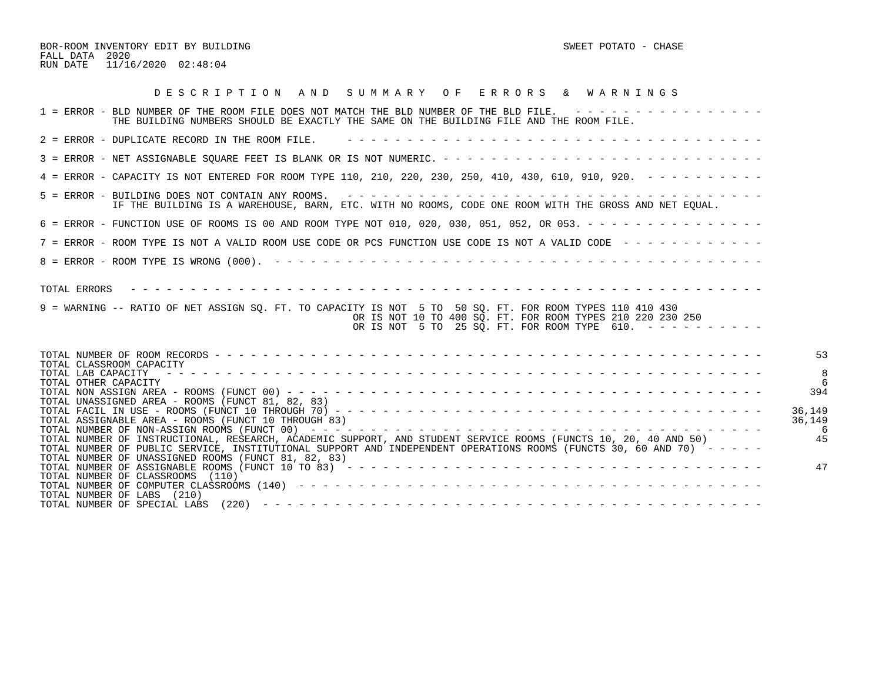BOR-ROOM INVENTORY EDIT BY BUILDING SWEET POTATO - CHASE FALL DATA 2020 RUN DATE 11/16/2020 02:48:04

| DESCRIPTION AND SUMMARY OF ERRORS & WARNINGS                                                                                                                                                                                                       |
|----------------------------------------------------------------------------------------------------------------------------------------------------------------------------------------------------------------------------------------------------|
| 1 = ERROR - BLD NUMBER OF THE ROOM FILE DOES NOT MATCH THE BLD NUMBER OF THE BLD FILE. ----------------<br>THE BUILDING NUMBERS SHOULD BE EXACTLY THE SAME ON THE BUILDING FILE AND THE ROOM FILE.                                                 |
| 2 = ERROR - DUPLICATE RECORD IN THE ROOM FILE.                                                                                                                                                                                                     |
|                                                                                                                                                                                                                                                    |
| 4 = ERROR - CAPACITY IS NOT ENTERED FOR ROOM TYPE 110, 210, 220, 230, 250, 410, 430, 610, 910, 920. - - - - - - - - -                                                                                                                              |
| IF THE BUILDING IS A WAREHOUSE, BARN, ETC. WITH NO ROOMS, CODE ONE ROOM WITH THE GROSS AND NET EQUAL.                                                                                                                                              |
| 6 = ERROR - FUNCTION USE OF ROOMS IS 00 AND ROOM TYPE NOT 010, 020, 030, 051, 052, OR 053. - - - - - - - - - - - - - - -                                                                                                                           |
| 7 = ERROR - ROOM TYPE IS NOT A VALID ROOM USE CODE OR PCS FUNCTION USE CODE IS NOT A VALID CODE ------------                                                                                                                                       |
|                                                                                                                                                                                                                                                    |
| TOTAL ERRORS<br>9 = WARNING -- RATIO OF NET ASSIGN SO. FT. TO CAPACITY IS NOT 5 TO 50 SO. FT. FOR ROOM TYPES 110 410 430<br>OR IS NOT 10 TO 400 SO. FT. FOR ROOM TYPES 210 220 230 250<br>OR IS NOT 5 TO 25 SQ. FT. FOR ROOM TYPE 610. ----------- |
| 53<br>TOTAL CLASSROOM CAPACITY                                                                                                                                                                                                                     |
| TOTAL LAB CAPACITY<br>TOTAL OTHER CAPACITY                                                                                                                                                                                                         |
| 394<br>TOTAL UNASSIGNED AREA - ROOMS (FUNCT 81, 82, 83)                                                                                                                                                                                            |
| 36,149<br>36,149<br>TOTAL ASSIGNABLE AREA - ROOMS (FUNCT 10 THROUGH 83)                                                                                                                                                                            |
| 45<br>TOTAL NUMBER OF INSTRUCTIONAL, RESEARCH, ACADEMIC SUPPORT, AND STUDENT SERVICE ROOMS (FUNCTS 10, 20, 40 AND 50)<br>TOTAL NUMBER OF PUBLIC SERVICE, INSTITUTIONAL SUPPORT AND INDEPENDENT OPERATIONS ROOMS (FUNCTS 30, 60 AND 70) -----       |
| TOTAL NUMBER OF UNASSIGNED ROOMS (FUNCT 81, 82, 83)<br>47<br>TOTAL NUMBER OF CLASSROOMS (110)<br>TOTAL NUMBER OF LABS (210)                                                                                                                        |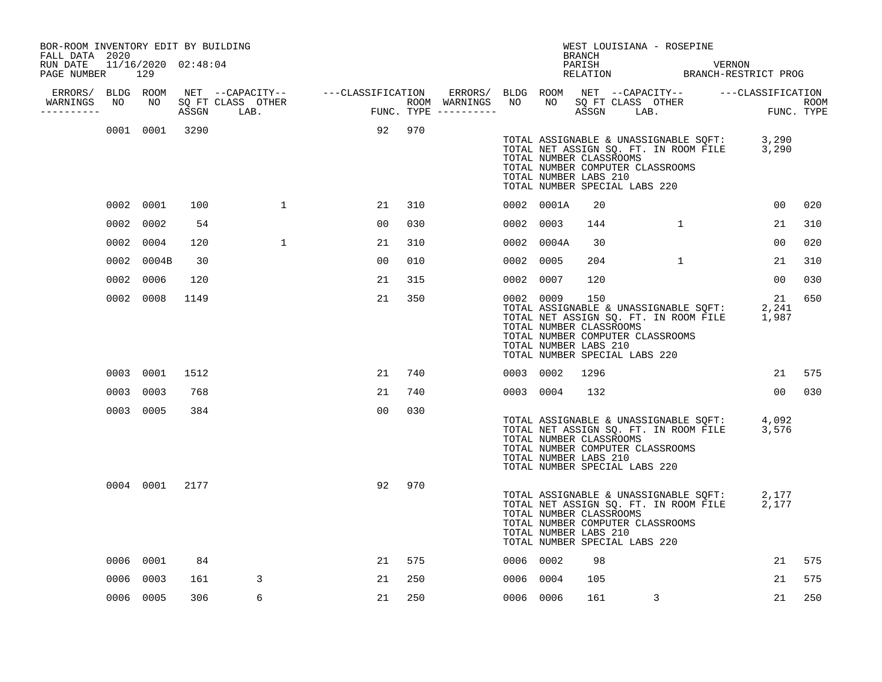| BOR-ROOM INVENTORY EDIT BY BUILDING<br>FALL DATA 2020<br>RUN DATE |    | 11/16/2020 02:48:04 |       |                                                                 |                                        |     |                                                                        |           |                                                  | <b>BRANCH</b><br>PARISH | WEST LOUISIANA - ROSEPINE                                         |              | VERNON                                                                         |                                                                                            |                    |
|-------------------------------------------------------------------|----|---------------------|-------|-----------------------------------------------------------------|----------------------------------------|-----|------------------------------------------------------------------------|-----------|--------------------------------------------------|-------------------------|-------------------------------------------------------------------|--------------|--------------------------------------------------------------------------------|--------------------------------------------------------------------------------------------|--------------------|
| PAGE NUMBER                                                       |    | 129                 |       |                                                                 |                                        |     |                                                                        |           |                                                  |                         |                                                                   |              |                                                                                | RELATION BRANCH-RESTRICT PROG                                                              |                    |
| ERRORS/ BLDG ROOM<br>WARNINGS<br>-----------                      | NO | NO                  | ASSGN | NET --CAPACITY-- ---CLASSIFICATION<br>SQ FT CLASS OTHER<br>LAB. | ROOM WARNINGS<br>FUNC. TYPE ---------- |     | ERRORS/ BLDG ROOM NET --CAPACITY-- ----CLASSIFICATION<br>ROOM WARNINGS | NO        | NO <sub>1</sub>                                  |                         |                                                                   |              | NEI - CILIS<br>SQ FT CLASS OTHER                                               |                                                                                            | ROOM<br>FUNC. TYPE |
|                                                                   |    | 0001 0001           | 3290  |                                                                 | 92                                     | 970 |                                                                        |           | TOTAL NUMBER CLASSROOMS<br>TOTAL NUMBER LABS 210 |                         | TOTAL NUMBER COMPUTER CLASSROOMS<br>TOTAL NUMBER SPECIAL LABS 220 |              |                                                                                | TOTAL ASSIGNABLE & UNASSIGNABLE SQFT: 3,290<br>TOTAL NET ASSIGN SQ. FT. IN ROOM FILE 3,290 |                    |
|                                                                   |    | 0002 0001           | 100   | $\mathbf{1}$                                                    | 21                                     | 310 |                                                                        |           | 0002 0001A                                       | 20                      |                                                                   |              |                                                                                | 00                                                                                         | 020                |
|                                                                   |    | 0002 0002           | 54    |                                                                 | 00                                     | 030 |                                                                        | 0002 0003 |                                                  | 144                     |                                                                   | $\mathbf{1}$ |                                                                                | 21                                                                                         | 310                |
|                                                                   |    | 0002 0004           | 120   | $\mathbf{1}$                                                    | 21                                     | 310 |                                                                        |           | 0002 0004A                                       | 30                      |                                                                   |              |                                                                                | 00                                                                                         | 020                |
|                                                                   |    | 0002 0004B          | 30    |                                                                 | 00                                     | 010 |                                                                        | 0002 0005 |                                                  | 204                     |                                                                   | $\mathbf{1}$ |                                                                                | 21                                                                                         | 310                |
|                                                                   |    | 0002 0006           | 120   |                                                                 | 21                                     | 315 |                                                                        | 0002 0007 |                                                  | 120                     |                                                                   |              |                                                                                | 0 <sub>0</sub>                                                                             | 030                |
|                                                                   |    | 0002 0008           | 1149  |                                                                 | 21                                     | 350 |                                                                        | 0002 0009 | TOTAL NUMBER CLASSROOMS<br>TOTAL NUMBER LABS 210 | 150                     | TOTAL NUMBER COMPUTER CLASSROOMS<br>TOTAL NUMBER SPECIAL LABS 220 |              | TOTAL ASSIGNABLE & UNASSIGNABLE SQFT:<br>TOTAL NET ASSIGN SQ. FT. IN ROOM FILE | 21<br>2,241<br>1,987                                                                       | 650                |
|                                                                   |    | 0003 0001           | 1512  |                                                                 | 21                                     | 740 |                                                                        | 0003 0002 |                                                  | 1296                    |                                                                   |              |                                                                                | 21                                                                                         | 575                |
|                                                                   |    | 0003 0003           | 768   |                                                                 | 21                                     | 740 |                                                                        | 0003 0004 |                                                  | 132                     |                                                                   |              |                                                                                | 00 <sub>o</sub>                                                                            | 030                |
|                                                                   |    | 0003 0005           | 384   |                                                                 | 0 <sub>0</sub>                         | 030 |                                                                        |           | TOTAL NUMBER CLASSROOMS<br>TOTAL NUMBER LABS 210 |                         | TOTAL NUMBER COMPUTER CLASSROOMS<br>TOTAL NUMBER SPECIAL LABS 220 |              |                                                                                | TOTAL ASSIGNABLE & UNASSIGNABLE SQFT: 4,092<br>TOTAL NET ASSIGN SQ. FT. IN ROOM FILE 3,576 |                    |
|                                                                   |    | 0004 0001 2177      |       |                                                                 | 92                                     | 970 |                                                                        |           | TOTAL NUMBER CLASSROOMS<br>TOTAL NUMBER LABS 210 |                         | TOTAL NUMBER COMPUTER CLASSROOMS<br>TOTAL NUMBER SPECIAL LABS 220 |              | TOTAL ASSIGNABLE & UNASSIGNABLE SQFT:<br>TOTAL NET ASSIGN SQ. FT. IN ROOM FILE | 2,177<br>2,177                                                                             |                    |
|                                                                   |    | 0006 0001           | 84    |                                                                 | 21                                     | 575 |                                                                        | 0006 0002 |                                                  | 98                      |                                                                   |              |                                                                                | 21                                                                                         | 575                |
|                                                                   |    | 0006 0003           | 161   | 3                                                               | 21                                     | 250 |                                                                        | 0006 0004 |                                                  | 105                     |                                                                   |              |                                                                                | 21                                                                                         | 575                |
|                                                                   |    | 0006 0005           | 306   | 6                                                               | 21                                     | 250 |                                                                        | 0006 0006 |                                                  | 161                     |                                                                   | 3            |                                                                                | 21                                                                                         | 250                |
|                                                                   |    |                     |       |                                                                 |                                        |     |                                                                        |           |                                                  |                         |                                                                   |              |                                                                                |                                                                                            |                    |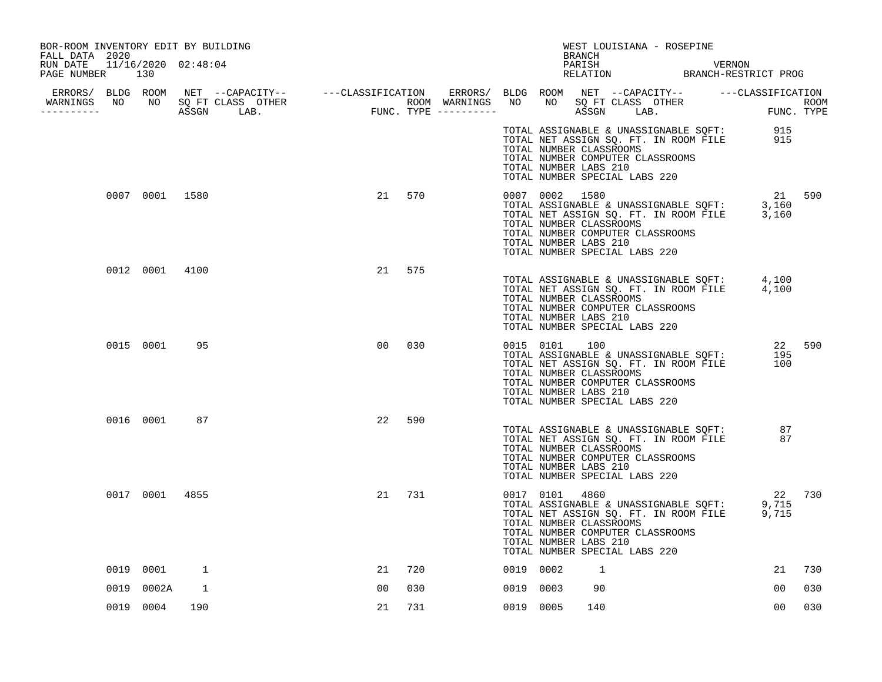| BOR-ROOM INVENTORY EDIT BY BUILDING<br>FALL DATA 2020                                                                                                                                                                                                                                  |                |     |  |                |     |           |                                                                    | BRANCH | WEST LOUISIANA - ROSEPINE                                         |                                                                                                                         |                                                                                                  |        |
|----------------------------------------------------------------------------------------------------------------------------------------------------------------------------------------------------------------------------------------------------------------------------------------|----------------|-----|--|----------------|-----|-----------|--------------------------------------------------------------------|--------|-------------------------------------------------------------------|-------------------------------------------------------------------------------------------------------------------------|--------------------------------------------------------------------------------------------------|--------|
| RUN DATE 11/16/2020 02:48:04<br>PAGE NUMBER 130                                                                                                                                                                                                                                        |                |     |  |                |     |           |                                                                    |        |                                                                   |                                                                                                                         | PARISH VERNON RELATION BRANCH-RESTRICT PROG                                                      |        |
|                                                                                                                                                                                                                                                                                        |                |     |  |                |     |           |                                                                    |        |                                                                   |                                                                                                                         |                                                                                                  |        |
| ERRORS/ BLDG ROOM NET --CAPACITY-- ----CLASSIFICATION ERRORS/ BLDG ROOM NET --CAPACITY-- -----CLASSIFICATION<br>NARNINGS NO NO SQFTCLASS OTHER ROOM WARNINGS NO NO SQFTCLASS OTHER ROOM<br>--------- ASSGN LAB. FUNC.TYPE ----------<br>WARNINGS NO NO SQ FT CLASS OTHER<br>__________ |                |     |  |                |     |           |                                                                    |        |                                                                   |                                                                                                                         |                                                                                                  |        |
|                                                                                                                                                                                                                                                                                        |                |     |  |                |     |           | TOTAL NUMBER CLASSROOMS<br>TOTAL NUMBER LABS 210                   |        | TOTAL NUMBER COMPUTER CLASSROOMS<br>TOTAL NUMBER SPECIAL LABS 220 |                                                                                                                         | TOTAL ASSIGNABLE & UNASSIGNABLE SQFT: 915<br>TOTAL NET ASSIGN SQ. FT. IN ROOM FILE 915           |        |
|                                                                                                                                                                                                                                                                                        | 0007 0001 1580 |     |  | 21             | 570 |           | 0007 0002 1580<br>TOTAL NUMBER CLASSROOMS<br>TOTAL NUMBER LABS 210 |        | TOTAL NUMBER COMPUTER CLASSROOMS<br>TOTAL NUMBER SPECIAL LABS 220 |                                                                                                                         | 21<br>TOTAL ASSIGNABLE & UNASSIGNABLE SQFT: 3,160<br>TOTAL NET ASSIGN SQ. FT. IN ROOM FILE 3,160 | 21 590 |
|                                                                                                                                                                                                                                                                                        | 0012 0001 4100 |     |  | 21             | 575 |           | TOTAL NUMBER CLASSROOMS<br>TOTAL NUMBER LABS 210                   |        | TOTAL NUMBER COMPUTER CLASSROOMS<br>TOTAL NUMBER SPECIAL LABS 220 |                                                                                                                         | TOTAL ASSIGNABLE & UNASSIGNABLE SQFT: 4,100<br>TOTAL NET ASSIGN SQ. FT. IN ROOM FILE 4,100       |        |
|                                                                                                                                                                                                                                                                                        | 0015 0001      | 95  |  | 0 <sub>0</sub> | 030 |           | 0015 0101<br>TOTAL NUMBER CLASSROOMS<br>TOTAL NUMBER LABS 210      | 100    | TOTAL NUMBER COMPUTER CLASSROOMS<br>TOTAL NUMBER SPECIAL LABS 220 | TOTAL ASSIGNABLE & UNASSIGNABLE SQFT:<br>TOTAL NET ASSIGN SQ. FT. IN ROOM FILE<br>TOTAL NET ASSIGN SQ. FT. IN ROOM FILE | 195<br>100                                                                                       | 22 590 |
|                                                                                                                                                                                                                                                                                        | 0016 0001      | 87  |  | 22             | 590 |           | TOTAL NUMBER CLASSROOMS<br>TOTAL NUMBER LABS 210                   |        | TOTAL NUMBER COMPUTER CLASSROOMS<br>TOTAL NUMBER SPECIAL LABS 220 |                                                                                                                         | TOTAL ASSIGNABLE & UNASSIGNABLE SQFT: 87<br>TOTAL NET ASSIGN SQ. FT. IN ROOM FILE 87             |        |
|                                                                                                                                                                                                                                                                                        | 0017 0001 4855 |     |  | 21             | 731 |           | 0017 0101<br>TOTAL NUMBER CLASSROOMS<br>TOTAL NUMBER LABS 210      | 4860   | TOTAL NUMBER COMPUTER CLASSROOMS<br>TOTAL NUMBER SPECIAL LABS 220 |                                                                                                                         | TOTAL ASSIGNABLE & UNASSIGNABLE SQFT: 9,715<br>TOTAL NET ASSIGN SQ. FT. IN ROOM FILE 9,715       | 22 730 |
|                                                                                                                                                                                                                                                                                        | 0019 0001      | 1   |  | 21             | 720 | 0019 0002 |                                                                    | 1      |                                                                   |                                                                                                                         | 21                                                                                               | 730    |
| 0019                                                                                                                                                                                                                                                                                   | 0002A          | 1   |  | 00             | 030 | 0019 0003 |                                                                    | 90     |                                                                   |                                                                                                                         | 00                                                                                               | 030    |
|                                                                                                                                                                                                                                                                                        | 0019 0004      | 190 |  | 21             | 731 | 0019 0005 |                                                                    | 140    |                                                                   |                                                                                                                         | 0 <sub>0</sub>                                                                                   | 030    |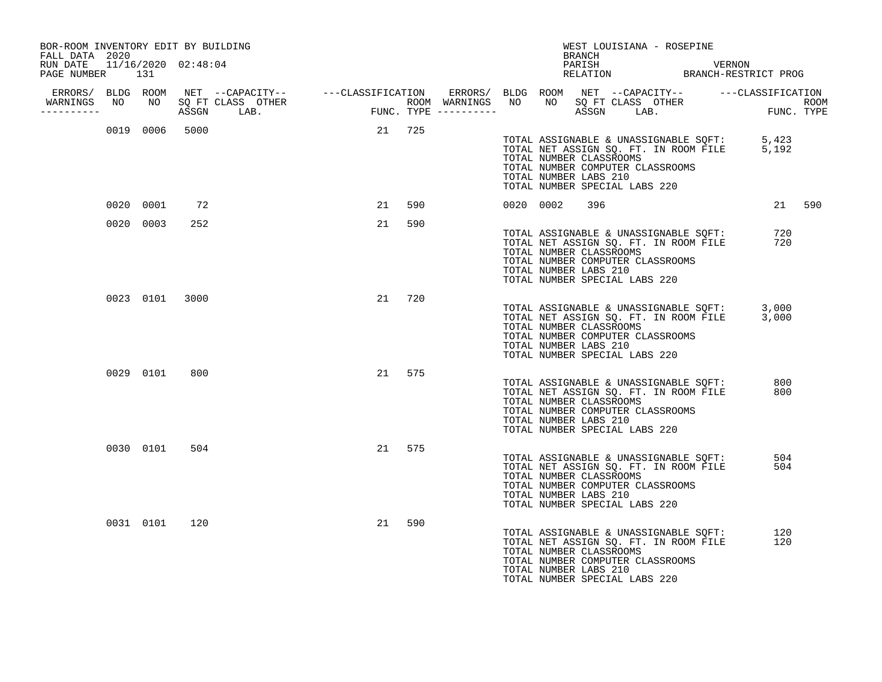| BOR-ROOM INVENTORY EDIT BY BUILDING<br>FALL DATA 2020 |           |                |                                                                                                                                                                                                                                                                 |    |        |  |                                                  | BRANCH |                               | WEST LOUISIANA - ROSEPINE        |                                                                                |                                                                                            |        |
|-------------------------------------------------------|-----------|----------------|-----------------------------------------------------------------------------------------------------------------------------------------------------------------------------------------------------------------------------------------------------------------|----|--------|--|--------------------------------------------------|--------|-------------------------------|----------------------------------|--------------------------------------------------------------------------------|--------------------------------------------------------------------------------------------|--------|
| RUN DATE 11/16/2020 02:48:04<br>PAGE NUMBER           | 131       |                |                                                                                                                                                                                                                                                                 |    |        |  |                                                  |        |                               |                                  |                                                                                | PARISH VERNON RELATION BRANCH-RESTRICT PROG                                                |        |
| ERRORS/ BLDG ROOM<br>----------                       |           |                | NET --CAPACITY-- ----CLASSIFICATION ERRORS/BLDG ROOM NET --CAPACITY-- ----CLASSIFICATION<br>SQ FT CLASS OTHER ROOM WARNINGS NO NO SQ FT CLASS OTHER ROOM ROOM<br>ASSGN LAB. FUNC. TYPE ----------- -- ASSGN LAB. FUNC. TYPE<br>WARNINGS NO NO SQ FT CLASS OTHER |    |        |  |                                                  |        |                               |                                  |                                                                                |                                                                                            |        |
|                                                       |           | 0019 0006 5000 |                                                                                                                                                                                                                                                                 |    | 21 725 |  | TOTAL NUMBER CLASSROOMS<br>TOTAL NUMBER LABS 210 |        | TOTAL NUMBER SPECIAL LABS 220 | TOTAL NUMBER COMPUTER CLASSROOMS |                                                                                | TOTAL ASSIGNABLE & UNASSIGNABLE SQFT: 5,423<br>TOTAL NET ASSIGN SQ. FT. IN ROOM FILE 5,192 |        |
|                                                       | 0020 0001 | 72             |                                                                                                                                                                                                                                                                 |    | 21 590 |  | 0020 0002                                        | 396    |                               |                                  |                                                                                |                                                                                            | 21 590 |
|                                                       | 0020 0003 | 252            |                                                                                                                                                                                                                                                                 | 21 | 590    |  | TOTAL NUMBER CLASSROOMS<br>TOTAL NUMBER LABS 210 |        | TOTAL NUMBER SPECIAL LABS 220 | TOTAL NUMBER COMPUTER CLASSROOMS | TOTAL ASSIGNABLE & UNASSIGNABLE SQFT:<br>TOTAL NET ASSIGN SQ. FT. IN ROOM FILE | 720<br>720                                                                                 |        |
|                                                       |           | 0023 0101 3000 |                                                                                                                                                                                                                                                                 | 21 | 720    |  | TOTAL NUMBER CLASSROOMS<br>TOTAL NUMBER LABS 210 |        | TOTAL NUMBER SPECIAL LABS 220 | TOTAL NUMBER COMPUTER CLASSROOMS |                                                                                | TOTAL ASSIGNABLE & UNASSIGNABLE SQFT: 3,000<br>TOTAL NET ASSIGN SQ. FT. IN ROOM FILE 3,000 |        |
|                                                       | 0029 0101 | 800            |                                                                                                                                                                                                                                                                 |    | 21 575 |  | TOTAL NUMBER CLASSROOMS<br>TOTAL NUMBER LABS 210 |        | TOTAL NUMBER SPECIAL LABS 220 | TOTAL NUMBER COMPUTER CLASSROOMS | TOTAL ASSIGNABLE & UNASSIGNABLE SQFT:<br>TOTAL NET ASSIGN SQ. FT. IN ROOM FILE | 800<br>800                                                                                 |        |
|                                                       | 0030 0101 | 504            |                                                                                                                                                                                                                                                                 | 21 | 575    |  | TOTAL NUMBER CLASSROOMS<br>TOTAL NUMBER LABS 210 |        | TOTAL NUMBER SPECIAL LABS 220 | TOTAL NUMBER COMPUTER CLASSROOMS | TOTAL ASSIGNABLE & UNASSIGNABLE SQFT:<br>TOTAL NET ASSIGN SQ. FT. IN ROOM FILE | 504<br>504                                                                                 |        |
|                                                       | 0031 0101 | 120            |                                                                                                                                                                                                                                                                 | 21 | 590    |  | TOTAL NUMBER CLASSROOMS<br>TOTAL NUMBER LABS 210 |        | TOTAL NUMBER SPECIAL LABS 220 | TOTAL NUMBER COMPUTER CLASSROOMS | TOTAL ASSIGNABLE & UNASSIGNABLE SQFT:<br>TOTAL NET ASSIGN SQ. FT. IN ROOM FILE | 120<br>120                                                                                 |        |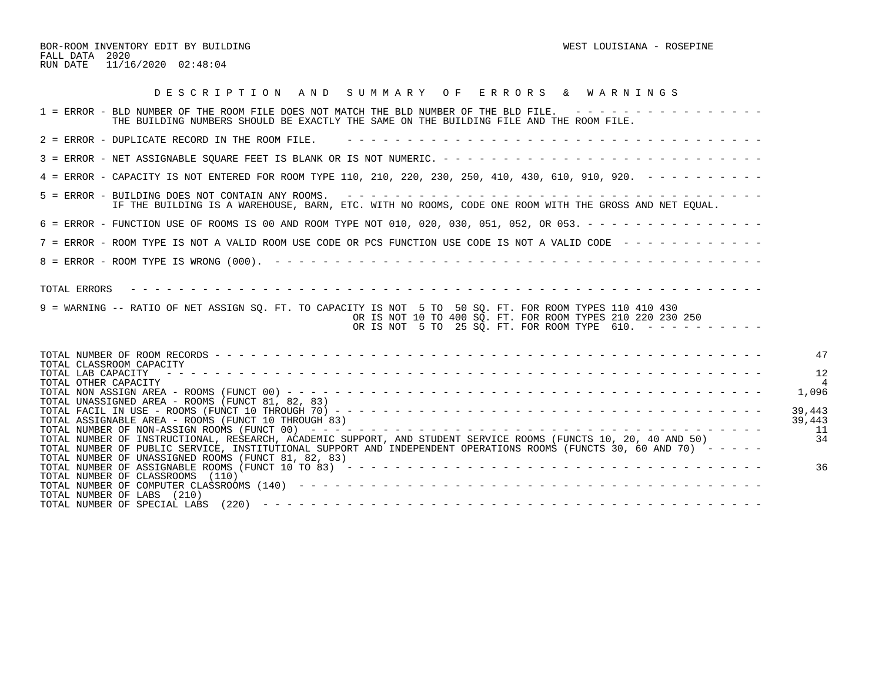BOR-ROOM INVENTORY EDIT BY BUILDING WEST LOUISIANA - ROSEPINE FALL DATA 2020 RUN DATE 11/16/2020 02:48:04

| DESCRIPTION AND SUMMARY OF ERRORS & WARNINGS                                                                                                                                                                                                                                                               |
|------------------------------------------------------------------------------------------------------------------------------------------------------------------------------------------------------------------------------------------------------------------------------------------------------------|
| 1 = ERROR - BLD NUMBER OF THE ROOM FILE DOES NOT MATCH THE BLD NUMBER OF THE BLD FILE. ----------------<br>THE BUILDING NUMBERS SHOULD BE EXACTLY THE SAME ON THE BUILDING FILE AND THE ROOM FILE.                                                                                                         |
| 2 = ERROR - DUPLICATE RECORD IN THE ROOM FILE.                                                                                                                                                                                                                                                             |
|                                                                                                                                                                                                                                                                                                            |
| 4 = ERROR - CAPACITY IS NOT ENTERED FOR ROOM TYPE 110, 210, 220, 230, 250, 410, 430, 610, 910, 920. - - - - - - - - -                                                                                                                                                                                      |
| IF THE BUILDING IS A WAREHOUSE, BARN, ETC. WITH NO ROOMS, CODE ONE ROOM WITH THE GROSS AND NET EQUAL.                                                                                                                                                                                                      |
| 6 = ERROR - FUNCTION USE OF ROOMS IS 00 AND ROOM TYPE NOT 010, 020, 030, 051, 052, OR 053. - - - - - - - - - - - - - - -                                                                                                                                                                                   |
| 7 = ERROR - ROOM TYPE IS NOT A VALID ROOM USE CODE OR PCS FUNCTION USE CODE IS NOT A VALID CODE ------------                                                                                                                                                                                               |
|                                                                                                                                                                                                                                                                                                            |
| TOTAL ERRORS<br>9 = WARNING -- RATIO OF NET ASSIGN SO. FT. TO CAPACITY IS NOT 5 TO 50 SO. FT. FOR ROOM TYPES 110 410 430<br>OR IS NOT 10 TO 400 SO. FT. FOR ROOM TYPES 210 220 230 250<br>OR IS NOT 5 TO 25 SQ. FT. FOR ROOM TYPE 610. -----------                                                         |
| 47<br>TOTAL CLASSROOM CAPACITY                                                                                                                                                                                                                                                                             |
| 12<br>TOTAL LAB CAPACITY<br>TOTAL OTHER CAPACITY                                                                                                                                                                                                                                                           |
| 1,096<br>TOTAL UNASSIGNED AREA - ROOMS (FUNCT 81, 82, 83)                                                                                                                                                                                                                                                  |
| 39,443<br>TOTAL ASSIGNABLE AREA - ROOMS (FUNCT 10 THROUGH 83)<br>39,443                                                                                                                                                                                                                                    |
| -11<br>34<br>TOTAL NUMBER OF INSTRUCTIONAL, RESEARCH, ACADEMIC SUPPORT, AND STUDENT SERVICE ROOMS (FUNCTS 10, 20, 40 AND 50)<br>TOTAL NUMBER OF PUBLIC SERVICE, INSTITUTIONAL SUPPORT AND INDEPENDENT OPERATIONS ROOMS (FUNCTS 30, 60 AND 70) -----<br>TOTAL NUMBER OF UNASSIGNED ROOMS (FUNCT 81, 82, 83) |
| 36<br>TOTAL NUMBER OF CLASSROOMS (110)                                                                                                                                                                                                                                                                     |
| TOTAL NUMBER OF LABS (210)<br>TOTAL NUMBER OF SPECIAL LABS                                                                                                                                                                                                                                                 |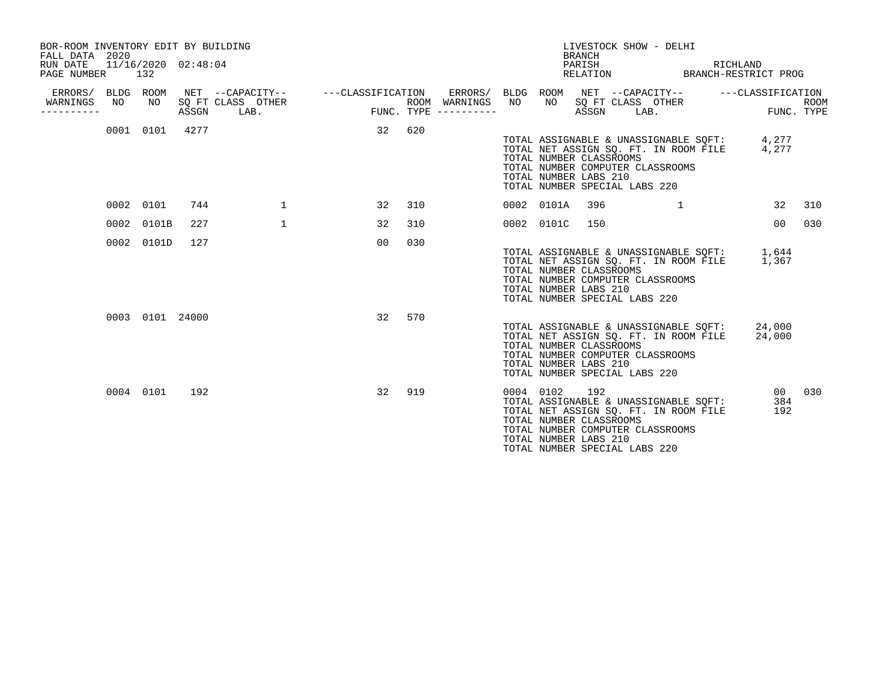| BOR-ROOM INVENTORY EDIT BY BUILDING<br>FALL DATA 2020<br>RUN DATE<br>PAGE NUMBER |    | 11/16/2020 02:48:04<br>132 |       |                           |                                    |     |                                                           |           |            | LIVESTOCK SHOW - DELHI<br><b>BRANCH</b><br>PARISH<br>RELATION                                                                                                                                                  |      | RICHLAND<br>BRANCH-RESTRICT PROG                     |                    |
|----------------------------------------------------------------------------------|----|----------------------------|-------|---------------------------|------------------------------------|-----|-----------------------------------------------------------|-----------|------------|----------------------------------------------------------------------------------------------------------------------------------------------------------------------------------------------------------------|------|------------------------------------------------------|--------------------|
| ERRORS/ BLDG<br>WARNINGS<br>.                                                    | NO | ROOM<br>NO                 | ASSGN | SQ FT CLASS OTHER<br>LAB. | NET --CAPACITY-- ---CLASSIFICATION |     | ERRORS/ BLDG ROOM<br>ROOM WARNINGS<br>FUNC. TYPE $------$ | NO        | NO         | SQ FT CLASS OTHER<br>ASSGN                                                                                                                                                                                     | LAB. | NET --CAPACITY-- ---CLASSIFICATION                   | ROOM<br>FUNC. TYPE |
|                                                                                  |    | 0001 0101                  | 4277  |                           | 32                                 | 620 |                                                           |           |            | TOTAL NET ASSIGN SO. FT. IN ROOM FILE<br>TOTAL NUMBER CLASSROOMS<br>TOTAL NUMBER COMPUTER CLASSROOMS<br>TOTAL NUMBER LABS 210<br>TOTAL NUMBER SPECIAL LABS 220                                                 |      | TOTAL ASSIGNABLE & UNASSIGNABLE SQFT: 4,277<br>4,277 |                    |
|                                                                                  |    | 0002 0101                  | 744   | $\mathbf{1}$              | 32                                 | 310 |                                                           |           | 0002 0101A | 396                                                                                                                                                                                                            | 1    | 32                                                   | 310                |
|                                                                                  |    | 0002 0101B                 | 227   | $\mathbf{1}$              | 32                                 | 310 |                                                           |           | 0002 0101C | 150                                                                                                                                                                                                            |      | 0 <sub>0</sub>                                       | 030                |
|                                                                                  |    | 0002 0101D                 | 127   |                           | 0 <sub>0</sub>                     | 030 |                                                           |           |            | TOTAL NET ASSIGN SQ. FT. IN ROOM FILE<br>TOTAL NUMBER CLASSROOMS<br>TOTAL NUMBER COMPUTER CLASSROOMS<br>TOTAL NUMBER LABS 210<br>TOTAL NUMBER SPECIAL LABS 220                                                 |      | TOTAL ASSIGNABLE & UNASSIGNABLE SQFT: 1,644<br>1,367 |                    |
|                                                                                  |    | 0003 0101 24000            |       |                           | 32                                 | 570 |                                                           |           |            | TOTAL ASSIGNABLE & UNASSIGNABLE SQFT:<br>TOTAL NET ASSIGN SO. FT. IN ROOM FILE<br>TOTAL NUMBER CLASSROOMS<br>TOTAL NUMBER COMPUTER CLASSROOMS<br>TOTAL NUMBER LABS 210<br>TOTAL NUMBER SPECIAL LABS 220        |      | 24,000<br>24,000                                     |                    |
|                                                                                  |    | 0004 0101                  | 192   |                           | 32                                 | 919 |                                                           | 0004 0102 |            | 192<br>TOTAL ASSIGNABLE & UNASSIGNABLE SOFT:<br>TOTAL NET ASSIGN SQ. FT. IN ROOM FILE<br>TOTAL NUMBER CLASSROOMS<br>TOTAL NUMBER COMPUTER CLASSROOMS<br>TOTAL NUMBER LABS 210<br>TOTAL NUMBER SPECIAL LABS 220 |      | 00 <sub>o</sub><br>384<br>192                        | 030                |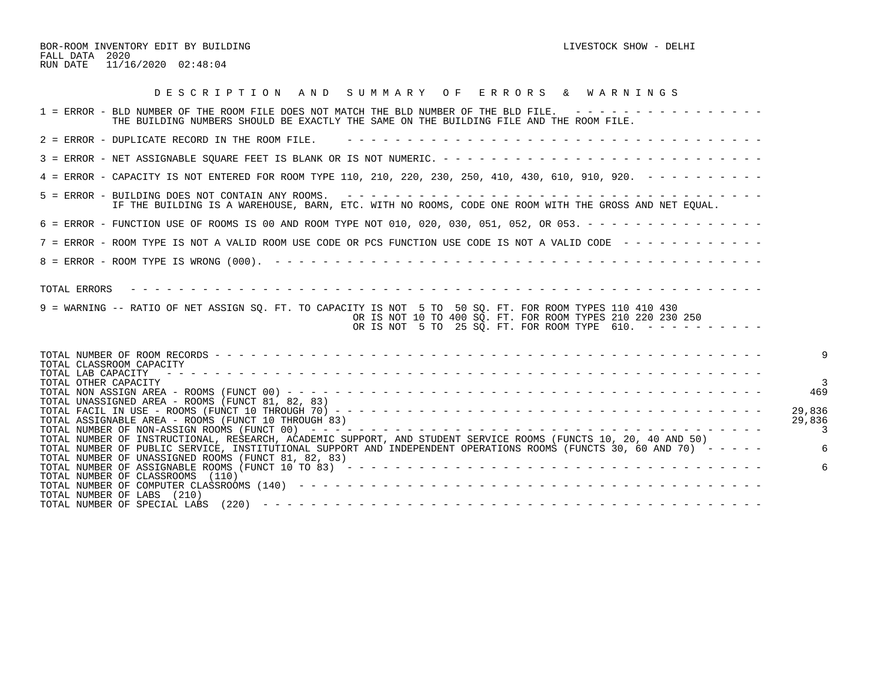BOR-ROOM INVENTORY EDIT BY BUILDING CONTROL CONTROL CONTROL CONTROL CONTROL BOROUGH AND LIVESTOCK SHOW - DELHI FALL DATA 2020 RUN DATE 11/16/2020 02:48:04

| DESCRIPTION AND SUMMARY OF ERRORS & WARNINGS                                                                                                                                                                                                                                                      |                  |
|---------------------------------------------------------------------------------------------------------------------------------------------------------------------------------------------------------------------------------------------------------------------------------------------------|------------------|
| 1 = ERROR - BLD NUMBER OF THE ROOM FILE DOES NOT MATCH THE BLD NUMBER OF THE BLD FILE. ----------------<br>THE BUILDING NUMBERS SHOULD BE EXACTLY THE SAME ON THE BUILDING FILE AND THE ROOM FILE.                                                                                                |                  |
| 2 = ERROR - DUPLICATE RECORD IN THE ROOM FILE.                                                                                                                                                                                                                                                    |                  |
|                                                                                                                                                                                                                                                                                                   |                  |
| 4 = ERROR - CAPACITY IS NOT ENTERED FOR ROOM TYPE 110, 210, 220, 230, 250, 410, 430, 610, 910, 920. - - - - - - - - -                                                                                                                                                                             |                  |
| IF THE BUILDING IS A WAREHOUSE, BARN, ETC. WITH NO ROOMS, CODE ONE ROOM WITH THE GROSS AND NET EOUAL.                                                                                                                                                                                             |                  |
| 6 = ERROR - FUNCTION USE OF ROOMS IS 00 AND ROOM TYPE NOT 010, 020, 030, 051, 052, OR 053. - - - - - - - - - - - - - - -                                                                                                                                                                          |                  |
| 7 = ERROR - ROOM TYPE IS NOT A VALID ROOM USE CODE OR PCS FUNCTION USE CODE IS NOT A VALID CODE ------------                                                                                                                                                                                      |                  |
|                                                                                                                                                                                                                                                                                                   |                  |
| TOTAL ERRORS<br>9 = WARNING -- RATIO OF NET ASSIGN SQ. FT. TO CAPACITY IS NOT 5 TO 50 SQ. FT. FOR ROOM TYPES 110 410 430<br>OR IS NOT 10 TO 400 SQ. FT. FOR ROOM TYPES 210 220 230 250<br>OR IS NOT 5 TO 25 SQ. FT. FOR ROOM TYPE 610. ----------                                                 |                  |
| TOTAL CLASSROOM CAPACITY<br>TOTAL LAB CAPACITY                                                                                                                                                                                                                                                    |                  |
| TOTAL OTHER CAPACITY<br>TOTAL UNASSIGNED AREA - ROOMS (FUNCT 81, 82, 83)                                                                                                                                                                                                                          | 469              |
| TOTAL ASSIGNABLE AREA - ROOMS (FUNCT 10 THROUGH 83)                                                                                                                                                                                                                                               | 29,836<br>29,836 |
| TOTAL NUMBER OF INSTRUCTIONAL, RESEARCH, ACADEMIC SUPPORT, AND STUDENT SERVICE ROOMS (FUNCTS 10, 20, 40 AND 50)<br>TOTAL NUMBER OF PUBLIC SERVICE, INSTITUTIONAL SUPPORT AND INDEPENDENT OPERATIONS ROOMS (FUNCTS 30, 60 AND 70) - - - - -<br>TOTAL NUMBER OF UNASSIGNED ROOMS (FUNCT 81, 82, 83) |                  |
| TOTAL NUMBER OF CLASSROOMS (110)<br>TOTAL NUMBER OF LABS (210)                                                                                                                                                                                                                                    |                  |
|                                                                                                                                                                                                                                                                                                   |                  |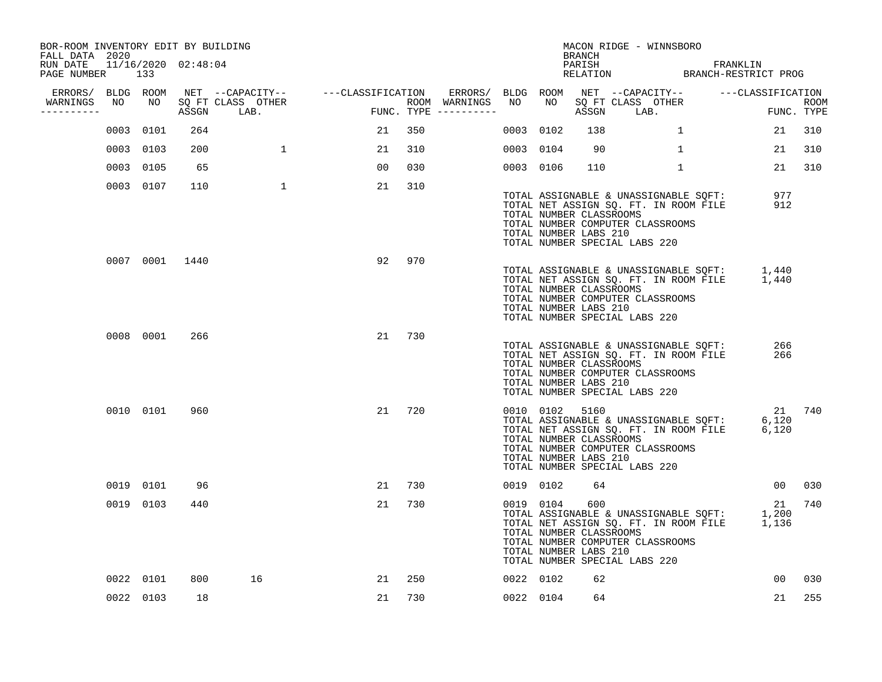| BOR-ROOM INVENTORY EDIT BY BUILDING<br>FALL DATA 2020 |     |           |                |                   |                                                                                             |     |                                                                                         |           |           | BRANCH                                                             | MACON RIDGE - WINNSBORO                                                                                                                                                                      |              |                 |      |
|-------------------------------------------------------|-----|-----------|----------------|-------------------|---------------------------------------------------------------------------------------------|-----|-----------------------------------------------------------------------------------------|-----------|-----------|--------------------------------------------------------------------|----------------------------------------------------------------------------------------------------------------------------------------------------------------------------------------------|--------------|-----------------|------|
| RUN DATE 11/16/2020 02:48:04<br>PAGE NUMBER           | 133 |           |                |                   |                                                                                             |     |                                                                                         |           |           |                                                                    | PARISH FRANKLIN<br>RELATION BRANCH-RESTRICT PROG                                                                                                                                             |              |                 |      |
| ERRORS/ BLDG ROOM<br>WARNINGS                         | NO  | NO 11     |                | SQ FT CLASS OTHER | NET --CAPACITY-- - ---CLASSIFICATION ERRORS/ BLDG ROOM NET --CAPACITY-- - ---CLASSIFICATION |     |                                                                                         |           | NO 11     |                                                                    | SQ FT CLASS OTHER                                                                                                                                                                            |              |                 | ROOM |
| ---------                                             |     |           |                | ASSGN LAB.        | FUNC                                                                                        |     | ROOM WARNINGS NO<br>$\texttt{FUNC.}\texttt{TYPE}\texttt{---} \texttt{---} \texttt{---}$ |           |           |                                                                    | ASSGN LAB.                                                                                                                                                                                   |              | FUNC. TYPE      |      |
|                                                       |     | 0003 0101 | 264            |                   | 21                                                                                          | 350 |                                                                                         | 0003 0102 |           | 138                                                                |                                                                                                                                                                                              | $\mathbf{1}$ | 21              | 310  |
|                                                       |     | 0003 0103 | 200            | $\mathbf{1}$      | 21                                                                                          | 310 |                                                                                         | 0003 0104 |           | 90                                                                 |                                                                                                                                                                                              | 1            | 21              | 310  |
|                                                       |     | 0003 0105 | 65             |                   | 00                                                                                          | 030 |                                                                                         | 0003 0106 |           | 110                                                                |                                                                                                                                                                                              | $\mathbf{1}$ | 21              | 310  |
|                                                       |     | 0003 0107 | 110            | $\mathbf{1}$      | 21                                                                                          | 310 |                                                                                         |           |           | TOTAL NUMBER CLASSROOMS<br>TOTAL NUMBER LABS 210                   | TOTAL ASSIGNABLE & UNASSIGNABLE SQFT:<br>TOTAL ASSIGNABLE & UNASSIGNABLE SQFT:<br>TOTAL NET ASSIGN SQ. FT. IN ROOM FILE<br>TOTAL NUMBER COMPUTER CLASSROOMS<br>TOTAL NUMBER SPECIAL LABS 220 |              | 977<br>912      |      |
|                                                       |     |           | 0007 0001 1440 |                   | 92                                                                                          | 970 |                                                                                         |           |           | TOTAL NUMBER CLASSROOMS<br>TOTAL NUMBER LABS 210                   | TOTAL ASSIGNABLE & UNASSIGNABLE SQFT: 1,440<br>TOTAL NET ASSIGN SQ. FT. IN ROOM FILE 1,440<br>TOTAL NUMBER COMPUTER CLASSROOMS<br>TOTAL NUMBER SPECIAL LABS 220                              |              |                 |      |
|                                                       |     | 0008 0001 | 266            |                   | 21                                                                                          | 730 |                                                                                         |           |           | TOTAL NUMBER CLASSROOMS<br>TOTAL NUMBER LABS 210                   | TOTAL ASSIGNABLE & UNASSIGNABLE SQFT:<br>TOTAL NET ASSIGN SQ. FT. IN ROOM FILE<br>TOTAL NUMBER COMPUTER CLASSROOMS<br>TOTAL NUMBER SPECIAL LABS 220                                          |              | 266<br>266      |      |
|                                                       |     | 0010 0101 | 960            |                   | 21                                                                                          | 720 |                                                                                         |           |           | 0010 0102 5160<br>TOTAL NUMBER CLASSROOMS<br>TOTAL NUMBER LABS 210 | TOTAL ASSIGNABLE & UNASSIGNABLE SQFT:<br>TOTAL NET ASSIGN SQ. FT. IN ROOM FILE 6,120<br>TOTAL NUMBER COMPUTER CLASSROOMS<br>TOTAL NUMBER SPECIAL LABS 220                                    |              | 21 740<br>6,120 |      |
|                                                       |     | 0019 0101 | 96             |                   | 21                                                                                          | 730 |                                                                                         | 0019 0102 |           | 64                                                                 |                                                                                                                                                                                              |              | 00 <sub>o</sub> | 030  |
|                                                       |     | 0019 0103 | 440            |                   | 21                                                                                          | 730 |                                                                                         |           | 0019 0104 | 600<br>TOTAL NUMBER CLASSROOMS<br>TOTAL NUMBER LABS 210            | VOID ASSIGNABLE & UNASSIGNABLE SQFT: 1,200<br>TOTAL NET ASSIGN SQ. FT. IN ROOM FILE 1,136<br>TOTAL NUMBER COMPUTER CLASSROOMS<br>TOTAL NUMBER SPECIAL LABS 220                               |              | 21              | 740  |
|                                                       |     | 0022 0101 | 800            | 16                | 21                                                                                          | 250 |                                                                                         | 0022 0102 |           | 62                                                                 |                                                                                                                                                                                              |              | 00              | 030  |
|                                                       |     | 0022 0103 | 18             |                   | 21                                                                                          | 730 |                                                                                         | 0022 0104 |           | 64                                                                 |                                                                                                                                                                                              |              | 21              | 255  |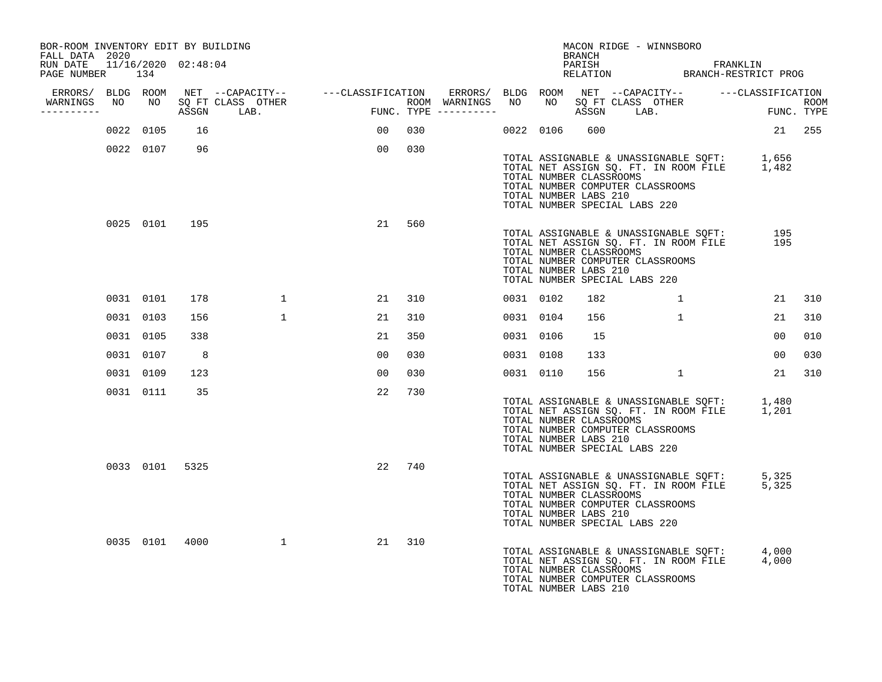| BOR-ROOM INVENTORY EDIT BY BUILDING<br>FALL DATA 2020 |           |                |                                                |                                                                                                               |     |                     |           |           | BRANCH                                           |                               | MACON RIDGE - WINNSBORO          |                                                                                            |                |     |
|-------------------------------------------------------|-----------|----------------|------------------------------------------------|---------------------------------------------------------------------------------------------------------------|-----|---------------------|-----------|-----------|--------------------------------------------------|-------------------------------|----------------------------------|--------------------------------------------------------------------------------------------|----------------|-----|
| RUN DATE 11/16/2020 02:48:04<br>PAGE NUMBER 134       |           |                |                                                |                                                                                                               |     |                     |           |           |                                                  |                               |                                  | PARISH FRANKLIN RELATION BRANCH-RESTRICT PROG                                              |                |     |
|                                                       |           |                |                                                | ERRORS/ BLDG ROOM NET --CAPACITY-- - ---CLASSIFICATION ERRORS/ BLDG ROOM NET --CAPACITY-- - ---CLASSIFICATION |     | ROOM WARNINGS NO    |           |           |                                                  |                               |                                  |                                                                                            |                |     |
| -----------                                           |           |                | WARNINGS NO NO SQ FT CLASS OTHER<br>ASSGN LAB. | $_{\rm FUNC}$ .                                                                                               |     | FUNC. TYPE $------$ |           |           |                                                  |                               |                                  | NO SQ FT CLASS OTHER THE ROOM ASSGN LAB. FUNC. TYPE                                        |                |     |
|                                                       | 0022 0105 | 16             |                                                | 00                                                                                                            | 030 |                     |           | 0022 0106 | 600                                              |                               |                                  |                                                                                            | 21 255         |     |
|                                                       | 0022 0107 | 96             |                                                | 00                                                                                                            | 030 |                     |           |           | TOTAL NUMBER CLASSROOMS<br>TOTAL NUMBER LABS 210 | TOTAL NUMBER SPECIAL LABS 220 | TOTAL NUMBER COMPUTER CLASSROOMS | TOTAL ASSIGNABLE & UNASSIGNABLE SQFT: 1,656<br>TOTAL NET ASSIGN SQ. FT. IN ROOM FILE 1,482 |                |     |
|                                                       |           | 0025 0101 195  |                                                | 21                                                                                                            | 560 |                     |           |           | TOTAL NUMBER CLASSROOMS<br>TOTAL NUMBER LABS 210 | TOTAL NUMBER SPECIAL LABS 220 | TOTAL NUMBER COMPUTER CLASSROOMS | TOTAL ASSIGNABLE & UNASSIGNABLE SQFT:<br>TOTAL NET ASSIGN SQ. FT. IN ROOM FILE             | 195<br>195     |     |
|                                                       | 0031 0101 | 178            | $\mathbf{1}$                                   | 21                                                                                                            | 310 |                     | 0031 0102 |           | 182                                              |                               |                                  |                                                                                            | 21             | 310 |
|                                                       | 0031 0103 | 156            | $\mathbf{1}$                                   | 21                                                                                                            | 310 |                     | 0031 0104 |           | 156                                              |                               | $\mathbf{1}$                     |                                                                                            | 21             | 310 |
|                                                       | 0031 0105 | 338            |                                                | 21                                                                                                            | 350 |                     | 0031 0106 |           | 15                                               |                               |                                  |                                                                                            | 0 <sub>0</sub> | 010 |
|                                                       | 0031 0107 | - 8            |                                                | 0 <sub>0</sub>                                                                                                | 030 |                     | 0031 0108 |           | 133                                              |                               |                                  |                                                                                            | 00             | 030 |
|                                                       | 0031 0109 | 123            |                                                | 00                                                                                                            | 030 |                     | 0031 0110 |           | 156                                              |                               | $\sim$ 1                         |                                                                                            | 21             | 310 |
|                                                       | 0031 0111 | 35             |                                                | 22                                                                                                            | 730 |                     |           |           | TOTAL NUMBER CLASSROOMS<br>TOTAL NUMBER LABS 210 | TOTAL NUMBER SPECIAL LABS 220 | TOTAL NUMBER COMPUTER CLASSROOMS | TOTAL ASSIGNABLE & UNASSIGNABLE SQFT: 1,480<br>TOTAL NET ASSIGN SQ. FT. IN ROOM FILE 1,201 |                |     |
|                                                       |           | 0033 0101 5325 |                                                | 22                                                                                                            | 740 |                     |           |           | TOTAL NUMBER CLASSROOMS<br>TOTAL NUMBER LABS 210 | TOTAL NUMBER SPECIAL LABS 220 | TOTAL NUMBER COMPUTER CLASSROOMS | TOTAL ASSIGNABLE & UNASSIGNABLE SQFT: 5,325<br>TOTAL NET ASSIGN SQ. FT. IN ROOM FILE 5,325 |                |     |
|                                                       | 0035 0101 | 4000           | 1                                              | 21                                                                                                            | 310 |                     |           |           | TOTAL NUMBER CLASSROOMS<br>TOTAL NUMBER LABS 210 |                               | TOTAL NUMBER COMPUTER CLASSROOMS | TOTAL ASSIGNABLE & UNASSIGNABLE SQFT: 4,000<br>TOTAL NET ASSIGN SQ. FT. IN ROOM FILE 4,000 |                |     |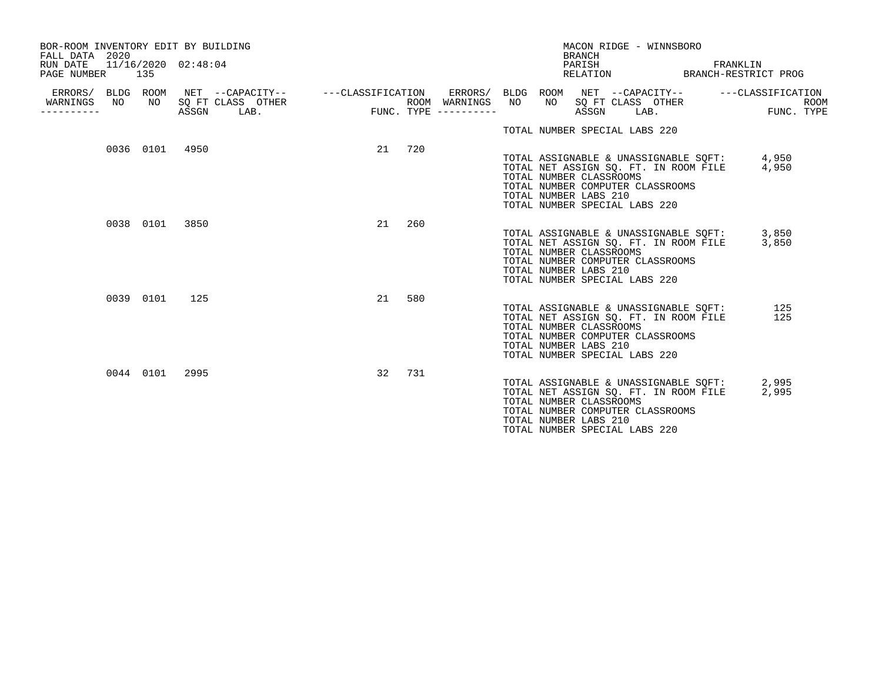| BOR-ROOM INVENTORY EDIT BY BUILDING<br>FALL DATA 2020<br>RUN DATE<br>PAGE NUMBER 135 |    |           | 11/16/2020 02:48:04 |                                                                                                                                                    |        |     |                                      |                 | <b>BRANCH</b><br>PARISH                          | MACON RIDGE - WINNSBORO                                                                                                                             |  | FRANKLIN<br>RELATION BRANCH-RESTRICT PROG   |                |      |
|--------------------------------------------------------------------------------------|----|-----------|---------------------|----------------------------------------------------------------------------------------------------------------------------------------------------|--------|-----|--------------------------------------|-----------------|--------------------------------------------------|-----------------------------------------------------------------------------------------------------------------------------------------------------|--|---------------------------------------------|----------------|------|
| WARNINGS<br>---------                                                                | NO |           |                     | ERRORS/ BLDG ROOM NET --CAPACITY-- - ---CLASSIFICATION ERRORS/ BLDG ROOM NET --CAPACITY-- - ---CLASSIFICATION<br>NO SOFT CLASS OTHER<br>ASSGN LAB. |        |     | ROOM WARNINGS<br>FUNC. TYPE $------$ | NO <sub>1</sub> | ASSGN                                            | NO SQ FT CLASS OTHER<br>ASSGN LAB<br>LAB.                                                                                                           |  |                                             | FUNC. TYPE     | ROOM |
|                                                                                      |    |           |                     |                                                                                                                                                    |        |     |                                      |                 |                                                  | TOTAL NUMBER SPECIAL LABS 220                                                                                                                       |  |                                             |                |      |
|                                                                                      |    |           | 0036 0101 4950      |                                                                                                                                                    | 21 720 |     |                                      |                 | TOTAL NUMBER CLASSROOMS<br>TOTAL NUMBER LABS 210 | TOTAL NET ASSIGN SO. FT. IN ROOM FILE<br>TOTAL NUMBER COMPUTER CLASSROOMS<br>TOTAL NUMBER SPECIAL LABS 220                                          |  | TOTAL ASSIGNABLE & UNASSIGNABLE SOFT: 4,950 | 4,950          |      |
|                                                                                      |    |           | 0038 0101 3850      |                                                                                                                                                    | 21     | 260 |                                      |                 | TOTAL NUMBER CLASSROOMS<br>TOTAL NUMBER LABS 210 | TOTAL NET ASSIGN SQ. FT. IN ROOM FILE<br>TOTAL NUMBER COMPUTER CLASSROOMS<br>TOTAL NUMBER SPECIAL LABS 220                                          |  | TOTAL ASSIGNABLE & UNASSIGNABLE SQFT: 3,850 | 3,850          |      |
|                                                                                      |    | 0039 0101 | 125                 |                                                                                                                                                    | 21     | 580 |                                      |                 | TOTAL NUMBER CLASSROOMS<br>TOTAL NUMBER LABS 210 | TOTAL ASSIGNABLE & UNASSIGNABLE SQFT:<br>TOTAL NET ASSIGN SQ. FT. IN ROOM FILE<br>TOTAL NUMBER COMPUTER CLASSROOMS<br>TOTAL NUMBER SPECIAL LABS 220 |  |                                             | 125<br>125     |      |
|                                                                                      |    |           | 0044 0101 2995      |                                                                                                                                                    | 32     | 731 |                                      |                 | TOTAL NUMBER CLASSROOMS<br>TOTAL NUMBER LABS 210 | TOTAL NET ASSIGN SQ. FT. IN ROOM FILE<br>TOTAL NUMBER COMPUTER CLASSROOMS<br>TOTAL NUMBER SPECIAL LABS 220                                          |  | TOTAL ASSIGNABLE & UNASSIGNABLE SOFT:       | 2,995<br>2,995 |      |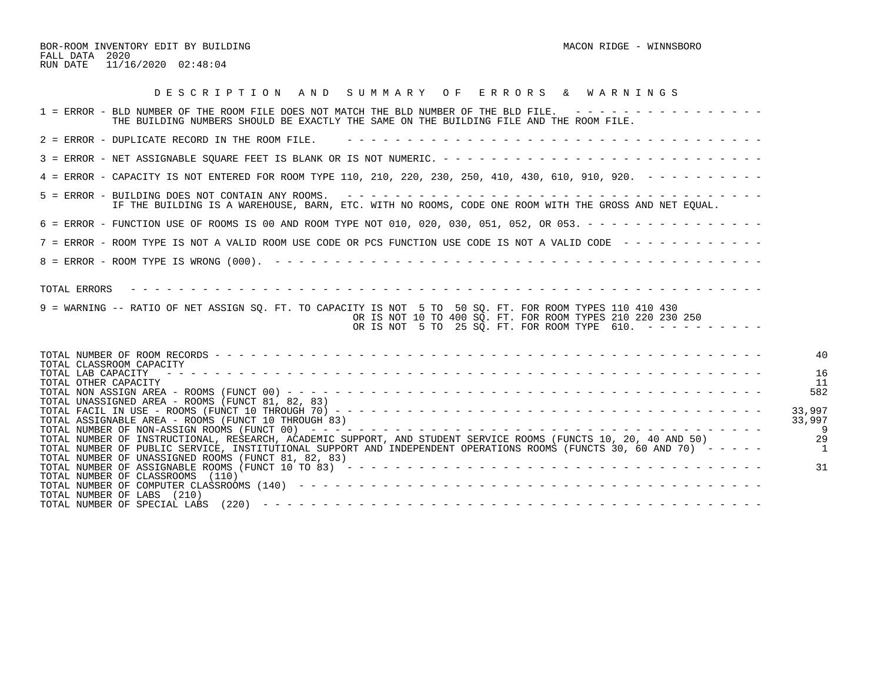BOR-ROOM INVENTORY EDIT BY BUILDING MACON RIDGE - WINNSBORO MACON RIDGE - WINNSBORO FALL DATA 2020 RUN DATE 11/16/2020 02:48:04

| DESCRIPTION AND SUMMARY OF ERRORS & WARNINGS                                                                                                                                                                                                                 |                                       |
|--------------------------------------------------------------------------------------------------------------------------------------------------------------------------------------------------------------------------------------------------------------|---------------------------------------|
| 1 = ERROR - BLD NUMBER OF THE ROOM FILE DOES NOT MATCH THE BLD NUMBER OF THE BLD FILE. ----------------<br>THE BUILDING NUMBERS SHOULD BE EXACTLY THE SAME ON THE BUILDING FILE AND THE ROOM FILE.                                                           |                                       |
| 2 = ERROR - DUPLICATE RECORD IN THE ROOM FILE.                                                                                                                                                                                                               |                                       |
|                                                                                                                                                                                                                                                              |                                       |
| 4 = ERROR - CAPACITY IS NOT ENTERED FOR ROOM TYPE 110, 210, 220, 230, 250, 410, 430, 610, 910, 920. - - - - - - - - -                                                                                                                                        |                                       |
| IF THE BUILDING IS A WAREHOUSE, BARN, ETC. WITH NO ROOMS, CODE ONE ROOM WITH THE GROSS AND NET EOUAL.                                                                                                                                                        |                                       |
| 6 = ERROR - FUNCTION USE OF ROOMS IS 00 AND ROOM TYPE NOT 010, 020, 030, 051, 052, OR 053. - - - - - - - - - - - - - - -                                                                                                                                     |                                       |
| 7 = ERROR - ROOM TYPE IS NOT A VALID ROOM USE CODE OR PCS FUNCTION USE CODE IS NOT A VALID CODE -------------                                                                                                                                                |                                       |
|                                                                                                                                                                                                                                                              |                                       |
| TOTAL ERRORS<br>9 = WARNING -- RATIO OF NET ASSIGN SO. FT. TO CAPACITY IS NOT 5 TO 50 SO. FT. FOR ROOM TYPES 110 410 430<br>OR IS NOT 10 TO 400 SQ. FT. FOR ROOM TYPES 210 220 230 250<br>OR IS NOT 5 TO 25 SQ. FT. FOR ROOM TYPE 610. $-$ - - - - - - - - - |                                       |
| TOTAL CLASSROOM CAPACITY                                                                                                                                                                                                                                     | 4 <sub>0</sub>                        |
| TOTAL LAB CAPACITY<br>TOTAL OTHER CAPACITY                                                                                                                                                                                                                   | 16<br>-11                             |
| TOTAL UNASSIGNED AREA - ROOMS (FUNCT 81, 82, 83)                                                                                                                                                                                                             | 582                                   |
| 33,997<br>33,997<br>TOTAL ASSIGNABLE AREA - ROOMS (FUNCT 10 THROUGH 83)                                                                                                                                                                                      |                                       |
| TOTAL NUMBER OF INSTRUCTIONAL, RESEARCH, ACADEMIC SUPPORT, AND STUDENT SERVICE ROOMS (FUNCTS 10, 20, 40 AND 50)<br>TOTAL NUMBER OF PUBLIC SERVICE, INSTITUTIONAL SUPPORT AND INDEPENDENT OPERATIONS ROOMS (FUNCTS 30, 60 AND 70) - - - - -                   | <b>29</b><br>$\overline{\phantom{0}}$ |
| TOTAL NUMBER OF UNASSIGNED ROOMS (FUNCT 81, 82, 83)<br>TOTAL NUMBER OF ASSIGNABLE ROOMS (FUNCT 10 TO 83) $- - - - - - - - - - - - - - - - - - - - - - - - - - - - - - - - - - - -$<br>TOTAL NUMBER OF CLASSROOMS (110)                                       | 31                                    |
| TOTAL NUMBER OF LABS (210)                                                                                                                                                                                                                                   |                                       |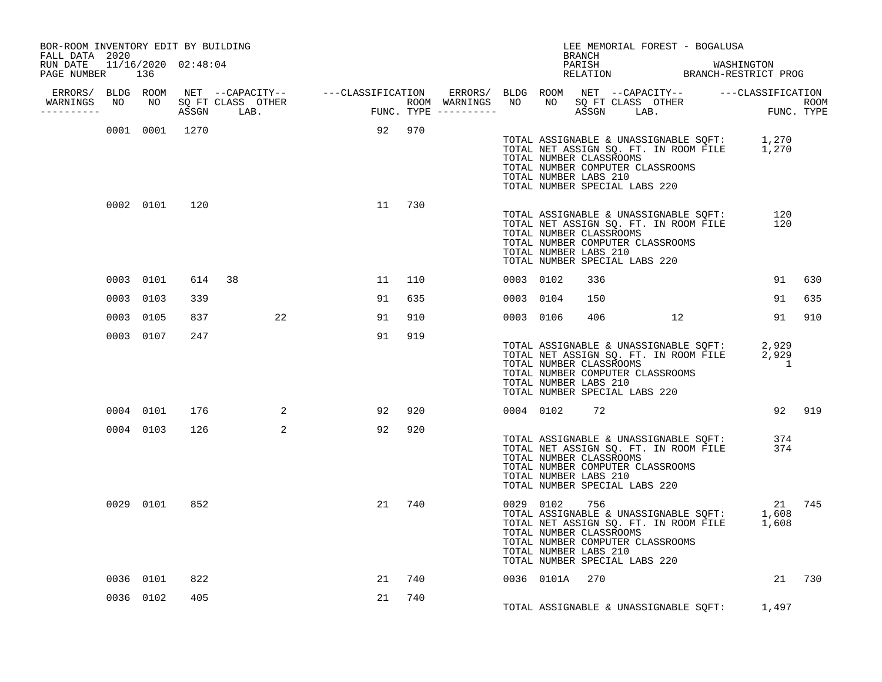| BOR-ROOM INVENTORY EDIT BY BUILDING<br>FALL DATA 2020 |               |                |                            |                                                                                                                                                                                                                                      |     |  |              | BRANCH                                                            | LEE MEMORIAL FOREST - BOGALUSA                                                                                                                                                      |    |                     |        |
|-------------------------------------------------------|---------------|----------------|----------------------------|--------------------------------------------------------------------------------------------------------------------------------------------------------------------------------------------------------------------------------------|-----|--|--------------|-------------------------------------------------------------------|-------------------------------------------------------------------------------------------------------------------------------------------------------------------------------------|----|---------------------|--------|
| RUN DATE 11/16/2020 02:48:04<br>PAGE NUMBER 136       |               |                |                            |                                                                                                                                                                                                                                      |     |  |              | PARISH                                                            | PARISH WASHINGTON<br>RELATION BRANCH-RESTRICT PROG                                                                                                                                  |    |                     |        |
|                                                       |               |                |                            |                                                                                                                                                                                                                                      |     |  |              |                                                                   |                                                                                                                                                                                     |    |                     |        |
| WARNINGS<br>----------                                |               |                |                            | ERRORS/ BLDG ROOM NET --CAPACITY-- ----CLASSIFICATION ERRORS/ BLDG ROOM NET --CAPACITY-- -----CLASSIFICATION<br>NARNINGS NO NO SQFTCLASS OTHER ROOM WARNINGS NO NO SQFTCLASS OTHER ROOM<br>---------- ASSGN LAB. FUNC.TYPE --------- |     |  |              |                                                                   |                                                                                                                                                                                     |    |                     |        |
|                                                       |               | 0001 0001 1270 |                            | 92 970                                                                                                                                                                                                                               |     |  |              | TOTAL NUMBER CLASSROOMS<br>TOTAL NUMBER LABS 210                  | TOTAL ASSIGNABLE & UNASSIGNABLE SQFT: 1,270<br>TOTAL NET ASSIGN SQ. FT. IN ROOM FILE 1,270<br>TOTAL NUMBER COMPUTER CLASSROOMS<br>TOTAL NUMBER SPECIAL LABS 220                     |    |                     |        |
|                                                       | 0002 0101 120 |                |                            | 11                                                                                                                                                                                                                                   | 730 |  |              | TOTAL NUMBER CLASSROOMS<br>TOTAL NUMBER LABS 210                  | TOTAL ASSIGNABLE & UNASSIGNABLE SQFT:<br>TOTAL NET ASSIGN SQ. FT. IN ROOM FILE<br>TOTAL NUMBER COMPUTER CLASSROOMS<br>TOTAL NUMBER SPECIAL LABS 220                                 |    | 120<br>120          |        |
|                                                       | 0003 0101     | 614            | 38                         | 11                                                                                                                                                                                                                                   | 110 |  | 0003 0102    | 336                                                               |                                                                                                                                                                                     |    | 91                  | 630    |
|                                                       | 0003 0103     | 339            |                            | 91                                                                                                                                                                                                                                   | 635 |  | 0003 0104    | 150                                                               |                                                                                                                                                                                     |    | 91                  | 635    |
|                                                       | 0003 0105     | 837            | 22                         | 91                                                                                                                                                                                                                                   | 910 |  | 0003 0106    |                                                                   | 406 700                                                                                                                                                                             | 12 |                     | 91 910 |
|                                                       | 0003 0107     | 247            |                            | 91                                                                                                                                                                                                                                   | 919 |  |              | TOTAL NUMBER CLASSROOMS<br>TOTAL NUMBER LABS 210                  | TOTAL ASSIGNABLE & UNASSIGNABLE SQFT:<br>TOTAL NET ASSIGN SQ. FT. IN ROOM FILE<br>TOTAL NUMBER COMPUTER CLASSROOMS<br>TOTAL NUMBER SPECIAL LABS 220                                 |    | 2,929<br>2,929<br>1 |        |
|                                                       | 0004 0101     | 176            | $\overline{\phantom{a}}$ 2 | 92                                                                                                                                                                                                                                   | 920 |  | 0004 0102 72 |                                                                   |                                                                                                                                                                                     |    |                     | 92 919 |
|                                                       | 0004 0103     | 126            | 2                          | 92                                                                                                                                                                                                                                   | 920 |  |              | TOTAL NUMBER CLASSROOMS<br>TOTAL NUMBER LABS 210                  | TOTAL ASSIGNABLE & UNASSIGNABLE SQFT:<br>TOTAL NET ASSIGN SQ. FT. IN ROOM FILE<br>TOTAL NUMBER COMPUTER CLASSROOMS<br>TOTAL NUMBER SPECIAL LABS 220                                 |    | 374<br>374          |        |
|                                                       | 0029 0101     | 852            |                            | 21                                                                                                                                                                                                                                   | 740 |  |              | 0029 0102 756<br>TOTAL NUMBER CLASSROOMS<br>TOTAL NUMBER LABS 210 | 0029 0102 756 21<br>TOTAL ASSIGNABLE & UNASSIGNABLE SQFT: 1,608<br>TOTAL NET ASSIGN SQ. FT. IN ROOM FILE 1,608<br>TOTAL NUMBER COMPUTER CLASSROOMS<br>TOTAL NUMBER SPECIAL LABS 220 |    |                     | 21 745 |
|                                                       | 0036 0101     | 822            |                            | 21                                                                                                                                                                                                                                   | 740 |  |              | 0036 0101A 270                                                    |                                                                                                                                                                                     |    |                     | 21 730 |
|                                                       | 0036 0102     | 405            |                            | 21                                                                                                                                                                                                                                   | 740 |  |              |                                                                   | TOTAL ASSIGNABLE & UNASSIGNABLE SQFT: 1,497                                                                                                                                         |    |                     |        |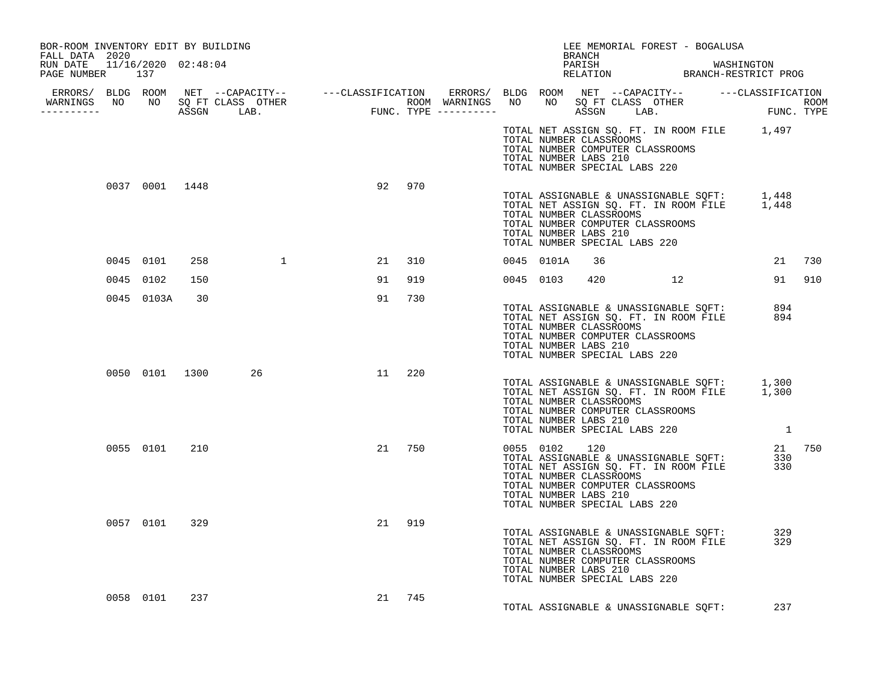| BOR-ROOM INVENTORY EDIT BY BUILDING<br>FALL DATA 2020 |               |     |                                                                                                                                                                                                                                      |    |        |  | LEE MEMORIAL FOREST - BOGALUSA<br>BRANCH                                                                                                                                                                                        |  |        |
|-------------------------------------------------------|---------------|-----|--------------------------------------------------------------------------------------------------------------------------------------------------------------------------------------------------------------------------------------|----|--------|--|---------------------------------------------------------------------------------------------------------------------------------------------------------------------------------------------------------------------------------|--|--------|
| RUN DATE 11/16/2020 02:48:04<br>PAGE NUMBER 137       |               |     |                                                                                                                                                                                                                                      |    |        |  | PARISH WASHINGTON RELATION BRANCH-RESTRICT PROG                                                                                                                                                                                 |  |        |
|                                                       |               |     |                                                                                                                                                                                                                                      |    |        |  |                                                                                                                                                                                                                                 |  |        |
|                                                       |               |     | ERRORS/ BLDG ROOM NET --CAPACITY-- ----CLASSIFICATION ERRORS/ BLDG ROOM NET --CAPACITY-- -----CLASSIFICATION<br>WARNINGS NO NO SQFTCLASS OTHER ROOM WARNINGS NO NO SQFTCLASS OTHER ROOM<br>----------- ASSGN LAB. FUNC.TYPE -------- |    |        |  |                                                                                                                                                                                                                                 |  |        |
|                                                       |               |     |                                                                                                                                                                                                                                      |    |        |  | TOTAL NET ASSIGN SQ. FT. IN ROOM FILE 1,497<br>TOTAL NUMBER CLASSROOMS<br>TOTAL NUMBER COMPUTER CLASSROOMS<br>TOTAL NUMBER LABS 210<br>TOTAL NUMBER SPECIAL LABS 220                                                            |  |        |
|                                                       |               |     | 0037 0001 1448                                                                                                                                                                                                                       |    | 92 970 |  | TOTAL ASSIGNABLE & UNASSIGNABLE SQFT: 1,448<br>TOTAL NET ASSIGN SQ. FT. IN ROOM FILE 1,448<br>TOTAL NUMBER CLASSROOMS<br>TOTAL NUMBER COMPUTER CLASSROOMS<br>TOTAL NUMBER LABS 210<br>TOTAL NUMBER SPECIAL LABS 220             |  |        |
|                                                       | 0045 0101     |     | 258 1                                                                                                                                                                                                                                |    | 21 310 |  | 0045 0101A 36                                                                                                                                                                                                                   |  | 21 730 |
|                                                       | 0045 0102     | 150 |                                                                                                                                                                                                                                      |    | 91 919 |  | 0045 0103 420 12                                                                                                                                                                                                                |  | 91 910 |
|                                                       | 0045 0103A 30 |     |                                                                                                                                                                                                                                      | 91 | 730    |  | TOTAL ASSIGNABLE & UNASSIGNABLE SQFT: 894<br>TOTAL NET ASSIGN SQ. FT. IN ROOM FILE 894<br>TOTAL NUMBER CLASSROOMS<br>TOTAL NUMBER COMPUTER CLASSROOMS<br>TOTAL NUMBER LABS 210<br>TOTAL NUMBER SPECIAL LABS 220                 |  |        |
|                                                       |               |     | 0050 0101 1300 26                                                                                                                                                                                                                    |    | 11 220 |  | TOTAL ASSIGNABLE & UNASSIGNABLE SQFT: 1,300<br>TOTAL NET ASSIGN SQ. FT. IN ROOM FILE 1,300<br>TOTAL NUMBER CLASSROOMS<br>TOTAL NUMBER COMPUTER CLASSROOMS<br>TOTAL NUMBER LABS 210<br>TOTAL NUMBER SPECIAL LABS 220 1           |  |        |
|                                                       | 0055 0101 210 |     |                                                                                                                                                                                                                                      |    | 21 750 |  | USIS USE 120<br>TOTAL ASSIGNABLE & UNASSIGNABLE SQFT: 330<br>TOTAL NET ASSIGN SQ. FT. IN ROOM FILE 330<br>TOTAL NUMBER CLASSROOMS<br>TOTAL NUMBER COMPUTER CLASSROOMS<br>TOTAL NUMBER LABS 210<br>TOTAL NUMBER SPECIAL LABS 220 |  |        |
|                                                       | 0057 0101 329 |     |                                                                                                                                                                                                                                      |    | 21 919 |  | TOTAL ASSIGNABLE & UNASSIGNABLE SQFT: 329<br>TOTAL NET ASSIGN SQ. FT. IN ROOM FILE 329<br>TOTAL NUMBER CLASSROOMS<br>TOTAL NUMBER COMPUTER CLASSROOMS<br>TOTAL NUMBER LABS 210<br>TOTAL NUMBER SPECIAL LABS 220                 |  |        |
|                                                       | 0058 0101     | 237 |                                                                                                                                                                                                                                      |    | 21 745 |  | TOTAL ASSIGNABLE & UNASSIGNABLE SQFT:                                                                                                                                                                                           |  | 237    |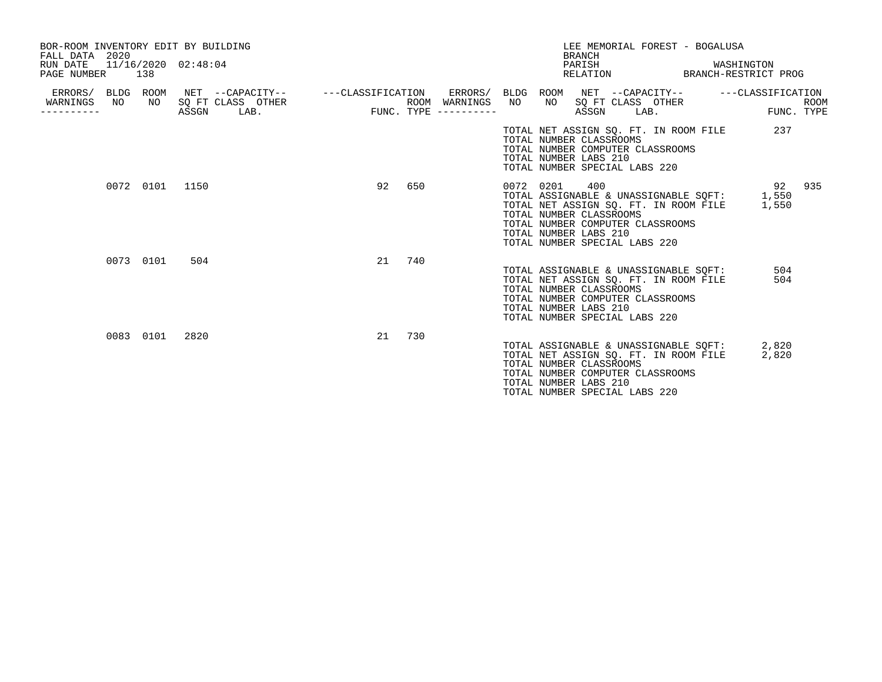| BOR-ROOM INVENTORY EDIT BY BUILDING<br>FALL DATA 2020<br>RUN DATE<br>PAGE NUMBER | 138       | 11/16/2020 02:48:04 |                        | LEE MEMORIAL FOREST - BOGALUSA<br><b>BRANCH</b><br>PARISH<br>WASHINGTON<br>RELATION BRANCH-RESTRICT PROG                                                                                                                                   |                           |
|----------------------------------------------------------------------------------|-----------|---------------------|------------------------|--------------------------------------------------------------------------------------------------------------------------------------------------------------------------------------------------------------------------------------------|---------------------------|
| WARNINGS<br>NO.                                                                  |           | NO SOFT CLASS OTHER | ROOM WARNINGS NO       | ERRORS/ BLDG ROOM NET --CAPACITY-- - ---CLASSIFICATION ERRORS/ BLDG ROOM NET --CAPACITY-- - ---CLASSIFICATION<br>NO SQ FT CLASS OTHER                                                                                                      | <b>ROOM</b><br>FUNC. TYPE |
| --------                                                                         |           | ASSGN<br>LAB.       | $FUNC. TYPE$ --------- | ASSGN<br>LAB.<br>TOTAL NET ASSIGN SO. FT. IN ROOM FILE<br>TOTAL NUMBER CLASSROOMS<br>TOTAL NUMBER COMPUTER CLASSROOMS<br>TOTAL NUMBER LABS 210<br>TOTAL NUMBER SPECIAL LABS 220                                                            | 237                       |
|                                                                                  | 0072 0101 | 1150                | 92<br>650              | 400<br>0072 0201<br>TOTAL ASSIGNABLE & UNASSIGNABLE SOFT: 1,550<br>TOTAL NET ASSIGN SO. FT. IN ROOM FILE<br>1,550<br>TOTAL NUMBER CLASSROOMS<br>TOTAL NUMBER COMPUTER CLASSROOMS<br>TOTAL NUMBER LABS 210<br>TOTAL NUMBER SPECIAL LABS 220 | 92<br>935                 |
|                                                                                  | 0073 0101 | 504                 | 740<br>21              | TOTAL ASSIGNABLE & UNASSIGNABLE SOFT:<br>TOTAL NET ASSIGN SO. FT. IN ROOM FILE<br>TOTAL NUMBER CLASSROOMS<br>TOTAL NUMBER COMPUTER CLASSROOMS<br>TOTAL NUMBER LABS 210<br>TOTAL NUMBER SPECIAL LABS 220                                    | 504<br>504                |
|                                                                                  | 0083 0101 | 2820                | 21<br>730              | TOTAL ASSIGNABLE & UNASSIGNABLE SOFT: 2,820<br>TOTAL NET ASSIGN SO. FT. IN ROOM FILE<br>TOTAL NUMBER CLASSROOMS<br>TOTAL NUMBER COMPUTER CLASSROOMS<br>TOTAL NUMBER LABS 210<br>TOTAL NUMBER SPECIAL LABS 220                              | 2,820                     |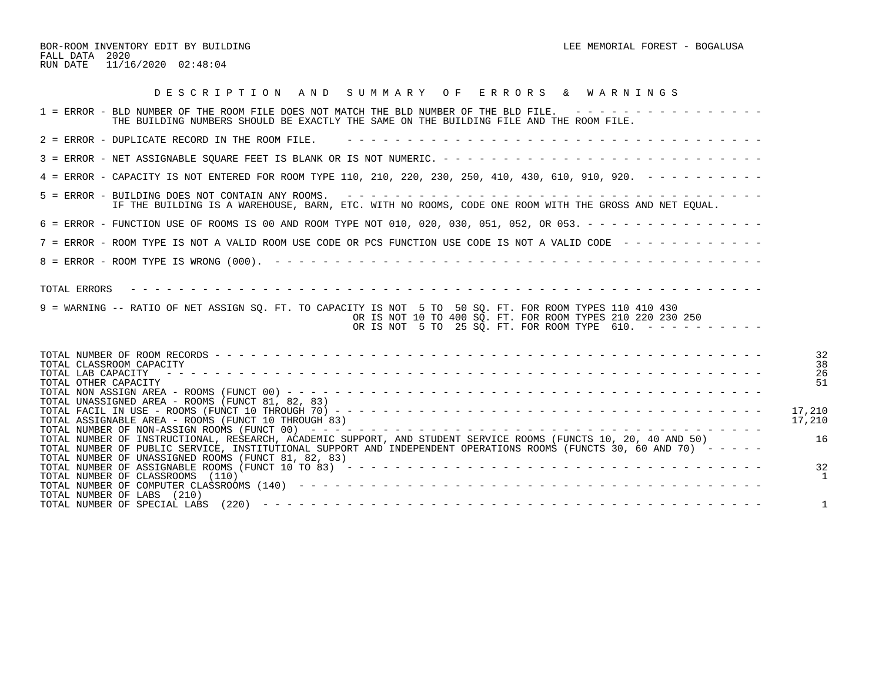BOR-ROOM INVENTORY EDIT BY BUILDING CONSUMING A SUMMORE AND RELEASE MEMORIAL FOREST - BOGALUSA FALL DATA 2020 RUN DATE 11/16/2020 02:48:04

| DESCRIPTION AND SUMMARY OF ERRORS & WARNINGS                                                                                                                                                                                                                                                      |                      |
|---------------------------------------------------------------------------------------------------------------------------------------------------------------------------------------------------------------------------------------------------------------------------------------------------|----------------------|
| 1 = ERROR - BLD NUMBER OF THE ROOM FILE DOES NOT MATCH THE BLD NUMBER OF THE BLD FILE. ----------------<br>THE BUILDING NUMBERS SHOULD BE EXACTLY THE SAME ON THE BUILDING FILE AND THE ROOM FILE.                                                                                                |                      |
| 2 = ERROR - DUPLICATE RECORD IN THE ROOM FILE.                                                                                                                                                                                                                                                    |                      |
|                                                                                                                                                                                                                                                                                                   |                      |
| 4 = ERROR - CAPACITY IS NOT ENTERED FOR ROOM TYPE 110, 210, 220, 230, 250, 410, 430, 610, 910, 920. - - - - - - - - -                                                                                                                                                                             |                      |
| IF THE BUILDING IS A WAREHOUSE, BARN, ETC. WITH NO ROOMS, CODE ONE ROOM WITH THE GROSS AND NET EQUAL.                                                                                                                                                                                             |                      |
| 6 = ERROR - FUNCTION USE OF ROOMS IS 00 AND ROOM TYPE NOT 010, 020, 030, 051, 052, OR 053. - - - - - - - - - - - - - - -                                                                                                                                                                          |                      |
| 7 = ERROR - ROOM TYPE IS NOT A VALID ROOM USE CODE OR PCS FUNCTION USE CODE IS NOT A VALID CODE ------------                                                                                                                                                                                      |                      |
|                                                                                                                                                                                                                                                                                                   |                      |
|                                                                                                                                                                                                                                                                                                   |                      |
| 9 = WARNING -- RATIO OF NET ASSIGN SQ. FT. TO CAPACITY IS NOT 5 TO 50 SQ. FT. FOR ROOM TYPES 110 410 430<br>OR IS NOT 10 TO 400 SO. FT. FOR ROOM TYPES 210 220 230 250<br>OR IS NOT 5 TO 25 SQ. FT. FOR ROOM TYPE 610. ----------                                                                 |                      |
| TOTAL CLASSROOM CAPACITY<br>TOTAL LAB CAPACITY<br>TOTAL OTHER CAPACITY<br>TOTAL UNASSIGNED AREA - ROOMS (FUNCT 81, 82, 83)                                                                                                                                                                        | 32<br>38<br>26<br>51 |
| TOTAL ASSIGNABLE AREA - ROOMS (FUNCT 10 THROUGH 83)                                                                                                                                                                                                                                               | 17,210<br>17,210     |
| TOTAL NUMBER OF INSTRUCTIONAL, RESEARCH, ACADEMIC SUPPORT, AND STUDENT SERVICE ROOMS (FUNCTS 10, 20, 40 AND 50)<br>TOTAL NUMBER OF PUBLIC SERVICE, INSTITUTIONAL SUPPORT AND INDEPENDENT OPERATIONS ROOMS (FUNCTS 30, 60 AND 70) - - - - -<br>TOTAL NUMBER OF UNASSIGNED ROOMS (FUNCT 81, 82, 83) | 16                   |
| TOTAL NUMBER OF CLASSROOMS (110)                                                                                                                                                                                                                                                                  | 32                   |
| TOTAL NUMBER OF LABS (210)                                                                                                                                                                                                                                                                        | 1                    |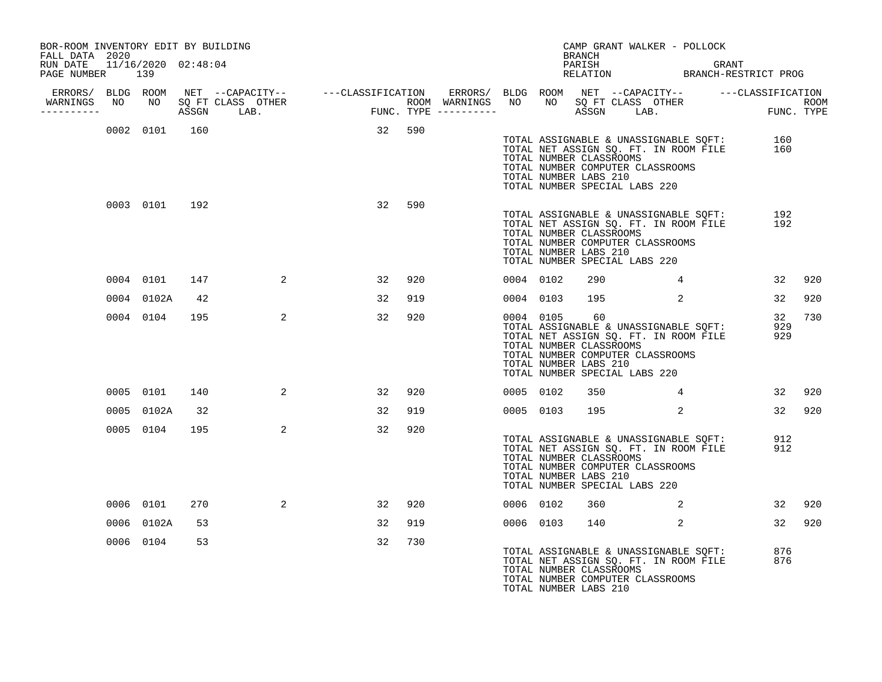| BOR-ROOM INVENTORY EDIT BY BUILDING<br>FALL DATA 2020 |     |            |               |                                                                                                                                                                                                                                                                                                     |        |     |           |           | BRANCH                                                 |                               | CAMP GRANT WALKER - POLLOCK                                                                                        |                                                                                        |        |
|-------------------------------------------------------|-----|------------|---------------|-----------------------------------------------------------------------------------------------------------------------------------------------------------------------------------------------------------------------------------------------------------------------------------------------------|--------|-----|-----------|-----------|--------------------------------------------------------|-------------------------------|--------------------------------------------------------------------------------------------------------------------|----------------------------------------------------------------------------------------|--------|
| RUN DATE 11/16/2020 02:48:04<br>PAGE NUMBER           | 139 |            |               |                                                                                                                                                                                                                                                                                                     |        |     |           |           | PARISH                                                 |                               |                                                                                                                    | PARISH GRANT GRANT RELATION BRANCH-RESTRICT PROG                                       |        |
| ----------                                            |     |            |               | ERRORS/ BLDG ROOM NET --CAPACITY-- ----CLASSIFICATION ERRORS/ BLDG ROOM NET --CAPACITY-- ----CLASSIFICATION<br>WARNINGS NO NO SOFT CLASS OTHER NOOM WARNINGS NO NO SOFT CLASS OTHER ROOM NORNINGS NO NO SOFT CLASS OTHER ROOM<br>----------- ASSGN LAB. TUNC. TYPE ---------- ASSGN LAB. FUNC. TYPE |        |     |           |           |                                                        |                               |                                                                                                                    |                                                                                        |        |
|                                                       |     |            | 0002 0101 160 |                                                                                                                                                                                                                                                                                                     | 32 590 |     |           |           | TOTAL NUMBER CLASSROOMS<br>TOTAL NUMBER LABS 210       | TOTAL NUMBER SPECIAL LABS 220 | TOTAL NUMBER COMPUTER CLASSROOMS                                                                                   | TOTAL ASSIGNABLE & UNASSIGNABLE SQFT: 160<br>TOTAL NET ASSIGN SQ. FT. IN ROOM FILE 160 |        |
|                                                       |     |            | 0003 0101 192 |                                                                                                                                                                                                                                                                                                     | 32     | 590 |           |           | TOTAL NUMBER CLASSROOMS<br>TOTAL NUMBER LABS 210       | TOTAL NUMBER SPECIAL LABS 220 | TOTAL ASSIGNABLE & UNASSIGNABLE SQFT:<br>TOTAL NET ASSIGN SQ. FT. IN ROOM FILE<br>TOTAL NUMBER COMPUTER CLASSROOMS | 192<br>192                                                                             |        |
|                                                       |     | 0004 0101  | 147           | 2                                                                                                                                                                                                                                                                                                   | 32     | 920 | 0004 0102 |           | 290                                                    |                               | $4\overline{4}$                                                                                                    | 32                                                                                     | 920    |
|                                                       |     | 0004 0102A | 42            |                                                                                                                                                                                                                                                                                                     | 32     | 919 | 0004 0103 |           | 195                                                    |                               | $\overline{\mathbf{a}}$                                                                                            | 32                                                                                     | 920    |
|                                                       |     | 0004 0104  | 195           | 2                                                                                                                                                                                                                                                                                                   | 32     | 920 |           | 0004 0105 | 60<br>TOTAL NUMBER CLASSROOMS<br>TOTAL NUMBER LABS 210 | TOTAL NUMBER SPECIAL LABS 220 | TOTAL ASSIGNABLE & UNASSIGNABLE SQFT:<br>TOTAL NET ASSIGN SQ. FT. IN ROOM FILE<br>TOTAL NUMBER COMPUTER CLASSROOMS | 32<br>929<br>929                                                                       | 730    |
|                                                       |     |            | 0005 0101 140 | 2                                                                                                                                                                                                                                                                                                   | 32     | 920 | 0005 0102 |           | 350                                                    |                               | $\overline{4}$                                                                                                     |                                                                                        | 32 920 |
|                                                       |     | 0005 0102A | 32            |                                                                                                                                                                                                                                                                                                     | 32     | 919 |           | 0005 0103 |                                                        | 195 2                         |                                                                                                                    |                                                                                        | 32 920 |
|                                                       |     | 0005 0104  | 195           | $\overline{a}$                                                                                                                                                                                                                                                                                      | 32     | 920 |           |           | TOTAL NUMBER CLASSROOMS<br>TOTAL NUMBER LABS 210       | TOTAL NUMBER SPECIAL LABS 220 | TOTAL ASSIGNABLE & UNASSIGNABLE SQFT:<br>TOTAL NET ASSIGN SQ. FT. IN ROOM FILE<br>TOTAL NUMBER COMPUTER CLASSROOMS | 912<br>912                                                                             |        |
|                                                       |     | 0006 0101  | 270           | 2                                                                                                                                                                                                                                                                                                   | 32     | 920 | 0006 0102 |           | 360                                                    |                               | $\overline{\mathbf{c}}$                                                                                            | 32                                                                                     | 920    |
|                                                       |     | 0006 0102A | 53            |                                                                                                                                                                                                                                                                                                     | 32     | 919 | 0006 0103 |           | 140                                                    |                               | 2                                                                                                                  | 32                                                                                     | 920    |
|                                                       |     | 0006 0104  | 53            |                                                                                                                                                                                                                                                                                                     | 32     | 730 |           |           | TOTAL NUMBER CLASSROOMS<br>TOTAL NUMBER LABS 210       |                               | TOTAL ASSIGNABLE & UNASSIGNABLE SQFT:<br>TOTAL NET ASSIGN SQ. FT. IN ROOM FILE<br>TOTAL NUMBER COMPUTER CLASSROOMS | 876<br>876                                                                             |        |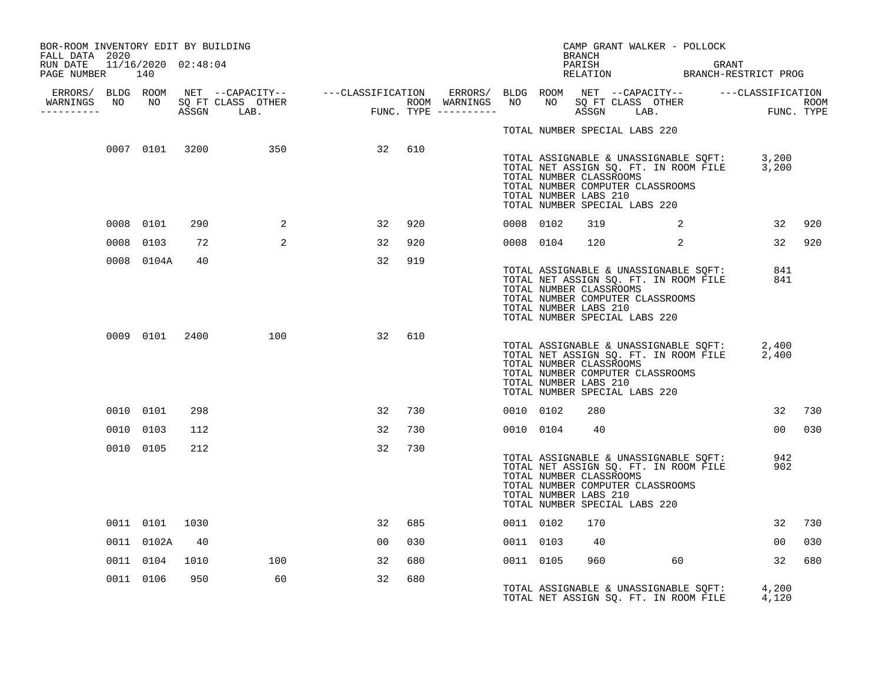| BOR-ROOM INVENTORY EDIT BY BUILDING<br>FALL DATA 2020 |                |      |                                  |                                                                                                                                                                                                                                      |     |           |                                                                                   | BRANCH | CAMP GRANT WALKER - POLLOCK                                                                                                                           |       |                 |     |
|-------------------------------------------------------|----------------|------|----------------------------------|--------------------------------------------------------------------------------------------------------------------------------------------------------------------------------------------------------------------------------------|-----|-----------|-----------------------------------------------------------------------------------|--------|-------------------------------------------------------------------------------------------------------------------------------------------------------|-------|-----------------|-----|
| RUN DATE 11/16/2020 02:48:04<br>PAGE NUMBER 140       |                |      |                                  |                                                                                                                                                                                                                                      |     |           |                                                                                   | PARISH | PARISH GRANT GRANT RELATION BRANCH-RESTRICT PROG                                                                                                      | GRANT |                 |     |
|                                                       |                |      | WARNINGS NO NO SQ FT CLASS OTHER | ERRORS/ BLDG ROOM NET --CAPACITY-- ----CLASSIFICATION ERRORS/ BLDG ROOM NET --CAPACITY-- -----CLASSIFICATION<br>NARNINGS NO NO SQFTCLASS OTHER ROOM WARNINGS NO NO SQFTCLASS OTHER ROOM<br>--------- ASSGN LAB. FUNC.TYPE ---------- |     |           |                                                                                   |        |                                                                                                                                                       |       |                 |     |
| -----------                                           |                |      |                                  |                                                                                                                                                                                                                                      |     |           |                                                                                   |        |                                                                                                                                                       |       |                 |     |
|                                                       |                |      |                                  |                                                                                                                                                                                                                                      |     |           | TOTAL NUMBER SPECIAL LABS 220                                                     |        |                                                                                                                                                       |       |                 |     |
|                                                       |                |      |                                  | 0007 0101 3200 350 32                                                                                                                                                                                                                | 610 |           | TOTAL NUMBER CLASSROOMS<br>TOTAL NUMBER LABS 210<br>TOTAL NUMBER SPECIAL LABS 220 |        | TOTAL ASSIGNABLE & UNASSIGNABLE SQFT: 3,200<br>TOTAL NET ASSIGN SQ. FT. IN ROOM FILE 3,200<br>TOTAL NUMBER COMPUTER CLASSROOMS                        |       |                 |     |
|                                                       | 0008 0101      | 290  | 2                                | 32                                                                                                                                                                                                                                   | 920 | 0008 0102 |                                                                                   | 319    | $\overline{\mathbf{a}}$                                                                                                                               |       | 32              | 920 |
|                                                       | 0008 0103      | 72   | 2                                | 32                                                                                                                                                                                                                                   | 920 | 0008 0104 |                                                                                   | 120    | 2                                                                                                                                                     |       | 32 920          |     |
|                                                       | 0008 0104A     | 40   |                                  | 32                                                                                                                                                                                                                                   | 919 |           | TOTAL NUMBER CLASSROOMS<br>TOTAL NUMBER LABS 210<br>TOTAL NUMBER SPECIAL LABS 220 |        | TOTAL ASSIGNABLE & UNASSIGNABLE SQFT: 841<br>TOTAL NET ASSIGN SQ. FT. IN ROOM FILE 841<br>TOTAL NUMBER OLACEROOMS<br>TOTAL NUMBER COMPUTER CLASSROOMS |       |                 |     |
|                                                       | 0009 0101 2400 |      | 100                              | 32                                                                                                                                                                                                                                   | 610 |           | TOTAL NUMBER CLASSROOMS<br>TOTAL NUMBER LABS 210<br>TOTAL NUMBER SPECIAL LABS 220 |        | TOTAL ASSIGNABLE & UNASSIGNABLE SQFT: 2,400<br>TOTAL NET ASSIGN SQ. FT. IN ROOM FILE 2,400<br>TOTAL NUMBER COMPUTER CLASSROOMS                        |       |                 |     |
|                                                       | 0010 0101      | 298  |                                  | 32                                                                                                                                                                                                                                   | 730 | 0010 0102 |                                                                                   | 280    |                                                                                                                                                       |       | 32              | 730 |
|                                                       | 0010 0103      | 112  |                                  | 32                                                                                                                                                                                                                                   | 730 |           | 0010 0104                                                                         | 40     |                                                                                                                                                       |       | 00 <sub>0</sub> | 030 |
|                                                       | 0010 0105      | 212  |                                  | 32                                                                                                                                                                                                                                   | 730 |           | TOTAL NUMBER CLASSROOMS<br>TOTAL NUMBER LABS 210<br>TOTAL NUMBER SPECIAL LABS 220 |        | TOTAL ASSIGNABLE & UNASSIGNABLE SQFT:<br>TOTAL NET ASSIGN SQ. FT. IN ROOM FILE<br>TOTAL NUMBER COMPUTER CLASSROOMS                                    |       | 942<br>902      |     |
|                                                       | 0011 0101      | 1030 |                                  | 32                                                                                                                                                                                                                                   | 685 | 0011 0102 |                                                                                   | 170    |                                                                                                                                                       |       | 32              | 730 |
|                                                       | 0011 0102A     | 40   |                                  | 00                                                                                                                                                                                                                                   | 030 | 0011 0103 |                                                                                   | 40     |                                                                                                                                                       |       | 00              | 030 |
|                                                       | 0011 0104      | 1010 | 100                              | 32                                                                                                                                                                                                                                   | 680 | 0011 0105 |                                                                                   | 960    | 60                                                                                                                                                    |       | 32              | 680 |
|                                                       | 0011 0106      | 950  | 60                               | 32                                                                                                                                                                                                                                   | 680 |           |                                                                                   |        | TOTAL ASSIGNABLE & UNASSIGNABLE SQFT: 4,200<br>TOTAL NET ASSIGN SQ. FT. IN ROOM FILE                                                                  |       | 4,120           |     |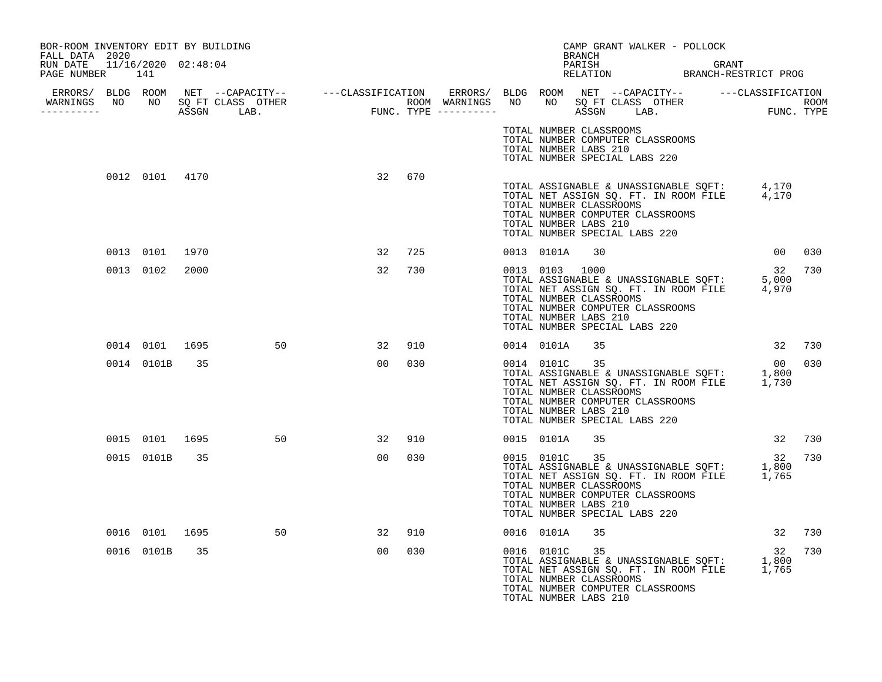| BOR-ROOM INVENTORY EDIT BY BUILDING<br>FALL DATA 2020 |                |                |    |    |     |  |                                                                                                                                         | BRANCH |  | CAMP GRANT WALKER - POLLOCK                                                                                     |        |     |
|-------------------------------------------------------|----------------|----------------|----|----|-----|--|-----------------------------------------------------------------------------------------------------------------------------------------|--------|--|-----------------------------------------------------------------------------------------------------------------|--------|-----|
| RUN DATE 11/16/2020 02:48:04<br>PAGE NUMBER 141       |                |                |    |    |     |  |                                                                                                                                         |        |  | PARISH GRANT GRANT RELATION BRANCH-RESTRICT PROG                                                                |        |     |
|                                                       |                |                |    |    |     |  |                                                                                                                                         |        |  |                                                                                                                 |        |     |
|                                                       |                |                |    |    |     |  | TOTAL NUMBER CLASSROOMS<br>TOTAL NUMBER COMPUTER CLASSROOMS<br>TOTAL NUMBER LABS 210<br>TOTAL NUMBER SPECIAL LABS 220                   |        |  |                                                                                                                 |        |     |
|                                                       | 0012 0101 4170 |                |    | 32 | 670 |  | TOTAL NUMBER CLASSROOMS<br>TOTAL NUMBER COMPUTER CLASSROOMS<br>TOTAL NUMBER LABS 210<br>TOTAL NUMBER SPECIAL LABS 220                   |        |  | TOTAL ASSIGNABLE & UNASSIGNABLE SQFT: 4,170<br>TOTAL NET ASSIGN SQ. FT. IN ROOM FILE 4,170                      |        |     |
|                                                       | 0013 0101      | 1970           |    | 32 | 725 |  | 0013 0101A 30                                                                                                                           |        |  |                                                                                                                 | 00     | 030 |
|                                                       | 0013 0102      | 2000           |    | 32 | 730 |  | 0013 0103 1000<br>TOTAL NUMBER CLASSROOMS<br>TOTAL NUMBER COMPUTER CLASSROOMS<br>TOTAL NUMBER LABS 210<br>TOTAL NUMBER SPECIAL LABS 220 |        |  | 0013 0103 1000 32<br>TOTAL ASSIGNABLE & UNASSIGNABLE SQFT: 5,000<br>TOTAL NET ASSIGN SQ. FT. IN ROOM FILE 4,970 | 32     | 730 |
|                                                       |                | 0014 0101 1695 | 50 | 32 | 910 |  | 0014 0101A                                                                                                                              | 35     |  |                                                                                                                 | 32 730 |     |
|                                                       | 0014 0101B     | 35             |    | 00 | 030 |  | 0014 0101C 35<br>TOTAL NUMBER CLASSROOMS<br>TOTAL NUMBER COMPUTER CLASSROOMS<br>TOTAL NUMBER LABS 210<br>TOTAL NUMBER SPECIAL LABS 220  |        |  | 00<br>TOTAL ASSIGNABLE & UNASSIGNABLE SQFT: 1,800<br>TOTAL NET ASSIGN SQ. FT. IN ROOM FILE 1,730                | 00 030 |     |
|                                                       | 0015 0101 1695 |                | 50 | 32 | 910 |  | 0015 0101A                                                                                                                              | 35     |  |                                                                                                                 | 32 730 |     |
|                                                       | 0015 0101B     | 35             |    | 00 | 030 |  | 0015 0101C 35<br>TOTAL NUMBER CLASSROOMS<br>TOTAL NUMBER COMPUTER CLASSROOMS<br>TOTAL NUMBER LABS 210<br>TOTAL NUMBER SPECIAL LABS 220  |        |  | 12<br>TOTAL ASSIGNABLE & UNASSIGNABLE SQFT: 1,800<br>TOTAL NET ASSIGN SQ. FT. IN ROOM FILE 1,765                | 32     | 730 |
|                                                       | 0016 0101 1695 |                | 50 | 32 | 910 |  | 0016 0101A                                                                                                                              | 35     |  |                                                                                                                 | 32 730 |     |
|                                                       | 0016 0101B     | 35             |    | 00 | 030 |  | 0016 0101C<br>TOTAL NUMBER CLASSROOMS<br>TOTAL NUMBER COMPUTER CLASSROOMS<br>TOTAL NUMBER LABS 210                                      | 35     |  | 0016 0101C 35<br>TOTAL ASSIGNABLE & UNASSIGNABLE SQFT: 1,800<br>TOTAL NET ASSIGN SQ. FT. IN ROOM FILE 1,765     | 32     | 730 |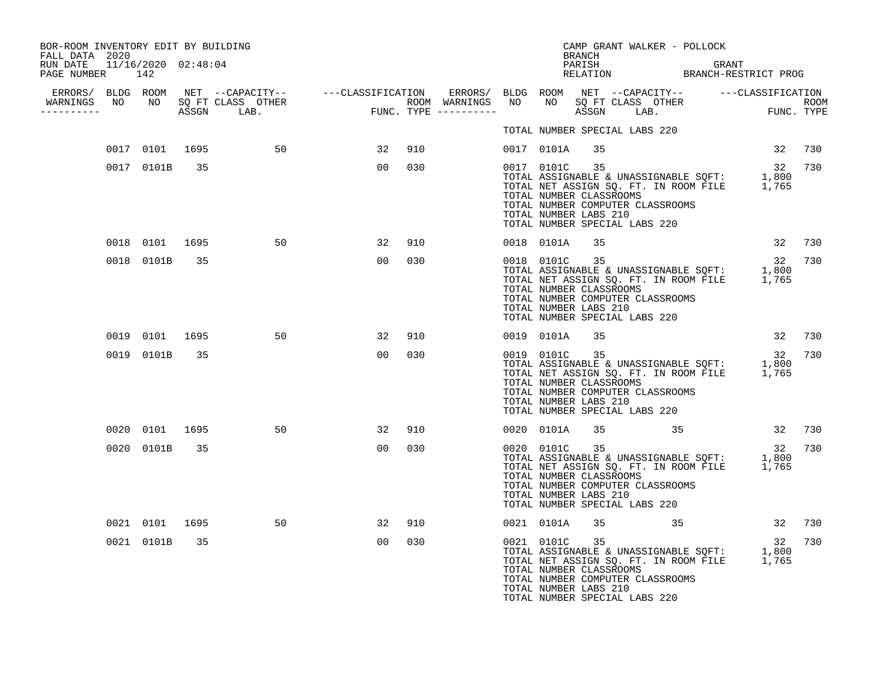| BOR-ROOM INVENTORY EDIT BY BUILDING<br>FALL DATA 2020 |                |    |                   |                |     | CAMP GRANT WALKER - POLLOCK<br>BRANCH                                                                                                                                                                                                                   |
|-------------------------------------------------------|----------------|----|-------------------|----------------|-----|---------------------------------------------------------------------------------------------------------------------------------------------------------------------------------------------------------------------------------------------------------|
| RUN DATE 11/16/2020 02:48:04<br>PAGE NUMBER 142       |                |    |                   |                |     | PARISH GRANT GRANT RELATION BRANCH-RESTRICT PROG                                                                                                                                                                                                        |
|                                                       |                |    |                   |                |     |                                                                                                                                                                                                                                                         |
| -----------                                           |                |    |                   |                |     |                                                                                                                                                                                                                                                         |
|                                                       |                |    |                   |                |     | TOTAL NUMBER SPECIAL LABS 220                                                                                                                                                                                                                           |
|                                                       |                |    | 0017 0101 1695 50 | 32             | 910 | 0017 0101A 35<br>32 730                                                                                                                                                                                                                                 |
|                                                       | 0017 0101B 35  |    |                   | 00             | 030 | 0017 0101C 35<br>32 730<br>22<br>TOTAL ASSIGNABLE & UNASSIGNABLE SQFT: 1,800<br>TOTAL NET ASSIGN SQ. FT. IN ROOM FILE 1,765<br>TOTAL NUMBER CLASSROOMS<br>TOTAL NUMBER COMPUTER CLASSROOMS<br>TOTAL NUMBER LABS 210<br>TOTAL NUMBER SPECIAL LABS 220    |
|                                                       | 0018 0101 1695 |    | 50                | 32             | 910 | 32 730<br>0018 0101A<br>35                                                                                                                                                                                                                              |
|                                                       | 0018 0101B     | 35 |                   | 00             | 030 | 0018 0101C 35<br>32<br>730<br>32<br>TOTAL ASSIGNABLE & UNASSIGNABLE SQFT: 1,800<br>TOTAL NET ASSIGN SQ. FT. IN ROOM FILE 1,765<br>TOTAL NUMBER CLASSROOMS<br>TOTAL NUMBER COMPUTER CLASSROOMS<br>TOTAL NUMBER LABS 210<br>TOTAL NUMBER SPECIAL LABS 220 |
|                                                       | 0019 0101 1695 |    | 50                | 32             | 910 | 32 730<br>0019 0101A<br>35                                                                                                                                                                                                                              |
|                                                       | 0019 0101B     | 35 |                   | 0 <sub>0</sub> | 030 | 0019 0101C 35<br>32<br>730<br>32<br>TOTAL ASSIGNABLE & UNASSIGNABLE SQFT: 1,800<br>TOTAL NET ASSIGN SQ. FT. IN ROOM FILE 1,765<br>TOTAL NUMBER CLASSROOMS<br>TOTAL NUMBER COMPUTER CLASSROOMS<br>TOTAL NUMBER LABS 210<br>TOTAL NUMBER SPECIAL LABS 220 |
|                                                       | 0020 0101 1695 |    | 50                | 32             | 910 | 35 35 32 730<br>0020 0101A                                                                                                                                                                                                                              |
|                                                       | 0020 0101B     | 35 |                   | 00             | 030 | 0020 0101C 35<br>32 730<br>کد<br>TOTAL ASSIGNABLE & UNASSIGNABLE SQFT: 1,800<br>TOTAL NET ASSIGN SQ. FT. IN ROOM FILE 1,765<br>TOTAL NUMBER CLASSROOMS<br>TOTAL NUMBER COMPUTER CLASSROOMS<br>TOTAL NUMBER LABS 210<br>TOTAL NUMBER SPECIAL LABS 220    |
|                                                       | 0021 0101 1695 |    | 50                | 32             | 910 | 0021 0101A<br>35 35 36 32 730                                                                                                                                                                                                                           |
|                                                       | 0021 0101B     | 35 |                   | 00             | 030 | 32<br>TOTAL ASSIGNABLE & UNASSIGNABLE SQFT: 1,800<br>TOTAL NET ASSIGN SQ. FT. IN ROOM FILE 1,765<br>TOTAL NUMBER CLASSROOMS<br>730<br>TOTAL NUMBER COMPUTER CLASSROOMS<br>TOTAL NUMBER LABS 210<br>TOTAL NUMBER SPECIAL LABS 220                        |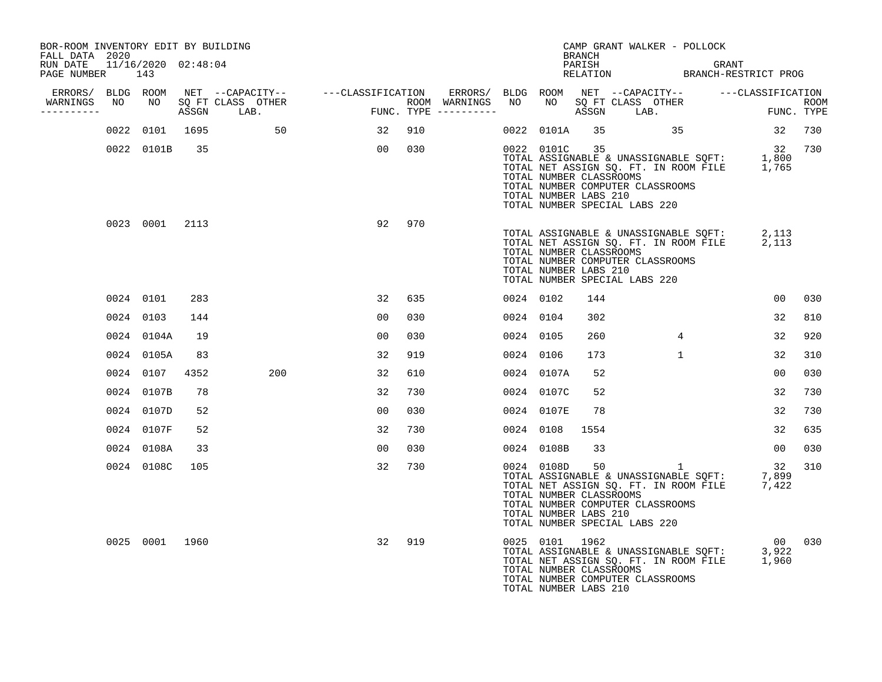| BOR-ROOM INVENTORY EDIT BY BUILDING<br>FALL DATA 2020 |                            |       |                             |                                                                                         |     |                                      |           |                | <b>BRANCH</b>                                          | CAMP GRANT WALKER - POLLOCK                                                                                                                                              |                |                           |
|-------------------------------------------------------|----------------------------|-------|-----------------------------|-----------------------------------------------------------------------------------------|-----|--------------------------------------|-----------|----------------|--------------------------------------------------------|--------------------------------------------------------------------------------------------------------------------------------------------------------------------------|----------------|---------------------------|
| RUN DATE<br>PAGE NUMBER                               | 11/16/2020 02:48:04<br>143 |       |                             |                                                                                         |     |                                      |           |                |                                                        | PARISH GRANT GRANT RELATION BRANCH-RESTRICT PROG                                                                                                                         |                |                           |
| ERRORS/ BLDG ROOM<br>WARNINGS NO<br>----------        |                            | ASSGN | NO SOFT CLASS OTHER<br>LAB. | NET --CAPACITY-- ----CLASSIFICATION<br>$\begin{aligned} \texttt{FUNC}\,. \end{aligned}$ |     | ROOM WARNINGS<br>FUNC. TYPE $------$ | NO        |                |                                                        | ERRORS/ BLDG ROOM NET --CAPACITY-- - ---CLASSIFICATION<br>NO SQ FT CLASS OTHER<br>ASSGN LAB.                                                                             |                | <b>ROOM</b><br>FUNC. TYPE |
|                                                       | 0022 0101 1695             |       | 50                          | $\sim$ 32                                                                               | 910 |                                      |           |                |                                                        | 0022 0101A 35 35                                                                                                                                                         | 32 730         |                           |
|                                                       | 0022 0101B 35              |       |                             | 00 <sub>o</sub>                                                                         | 030 |                                      |           | 0022 0101C 35  | TOTAL NUMBER CLASSROOMS<br>TOTAL NUMBER LABS 210       | 1,800<br>TOTAL ASSIGNABLE & UNASSIGNABLE SQFT: 1,800<br>TOTAL NET ASSIGN SQ. FT. IN ROOM FILE 1,765<br>TOTAL NUMBER COMPUTER CLASSROOMS<br>TOTAL NUMBER SPECIAL LABS 220 |                | 32 730                    |
|                                                       | 0023 0001 2113             |       |                             | 92                                                                                      | 970 |                                      |           |                | TOTAL NUMBER CLASSROOMS<br>TOTAL NUMBER LABS 210       | TOTAL ASSIGNABLE & UNASSIGNABLE SQFT: $2,113$<br>TOTAL NET ASSIGN SQ. FT. IN ROOM FILE 2,113<br>TOTAL NUMBER COMPUTER CLASSROOMS<br>TOTAL NUMBER SPECIAL LABS 220        |                |                           |
|                                                       | 0024 0101                  | 283   |                             | 32                                                                                      | 635 |                                      | 0024 0102 |                | 144                                                    |                                                                                                                                                                          | 00             | 030                       |
|                                                       | 0024 0103                  | 144   |                             | 00                                                                                      | 030 |                                      | 0024 0104 |                | 302                                                    |                                                                                                                                                                          | 32             | 810                       |
|                                                       | 0024 0104A                 | 19    |                             | 00                                                                                      | 030 |                                      | 0024 0105 |                | 260                                                    | 4                                                                                                                                                                        | 32             | 920                       |
|                                                       | 0024 0105A                 | 83    |                             | 32                                                                                      | 919 |                                      | 0024 0106 |                | 173                                                    | $\mathbf{1}$                                                                                                                                                             | 32             | 310                       |
|                                                       | 0024 0107                  | 4352  | 200                         | 32                                                                                      | 610 |                                      |           | 0024 0107A     | 52                                                     |                                                                                                                                                                          | 0 <sub>0</sub> | 030                       |
|                                                       | 0024 0107B                 | 78    |                             | 32                                                                                      | 730 |                                      |           | 0024 0107C     | 52                                                     |                                                                                                                                                                          | 32             | 730                       |
|                                                       | 0024 0107D                 | 52    |                             | 00                                                                                      | 030 |                                      |           | 0024 0107E     | 78                                                     |                                                                                                                                                                          | 32             | 730                       |
|                                                       | 0024 0107F                 | 52    |                             | 32                                                                                      | 730 |                                      |           | 0024 0108      | 1554                                                   |                                                                                                                                                                          | 32             | 635                       |
|                                                       | 0024 0108A                 | 33    |                             | 0 <sub>0</sub>                                                                          | 030 |                                      |           | 0024 0108B     | 33                                                     |                                                                                                                                                                          | 0 <sub>0</sub> | 030                       |
|                                                       | 0024 0108C                 | 105   |                             | 32                                                                                      | 730 |                                      |           | 0024 0108D     | 50<br>TOTAL NUMBER CLASSROOMS<br>TOTAL NUMBER LABS 210 | TOTAL ASSIGNABLE & UNASSIGNABLE SOFT: 7,899<br>TOTAL NET ASSIGN SQ. FT. IN ROOM FILE 7,422<br>TOTAL NUMBER COMPUTER CLASSROOMS<br>TOTAL NUMBER SPECIAL LABS 220          | 32             | 310                       |
|                                                       | 0025 0001 1960             |       |                             | 32                                                                                      | 919 |                                      |           | 0025 0101 1962 | TOTAL NUMBER CLASSROOMS<br>TOTAL NUMBER LABS 210       | TOTAL ASSIGNABLE & UNASSIGNABLE SOFT: 3,922<br>TOTAL NET ASSIGN SQ. FT. IN ROOM FILE 1,960<br>TOTAL NUMBER COMPUTER CLASSROOMS                                           |                | 00 030                    |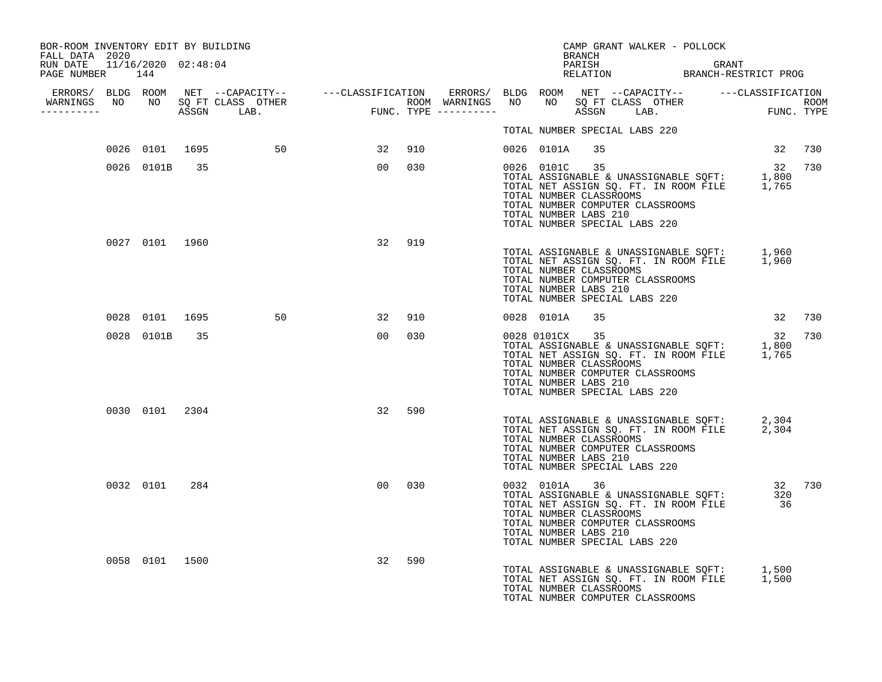| BOR-ROOM INVENTORY EDIT BY BUILDING<br>FALL DATA 2020 |                |     |                   |    |        |  |                | BRANCH                                                            | CAMP GRANT WALKER - POLLOCK                                       |                                                                                                               |        |
|-------------------------------------------------------|----------------|-----|-------------------|----|--------|--|----------------|-------------------------------------------------------------------|-------------------------------------------------------------------|---------------------------------------------------------------------------------------------------------------|--------|
| RUN DATE 11/16/2020 02:48:04<br>PAGE NUMBER 144       |                |     |                   |    |        |  |                |                                                                   |                                                                   | PARISH GRANT GRANT RELATION BRANCH-RESTRICT PROG                                                              |        |
|                                                       |                |     |                   |    |        |  |                |                                                                   |                                                                   |                                                                                                               |        |
| -----------                                           |                |     |                   |    |        |  |                |                                                                   |                                                                   |                                                                                                               |        |
|                                                       |                |     |                   |    |        |  |                |                                                                   | TOTAL NUMBER SPECIAL LABS 220                                     |                                                                                                               |        |
|                                                       |                |     | 0026 0101 1695 50 | 32 | 910    |  | 0026 0101A     | 35                                                                |                                                                   | 32 730                                                                                                        |        |
|                                                       | 0026 0101B 35  |     |                   |    | 00 030 |  |                | 0026 0101C 35<br>TOTAL NUMBER CLASSROOMS<br>TOTAL NUMBER LABS 210 | TOTAL NUMBER COMPUTER CLASSROOMS<br>TOTAL NUMBER SPECIAL LABS 220 | 12<br>TOTAL ASSIGNABLE & UNASSIGNABLE SQFT: 1,800<br>TOTAL NET ASSIGN SQ. FT. IN ROOM FILE 1,765              | 32 730 |
|                                                       | 0027 0101 1960 |     |                   |    | 32 919 |  |                | TOTAL NUMBER CLASSROOMS<br>TOTAL NUMBER LABS 210                  | TOTAL NUMBER COMPUTER CLASSROOMS<br>TOTAL NUMBER SPECIAL LABS 220 | TOTAL ASSIGNABLE & UNASSIGNABLE SQFT: 1,960<br>TOTAL NET ASSIGN SQ. FT. IN ROOM FILE 1,960                    |        |
|                                                       | 0028 0101 1695 |     | 50                | 32 | 910    |  | 0028 0101A     | 35                                                                |                                                                   | 32 730                                                                                                        |        |
|                                                       | 0028 0101B     | 35  |                   | 00 | 030    |  | 0028 0101CX 35 | TOTAL NUMBER CLASSROOMS<br>TOTAL NUMBER LABS 210                  | TOTAL NUMBER COMPUTER CLASSROOMS<br>TOTAL NUMBER SPECIAL LABS 220 | TOTAL ASSIGNABLE & UNASSIGNABLE SQFT: 1,800<br>TOTAL NET ASSIGN SQ. FT. IN ROOM FILE 1,765                    | 32 730 |
|                                                       | 0030 0101 2304 |     |                   | 32 | 590    |  |                | TOTAL NUMBER CLASSROOMS<br>TOTAL NUMBER LABS 210                  | TOTAL NUMBER COMPUTER CLASSROOMS<br>TOTAL NUMBER SPECIAL LABS 220 | TOTAL ASSIGNABLE & UNASSIGNABLE SQFT: 2,304<br>TOTAL NET ASSIGN SQ. FT. IN ROOM FILE 2,304                    |        |
|                                                       | 0032 0101      | 284 |                   | 00 | 030    |  |                | TOTAL NUMBER CLASSROOMS<br>TOTAL NUMBER LABS 210                  | TOTAL NUMBER COMPUTER CLASSROOMS<br>TOTAL NUMBER SPECIAL LABS 220 | 0032 0101A 36 32 730<br>TOTAL ASSIGNABLE & UNASSIGNABLE SQFT: 320<br>TOTAL NET ASSIGN SQ. FT. IN ROOM FILE 36 |        |
|                                                       | 0058 0101 1500 |     |                   | 32 | 590    |  |                | TOTAL NUMBER CLASSROOMS                                           | TOTAL NUMBER COMPUTER CLASSROOMS                                  | TOTAL ASSIGNABLE & UNASSIGNABLE SQFT: 1,500<br>TOTAL NET ASSIGN SQ. FT. IN ROOM FILE 1,500                    |        |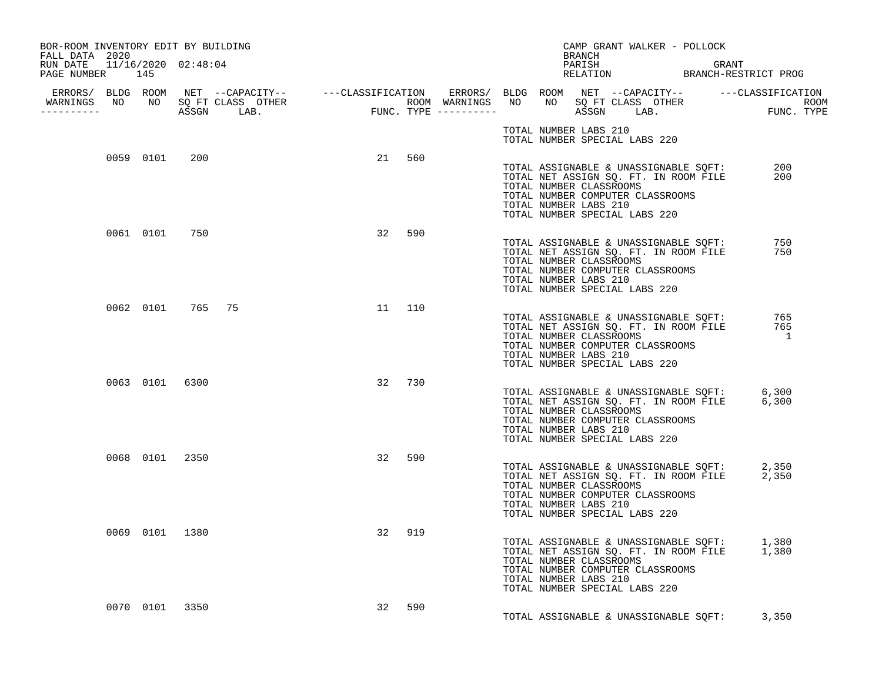| BOR-ROOM INVENTORY EDIT BY BUILDING<br>FALL DATA 2020 |                  |                |        |        |  |                       | BRANCH | CAMP GRANT WALKER - POLLOCK                                                                                                                                                                                             |                                        |  |
|-------------------------------------------------------|------------------|----------------|--------|--------|--|-----------------------|--------|-------------------------------------------------------------------------------------------------------------------------------------------------------------------------------------------------------------------------|----------------------------------------|--|
| RUN DATE 11/16/2020 02:48:04<br>PAGE NUMBER 145       |                  |                |        |        |  |                       |        | PARISH GRANT GRANT RELATION BRANCH-RESTRICT PROG                                                                                                                                                                        |                                        |  |
| -----------                                           |                  |                |        |        |  |                       |        |                                                                                                                                                                                                                         |                                        |  |
|                                                       |                  |                |        |        |  |                       |        | TOTAL NUMBER LABS 210<br>TOTAL NUMBER SPECIAL LABS 220                                                                                                                                                                  |                                        |  |
|                                                       | 0059 0101 200    |                |        | 21 560 |  | TOTAL NUMBER LABS 210 |        | TOTAL ASSIGNABLE & UNASSIGNABLE SQFT:<br>TOTAL NET ASSIGN SQ. FT. IN ROOM FILE<br>TOTAL NET ASSIGN SQ. FT. IN ROOM FILE<br>TOTAL NUMBER CLASSROOMS<br>TOTAL NUMBER COMPUTER CLASSROOMS<br>TOTAL NUMBER SPECIAL LABS 220 | 200<br>200                             |  |
|                                                       | 0061 0101 750    |                | 32     | 590    |  | TOTAL NUMBER LABS 210 |        | TOTAL ASSIGNABLE & UNASSIGNABLE SQFT:<br>TOTAL NET ASSIGN SQ. FT. IN ROOM FILE<br>TOTAL NUMBER CLASSROOMS<br>TOTAL NUMBER COMPUTER CLASSROOMS<br>TOTAL NUMBER SPECIAL LABS 220                                          | 750<br>750                             |  |
|                                                       | 0062 0101 765 75 |                | 11 110 |        |  | TOTAL NUMBER LABS 210 |        | TOTAL ASSIGNABLE & UNASSIGNABLE SQFT:<br>TOTAL NET ASSIGN SQ. FT. IN ROOM FILE<br>TOTAL NUMBER CLASSROOMS<br>TOTAL NUMBER COMPUTER CLASSROOMS<br>TOTAL NUMBER SPECIAL LABS 220                                          | 765<br>765<br>$\overline{\phantom{a}}$ |  |
|                                                       |                  | 0063 0101 6300 | 32 730 |        |  | TOTAL NUMBER LABS 210 |        | TOTAL ASSIGNABLE & UNASSIGNABLE SQFT: 6,300<br>TOTAL NET ASSIGN SQ. FT. IN ROOM FILE 6,300<br>TOTAL NUMBER CLASSROOMS<br>TOTAL NUMBER COMPUTER CLASSROOMS<br>TOTAL NUMBER SPECIAL LABS 220                              |                                        |  |
|                                                       | 0068 0101 2350   |                | 32     | 590    |  | TOTAL NUMBER LABS 210 |        | TOTAL ASSIGNABLE & UNASSIGNABLE SQFT: 2,350<br>TOTAL NET ASSIGN SQ. FT. IN ROOM FILE 2,350<br>TOTAL NUMBER CLASSROOMS<br>TOTAL NUMBER COMPUTER CLASSROOMS<br>TOTAL NUMBER SPECIAL LABS 220                              |                                        |  |
|                                                       | 0069 0101 1380   |                | 32     | 919    |  | TOTAL NUMBER LABS 210 |        | TOTAL ASSIGNABLE & UNASSIGNABLE SQFT: 1,380<br>TOTAL NET ASSIGN SQ. FT. IN ROOM FILE 1,380<br>TOTAL NUMBER CLASSROOMS<br>TOTAL NUMBER COMPUTER CLASSROOMS<br>TOTAL NUMBER SPECIAL LABS 220                              |                                        |  |
|                                                       | 0070 0101 3350   |                | 32     | 590    |  |                       |        | TOTAL ASSIGNABLE & UNASSIGNABLE SOFT: 3,350                                                                                                                                                                             |                                        |  |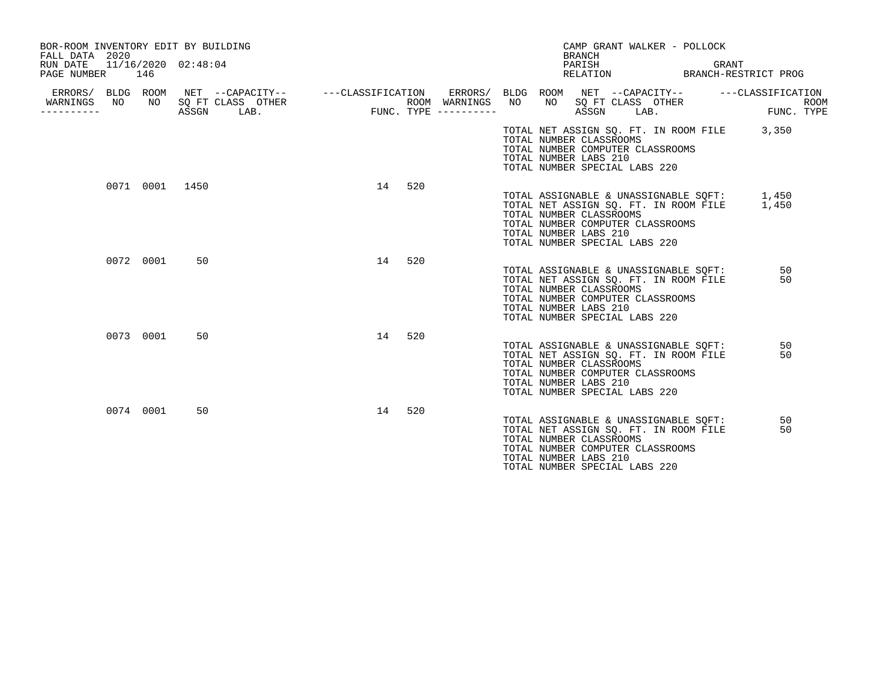| BOR-ROOM INVENTORY EDIT BY BUILDING<br>FALL DATA 2020<br>RUN DATE<br>PAGE NUMBER |    | 146            | 11/16/2020 02:48:04 |                                                                   |    |    |     |                                      |    |    | BRANCH<br>PARISH<br>RELATION                     | CAMP GRANT WALKER - POLLOCK                                                                                                                         | GRANT<br>BRANCH-RESTRICT PROG               |                           |
|----------------------------------------------------------------------------------|----|----------------|---------------------|-------------------------------------------------------------------|----|----|-----|--------------------------------------|----|----|--------------------------------------------------|-----------------------------------------------------------------------------------------------------------------------------------------------------|---------------------------------------------|---------------------------|
| ERRORS/ BLDG ROOM<br>WARNINGS<br>----------                                      | NO | NO             | ASSGN               | NET --CAPACITY-- - ---CLASSIFICATION<br>SQ FT CLASS OTHER<br>LAB. |    |    |     | ROOM WARNINGS<br>FUNC. TYPE $------$ | NO | NO | ASSGN                                            | ERRORS/ BLDG ROOM NET --CAPACITY--<br>SQ FT CLASS OTHER<br>LAB.                                                                                     | ---CLASSIFICATION                           | <b>ROOM</b><br>FUNC. TYPE |
|                                                                                  |    |                |                     |                                                                   |    |    |     |                                      |    |    | TOTAL NUMBER CLASSROOMS<br>TOTAL NUMBER LABS 210 | TOTAL NUMBER COMPUTER CLASSROOMS<br>TOTAL NUMBER SPECIAL LABS 220                                                                                   | TOTAL NET ASSIGN SQ. FT. IN ROOM FILE 3,350 |                           |
|                                                                                  |    | 0071 0001 1450 |                     |                                                                   |    | 14 | 520 |                                      |    |    | TOTAL NUMBER CLASSROOMS<br>TOTAL NUMBER LABS 210 | TOTAL ASSIGNABLE & UNASSIGNABLE SQFT:<br>TOTAL NET ASSIGN SQ. FT. IN ROOM FILE<br>TOTAL NUMBER COMPUTER CLASSROOMS<br>TOTAL NUMBER SPECIAL LABS 220 | 1,450<br>1,450                              |                           |
|                                                                                  |    | 0072 0001      | 50                  |                                                                   |    | 14 | 520 |                                      |    |    | TOTAL NUMBER CLASSROOMS<br>TOTAL NUMBER LABS 210 | TOTAL ASSIGNABLE & UNASSIGNABLE SQFT:<br>TOTAL NET ASSIGN SO. FT. IN ROOM FILE<br>TOTAL NUMBER COMPUTER CLASSROOMS<br>TOTAL NUMBER SPECIAL LABS 220 | 50<br>50                                    |                           |
|                                                                                  |    | 0073 0001      | 50                  |                                                                   |    | 14 | 520 |                                      |    |    | TOTAL NUMBER CLASSROOMS<br>TOTAL NUMBER LABS 210 | TOTAL ASSIGNABLE & UNASSIGNABLE SQFT:<br>TOTAL NET ASSIGN SO. FT. IN ROOM FILE<br>TOTAL NUMBER COMPUTER CLASSROOMS<br>TOTAL NUMBER SPECIAL LABS 220 | 50<br>50                                    |                           |
|                                                                                  |    | 0074 0001      | 50                  |                                                                   | 14 |    | 520 |                                      |    |    | TOTAL NUMBER CLASSROOMS<br>TOTAL NUMBER LABS 210 | TOTAL ASSIGNABLE & UNASSIGNABLE SQFT:<br>TOTAL NET ASSIGN SQ. FT. IN ROOM FILE<br>TOTAL NUMBER COMPUTER CLASSROOMS<br>TOTAL NUMBER SPECIAL LABS 220 | 50<br>50                                    |                           |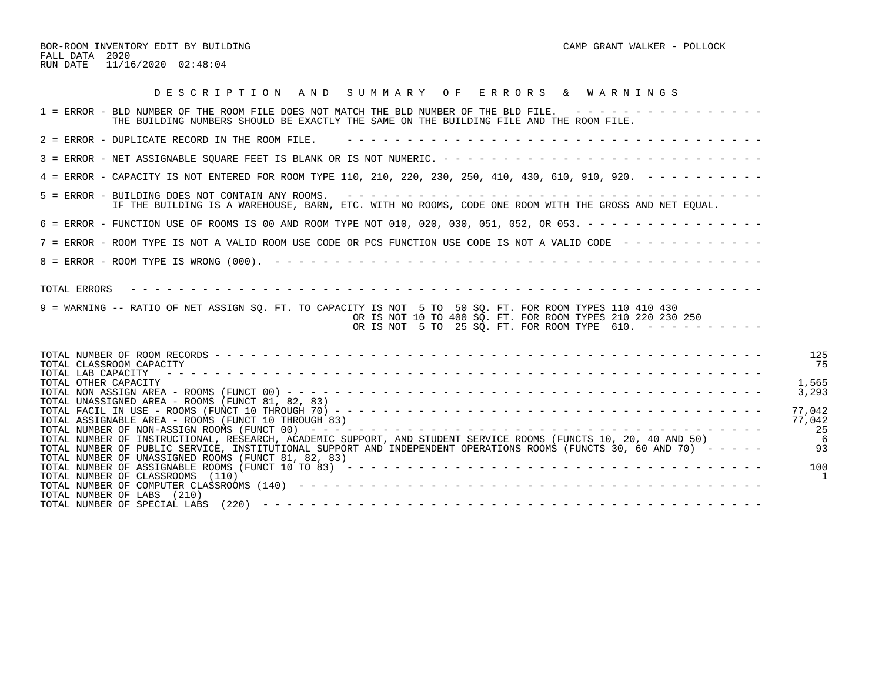BOR-ROOM INVENTORY EDIT BY BUILDING CAMP GRANT WALKER - POLLOCK FALL DATA 2020 RUN DATE 11/16/2020 02:48:04

| DESCRIPTION AND SUMMARY OF ERRORS & WARNINGS                                                                                                                                                                                                                                                  |                         |
|-----------------------------------------------------------------------------------------------------------------------------------------------------------------------------------------------------------------------------------------------------------------------------------------------|-------------------------|
| 1 = ERROR - BLD NUMBER OF THE ROOM FILE DOES NOT MATCH THE BLD NUMBER OF THE BLD FILE. ----------------<br>THE BUILDING NUMBERS SHOULD BE EXACTLY THE SAME ON THE BUILDING FILE AND THE ROOM FILE.                                                                                            |                         |
| 2 = ERROR - DUPLICATE RECORD IN THE ROOM FILE.                                                                                                                                                                                                                                                |                         |
|                                                                                                                                                                                                                                                                                               |                         |
| 4 = ERROR - CAPACITY IS NOT ENTERED FOR ROOM TYPE 110, 210, 220, 230, 250, 410, 430, 610, 910, 920. - - - - - - - - -                                                                                                                                                                         |                         |
| IF THE BUILDING IS A WAREHOUSE, BARN, ETC. WITH NO ROOMS, CODE ONE ROOM WITH THE GROSS AND NET EOUAL.                                                                                                                                                                                         |                         |
| 6 = ERROR - FUNCTION USE OF ROOMS IS 00 AND ROOM TYPE NOT 010, 020, 030, 051, 052, OR 053. - - - - - - - - - - - - - - -                                                                                                                                                                      |                         |
| 7 = ERROR - ROOM TYPE IS NOT A VALID ROOM USE CODE OR PCS FUNCTION USE CODE IS NOT A VALID CODE ------------                                                                                                                                                                                  |                         |
|                                                                                                                                                                                                                                                                                               |                         |
| TOTAL ERRORS<br>9 = WARNING -- RATIO OF NET ASSIGN SO. FT. TO CAPACITY IS NOT 5 TO 50 SO. FT. FOR ROOM TYPES 110 410 430<br>OR IS NOT 10 TO 400 SQ. FT. FOR ROOM TYPES 210 220 230 250<br>OR IS NOT 5 TO 25 SQ. FT. FOR ROOM TYPE 610. $-$ - - - - - - - - -                                  |                         |
| TOTAL CLASSROOM CAPACITY<br>TOTAL LAB CAPACITY                                                                                                                                                                                                                                                | 125<br>75               |
| TOTAL OTHER CAPACITY<br>TOTAL UNASSIGNED AREA - ROOMS (FUNCT 81, 82, 83)                                                                                                                                                                                                                      | 1,565<br>3,293          |
| TOTAL ASSIGNABLE AREA - ROOMS (FUNCT 10 THROUGH 83)                                                                                                                                                                                                                                           | 77,042<br>77,042<br>-25 |
| TOTAL NUMBER OF INSTRUCTIONAL, RESEARCH, ACADEMIC SUPPORT, AND STUDENT SERVICE ROOMS (FUNCTS 10, 20, 40 AND 50)<br>TOTAL NUMBER OF PUBLIC SERVICE, INSTITUTIONAL SUPPORT AND INDEPENDENT OPERATIONS ROOMS (FUNCTS 30, 60 AND 70) -----<br>TOTAL NUMBER OF UNASSIGNED ROOMS (FUNCT 81, 82, 83) | 93                      |
| TOTAL NUMBER OF ASSIGNABLE ROOMS (FUNCT 10 TO 83) $- - - - - - - - - - - - - - - - - - - - - - - - - - - - - - - - - - - -$<br>TOTAL NUMBER OF CLASSROOMS (110)                                                                                                                               | 100                     |
| TOTAL NUMBER OF LABS (210)                                                                                                                                                                                                                                                                    |                         |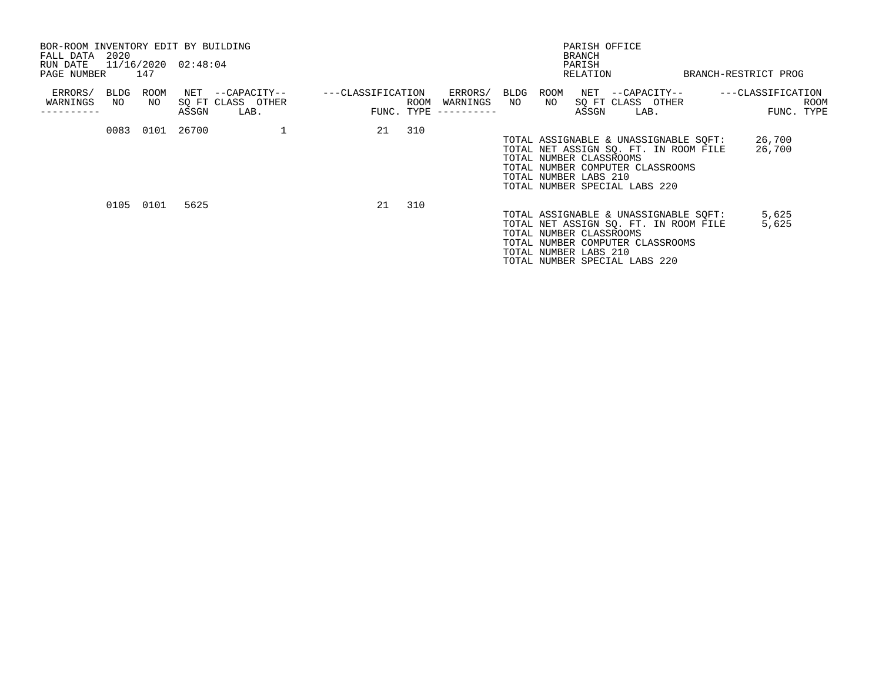| BOR-ROOM INVENTORY EDIT BY BUILDING<br>2020<br>FALL DATA<br>RUN DATE |                 | 11/16/2020 02:48:04                                    |                                                  | PARISH OFFICE<br><b>BRANCH</b><br>PARISH                                                                                                                                                                |                                         |
|----------------------------------------------------------------------|-----------------|--------------------------------------------------------|--------------------------------------------------|---------------------------------------------------------------------------------------------------------------------------------------------------------------------------------------------------------|-----------------------------------------|
| PAGE NUMBER                                                          | 147             |                                                        |                                                  | RELATION                                                                                                                                                                                                | BRANCH-RESTRICT PROG                    |
| ERRORS/<br>BLDG<br>WARNINGS<br>NO                                    | ROOM<br>NO      | NET --CAPACITY--<br>SQ FT CLASS OTHER<br>ASSGN<br>LAB. | ---CLASSIFICATION<br>ROOM<br>FUNC. TYPE $------$ | ERRORS/<br>BLDG<br>ROOM<br>NET --CAPACITY--<br>WARNINGS NO<br>NO SQ FT CLASS OTHER<br>ASSGN<br>LAB.                                                                                                     | ---CLASSIFICATION<br>ROOM<br>FUNC. TYPE |
|                                                                      | 0083 0101 26700 |                                                        | 21 310                                           | TOTAL ASSIGNABLE & UNASSIGNABLE SQFT:<br>TOTAL NET ASSIGN SO. FT. IN ROOM FILE<br>TOTAL NUMBER CLASSROOMS<br>TOTAL NUMBER COMPUTER CLASSROOMS<br>TOTAL NUMBER LABS 210<br>TOTAL NUMBER SPECIAL LABS 220 | 26,700<br>26,700                        |
|                                                                      | 0105 0101       | 5625                                                   | 310<br>21                                        | TOTAL ASSIGNABLE & UNASSIGNABLE SOFT:<br>TOTAL NET ASSIGN SO. FT. IN ROOM FILE<br>TOTAL NUMBER CLASSROOMS<br>TOTAL NUMBER COMPUTER CLASSROOMS<br>TOTAL NUMBER LABS 210<br>TOTAL NUMBER SPECIAL LABS 220 | 5,625<br>5,625                          |